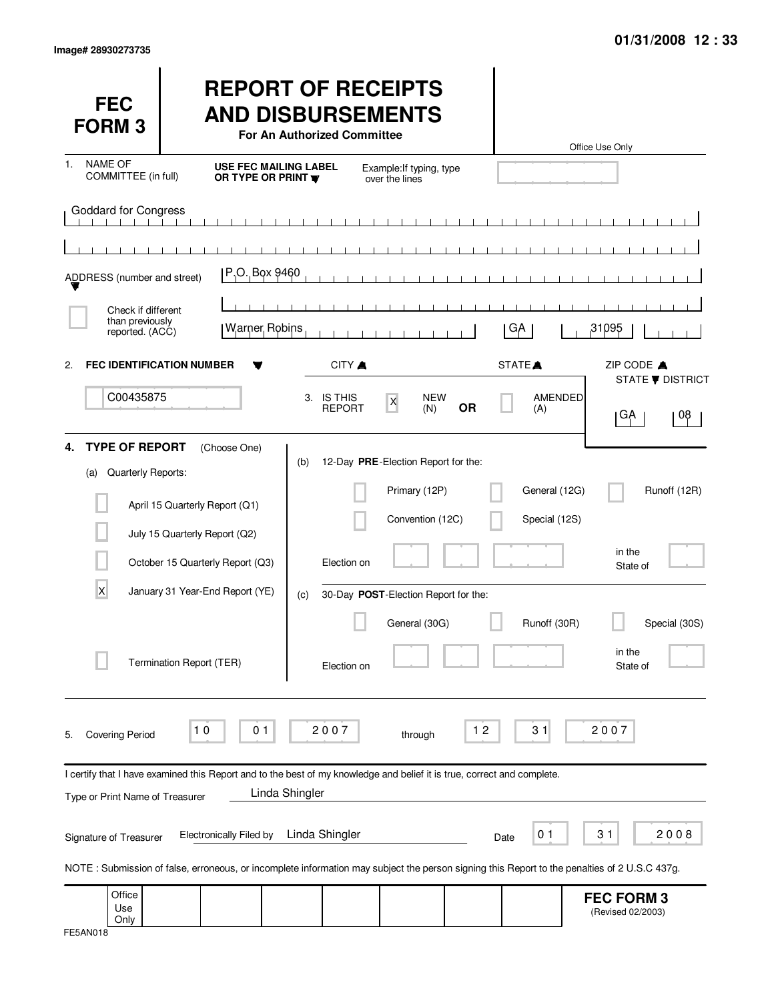| <b>FEC</b><br><b>FORM3</b>                               |                                                                                                                                                                                | <b>REPORT OF RECEIPTS</b><br><b>AND DISBURSEMENTS</b><br>For An Authorized Committee |                                                                          |           |                                | Office Use Only                        |
|----------------------------------------------------------|--------------------------------------------------------------------------------------------------------------------------------------------------------------------------------|--------------------------------------------------------------------------------------|--------------------------------------------------------------------------|-----------|--------------------------------|----------------------------------------|
| <b>NAME OF</b><br>1.<br>COMMITTEE (in full)              | <b>USE FEC MAILING LABEL</b><br>OR TYPE OR PRINT                                                                                                                               |                                                                                      | Example: If typing, type<br>over the lines                               |           |                                |                                        |
| Goddard for Congress                                     |                                                                                                                                                                                |                                                                                      |                                                                          |           |                                |                                        |
|                                                          |                                                                                                                                                                                |                                                                                      |                                                                          |           |                                |                                        |
| ADDRESS (number and street)                              | P.O. Box 9460                                                                                                                                                                  |                                                                                      |                                                                          |           |                                |                                        |
| Check if different                                       |                                                                                                                                                                                |                                                                                      |                                                                          |           |                                |                                        |
| than previously<br>reported. (ACC)                       | <b>Warner Robins</b>                                                                                                                                                           |                                                                                      |                                                                          |           | GA                             | 31095                                  |
| 2.                                                       | <b>FEC IDENTIFICATION NUMBER</b>                                                                                                                                               | CITY A                                                                               |                                                                          |           | STATE <sup>A</sup>             | ZIP CODE A<br>STATE <b>V</b> DISTRICT  |
| C00435875                                                |                                                                                                                                                                                | 3. IS THIS<br><b>REPORT</b>                                                          | <b>NEW</b><br>$\mathsf{X}% _{0}$<br>(N)                                  | <b>OR</b> | AMENDED<br>(A)                 | 08<br> GA                              |
| <b>TYPE OF REPORT</b><br>4.<br>Quarterly Reports:<br>(a) | (Choose One)<br>April 15 Quarterly Report (Q1)<br>July 15 Quarterly Report (Q2)                                                                                                | (b)                                                                                  | 12-Day PRE-Election Report for the:<br>Primary (12P)<br>Convention (12C) |           | General (12G)<br>Special (12S) | Runoff (12R)                           |
|                                                          | October 15 Quarterly Report (Q3)                                                                                                                                               | Election on                                                                          |                                                                          |           |                                | in the<br>State of                     |
| X                                                        | January 31 Year-End Report (YE)                                                                                                                                                | (c)                                                                                  | 30-Day POST-Election Report for the:                                     |           |                                |                                        |
|                                                          | Termination Report (TER)                                                                                                                                                       | Election on                                                                          | General (30G)                                                            |           | Runoff (30R)                   | Special (30S)<br>in the<br>State of    |
| <b>Covering Period</b><br>5.                             | 10<br>0 <sub>1</sub>                                                                                                                                                           | 2007                                                                                 | through                                                                  | $12$      | 31                             | 2007                                   |
| Type or Print Name of Treasurer                          | I certify that I have examined this Report and to the best of my knowledge and belief it is true, correct and complete.                                                        | Linda Shingler                                                                       |                                                                          |           |                                |                                        |
| Signature of Treasurer                                   | <b>Electronically Filed by</b><br>NOTE: Submission of false, erroneous, or incomplete information may subject the person signing this Report to the penalties of 2 U.S.C 437g. | Linda Shingler                                                                       |                                                                          | Date      | 0 <sub>1</sub>                 | 31<br>2008                             |
| Office<br>Use                                            |                                                                                                                                                                                |                                                                                      |                                                                          |           |                                | <b>FEC FORM 3</b><br>(Revised 02/2003) |
| Only                                                     |                                                                                                                                                                                |                                                                                      |                                                                          |           |                                |                                        |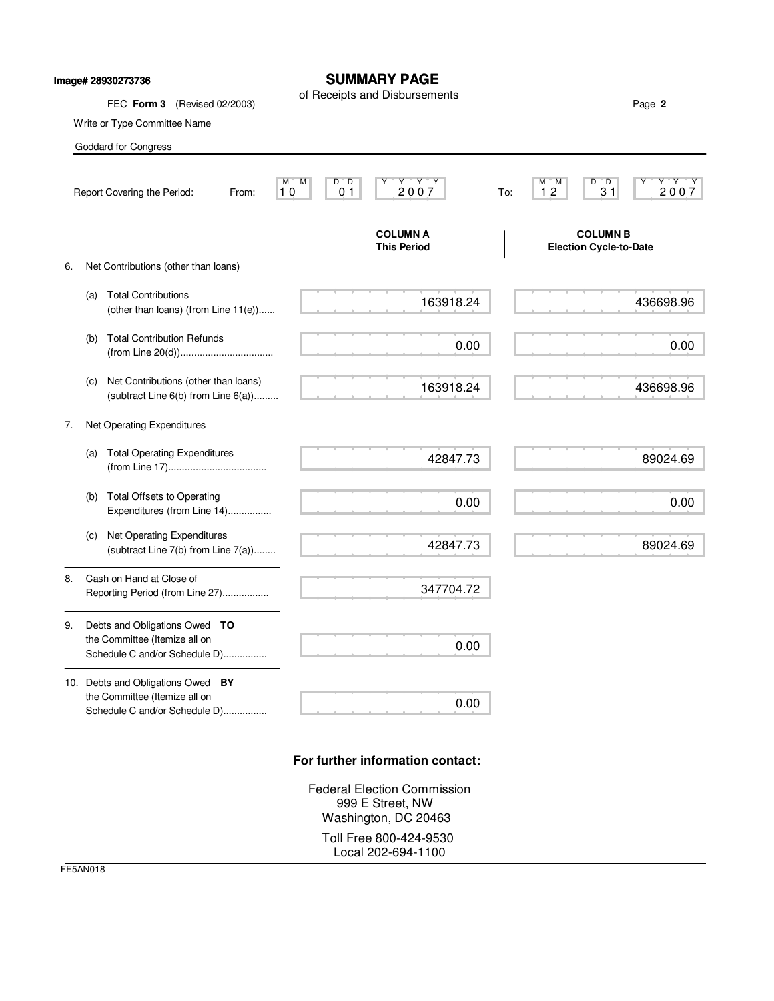|    | Image# 28930273736                                                                                  | <b>SUMMARY PAGE</b><br>of Receipts and Disbursements                      |                                                                       |
|----|-----------------------------------------------------------------------------------------------------|---------------------------------------------------------------------------|-----------------------------------------------------------------------|
|    | FEC Form 3 (Revised 02/2003)                                                                        |                                                                           | Page 2                                                                |
|    | Write or Type Committee Name                                                                        |                                                                           |                                                                       |
|    | Goddard for Congress                                                                                |                                                                           |                                                                       |
|    | Report Covering the Period:<br>From:                                                                | $Y$ $Y$ $Y$<br>M<br>M<br>$D^{\prime}$ $D$<br>2007<br>10<br>0 <sub>1</sub> | D<br>$\overline{D}$<br>Y Y<br>М<br>м<br>'Y<br>2007<br>12<br>31<br>To: |
|    |                                                                                                     | <b>COLUMN A</b><br><b>This Period</b>                                     | <b>COLUMN B</b><br><b>Election Cycle-to-Date</b>                      |
| 6. | Net Contributions (other than loans)                                                                |                                                                           |                                                                       |
|    | <b>Total Contributions</b><br>(a)<br>(other than loans) (from Line $11(e)$ )                        | 163918.24                                                                 | 436698.96                                                             |
|    | <b>Total Contribution Refunds</b><br>(b)                                                            | 0.00                                                                      | 0.00                                                                  |
|    | Net Contributions (other than loans)<br>(c)<br>(subtract Line $6(b)$ from Line $6(a)$ )             | 163918.24                                                                 | 436698.96                                                             |
| 7. | Net Operating Expenditures                                                                          |                                                                           |                                                                       |
|    | <b>Total Operating Expenditures</b><br>(a)                                                          | 42847.73                                                                  | 89024.69                                                              |
|    | Total Offsets to Operating<br>(b)<br>Expenditures (from Line 14)                                    | 0.00                                                                      | 0.00                                                                  |
|    | Net Operating Expenditures<br>(c)<br>(subtract Line 7(b) from Line 7(a))                            | 42847.73                                                                  | 89024.69                                                              |
| 8. | Cash on Hand at Close of<br>Reporting Period (from Line 27)                                         | 347704.72                                                                 |                                                                       |
| 9. | Debts and Obligations Owed TO<br>the Committee (Itemize all on<br>Schedule C and/or Schedule D)     | 0.00                                                                      |                                                                       |
|    | 10. Debts and Obligations Owed BY<br>the Committee (Itemize all on<br>Schedule C and/or Schedule D) | 0.00                                                                      |                                                                       |

**SUMMARY PAGE**

## **For further information contact:**

Federal Election Commission 999 E Street, NW Washington, DC 20463 Toll Free 800-424-9530 Local 202-694-1100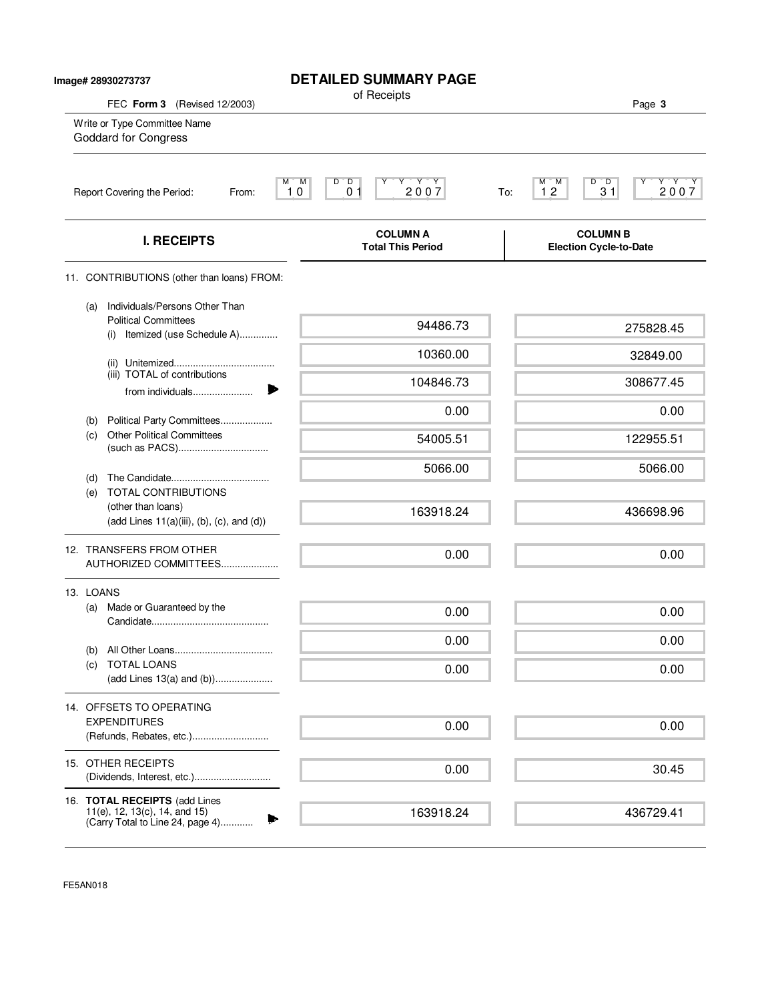| Image# 28930273737 |                                                                                                        | <b>DETAILED SUMMARY PAGE</b>                                                                                             |                                                                                                           |
|--------------------|--------------------------------------------------------------------------------------------------------|--------------------------------------------------------------------------------------------------------------------------|-----------------------------------------------------------------------------------------------------------|
|                    | FEC Form 3 (Revised 12/2003)                                                                           | of Receipts                                                                                                              | Page 3                                                                                                    |
|                    | Write or Type Committee Name<br>Goddard for Congress                                                   |                                                                                                                          |                                                                                                           |
|                    | Report Covering the Period:<br>From:                                                                   | M<br>$D^{\prime}$ $D$<br>$\begin{array}{c}\nY & Y & Y \\ 2 & 0 & 0 & 7\n\end{array}$<br>M ī<br>Y<br>0 <sub>1</sub><br>10 | $D^{\prime}$ $D$<br>$\begin{array}{c}\nY \rightarrow Y \\ 2007\n\end{array}$<br>М<br>M<br>31<br>12<br>To: |
|                    | <b>I. RECEIPTS</b>                                                                                     | <b>COLUMN A</b><br><b>Total This Period</b>                                                                              | <b>COLUMN B</b><br><b>Election Cycle-to-Date</b>                                                          |
|                    | 11. CONTRIBUTIONS (other than loans) FROM:                                                             |                                                                                                                          |                                                                                                           |
|                    | Individuals/Persons Other Than<br>(a)<br><b>Political Committees</b><br>(i) Itemized (use Schedule A)  | 94486.73                                                                                                                 | 275828.45                                                                                                 |
|                    |                                                                                                        | 10360.00                                                                                                                 | 32849.00                                                                                                  |
|                    | (iii) TOTAL of contributions<br>from individuals                                                       | 104846.73                                                                                                                | 308677.45                                                                                                 |
|                    | Political Party Committees<br>(b)                                                                      | 0.00                                                                                                                     | 0.00                                                                                                      |
|                    | <b>Other Political Committees</b><br>(c)                                                               | 54005.51                                                                                                                 | 122955.51                                                                                                 |
|                    | (d)                                                                                                    | 5066.00                                                                                                                  | 5066.00                                                                                                   |
|                    | <b>TOTAL CONTRIBUTIONS</b><br>(e)<br>(other than loans)<br>$(add Lines 11(a)(iii), (b), (c), and (d))$ | 163918.24                                                                                                                | 436698.96                                                                                                 |
|                    | 12. TRANSFERS FROM OTHER<br>AUTHORIZED COMMITTEES                                                      | 0.00                                                                                                                     | 0.00                                                                                                      |
|                    | 13. LOANS                                                                                              |                                                                                                                          |                                                                                                           |
|                    | Made or Guaranteed by the<br>(a)                                                                       | 0.00                                                                                                                     | 0.00                                                                                                      |
|                    |                                                                                                        | 0.00                                                                                                                     | 0.00                                                                                                      |
|                    | (b)<br><b>TOTAL LOANS</b><br>(C)<br>(add Lines 13(a) and (b))                                          | 0.00                                                                                                                     | 0.00                                                                                                      |
|                    | 14. OFFSETS TO OPERATING                                                                               |                                                                                                                          |                                                                                                           |
|                    | <b>EXPENDITURES</b><br>(Refunds, Rebates, etc.)                                                        | 0.00                                                                                                                     | 0.00                                                                                                      |
|                    | 15. OTHER RECEIPTS                                                                                     | 0.00                                                                                                                     | 30.45                                                                                                     |
|                    | 16. TOTAL RECEIPTS (add Lines<br>11(e), 12, 13(c), 14, and 15)                                         | 163918.24                                                                                                                | 436729.41                                                                                                 |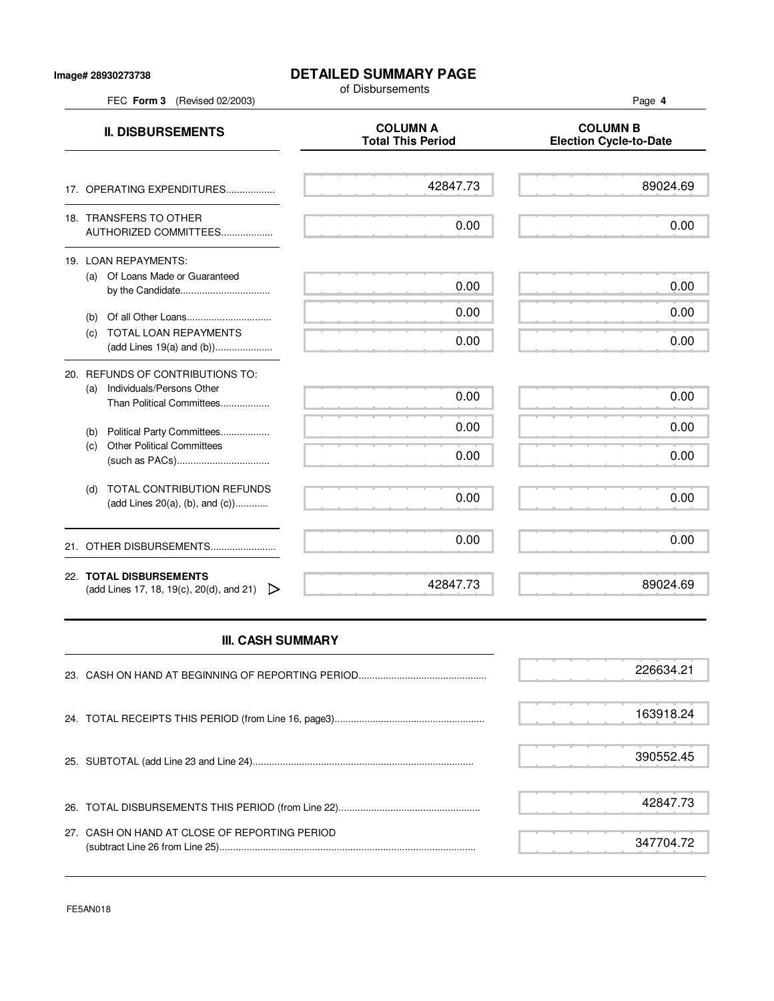## **DETAILED SUMMARY PAGE**

of Disbursements

FEC **Form 3** (Revised 02/2003) Page **4 II. DISBURSEMENTS**<br>Total This Period Figures Election Cycle-to **Election Cycle-to-Date** 17. OPERATING EXPENDITURES.................. 18. TRANSFERS TO OTHER AUTHORIZED COMMITTEES................... 19. LOAN REPAYMENTS: (a) Of Loans Made or Guaranteed by the Candidate................................... (b) Of all Other Loans............................... (c) TOTAL LOAN REPAYMENTS (add Lines 19(a) and (b))..................... 20. REFUNDS OF CONTRIBUTIONS TO: (a) Individuals/Persons Other Than Political Committees.................. (b) Political Party Committees.................. (c) Other Political Committees (such as PACs).................................. (d) TOTAL CONTRIBUTION REFUNDS (add Lines 20(a), (b), and (c))............ 21. OTHER DISBURSEMENTS......................... 22. **TOTAL DISBURSEMENTS** (add Lines 17, 18, 19(c), 20(d), and 21)  $\triangleright$ 42847.73 0.00 0.00 0.00 0.00 0.00 0.00 0.00 0.00 0.00 42847.73 89024.69 0.00 0.00 0.00 0.00 0.00 0.00 0.00 0.00 0.00 89024.69

## **III. CASH SUMMARY**

|                                               | 226634.21 |
|-----------------------------------------------|-----------|
|                                               | 163918.24 |
|                                               | 390552.45 |
|                                               | 42847.73  |
| 27. CASH ON HAND AT CLOSE OF REPORTING PERIOD | 347704.72 |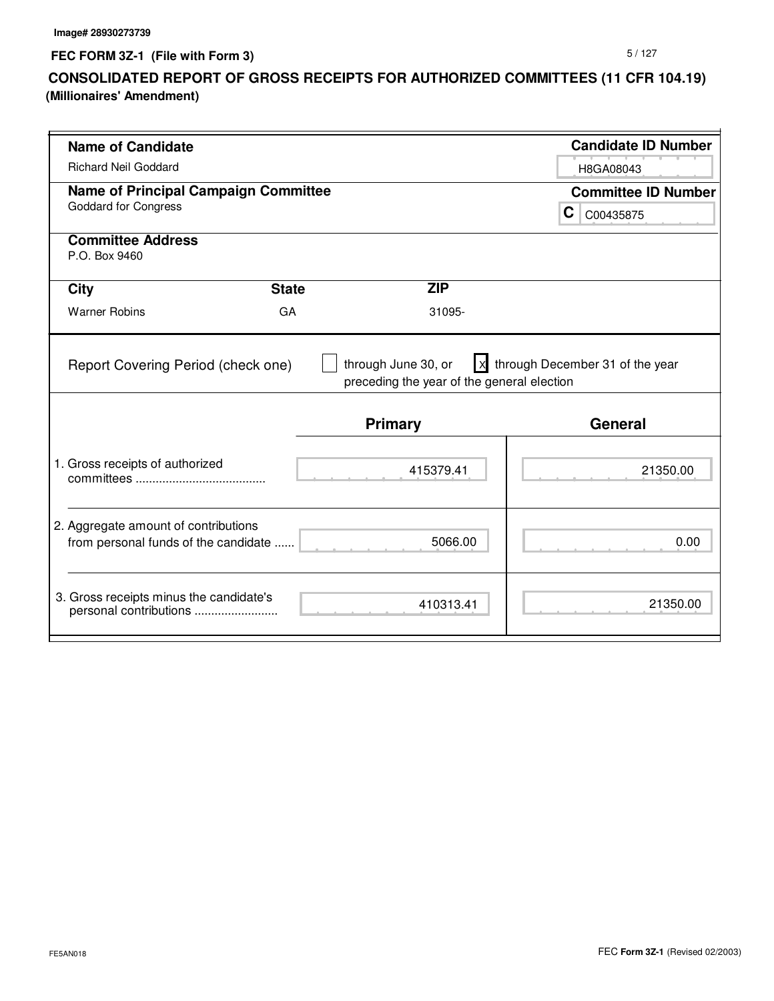**FEC FORM 3Z-1 (File with Form 3)**

## **CONSOLIDATED REPORT OF GROSS RECEIPTS FOR AUTHORIZED COMMITTEES (11 CFR 104.19) (Millionaires' Amendment)**

| <b>Name of Candidate</b>                                                     |              |                                                       | <b>Candidate ID Number</b>                    |
|------------------------------------------------------------------------------|--------------|-------------------------------------------------------|-----------------------------------------------|
| <b>Richard Neil Goddard</b>                                                  |              |                                                       | H8GA08043                                     |
| <b>Name of Principal Campaign Committee</b><br><b>Goddard for Congress</b>   |              |                                                       | <b>Committee ID Number</b><br>C.<br>C00435875 |
| <b>Committee Address</b><br>P.O. Box 9460                                    |              |                                                       |                                               |
| <b>City</b>                                                                  | <b>State</b> | <b>ZIP</b>                                            |                                               |
| <b>Warner Robins</b>                                                         | GA           | 31095-                                                |                                               |
| Report Covering Period (check one)                                           |              | preceding the year of the general election<br>Primary | <b>General</b>                                |
| 1. Gross receipts of authorized                                              |              | 415379.41                                             | 21350.00                                      |
| 2. Aggregate amount of contributions<br>from personal funds of the candidate |              | 5066.00                                               | 0.00                                          |
| 3. Gross receipts minus the candidate's<br>personal contributions            |              | 410313.41                                             | 21350.00                                      |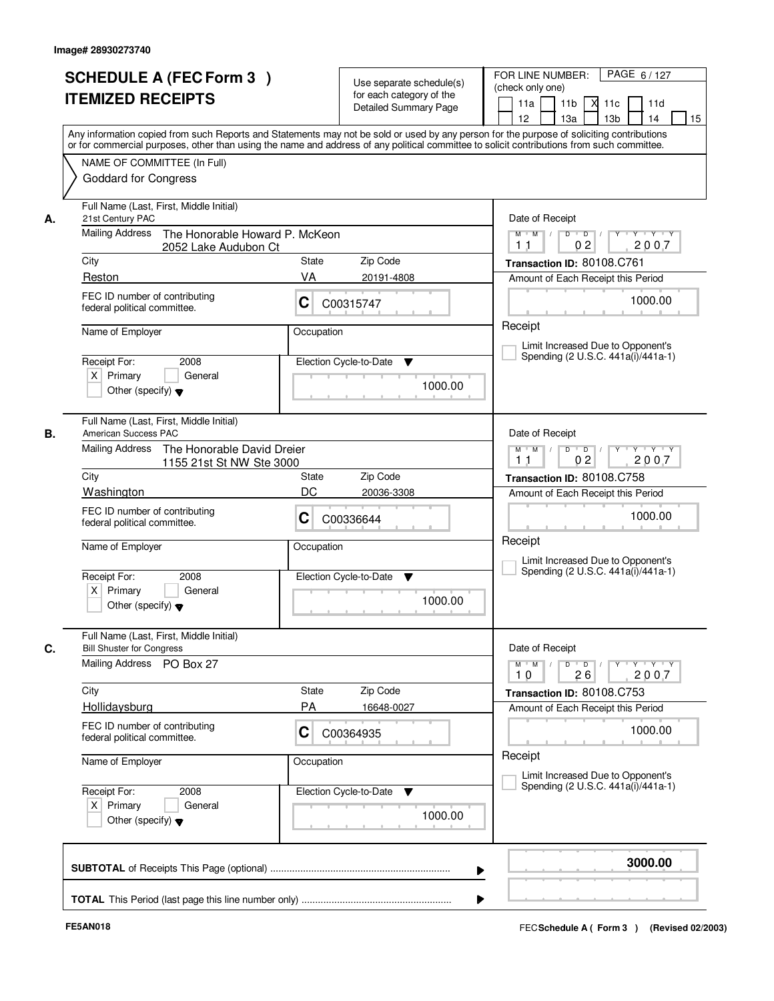|    | <b>SCHEDULE A (FEC Form 3)</b><br><b>ITEMIZED RECEIPTS</b><br>Any information copied from such Reports and Statements may not be sold or used by any person for the purpose of soliciting contributions  |                  | Use separate schedule(s)<br>for each category of the<br><b>Detailed Summary Page</b> | PAGE 6/127<br>FOR LINE NUMBER:<br>(check only one)<br>11 <sub>b</sub><br>11a<br>м<br>11c<br>11d<br>13 <sub>b</sub><br>14<br>15<br>12 <sup>2</sup><br>13a |
|----|----------------------------------------------------------------------------------------------------------------------------------------------------------------------------------------------------------|------------------|--------------------------------------------------------------------------------------|----------------------------------------------------------------------------------------------------------------------------------------------------------|
|    | or for commercial purposes, other than using the name and address of any political committee to solicit contributions from such committee.<br>NAME OF COMMITTEE (In Full)<br><b>Goddard for Congress</b> |                  |                                                                                      |                                                                                                                                                          |
| А. | Full Name (Last, First, Middle Initial)<br>21st Century PAC<br><b>Mailing Address</b><br>The Honorable Howard P. McKeon<br>2052 Lake Audubon Ct                                                          |                  |                                                                                      | Date of Receipt<br>$D$ $D$ $/$<br>$\overline{Y}$<br>$Y$ $Y$ $Y$<br>$M$ $M$ /<br>02<br>2007<br>1 <sub>1</sub>                                             |
|    | City                                                                                                                                                                                                     | <b>State</b>     | Zip Code                                                                             | Transaction ID: 80108.C761                                                                                                                               |
|    | Reston                                                                                                                                                                                                   | VA               | 20191-4808                                                                           | Amount of Each Receipt this Period                                                                                                                       |
|    | FEC ID number of contributing<br>federal political committee.                                                                                                                                            | C                | C00315747                                                                            | 1000.00                                                                                                                                                  |
|    | Name of Employer                                                                                                                                                                                         | Occupation       |                                                                                      | Receipt<br>Limit Increased Due to Opponent's                                                                                                             |
|    | 2008<br>Receipt For:<br>$X$ Primary<br>General<br>Other (specify) $\blacktriangledown$                                                                                                                   |                  | Election Cycle-to-Date<br>▼<br>1000.00                                               | Spending (2 U.S.C. 441a(i)/441a-1)                                                                                                                       |
| В. | Full Name (Last, First, Middle Initial)<br>American Success PAC<br><b>Mailing Address</b><br>The Honorable David Dreier                                                                                  |                  |                                                                                      | Date of Receipt<br>D<br>$Y - Y - Y$<br>$M$ $M$ /<br>$\overline{D}$                                                                                       |
|    | 1155 21st St NW Ste 3000                                                                                                                                                                                 | 02<br>2007<br>11 |                                                                                      |                                                                                                                                                          |
|    | City                                                                                                                                                                                                     | State<br>DC      | Zip Code                                                                             | Transaction ID: 80108.C758                                                                                                                               |
|    | Washington<br>FEC ID number of contributing<br>federal political committee.                                                                                                                              | С                | 20036-3308<br>C00336644                                                              | Amount of Each Receipt this Period<br>1000.00                                                                                                            |
|    | Name of Employer<br>Receipt For:<br>2008<br>$X$ Primary<br>General<br>Other (specify) $\blacktriangledown$                                                                                               | Occupation       | Election Cycle-to-Date<br>▼<br>1000.00                                               | Receipt<br>Limit Increased Due to Opponent's<br>Spending (2 U.S.C. 441a(i)/441a-1)                                                                       |
| C. | Full Name (Last, First, Middle Initial)<br><b>Bill Shuster for Congress</b>                                                                                                                              |                  |                                                                                      | Date of Receipt                                                                                                                                          |
|    | Mailing Address PO Box 27                                                                                                                                                                                |                  |                                                                                      | $D$ $D$ $/$<br>$\mathsf{Y} \dashv \mathsf{Y} \dashv \mathsf{Y} \dashv \mathsf{Y}$<br>$M$ $M$<br>2007<br>10<br>26                                         |
|    | City                                                                                                                                                                                                     | State            | Zip Code                                                                             | Transaction ID: 80108.C753                                                                                                                               |
|    | Hollidaysburg                                                                                                                                                                                            | <b>PA</b>        | 16648-0027                                                                           | Amount of Each Receipt this Period                                                                                                                       |
|    | FEC ID number of contributing<br>federal political committee.                                                                                                                                            | C                | C00364935                                                                            | 1000.00                                                                                                                                                  |
|    | Name of Employer                                                                                                                                                                                         | Occupation       |                                                                                      | Receipt<br>Limit Increased Due to Opponent's                                                                                                             |
|    | Receipt For:<br>2008<br>$X$ Primary<br>General<br>Other (specify) $\blacktriangledown$                                                                                                                   |                  | Election Cycle-to-Date ▼<br>1000.00                                                  | Spending (2 U.S.C. 441a(i)/441a-1)                                                                                                                       |
|    |                                                                                                                                                                                                          |                  |                                                                                      | 3000.00<br>▶                                                                                                                                             |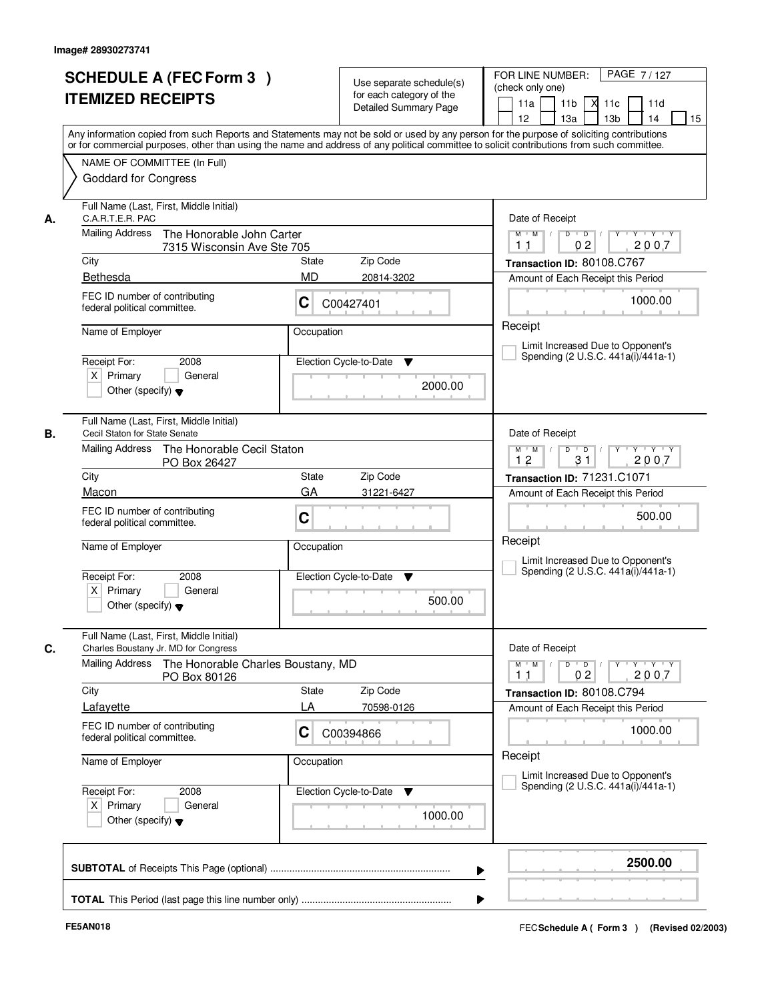| <b>ITEMIZED RECEIPTS</b>                               | <b>SCHEDULE A (FEC Form 3)</b>                                                        |                | Use separate schedule(s)<br>for each category of the<br><b>Detailed Summary Page</b> | PAGE 7/127<br>FOR LINE NUMBER:<br>(check only one)<br>11 <sub>b</sub><br>11a<br><b>X</b><br>11c<br>11d<br>12<br>13 <sub>b</sub><br>14<br>13a<br>15<br>Any information copied from such Reports and Statements may not be sold or used by any person for the purpose of soliciting contributions |
|--------------------------------------------------------|---------------------------------------------------------------------------------------|----------------|--------------------------------------------------------------------------------------|-------------------------------------------------------------------------------------------------------------------------------------------------------------------------------------------------------------------------------------------------------------------------------------------------|
| <b>Goddard for Congress</b>                            | NAME OF COMMITTEE (In Full)                                                           |                |                                                                                      | or for commercial purposes, other than using the name and address of any political committee to solicit contributions from such committee.                                                                                                                                                      |
| C.A.R.T.E.R. PAC<br>А.<br><b>Mailing Address</b>       | Full Name (Last, First, Middle Initial)<br>The Honorable John Carter                  |                |                                                                                      | Date of Receipt<br>$Y + Y + Y$<br>$M$ $M$ /<br>$D$ $D$ $/$<br>$Y$ <sup>U</sup>                                                                                                                                                                                                                  |
|                                                        | 7315 Wisconsin Ave Ste 705                                                            |                |                                                                                      | 0 <sub>2</sub><br>2007<br>1 <sub>1</sub>                                                                                                                                                                                                                                                        |
| City                                                   |                                                                                       | State          | Zip Code                                                                             | Transaction ID: 80108.C767                                                                                                                                                                                                                                                                      |
| Bethesda<br>federal political committee.               | FEC ID number of contributing                                                         | <b>MD</b><br>C | 20814-3202<br>C00427401                                                              | Amount of Each Receipt this Period<br>1000.00                                                                                                                                                                                                                                                   |
| Name of Employer<br>Receipt For:<br>$X$ Primary        | 2008<br>General<br>Other (specify) $\blacktriangledown$                               | Occupation     | Election Cycle-to-Date<br>▼<br>2000.00                                               | Receipt<br>Limit Increased Due to Opponent's<br>Spending (2 U.S.C. 441a(i)/441a-1)                                                                                                                                                                                                              |
| Cecil Staton for State Senate<br>В.<br>Mailing Address | Full Name (Last, First, Middle Initial)<br>The Honorable Cecil Staton<br>PO Box 26427 |                |                                                                                      | Date of Receipt<br>$Y \vdash Y \vdash Y$<br>$M$ $M$ /<br>D<br>$\Box$ D $\Box$ /<br>Y<br>31<br>12<br>2007                                                                                                                                                                                        |
| City                                                   |                                                                                       | State          | Zip Code                                                                             | Transaction ID: 71231.C1071                                                                                                                                                                                                                                                                     |
| Macon                                                  |                                                                                       | GA             | 31221-6427                                                                           | Amount of Each Receipt this Period                                                                                                                                                                                                                                                              |
| federal political committee.                           | FEC ID number of contributing                                                         | C              |                                                                                      | 500.00                                                                                                                                                                                                                                                                                          |
| Name of Employer                                       |                                                                                       | Occupation     |                                                                                      | Receipt<br>Limit Increased Due to Opponent's                                                                                                                                                                                                                                                    |
| Receipt For:<br>$X$ Primary                            | 2008<br>General<br>Other (specify) $\blacktriangledown$                               |                | Election Cycle-to-Date<br>▼<br>500.00                                                | Spending (2 U.S.C. 441a(i)/441a-1)                                                                                                                                                                                                                                                              |
| C.                                                     | Full Name (Last, First, Middle Initial)<br>Charles Boustany Jr. MD for Congress       |                |                                                                                      | Date of Receipt                                                                                                                                                                                                                                                                                 |
| Mailing Address                                        | The Honorable Charles Boustany, MD<br>PO Box 80126                                    |                |                                                                                      | $D$ $D$ $/$<br>$M$ $M$<br>y y y y y<br>0 <sub>2</sub><br>2007<br>11                                                                                                                                                                                                                             |
| City                                                   |                                                                                       | <b>State</b>   | Zip Code                                                                             | Transaction ID: 80108.C794                                                                                                                                                                                                                                                                      |
| Lafayette<br>federal political committee.              | FEC ID number of contributing                                                         | LA<br>C        | 70598-0126<br>C00394866                                                              | Amount of Each Receipt this Period<br>1000.00                                                                                                                                                                                                                                                   |
| Name of Employer                                       |                                                                                       | Occupation     |                                                                                      | Receipt<br>Limit Increased Due to Opponent's                                                                                                                                                                                                                                                    |
| Receipt For:<br>$X$ Primary                            | 2008<br>General<br>Other (specify) $\blacktriangledown$                               |                | Election Cycle-to-Date ▼<br>1000.00                                                  | Spending (2 U.S.C. 441a(i)/441a-1)                                                                                                                                                                                                                                                              |
|                                                        |                                                                                       |                |                                                                                      | 2500.00                                                                                                                                                                                                                                                                                         |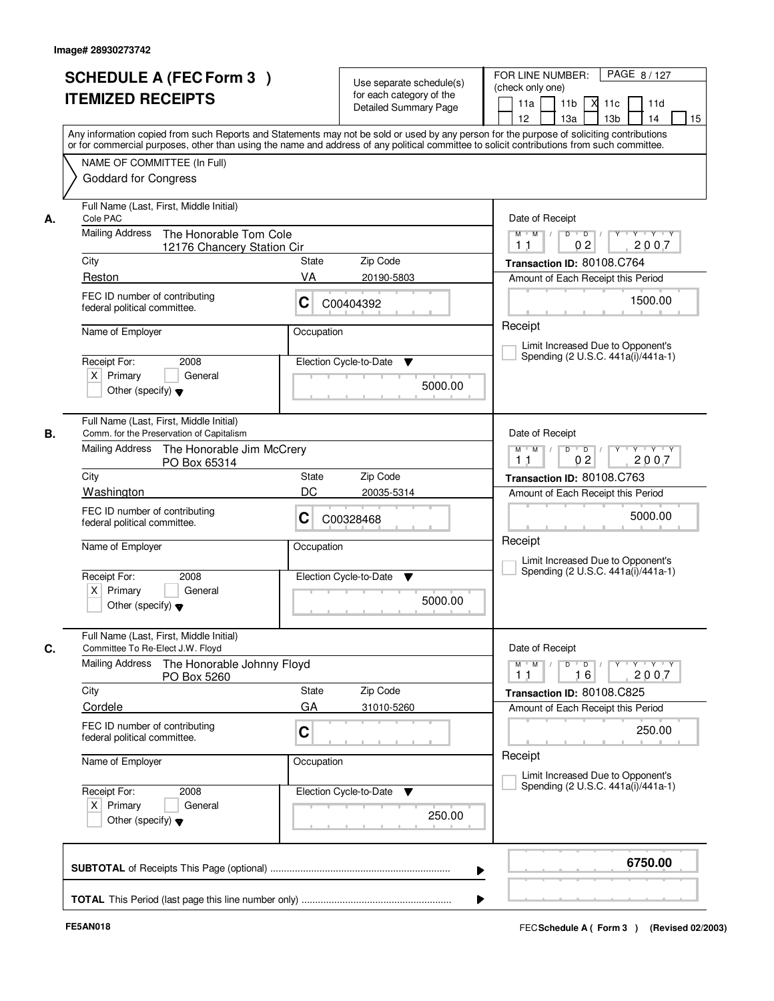| or for commercial purposes, other than using the name and address of any political committee to solicit contributions from such committee.<br>NAME OF COMMITTEE (In Full)<br><b>Goddard for Congress</b><br>Full Name (Last, First, Middle Initial)<br>Date of Receipt<br>Cole PAC<br>А.<br><b>Mailing Address</b><br>The Honorable Tom Cole<br>$Y$ $Y$ $Y$<br>$M$ $M$ /<br>$D$ $D$ $/$<br>$Y$ <sup>U</sup><br>0 <sub>2</sub><br>2007<br>1 <sub>1</sub><br>12176 Chancery Station Cir<br>Zip Code<br>City<br>State<br>Transaction ID: 80108.C764<br>VA<br>Reston<br>20190-5803<br>Amount of Each Receipt this Period<br>FEC ID number of contributing<br>1500.00<br>C<br>C00404392<br>federal political committee.<br>Receipt<br>Name of Employer<br>Occupation<br>Limit Increased Due to Opponent's<br>Spending (2 U.S.C. 441a(i)/441a-1)<br>Election Cycle-to-Date<br>Receipt For:<br>2008<br>▼<br>$X$ Primary<br>General<br>5000.00<br>Other (specify) $\blacktriangledown$<br>Full Name (Last, First, Middle Initial)<br>Comm. for the Preservation of Capitalism<br>Date of Receipt<br>В.<br>Mailing Address<br>The Honorable Jim McCrery<br>$Y \vdash Y \vdash Y$<br>$M$ $M$ /<br>D<br>$\overline{D}$<br>0 <sub>2</sub><br>2007<br>11<br>PO Box 65314<br>City<br>Zip Code<br>State<br>Transaction ID: 80108.C763<br>DC<br>Washington<br>20035-5314<br>Amount of Each Receipt this Period<br>FEC ID number of contributing<br>5000.00<br>С<br>C00328468<br>federal political committee.<br>Receipt<br>Name of Employer<br>Occupation<br>Limit Increased Due to Opponent's<br>Spending (2 U.S.C. 441a(i)/441a-1)<br>Receipt For:<br>2008<br>Election Cycle-to-Date<br>▼<br>$X$ Primary<br>General<br>5000.00<br>Other (specify) $\blacktriangledown$<br>Full Name (Last, First, Middle Initial)<br>C.<br>Date of Receipt<br>Committee To Re-Elect J.W. Floyd<br><b>Mailing Address</b><br>The Honorable Johnny Floyd<br>$D$ $D$ $/$<br>$M$ $M$ $/$<br><u>y cymru y cy</u><br>2007<br>11<br>16<br>PO Box 5260<br>Zip Code<br>City<br><b>State</b><br>Transaction ID: 80108.C825<br>GA<br>Cordele<br>31010-5260<br>Amount of Each Receipt this Period<br>FEC ID number of contributing<br>C<br>250.00<br>federal political committee.<br>Receipt<br>Name of Employer<br>Occupation<br>Limit Increased Due to Opponent's<br>Spending (2 U.S.C. 441a(i)/441a-1)<br>Receipt For:<br>Election Cycle-to-Date<br>2008<br>v<br>$X$ Primary<br>General<br>250.00<br>Other (specify) $\blacktriangledown$<br>6750.00 | <b>SCHEDULE A (FEC Form 3)</b><br><b>ITEMIZED RECEIPTS</b> | Use separate schedule(s)<br>for each category of the<br><b>Detailed Summary Page</b><br>Any information copied from such Reports and Statements may not be sold or used by any person for the purpose of soliciting contributions | PAGE 8/127<br>FOR LINE NUMBER:<br>(check only one)<br>11 <sub>b</sub><br>11a<br><b>X</b><br>11c<br>11d<br>13 <sub>b</sub><br>14<br>12<br>13a<br>15 |  |  |
|---------------------------------------------------------------------------------------------------------------------------------------------------------------------------------------------------------------------------------------------------------------------------------------------------------------------------------------------------------------------------------------------------------------------------------------------------------------------------------------------------------------------------------------------------------------------------------------------------------------------------------------------------------------------------------------------------------------------------------------------------------------------------------------------------------------------------------------------------------------------------------------------------------------------------------------------------------------------------------------------------------------------------------------------------------------------------------------------------------------------------------------------------------------------------------------------------------------------------------------------------------------------------------------------------------------------------------------------------------------------------------------------------------------------------------------------------------------------------------------------------------------------------------------------------------------------------------------------------------------------------------------------------------------------------------------------------------------------------------------------------------------------------------------------------------------------------------------------------------------------------------------------------------------------------------------------------------------------------------------------------------------------------------------------------------------------------------------------------------------------------------------------------------------------------------------------------------------------------------------------------------------------------------------------------------------------------------------------------------------------------------------------------------------------------------------------------------------------------------------------------------------|------------------------------------------------------------|-----------------------------------------------------------------------------------------------------------------------------------------------------------------------------------------------------------------------------------|----------------------------------------------------------------------------------------------------------------------------------------------------|--|--|
|                                                                                                                                                                                                                                                                                                                                                                                                                                                                                                                                                                                                                                                                                                                                                                                                                                                                                                                                                                                                                                                                                                                                                                                                                                                                                                                                                                                                                                                                                                                                                                                                                                                                                                                                                                                                                                                                                                                                                                                                                                                                                                                                                                                                                                                                                                                                                                                                                                                                                                               |                                                            |                                                                                                                                                                                                                                   |                                                                                                                                                    |  |  |
|                                                                                                                                                                                                                                                                                                                                                                                                                                                                                                                                                                                                                                                                                                                                                                                                                                                                                                                                                                                                                                                                                                                                                                                                                                                                                                                                                                                                                                                                                                                                                                                                                                                                                                                                                                                                                                                                                                                                                                                                                                                                                                                                                                                                                                                                                                                                                                                                                                                                                                               |                                                            |                                                                                                                                                                                                                                   |                                                                                                                                                    |  |  |
|                                                                                                                                                                                                                                                                                                                                                                                                                                                                                                                                                                                                                                                                                                                                                                                                                                                                                                                                                                                                                                                                                                                                                                                                                                                                                                                                                                                                                                                                                                                                                                                                                                                                                                                                                                                                                                                                                                                                                                                                                                                                                                                                                                                                                                                                                                                                                                                                                                                                                                               |                                                            |                                                                                                                                                                                                                                   |                                                                                                                                                    |  |  |
|                                                                                                                                                                                                                                                                                                                                                                                                                                                                                                                                                                                                                                                                                                                                                                                                                                                                                                                                                                                                                                                                                                                                                                                                                                                                                                                                                                                                                                                                                                                                                                                                                                                                                                                                                                                                                                                                                                                                                                                                                                                                                                                                                                                                                                                                                                                                                                                                                                                                                                               |                                                            |                                                                                                                                                                                                                                   |                                                                                                                                                    |  |  |
|                                                                                                                                                                                                                                                                                                                                                                                                                                                                                                                                                                                                                                                                                                                                                                                                                                                                                                                                                                                                                                                                                                                                                                                                                                                                                                                                                                                                                                                                                                                                                                                                                                                                                                                                                                                                                                                                                                                                                                                                                                                                                                                                                                                                                                                                                                                                                                                                                                                                                                               |                                                            |                                                                                                                                                                                                                                   |                                                                                                                                                    |  |  |
|                                                                                                                                                                                                                                                                                                                                                                                                                                                                                                                                                                                                                                                                                                                                                                                                                                                                                                                                                                                                                                                                                                                                                                                                                                                                                                                                                                                                                                                                                                                                                                                                                                                                                                                                                                                                                                                                                                                                                                                                                                                                                                                                                                                                                                                                                                                                                                                                                                                                                                               |                                                            |                                                                                                                                                                                                                                   |                                                                                                                                                    |  |  |
|                                                                                                                                                                                                                                                                                                                                                                                                                                                                                                                                                                                                                                                                                                                                                                                                                                                                                                                                                                                                                                                                                                                                                                                                                                                                                                                                                                                                                                                                                                                                                                                                                                                                                                                                                                                                                                                                                                                                                                                                                                                                                                                                                                                                                                                                                                                                                                                                                                                                                                               |                                                            |                                                                                                                                                                                                                                   |                                                                                                                                                    |  |  |
|                                                                                                                                                                                                                                                                                                                                                                                                                                                                                                                                                                                                                                                                                                                                                                                                                                                                                                                                                                                                                                                                                                                                                                                                                                                                                                                                                                                                                                                                                                                                                                                                                                                                                                                                                                                                                                                                                                                                                                                                                                                                                                                                                                                                                                                                                                                                                                                                                                                                                                               |                                                            |                                                                                                                                                                                                                                   |                                                                                                                                                    |  |  |
|                                                                                                                                                                                                                                                                                                                                                                                                                                                                                                                                                                                                                                                                                                                                                                                                                                                                                                                                                                                                                                                                                                                                                                                                                                                                                                                                                                                                                                                                                                                                                                                                                                                                                                                                                                                                                                                                                                                                                                                                                                                                                                                                                                                                                                                                                                                                                                                                                                                                                                               |                                                            |                                                                                                                                                                                                                                   |                                                                                                                                                    |  |  |
|                                                                                                                                                                                                                                                                                                                                                                                                                                                                                                                                                                                                                                                                                                                                                                                                                                                                                                                                                                                                                                                                                                                                                                                                                                                                                                                                                                                                                                                                                                                                                                                                                                                                                                                                                                                                                                                                                                                                                                                                                                                                                                                                                                                                                                                                                                                                                                                                                                                                                                               |                                                            |                                                                                                                                                                                                                                   |                                                                                                                                                    |  |  |
|                                                                                                                                                                                                                                                                                                                                                                                                                                                                                                                                                                                                                                                                                                                                                                                                                                                                                                                                                                                                                                                                                                                                                                                                                                                                                                                                                                                                                                                                                                                                                                                                                                                                                                                                                                                                                                                                                                                                                                                                                                                                                                                                                                                                                                                                                                                                                                                                                                                                                                               |                                                            |                                                                                                                                                                                                                                   |                                                                                                                                                    |  |  |
|                                                                                                                                                                                                                                                                                                                                                                                                                                                                                                                                                                                                                                                                                                                                                                                                                                                                                                                                                                                                                                                                                                                                                                                                                                                                                                                                                                                                                                                                                                                                                                                                                                                                                                                                                                                                                                                                                                                                                                                                                                                                                                                                                                                                                                                                                                                                                                                                                                                                                                               |                                                            |                                                                                                                                                                                                                                   |                                                                                                                                                    |  |  |
|                                                                                                                                                                                                                                                                                                                                                                                                                                                                                                                                                                                                                                                                                                                                                                                                                                                                                                                                                                                                                                                                                                                                                                                                                                                                                                                                                                                                                                                                                                                                                                                                                                                                                                                                                                                                                                                                                                                                                                                                                                                                                                                                                                                                                                                                                                                                                                                                                                                                                                               |                                                            |                                                                                                                                                                                                                                   |                                                                                                                                                    |  |  |
|                                                                                                                                                                                                                                                                                                                                                                                                                                                                                                                                                                                                                                                                                                                                                                                                                                                                                                                                                                                                                                                                                                                                                                                                                                                                                                                                                                                                                                                                                                                                                                                                                                                                                                                                                                                                                                                                                                                                                                                                                                                                                                                                                                                                                                                                                                                                                                                                                                                                                                               |                                                            |                                                                                                                                                                                                                                   |                                                                                                                                                    |  |  |
|                                                                                                                                                                                                                                                                                                                                                                                                                                                                                                                                                                                                                                                                                                                                                                                                                                                                                                                                                                                                                                                                                                                                                                                                                                                                                                                                                                                                                                                                                                                                                                                                                                                                                                                                                                                                                                                                                                                                                                                                                                                                                                                                                                                                                                                                                                                                                                                                                                                                                                               |                                                            |                                                                                                                                                                                                                                   |                                                                                                                                                    |  |  |
|                                                                                                                                                                                                                                                                                                                                                                                                                                                                                                                                                                                                                                                                                                                                                                                                                                                                                                                                                                                                                                                                                                                                                                                                                                                                                                                                                                                                                                                                                                                                                                                                                                                                                                                                                                                                                                                                                                                                                                                                                                                                                                                                                                                                                                                                                                                                                                                                                                                                                                               |                                                            |                                                                                                                                                                                                                                   |                                                                                                                                                    |  |  |
|                                                                                                                                                                                                                                                                                                                                                                                                                                                                                                                                                                                                                                                                                                                                                                                                                                                                                                                                                                                                                                                                                                                                                                                                                                                                                                                                                                                                                                                                                                                                                                                                                                                                                                                                                                                                                                                                                                                                                                                                                                                                                                                                                                                                                                                                                                                                                                                                                                                                                                               |                                                            |                                                                                                                                                                                                                                   |                                                                                                                                                    |  |  |
|                                                                                                                                                                                                                                                                                                                                                                                                                                                                                                                                                                                                                                                                                                                                                                                                                                                                                                                                                                                                                                                                                                                                                                                                                                                                                                                                                                                                                                                                                                                                                                                                                                                                                                                                                                                                                                                                                                                                                                                                                                                                                                                                                                                                                                                                                                                                                                                                                                                                                                               |                                                            |                                                                                                                                                                                                                                   |                                                                                                                                                    |  |  |
|                                                                                                                                                                                                                                                                                                                                                                                                                                                                                                                                                                                                                                                                                                                                                                                                                                                                                                                                                                                                                                                                                                                                                                                                                                                                                                                                                                                                                                                                                                                                                                                                                                                                                                                                                                                                                                                                                                                                                                                                                                                                                                                                                                                                                                                                                                                                                                                                                                                                                                               |                                                            |                                                                                                                                                                                                                                   |                                                                                                                                                    |  |  |
|                                                                                                                                                                                                                                                                                                                                                                                                                                                                                                                                                                                                                                                                                                                                                                                                                                                                                                                                                                                                                                                                                                                                                                                                                                                                                                                                                                                                                                                                                                                                                                                                                                                                                                                                                                                                                                                                                                                                                                                                                                                                                                                                                                                                                                                                                                                                                                                                                                                                                                               |                                                            |                                                                                                                                                                                                                                   |                                                                                                                                                    |  |  |
|                                                                                                                                                                                                                                                                                                                                                                                                                                                                                                                                                                                                                                                                                                                                                                                                                                                                                                                                                                                                                                                                                                                                                                                                                                                                                                                                                                                                                                                                                                                                                                                                                                                                                                                                                                                                                                                                                                                                                                                                                                                                                                                                                                                                                                                                                                                                                                                                                                                                                                               |                                                            |                                                                                                                                                                                                                                   |                                                                                                                                                    |  |  |
|                                                                                                                                                                                                                                                                                                                                                                                                                                                                                                                                                                                                                                                                                                                                                                                                                                                                                                                                                                                                                                                                                                                                                                                                                                                                                                                                                                                                                                                                                                                                                                                                                                                                                                                                                                                                                                                                                                                                                                                                                                                                                                                                                                                                                                                                                                                                                                                                                                                                                                               |                                                            |                                                                                                                                                                                                                                   |                                                                                                                                                    |  |  |
|                                                                                                                                                                                                                                                                                                                                                                                                                                                                                                                                                                                                                                                                                                                                                                                                                                                                                                                                                                                                                                                                                                                                                                                                                                                                                                                                                                                                                                                                                                                                                                                                                                                                                                                                                                                                                                                                                                                                                                                                                                                                                                                                                                                                                                                                                                                                                                                                                                                                                                               |                                                            |                                                                                                                                                                                                                                   |                                                                                                                                                    |  |  |
|                                                                                                                                                                                                                                                                                                                                                                                                                                                                                                                                                                                                                                                                                                                                                                                                                                                                                                                                                                                                                                                                                                                                                                                                                                                                                                                                                                                                                                                                                                                                                                                                                                                                                                                                                                                                                                                                                                                                                                                                                                                                                                                                                                                                                                                                                                                                                                                                                                                                                                               |                                                            |                                                                                                                                                                                                                                   |                                                                                                                                                    |  |  |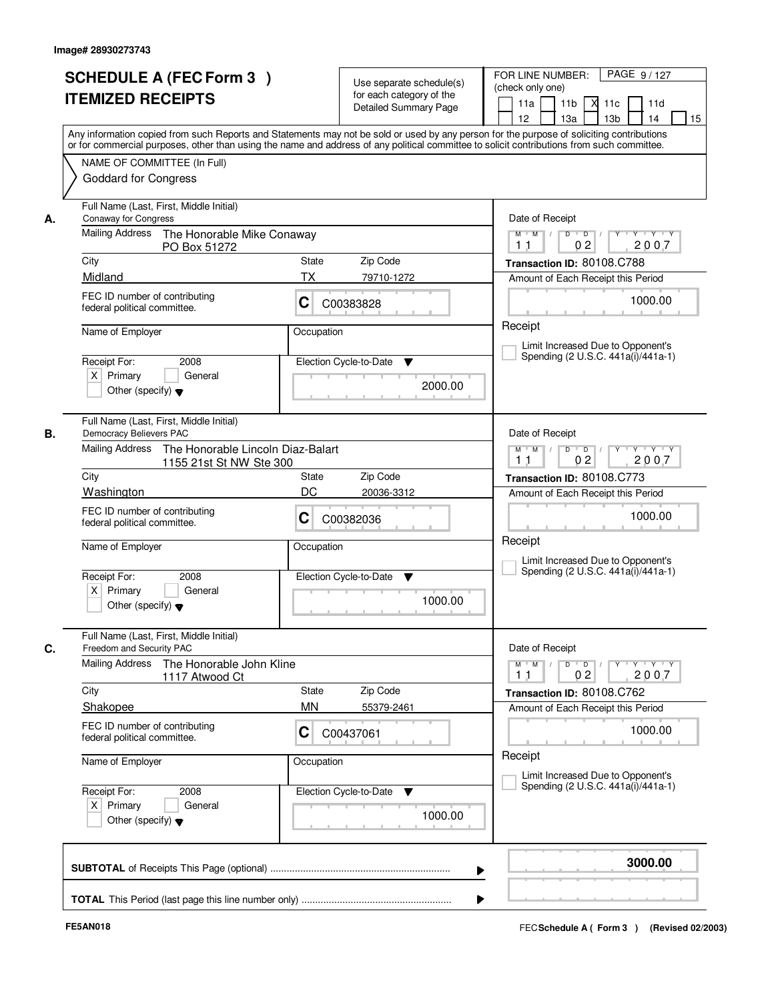|    | <b>SCHEDULE A (FEC Form 3)</b><br><b>ITEMIZED RECEIPTS</b><br>Any information copied from such Reports and Statements may not be sold or used by any person for the purpose of soliciting contributions  |                    | Use separate schedule(s)<br>for each category of the<br><b>Detailed Summary Page</b> | FOR LINE NUMBER:<br>PAGE 9/127<br>(check only one)<br>11 <sub>b</sub><br>$X$ 11 $c$<br>11a<br>11d<br>12 <sup>2</sup><br>13a<br>13 <sub>b</sub><br>14<br>15                  |
|----|----------------------------------------------------------------------------------------------------------------------------------------------------------------------------------------------------------|--------------------|--------------------------------------------------------------------------------------|-----------------------------------------------------------------------------------------------------------------------------------------------------------------------------|
|    | or for commercial purposes, other than using the name and address of any political committee to solicit contributions from such committee.<br>NAME OF COMMITTEE (In Full)<br><b>Goddard for Congress</b> |                    |                                                                                      |                                                                                                                                                                             |
| А. | Full Name (Last, First, Middle Initial)<br><b>Conaway for Congress</b><br>Mailing Address<br>The Honorable Mike Conaway<br>PO Box 51272                                                                  |                    |                                                                                      | Date of Receipt<br>$\blacksquare$ $\blacksquare$ $\blacksquare$ $\blacksquare$ $\blacksquare$<br>Y<br>Y Y Y Y<br>$M$ $M$ /<br>D<br>2007<br>0 <sub>2</sub><br>1 <sub>1</sub> |
|    | City                                                                                                                                                                                                     | State              | Zip Code                                                                             | Transaction ID: 80108.C788                                                                                                                                                  |
|    | Midland                                                                                                                                                                                                  | <b>TX</b>          | 79710-1272                                                                           | Amount of Each Receipt this Period                                                                                                                                          |
|    | FEC ID number of contributing<br>federal political committee.                                                                                                                                            | С                  | C00383828                                                                            | 1000.00                                                                                                                                                                     |
|    | Name of Employer<br>2008<br>Receipt For:<br>$X$ Primary<br>General<br>Other (specify) $\blacktriangledown$                                                                                               | Occupation         | Election Cycle-to-Date<br>▼<br>2000.00                                               | Receipt<br>Limit Increased Due to Opponent's<br>Spending (2 U.S.C. 441a(i)/441a-1)                                                                                          |
| В. | Full Name (Last, First, Middle Initial)<br>Democracy Believers PAC<br><b>Mailing Address</b><br>The Honorable Lincoln Diaz-Balart<br>1155 21st St NW Ste 300                                             |                    |                                                                                      | Date of Receipt<br>$M$ $M$ /<br>$D$ $D$ $/$<br>$Y$ <sup>U</sup><br>Y Y Y Y<br>0 <sub>2</sub><br>2007<br>1 <sub>1</sub>                                                      |
|    | City                                                                                                                                                                                                     | State              | Zip Code                                                                             | Transaction ID: 80108.C773                                                                                                                                                  |
|    | Washington<br>FEC ID number of contributing<br>federal political committee.                                                                                                                              | DC<br>C            | 20036-3312<br>C00382036                                                              | Amount of Each Receipt this Period<br>1000.00                                                                                                                               |
|    | Name of Employer<br>Receipt For:<br>2008<br>$X$ Primary<br>General<br>Other (specify) $\blacktriangledown$                                                                                               | Occupation         | Election Cycle-to-Date<br>▼<br>1000.00                                               | Receipt<br>Limit Increased Due to Opponent's<br>Spending (2 U.S.C. 441a(i)/441a-1)                                                                                          |
| C. | Full Name (Last, First, Middle Initial)<br>Freedom and Security PAC                                                                                                                                      |                    |                                                                                      | Date of Receipt                                                                                                                                                             |
|    | Mailing Address<br>The Honorable John Kline<br>1117 Atwood Ct                                                                                                                                            |                    |                                                                                      | $D$ $D$ $/$<br>$M$ $M$ $/$<br>$Y - Y - Y$<br>$Y$ <sup>-1</sup><br>2007<br>0 <sub>2</sub><br>11                                                                              |
|    | City<br>Shakopee                                                                                                                                                                                         | State<br><b>MN</b> | Zip Code<br>55379-2461                                                               | Transaction ID: 80108.C762<br>Amount of Each Receipt this Period                                                                                                            |
|    | FEC ID number of contributing<br>federal political committee.                                                                                                                                            | С                  | C00437061                                                                            | 1000.00                                                                                                                                                                     |
|    | Name of Employer                                                                                                                                                                                         | Occupation         |                                                                                      | Receipt<br>Limit Increased Due to Opponent's                                                                                                                                |
|    | Receipt For:<br>2008<br>$X$ Primary<br>General<br>Other (specify) $\blacktriangledown$                                                                                                                   |                    | Election Cycle-to-Date<br>v<br>1000.00                                               | Spending (2 U.S.C. 441a(i)/441a-1)                                                                                                                                          |
|    |                                                                                                                                                                                                          |                    |                                                                                      | 3000.00                                                                                                                                                                     |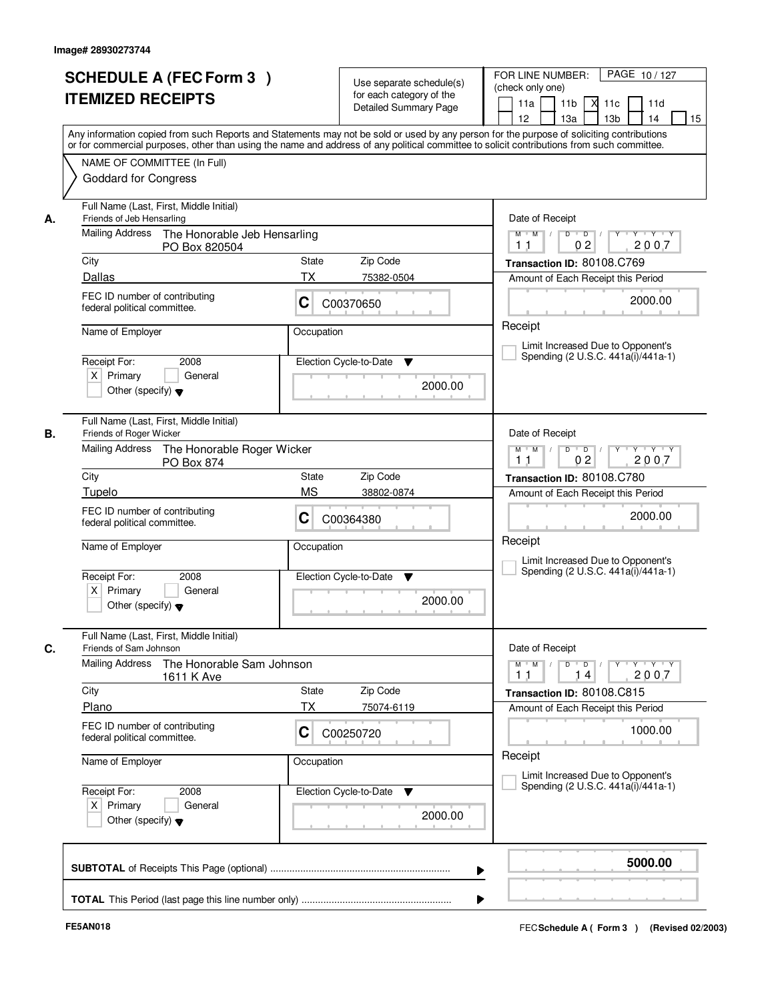| The Honorable Jeb Hensarling<br>Zip Code<br>State<br><b>TX</b><br>75382-0504<br>С<br>C00370650<br>Occupation<br>Election Cycle-to-Date<br>▼<br>2000.00<br>The Honorable Roger Wicker<br>Zip Code<br>State<br><b>MS</b><br>38802-0874<br>C<br>C00364380 | Any information copied from such Reports and Statements may not be sold or used by any person for the purpose of soliciting contributions<br>or for commercial purposes, other than using the name and address of any political committee to solicit contributions from such committee.<br>Date of Receipt<br>$\overline{D}$ /<br>Y<br>Y Y Y Y<br>$M$ $M$ /<br>D<br>2007<br>0 <sub>2</sub><br>1 <sub>1</sub><br>Transaction ID: 80108.C769<br>Amount of Each Receipt this Period<br>2000.00<br>Receipt<br>Limit Increased Due to Opponent's<br>Spending (2 U.S.C. 441a(i)/441a-1)<br>Date of Receipt<br>$D$ $D$ $/$<br>$Y$ <sup>U</sup><br>Y Y Y Y<br>$M$ $M$ /<br>0 <sub>2</sub><br>2007<br>1 <sub>1</sub><br>Transaction ID: 80108.C780<br>Amount of Each Receipt this Period<br>2000.00<br>Receipt |
|--------------------------------------------------------------------------------------------------------------------------------------------------------------------------------------------------------------------------------------------------------|-------------------------------------------------------------------------------------------------------------------------------------------------------------------------------------------------------------------------------------------------------------------------------------------------------------------------------------------------------------------------------------------------------------------------------------------------------------------------------------------------------------------------------------------------------------------------------------------------------------------------------------------------------------------------------------------------------------------------------------------------------------------------------------------------------|
|                                                                                                                                                                                                                                                        |                                                                                                                                                                                                                                                                                                                                                                                                                                                                                                                                                                                                                                                                                                                                                                                                       |
|                                                                                                                                                                                                                                                        |                                                                                                                                                                                                                                                                                                                                                                                                                                                                                                                                                                                                                                                                                                                                                                                                       |
|                                                                                                                                                                                                                                                        |                                                                                                                                                                                                                                                                                                                                                                                                                                                                                                                                                                                                                                                                                                                                                                                                       |
|                                                                                                                                                                                                                                                        |                                                                                                                                                                                                                                                                                                                                                                                                                                                                                                                                                                                                                                                                                                                                                                                                       |
|                                                                                                                                                                                                                                                        |                                                                                                                                                                                                                                                                                                                                                                                                                                                                                                                                                                                                                                                                                                                                                                                                       |
|                                                                                                                                                                                                                                                        |                                                                                                                                                                                                                                                                                                                                                                                                                                                                                                                                                                                                                                                                                                                                                                                                       |
|                                                                                                                                                                                                                                                        |                                                                                                                                                                                                                                                                                                                                                                                                                                                                                                                                                                                                                                                                                                                                                                                                       |
|                                                                                                                                                                                                                                                        |                                                                                                                                                                                                                                                                                                                                                                                                                                                                                                                                                                                                                                                                                                                                                                                                       |
|                                                                                                                                                                                                                                                        |                                                                                                                                                                                                                                                                                                                                                                                                                                                                                                                                                                                                                                                                                                                                                                                                       |
|                                                                                                                                                                                                                                                        |                                                                                                                                                                                                                                                                                                                                                                                                                                                                                                                                                                                                                                                                                                                                                                                                       |
|                                                                                                                                                                                                                                                        |                                                                                                                                                                                                                                                                                                                                                                                                                                                                                                                                                                                                                                                                                                                                                                                                       |
| Occupation                                                                                                                                                                                                                                             | Limit Increased Due to Opponent's                                                                                                                                                                                                                                                                                                                                                                                                                                                                                                                                                                                                                                                                                                                                                                     |
| Election Cycle-to-Date<br>▼<br>2000.00                                                                                                                                                                                                                 | Spending (2 U.S.C. 441a(i)/441a-1)                                                                                                                                                                                                                                                                                                                                                                                                                                                                                                                                                                                                                                                                                                                                                                    |
|                                                                                                                                                                                                                                                        | Date of Receipt                                                                                                                                                                                                                                                                                                                                                                                                                                                                                                                                                                                                                                                                                                                                                                                       |
|                                                                                                                                                                                                                                                        | $M$ $M$<br>$D$ $D$ $/$<br>$Y$ <sup>U</sup><br>$\mathsf{Y} \dashv \mathsf{Y} \dashv \mathsf{Y}$<br>2007<br>11<br>14                                                                                                                                                                                                                                                                                                                                                                                                                                                                                                                                                                                                                                                                                    |
|                                                                                                                                                                                                                                                        | Transaction ID: 80108.C815<br>Amount of Each Receipt this Period                                                                                                                                                                                                                                                                                                                                                                                                                                                                                                                                                                                                                                                                                                                                      |
| C<br>C00250720                                                                                                                                                                                                                                         | 1000.00                                                                                                                                                                                                                                                                                                                                                                                                                                                                                                                                                                                                                                                                                                                                                                                               |
| Occupation                                                                                                                                                                                                                                             | Receipt<br>Limit Increased Due to Opponent's                                                                                                                                                                                                                                                                                                                                                                                                                                                                                                                                                                                                                                                                                                                                                          |
| Election Cycle-to-Date<br>v<br>2000.00                                                                                                                                                                                                                 | Spending (2 U.S.C. 441a(i)/441a-1)                                                                                                                                                                                                                                                                                                                                                                                                                                                                                                                                                                                                                                                                                                                                                                    |
|                                                                                                                                                                                                                                                        | 5000.00<br>▶                                                                                                                                                                                                                                                                                                                                                                                                                                                                                                                                                                                                                                                                                                                                                                                          |
|                                                                                                                                                                                                                                                        | The Honorable Sam Johnson<br>Zip Code<br>State<br><b>TX</b><br>75074-6119                                                                                                                                                                                                                                                                                                                                                                                                                                                                                                                                                                                                                                                                                                                             |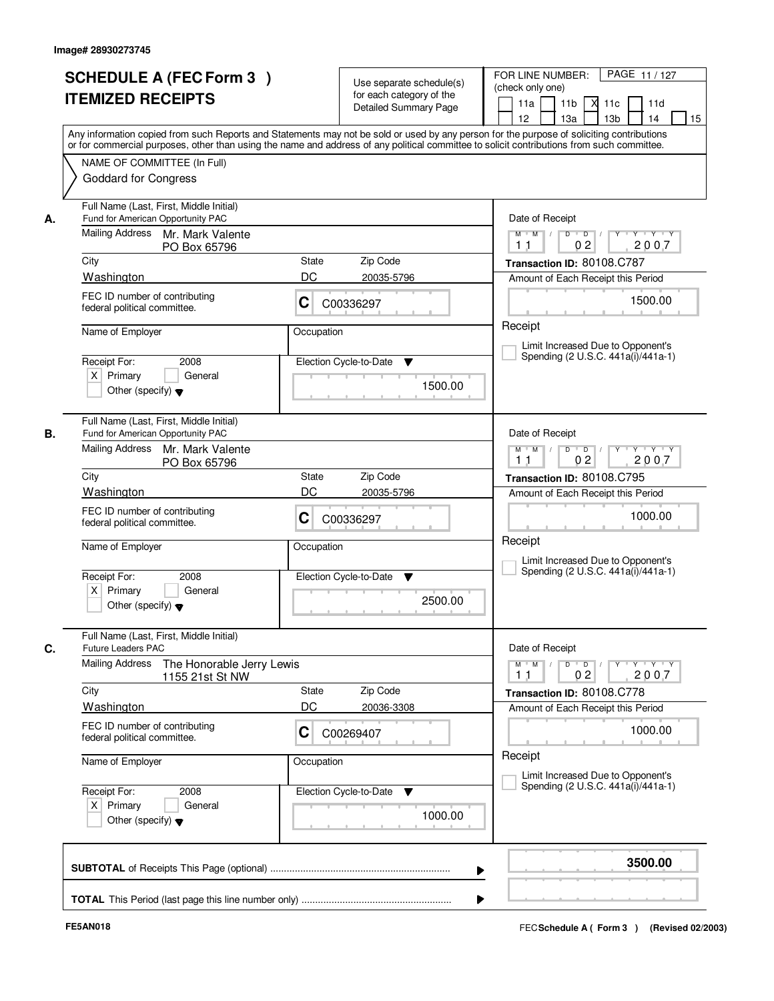|    | <b>SCHEDULE A (FEC Form 3)</b><br><b>ITEMIZED RECEIPTS</b><br>Any information copied from such Reports and Statements may not be sold or used by any person for the purpose of soliciting contributions  | Use separate schedule(s)<br>for each category of the<br><b>Detailed Summary Page</b> | PAGE 11/127<br>FOR LINE NUMBER:<br>(check only one)<br>11 <sub>b</sub><br>$X$ 11 $c$<br>11a<br>11d<br>12<br>13a<br>13 <sub>b</sub><br>14<br>15 |
|----|----------------------------------------------------------------------------------------------------------------------------------------------------------------------------------------------------------|--------------------------------------------------------------------------------------|------------------------------------------------------------------------------------------------------------------------------------------------|
|    | or for commercial purposes, other than using the name and address of any political committee to solicit contributions from such committee.<br>NAME OF COMMITTEE (In Full)<br><b>Goddard for Congress</b> |                                                                                      |                                                                                                                                                |
| А. | Full Name (Last, First, Middle Initial)<br>Fund for American Opportunity PAC<br>Mailing Address Mr. Mark Valente<br>PO Box 65796                                                                         |                                                                                      | Date of Receipt<br>$Y$ $Y$ $Y$<br>$\overline{D}$ /<br>Y<br>$M$ $M$ /<br>D<br>2007<br>0 <sub>2</sub><br>11                                      |
|    | City                                                                                                                                                                                                     | Zip Code<br>State                                                                    | Transaction ID: 80108.C787                                                                                                                     |
|    | Washington                                                                                                                                                                                               | DC<br>20035-5796                                                                     | Amount of Each Receipt this Period                                                                                                             |
|    | FEC ID number of contributing<br>federal political committee.                                                                                                                                            | С<br>C00336297                                                                       | 1500.00                                                                                                                                        |
|    | Name of Employer                                                                                                                                                                                         | Occupation                                                                           | Receipt<br>Limit Increased Due to Opponent's                                                                                                   |
|    | 2008<br>Receipt For:<br>$X$ Primary<br>General<br>Other (specify) $\blacktriangledown$                                                                                                                   | Election Cycle-to-Date<br>▼<br>1500.00                                               | Spending (2 U.S.C. 441a(i)/441a-1)                                                                                                             |
| В. | Full Name (Last, First, Middle Initial)<br>Fund for American Opportunity PAC<br>Mailing Address<br>Mr. Mark Valente                                                                                      |                                                                                      | Date of Receipt<br>$D$ $D$ $/$<br>$Y$ <sup>U</sup><br>Y Y Y Y<br>$M$ $M$ /<br>0 <sub>2</sub><br>2007<br>1 <sub>1</sub>                         |
|    | PO Box 65796<br>City                                                                                                                                                                                     | Zip Code<br>State                                                                    |                                                                                                                                                |
|    | Washington                                                                                                                                                                                               | DC<br>20035-5796                                                                     | Transaction ID: 80108.C795<br>Amount of Each Receipt this Period                                                                               |
|    | FEC ID number of contributing<br>federal political committee.                                                                                                                                            | C<br>C00336297                                                                       | 1000.00                                                                                                                                        |
|    | Name of Employer                                                                                                                                                                                         | Occupation                                                                           | Receipt<br>Limit Increased Due to Opponent's                                                                                                   |
|    | Receipt For:<br>2008<br>$X$ Primary<br>General<br>Other (specify) $\blacktriangledown$                                                                                                                   | Election Cycle-to-Date<br>▼<br>2500.00                                               | Spending (2 U.S.C. 441a(i)/441a-1)                                                                                                             |
| C. | Full Name (Last, First, Middle Initial)<br><b>Future Leaders PAC</b>                                                                                                                                     |                                                                                      | Date of Receipt                                                                                                                                |
|    | <b>Mailing Address</b><br>The Honorable Jerry Lewis<br>1155 21st St NW                                                                                                                                   |                                                                                      | $D$ $D$ $/$<br>$M$ $M$<br>$Y$ <sup>U</sup><br>$Y - Y - Y$<br>2007<br>0 <sub>2</sub><br>11                                                      |
|    | City                                                                                                                                                                                                     | Zip Code<br>State                                                                    | Transaction ID: 80108.C778                                                                                                                     |
|    | Washington                                                                                                                                                                                               | DC<br>20036-3308                                                                     | Amount of Each Receipt this Period                                                                                                             |
|    | FEC ID number of contributing<br>federal political committee.                                                                                                                                            | C<br>C00269407                                                                       | 1000.00<br>Receipt                                                                                                                             |
|    | Name of Employer                                                                                                                                                                                         | Occupation                                                                           | Limit Increased Due to Opponent's<br>Spending (2 U.S.C. 441a(i)/441a-1)                                                                        |
|    | Receipt For:<br>2008<br>$X$ Primary<br>General<br>Other (specify) $\blacktriangledown$                                                                                                                   | Election Cycle-to-Date<br>v<br>1000.00                                               |                                                                                                                                                |
|    |                                                                                                                                                                                                          |                                                                                      | 3500.00<br>▶                                                                                                                                   |
|    |                                                                                                                                                                                                          |                                                                                      |                                                                                                                                                |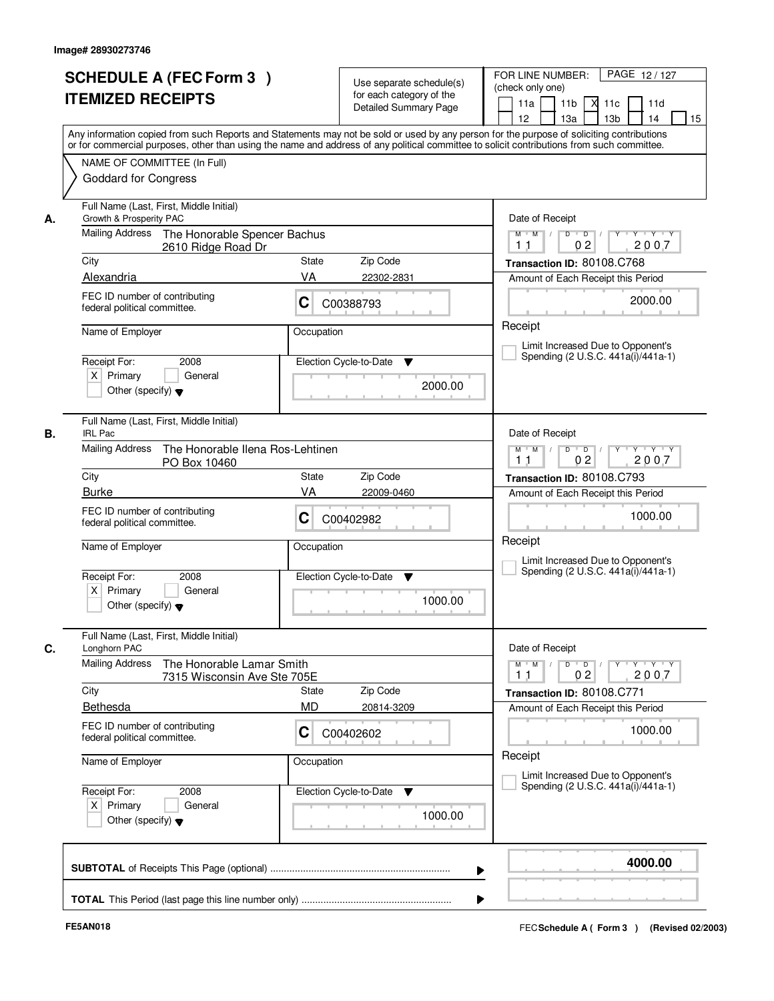|    | <b>SCHEDULE A (FEC Form 3)</b>                                                                                                                                                                                                                                                          |            |                                                      | PAGE 12/127<br>FOR LINE NUMBER:                                                                                             |
|----|-----------------------------------------------------------------------------------------------------------------------------------------------------------------------------------------------------------------------------------------------------------------------------------------|------------|------------------------------------------------------|-----------------------------------------------------------------------------------------------------------------------------|
|    | <b>ITEMIZED RECEIPTS</b>                                                                                                                                                                                                                                                                |            | Use separate schedule(s)<br>for each category of the | (check only one)                                                                                                            |
|    |                                                                                                                                                                                                                                                                                         |            | <b>Detailed Summary Page</b>                         | 11 <sub>b</sub><br>$X$ 11 $c$<br>11a<br>11d<br>12<br>14                                                                     |
|    | Any information copied from such Reports and Statements may not be sold or used by any person for the purpose of soliciting contributions<br>or for commercial purposes, other than using the name and address of any political committee to solicit contributions from such committee. |            |                                                      | 13a<br>13 <sub>b</sub><br>15                                                                                                |
|    | NAME OF COMMITTEE (In Full)                                                                                                                                                                                                                                                             |            |                                                      |                                                                                                                             |
|    | <b>Goddard for Congress</b>                                                                                                                                                                                                                                                             |            |                                                      |                                                                                                                             |
| А. | Full Name (Last, First, Middle Initial)<br>Growth & Prosperity PAC                                                                                                                                                                                                                      |            |                                                      | Date of Receipt                                                                                                             |
|    | Mailing Address<br>The Honorable Spencer Bachus<br>2610 Ridge Road Dr                                                                                                                                                                                                                   |            |                                                      | $\overline{D}$<br>Y<br>$Y - Y - Y$<br>$M$ $M$ /<br>D<br>2007<br>0 <sub>2</sub><br>1 <sub>1</sub>                            |
|    | City                                                                                                                                                                                                                                                                                    | State      | Zip Code                                             | Transaction ID: 80108.C768                                                                                                  |
|    | Alexandria                                                                                                                                                                                                                                                                              | VA         | 22302-2831                                           | Amount of Each Receipt this Period                                                                                          |
|    | FEC ID number of contributing<br>federal political committee.                                                                                                                                                                                                                           | С          | C00388793                                            | 2000.00                                                                                                                     |
|    | Name of Employer                                                                                                                                                                                                                                                                        | Occupation |                                                      | Receipt                                                                                                                     |
|    |                                                                                                                                                                                                                                                                                         |            |                                                      | Limit Increased Due to Opponent's                                                                                           |
|    | 2008<br>Receipt For:                                                                                                                                                                                                                                                                    |            | Election Cycle-to-Date<br>▼                          | Spending (2 U.S.C. 441a(i)/441a-1)                                                                                          |
|    | $X$ Primary<br>General<br>Other (specify) $\blacktriangledown$                                                                                                                                                                                                                          |            | 2000.00                                              |                                                                                                                             |
| В. | Full Name (Last, First, Middle Initial)<br><b>IRL Pac</b>                                                                                                                                                                                                                               |            |                                                      | Date of Receipt                                                                                                             |
|    | <b>Mailing Address</b><br>The Honorable Ilena Ros-Lehtinen                                                                                                                                                                                                                              |            |                                                      | D<br>$\blacksquare$ $\blacksquare$ $\blacksquare$ $\blacksquare$ $\blacksquare$<br>$Y$ <sup>U</sup><br>Y Y Y Y<br>$M$ $M$ / |
|    | PO Box 10460<br>City                                                                                                                                                                                                                                                                    | State      | Zip Code                                             | 0 <sub>2</sub><br>2007<br>1 <sub>1</sub><br>Transaction ID: 80108.C793                                                      |
|    | <b>Burke</b>                                                                                                                                                                                                                                                                            | VA         | 22009-0460                                           | Amount of Each Receipt this Period                                                                                          |
|    | FEC ID number of contributing                                                                                                                                                                                                                                                           |            |                                                      |                                                                                                                             |
|    | federal political committee.                                                                                                                                                                                                                                                            | C          | C00402982                                            | 1000.00                                                                                                                     |
|    | Name of Employer                                                                                                                                                                                                                                                                        | Occupation |                                                      | Receipt<br>Limit Increased Due to Opponent's                                                                                |
|    | Receipt For:<br>2008                                                                                                                                                                                                                                                                    |            | Election Cycle-to-Date<br>▼                          | Spending (2 U.S.C. 441a(i)/441a-1)                                                                                          |
|    | $X$ Primary<br>General<br>Other (specify) $\blacktriangledown$                                                                                                                                                                                                                          |            | 1000.00                                              |                                                                                                                             |
| C. | Full Name (Last, First, Middle Initial)<br>Longhorn PAC                                                                                                                                                                                                                                 |            |                                                      | Date of Receipt                                                                                                             |
|    | <b>Mailing Address</b><br>The Honorable Lamar Smith<br>7315 Wisconsin Ave Ste 705E                                                                                                                                                                                                      |            |                                                      | $D$ $D$ $/$<br>$M$ $M$ $/$<br>$Y - Y - Y - Y$<br>$Y$ <sup>-1</sup><br>2007<br>0 <sub>2</sub><br>11                          |
|    | City                                                                                                                                                                                                                                                                                    | State      | Zip Code                                             | Transaction ID: 80108.C771                                                                                                  |
|    | Bethesda                                                                                                                                                                                                                                                                                | <b>MD</b>  | 20814-3209                                           | Amount of Each Receipt this Period                                                                                          |
|    | FEC ID number of contributing<br>federal political committee.                                                                                                                                                                                                                           | C          | C00402602                                            | 1000.00                                                                                                                     |
|    | Name of Employer                                                                                                                                                                                                                                                                        | Occupation |                                                      | Receipt<br>Limit Increased Due to Opponent's                                                                                |
|    | Receipt For:<br>2008                                                                                                                                                                                                                                                                    |            | Election Cycle-to-Date<br>v                          | Spending (2 U.S.C. 441a(i)/441a-1)                                                                                          |
|    | $X$ Primary<br>General<br>Other (specify) $\blacktriangledown$                                                                                                                                                                                                                          |            | 1000.00                                              |                                                                                                                             |
|    |                                                                                                                                                                                                                                                                                         |            |                                                      | 4000.00                                                                                                                     |
|    |                                                                                                                                                                                                                                                                                         |            | ▶                                                    |                                                                                                                             |
|    |                                                                                                                                                                                                                                                                                         |            |                                                      |                                                                                                                             |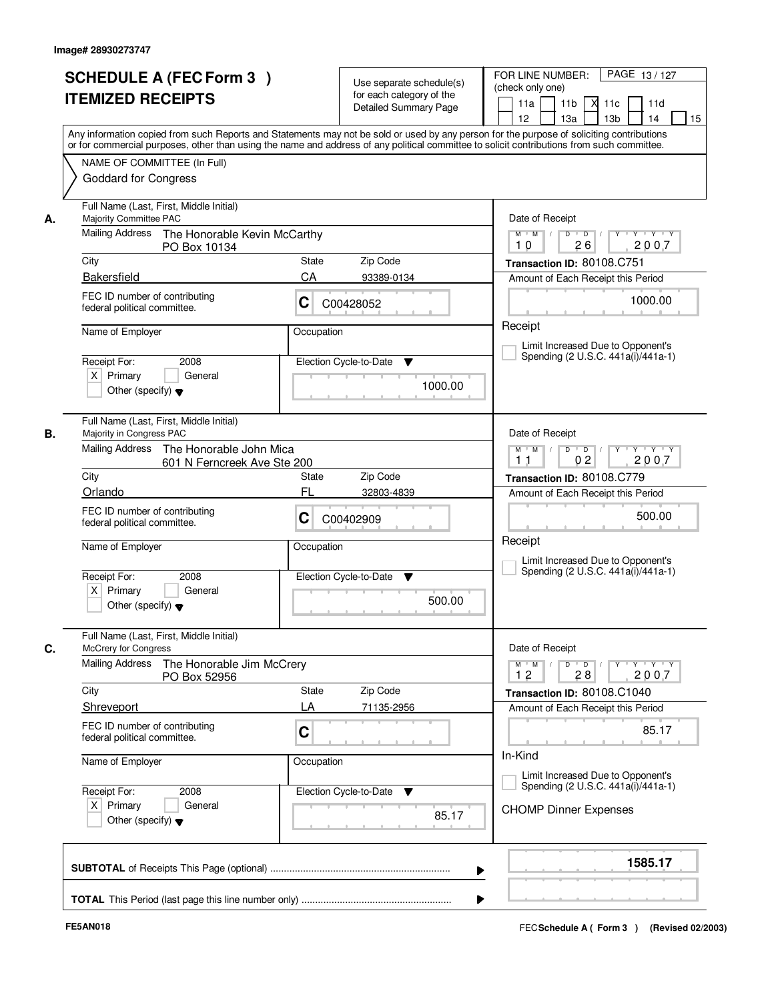| <b>SCHEDULE A (FEC Form 3)</b><br><b>ITEMIZED RECEIPTS</b>                                                                                          | Use separate schedule(s)<br>for each category of the<br><b>Detailed Summary Page</b><br>Any information copied from such Reports and Statements may not be sold or used by any person for the purpose of soliciting contributions | PAGE 13/127<br>FOR LINE NUMBER:<br>(check only one)<br>11 <sub>b</sub><br>11a<br><b>X</b><br>11c<br>11d<br>13 <sub>b</sub><br>14<br>12<br>13a<br>15 |  |
|-----------------------------------------------------------------------------------------------------------------------------------------------------|-----------------------------------------------------------------------------------------------------------------------------------------------------------------------------------------------------------------------------------|-----------------------------------------------------------------------------------------------------------------------------------------------------|--|
| NAME OF COMMITTEE (In Full)<br><b>Goddard for Congress</b>                                                                                          | or for commercial purposes, other than using the name and address of any political committee to solicit contributions from such committee.                                                                                        |                                                                                                                                                     |  |
| Full Name (Last, First, Middle Initial)<br>Majority Committee PAC<br>А.                                                                             |                                                                                                                                                                                                                                   | Date of Receipt                                                                                                                                     |  |
| Mailing Address<br>The Honorable Kevin McCarthy<br>PO Box 10134                                                                                     |                                                                                                                                                                                                                                   | $Y + Y + Y$<br>$M$ $M$ /<br>$D$ $D$ $I$<br>$Y$ <sup>U</sup><br>2007<br>26<br>10                                                                     |  |
| City                                                                                                                                                | State<br>Zip Code                                                                                                                                                                                                                 | Transaction ID: 80108.C751                                                                                                                          |  |
| Bakersfield                                                                                                                                         | CA<br>93389-0134                                                                                                                                                                                                                  | Amount of Each Receipt this Period                                                                                                                  |  |
| FEC ID number of contributing<br>federal political committee.                                                                                       | C<br>C00428052                                                                                                                                                                                                                    | 1000.00                                                                                                                                             |  |
| Name of Employer                                                                                                                                    | Occupation                                                                                                                                                                                                                        | Receipt                                                                                                                                             |  |
| Receipt For:<br>2008                                                                                                                                | Election Cycle-to-Date<br>▼                                                                                                                                                                                                       | Limit Increased Due to Opponent's<br>Spending (2 U.S.C. 441a(i)/441a-1)                                                                             |  |
| $X$ Primary<br>General<br>Other (specify) $\blacktriangledown$                                                                                      | 1000.00                                                                                                                                                                                                                           |                                                                                                                                                     |  |
| Full Name (Last, First, Middle Initial)<br>Majority in Congress PAC<br>В.                                                                           |                                                                                                                                                                                                                                   | Date of Receipt                                                                                                                                     |  |
| Mailing Address                                                                                                                                     | The Honorable John Mica<br>601 N Ferncreek Ave Ste 200                                                                                                                                                                            |                                                                                                                                                     |  |
| City                                                                                                                                                | Zip Code<br>State                                                                                                                                                                                                                 | Transaction ID: 80108.C779                                                                                                                          |  |
| Orlando                                                                                                                                             | <b>FL</b><br>32803-4839                                                                                                                                                                                                           | Amount of Each Receipt this Period                                                                                                                  |  |
| FEC ID number of contributing<br>federal political committee.                                                                                       | С<br>C00402909                                                                                                                                                                                                                    | 500.00                                                                                                                                              |  |
| Name of Employer                                                                                                                                    | Occupation                                                                                                                                                                                                                        | Receipt<br>Limit Increased Due to Opponent's                                                                                                        |  |
| Receipt For:<br>2008<br>$X$ Primary<br>General<br>Other (specify) $\blacktriangledown$                                                              | Election Cycle-to-Date<br>▼<br>500.00                                                                                                                                                                                             | Spending (2 U.S.C. 441a(i)/441a-1)                                                                                                                  |  |
| Full Name (Last, First, Middle Initial)<br>C.<br><b>McCrery for Congress</b><br><b>Mailing Address</b><br>The Honorable Jim McCrery<br>PO Box 52956 |                                                                                                                                                                                                                                   | Date of Receipt<br>$M$ $M$<br>$D$ $D$ $/$<br>y y y y y<br>2007<br>12<br>28                                                                          |  |
| City                                                                                                                                                | <b>State</b><br>Zip Code                                                                                                                                                                                                          | Transaction ID: 80108.C1040                                                                                                                         |  |
| Shreveport                                                                                                                                          | LA<br>71135-2956                                                                                                                                                                                                                  | Amount of Each Receipt this Period                                                                                                                  |  |
| FEC ID number of contributing<br>federal political committee.                                                                                       | C                                                                                                                                                                                                                                 | 85.17                                                                                                                                               |  |
| Name of Employer                                                                                                                                    | Occupation                                                                                                                                                                                                                        | In-Kind<br>Limit Increased Due to Opponent's                                                                                                        |  |
| Receipt For:<br>2008<br>$X$ Primary<br>General<br>Other (specify) $\blacktriangledown$                                                              | Election Cycle-to-Date<br>v<br>85.17                                                                                                                                                                                              | Spending (2 U.S.C. 441a(i)/441a-1)<br><b>CHOMP Dinner Expenses</b>                                                                                  |  |
|                                                                                                                                                     |                                                                                                                                                                                                                                   | 1585.17                                                                                                                                             |  |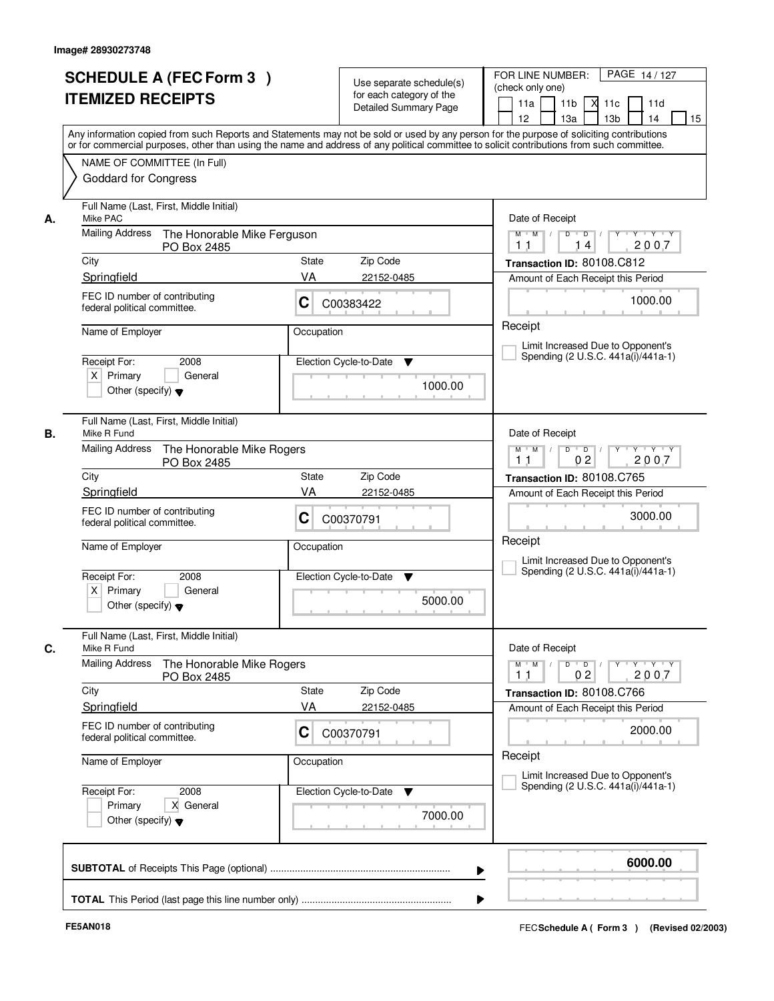|    | <b>SCHEDULE A (FEC Form 3)</b><br><b>ITEMIZED RECEIPTS</b><br>Any information copied from such Reports and Statements may not be sold or used by any person for the purpose of soliciting contributions  |                                                                                                | Use separate schedule(s)<br>for each category of the<br><b>Detailed Summary Page</b> | PAGE 14/127<br>FOR LINE NUMBER:<br>(check only one)<br>11 <sub>b</sub><br>11a<br>-XI<br>11c<br>11d<br>13 <sub>b</sub><br>14<br>12<br>13a<br>15 |
|----|----------------------------------------------------------------------------------------------------------------------------------------------------------------------------------------------------------|------------------------------------------------------------------------------------------------|--------------------------------------------------------------------------------------|------------------------------------------------------------------------------------------------------------------------------------------------|
|    | or for commercial purposes, other than using the name and address of any political committee to solicit contributions from such committee.<br>NAME OF COMMITTEE (In Full)<br><b>Goddard for Congress</b> |                                                                                                |                                                                                      |                                                                                                                                                |
| А. | Full Name (Last, First, Middle Initial)<br>Mike PAC                                                                                                                                                      |                                                                                                |                                                                                      | Date of Receipt                                                                                                                                |
|    | <b>Mailing Address</b><br>The Honorable Mike Ferguson<br>PO Box 2485                                                                                                                                     |                                                                                                |                                                                                      | $Y + Y + Y$<br>$M$ $M$ /<br>$D$ $D$ $/$<br>$Y$ <sup>U</sup><br>2007<br>1 <sub>1</sub><br>14                                                    |
|    | City                                                                                                                                                                                                     | State                                                                                          | Zip Code                                                                             | Transaction ID: 80108.C812                                                                                                                     |
|    | Springfield                                                                                                                                                                                              | VA                                                                                             | 22152-0485                                                                           | Amount of Each Receipt this Period                                                                                                             |
|    | FEC ID number of contributing<br>federal political committee.                                                                                                                                            | C                                                                                              | C00383422                                                                            | 1000.00                                                                                                                                        |
|    | Name of Employer                                                                                                                                                                                         | Occupation                                                                                     |                                                                                      | Receipt                                                                                                                                        |
|    | Receipt For:<br>2008                                                                                                                                                                                     |                                                                                                | Election Cycle-to-Date<br>▼                                                          | Limit Increased Due to Opponent's<br>Spending (2 U.S.C. 441a(i)/441a-1)                                                                        |
|    | $X$ Primary<br>General<br>Other (specify) $\blacktriangledown$                                                                                                                                           |                                                                                                | 1000.00                                                                              |                                                                                                                                                |
| В. | Full Name (Last, First, Middle Initial)<br>Mike R Fund                                                                                                                                                   |                                                                                                |                                                                                      | Date of Receipt                                                                                                                                |
|    | <b>Mailing Address</b><br>The Honorable Mike Rogers<br>PO Box 2485                                                                                                                                       | $Y \vdash Y \vdash Y$<br>$M$ $M$ /<br>D<br>$\overline{D}$<br>Y<br>0 <sub>2</sub><br>2007<br>11 |                                                                                      |                                                                                                                                                |
|    | City<br>Springfield                                                                                                                                                                                      | State<br>VA                                                                                    | Zip Code<br>22152-0485                                                               | Transaction ID: 80108.C765                                                                                                                     |
|    | FEC ID number of contributing<br>federal political committee.                                                                                                                                            | С                                                                                              | C00370791                                                                            | Amount of Each Receipt this Period<br>3000.00                                                                                                  |
|    | Name of Employer                                                                                                                                                                                         | Occupation                                                                                     |                                                                                      | Receipt<br>Limit Increased Due to Opponent's                                                                                                   |
|    | Receipt For:<br>2008<br>$X$ Primary<br>General<br>Other (specify) $\blacktriangledown$                                                                                                                   |                                                                                                | Election Cycle-to-Date<br>▼<br>5000.00                                               | Spending (2 U.S.C. 441a(i)/441a-1)                                                                                                             |
| C. | Full Name (Last, First, Middle Initial)<br>Mike R Fund                                                                                                                                                   |                                                                                                |                                                                                      | Date of Receipt                                                                                                                                |
|    | <b>Mailing Address</b><br>The Honorable Mike Rogers<br>PO Box 2485                                                                                                                                       |                                                                                                |                                                                                      | $M$ $M$<br>$D$ $D$ $/$<br>Y 'Y 'Y<br>$Y$ <sup>U</sup><br>2007<br>0 <sub>2</sub><br>11                                                          |
|    | City                                                                                                                                                                                                     | <b>State</b>                                                                                   | Zip Code                                                                             | Transaction ID: 80108.C766                                                                                                                     |
|    | Springfield                                                                                                                                                                                              | VA                                                                                             | 22152-0485                                                                           | Amount of Each Receipt this Period                                                                                                             |
|    | FEC ID number of contributing<br>federal political committee.                                                                                                                                            | C                                                                                              | C00370791                                                                            | 2000.00                                                                                                                                        |
|    | Name of Employer                                                                                                                                                                                         | Occupation                                                                                     |                                                                                      | Receipt<br>Limit Increased Due to Opponent's                                                                                                   |
|    | Receipt For:<br>2008<br>Primary<br>X General<br>Other (specify) $\blacktriangledown$                                                                                                                     |                                                                                                | Election Cycle-to-Date<br>v<br>7000.00                                               | Spending (2 U.S.C. 441a(i)/441a-1)                                                                                                             |
|    |                                                                                                                                                                                                          |                                                                                                |                                                                                      | 6000.00                                                                                                                                        |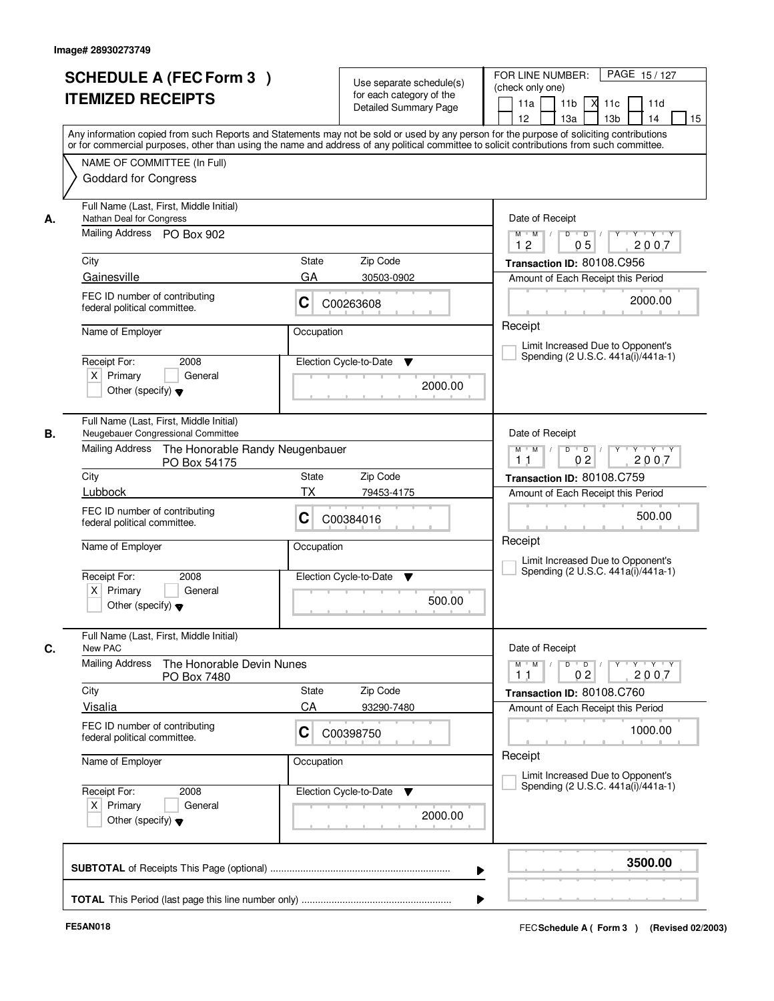| <b>SCHEDULE A (FEC Form 3)</b><br><b>ITEMIZED RECEIPTS</b>                                              | Use separate schedule(s)<br>for each category of the<br><b>Detailed Summary Page</b><br>Any information copied from such Reports and Statements may not be sold or used by any person for the purpose of soliciting contributions | PAGE 15/127<br>FOR LINE NUMBER:<br>(check only one)<br>11 <sub>b</sub><br>11a<br><b>X</b><br>11c<br>11d<br>13 <sub>b</sub><br>14<br>12<br>13a<br>15 |  |
|---------------------------------------------------------------------------------------------------------|-----------------------------------------------------------------------------------------------------------------------------------------------------------------------------------------------------------------------------------|-----------------------------------------------------------------------------------------------------------------------------------------------------|--|
| NAME OF COMMITTEE (In Full)<br><b>Goddard for Congress</b>                                              | or for commercial purposes, other than using the name and address of any political committee to solicit contributions from such committee.                                                                                        |                                                                                                                                                     |  |
| Full Name (Last, First, Middle Initial)<br>Nathan Deal for Congress<br>А.<br>Mailing Address PO Box 902 |                                                                                                                                                                                                                                   | Date of Receipt<br>$Y + Y + Y$<br>$D$ $D$ $I$<br>$Y$ <sup>U</sup><br>$M$ $M$ /<br>2007<br>12<br>05                                                  |  |
| City                                                                                                    | State<br>Zip Code                                                                                                                                                                                                                 | Transaction ID: 80108.C956                                                                                                                          |  |
| Gainesville                                                                                             | GA<br>30503-0902                                                                                                                                                                                                                  | Amount of Each Receipt this Period                                                                                                                  |  |
| FEC ID number of contributing<br>federal political committee.                                           | C<br>C00263608                                                                                                                                                                                                                    | 2000.00                                                                                                                                             |  |
| Name of Employer                                                                                        | Occupation                                                                                                                                                                                                                        | Receipt                                                                                                                                             |  |
|                                                                                                         |                                                                                                                                                                                                                                   | Limit Increased Due to Opponent's<br>Spending (2 U.S.C. 441a(i)/441a-1)                                                                             |  |
| Receipt For:<br>2008<br>$X$ Primary<br>General<br>Other (specify) $\blacktriangledown$                  | Election Cycle-to-Date<br>▼<br>2000.00                                                                                                                                                                                            |                                                                                                                                                     |  |
| Full Name (Last, First, Middle Initial)<br>Neugebauer Congressional Committee<br>В.                     |                                                                                                                                                                                                                                   | Date of Receipt                                                                                                                                     |  |
| <b>Mailing Address</b><br>PO Box 54175                                                                  | The Honorable Randy Neugenbauer                                                                                                                                                                                                   |                                                                                                                                                     |  |
| City<br>Lubbock                                                                                         | Zip Code<br>State<br>TX<br>79453-4175                                                                                                                                                                                             | Transaction ID: 80108.C759                                                                                                                          |  |
| FEC ID number of contributing<br>federal political committee.                                           | С<br>C00384016                                                                                                                                                                                                                    | Amount of Each Receipt this Period<br>500.00                                                                                                        |  |
| Name of Employer                                                                                        | Occupation                                                                                                                                                                                                                        | Receipt<br>Limit Increased Due to Opponent's                                                                                                        |  |
| Receipt For:<br>2008<br>$X$ Primary<br>General<br>Other (specify) $\blacktriangledown$                  | Election Cycle-to-Date<br>▼<br>500.00                                                                                                                                                                                             | Spending (2 U.S.C. 441a(i)/441a-1)                                                                                                                  |  |
| Full Name (Last, First, Middle Initial)<br>C.<br>New PAC                                                |                                                                                                                                                                                                                                   | Date of Receipt                                                                                                                                     |  |
| <b>Mailing Address</b><br>The Honorable Devin Nunes<br>PO Box 7480                                      |                                                                                                                                                                                                                                   | $D$ $D$ $/$<br>$M$ $M$<br>y y y y y<br>2007<br>0 <sub>2</sub><br>11                                                                                 |  |
| City                                                                                                    | Zip Code<br><b>State</b>                                                                                                                                                                                                          | Transaction ID: 80108.C760                                                                                                                          |  |
| Visalia                                                                                                 | CA<br>93290-7480                                                                                                                                                                                                                  | Amount of Each Receipt this Period                                                                                                                  |  |
| FEC ID number of contributing<br>federal political committee.                                           | C<br>C00398750                                                                                                                                                                                                                    | 1000.00<br>Receipt                                                                                                                                  |  |
| Name of Employer                                                                                        | Occupation                                                                                                                                                                                                                        | Limit Increased Due to Opponent's                                                                                                                   |  |
| Receipt For:<br>2008<br>$X$ Primary<br>General<br>Other (specify) $\blacktriangledown$                  | Election Cycle-to-Date<br>v<br>2000.00                                                                                                                                                                                            | Spending (2 U.S.C. 441a(i)/441a-1)                                                                                                                  |  |
|                                                                                                         |                                                                                                                                                                                                                                   |                                                                                                                                                     |  |
|                                                                                                         |                                                                                                                                                                                                                                   | 3500.00                                                                                                                                             |  |
|                                                                                                         |                                                                                                                                                                                                                                   |                                                                                                                                                     |  |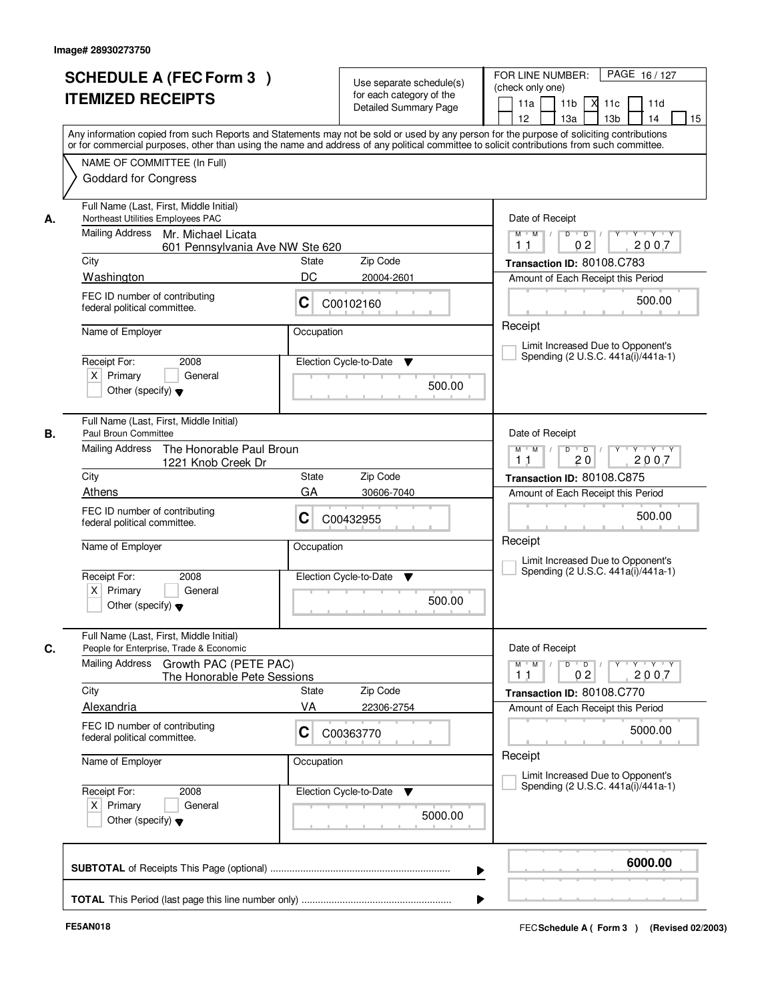|    | <b>SCHEDULE A (FEC Form 3)</b><br><b>ITEMIZED RECEIPTS</b>                                                            | Use separate schedule(s)<br>for each category of the<br><b>Detailed Summary Page</b><br>Any information copied from such Reports and Statements may not be sold or used by any person for the purpose of soliciting contributions | FOR LINE NUMBER:<br>PAGE 16/127<br>(check only one)<br>11 <sub>b</sub><br>м<br>11d<br>11a<br>11c<br>12 <sup>2</sup><br>13a<br>13 <sub>b</sub><br>14<br>15 |
|----|-----------------------------------------------------------------------------------------------------------------------|-----------------------------------------------------------------------------------------------------------------------------------------------------------------------------------------------------------------------------------|-----------------------------------------------------------------------------------------------------------------------------------------------------------|
|    | NAME OF COMMITTEE (In Full)<br><b>Goddard for Congress</b>                                                            | or for commercial purposes, other than using the name and address of any political committee to solicit contributions from such committee.                                                                                        |                                                                                                                                                           |
| А. | Full Name (Last, First, Middle Initial)<br>Northeast Utilities Employees PAC<br>Mailing Address<br>Mr. Michael Licata | Date of Receipt<br>$Y$ $Y$ $Y$<br>$M$ $M$ /<br>$\overline{D}$<br>$\overline{D}$<br>Y<br>2007<br>02<br>11                                                                                                                          |                                                                                                                                                           |
|    | 601 Pennsylvania Ave NW Ste 620<br>City                                                                               | State<br>Zip Code                                                                                                                                                                                                                 | Transaction ID: 80108.C783                                                                                                                                |
|    | Washington                                                                                                            | DC<br>20004-2601                                                                                                                                                                                                                  | Amount of Each Receipt this Period                                                                                                                        |
|    | FEC ID number of contributing<br>federal political committee.                                                         | C<br>C00102160                                                                                                                                                                                                                    | 500.00                                                                                                                                                    |
|    | Name of Employer<br>Receipt For:<br>2008                                                                              | Occupation<br>Election Cycle-to-Date<br>▼                                                                                                                                                                                         | Receipt<br>Limit Increased Due to Opponent's<br>Spending (2 U.S.C. 441a(i)/441a-1)                                                                        |
|    | $X$ Primary<br>General<br>Other (specify) $\blacktriangledown$                                                        | 500.00                                                                                                                                                                                                                            |                                                                                                                                                           |
| В. | Full Name (Last, First, Middle Initial)<br>Paul Broun Committee                                                       |                                                                                                                                                                                                                                   | Date of Receipt                                                                                                                                           |
|    | <b>Mailing Address</b><br>The Honorable Paul Broun<br>1221 Knob Creek Dr                                              |                                                                                                                                                                                                                                   | $M$ $M$ /<br>D<br>$\blacksquare$ D $\blacksquare$ /<br>Y TY TY TY<br>20<br>2007<br>11                                                                     |
|    | City<br>Athens                                                                                                        | Zip Code<br><b>State</b><br>GA<br>30606-7040                                                                                                                                                                                      | Transaction ID: 80108.C875                                                                                                                                |
|    | FEC ID number of contributing<br>federal political committee.                                                         | C<br>C00432955                                                                                                                                                                                                                    | Amount of Each Receipt this Period<br>500.00                                                                                                              |
|    | Name of Employer                                                                                                      | Occupation                                                                                                                                                                                                                        | Receipt<br>Limit Increased Due to Opponent's                                                                                                              |
|    | Receipt For:<br>2008<br>$X$ Primary<br>General<br>Other (specify) $\blacktriangledown$                                | Election Cycle-to-Date<br>▼<br>500.00                                                                                                                                                                                             | Spending (2 U.S.C. 441a(i)/441a-1)                                                                                                                        |
| C. | Full Name (Last, First, Middle Initial)<br>People for Enterprise, Trade & Economic                                    |                                                                                                                                                                                                                                   | Date of Receipt                                                                                                                                           |
|    | Mailing Address<br>Growth PAC (PETE PAC)<br>The Honorable Pete Sessions                                               |                                                                                                                                                                                                                                   | $D$ $D$ $I$<br>$M = M$<br>$Y + Y + Y$<br>$Y$ <sup><math>\top</math></sup><br>2007<br>0 <sub>2</sub><br>11                                                 |
|    | City<br>Alexandria                                                                                                    | Zip Code<br>State<br>VA<br>22306-2754                                                                                                                                                                                             | Transaction ID: 80108.C770<br>Amount of Each Receipt this Period                                                                                          |
|    | FEC ID number of contributing<br>federal political committee.                                                         | C<br>C00363770                                                                                                                                                                                                                    | 5000.00                                                                                                                                                   |
|    | Name of Employer                                                                                                      | Occupation                                                                                                                                                                                                                        | Receipt<br>Limit Increased Due to Opponent's                                                                                                              |
|    | Receipt For:<br>2008<br>$X$ Primary<br>General<br>Other (specify) $\blacktriangledown$                                | Election Cycle-to-Date<br>v<br>5000.00                                                                                                                                                                                            | Spending (2 U.S.C. 441a(i)/441a-1)                                                                                                                        |
|    |                                                                                                                       | ▶                                                                                                                                                                                                                                 | 6000.00                                                                                                                                                   |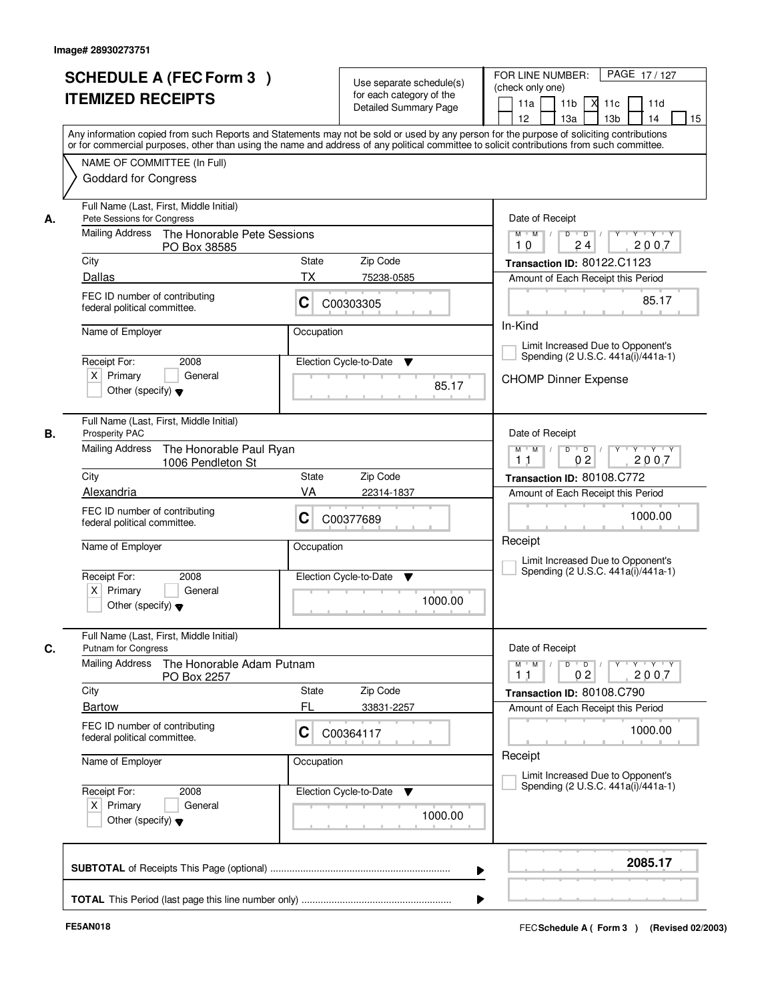|    | <b>SCHEDULE A (FEC Form 3)</b><br><b>ITEMIZED RECEIPTS</b>                                                              | Use separate schedule(s)<br>for each category of the<br>Detailed Summary Page                                                                                                                                                                                                           | PAGE 17/127<br>FOR LINE NUMBER:<br>(check only one)<br>XI.<br>11a<br>11 <sub>b</sub><br>11c<br>11d<br>12 <sup>2</sup><br>13a<br>13 <sub>b</sub><br>14<br>15 |
|----|-------------------------------------------------------------------------------------------------------------------------|-----------------------------------------------------------------------------------------------------------------------------------------------------------------------------------------------------------------------------------------------------------------------------------------|-------------------------------------------------------------------------------------------------------------------------------------------------------------|
|    | NAME OF COMMITTEE (In Full)<br><b>Goddard for Congress</b>                                                              | Any information copied from such Reports and Statements may not be sold or used by any person for the purpose of soliciting contributions<br>or for commercial purposes, other than using the name and address of any political committee to solicit contributions from such committee. |                                                                                                                                                             |
| А. | Full Name (Last, First, Middle Initial)<br>Pete Sessions for Congress<br>Mailing Address<br>The Honorable Pete Sessions |                                                                                                                                                                                                                                                                                         | Date of Receipt<br>$Y - Y - Y$<br>$M$ $M$ /<br>D<br>$\overline{D}$<br>2007<br>24<br>10                                                                      |
|    | PO Box 38585<br>City                                                                                                    | Zip Code<br>State                                                                                                                                                                                                                                                                       | Transaction ID: 80122.C1123                                                                                                                                 |
|    | Dallas                                                                                                                  | ТX<br>75238-0585                                                                                                                                                                                                                                                                        | Amount of Each Receipt this Period                                                                                                                          |
|    | FEC ID number of contributing<br>federal political committee.                                                           | C<br>C00303305                                                                                                                                                                                                                                                                          | 85.17                                                                                                                                                       |
|    | Name of Employer                                                                                                        | Occupation                                                                                                                                                                                                                                                                              | In-Kind<br>Limit Increased Due to Opponent's                                                                                                                |
|    | Receipt For:<br>2008<br>$X$ Primary<br>General<br>Other (specify) $\blacktriangledown$                                  | Election Cycle-to-Date<br>▼<br>85.17                                                                                                                                                                                                                                                    | Spending (2 U.S.C. 441a(i)/441a-1)<br><b>CHOMP Dinner Expense</b>                                                                                           |
| В. | Full Name (Last, First, Middle Initial)<br>Prosperity PAC<br><b>Mailing Address</b><br>The Honorable Paul Ryan          |                                                                                                                                                                                                                                                                                         | Date of Receipt<br>$M$ $M$ /<br>$D$ $D$ $1$<br>Y<br>$Y \vdash Y \vdash Y$                                                                                   |
|    | 1006 Pendleton St<br>City                                                                                               | 0 <sub>2</sub><br>2007<br>11<br>Transaction ID: 80108.C772                                                                                                                                                                                                                              |                                                                                                                                                             |
|    | Alexandria                                                                                                              | Zip Code<br><b>State</b><br>VA<br>22314-1837                                                                                                                                                                                                                                            | Amount of Each Receipt this Period                                                                                                                          |
|    | FEC ID number of contributing<br>federal political committee.                                                           | C<br>C00377689                                                                                                                                                                                                                                                                          | 1000.00                                                                                                                                                     |
|    | Name of Employer                                                                                                        | Occupation                                                                                                                                                                                                                                                                              | Receipt<br>Limit Increased Due to Opponent's                                                                                                                |
|    | Receipt For:<br>2008<br>$X$ Primary<br>General<br>Other (specify) $\blacktriangledown$                                  | Election Cycle-to-Date<br>v<br>1000.00                                                                                                                                                                                                                                                  | Spending (2 U.S.C. 441a(i)/441a-1)                                                                                                                          |
| С. | Full Name (Last, First, Middle Initial)<br>Putnam for Congress                                                          |                                                                                                                                                                                                                                                                                         | Date of Receipt                                                                                                                                             |
|    | Mailing Address<br>The Honorable Adam Putnam<br>PO Box 2257                                                             |                                                                                                                                                                                                                                                                                         | Y Y Y Y<br>$M$ M<br>$D$ $D$ $/$<br>$\blacksquare$<br>2007<br>0 <sub>2</sub><br>11                                                                           |
|    | City<br><b>Bartow</b>                                                                                                   | Zip Code<br>State<br>FL                                                                                                                                                                                                                                                                 | Transaction ID: 80108.C790                                                                                                                                  |
|    | FEC ID number of contributing<br>federal political committee.                                                           | 33831-2257<br>C<br>C00364117                                                                                                                                                                                                                                                            | Amount of Each Receipt this Period<br>1000.00                                                                                                               |
|    | Name of Employer                                                                                                        | Occupation                                                                                                                                                                                                                                                                              | Receipt<br>Limit Increased Due to Opponent's                                                                                                                |
|    | Receipt For:<br>2008<br>$X$ Primary<br>General<br>Other (specify) $\blacktriangledown$                                  | Election Cycle-to-Date<br>v<br>1000.00                                                                                                                                                                                                                                                  | Spending (2 U.S.C. 441a(i)/441a-1)                                                                                                                          |
|    |                                                                                                                         |                                                                                                                                                                                                                                                                                         | 2085.17                                                                                                                                                     |
|    |                                                                                                                         |                                                                                                                                                                                                                                                                                         |                                                                                                                                                             |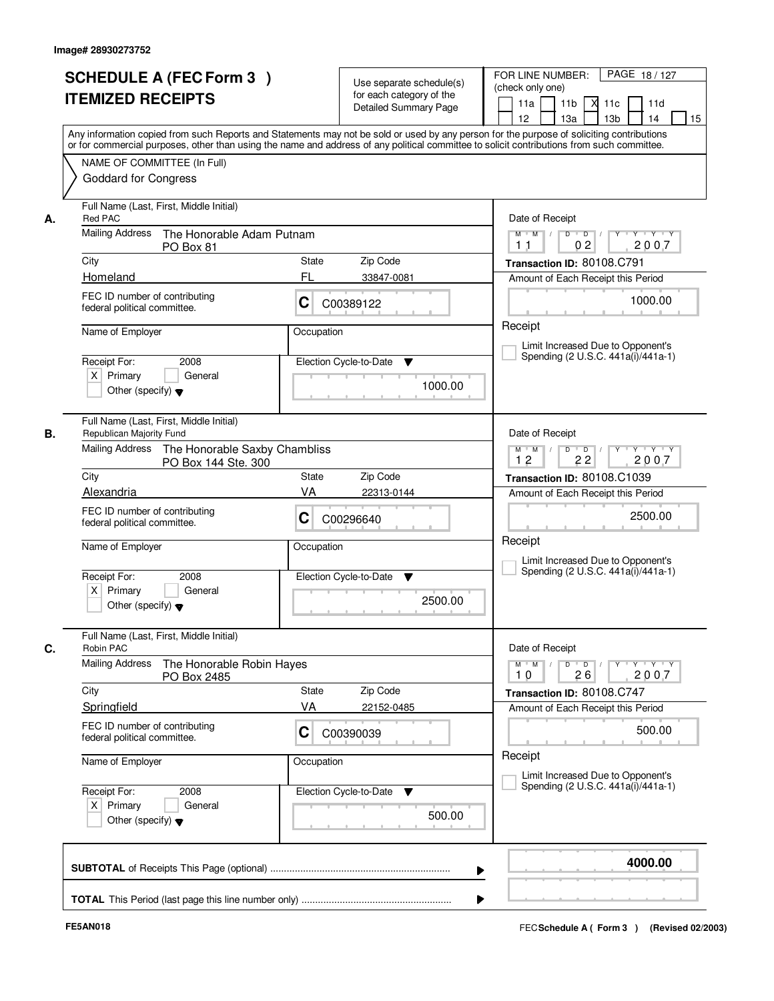|    | <b>SCHEDULE A (FEC Form 3)</b><br><b>ITEMIZED RECEIPTS</b><br>Any information copied from such Reports and Statements may not be sold or used by any person for the purpose of soliciting contributions<br>or for commercial purposes, other than using the name and address of any political committee to solicit contributions from such committee. |             | Use separate schedule(s)<br>for each category of the<br><b>Detailed Summary Page</b> | PAGE 18/127<br>FOR LINE NUMBER:<br>(check only one)<br>11 <sub>b</sub><br>11d<br>11a<br>- XI<br>11c<br>13a<br>13 <sub>b</sub><br>12<br>14<br>15 |
|----|-------------------------------------------------------------------------------------------------------------------------------------------------------------------------------------------------------------------------------------------------------------------------------------------------------------------------------------------------------|-------------|--------------------------------------------------------------------------------------|-------------------------------------------------------------------------------------------------------------------------------------------------|
|    | NAME OF COMMITTEE (In Full)<br><b>Goddard for Congress</b>                                                                                                                                                                                                                                                                                            |             |                                                                                      |                                                                                                                                                 |
| А. | Full Name (Last, First, Middle Initial)<br><b>Red PAC</b>                                                                                                                                                                                                                                                                                             |             |                                                                                      | Date of Receipt                                                                                                                                 |
|    | <b>Mailing Address</b><br>The Honorable Adam Putnam<br>PO Box 81                                                                                                                                                                                                                                                                                      |             |                                                                                      | $D$ $D$ $l$<br>$M$ $M$ /<br>0 <sub>2</sub><br>2007<br>11                                                                                        |
|    | City                                                                                                                                                                                                                                                                                                                                                  | State       | Zip Code                                                                             | Transaction ID: 80108.C791                                                                                                                      |
|    | Homeland                                                                                                                                                                                                                                                                                                                                              | FL          | 33847-0081                                                                           | Amount of Each Receipt this Period                                                                                                              |
|    | FEC ID number of contributing<br>federal political committee.                                                                                                                                                                                                                                                                                         | C           | C00389122                                                                            | 1000.00                                                                                                                                         |
|    | Name of Employer                                                                                                                                                                                                                                                                                                                                      | Occupation  |                                                                                      | Receipt<br>Limit Increased Due to Opponent's<br>Spending (2 U.S.C. 441a(i)/441a-1)                                                              |
|    | Receipt For:<br>2008<br>$X$ Primary<br>General<br>Other (specify) $\blacktriangledown$                                                                                                                                                                                                                                                                |             | Election Cycle-to-Date<br>▼<br>1000.00                                               |                                                                                                                                                 |
| В. | Full Name (Last, First, Middle Initial)<br>Republican Majority Fund                                                                                                                                                                                                                                                                                   |             |                                                                                      | Date of Receipt                                                                                                                                 |
|    | Mailing Address<br>The Honorable Saxby Chambliss<br>PO Box 144 Ste. 300                                                                                                                                                                                                                                                                               |             |                                                                                      | Y<br>$Y \vdash Y \vdash Y$<br>$M$ M<br>D<br>$\overline{D}$<br>2007<br>12<br>22                                                                  |
|    | City<br>Alexandria                                                                                                                                                                                                                                                                                                                                    | State<br>VA | Zip Code<br>22313-0144                                                               | Transaction ID: 80108.C1039                                                                                                                     |
|    | FEC ID number of contributing<br>federal political committee.                                                                                                                                                                                                                                                                                         | С           | C00296640                                                                            | Amount of Each Receipt this Period<br>2500.00                                                                                                   |
|    | Name of Employer                                                                                                                                                                                                                                                                                                                                      | Occupation  |                                                                                      | Receipt<br>Limit Increased Due to Opponent's                                                                                                    |
|    | Receipt For:<br>2008<br>$X$ Primary<br>General<br>Other (specify) $\blacktriangledown$                                                                                                                                                                                                                                                                |             | Election Cycle-to-Date<br>▼<br>2500.00                                               | Spending (2 U.S.C. 441a(i)/441a-1)                                                                                                              |
| C. | Full Name (Last, First, Middle Initial)<br>Robin PAC                                                                                                                                                                                                                                                                                                  |             |                                                                                      | Date of Receipt                                                                                                                                 |
|    | <b>Mailing Address</b><br>The Honorable Robin Hayes<br>PO Box 2485                                                                                                                                                                                                                                                                                    |             |                                                                                      | $\mathsf D$<br>$M$ $M$ $/$<br>$\overline{D}$<br>$Y + Y + Y$<br>$Y$ <sup><math>\top</math></sup><br>2007<br>10<br>26                             |
|    | City                                                                                                                                                                                                                                                                                                                                                  | State<br>VA | Zip Code                                                                             | Transaction ID: 80108.C747                                                                                                                      |
|    | Springfield<br>FEC ID number of contributing<br>federal political committee.                                                                                                                                                                                                                                                                          | C           | 22152-0485<br>C00390039                                                              | Amount of Each Receipt this Period<br>500.00                                                                                                    |
|    | Name of Employer                                                                                                                                                                                                                                                                                                                                      | Occupation  |                                                                                      | Receipt<br>Limit Increased Due to Opponent's                                                                                                    |
|    | Receipt For:<br>2008<br>$X$ Primary<br>General<br>Other (specify) $\blacktriangledown$                                                                                                                                                                                                                                                                |             | Election Cycle-to-Date<br>v<br>500.00                                                | Spending (2 U.S.C. 441a(i)/441a-1)                                                                                                              |
|    |                                                                                                                                                                                                                                                                                                                                                       |             |                                                                                      | 4000.00                                                                                                                                         |
|    |                                                                                                                                                                                                                                                                                                                                                       |             |                                                                                      |                                                                                                                                                 |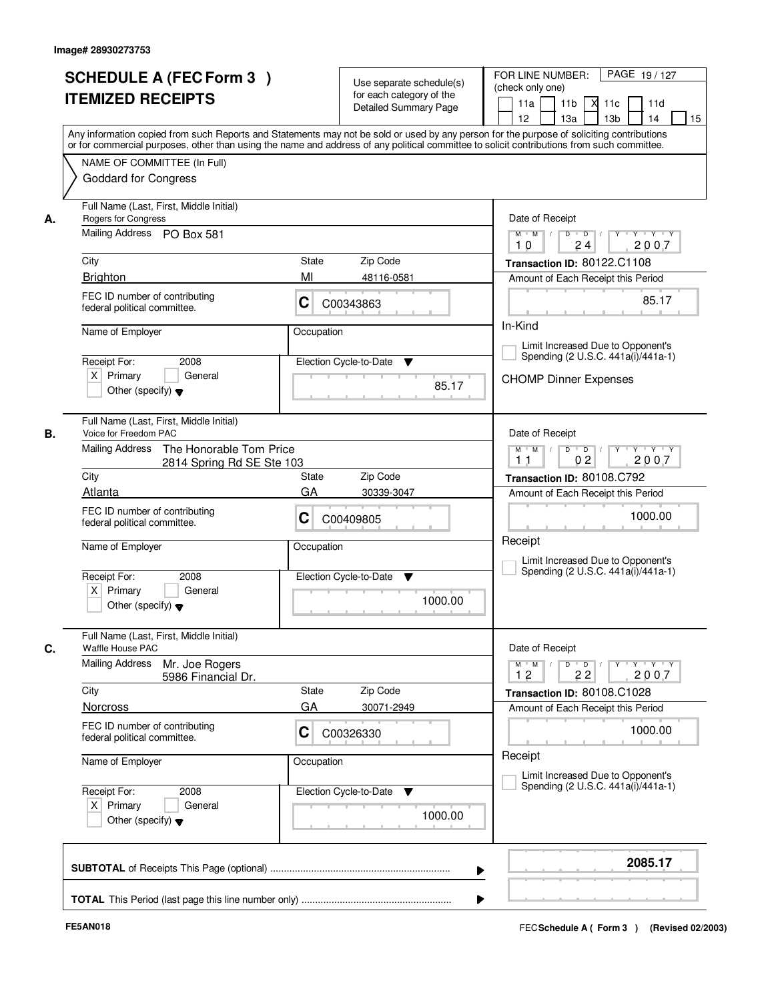|    | <b>SCHEDULE A (FEC Form 3)</b><br><b>ITEMIZED RECEIPTS</b><br>Any information copied from such Reports and Statements may not be sold or used by any person for the purpose of soliciting contributions<br>or for commercial purposes, other than using the name and address of any political committee to solicit contributions from such committee. |             | Use separate schedule(s)<br>for each category of the<br><b>Detailed Summary Page</b> | PAGE 19/127<br>FOR LINE NUMBER:<br>(check only one)<br>11 <sub>b</sub><br>11a<br>м<br>11c<br>11d<br>13 <sub>b</sub><br>14<br>15<br>12 <sup>2</sup><br>13a |
|----|-------------------------------------------------------------------------------------------------------------------------------------------------------------------------------------------------------------------------------------------------------------------------------------------------------------------------------------------------------|-------------|--------------------------------------------------------------------------------------|-----------------------------------------------------------------------------------------------------------------------------------------------------------|
|    | NAME OF COMMITTEE (In Full)<br><b>Goddard for Congress</b>                                                                                                                                                                                                                                                                                            |             |                                                                                      |                                                                                                                                                           |
| А. | Full Name (Last, First, Middle Initial)<br>Rogers for Congress<br>Mailing Address PO Box 581<br>City                                                                                                                                                                                                                                                  | State       | Zip Code                                                                             | Date of Receipt<br>$Y$ $Y$ $Y$<br>$M$ $M$ /<br>$D$ $D$ $/$<br>$Y^+$<br>24<br>2007<br>10<br>Transaction ID: 80122.C1108                                    |
|    | <b>Brighton</b>                                                                                                                                                                                                                                                                                                                                       | MI          | 48116-0581                                                                           | Amount of Each Receipt this Period                                                                                                                        |
|    | FEC ID number of contributing<br>federal political committee.                                                                                                                                                                                                                                                                                         | C           | C00343863                                                                            | 85.17                                                                                                                                                     |
|    | Name of Employer<br>2008<br>Receipt For:<br>$X$ Primary<br>General<br>Other (specify) $\blacktriangledown$                                                                                                                                                                                                                                            | Occupation  | Election Cycle-to-Date<br>▼<br>85.17                                                 | In-Kind<br>Limit Increased Due to Opponent's<br>Spending (2 U.S.C. 441a(i)/441a-1)<br><b>CHOMP Dinner Expenses</b>                                        |
| В. | Full Name (Last, First, Middle Initial)<br>Voice for Freedom PAC<br><b>Mailing Address</b><br>The Honorable Tom Price<br>2814 Spring Rd SE Ste 103                                                                                                                                                                                                    |             |                                                                                      | Date of Receipt<br>D<br>$Y \vdash Y \vdash Y$<br>$M$ $M$ /<br>$\overline{D}$<br>02<br>2007<br>11                                                          |
|    | City                                                                                                                                                                                                                                                                                                                                                  | State       | Zip Code                                                                             | Transaction ID: 80108.C792                                                                                                                                |
|    | Atlanta                                                                                                                                                                                                                                                                                                                                               | GA          | 30339-3047                                                                           | Amount of Each Receipt this Period                                                                                                                        |
|    | FEC ID number of contributing<br>federal political committee.                                                                                                                                                                                                                                                                                         | С           | C00409805                                                                            | 1000.00                                                                                                                                                   |
|    | Name of Employer<br>Receipt For:<br>2008<br>$X$ Primary<br>General<br>Other (specify) $\blacktriangledown$                                                                                                                                                                                                                                            | Occupation  | Election Cycle-to-Date<br>▼<br>1000.00                                               | Receipt<br>Limit Increased Due to Opponent's<br>Spending (2 U.S.C. 441a(i)/441a-1)                                                                        |
| C. | Full Name (Last, First, Middle Initial)<br>Waffle House PAC                                                                                                                                                                                                                                                                                           |             |                                                                                      | Date of Receipt                                                                                                                                           |
|    | <b>Mailing Address</b><br>Mr. Joe Rogers<br>5986 Financial Dr.                                                                                                                                                                                                                                                                                        |             |                                                                                      | $D$ $D$ $/$<br>$\mathsf{Y} \dashv \mathsf{Y} \dashv \mathsf{Y} \dashv \mathsf{Y}$<br>$M = M$<br>12<br>22<br>2007                                          |
|    | City<br><b>Norcross</b>                                                                                                                                                                                                                                                                                                                               | State<br>GA | Zip Code<br>30071-2949                                                               | Transaction ID: 80108.C1028<br>Amount of Each Receipt this Period                                                                                         |
|    | FEC ID number of contributing<br>federal political committee.                                                                                                                                                                                                                                                                                         | C           | C00326330                                                                            | 1000.00                                                                                                                                                   |
|    | Name of Employer                                                                                                                                                                                                                                                                                                                                      | Occupation  |                                                                                      | Receipt<br>Limit Increased Due to Opponent's                                                                                                              |
|    | Receipt For:<br>2008<br>$X$ Primary<br>General<br>Other (specify) $\blacktriangledown$                                                                                                                                                                                                                                                                |             | Election Cycle-to-Date ▼<br>1000.00                                                  | Spending (2 U.S.C. 441a(i)/441a-1)                                                                                                                        |
|    |                                                                                                                                                                                                                                                                                                                                                       |             | ▶                                                                                    | 2085.17                                                                                                                                                   |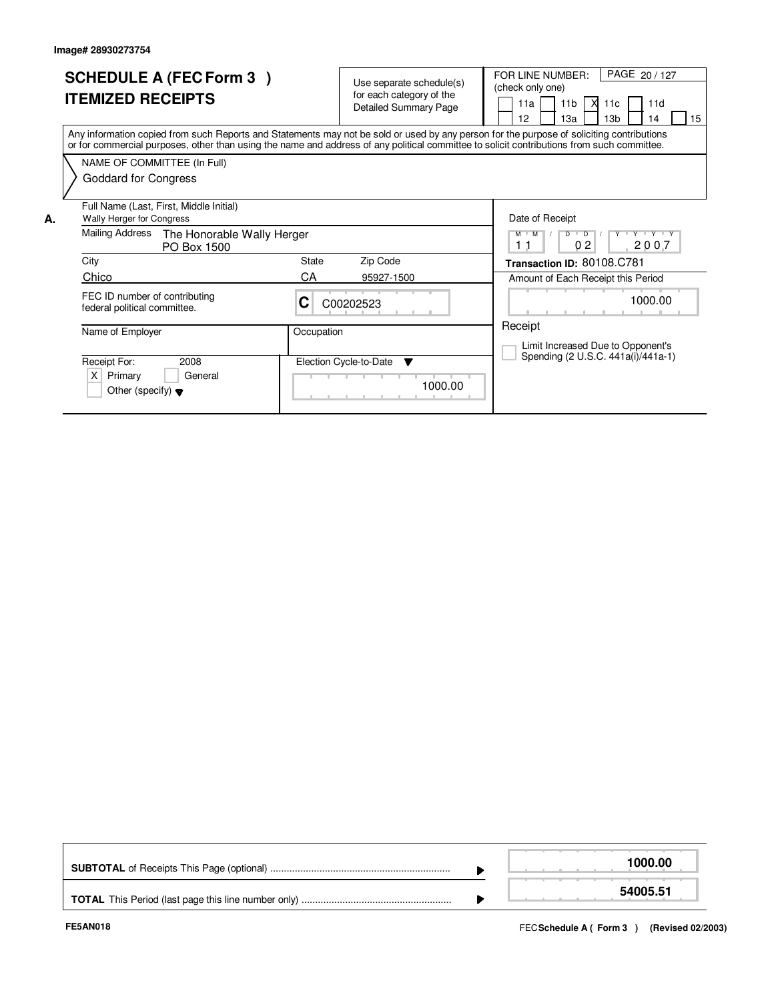|    | <b>SCHEDULE A (FEC Form 3)</b><br><b>ITEMIZED RECEIPTS</b>                                                                                                                                                                                                                              |             | Use separate schedule(s)<br>for each category of the<br><b>Detailed Summary Page</b> | PAGE 20 / 127<br>FOR LINE NUMBER:<br>(check only one)<br><b>X</b><br>11 <sub>b</sub><br>11a<br>11c<br>11d<br>13 <sub>b</sub><br>15<br>12 <sup>2</sup><br>1За<br>14 |
|----|-----------------------------------------------------------------------------------------------------------------------------------------------------------------------------------------------------------------------------------------------------------------------------------------|-------------|--------------------------------------------------------------------------------------|--------------------------------------------------------------------------------------------------------------------------------------------------------------------|
|    | Any information copied from such Reports and Statements may not be sold or used by any person for the purpose of soliciting contributions<br>or for commercial purposes, other than using the name and address of any political committee to solicit contributions from such committee. |             |                                                                                      |                                                                                                                                                                    |
|    | NAME OF COMMITTEE (In Full)<br>Goddard for Congress                                                                                                                                                                                                                                     |             |                                                                                      |                                                                                                                                                                    |
| А. | Full Name (Last, First, Middle Initial)<br><b>Wally Herger for Congress</b><br>Mailing Address<br>The Honorable Wally Herger<br>PO Box 1500                                                                                                                                             |             |                                                                                      | Date of Receipt<br>$M$ $M$ /<br>$D$ $D$ $/$<br>Y Y Y Y Y<br>02<br>2007<br>11                                                                                       |
|    | City<br>Chico                                                                                                                                                                                                                                                                           | State<br>CA | Zip Code<br>95927-1500                                                               | Transaction ID: 80108.C781<br>Amount of Each Receipt this Period                                                                                                   |
|    | FEC ID number of contributing<br>federal political committee.                                                                                                                                                                                                                           | C           | C00202523                                                                            | 1000.00                                                                                                                                                            |
|    | Name of Employer                                                                                                                                                                                                                                                                        | Occupation  |                                                                                      | Receipt<br>Limit Increased Due to Opponent's                                                                                                                       |
|    | Receipt For:<br>2008<br>X<br>Primary<br>General<br>Other (specify) $\blacktriangledown$                                                                                                                                                                                                 |             | Election Cycle-to-Date<br>v<br>1000.00                                               | Spending (2 U.S.C. 441a(i)/441a-1)                                                                                                                                 |

|  | 1000.00  |
|--|----------|
|  | 54005.51 |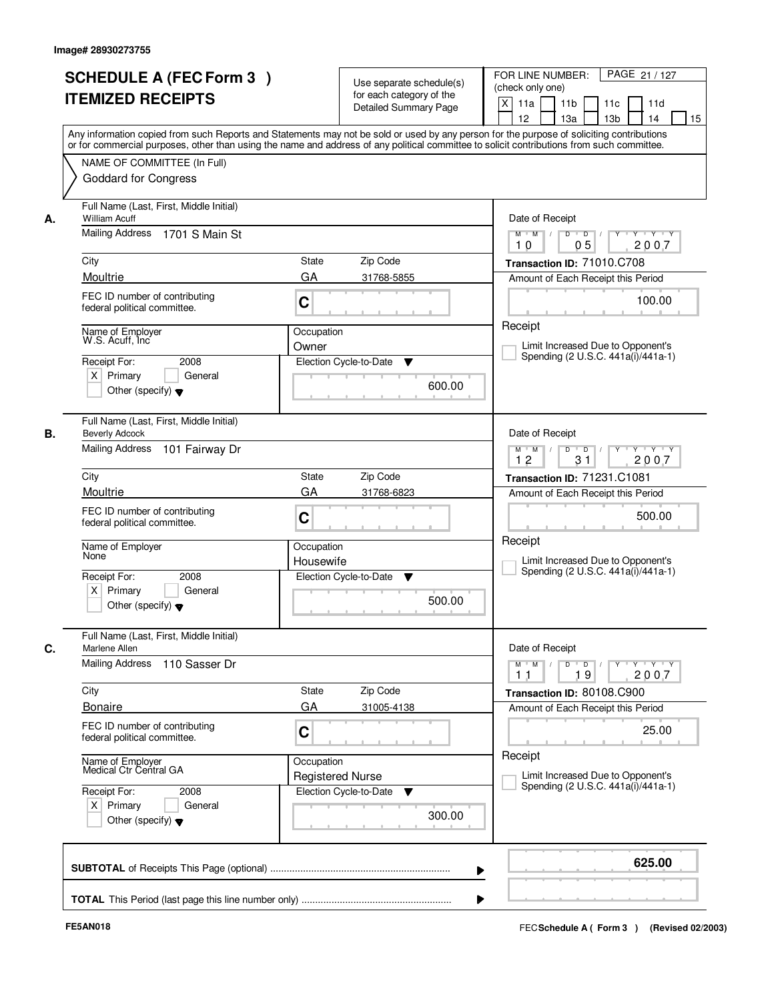|    | <b>SCHEDULE A (FEC Form 3)</b><br><b>ITEMIZED RECEIPTS</b>                                        | Use separate schedule(s)<br>for each category of the<br><b>Detailed Summary Page</b><br>Any information copied from such Reports and Statements may not be sold or used by any person for the purpose of soliciting contributions<br>or for commercial purposes, other than using the name and address of any political committee to solicit contributions from such committee. | PAGE 21 / 127<br>FOR LINE NUMBER:<br>(check only one)<br>$\mathsf{X}$<br>11 <sub>b</sub><br>11a<br>11c<br>11d<br>12<br>13 <sub>b</sub><br>14<br>15<br>13a                |
|----|---------------------------------------------------------------------------------------------------|---------------------------------------------------------------------------------------------------------------------------------------------------------------------------------------------------------------------------------------------------------------------------------------------------------------------------------------------------------------------------------|--------------------------------------------------------------------------------------------------------------------------------------------------------------------------|
|    | NAME OF COMMITTEE (In Full)<br><b>Goddard for Congress</b>                                        |                                                                                                                                                                                                                                                                                                                                                                                 |                                                                                                                                                                          |
| А. | Full Name (Last, First, Middle Initial)<br><b>William Acuff</b><br>Mailing Address 1701 S Main St |                                                                                                                                                                                                                                                                                                                                                                                 | Date of Receipt<br>$Y - Y - Y$<br>$M$ $M$ /<br>$D$ $D$ $/$<br>$Y^+$<br>05<br>2007<br>10                                                                                  |
|    | City                                                                                              | <b>State</b><br>Zip Code                                                                                                                                                                                                                                                                                                                                                        | Transaction ID: 71010.C708                                                                                                                                               |
|    | Moultrie                                                                                          | GA<br>31768-5855                                                                                                                                                                                                                                                                                                                                                                | Amount of Each Receipt this Period                                                                                                                                       |
|    | FEC ID number of contributing<br>federal political committee.                                     | C                                                                                                                                                                                                                                                                                                                                                                               | 100.00                                                                                                                                                                   |
|    | Name of Employer<br>W.S. Acuff, Inc                                                               | Occupation<br>Owner                                                                                                                                                                                                                                                                                                                                                             | Receipt<br>Limit Increased Due to Opponent's                                                                                                                             |
|    | 2008<br>Receipt For:<br>$X$ Primary<br>General<br>Other (specify) $\blacktriangledown$            | Election Cycle-to-Date<br>▼<br>600.00                                                                                                                                                                                                                                                                                                                                           | Spending (2 U.S.C. 441a(i)/441a-1)                                                                                                                                       |
| В. | Full Name (Last, First, Middle Initial)<br><b>Beverly Adcock</b><br>Mailing Address               |                                                                                                                                                                                                                                                                                                                                                                                 | Date of Receipt                                                                                                                                                          |
|    | 101 Fairway Dr                                                                                    |                                                                                                                                                                                                                                                                                                                                                                                 | $Y - Y - Y$<br>$M$ $M$ /<br>D<br>$\blacksquare$ D $\blacksquare$ /<br>31<br>12<br>2007                                                                                   |
|    | City                                                                                              | Zip Code<br><b>State</b>                                                                                                                                                                                                                                                                                                                                                        | Transaction ID: 71231.C1081                                                                                                                                              |
|    | Moultrie                                                                                          | GA<br>31768-6823                                                                                                                                                                                                                                                                                                                                                                | Amount of Each Receipt this Period                                                                                                                                       |
|    | FEC ID number of contributing<br>federal political committee.                                     | C                                                                                                                                                                                                                                                                                                                                                                               | 500.00                                                                                                                                                                   |
|    | Name of Employer<br>None                                                                          | Occupation<br>Housewife                                                                                                                                                                                                                                                                                                                                                         | Receipt<br>Limit Increased Due to Opponent's<br>Spending (2 U.S.C. 441a(i)/441a-1)                                                                                       |
|    | Receipt For:<br>2008<br>$X$ Primary<br>General<br>Other (specify) $\blacktriangledown$            | Election Cycle-to-Date<br>v<br>500.00                                                                                                                                                                                                                                                                                                                                           |                                                                                                                                                                          |
| C. | Full Name (Last, First, Middle Initial)<br>Marlene Allen                                          |                                                                                                                                                                                                                                                                                                                                                                                 | Date of Receipt                                                                                                                                                          |
|    | Mailing Address<br>110 Sasser Dr                                                                  |                                                                                                                                                                                                                                                                                                                                                                                 | $D$ $D$ $/$<br>$\begin{array}{cccccccccc} &\mathsf{Y} &\mathsf{I} &\mathsf{Y} &\mathsf{I} &\mathsf{Y} &\mathsf{I} &\mathsf{Y}\end{array}$<br>$M$ $M$<br>19<br>2007<br>11 |
|    | City                                                                                              | Zip Code<br>State                                                                                                                                                                                                                                                                                                                                                               | Transaction ID: 80108.C900                                                                                                                                               |
|    | <b>Bonaire</b><br>FEC ID number of contributing<br>federal political committee.                   | GA<br>31005-4138<br>C                                                                                                                                                                                                                                                                                                                                                           | Amount of Each Receipt this Period<br>25.00                                                                                                                              |
|    | Name of Employer<br>Medical Ctr Central GA                                                        | Occupation<br><b>Registered Nurse</b>                                                                                                                                                                                                                                                                                                                                           | Receipt<br>Limit Increased Due to Opponent's                                                                                                                             |
|    | Receipt For:<br>2008<br>$X$ Primary<br>General<br>Other (specify) $\blacktriangledown$            | Election Cycle-to-Date<br>▼<br>300.00                                                                                                                                                                                                                                                                                                                                           | Spending (2 U.S.C. 441a(i)/441a-1)                                                                                                                                       |
|    |                                                                                                   | ▶                                                                                                                                                                                                                                                                                                                                                                               | 625.00                                                                                                                                                                   |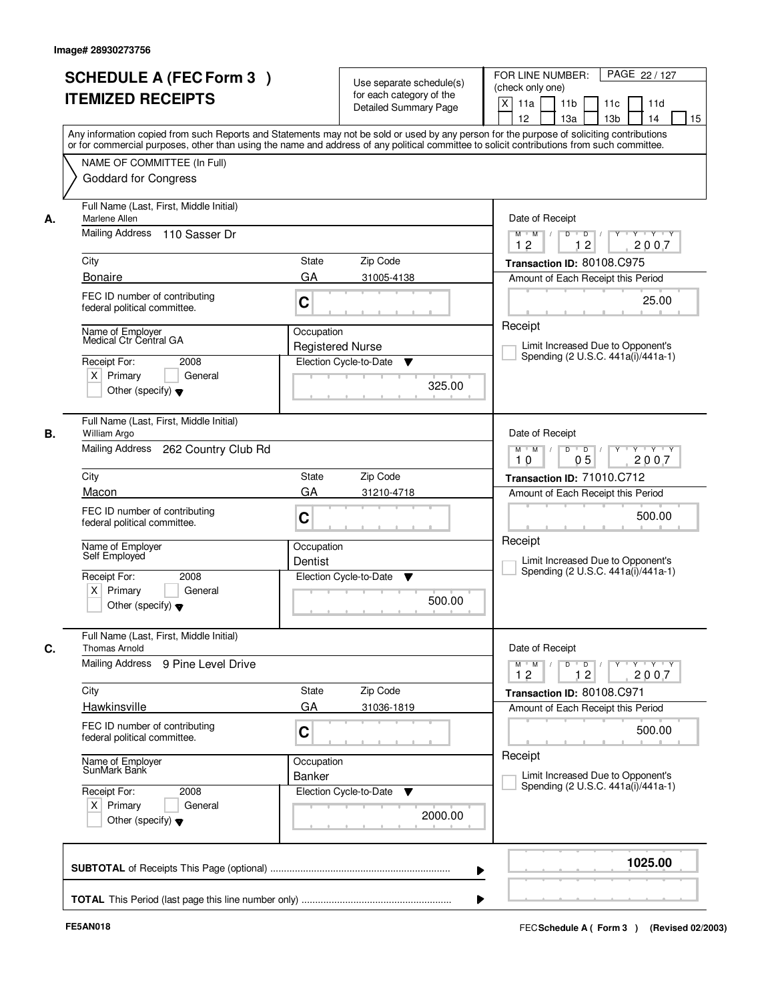|    | <b>SCHEDULE A (FEC Form 3)</b><br><b>ITEMIZED RECEIPTS</b><br>Any information copied from such Reports and Statements may not be sold or used by any person for the purpose of soliciting contributions  |                                       | Use separate schedule(s)<br>for each category of the<br><b>Detailed Summary Page</b> | PAGE 22 / 127<br>FOR LINE NUMBER:<br>(check only one)<br>X<br>11 <sub>b</sub><br>11a<br>11 <sub>c</sub><br>11d<br>12<br>13 <sub>b</sub><br>14<br>13a<br>15 |
|----|----------------------------------------------------------------------------------------------------------------------------------------------------------------------------------------------------------|---------------------------------------|--------------------------------------------------------------------------------------|------------------------------------------------------------------------------------------------------------------------------------------------------------|
|    | or for commercial purposes, other than using the name and address of any political committee to solicit contributions from such committee.<br>NAME OF COMMITTEE (In Full)<br><b>Goddard for Congress</b> |                                       |                                                                                      |                                                                                                                                                            |
| А. | Full Name (Last, First, Middle Initial)<br>Marlene Allen<br>Mailing Address 110 Sasser Dr                                                                                                                |                                       |                                                                                      | Date of Receipt<br>$D$ $D$ $I$<br>$Y$ <sup>U</sup><br>$Y - Y - Y - Y$<br>$M$ $M$ /                                                                         |
|    | City<br><b>Bonaire</b>                                                                                                                                                                                   | <b>State</b><br>GA                    | Zip Code<br>31005-4138                                                               | 12<br>12<br>2007<br>Transaction ID: 80108.C975<br>Amount of Each Receipt this Period                                                                       |
|    | FEC ID number of contributing<br>federal political committee.                                                                                                                                            | C                                     |                                                                                      | 25.00                                                                                                                                                      |
|    | Name of Employer<br>Medical Ctr Central GA<br>Receipt For:<br>2008<br>$X$ Primary<br>General<br>Other (specify) $\blacktriangledown$                                                                     | Occupation<br><b>Registered Nurse</b> | Election Cycle-to-Date<br>▼<br>325.00                                                | Receipt<br>Limit Increased Due to Opponent's<br>Spending (2 U.S.C. 441a(i)/441a-1)                                                                         |
| В. | Full Name (Last, First, Middle Initial)<br>William Argo<br>Mailing Address<br>262 Country Club Rd                                                                                                        |                                       |                                                                                      | Date of Receipt<br>$Y \vdash Y \vdash Y$<br>$M$ $M$ /<br>D<br>$\overline{D}$<br>0 <sub>5</sub><br>2007<br>10                                               |
|    | City                                                                                                                                                                                                     | State                                 | Zip Code                                                                             | Transaction ID: 71010.C712                                                                                                                                 |
|    | Macon<br>FEC ID number of contributing<br>federal political committee.                                                                                                                                   | GA<br>C                               | 31210-4718                                                                           | Amount of Each Receipt this Period<br>500.00                                                                                                               |
|    | Name of Employer<br>Self Employed                                                                                                                                                                        | Occupation<br>Dentist                 |                                                                                      | Receipt<br>Limit Increased Due to Opponent's<br>Spending (2 U.S.C. 441a(i)/441a-1)                                                                         |
|    | Receipt For:<br>2008<br>$X$ Primary<br>General<br>Other (specify) $\blacktriangledown$                                                                                                                   |                                       | Election Cycle-to-Date<br>▼<br>500.00                                                |                                                                                                                                                            |
| C. | Full Name (Last, First, Middle Initial)<br><b>Thomas Arnold</b>                                                                                                                                          |                                       |                                                                                      | Date of Receipt                                                                                                                                            |
|    | Mailing Address 9 Pine Level Drive                                                                                                                                                                       |                                       |                                                                                      | $M$ $M$<br>$D$ $D$ $l$<br>y y y y y<br>12<br>12<br>2007                                                                                                    |
|    | City<br>Hawkinsville                                                                                                                                                                                     | State<br>GA                           | Zip Code<br>31036-1819                                                               | Transaction ID: 80108.C971                                                                                                                                 |
|    | FEC ID number of contributing<br>federal political committee.                                                                                                                                            | C                                     |                                                                                      | Amount of Each Receipt this Period<br>500.00                                                                                                               |
|    | Name of Employer<br>SunMark Bank                                                                                                                                                                         | Occupation<br>Banker                  |                                                                                      | Receipt<br>Limit Increased Due to Opponent's                                                                                                               |
|    | Receipt For:<br>2008<br>$X$ Primary<br>General<br>Other (specify) $\blacktriangledown$                                                                                                                   |                                       | Election Cycle-to-Date<br>v<br>2000.00                                               | Spending (2 U.S.C. 441a(i)/441a-1)                                                                                                                         |
|    |                                                                                                                                                                                                          |                                       |                                                                                      | 1025.00                                                                                                                                                    |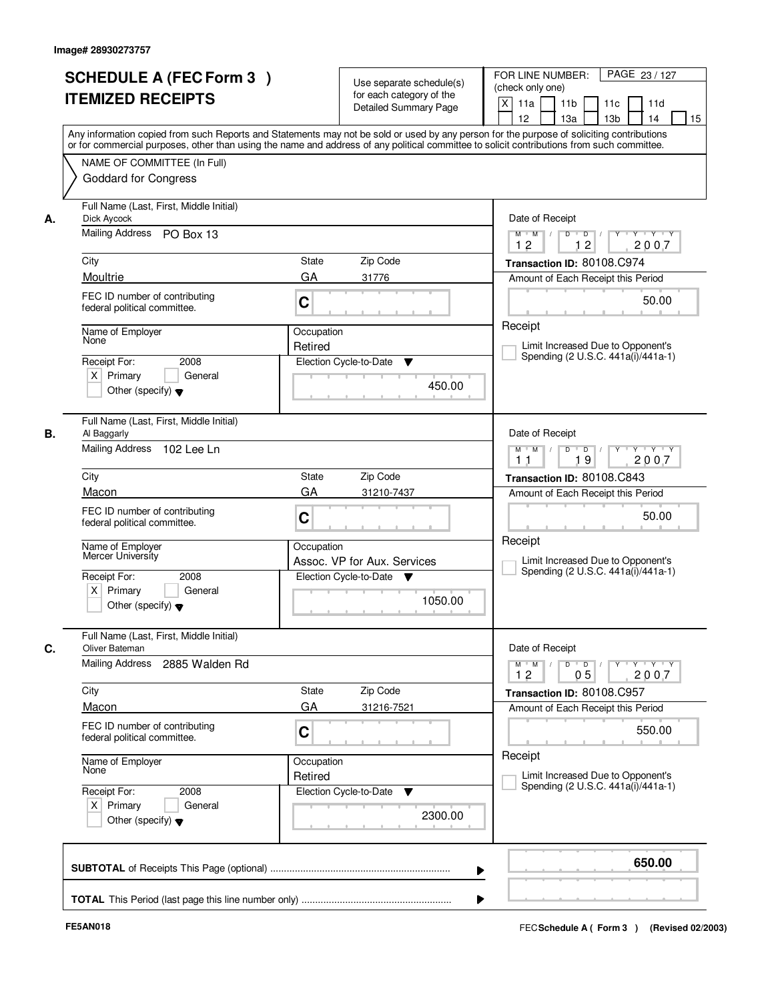|    | <b>SCHEDULE A (FEC Form 3)</b><br><b>ITEMIZED RECEIPTS</b><br>Any information copied from such Reports and Statements may not be sold or used by any person for the purpose of soliciting contributions  |                       | Use separate schedule(s)<br>for each category of the<br><b>Detailed Summary Page</b> | PAGE 23 / 127<br>FOR LINE NUMBER:<br>(check only one)<br>X<br>11 <sub>b</sub><br>11a<br>11c<br>11d<br>12<br>13 <sub>b</sub><br>13a<br>14<br>15 |
|----|----------------------------------------------------------------------------------------------------------------------------------------------------------------------------------------------------------|-----------------------|--------------------------------------------------------------------------------------|------------------------------------------------------------------------------------------------------------------------------------------------|
|    | or for commercial purposes, other than using the name and address of any political committee to solicit contributions from such committee.<br>NAME OF COMMITTEE (In Full)<br><b>Goddard for Congress</b> |                       |                                                                                      |                                                                                                                                                |
| А. | Full Name (Last, First, Middle Initial)<br>Dick Aycock<br>Mailing Address PO Box 13                                                                                                                      |                       |                                                                                      | Date of Receipt<br>$Y + Y + Y$<br>$M$ $M$<br>$D$ $D$ $1$<br>$\overline{Y}$<br>12<br>12<br>2007                                                 |
|    | City                                                                                                                                                                                                     | State                 | Zip Code                                                                             | Transaction ID: 80108.C974                                                                                                                     |
|    | Moultrie                                                                                                                                                                                                 | GA                    | 31776                                                                                | Amount of Each Receipt this Period                                                                                                             |
|    | FEC ID number of contributing<br>federal political committee.                                                                                                                                            | C                     |                                                                                      | 50.00                                                                                                                                          |
|    | Name of Employer<br>None                                                                                                                                                                                 | Occupation<br>Retired |                                                                                      | Receipt<br>Limit Increased Due to Opponent's<br>Spending (2 U.S.C. 441a(i)/441a-1)                                                             |
|    | Receipt For:<br>2008<br>$X$ Primary<br>General<br>Other (specify) $\blacktriangledown$                                                                                                                   |                       | Election Cycle-to-Date<br>▼<br>450.00                                                |                                                                                                                                                |
| В. | Full Name (Last, First, Middle Initial)<br>Al Baggarly<br>Mailing Address 102 Lee Ln                                                                                                                     |                       |                                                                                      | Date of Receipt<br>Y<br>$Y \vdash Y \vdash Y$<br>$M$ $M$ /<br>D<br>$\overline{D}$                                                              |
|    |                                                                                                                                                                                                          |                       |                                                                                      | 2007<br>19<br>11                                                                                                                               |
|    | City                                                                                                                                                                                                     | State                 | Zip Code                                                                             | Transaction ID: 80108.C843                                                                                                                     |
|    | Macon                                                                                                                                                                                                    | GA                    | 31210-7437                                                                           | Amount of Each Receipt this Period                                                                                                             |
|    | FEC ID number of contributing<br>federal political committee.                                                                                                                                            | C                     |                                                                                      | 50.00                                                                                                                                          |
|    | Name of Employer<br>Mercer University                                                                                                                                                                    | Occupation            | Assoc. VP for Aux. Services                                                          | Receipt<br>Limit Increased Due to Opponent's<br>Spending (2 U.S.C. 441a(i)/441a-1)                                                             |
|    | Receipt For:<br>2008<br>$X$ Primary<br>General<br>Other (specify) $\blacktriangledown$                                                                                                                   |                       | Election Cycle-to-Date ▼<br>1050.00                                                  |                                                                                                                                                |
| C. | Full Name (Last, First, Middle Initial)<br>Oliver Bateman<br><b>Mailing Address</b>                                                                                                                      |                       |                                                                                      | Date of Receipt                                                                                                                                |
|    | 2885 Walden Rd                                                                                                                                                                                           |                       |                                                                                      | $D$ $D$ $/$<br>$M$ $M$ $/$<br>$Y$ <sup>-1</sup><br>Y 'Y 'Y<br>12<br>05<br>2007                                                                 |
|    | City                                                                                                                                                                                                     | State                 | Zip Code                                                                             | Transaction ID: 80108.C957                                                                                                                     |
|    | Macon                                                                                                                                                                                                    | GA                    | 31216-7521                                                                           | Amount of Each Receipt this Period                                                                                                             |
|    | FEC ID number of contributing<br>federal political committee.                                                                                                                                            | C                     |                                                                                      | 550.00                                                                                                                                         |
|    | Name of Employer<br>None                                                                                                                                                                                 | Occupation<br>Retired |                                                                                      | Receipt<br>Limit Increased Due to Opponent's<br>Spending (2 U.S.C. 441a(i)/441a-1)                                                             |
|    | Receipt For:<br>2008<br>$X$ Primary<br>General<br>Other (specify) $\blacktriangledown$                                                                                                                   |                       | Election Cycle-to-Date<br>v<br>2300.00                                               |                                                                                                                                                |
|    |                                                                                                                                                                                                          |                       |                                                                                      | 650.00<br>▶                                                                                                                                    |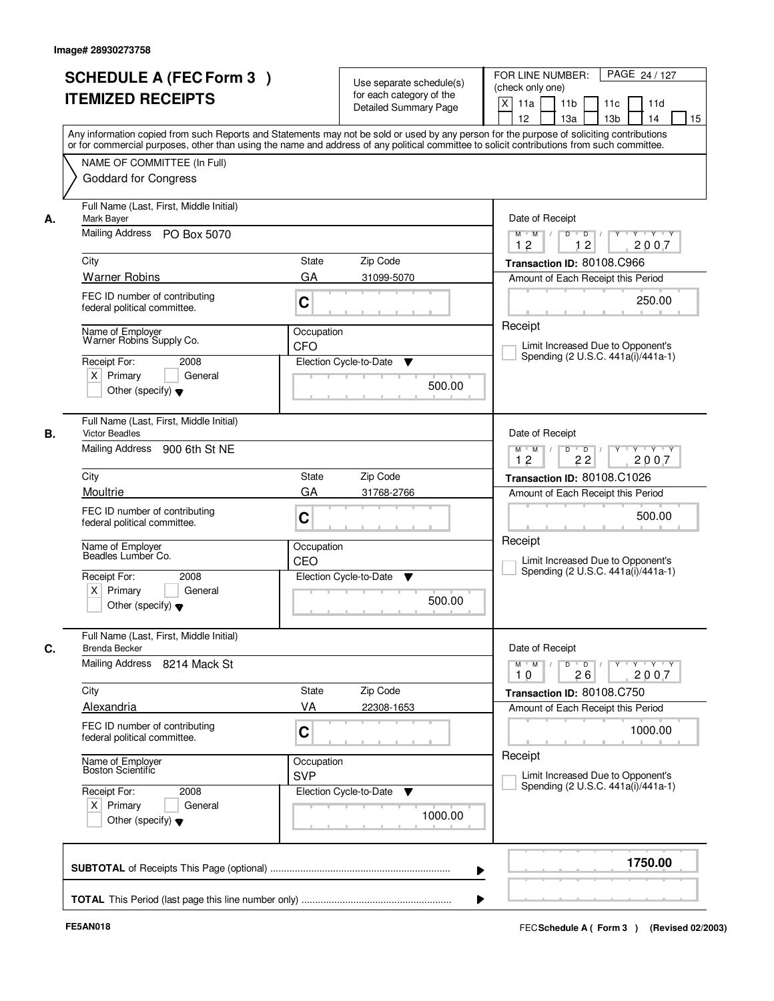|    | <b>SCHEDULE A (FEC Form 3)</b><br><b>ITEMIZED RECEIPTS</b>                                           | Use separate schedule(s)<br>for each category of the<br><b>Detailed Summary Page</b><br>Any information copied from such Reports and Statements may not be sold or used by any person for the purpose of soliciting contributions<br>or for commercial purposes, other than using the name and address of any political committee to solicit contributions from such committee. | PAGE 24 / 127<br>FOR LINE NUMBER:<br>(check only one)<br>$\mathsf{X}$<br>11 <sub>b</sub><br>11a<br>11c<br>11d<br>12<br>13 <sub>b</sub><br>14<br>15<br>13a |
|----|------------------------------------------------------------------------------------------------------|---------------------------------------------------------------------------------------------------------------------------------------------------------------------------------------------------------------------------------------------------------------------------------------------------------------------------------------------------------------------------------|-----------------------------------------------------------------------------------------------------------------------------------------------------------|
|    | NAME OF COMMITTEE (In Full)<br><b>Goddard for Congress</b>                                           |                                                                                                                                                                                                                                                                                                                                                                                 |                                                                                                                                                           |
| А. | Full Name (Last, First, Middle Initial)<br>Mark Bayer<br>Mailing Address PO Box 5070                 |                                                                                                                                                                                                                                                                                                                                                                                 | Date of Receipt<br>$D$ $D$ $/$<br>$Y + Y + Y$<br>$M$ $M$ /<br>Y<br>12<br>12<br>2007                                                                       |
|    | City                                                                                                 | <b>State</b><br>Zip Code                                                                                                                                                                                                                                                                                                                                                        | Transaction ID: 80108.C966                                                                                                                                |
|    | <b>Warner Robins</b>                                                                                 | GA<br>31099-5070                                                                                                                                                                                                                                                                                                                                                                | Amount of Each Receipt this Period                                                                                                                        |
|    | FEC ID number of contributing<br>federal political committee.                                        | C                                                                                                                                                                                                                                                                                                                                                                               | 250.00                                                                                                                                                    |
|    | Name of Employer<br>Warner Robins Supply Co.<br>Receipt For:<br>2008                                 | Occupation<br><b>CFO</b><br>Election Cycle-to-Date<br>▼                                                                                                                                                                                                                                                                                                                         | Receipt<br>Limit Increased Due to Opponent's<br>Spending (2 U.S.C. 441a(i)/441a-1)                                                                        |
|    | $X$ Primary<br>General<br>Other (specify) $\blacktriangledown$                                       | 500.00                                                                                                                                                                                                                                                                                                                                                                          |                                                                                                                                                           |
| В. | Full Name (Last, First, Middle Initial)<br><b>Victor Beadles</b><br>Mailing Address<br>900 6th St NE |                                                                                                                                                                                                                                                                                                                                                                                 | Date of Receipt<br>$Y - Y - Y$<br>$M$ $M$ /<br>D<br>$\blacksquare$ D $\blacksquare$ /                                                                     |
|    |                                                                                                      |                                                                                                                                                                                                                                                                                                                                                                                 | 12<br>22<br>2007                                                                                                                                          |
|    | City                                                                                                 | Zip Code<br><b>State</b>                                                                                                                                                                                                                                                                                                                                                        | Transaction ID: 80108.C1026                                                                                                                               |
|    | Moultrie                                                                                             | GA<br>31768-2766                                                                                                                                                                                                                                                                                                                                                                | Amount of Each Receipt this Period                                                                                                                        |
|    | FEC ID number of contributing<br>federal political committee.                                        | C                                                                                                                                                                                                                                                                                                                                                                               | 500.00                                                                                                                                                    |
|    | Name of Employer<br>Beadles Lumber Co.                                                               | Occupation<br>CEO                                                                                                                                                                                                                                                                                                                                                               | Receipt<br>Limit Increased Due to Opponent's<br>Spending (2 U.S.C. 441a(i)/441a-1)                                                                        |
|    | Receipt For:<br>2008<br>$X$ Primary<br>General<br>Other (specify) $\blacktriangledown$               | Election Cycle-to-Date<br>▼<br>500.00                                                                                                                                                                                                                                                                                                                                           |                                                                                                                                                           |
| C. | Full Name (Last, First, Middle Initial)<br><b>Brenda Becker</b>                                      |                                                                                                                                                                                                                                                                                                                                                                                 | Date of Receipt                                                                                                                                           |
|    | Mailing Address 8214 Mack St                                                                         |                                                                                                                                                                                                                                                                                                                                                                                 | $D$ $D$ $/$<br>$M$ $M$<br>y y y y y y<br>10<br>26<br>2007                                                                                                 |
|    | City                                                                                                 | Zip Code<br>State                                                                                                                                                                                                                                                                                                                                                               | Transaction ID: 80108.C750                                                                                                                                |
|    | <b>Alexandria</b><br>FEC ID number of contributing<br>federal political committee.                   | VA<br>22308-1653<br>C                                                                                                                                                                                                                                                                                                                                                           | Amount of Each Receipt this Period<br>1000.00                                                                                                             |
|    | Name of Employer<br>Boston Scientific                                                                | Occupation<br><b>SVP</b>                                                                                                                                                                                                                                                                                                                                                        | Receipt<br>Limit Increased Due to Opponent's                                                                                                              |
|    | Receipt For:<br>2008<br>$X$ Primary<br>General<br>Other (specify) $\blacktriangledown$               | Election Cycle-to-Date<br>v<br>1000.00                                                                                                                                                                                                                                                                                                                                          | Spending (2 U.S.C. 441a(i)/441a-1)                                                                                                                        |
|    |                                                                                                      | ▶                                                                                                                                                                                                                                                                                                                                                                               | 1750.00                                                                                                                                                   |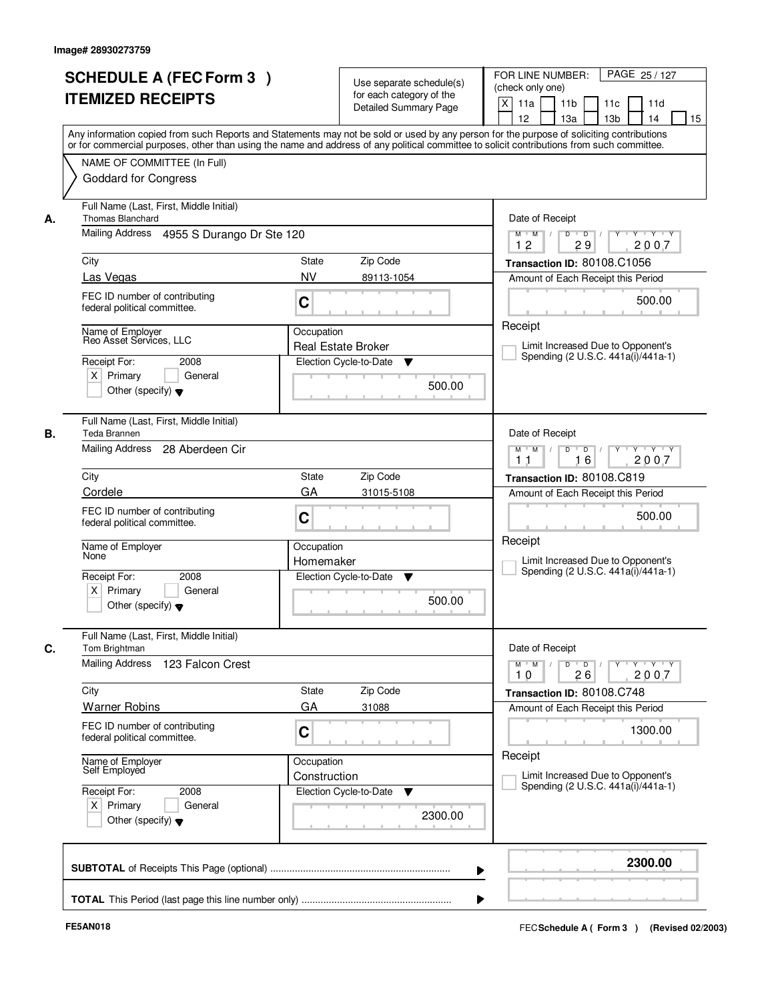|    | <b>SCHEDULE A (FEC Form 3)</b><br><b>ITEMIZED RECEIPTS</b>                                                      | Use separate schedule(s)<br>for each category of the<br><b>Detailed Summary Page</b> | PAGE 25 / 127<br>FOR LINE NUMBER:<br>(check only one)<br>$\mathsf{X}$<br>11 <sub>b</sub><br>11a<br>11c<br>11d<br>12<br>13 <sub>b</sub><br>14<br>13a<br>15<br>Any information copied from such Reports and Statements may not be sold or used by any person for the purpose of soliciting contributions<br>or for commercial purposes, other than using the name and address of any political committee to solicit contributions from such committee. |
|----|-----------------------------------------------------------------------------------------------------------------|--------------------------------------------------------------------------------------|------------------------------------------------------------------------------------------------------------------------------------------------------------------------------------------------------------------------------------------------------------------------------------------------------------------------------------------------------------------------------------------------------------------------------------------------------|
|    | NAME OF COMMITTEE (In Full)<br><b>Goddard for Congress</b>                                                      |                                                                                      |                                                                                                                                                                                                                                                                                                                                                                                                                                                      |
| А. | Full Name (Last, First, Middle Initial)<br><b>Thomas Blanchard</b><br>Mailing Address 4955 S Durango Dr Ste 120 |                                                                                      | Date of Receipt<br>$Y - Y - Y$<br>$D$ $D$ $1$<br>Y<br>$M$ $M$ /                                                                                                                                                                                                                                                                                                                                                                                      |
|    |                                                                                                                 |                                                                                      | 12<br>29<br>2007                                                                                                                                                                                                                                                                                                                                                                                                                                     |
|    | City                                                                                                            | State<br>Zip Code                                                                    | Transaction ID: 80108.C1056                                                                                                                                                                                                                                                                                                                                                                                                                          |
|    | Las Vegas                                                                                                       | <b>NV</b><br>89113-1054                                                              | Amount of Each Receipt this Period                                                                                                                                                                                                                                                                                                                                                                                                                   |
|    | FEC ID number of contributing<br>federal political committee.                                                   | C                                                                                    | 500.00                                                                                                                                                                                                                                                                                                                                                                                                                                               |
|    | Name of Employer<br>Reo Asset Services, LLC                                                                     | Occupation                                                                           | Receipt                                                                                                                                                                                                                                                                                                                                                                                                                                              |
|    | 2008                                                                                                            | <b>Real Estate Broker</b><br>Election Cycle-to-Date                                  | Limit Increased Due to Opponent's<br>Spending (2 U.S.C. 441a(i)/441a-1)                                                                                                                                                                                                                                                                                                                                                                              |
|    | Receipt For:<br>$X$ Primary<br>General<br>Other (specify) $\blacktriangledown$                                  | ▼<br>500.00                                                                          |                                                                                                                                                                                                                                                                                                                                                                                                                                                      |
| В. | Full Name (Last, First, Middle Initial)<br>Teda Brannen                                                         |                                                                                      | Date of Receipt                                                                                                                                                                                                                                                                                                                                                                                                                                      |
|    | Mailing Address<br>28 Aberdeen Cir                                                                              |                                                                                      | $Y - Y - Y$<br>$M$ $M$ /<br>D<br>$\Box$ D $\Box$<br>16<br>2007<br>11                                                                                                                                                                                                                                                                                                                                                                                 |
|    | City                                                                                                            | Zip Code<br><b>State</b>                                                             | Transaction ID: 80108.C819                                                                                                                                                                                                                                                                                                                                                                                                                           |
|    | Cordele                                                                                                         | GA<br>31015-5108                                                                     | Amount of Each Receipt this Period                                                                                                                                                                                                                                                                                                                                                                                                                   |
|    | FEC ID number of contributing<br>federal political committee.                                                   | C                                                                                    | 500.00                                                                                                                                                                                                                                                                                                                                                                                                                                               |
|    | Name of Employer<br>None                                                                                        | Occupation<br>Homemaker                                                              | Receipt<br>Limit Increased Due to Opponent's                                                                                                                                                                                                                                                                                                                                                                                                         |
|    | Receipt For:<br>2008<br>$X$ Primary<br>General<br>Other (specify) $\blacktriangledown$                          | Election Cycle-to-Date<br>v<br>500.00                                                | Spending (2 U.S.C. 441a(i)/441a-1)                                                                                                                                                                                                                                                                                                                                                                                                                   |
| C. | Full Name (Last, First, Middle Initial)<br>Tom Brightman                                                        |                                                                                      | Date of Receipt                                                                                                                                                                                                                                                                                                                                                                                                                                      |
|    | <b>Mailing Address</b><br>123 Falcon Crest                                                                      |                                                                                      | $M$ $M$<br>$D$ $D$ $/$<br>y y y y y y<br>10<br>26<br>2007                                                                                                                                                                                                                                                                                                                                                                                            |
|    | City                                                                                                            | Zip Code<br>State                                                                    | Transaction ID: 80108.C748                                                                                                                                                                                                                                                                                                                                                                                                                           |
|    | <b>Warner Robins</b>                                                                                            | GA<br>31088                                                                          | Amount of Each Receipt this Period                                                                                                                                                                                                                                                                                                                                                                                                                   |
|    | FEC ID number of contributing<br>federal political committee.                                                   | C                                                                                    | 1300.00                                                                                                                                                                                                                                                                                                                                                                                                                                              |
|    | Name of Employer<br>Self Employed                                                                               | Occupation<br>Construction                                                           | Receipt<br>Limit Increased Due to Opponent's                                                                                                                                                                                                                                                                                                                                                                                                         |
|    | Receipt For:<br>2008<br>$X$ Primary<br>General<br>Other (specify) $\blacktriangledown$                          | Election Cycle-to-Date<br>v<br>2300.00                                               | Spending (2 U.S.C. 441a(i)/441a-1)                                                                                                                                                                                                                                                                                                                                                                                                                   |
|    |                                                                                                                 |                                                                                      | 2300.00                                                                                                                                                                                                                                                                                                                                                                                                                                              |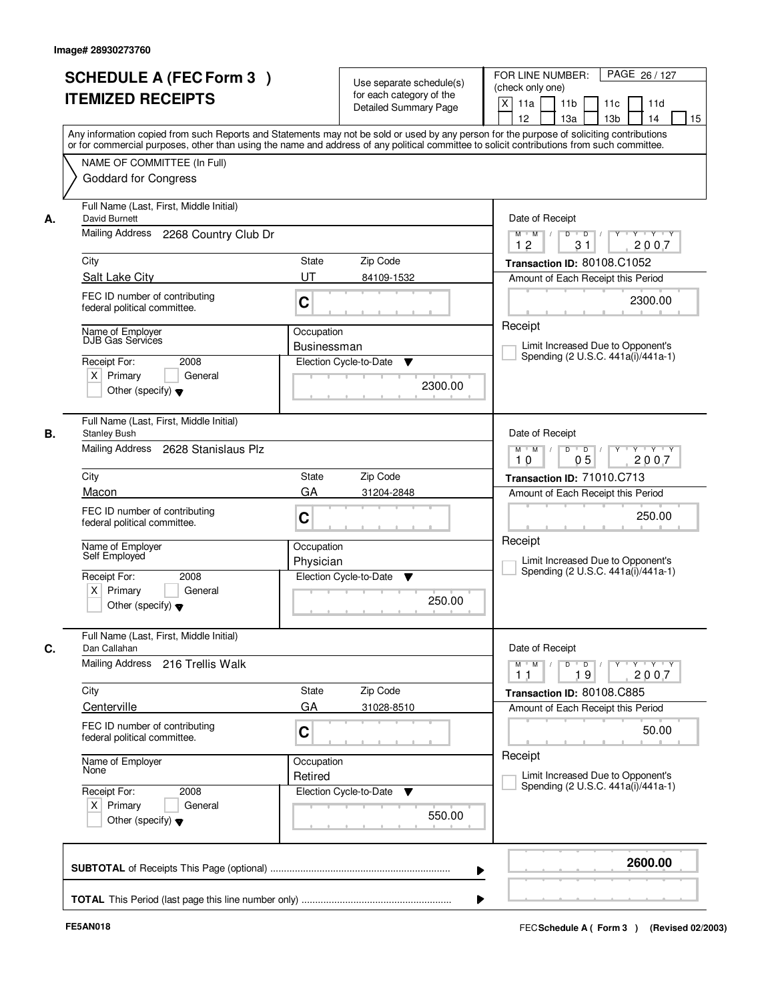|    | <b>SCHEDULE A (FEC Form 3)</b><br><b>ITEMIZED RECEIPTS</b><br>Any information copied from such Reports and Statements may not be sold or used by any person for the purpose of soliciting contributions  |                         | Use separate schedule(s)<br>for each category of the<br><b>Detailed Summary Page</b> | PAGE 26 / 127<br>FOR LINE NUMBER:<br>(check only one)<br>$\mathsf{X}$<br>11a<br>11 <sub>b</sub><br>11c<br>11d<br>12<br>15<br>13a<br>13 <sub>b</sub><br>14 |
|----|----------------------------------------------------------------------------------------------------------------------------------------------------------------------------------------------------------|-------------------------|--------------------------------------------------------------------------------------|-----------------------------------------------------------------------------------------------------------------------------------------------------------|
|    | or for commercial purposes, other than using the name and address of any political committee to solicit contributions from such committee.<br>NAME OF COMMITTEE (In Full)<br><b>Goddard for Congress</b> |                         |                                                                                      |                                                                                                                                                           |
| А. | Full Name (Last, First, Middle Initial)<br>David Burnett<br>Mailing Address 2268 Country Club Dr                                                                                                         |                         |                                                                                      | Date of Receipt<br>$Y - Y - Y$<br>$D$ $D$ $I$<br>Y<br>$M$ $M$ /                                                                                           |
|    |                                                                                                                                                                                                          |                         |                                                                                      | 12<br>31<br>2007                                                                                                                                          |
|    | City                                                                                                                                                                                                     | State                   | Zip Code                                                                             | Transaction ID: 80108.C1052                                                                                                                               |
|    | Salt Lake City                                                                                                                                                                                           | UT                      | 84109-1532                                                                           | Amount of Each Receipt this Period                                                                                                                        |
|    | FEC ID number of contributing<br>federal political committee.                                                                                                                                            | C                       |                                                                                      | 2300.00                                                                                                                                                   |
|    | Name of Employer                                                                                                                                                                                         | Occupation              |                                                                                      | Receipt                                                                                                                                                   |
|    | DJB Gas Services                                                                                                                                                                                         | <b>Businessman</b>      |                                                                                      | Limit Increased Due to Opponent's<br>Spending (2 U.S.C. 441a(i)/441a-1)                                                                                   |
|    | Receipt For:<br>2008                                                                                                                                                                                     | Election Cycle-to-Date  | ▼                                                                                    |                                                                                                                                                           |
|    | $X$ Primary<br>General<br>Other (specify) $\blacktriangledown$                                                                                                                                           |                         | 2300.00                                                                              |                                                                                                                                                           |
| В. | Full Name (Last, First, Middle Initial)<br><b>Stanley Bush</b>                                                                                                                                           |                         |                                                                                      | Date of Receipt                                                                                                                                           |
|    | Mailing Address<br>2628 Stanislaus Plz                                                                                                                                                                   |                         |                                                                                      | $Y - Y - Y$<br>$M$ $M$ /<br>D<br>$\overline{D}$<br>05<br>2007<br>10                                                                                       |
|    | City                                                                                                                                                                                                     | <b>State</b>            | Zip Code                                                                             | Transaction ID: 71010.C713                                                                                                                                |
|    | Macon                                                                                                                                                                                                    | GA                      | 31204-2848                                                                           | Amount of Each Receipt this Period                                                                                                                        |
|    | FEC ID number of contributing<br>federal political committee.                                                                                                                                            | C                       |                                                                                      | 250.00                                                                                                                                                    |
|    | Name of Employer<br>Self Employed                                                                                                                                                                        | Occupation<br>Physician |                                                                                      | Receipt<br>Limit Increased Due to Opponent's<br>Spending (2 U.S.C. 441a(i)/441a-1)                                                                        |
|    | Receipt For:<br>2008<br>$X$ Primary<br>General<br>Other (specify) $\blacktriangledown$                                                                                                                   | Election Cycle-to-Date  | v<br>250.00                                                                          |                                                                                                                                                           |
| C. | Full Name (Last, First, Middle Initial)<br>Dan Callahan                                                                                                                                                  |                         |                                                                                      | Date of Receipt                                                                                                                                           |
|    | Mailing Address 216 Trellis Walk                                                                                                                                                                         |                         |                                                                                      | $D$ $D$ $/$<br>$M$ $M$<br>19<br>2007<br>11                                                                                                                |
|    | City                                                                                                                                                                                                     | State                   | Zip Code                                                                             | Transaction ID: 80108.C885                                                                                                                                |
|    | Centerville                                                                                                                                                                                              | GA                      | 31028-8510                                                                           | Amount of Each Receipt this Period                                                                                                                        |
|    | FEC ID number of contributing<br>federal political committee.                                                                                                                                            | C                       |                                                                                      | 50.00                                                                                                                                                     |
|    | Name of Employer<br>None                                                                                                                                                                                 | Occupation<br>Retired   |                                                                                      | Receipt<br>Limit Increased Due to Opponent's                                                                                                              |
|    | Receipt For:<br>2008<br>$X$ Primary<br>General<br>Other (specify) $\blacktriangledown$                                                                                                                   | Election Cycle-to-Date  | $\overline{\mathbf{v}}$<br>550.00                                                    | Spending (2 U.S.C. 441a(i)/441a-1)                                                                                                                        |
|    |                                                                                                                                                                                                          |                         |                                                                                      | 2600.00                                                                                                                                                   |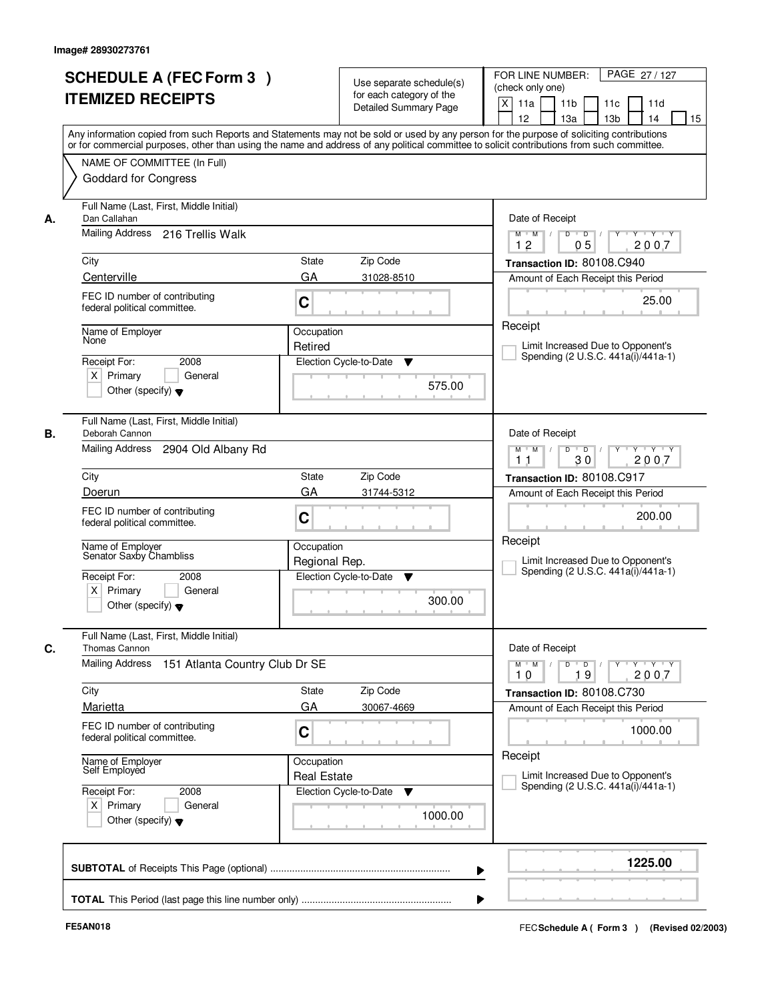|      | <b>SCHEDULE A (FEC Form 3)</b><br><b>ITEMIZED RECEIPTS</b>                                                                                                                                               |                                  | Use separate schedule(s)<br>for each category of the<br><b>Detailed Summary Page</b> | PAGE 27 / 127<br>FOR LINE NUMBER:<br>(check only one)<br>X<br>11 <sub>b</sub><br>11a<br>11 <sub>c</sub><br>11d<br>12<br>13 <sub>b</sub><br>14<br>13a<br>15<br>Any information copied from such Reports and Statements may not be sold or used by any person for the purpose of soliciting contributions |
|------|----------------------------------------------------------------------------------------------------------------------------------------------------------------------------------------------------------|----------------------------------|--------------------------------------------------------------------------------------|---------------------------------------------------------------------------------------------------------------------------------------------------------------------------------------------------------------------------------------------------------------------------------------------------------|
|      | or for commercial purposes, other than using the name and address of any political committee to solicit contributions from such committee.<br>NAME OF COMMITTEE (In Full)<br><b>Goddard for Congress</b> |                                  |                                                                                      |                                                                                                                                                                                                                                                                                                         |
| А.   | Full Name (Last, First, Middle Initial)<br>Dan Callahan<br>Mailing Address 216 Trellis Walk                                                                                                              |                                  |                                                                                      | Date of Receipt<br>$D$ $D$<br>$Y$ <sup>U</sup><br>$Y - Y - Y - Y$<br>$M$ $M$ /<br>$\prime$                                                                                                                                                                                                              |
| City | Centerville                                                                                                                                                                                              | <b>State</b><br>GA               | Zip Code<br>31028-8510                                                               | 12<br>05<br>2007<br>Transaction ID: 80108.C940<br>Amount of Each Receipt this Period                                                                                                                                                                                                                    |
|      | FEC ID number of contributing<br>federal political committee.                                                                                                                                            | C                                |                                                                                      | 25.00                                                                                                                                                                                                                                                                                                   |
| None | Name of Employer<br>Receipt For:<br>2008<br>$X$ Primary<br>General<br>Other (specify) $\blacktriangledown$                                                                                               | Occupation<br>Retired            | Election Cycle-to-Date<br>▼<br>575.00                                                | Receipt<br>Limit Increased Due to Opponent's<br>Spending (2 U.S.C. 441a(i)/441a-1)                                                                                                                                                                                                                      |
| В.   | Full Name (Last, First, Middle Initial)<br>Deborah Cannon<br>Mailing Address<br>2904 Old Albany Rd                                                                                                       |                                  |                                                                                      | Date of Receipt<br>$Y \vdash Y \vdash Y$<br>$M$ $M$ /<br>D<br>$\overline{D}$<br>30<br>2007<br>11                                                                                                                                                                                                        |
| City |                                                                                                                                                                                                          | State                            | Zip Code                                                                             | Transaction ID: 80108.C917                                                                                                                                                                                                                                                                              |
|      | Doerun<br>FEC ID number of contributing<br>federal political committee.                                                                                                                                  | GA<br>C                          | 31744-5312                                                                           | Amount of Each Receipt this Period<br>200.00                                                                                                                                                                                                                                                            |
|      | Name of Employer<br>Senator Saxby Chambliss<br>Receipt For:<br>2008<br>$X$ Primary<br>General<br>Other (specify) $\blacktriangledown$                                                                    | Occupation<br>Regional Rep.      | Election Cycle-to-Date<br>▼<br>300.00                                                | Receipt<br>Limit Increased Due to Opponent's<br>Spending (2 U.S.C. 441a(i)/441a-1)                                                                                                                                                                                                                      |
| C.   | Full Name (Last, First, Middle Initial)<br>Thomas Cannon                                                                                                                                                 |                                  |                                                                                      | Date of Receipt                                                                                                                                                                                                                                                                                         |
|      | <b>Mailing Address</b><br>151 Atlanta Country Club Dr SE                                                                                                                                                 |                                  |                                                                                      | $M$ $M$<br>$D$ $D$ $l$<br>y y y y y<br>10<br>19<br>2007                                                                                                                                                                                                                                                 |
| City | Marietta                                                                                                                                                                                                 | State<br>GA                      | Zip Code<br>30067-4669                                                               | Transaction ID: 80108.C730<br>Amount of Each Receipt this Period                                                                                                                                                                                                                                        |
|      | FEC ID number of contributing<br>federal political committee.                                                                                                                                            | C                                |                                                                                      | 1000.00                                                                                                                                                                                                                                                                                                 |
|      | Name of Employer<br>Self Employed                                                                                                                                                                        | Occupation<br><b>Real Estate</b> |                                                                                      | Receipt<br>Limit Increased Due to Opponent's<br>Spending (2 U.S.C. 441a(i)/441a-1)                                                                                                                                                                                                                      |
|      | Receipt For:<br>2008<br>$X$ Primary<br>General<br>Other (specify) $\blacktriangledown$                                                                                                                   |                                  | Election Cycle-to-Date<br>v<br>1000.00                                               |                                                                                                                                                                                                                                                                                                         |
|      |                                                                                                                                                                                                          |                                  |                                                                                      | 1225.00                                                                                                                                                                                                                                                                                                 |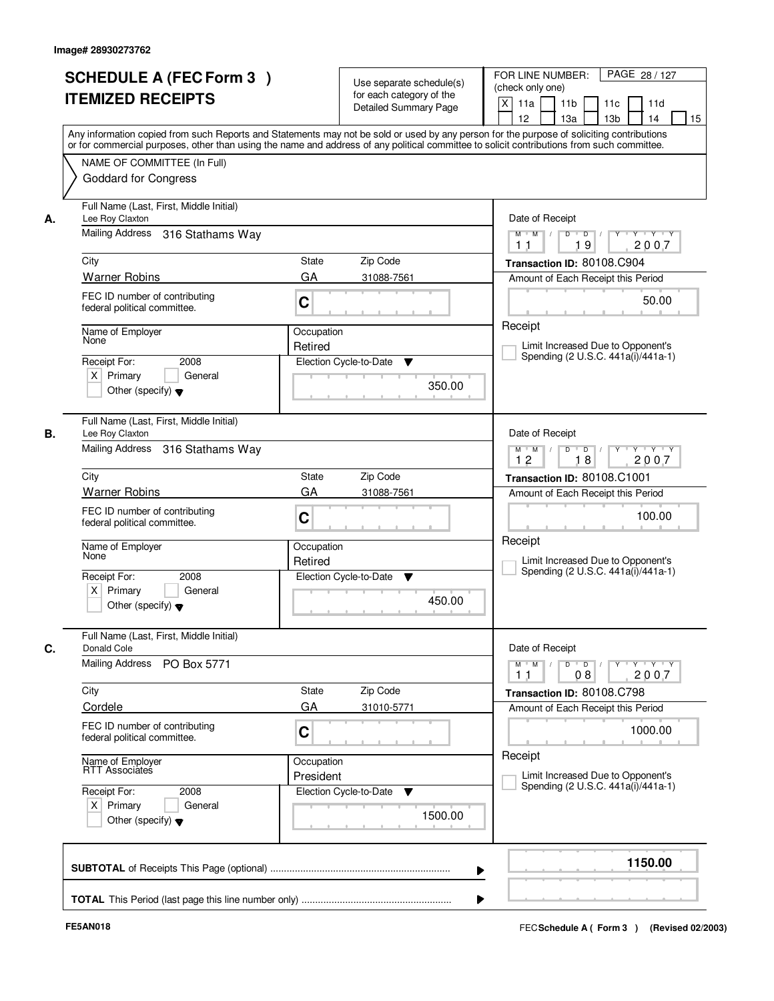|                                          | <b>SCHEDULE A (FEC Form 3)</b><br><b>ITEMIZED RECEIPTS</b>                  |                         | Use separate schedule(s)<br>for each category of the<br><b>Detailed Summary Page</b> | PAGE 28 / 127<br>FOR LINE NUMBER:<br>(check only one)<br>$\mathsf{X}$<br>11 <sub>b</sub><br>11a<br>11c<br>11d<br>12<br>13 <sub>b</sub><br>14<br>13a<br>15<br>Any information copied from such Reports and Statements may not be sold or used by any person for the purpose of soliciting contributions<br>or for commercial purposes, other than using the name and address of any political committee to solicit contributions from such committee. |
|------------------------------------------|-----------------------------------------------------------------------------|-------------------------|--------------------------------------------------------------------------------------|------------------------------------------------------------------------------------------------------------------------------------------------------------------------------------------------------------------------------------------------------------------------------------------------------------------------------------------------------------------------------------------------------------------------------------------------------|
|                                          | NAME OF COMMITTEE (In Full)<br><b>Goddard for Congress</b>                  |                         |                                                                                      |                                                                                                                                                                                                                                                                                                                                                                                                                                                      |
| Lee Roy Claxton<br>А.                    | Full Name (Last, First, Middle Initial)<br>Mailing Address 316 Stathams Way |                         |                                                                                      | Date of Receipt<br>$D$ $D$ $/$<br>$Y - Y - Y$<br>$M$ $M$ /<br>$Y^+$                                                                                                                                                                                                                                                                                                                                                                                  |
|                                          |                                                                             |                         |                                                                                      | 19<br>2007<br>11                                                                                                                                                                                                                                                                                                                                                                                                                                     |
| City                                     |                                                                             | <b>State</b>            | Zip Code                                                                             | Transaction ID: 80108.C904                                                                                                                                                                                                                                                                                                                                                                                                                           |
| <b>Warner Robins</b>                     | FEC ID number of contributing<br>federal political committee.               | GA<br>C                 | 31088-7561                                                                           | Amount of Each Receipt this Period<br>50.00                                                                                                                                                                                                                                                                                                                                                                                                          |
| Name of Employer<br>None<br>Receipt For: | 2008                                                                        | Occupation<br>Retired   | Election Cycle-to-Date<br>▼                                                          | Receipt<br>Limit Increased Due to Opponent's<br>Spending (2 U.S.C. 441a(i)/441a-1)                                                                                                                                                                                                                                                                                                                                                                   |
| $X$ Primary                              | General<br>Other (specify) $\blacktriangledown$                             |                         | 350.00                                                                               |                                                                                                                                                                                                                                                                                                                                                                                                                                                      |
| В.<br>Lee Roy Claxton                    | Full Name (Last, First, Middle Initial)<br>Mailing Address 316 Stathams Way |                         |                                                                                      | Date of Receipt<br>D<br>Y<br>$Y - Y - Y$<br>$M$ $M$ /<br>$\overline{D}$ /                                                                                                                                                                                                                                                                                                                                                                            |
|                                          |                                                                             |                         |                                                                                      | 12<br>18<br>2007                                                                                                                                                                                                                                                                                                                                                                                                                                     |
| City<br><b>Warner Robins</b>             |                                                                             | <b>State</b><br>GA      | Zip Code<br>31088-7561                                                               | Transaction ID: 80108.C1001                                                                                                                                                                                                                                                                                                                                                                                                                          |
|                                          | FEC ID number of contributing<br>federal political committee.               | C                       |                                                                                      | Amount of Each Receipt this Period<br>100.00                                                                                                                                                                                                                                                                                                                                                                                                         |
| Name of Employer<br>None                 |                                                                             | Occupation<br>Retired   |                                                                                      | Receipt<br>Limit Increased Due to Opponent's                                                                                                                                                                                                                                                                                                                                                                                                         |
| Receipt For:<br>$X$ Primary              | 2008<br>General<br>Other (specify) $\blacktriangledown$                     |                         | Election Cycle-to-Date<br>v<br>450.00                                                | Spending (2 U.S.C. 441a(i)/441a-1)                                                                                                                                                                                                                                                                                                                                                                                                                   |
| C.<br><b>Donald Cole</b>                 | Full Name (Last, First, Middle Initial)                                     |                         |                                                                                      | Date of Receipt                                                                                                                                                                                                                                                                                                                                                                                                                                      |
| Mailing Address                          | PO Box 5771                                                                 |                         |                                                                                      | $D$ $D$ $/$<br>$\mathsf{Y} \dashv \mathsf{Y} \dashv \mathsf{Y} \dashv \mathsf{Y}$<br>$M$ $M$<br>08<br>2007<br>11                                                                                                                                                                                                                                                                                                                                     |
| City                                     |                                                                             | State                   | Zip Code                                                                             | Transaction ID: 80108.C798                                                                                                                                                                                                                                                                                                                                                                                                                           |
| Cordele                                  | FEC ID number of contributing<br>federal political committee.               | GA<br>C                 | 31010-5771                                                                           | Amount of Each Receipt this Period<br>1000.00                                                                                                                                                                                                                                                                                                                                                                                                        |
| Name of Employer<br>RTT Associates       |                                                                             | Occupation<br>President |                                                                                      | Receipt<br>Limit Increased Due to Opponent's                                                                                                                                                                                                                                                                                                                                                                                                         |
| Receipt For:<br>$X$ Primary              | 2008<br>General<br>Other (specify) $\blacktriangledown$                     |                         | Election Cycle-to-Date<br>v<br>1500.00                                               | Spending (2 U.S.C. 441a(i)/441a-1)                                                                                                                                                                                                                                                                                                                                                                                                                   |
|                                          |                                                                             |                         |                                                                                      | 1150.00<br>▶                                                                                                                                                                                                                                                                                                                                                                                                                                         |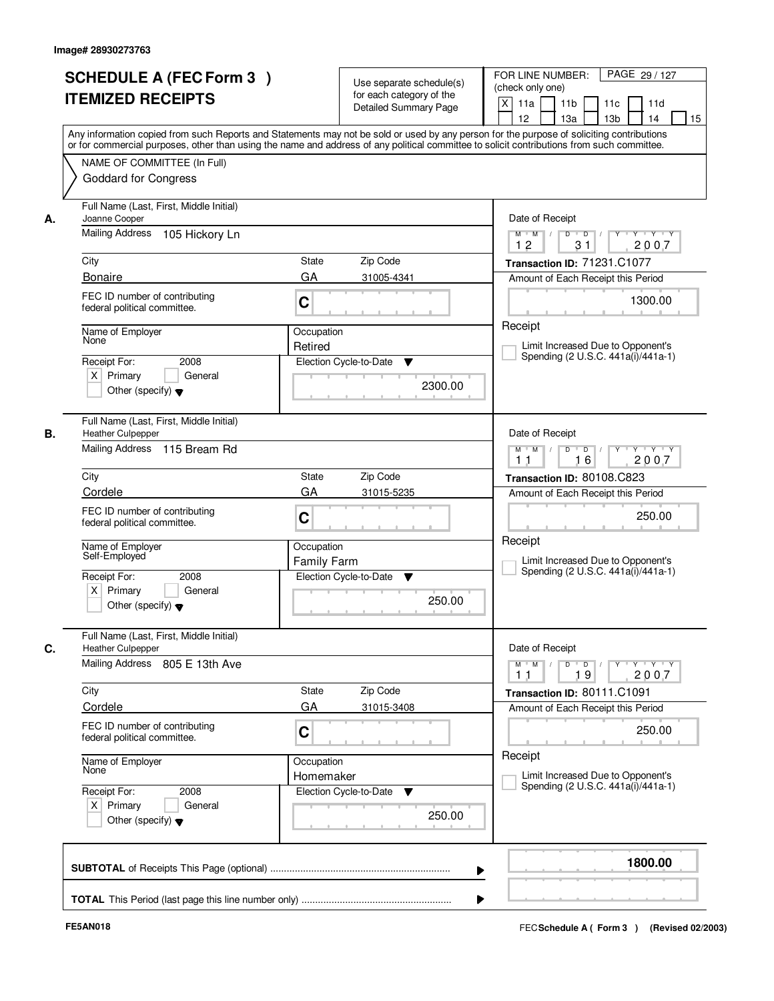|    | <b>SCHEDULE A (FEC Form 3)</b><br><b>ITEMIZED RECEIPTS</b>                                 | Use separate schedule(s)<br>for each category of the<br><b>Detailed Summary Page</b><br>Any information copied from such Reports and Statements may not be sold or used by any person for the purpose of soliciting contributions<br>or for commercial purposes, other than using the name and address of any political committee to solicit contributions from such committee. | PAGE 29 / 127<br>FOR LINE NUMBER:<br>(check only one)<br>$\mathsf{X}$<br>11 <sub>b</sub><br>11a<br>11c<br>11d<br>12<br>13 <sub>b</sub><br>14<br>15<br>13a |
|----|--------------------------------------------------------------------------------------------|---------------------------------------------------------------------------------------------------------------------------------------------------------------------------------------------------------------------------------------------------------------------------------------------------------------------------------------------------------------------------------|-----------------------------------------------------------------------------------------------------------------------------------------------------------|
|    | NAME OF COMMITTEE (In Full)<br><b>Goddard for Congress</b>                                 |                                                                                                                                                                                                                                                                                                                                                                                 |                                                                                                                                                           |
| А. | Full Name (Last, First, Middle Initial)<br>Joanne Cooper<br>Mailing Address 105 Hickory Ln |                                                                                                                                                                                                                                                                                                                                                                                 | Date of Receipt<br>$Y - Y - Y$<br>$M$ $M$ /<br>$D$ $D$ $1$<br>Y<br>12<br>31<br>2007                                                                       |
|    | City                                                                                       | <b>State</b><br>Zip Code                                                                                                                                                                                                                                                                                                                                                        | Transaction ID: 71231.C1077                                                                                                                               |
|    | <b>Bonaire</b>                                                                             | GA<br>31005-4341                                                                                                                                                                                                                                                                                                                                                                | Amount of Each Receipt this Period                                                                                                                        |
|    | FEC ID number of contributing<br>federal political committee.                              | C                                                                                                                                                                                                                                                                                                                                                                               | 1300.00                                                                                                                                                   |
|    | Name of Employer<br>None                                                                   | Occupation                                                                                                                                                                                                                                                                                                                                                                      | Receipt                                                                                                                                                   |
|    |                                                                                            | Retired                                                                                                                                                                                                                                                                                                                                                                         | Limit Increased Due to Opponent's<br>Spending (2 U.S.C. 441a(i)/441a-1)                                                                                   |
|    | Receipt For:<br>2008<br>$X$ Primary<br>General<br>Other (specify) $\blacktriangledown$     | Election Cycle-to-Date<br>▼<br>2300.00                                                                                                                                                                                                                                                                                                                                          |                                                                                                                                                           |
| В. | Full Name (Last, First, Middle Initial)<br><b>Heather Culpepper</b>                        |                                                                                                                                                                                                                                                                                                                                                                                 | Date of Receipt                                                                                                                                           |
|    | Mailing Address 115 Bream Rd                                                               |                                                                                                                                                                                                                                                                                                                                                                                 | $Y - Y - Y$<br>$M$ $M$ /<br>D<br>$\Box$ D $\Box$<br>16<br>2007<br>11                                                                                      |
|    | City                                                                                       | Zip Code<br><b>State</b>                                                                                                                                                                                                                                                                                                                                                        | Transaction ID: 80108.C823                                                                                                                                |
|    | Cordele                                                                                    | GA<br>31015-5235                                                                                                                                                                                                                                                                                                                                                                | Amount of Each Receipt this Period                                                                                                                        |
|    | FEC ID number of contributing<br>federal political committee.                              | C                                                                                                                                                                                                                                                                                                                                                                               | 250.00                                                                                                                                                    |
|    | Name of Employer<br>Self-Employed                                                          | Occupation<br><b>Family Farm</b>                                                                                                                                                                                                                                                                                                                                                | Receipt<br>Limit Increased Due to Opponent's<br>Spending (2 U.S.C. 441a(i)/441a-1)                                                                        |
|    | Receipt For:<br>2008<br>$X$ Primary<br>General<br>Other (specify) $\blacktriangledown$     | Election Cycle-to-Date<br>v<br>250.00                                                                                                                                                                                                                                                                                                                                           |                                                                                                                                                           |
| C. | Full Name (Last, First, Middle Initial)<br><b>Heather Culpepper</b>                        |                                                                                                                                                                                                                                                                                                                                                                                 | Date of Receipt                                                                                                                                           |
|    | Mailing Address 805 E 13th Ave                                                             |                                                                                                                                                                                                                                                                                                                                                                                 | $D$ $D$ $/$<br>$M$ $M$<br>19<br>2007<br>11                                                                                                                |
|    | City                                                                                       | Zip Code<br>State                                                                                                                                                                                                                                                                                                                                                               | Transaction ID: 80111.C1091                                                                                                                               |
|    | Cordele                                                                                    | GA<br>31015-3408                                                                                                                                                                                                                                                                                                                                                                | Amount of Each Receipt this Period                                                                                                                        |
|    | FEC ID number of contributing<br>federal political committee.                              | C                                                                                                                                                                                                                                                                                                                                                                               | 250.00                                                                                                                                                    |
|    | Name of Employer<br>None                                                                   | Occupation<br>Homemaker                                                                                                                                                                                                                                                                                                                                                         | Receipt<br>Limit Increased Due to Opponent's                                                                                                              |
|    | Receipt For:<br>2008<br>$X$ Primary<br>General<br>Other (specify) $\blacktriangledown$     | Election Cycle-to-Date<br>▼<br>250.00                                                                                                                                                                                                                                                                                                                                           | Spending (2 U.S.C. 441a(i)/441a-1)                                                                                                                        |
|    |                                                                                            | ▶                                                                                                                                                                                                                                                                                                                                                                               | 1800.00                                                                                                                                                   |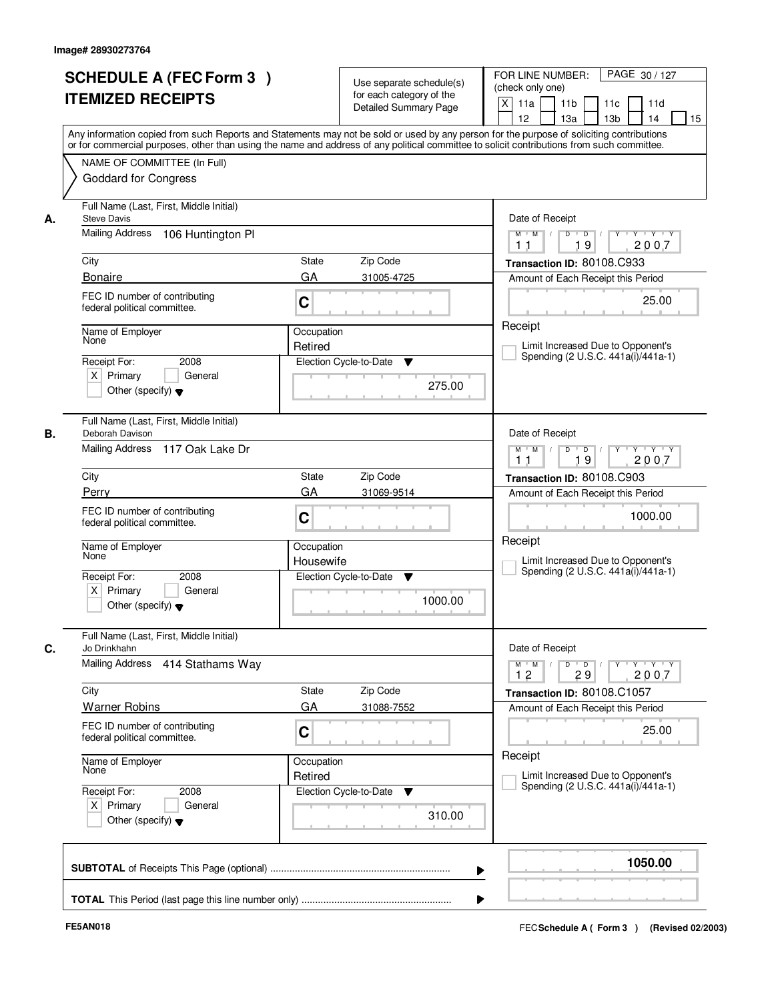| <b>SCHEDULE A (FEC Form 3)</b><br><b>ITEMIZED RECEIPTS</b>                                               |                                  | Use separate schedule(s)<br>for each category of the<br><b>Detailed Summary Page</b> | PAGE 30 / 127<br>FOR LINE NUMBER:<br>(check only one)<br>$\mathsf{X}$<br>11 <sub>b</sub><br>11a<br>11c<br>11d<br>12<br>13 <sub>b</sub><br>14<br>13a<br>15<br>Any information copied from such Reports and Statements may not be sold or used by any person for the purpose of soliciting contributions<br>or for commercial purposes, other than using the name and address of any political committee to solicit contributions from such committee. |
|----------------------------------------------------------------------------------------------------------|----------------------------------|--------------------------------------------------------------------------------------|------------------------------------------------------------------------------------------------------------------------------------------------------------------------------------------------------------------------------------------------------------------------------------------------------------------------------------------------------------------------------------------------------------------------------------------------------|
| NAME OF COMMITTEE (In Full)<br><b>Goddard for Congress</b>                                               |                                  |                                                                                      |                                                                                                                                                                                                                                                                                                                                                                                                                                                      |
| Full Name (Last, First, Middle Initial)<br><b>Steve Davis</b><br>А.<br>Mailing Address 106 Huntington PI |                                  |                                                                                      | Date of Receipt<br>$D$ $D$ $/$<br>$\overline{Y}$<br>$Y$ $Y$ $Y$<br>$M$ $M$ /                                                                                                                                                                                                                                                                                                                                                                         |
| City                                                                                                     | State                            | Zip Code                                                                             | 19<br>2007<br>11<br>Transaction ID: 80108.C933                                                                                                                                                                                                                                                                                                                                                                                                       |
| <b>Bonaire</b><br>FEC ID number of contributing<br>federal political committee.                          | GA<br>C                          | 31005-4725                                                                           | Amount of Each Receipt this Period<br>25.00                                                                                                                                                                                                                                                                                                                                                                                                          |
| Name of Employer<br>None<br>2008<br>Receipt For:<br>$X$ Primary<br>Other (specify) $\blacktriangledown$  | Occupation<br>Retired<br>General | Election Cycle-to-Date<br>▼<br>275.00                                                | Receipt<br>Limit Increased Due to Opponent's<br>Spending (2 U.S.C. 441a(i)/441a-1)                                                                                                                                                                                                                                                                                                                                                                   |
| Full Name (Last, First, Middle Initial)<br>В.<br>Deborah Davison<br>Mailing Address 117 Oak Lake Dr      |                                  |                                                                                      | Date of Receipt<br>D<br>Y<br>$Y - Y - Y$<br>$M$ $M$ /<br>$\blacksquare$ D $\blacksquare$ /<br>19<br>2007<br>11                                                                                                                                                                                                                                                                                                                                       |
| City                                                                                                     | <b>State</b>                     | Zip Code                                                                             | Transaction ID: 80108.C903                                                                                                                                                                                                                                                                                                                                                                                                                           |
| Perry<br>FEC ID number of contributing<br>federal political committee.                                   | GA<br>C                          | 31069-9514                                                                           | Amount of Each Receipt this Period<br>1000.00                                                                                                                                                                                                                                                                                                                                                                                                        |
| Name of Employer<br>None                                                                                 | Occupation<br>Housewife          |                                                                                      | Receipt<br>Limit Increased Due to Opponent's                                                                                                                                                                                                                                                                                                                                                                                                         |
| Receipt For:<br>2008<br>$X$ Primary<br>Other (specify) $\blacktriangledown$                              | General                          | Election Cycle-to-Date<br>▼<br>1000.00                                               | Spending (2 U.S.C. 441a(i)/441a-1)                                                                                                                                                                                                                                                                                                                                                                                                                   |
| Full Name (Last, First, Middle Initial)<br>Jo Drinkhahn                                                  |                                  |                                                                                      | Date of Receipt                                                                                                                                                                                                                                                                                                                                                                                                                                      |
| Mailing Address 414 Stathams Way                                                                         |                                  |                                                                                      | $\mathsf{Y} \dashv \mathsf{Y} \dashv \mathsf{Y} \dashv \mathsf{Y}$<br>$M = M$<br>$D$ $D$ $/$<br>12<br>29<br>2007                                                                                                                                                                                                                                                                                                                                     |
| City<br><b>Warner Robins</b>                                                                             | State<br>GA                      | Zip Code<br>31088-7552                                                               | Transaction ID: 80108.C1057<br>Amount of Each Receipt this Period                                                                                                                                                                                                                                                                                                                                                                                    |
| FEC ID number of contributing<br>federal political committee.                                            | C                                |                                                                                      | 25.00                                                                                                                                                                                                                                                                                                                                                                                                                                                |
| Name of Employer<br>None                                                                                 | Occupation<br>Retired            |                                                                                      | Receipt<br>Limit Increased Due to Opponent's                                                                                                                                                                                                                                                                                                                                                                                                         |
| Receipt For:<br>2008<br>$X$ Primary<br>Other (specify) $\blacktriangledown$                              | General                          | Election Cycle-to-Date<br>$\overline{\mathbf{v}}$<br>310.00                          | Spending (2 U.S.C. 441a(i)/441a-1)                                                                                                                                                                                                                                                                                                                                                                                                                   |
|                                                                                                          |                                  |                                                                                      | 1050.00                                                                                                                                                                                                                                                                                                                                                                                                                                              |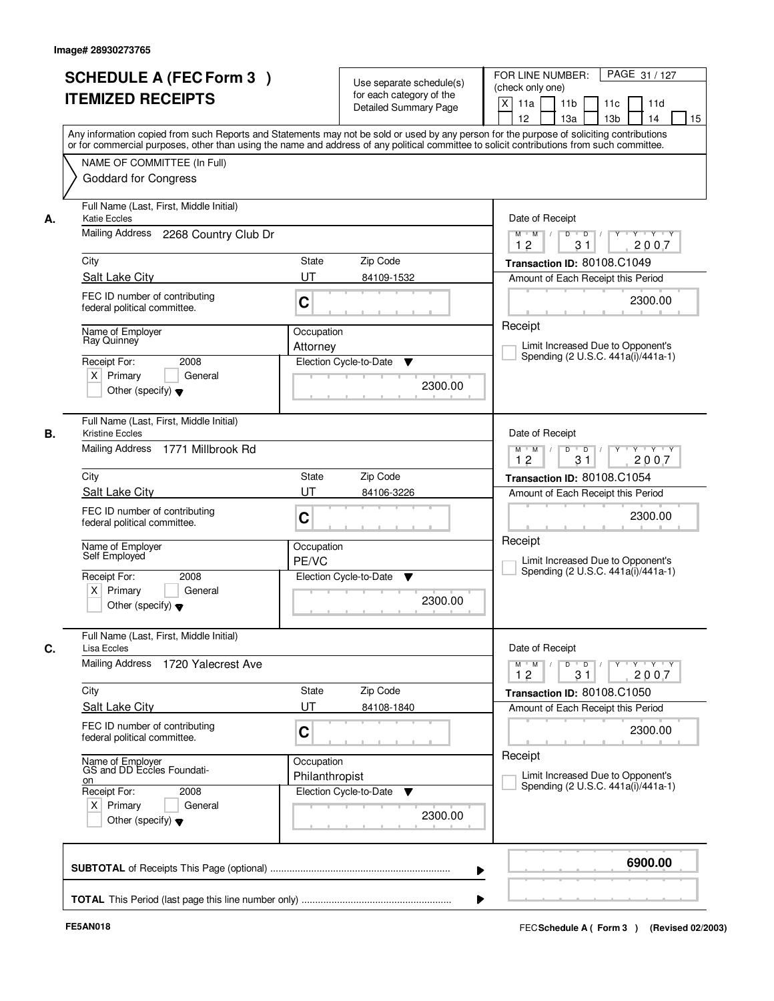|      | <b>SCHEDULE A (FEC Form 3)</b><br><b>ITEMIZED RECEIPTS</b>                                                |                              | Use separate schedule(s)<br>for each category of the<br><b>Detailed Summary Page</b> | PAGE 31 / 127<br>FOR LINE NUMBER:<br>(check only one)<br>X<br>11 <sub>b</sub><br>11a<br>11 <sub>c</sub><br>11d<br>12<br>13 <sub>b</sub><br>14<br>13a<br>15<br>Any information copied from such Reports and Statements may not be sold or used by any person for the purpose of soliciting contributions |
|------|-----------------------------------------------------------------------------------------------------------|------------------------------|--------------------------------------------------------------------------------------|---------------------------------------------------------------------------------------------------------------------------------------------------------------------------------------------------------------------------------------------------------------------------------------------------------|
|      | NAME OF COMMITTEE (In Full)<br><b>Goddard for Congress</b>                                                |                              |                                                                                      | or for commercial purposes, other than using the name and address of any political committee to solicit contributions from such committee.                                                                                                                                                              |
| А.   | Full Name (Last, First, Middle Initial)<br><b>Katie Eccles</b><br>Mailing Address 2268 Country Club Dr    |                              |                                                                                      | Date of Receipt<br>$\overline{D}$<br>Y<br>$Y - Y - Y - Y$<br>$M$ $M$ /<br>D                                                                                                                                                                                                                             |
| City |                                                                                                           | <b>State</b>                 | Zip Code                                                                             | 12<br>31<br>2007<br>Transaction ID: 80108.C1049                                                                                                                                                                                                                                                         |
|      | Salt Lake City                                                                                            | UT                           | 84109-1532                                                                           | Amount of Each Receipt this Period                                                                                                                                                                                                                                                                      |
|      | FEC ID number of contributing<br>federal political committee.                                             | C                            |                                                                                      | 2300.00                                                                                                                                                                                                                                                                                                 |
|      | Name of Employer<br>Ray Quinney                                                                           | Occupation<br>Attorney       |                                                                                      | Receipt<br>Limit Increased Due to Opponent's<br>Spending (2 U.S.C. 441a(i)/441a-1)                                                                                                                                                                                                                      |
|      | Receipt For:<br>2008<br>$X$ Primary<br>General<br>Other (specify) $\blacktriangledown$                    |                              | Election Cycle-to-Date<br>▼<br>2300.00                                               |                                                                                                                                                                                                                                                                                                         |
| В.   | Full Name (Last, First, Middle Initial)<br><b>Kristine Eccles</b><br>Mailing Address<br>1771 Millbrook Rd |                              |                                                                                      | Date of Receipt<br>$Y \vdash Y \vdash Y$<br>$M$ $M$ /<br>D<br>$\overline{\phantom{0}}$                                                                                                                                                                                                                  |
|      |                                                                                                           |                              |                                                                                      | 31<br>12<br>2007                                                                                                                                                                                                                                                                                        |
| City |                                                                                                           | State                        | Zip Code                                                                             | Transaction ID: 80108.C1054                                                                                                                                                                                                                                                                             |
|      | Salt Lake City<br>FEC ID number of contributing<br>federal political committee.                           | UT<br>C                      | 84106-3226                                                                           | Amount of Each Receipt this Period<br>2300.00                                                                                                                                                                                                                                                           |
|      | Name of Employer<br>Self Employed                                                                         | Occupation<br>PE/VC          |                                                                                      | Receipt<br>Limit Increased Due to Opponent's                                                                                                                                                                                                                                                            |
|      | Receipt For:<br>2008<br>$X$ Primary<br>General<br>Other (specify) $\blacktriangledown$                    |                              | Election Cycle-to-Date<br>▼<br>2300.00                                               | Spending (2 U.S.C. 441a(i)/441a-1)                                                                                                                                                                                                                                                                      |
| C.   | Full Name (Last, First, Middle Initial)<br>Lisa Eccles                                                    |                              |                                                                                      | Date of Receipt                                                                                                                                                                                                                                                                                         |
|      | Mailing Address<br>1720 Yalecrest Ave                                                                     |                              |                                                                                      | $M$ $M$ $M$<br>$D$ $D$ $/$<br>y y y y y<br>2007<br>12<br>31                                                                                                                                                                                                                                             |
| City |                                                                                                           | State<br>UT                  | Zip Code                                                                             | Transaction ID: 80108.C1050                                                                                                                                                                                                                                                                             |
|      | Salt Lake City<br>FEC ID number of contributing<br>federal political committee.                           | C                            | 84108-1840                                                                           | Amount of Each Receipt this Period<br>2300.00                                                                                                                                                                                                                                                           |
| on   | Name of Employer<br>GS and DD Eccles Foundati-<br>Receipt For:<br>2008<br>$X$ Primary                     | Occupation<br>Philanthropist | Election Cycle-to-Date<br>v                                                          | Receipt<br>Limit Increased Due to Opponent's<br>Spending (2 U.S.C. 441a(i)/441a-1)                                                                                                                                                                                                                      |
|      | General<br>Other (specify) $\blacktriangledown$                                                           |                              | 2300.00                                                                              |                                                                                                                                                                                                                                                                                                         |
|      |                                                                                                           |                              |                                                                                      | 6900.00                                                                                                                                                                                                                                                                                                 |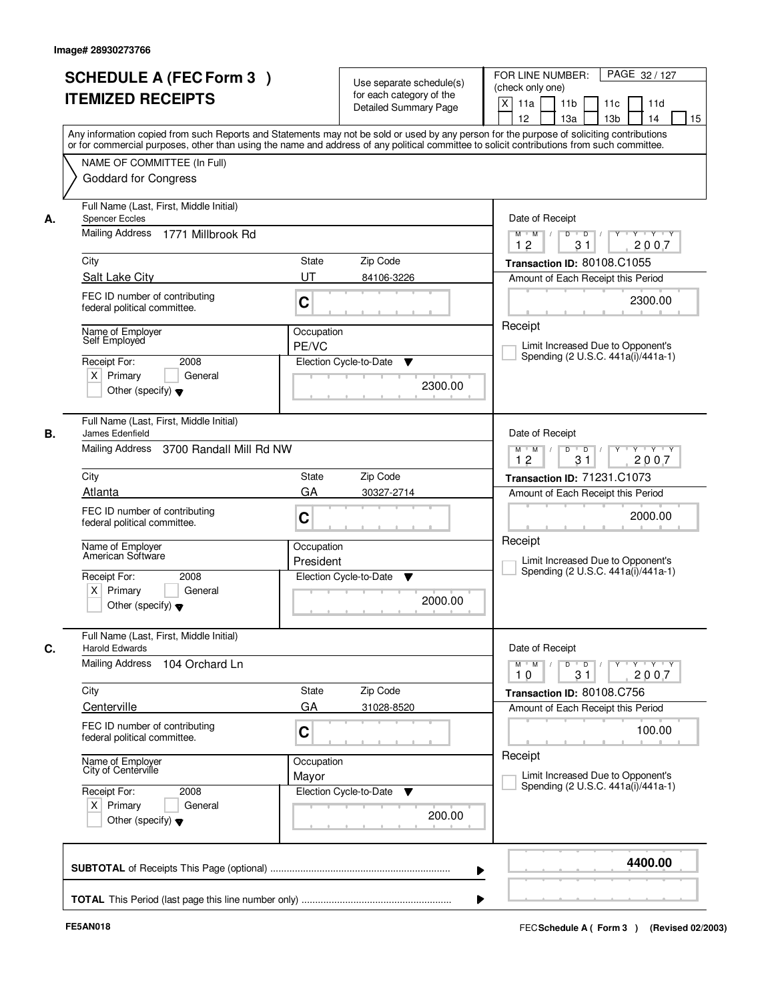|    | <b>SCHEDULE A (FEC Form 3)</b><br><b>ITEMIZED RECEIPTS</b>                                                                  | Use separate schedule(s)<br>for each category of the<br><b>Detailed Summary Page</b><br>Any information copied from such Reports and Statements may not be sold or used by any person for the purpose of soliciting contributions | PAGE 32 / 127<br>FOR LINE NUMBER:<br>(check only one)<br>$\mathsf{X}$<br>11a<br>11 <sub>b</sub><br>11c<br>11d<br>12<br>14<br>15<br>13a<br>13 <sub>b</sub> |
|----|-----------------------------------------------------------------------------------------------------------------------------|-----------------------------------------------------------------------------------------------------------------------------------------------------------------------------------------------------------------------------------|-----------------------------------------------------------------------------------------------------------------------------------------------------------|
|    | NAME OF COMMITTEE (In Full)<br><b>Goddard for Congress</b>                                                                  | or for commercial purposes, other than using the name and address of any political committee to solicit contributions from such committee.                                                                                        |                                                                                                                                                           |
| А. | Full Name (Last, First, Middle Initial)<br><b>Spencer Eccles</b><br>Mailing Address 1771 Millbrook Rd                       |                                                                                                                                                                                                                                   | Date of Receipt<br>$Y - Y - Y$<br>$D$ $D$ $I$<br>Y<br>$M$ $M$ /                                                                                           |
|    | City                                                                                                                        | State<br>Zip Code                                                                                                                                                                                                                 | 12<br>31<br>2007<br>Transaction ID: 80108.C1055                                                                                                           |
|    | Salt Lake City<br>FEC ID number of contributing<br>federal political committee.                                             | UT<br>84106-3226<br>C                                                                                                                                                                                                             | Amount of Each Receipt this Period<br>2300.00                                                                                                             |
|    | Name of Employer<br>Self Employed<br>2008<br>Receipt For:<br>$X$ Primary<br>General<br>Other (specify) $\blacktriangledown$ | Occupation<br>PE/VC<br>Election Cycle-to-Date<br>▼<br>2300.00                                                                                                                                                                     | Receipt<br>Limit Increased Due to Opponent's<br>Spending (2 U.S.C. 441a(i)/441a-1)                                                                        |
| В. | Full Name (Last, First, Middle Initial)<br>James Edenfield<br><b>Mailing Address</b><br>3700 Randall Mill Rd NW             |                                                                                                                                                                                                                                   | Date of Receipt<br>$Y \vdash Y \vdash Y$<br>$M$ $M$ /<br>D<br>$\Box$<br>31<br>12<br>2007                                                                  |
|    | City                                                                                                                        | <b>State</b><br>Zip Code                                                                                                                                                                                                          | Transaction ID: 71231.C1073                                                                                                                               |
|    | Atlanta<br>FEC ID number of contributing<br>federal political committee.                                                    | GA<br>30327-2714<br>C                                                                                                                                                                                                             | Amount of Each Receipt this Period<br>2000.00                                                                                                             |
|    | Name of Employer<br>American Software                                                                                       | Occupation<br>President                                                                                                                                                                                                           | Receipt<br>Limit Increased Due to Opponent's<br>Spending (2 U.S.C. 441a(i)/441a-1)                                                                        |
|    | Receipt For:<br>2008<br>$X$ Primary<br>General<br>Other (specify) $\blacktriangledown$                                      | Election Cycle-to-Date<br>▼<br>2000.00                                                                                                                                                                                            |                                                                                                                                                           |
|    | Full Name (Last, First, Middle Initial)<br><b>Harold Edwards</b>                                                            |                                                                                                                                                                                                                                   | Date of Receipt                                                                                                                                           |
|    | Mailing Address<br>104 Orchard Ln                                                                                           |                                                                                                                                                                                                                                   | $\overline{D}$<br>$\mathsf{Y} \dashv \mathsf{Y} \dashv \mathsf{Y} \dashv \mathsf{Y}$<br>$M$ $M$<br>$\Box$ D $\Box$ /<br>10<br>31<br>2007                  |
|    | City<br>Centerville                                                                                                         | Zip Code<br>State<br>GA<br>31028-8520                                                                                                                                                                                             | Transaction ID: 80108.C756<br>Amount of Each Receipt this Period                                                                                          |
|    | FEC ID number of contributing<br>federal political committee.                                                               | C                                                                                                                                                                                                                                 | 100.00                                                                                                                                                    |
|    | Name of Employer<br>City of Centerville                                                                                     | Occupation<br>Mayor                                                                                                                                                                                                               | Receipt<br>Limit Increased Due to Opponent's<br>Spending (2 U.S.C. 441a(i)/441a-1)                                                                        |
|    | Receipt For:<br>2008<br>$X$ Primary<br>General<br>Other (specify) $\blacktriangledown$                                      | Election Cycle-to-Date<br>v<br>200.00                                                                                                                                                                                             |                                                                                                                                                           |
|    |                                                                                                                             | ▶                                                                                                                                                                                                                                 | 4400.00                                                                                                                                                   |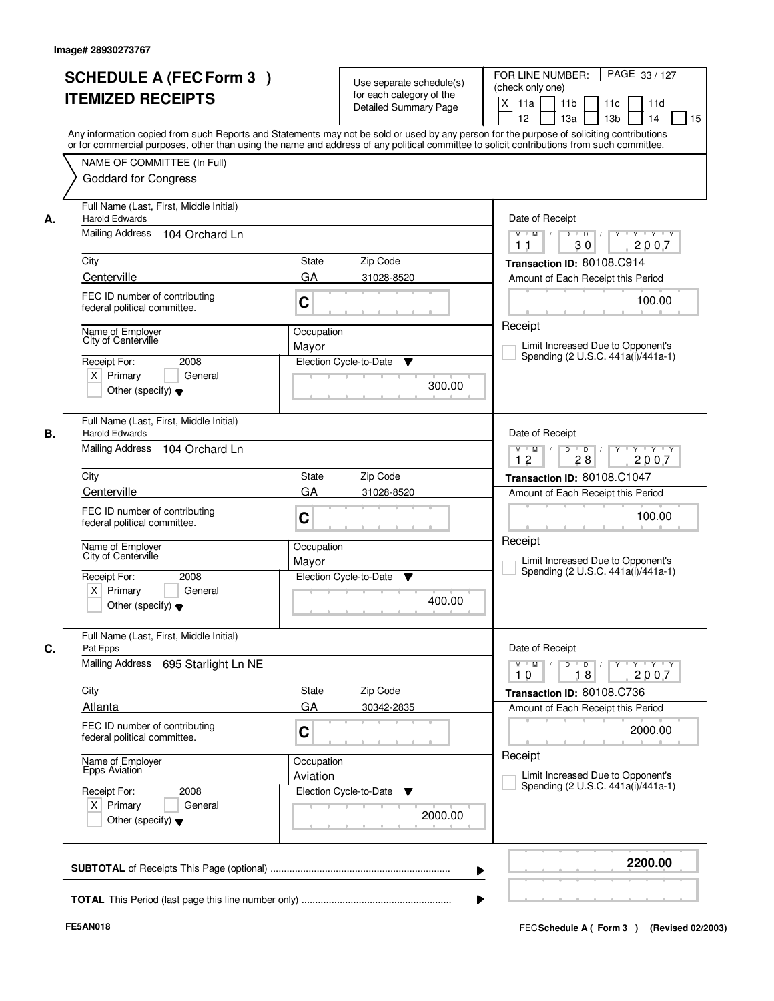|    | <b>SCHEDULE A (FEC Form 3)</b><br><b>ITEMIZED RECEIPTS</b><br>Any information copied from such Reports and Statements may not be sold or used by any person for the purpose of soliciting contributions  |                        | Use separate schedule(s)<br>for each category of the<br><b>Detailed Summary Page</b> | PAGE 33 / 127<br>FOR LINE NUMBER:<br>(check only one)<br>X<br>11 <sub>b</sub><br>11a<br>11c<br>11d<br>12<br>13 <sub>b</sub><br>14<br>13a<br>15 |
|----|----------------------------------------------------------------------------------------------------------------------------------------------------------------------------------------------------------|------------------------|--------------------------------------------------------------------------------------|------------------------------------------------------------------------------------------------------------------------------------------------|
|    | or for commercial purposes, other than using the name and address of any political committee to solicit contributions from such committee.<br>NAME OF COMMITTEE (In Full)<br><b>Goddard for Congress</b> |                        |                                                                                      |                                                                                                                                                |
| А. | Full Name (Last, First, Middle Initial)<br><b>Harold Edwards</b><br>Mailing Address 104 Orchard Ln                                                                                                       |                        |                                                                                      | Date of Receipt<br>$D$ $D$ $I$<br>Y<br>$Y - Y - Y - Y$<br>$M$ $M$ /                                                                            |
|    | City<br>Centerville                                                                                                                                                                                      | <b>State</b><br>GA     | Zip Code<br>31028-8520                                                               | 30<br>2007<br>1 <sub>1</sub><br>Transaction ID: 80108.C914<br>Amount of Each Receipt this Period                                               |
|    | FEC ID number of contributing<br>federal political committee.                                                                                                                                            | C                      |                                                                                      | 100.00                                                                                                                                         |
|    | Name of Employer<br>City of Centerville<br>Receipt For:<br>2008<br>$X$ Primary<br>General<br>Other (specify) $\blacktriangledown$                                                                        | Occupation<br>Mayor    | Election Cycle-to-Date<br>▼<br>300.00                                                | Receipt<br>Limit Increased Due to Opponent's<br>Spending (2 U.S.C. 441a(i)/441a-1)                                                             |
| В. | Full Name (Last, First, Middle Initial)<br><b>Harold Edwards</b><br>Mailing Address<br>104 Orchard Ln                                                                                                    |                        |                                                                                      | Date of Receipt<br>$Y \vdash Y \vdash Y$<br>$M$ $M$ /<br>D<br>$\overline{D}$<br>12<br>28<br>2007                                               |
|    | City                                                                                                                                                                                                     | State                  | Zip Code                                                                             | Transaction ID: 80108.C1047                                                                                                                    |
|    | Centerville<br>FEC ID number of contributing<br>federal political committee.                                                                                                                             | GA<br>C                | 31028-8520                                                                           | Amount of Each Receipt this Period<br>100.00                                                                                                   |
|    | Name of Employer<br>City of Centerville<br>Receipt For:<br>2008<br>$X$ Primary<br>General<br>Other (specify) $\blacktriangledown$                                                                        | Occupation<br>Mayor    | Election Cycle-to-Date<br>▼<br>400.00                                                | Receipt<br>Limit Increased Due to Opponent's<br>Spending (2 U.S.C. 441a(i)/441a-1)                                                             |
| C. | Full Name (Last, First, Middle Initial)<br>Pat Epps                                                                                                                                                      |                        |                                                                                      | Date of Receipt                                                                                                                                |
|    | <b>Mailing Address</b><br>695 Starlight Ln NE                                                                                                                                                            |                        |                                                                                      | $M$ $M$<br>$D$ $D$ $l$<br>y y y y y<br>10<br>2007<br>18                                                                                        |
|    | City<br>Atlanta                                                                                                                                                                                          | State<br>GA            | Zip Code<br>30342-2835                                                               | Transaction ID: 80108.C736<br>Amount of Each Receipt this Period                                                                               |
|    | FEC ID number of contributing<br>federal political committee.                                                                                                                                            | C                      |                                                                                      | 2000.00                                                                                                                                        |
|    | Name of Employer<br>Epps Aviation                                                                                                                                                                        | Occupation<br>Aviation |                                                                                      | Receipt<br>Limit Increased Due to Opponent's<br>Spending (2 U.S.C. 441a(i)/441a-1)                                                             |
|    | Receipt For:<br>2008<br>$X$ Primary<br>General<br>Other (specify) $\blacktriangledown$                                                                                                                   |                        | Election Cycle-to-Date<br>v<br>2000.00                                               |                                                                                                                                                |
|    |                                                                                                                                                                                                          |                        |                                                                                      | 2200.00                                                                                                                                        |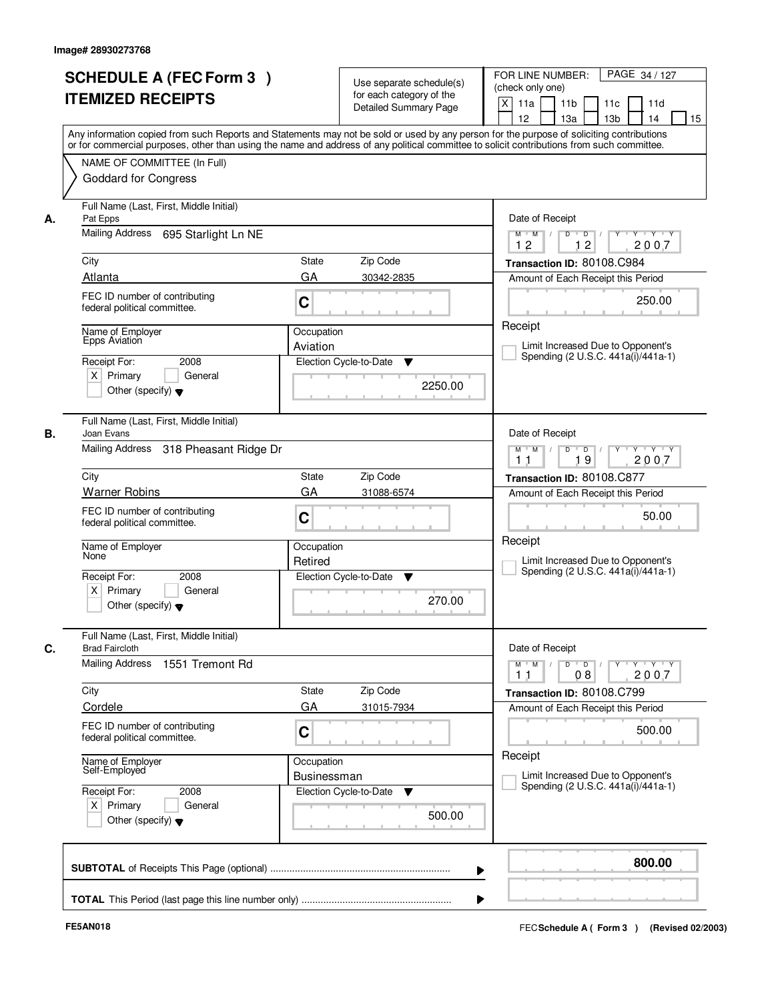|    | <b>SCHEDULE A (FEC Form 3)</b><br><b>ITEMIZED RECEIPTS</b>                                                                         | Use separate schedule(s)<br>for each category of the<br><b>Detailed Summary Page</b> | FOR LINE NUMBER:<br>PAGE 34 / 127<br>(check only one)<br>$\boldsymbol{\mathsf{X}}$<br>11a<br>11 <sub>b</sub><br>11c<br>11d<br>12<br>13a<br>13 <sub>b</sub><br>14<br>15                                                                                                                  |
|----|------------------------------------------------------------------------------------------------------------------------------------|--------------------------------------------------------------------------------------|-----------------------------------------------------------------------------------------------------------------------------------------------------------------------------------------------------------------------------------------------------------------------------------------|
|    | NAME OF COMMITTEE (In Full)<br><b>Goddard for Congress</b>                                                                         |                                                                                      | Any information copied from such Reports and Statements may not be sold or used by any person for the purpose of soliciting contributions<br>or for commercial purposes, other than using the name and address of any political committee to solicit contributions from such committee. |
| А. | Full Name (Last, First, Middle Initial)<br>Pat Epps<br>Mailing Address<br>695 Starlight Ln NE<br>City                              | State<br>Zip Code                                                                    | Date of Receipt<br>$\overline{D}$<br>$Y - Y - Y$<br>$M$ $M$ /<br>D<br>12<br>2007<br>12<br>Transaction ID: 80108.C984                                                                                                                                                                    |
|    | Atlanta<br>FEC ID number of contributing<br>federal political committee.                                                           | GA<br>30342-2835<br>C                                                                | Amount of Each Receipt this Period<br>250.00<br>Receipt                                                                                                                                                                                                                                 |
|    | Name of Employer<br><b>Epps Aviation</b><br>2008<br>Receipt For:<br>$X$ Primary<br>General<br>Other (specify) $\blacktriangledown$ | Occupation<br>Aviation<br>Election Cycle-to-Date<br>▼<br>2250.00                     | Limit Increased Due to Opponent's<br>Spending (2 U.S.C. 441a(i)/441a-1)                                                                                                                                                                                                                 |
| В. | Full Name (Last, First, Middle Initial)<br>Joan Evans<br>Mailing Address 318 Pheasant Ridge Dr                                     |                                                                                      | Date of Receipt<br>D<br>$\blacksquare$ $\blacksquare$ $\blacksquare$ $\blacksquare$ $\blacksquare$<br>$Y$ <sup>U</sup><br>Y Y Y Y<br>$M$ $M$ /<br>19<br>2007<br>1 <sub>1</sub>                                                                                                          |
|    | City<br><b>Warner Robins</b>                                                                                                       | Zip Code<br>State<br>GA<br>31088-6574                                                | Transaction ID: 80108.C877<br>Amount of Each Receipt this Period                                                                                                                                                                                                                        |
|    | FEC ID number of contributing<br>federal political committee.                                                                      | C                                                                                    | 50.00<br>Receipt                                                                                                                                                                                                                                                                        |
|    | Name of Employer<br>None<br>Receipt For:<br>2008<br>$X$ Primary<br>General<br>Other (specify) $\blacktriangledown$                 | Occupation<br>Retired<br>Election Cycle-to-Date<br>v<br>270.00                       | Limit Increased Due to Opponent's<br>Spending (2 U.S.C. 441a(i)/441a-1)                                                                                                                                                                                                                 |
| C. | Full Name (Last, First, Middle Initial)<br><b>Brad Faircloth</b><br>Mailing Address<br>1551 Tremont Rd                             |                                                                                      | Date of Receipt<br>$M$ $M$<br>$D$ $D$ $/$<br>$Y$ <sup>U</sup><br>$Y - Y - Y$<br>2007<br>11<br>08                                                                                                                                                                                        |
|    | City<br>Cordele<br>FEC ID number of contributing                                                                                   | Zip Code<br>State<br>GA<br>31015-7934                                                | Transaction ID: 80108.C799<br>Amount of Each Receipt this Period                                                                                                                                                                                                                        |
|    | federal political committee.<br>Name of Employer<br>Self-Employed                                                                  | C<br>Occupation                                                                      | 500.00<br>Receipt                                                                                                                                                                                                                                                                       |
|    | Receipt For:<br>2008<br>$X$ Primary<br>General<br>Other (specify) $\blacktriangledown$                                             | Businessman<br>Election Cycle-to-Date<br>v<br>500.00                                 | Limit Increased Due to Opponent's<br>Spending (2 U.S.C. 441a(i)/441a-1)                                                                                                                                                                                                                 |
|    |                                                                                                                                    |                                                                                      | 800.00                                                                                                                                                                                                                                                                                  |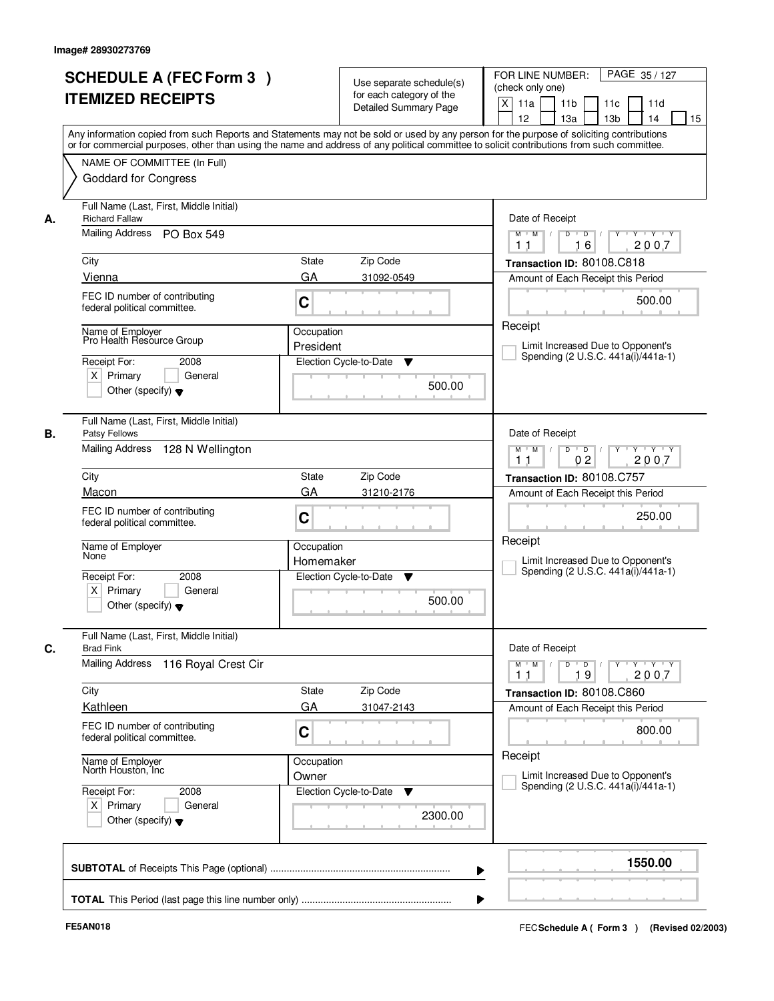|      | <b>SCHEDULE A (FEC Form 3)</b><br><b>ITEMIZED RECEIPTS</b>                                                                              |                         | Use separate schedule(s)<br>for each category of the<br><b>Detailed Summary Page</b> | PAGE 35 / 127<br>FOR LINE NUMBER:<br>(check only one)<br>X<br>11 <sub>b</sub><br>11a<br>11c<br>11d<br>12<br>13 <sub>b</sub><br>14<br>13a<br>15<br>Any information copied from such Reports and Statements may not be sold or used by any person for the purpose of soliciting contributions |
|------|-----------------------------------------------------------------------------------------------------------------------------------------|-------------------------|--------------------------------------------------------------------------------------|---------------------------------------------------------------------------------------------------------------------------------------------------------------------------------------------------------------------------------------------------------------------------------------------|
|      | NAME OF COMMITTEE (In Full)<br><b>Goddard for Congress</b>                                                                              |                         |                                                                                      | or for commercial purposes, other than using the name and address of any political committee to solicit contributions from such committee.                                                                                                                                                  |
| А.   | Full Name (Last, First, Middle Initial)<br><b>Richard Fallaw</b><br>Mailing Address PO Box 549                                          |                         |                                                                                      | Date of Receipt<br>$Y$ $Y$ $Y$<br>$M$ $M$ /<br>$D$ $D$ $/$<br>$Y$ <sup>U</sup><br>16<br>2007<br>1 <sub>1</sub>                                                                                                                                                                              |
| City | Vienna                                                                                                                                  | <b>State</b><br>GA      | Zip Code<br>31092-0549                                                               | Transaction ID: 80108.C818<br>Amount of Each Receipt this Period                                                                                                                                                                                                                            |
|      | FEC ID number of contributing<br>federal political committee.                                                                           | C                       |                                                                                      | 500.00                                                                                                                                                                                                                                                                                      |
|      | Name of Employer<br>Pro Health Resource Group<br>Receipt For:<br>2008<br>$X$ Primary<br>General<br>Other (specify) $\blacktriangledown$ | Occupation<br>President | Election Cycle-to-Date<br>▼<br>500.00                                                | Receipt<br>Limit Increased Due to Opponent's<br>Spending (2 U.S.C. 441a(i)/441a-1)                                                                                                                                                                                                          |
| В.   | Full Name (Last, First, Middle Initial)<br>Patsy Fellows<br>Mailing Address 128 N Wellington                                            |                         |                                                                                      | Date of Receipt<br>$Y \vdash Y \vdash Y$<br>$M$ $M$ /<br>D<br>$\overline{D}$<br>0 <sub>2</sub><br>2007<br>11                                                                                                                                                                                |
| City |                                                                                                                                         | State                   | Zip Code                                                                             | Transaction ID: 80108.C757                                                                                                                                                                                                                                                                  |
|      | Macon<br>FEC ID number of contributing<br>federal political committee.                                                                  | GA<br>C                 | 31210-2176                                                                           | Amount of Each Receipt this Period<br>250.00                                                                                                                                                                                                                                                |
|      | Name of Employer<br>None<br>Receipt For:<br>2008                                                                                        | Occupation<br>Homemaker | Election Cycle-to-Date<br>▼                                                          | Receipt<br>Limit Increased Due to Opponent's<br>Spending (2 U.S.C. 441a(i)/441a-1)                                                                                                                                                                                                          |
|      | $X$ Primary<br>General<br>Other (specify) $\blacktriangledown$                                                                          |                         | 500.00                                                                               |                                                                                                                                                                                                                                                                                             |
| C.   | Full Name (Last, First, Middle Initial)<br><b>Brad Fink</b>                                                                             |                         |                                                                                      | Date of Receipt                                                                                                                                                                                                                                                                             |
|      | <b>Mailing Address</b><br>116 Royal Crest Cir                                                                                           |                         |                                                                                      | $M$ $M$<br>$D$ $D$ $/$<br>y y y y y<br>19<br>2007<br>11                                                                                                                                                                                                                                     |
| City | Kathleen                                                                                                                                | State<br>GA             | Zip Code<br>31047-2143                                                               | Transaction ID: 80108.C860<br>Amount of Each Receipt this Period                                                                                                                                                                                                                            |
|      | FEC ID number of contributing<br>federal political committee.                                                                           | C                       |                                                                                      | 800.00                                                                                                                                                                                                                                                                                      |
|      | Name of Employer<br>North Houston, Inc                                                                                                  | Occupation<br>Owner     |                                                                                      | Receipt<br>Limit Increased Due to Opponent's                                                                                                                                                                                                                                                |
|      | Receipt For:<br>2008<br>$X$ Primary<br>General<br>Other (specify) $\blacktriangledown$                                                  |                         | Election Cycle-to-Date<br>v<br>2300.00                                               | Spending (2 U.S.C. 441a(i)/441a-1)                                                                                                                                                                                                                                                          |
|      |                                                                                                                                         |                         |                                                                                      | 1550.00                                                                                                                                                                                                                                                                                     |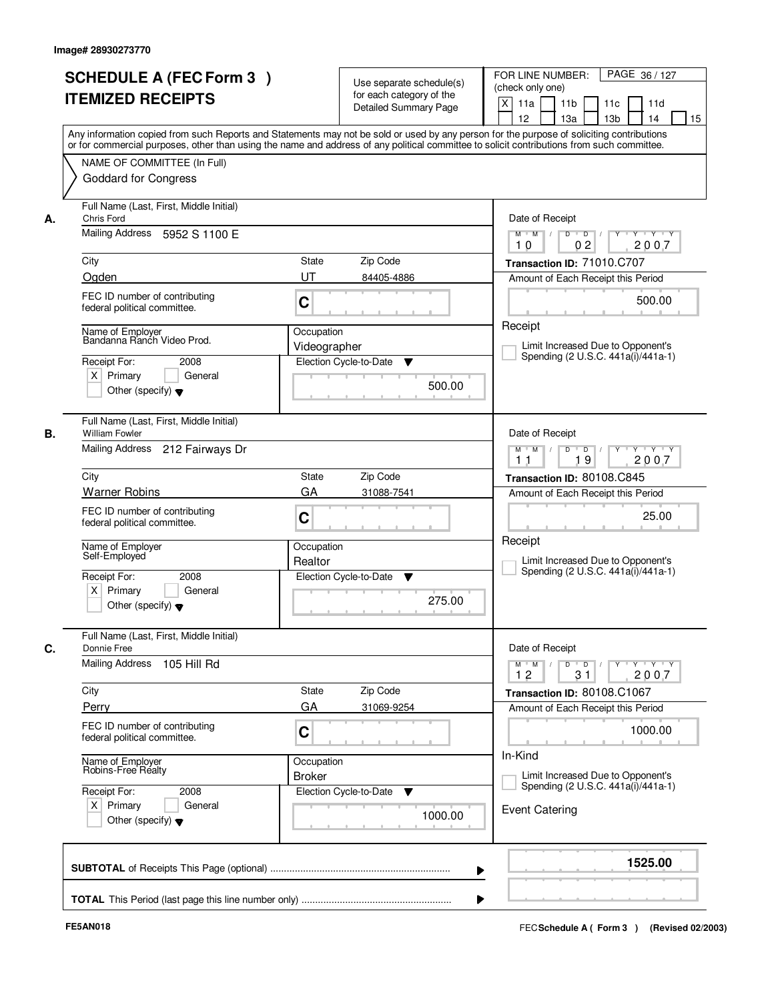|    | <b>SCHEDULE A (FEC Form 3)</b><br><b>ITEMIZED RECEIPTS</b>                                                                               | Use separate schedule(s)<br>for each category of the<br>Detailed Summary Page<br>Any information copied from such Reports and Statements may not be sold or used by any person for the purpose of soliciting contributions | FOR LINE NUMBER:<br>PAGE 36/127<br>(check only one)<br>$\mathsf{X}$<br>11 <sub>b</sub><br>11d<br>11a<br>11c<br>12<br>13a<br>13 <sub>b</sub><br>14<br>15 |
|----|------------------------------------------------------------------------------------------------------------------------------------------|----------------------------------------------------------------------------------------------------------------------------------------------------------------------------------------------------------------------------|---------------------------------------------------------------------------------------------------------------------------------------------------------|
|    | NAME OF COMMITTEE (In Full)<br><b>Goddard for Congress</b>                                                                               | or for commercial purposes, other than using the name and address of any political committee to solicit contributions from such committee.                                                                                 |                                                                                                                                                         |
| А. | Full Name (Last, First, Middle Initial)<br>Chris Ford<br>Mailing Address<br>5952 S 1100 E                                                |                                                                                                                                                                                                                            | Date of Receipt<br>$\overline{D}$<br>$\overline{D}$<br>$Y + Y + Y$<br>$M$ $M$ /<br>02<br>2007<br>10                                                     |
|    | City<br>Ogden                                                                                                                            | <b>State</b><br>Zip Code<br>UT<br>84405-4886                                                                                                                                                                               | Transaction ID: 71010.C707<br>Amount of Each Receipt this Period                                                                                        |
|    | FEC ID number of contributing<br>federal political committee.                                                                            | C                                                                                                                                                                                                                          | 500.00                                                                                                                                                  |
|    | Name of Employer<br>Bandanna Ranch Video Prod.<br>Receipt For:<br>2008<br>$X$ Primary<br>General<br>Other (specify) $\blacktriangledown$ | Occupation<br>Videographer<br>Election Cycle-to-Date<br>▼<br>500.00                                                                                                                                                        | Receipt<br>Limit Increased Due to Opponent's<br>Spending (2 U.S.C. 441a(i)/441a-1)                                                                      |
| В. | Full Name (Last, First, Middle Initial)<br><b>William Fowler</b><br>Mailing Address 212 Fairways Dr                                      |                                                                                                                                                                                                                            | Date of Receipt<br>$M$ $M$ /<br>D<br>$\overline{D}$ /<br>$Y$ <sup>U</sup><br>Y Y Y Y<br>19<br>2007<br>11                                                |
|    | City                                                                                                                                     | Zip Code<br><b>State</b>                                                                                                                                                                                                   | Transaction ID: 80108.C845                                                                                                                              |
|    | <b>Warner Robins</b><br>FEC ID number of contributing<br>federal political committee.                                                    | GA<br>31088-7541<br>C                                                                                                                                                                                                      | Amount of Each Receipt this Period<br>25.00                                                                                                             |
|    | Name of Employer<br>Self-Employed                                                                                                        | Occupation<br>Realtor                                                                                                                                                                                                      | Receipt<br>Limit Increased Due to Opponent's                                                                                                            |
|    | Receipt For:<br>2008<br>$X$ Primary<br>General<br>Other (specify) $\blacktriangledown$                                                   | Election Cycle-to-Date<br>v<br>275.00                                                                                                                                                                                      | Spending (2 U.S.C. 441a(i)/441a-1)                                                                                                                      |
| C. | Full Name (Last, First, Middle Initial)<br>Donnie Free<br>Mailing Address 105 Hill Rd                                                    |                                                                                                                                                                                                                            | Date of Receipt<br>$\mathsf{Y} \dashv \mathsf{Y} \dashv \mathsf{Y} \dashv \mathsf{Y}$<br>$M$ $M$<br>$\top$ /<br>$D$ $D$ $/$<br>31<br>2007<br>12         |
|    | City                                                                                                                                     | Zip Code<br>State                                                                                                                                                                                                          | Transaction ID: 80108.C1067                                                                                                                             |
|    | Perry<br>FEC ID number of contributing<br>federal political committee.                                                                   | GA<br>31069-9254<br>C                                                                                                                                                                                                      | Amount of Each Receipt this Period<br>1000.00                                                                                                           |
|    | Name of Employer<br>Robins-Free Realty                                                                                                   | Occupation<br><b>Broker</b>                                                                                                                                                                                                | In-Kind<br>Limit Increased Due to Opponent's                                                                                                            |
|    | Receipt For:<br>2008<br>$X$ Primary<br>General<br>Other (specify) $\blacktriangledown$                                                   | Election Cycle-to-Date<br>v<br>1000.00                                                                                                                                                                                     | Spending (2 U.S.C. 441a(i)/441a-1)<br><b>Event Catering</b>                                                                                             |
|    |                                                                                                                                          | ▶                                                                                                                                                                                                                          | 1525.00                                                                                                                                                 |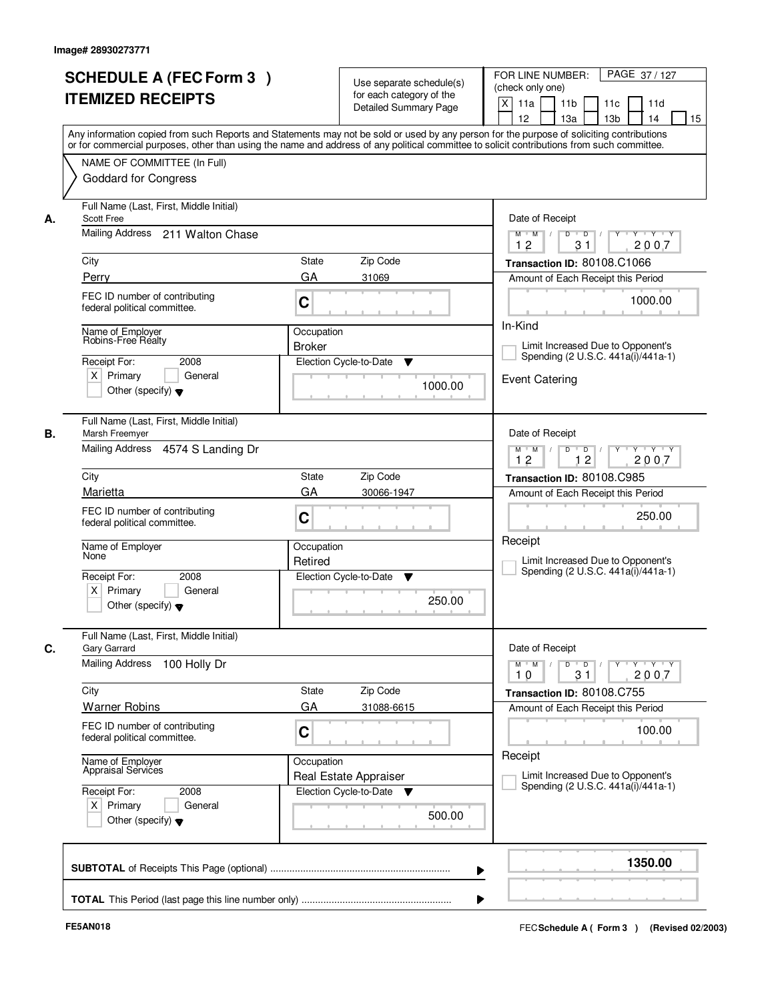|    | <b>SCHEDULE A (FEC Form 3)</b>                                                                                                                                                                                                                                                          |                       | Use separate schedule(s)                          | PAGE 37 / 127<br>FOR LINE NUMBER:<br>(check only one)                                                 |
|----|-----------------------------------------------------------------------------------------------------------------------------------------------------------------------------------------------------------------------------------------------------------------------------------------|-----------------------|---------------------------------------------------|-------------------------------------------------------------------------------------------------------|
|    | <b>ITEMIZED RECEIPTS</b>                                                                                                                                                                                                                                                                |                       | for each category of the<br>Detailed Summary Page | $\mathsf{X}$<br>11 <sub>b</sub><br>11a<br>11c<br>11d<br>12<br>13a<br>13 <sub>b</sub><br>14<br>15      |
|    | Any information copied from such Reports and Statements may not be sold or used by any person for the purpose of soliciting contributions<br>or for commercial purposes, other than using the name and address of any political committee to solicit contributions from such committee. |                       |                                                   |                                                                                                       |
|    | NAME OF COMMITTEE (In Full)<br><b>Goddard for Congress</b>                                                                                                                                                                                                                              |                       |                                                   |                                                                                                       |
| А. | Full Name (Last, First, Middle Initial)<br>Scott Free                                                                                                                                                                                                                                   |                       |                                                   | Date of Receipt                                                                                       |
|    | Mailing Address 211 Walton Chase                                                                                                                                                                                                                                                        |                       |                                                   | $Y - Y - Y$<br>$\overline{D}$<br>$M$ $M$ /<br>D<br>2007<br>12<br>31                                   |
|    | City                                                                                                                                                                                                                                                                                    | <b>State</b>          | Zip Code                                          | Transaction ID: 80108.C1066                                                                           |
|    | Perry                                                                                                                                                                                                                                                                                   | GA                    | 31069                                             | Amount of Each Receipt this Period                                                                    |
|    | FEC ID number of contributing<br>federal political committee.                                                                                                                                                                                                                           | C                     |                                                   | 1000.00                                                                                               |
|    | Name of Employer                                                                                                                                                                                                                                                                        | Occupation            |                                                   | In-Kind                                                                                               |
|    | Robins-Free Realty<br>2008<br>Receipt For:                                                                                                                                                                                                                                              | <b>Broker</b>         | Election Cycle-to-Date<br>▼                       | Limit Increased Due to Opponent's<br>Spending (2 U.S.C. 441a(i)/441a-1)                               |
|    | $X$ Primary<br>General                                                                                                                                                                                                                                                                  |                       |                                                   | <b>Event Catering</b>                                                                                 |
|    | Other (specify) $\blacktriangledown$                                                                                                                                                                                                                                                    |                       | 1000.00                                           |                                                                                                       |
|    | Full Name (Last, First, Middle Initial)<br>Marsh Freemyer                                                                                                                                                                                                                               |                       |                                                   | Date of Receipt                                                                                       |
|    | Mailing Address 4574 S Landing Dr                                                                                                                                                                                                                                                       |                       |                                                   | $M$ $M$ /<br>D<br>$\blacksquare$ D $\blacksquare$ /<br>Y Y Y Y Y Y<br>12<br>12<br>2007                |
|    | City                                                                                                                                                                                                                                                                                    | <b>State</b>          | Zip Code                                          | Transaction ID: 80108.C985                                                                            |
|    | Marietta                                                                                                                                                                                                                                                                                | GA                    | 30066-1947                                        | Amount of Each Receipt this Period                                                                    |
|    | FEC ID number of contributing<br>federal political committee.                                                                                                                                                                                                                           | C                     |                                                   | 250.00                                                                                                |
|    | Name of Employer<br>None                                                                                                                                                                                                                                                                | Occupation<br>Retired |                                                   | Receipt<br>Limit Increased Due to Opponent's                                                          |
|    | Receipt For:<br>2008<br>$X$ Primary<br>General<br>Other (specify) $\blacktriangledown$                                                                                                                                                                                                  |                       | Election Cycle-to-Date<br>v<br>250.00             | Spending (2 U.S.C. 441a(i)/441a-1)                                                                    |
|    | Full Name (Last, First, Middle Initial)<br>Gary Garrard                                                                                                                                                                                                                                 |                       |                                                   | Date of Receipt                                                                                       |
|    | <b>Mailing Address</b><br>100 Holly Dr                                                                                                                                                                                                                                                  |                       |                                                   | $D$ $D$ $I$<br>$M^{\prime}$ M $\rightarrow$ /<br>$Y + Y + Y$<br>$Y$ <sup>-1</sup><br>31<br>2007<br>10 |
|    | City                                                                                                                                                                                                                                                                                    | State                 | Zip Code                                          | Transaction ID: 80108.C755                                                                            |
|    | <b>Warner Robins</b>                                                                                                                                                                                                                                                                    | GA                    | 31088-6615                                        | Amount of Each Receipt this Period                                                                    |
|    | FEC ID number of contributing<br>federal political committee.                                                                                                                                                                                                                           | C                     |                                                   | 100.00                                                                                                |
|    | Name of Employer<br>Appraisal Services                                                                                                                                                                                                                                                  | Occupation            | Real Estate Appraiser                             | Receipt<br>Limit Increased Due to Opponent's                                                          |
|    | Receipt For:<br>2008<br>$X$ Primary<br>General<br>Other (specify) $\blacktriangledown$                                                                                                                                                                                                  |                       | Election Cycle-to-Date<br>v<br>500.00             | Spending (2 U.S.C. 441a(i)/441a-1)                                                                    |
|    |                                                                                                                                                                                                                                                                                         |                       |                                                   | 1350.00<br>▶                                                                                          |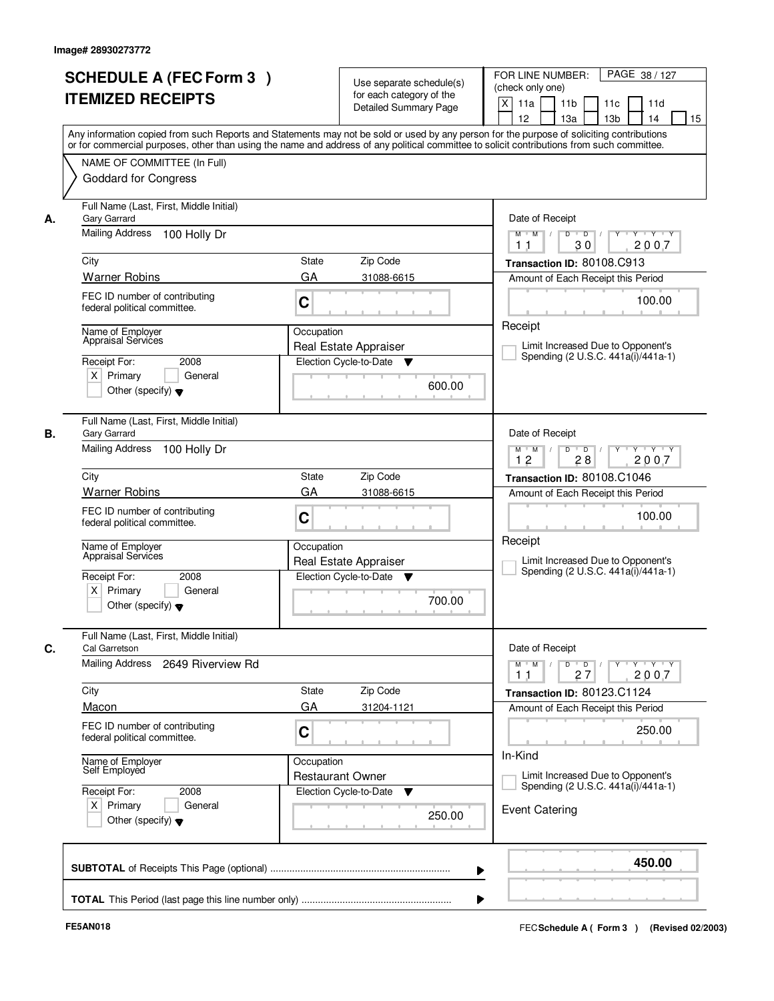|    | <b>SCHEDULE A (FEC Form 3)</b><br><b>ITEMIZED RECEIPTS</b>                             | Use separate schedule(s)<br>for each category of the<br><b>Detailed Summary Page</b>                                                                                                                                                                                                    | PAGE 38 / 127<br>FOR LINE NUMBER:<br>(check only one)<br>$\boldsymbol{\mathsf{X}}$<br>11 <sub>b</sub><br>11a<br>11c<br>11d |
|----|----------------------------------------------------------------------------------------|-----------------------------------------------------------------------------------------------------------------------------------------------------------------------------------------------------------------------------------------------------------------------------------------|----------------------------------------------------------------------------------------------------------------------------|
|    |                                                                                        | Any information copied from such Reports and Statements may not be sold or used by any person for the purpose of soliciting contributions<br>or for commercial purposes, other than using the name and address of any political committee to solicit contributions from such committee. | 12<br>13a<br>13 <sub>b</sub><br>14<br>15                                                                                   |
|    | NAME OF COMMITTEE (In Full)<br><b>Goddard for Congress</b>                             |                                                                                                                                                                                                                                                                                         |                                                                                                                            |
| А. | Full Name (Last, First, Middle Initial)<br>Gary Garrard                                |                                                                                                                                                                                                                                                                                         | Date of Receipt                                                                                                            |
|    | Mailing Address<br>100 Holly Dr                                                        |                                                                                                                                                                                                                                                                                         | $\overline{D}$<br>$Y - Y - Y$<br>D<br>M<br>$M$ $/$<br>2007<br>30<br>11                                                     |
|    | City                                                                                   | State<br>Zip Code                                                                                                                                                                                                                                                                       | Transaction ID: 80108.C913                                                                                                 |
|    | <b>Warner Robins</b>                                                                   | GA<br>31088-6615                                                                                                                                                                                                                                                                        | Amount of Each Receipt this Period                                                                                         |
|    | FEC ID number of contributing<br>federal political committee.                          | C                                                                                                                                                                                                                                                                                       | 100.00                                                                                                                     |
|    | Name of Employer<br>Appraisal Services                                                 | Occupation                                                                                                                                                                                                                                                                              | Receipt                                                                                                                    |
|    | 2008<br>Receipt For:                                                                   | Real Estate Appraiser<br>Election Cycle-to-Date<br>v                                                                                                                                                                                                                                    | Limit Increased Due to Opponent's<br>Spending (2 U.S.C. 441a(i)/441a-1)                                                    |
|    | $X$ Primary<br>General<br>Other (specify) $\blacktriangledown$                         | 600.00                                                                                                                                                                                                                                                                                  |                                                                                                                            |
| В. | Full Name (Last, First, Middle Initial)<br>Gary Garrard                                |                                                                                                                                                                                                                                                                                         | Date of Receipt                                                                                                            |
|    | <b>Mailing Address</b><br>100 Holly Dr                                                 |                                                                                                                                                                                                                                                                                         | $\Box$ D $\Box$ /<br>$Y \vdash Y \vdash Y$<br>$M$ $M$ /<br>D<br>Y<br>12<br>28<br>2007                                      |
|    | City                                                                                   | Zip Code<br>State                                                                                                                                                                                                                                                                       | Transaction ID: 80108.C1046                                                                                                |
|    | <b>Warner Robins</b>                                                                   | GA<br>31088-6615                                                                                                                                                                                                                                                                        | Amount of Each Receipt this Period                                                                                         |
|    | FEC ID number of contributing<br>federal political committee.                          | C                                                                                                                                                                                                                                                                                       | 100.00                                                                                                                     |
|    | Name of Employer<br>Appraisal Services                                                 | Occupation<br>Real Estate Appraiser                                                                                                                                                                                                                                                     | Receipt<br>Limit Increased Due to Opponent's<br>Spending (2 U.S.C. 441a(i)/441a-1)                                         |
|    | Receipt For:<br>2008<br>$X$ Primary<br>General<br>Other (specify) $\blacktriangledown$ | Election Cycle-to-Date ▼<br>700.00                                                                                                                                                                                                                                                      |                                                                                                                            |
|    | Full Name (Last, First, Middle Initial)<br>Cal Garretson                               |                                                                                                                                                                                                                                                                                         | Date of Receipt                                                                                                            |
|    | Mailing Address<br>2649 Riverview Rd                                                   |                                                                                                                                                                                                                                                                                         | $M$ $M$<br>$D$ $D$ $/$<br>$Y - Y - Y$<br>$Y$ <sup>-1</sup><br>2007<br>27<br>11                                             |
|    | City                                                                                   | Zip Code<br>State                                                                                                                                                                                                                                                                       | Transaction ID: 80123.C1124                                                                                                |
|    | Macon                                                                                  | GA<br>31204-1121                                                                                                                                                                                                                                                                        | Amount of Each Receipt this Period                                                                                         |
|    | FEC ID number of contributing<br>federal political committee.                          | C                                                                                                                                                                                                                                                                                       | 250.00<br>In-Kind                                                                                                          |
|    | Name of Employer<br>Self Employed                                                      | Occupation<br><b>Restaurant Owner</b>                                                                                                                                                                                                                                                   | Limit Increased Due to Opponent's<br>Spending (2 U.S.C. 441a(i)/441a-1)                                                    |
|    | Receipt For:<br>2008<br>$X$ Primary<br>General<br>Other (specify) $\blacktriangledown$ | Election Cycle-to-Date<br>v<br>250.00                                                                                                                                                                                                                                                   | <b>Event Catering</b>                                                                                                      |
|    |                                                                                        | ▶                                                                                                                                                                                                                                                                                       | 450.00                                                                                                                     |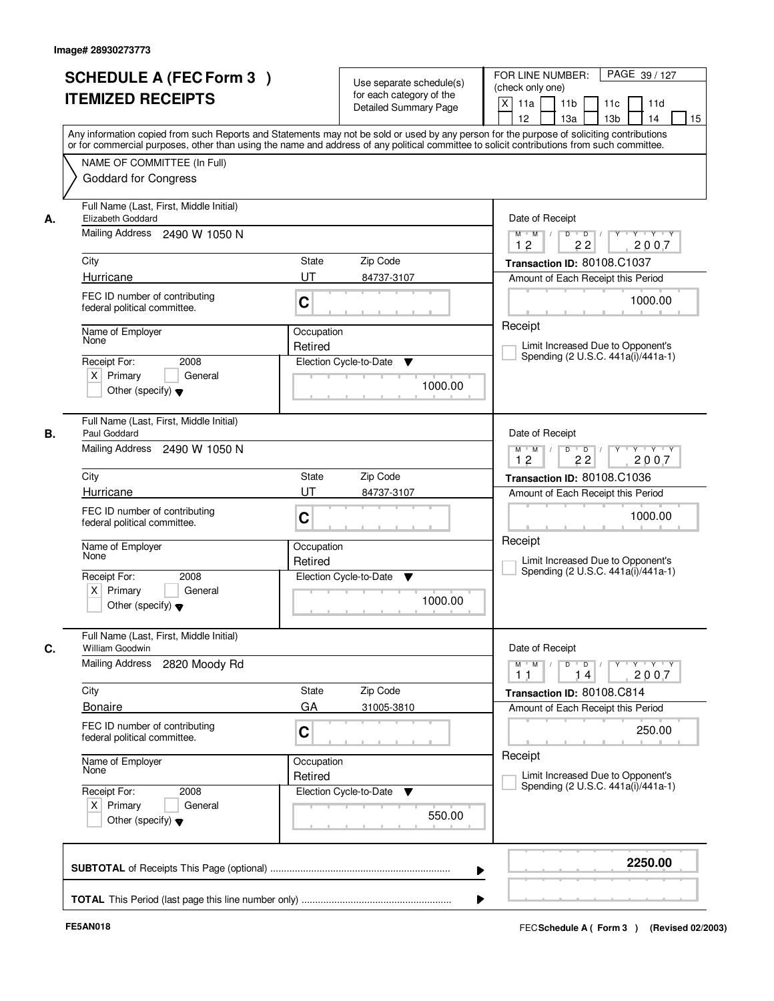|    | <b>SCHEDULE A (FEC Form 3)</b><br><b>ITEMIZED RECEIPTS</b>                                                         | Use separate schedule(s)<br>for each category of the<br><b>Detailed Summary Page</b><br>Any information copied from such Reports and Statements may not be sold or used by any person for the purpose of soliciting contributions | PAGE 39 / 127<br>FOR LINE NUMBER:<br>(check only one)<br>$\mathsf{X}$<br>11 <sub>b</sub><br>11a<br>11c<br>11d<br>12<br>13 <sub>b</sub><br>14<br>13a<br>15 |
|----|--------------------------------------------------------------------------------------------------------------------|-----------------------------------------------------------------------------------------------------------------------------------------------------------------------------------------------------------------------------------|-----------------------------------------------------------------------------------------------------------------------------------------------------------|
|    | NAME OF COMMITTEE (In Full)<br><b>Goddard for Congress</b>                                                         | or for commercial purposes, other than using the name and address of any political committee to solicit contributions from such committee.                                                                                        |                                                                                                                                                           |
| А. | Full Name (Last, First, Middle Initial)<br>Elizabeth Goddard<br>Mailing Address 2490 W 1050 N                      |                                                                                                                                                                                                                                   | Date of Receipt<br>$Y + Y + Y$<br>$M$ $M$ /<br>$D$ $D$ $/$<br>$Y^+$<br>12<br>22<br>2007                                                                   |
|    | City                                                                                                               | State<br>Zip Code                                                                                                                                                                                                                 | Transaction ID: 80108.C1037                                                                                                                               |
|    | Hurricane<br>FEC ID number of contributing<br>federal political committee.                                         | UT<br>84737-3107<br>C                                                                                                                                                                                                             | Amount of Each Receipt this Period<br>1000.00                                                                                                             |
|    | Name of Employer<br>None<br>2008<br>Receipt For:<br>$X$ Primary<br>General<br>Other (specify) $\blacktriangledown$ | Occupation<br>Retired<br>Election Cycle-to-Date<br>▼<br>1000.00                                                                                                                                                                   | Receipt<br>Limit Increased Due to Opponent's<br>Spending (2 U.S.C. 441a(i)/441a-1)                                                                        |
| В. | Full Name (Last, First, Middle Initial)<br>Paul Goddard<br>Mailing Address 2490 W 1050 N                           |                                                                                                                                                                                                                                   | Date of Receipt<br>$Y \vdash Y \vdash Y$<br>$M$ $M$ /<br>D<br>$\overline{D}$<br>12<br>22<br>2007                                                          |
|    | City                                                                                                               | Zip Code<br><b>State</b>                                                                                                                                                                                                          | Transaction ID: 80108.C1036                                                                                                                               |
|    | Hurricane                                                                                                          | UT<br>84737-3107                                                                                                                                                                                                                  | Amount of Each Receipt this Period                                                                                                                        |
|    | FEC ID number of contributing<br>federal political committee.                                                      | C                                                                                                                                                                                                                                 | 1000.00                                                                                                                                                   |
|    | Name of Employer<br>None<br>Receipt For:<br>2008<br>$X$ Primary<br>General                                         | Occupation<br>Retired<br>Election Cycle-to-Date<br>▼                                                                                                                                                                              | Receipt<br>Limit Increased Due to Opponent's<br>Spending (2 U.S.C. 441a(i)/441a-1)                                                                        |
|    | Other (specify) $\blacktriangledown$                                                                               | 1000.00                                                                                                                                                                                                                           |                                                                                                                                                           |
|    | Full Name (Last, First, Middle Initial)<br>William Goodwin                                                         |                                                                                                                                                                                                                                   | Date of Receipt                                                                                                                                           |
|    | Mailing Address<br>2820 Moody Rd                                                                                   |                                                                                                                                                                                                                                   | $D$ $D$ $/$<br>$M$ $M$<br>2007<br>11<br>14                                                                                                                |
|    | City                                                                                                               | Zip Code<br>State                                                                                                                                                                                                                 | Transaction ID: 80108.C814                                                                                                                                |
|    | <b>Bonaire</b><br>FEC ID number of contributing<br>federal political committee.                                    | GA<br>31005-3810<br>C                                                                                                                                                                                                             | Amount of Each Receipt this Period<br>250.00                                                                                                              |
|    | Name of Employer<br>None                                                                                           | Occupation<br>Retired                                                                                                                                                                                                             | Receipt<br>Limit Increased Due to Opponent's                                                                                                              |
|    | Receipt For:<br>2008<br>$X$ Primary<br>General<br>Other (specify) $\blacktriangledown$                             | Election Cycle-to-Date<br>$\overline{\mathbf{v}}$<br>550.00                                                                                                                                                                       | Spending (2 U.S.C. 441a(i)/441a-1)                                                                                                                        |
|    |                                                                                                                    | ▶                                                                                                                                                                                                                                 | 2250.00                                                                                                                                                   |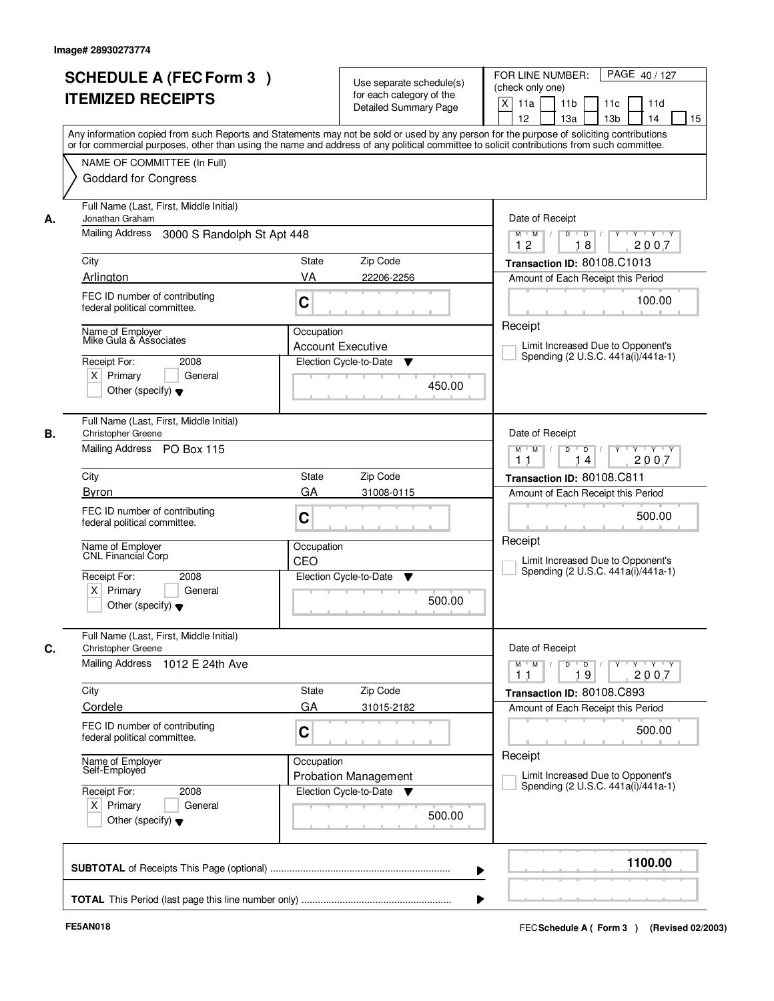| <b>SCHEDULE A (FEC Form 3)</b><br><b>ITEMIZED RECEIPTS</b><br>Any information copied from such Reports and Statements may not be sold or used by any person for the purpose of soliciting contributions<br>or for commercial purposes, other than using the name and address of any political committee to solicit contributions from such committee.<br>NAME OF COMMITTEE (In Full)<br><b>Goddard for Congress</b><br>Full Name (Last, First, Middle Initial) | Use separate schedule(s)<br>for each category of the<br><b>Detailed Summary Page</b> | PAGE 40/127<br>FOR LINE NUMBER:<br>(check only one)<br>$\boldsymbol{\mathsf{X}}$<br>11 <sub>b</sub><br>11a<br>11c<br>11d<br>12<br>13a<br>13 <sub>b</sub><br>14<br>15 |
|----------------------------------------------------------------------------------------------------------------------------------------------------------------------------------------------------------------------------------------------------------------------------------------------------------------------------------------------------------------------------------------------------------------------------------------------------------------|--------------------------------------------------------------------------------------|----------------------------------------------------------------------------------------------------------------------------------------------------------------------|
|                                                                                                                                                                                                                                                                                                                                                                                                                                                                |                                                                                      |                                                                                                                                                                      |
|                                                                                                                                                                                                                                                                                                                                                                                                                                                                |                                                                                      |                                                                                                                                                                      |
|                                                                                                                                                                                                                                                                                                                                                                                                                                                                |                                                                                      |                                                                                                                                                                      |
|                                                                                                                                                                                                                                                                                                                                                                                                                                                                |                                                                                      |                                                                                                                                                                      |
|                                                                                                                                                                                                                                                                                                                                                                                                                                                                |                                                                                      |                                                                                                                                                                      |
|                                                                                                                                                                                                                                                                                                                                                                                                                                                                |                                                                                      |                                                                                                                                                                      |
|                                                                                                                                                                                                                                                                                                                                                                                                                                                                |                                                                                      |                                                                                                                                                                      |
|                                                                                                                                                                                                                                                                                                                                                                                                                                                                |                                                                                      |                                                                                                                                                                      |
| Jonathan Graham                                                                                                                                                                                                                                                                                                                                                                                                                                                |                                                                                      | Date of Receipt                                                                                                                                                      |
| Mailing Address<br>3000 S Randolph St Apt 448                                                                                                                                                                                                                                                                                                                                                                                                                  |                                                                                      | $\Box$<br>$Y - Y - Y$<br>$M$ $M$ /<br>D<br>Y                                                                                                                         |
|                                                                                                                                                                                                                                                                                                                                                                                                                                                                |                                                                                      | 2007<br>12<br>18                                                                                                                                                     |
| City                                                                                                                                                                                                                                                                                                                                                                                                                                                           | State<br>Zip Code                                                                    | Transaction ID: 80108.C1013                                                                                                                                          |
| Arlington                                                                                                                                                                                                                                                                                                                                                                                                                                                      | VA<br>22206-2256                                                                     | Amount of Each Receipt this Period                                                                                                                                   |
| FEC ID number of contributing                                                                                                                                                                                                                                                                                                                                                                                                                                  |                                                                                      |                                                                                                                                                                      |
| federal political committee.                                                                                                                                                                                                                                                                                                                                                                                                                                   | C                                                                                    | 100.00                                                                                                                                                               |
| Name of Employer                                                                                                                                                                                                                                                                                                                                                                                                                                               | Occupation                                                                           | Receipt                                                                                                                                                              |
| Mike Gula & Associates                                                                                                                                                                                                                                                                                                                                                                                                                                         | <b>Account Executive</b>                                                             | Limit Increased Due to Opponent's                                                                                                                                    |
| Receipt For:<br>2008                                                                                                                                                                                                                                                                                                                                                                                                                                           | Election Cycle-to-Date<br>▼                                                          | Spending (2 U.S.C. 441a(i)/441a-1)                                                                                                                                   |
| $X$ Primary<br>General                                                                                                                                                                                                                                                                                                                                                                                                                                         |                                                                                      |                                                                                                                                                                      |
| Other (specify) $\blacktriangledown$                                                                                                                                                                                                                                                                                                                                                                                                                           | 450.00                                                                               |                                                                                                                                                                      |
|                                                                                                                                                                                                                                                                                                                                                                                                                                                                |                                                                                      |                                                                                                                                                                      |
| Full Name (Last, First, Middle Initial)                                                                                                                                                                                                                                                                                                                                                                                                                        |                                                                                      |                                                                                                                                                                      |
| <b>Christopher Greene</b>                                                                                                                                                                                                                                                                                                                                                                                                                                      |                                                                                      | Date of Receipt                                                                                                                                                      |
| Mailing Address PO Box 115                                                                                                                                                                                                                                                                                                                                                                                                                                     |                                                                                      | D<br>$\blacksquare$ D $\blacksquare$ /<br>Y Y Y Y<br>$M$ $M$ /<br>$Y$ <sup><math>\top</math></sup><br>2007<br>1 <sub>1</sub><br>14                                   |
| City                                                                                                                                                                                                                                                                                                                                                                                                                                                           | Zip Code<br>State                                                                    | Transaction ID: 80108.C811                                                                                                                                           |
| <b>Byron</b>                                                                                                                                                                                                                                                                                                                                                                                                                                                   | GA<br>31008-0115                                                                     | Amount of Each Receipt this Period                                                                                                                                   |
| FEC ID number of contributing                                                                                                                                                                                                                                                                                                                                                                                                                                  |                                                                                      |                                                                                                                                                                      |
| federal political committee.                                                                                                                                                                                                                                                                                                                                                                                                                                   | C                                                                                    | 500.00                                                                                                                                                               |
|                                                                                                                                                                                                                                                                                                                                                                                                                                                                |                                                                                      | Receipt                                                                                                                                                              |
| Name of Employer<br><b>CNL Financial Corp</b>                                                                                                                                                                                                                                                                                                                                                                                                                  | Occupation<br>CEO                                                                    | Limit Increased Due to Opponent's                                                                                                                                    |
| Receipt For:<br>2008                                                                                                                                                                                                                                                                                                                                                                                                                                           | Election Cycle-to-Date<br>▼                                                          | Spending (2 U.S.C. 441a(i)/441a-1)                                                                                                                                   |
| $X$ Primary<br>General                                                                                                                                                                                                                                                                                                                                                                                                                                         |                                                                                      |                                                                                                                                                                      |
| Other (specify) $\blacktriangledown$                                                                                                                                                                                                                                                                                                                                                                                                                           | 500.00                                                                               |                                                                                                                                                                      |
|                                                                                                                                                                                                                                                                                                                                                                                                                                                                |                                                                                      |                                                                                                                                                                      |
| Full Name (Last, First, Middle Initial)                                                                                                                                                                                                                                                                                                                                                                                                                        |                                                                                      |                                                                                                                                                                      |
| <b>Christopher Greene</b>                                                                                                                                                                                                                                                                                                                                                                                                                                      |                                                                                      | Date of Receipt                                                                                                                                                      |
| Mailing Address<br>1012 E 24th Ave                                                                                                                                                                                                                                                                                                                                                                                                                             |                                                                                      | $M$ $M$ $/$<br>$D$ $D$ $/$<br>$Y$ <sup>U</sup><br>$\mathsf{Y} \dashv \mathsf{Y} \dashv \mathsf{Y}$<br>2007<br>19<br>11                                               |
| City                                                                                                                                                                                                                                                                                                                                                                                                                                                           | Zip Code<br>State                                                                    | Transaction ID: 80108.C893                                                                                                                                           |
| Cordele                                                                                                                                                                                                                                                                                                                                                                                                                                                        | GA<br>31015-2182                                                                     | Amount of Each Receipt this Period                                                                                                                                   |
| FEC ID number of contributing                                                                                                                                                                                                                                                                                                                                                                                                                                  |                                                                                      |                                                                                                                                                                      |
| federal political committee.                                                                                                                                                                                                                                                                                                                                                                                                                                   | C                                                                                    | 500.00                                                                                                                                                               |
|                                                                                                                                                                                                                                                                                                                                                                                                                                                                |                                                                                      | Receipt                                                                                                                                                              |
| Name of Employer<br>Self-Employed                                                                                                                                                                                                                                                                                                                                                                                                                              | Occupation<br><b>Probation Management</b>                                            | Limit Increased Due to Opponent's                                                                                                                                    |
|                                                                                                                                                                                                                                                                                                                                                                                                                                                                | Election Cycle-to-Date ▼                                                             | Spending (2 U.S.C. 441a(i)/441a-1)                                                                                                                                   |
|                                                                                                                                                                                                                                                                                                                                                                                                                                                                |                                                                                      |                                                                                                                                                                      |
| Receipt For:<br>2008<br>$X$ Primary<br>General                                                                                                                                                                                                                                                                                                                                                                                                                 |                                                                                      |                                                                                                                                                                      |
| Other (specify) $\blacktriangledown$                                                                                                                                                                                                                                                                                                                                                                                                                           | 500.00                                                                               |                                                                                                                                                                      |
|                                                                                                                                                                                                                                                                                                                                                                                                                                                                |                                                                                      |                                                                                                                                                                      |
|                                                                                                                                                                                                                                                                                                                                                                                                                                                                |                                                                                      |                                                                                                                                                                      |
|                                                                                                                                                                                                                                                                                                                                                                                                                                                                | ▶                                                                                    | 1100.00                                                                                                                                                              |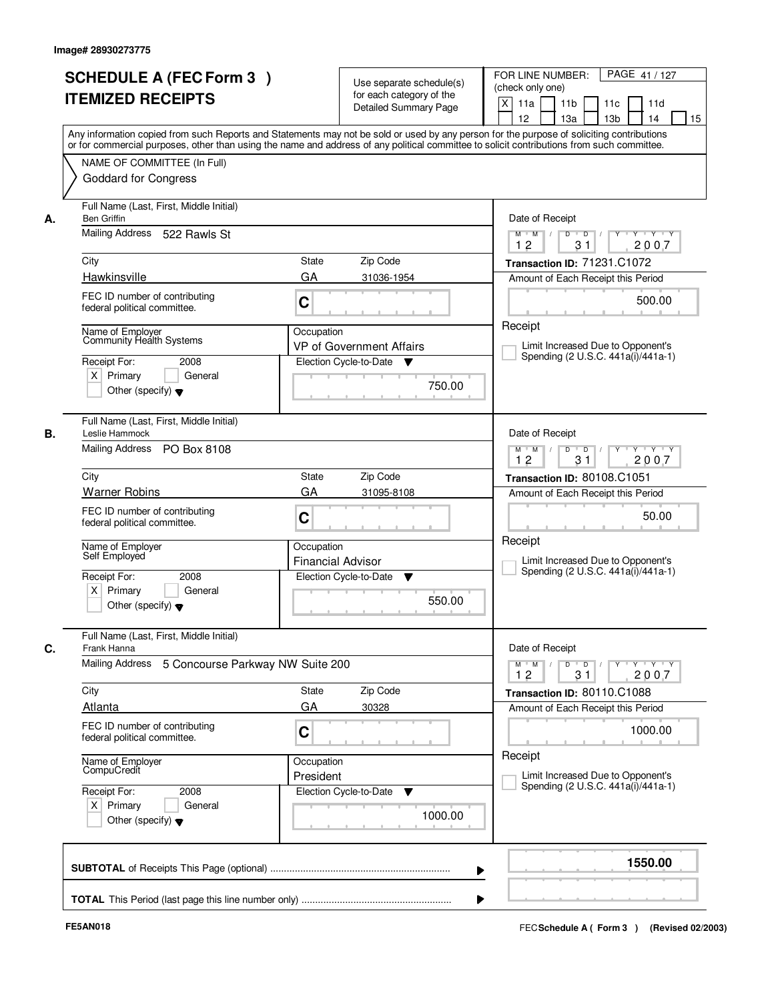|    | <b>SCHEDULE A (FEC Form 3)</b><br><b>ITEMIZED RECEIPTS</b>                                                                                                                                                                                                                                                                            | Use separate schedule(s)<br>for each category of the<br><b>Detailed Summary Page</b>                                                                                                                                                                                                    | PAGE 41 / 127<br>FOR LINE NUMBER:<br>(check only one)<br>$\boldsymbol{\mathsf{X}}$<br>11 <sub>b</sub><br>11a<br>11c<br>11d<br>12<br>13a<br>13 <sub>b</sub><br>14<br>15                                                                                                              |
|----|---------------------------------------------------------------------------------------------------------------------------------------------------------------------------------------------------------------------------------------------------------------------------------------------------------------------------------------|-----------------------------------------------------------------------------------------------------------------------------------------------------------------------------------------------------------------------------------------------------------------------------------------|-------------------------------------------------------------------------------------------------------------------------------------------------------------------------------------------------------------------------------------------------------------------------------------|
|    | NAME OF COMMITTEE (In Full)<br><b>Goddard for Congress</b>                                                                                                                                                                                                                                                                            | Any information copied from such Reports and Statements may not be sold or used by any person for the purpose of soliciting contributions<br>or for commercial purposes, other than using the name and address of any political committee to solicit contributions from such committee. |                                                                                                                                                                                                                                                                                     |
| А. | Full Name (Last, First, Middle Initial)<br><b>Ben Griffin</b><br>Mailing Address 522 Rawls St<br>City<br>Hawkinsville<br>FEC ID number of contributing<br>federal political committee.<br>Name of Employer<br>Community Health Systems<br>Receipt For:<br>2008<br>$X$ Primary<br>General<br>Other (specify) $\blacktriangledown$      | State<br>Zip Code<br>GA<br>31036-1954<br>C<br>Occupation<br>VP of Government Affairs<br>Election Cycle-to-Date<br>750.00                                                                                                                                                                | Date of Receipt<br>$Y - Y - Y$<br>$M$ $M$ /<br>D<br>$\overline{D}$<br>2007<br>12<br>31<br><b>Transaction ID: 71231.C1072</b><br>Amount of Each Receipt this Period<br>500.00<br>Receipt<br>Limit Increased Due to Opponent's<br>Spending (2 U.S.C. 441a(i)/441a-1)                  |
| В. | Full Name (Last, First, Middle Initial)<br>Leslie Hammock<br>Mailing Address PO Box 8108<br>City<br><b>Warner Robins</b><br>FEC ID number of contributing<br>federal political committee.<br>Name of Employer<br>Self Employed<br>Receipt For:<br>2008<br>$X$ Primary<br>General<br>Other (specify) $\blacktriangledown$              | Zip Code<br>State<br>GA<br>31095-8108<br>C<br>Occupation<br><b>Financial Advisor</b><br>Election Cycle-to-Date<br>v<br>550.00                                                                                                                                                           | Date of Receipt<br>D<br>$\overline{D}$ /<br>Y Y Y Y<br>$M$ $M$ /<br>$Y$ <sup>-1</sup><br>12<br>31<br>2007<br>Transaction ID: 80108.C1051<br>Amount of Each Receipt this Period<br>50.00<br>Receipt<br>Limit Increased Due to Opponent's<br>Spending (2 U.S.C. 441a(i)/441a-1)       |
| C. | Full Name (Last, First, Middle Initial)<br>Frank Hanna<br>Mailing Address<br>5 Concourse Parkway NW Suite 200<br>City<br><b>Atlanta</b><br>FEC ID number of contributing<br>federal political committee.<br>Name of Employer<br>CompuCredit<br>Receipt For:<br>2008<br>$X$ Primary<br>General<br>Other (specify) $\blacktriangledown$ | Zip Code<br>State<br>GA<br>30328<br>C<br>Occupation<br>President<br>Election Cycle-to-Date<br>v<br>1000.00                                                                                                                                                                              | Date of Receipt<br>$M$ M<br>$D$ $D$ $/$<br>$Y - Y - Y$<br>$\sqrt{ }$<br>$Y$ <sup>-1</sup><br>2007<br>12<br>31<br>Transaction ID: 80110.C1088<br>Amount of Each Receipt this Period<br>1000.00<br>Receipt<br>Limit Increased Due to Opponent's<br>Spending (2 U.S.C. 441a(i)/441a-1) |
|    |                                                                                                                                                                                                                                                                                                                                       | ▶                                                                                                                                                                                                                                                                                       | 1550.00                                                                                                                                                                                                                                                                             |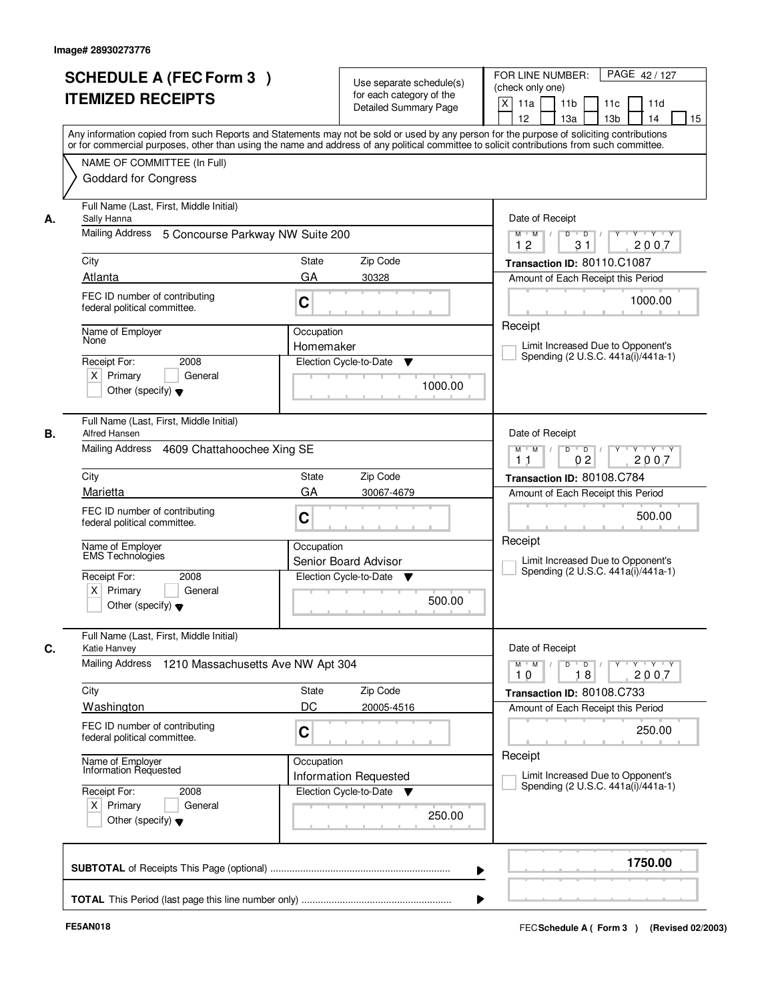|    | <b>SCHEDULE A (FEC Form 3)</b>                                                                                                                                                                                                                                                          |                                                                 |                                                      | PAGE 42/127<br>FOR LINE NUMBER:                                                                     |  |  |
|----|-----------------------------------------------------------------------------------------------------------------------------------------------------------------------------------------------------------------------------------------------------------------------------------------|-----------------------------------------------------------------|------------------------------------------------------|-----------------------------------------------------------------------------------------------------|--|--|
|    |                                                                                                                                                                                                                                                                                         |                                                                 | Use separate schedule(s)<br>for each category of the | (check only one)                                                                                    |  |  |
|    | <b>ITEMIZED RECEIPTS</b>                                                                                                                                                                                                                                                                |                                                                 | <b>Detailed Summary Page</b>                         | $\boldsymbol{\mathsf{X}}$<br>11 <sub>b</sub><br>11a<br>11c<br>11d                                   |  |  |
|    |                                                                                                                                                                                                                                                                                         |                                                                 |                                                      | 12<br>13a<br>13 <sub>b</sub><br>14<br>15                                                            |  |  |
|    | Any information copied from such Reports and Statements may not be sold or used by any person for the purpose of soliciting contributions<br>or for commercial purposes, other than using the name and address of any political committee to solicit contributions from such committee. |                                                                 |                                                      |                                                                                                     |  |  |
|    | NAME OF COMMITTEE (In Full)                                                                                                                                                                                                                                                             |                                                                 |                                                      |                                                                                                     |  |  |
|    | <b>Goddard for Congress</b>                                                                                                                                                                                                                                                             |                                                                 |                                                      |                                                                                                     |  |  |
|    |                                                                                                                                                                                                                                                                                         |                                                                 |                                                      |                                                                                                     |  |  |
| А. | Full Name (Last, First, Middle Initial)<br>Sally Hanna                                                                                                                                                                                                                                  |                                                                 |                                                      |                                                                                                     |  |  |
|    | Mailing Address 5 Concourse Parkway NW Suite 200                                                                                                                                                                                                                                        |                                                                 |                                                      | Date of Receipt<br>$Y - Y - Y$<br>D<br>$\overline{D}$<br>$M$ M<br>$\frac{1}{2}$<br>2007<br>12<br>31 |  |  |
|    | City                                                                                                                                                                                                                                                                                    | State                                                           | Zip Code                                             | Transaction ID: 80110.C1087                                                                         |  |  |
|    | Atlanta                                                                                                                                                                                                                                                                                 | GA                                                              | 30328                                                | Amount of Each Receipt this Period                                                                  |  |  |
|    | FEC ID number of contributing                                                                                                                                                                                                                                                           |                                                                 |                                                      |                                                                                                     |  |  |
|    | federal political committee.                                                                                                                                                                                                                                                            | C                                                               |                                                      | 1000.00                                                                                             |  |  |
|    |                                                                                                                                                                                                                                                                                         |                                                                 |                                                      | Receipt                                                                                             |  |  |
|    | Name of Employer<br>None                                                                                                                                                                                                                                                                | Occupation<br>Homemaker                                         |                                                      | Limit Increased Due to Opponent's                                                                   |  |  |
|    | 2008<br>Receipt For:                                                                                                                                                                                                                                                                    |                                                                 | Election Cycle-to-Date<br>v                          | Spending (2 U.S.C. 441a(i)/441a-1)                                                                  |  |  |
|    | $X$ Primary<br>General                                                                                                                                                                                                                                                                  |                                                                 |                                                      |                                                                                                     |  |  |
|    | Other (specify) $\blacktriangledown$                                                                                                                                                                                                                                                    |                                                                 | 1000.00                                              |                                                                                                     |  |  |
|    |                                                                                                                                                                                                                                                                                         |                                                                 |                                                      |                                                                                                     |  |  |
| В. | Full Name (Last, First, Middle Initial)<br><b>Alfred Hansen</b>                                                                                                                                                                                                                         | Date of Receipt                                                 |                                                      |                                                                                                     |  |  |
|    | Mailing Address 4609 Chattahoochee Xing SE                                                                                                                                                                                                                                              | D<br>$\overline{D}$ $\overline{I}$<br>Y Y Y Y<br>$M$ $M$ /<br>Y |                                                      |                                                                                                     |  |  |
|    |                                                                                                                                                                                                                                                                                         | 0 <sub>2</sub><br>2007<br>1 <sub>1</sub>                        |                                                      |                                                                                                     |  |  |
|    | City                                                                                                                                                                                                                                                                                    | State                                                           | Zip Code                                             | Transaction ID: 80108.C784                                                                          |  |  |
|    | Marietta                                                                                                                                                                                                                                                                                | GA                                                              | 30067-4679                                           | Amount of Each Receipt this Period                                                                  |  |  |
|    | FEC ID number of contributing                                                                                                                                                                                                                                                           | C                                                               |                                                      | 500.00                                                                                              |  |  |
|    | federal political committee.                                                                                                                                                                                                                                                            |                                                                 |                                                      |                                                                                                     |  |  |
|    | Name of Employer<br><b>EMS</b> Technologies                                                                                                                                                                                                                                             | Occupation                                                      |                                                      | Receipt                                                                                             |  |  |
|    |                                                                                                                                                                                                                                                                                         |                                                                 | Senior Board Advisor                                 | Limit Increased Due to Opponent's<br>Spending (2 U.S.C. 441a(i)/441a-1)                             |  |  |
|    | Receipt For:<br>2008<br>$X$ Primary<br>General                                                                                                                                                                                                                                          |                                                                 | Election Cycle-to-Date<br>$\mathbf v$                |                                                                                                     |  |  |
|    | Other (specify) $\blacktriangledown$                                                                                                                                                                                                                                                    |                                                                 | 500.00                                               |                                                                                                     |  |  |
|    |                                                                                                                                                                                                                                                                                         |                                                                 |                                                      |                                                                                                     |  |  |
| C. | Full Name (Last, First, Middle Initial)<br>Katie Hanvey                                                                                                                                                                                                                                 |                                                                 |                                                      | Date of Receipt                                                                                     |  |  |
|    | Mailing Address<br>1210 Massachusetts Ave NW Apt 304                                                                                                                                                                                                                                    |                                                                 |                                                      | $M$ $M$<br>$D$ $D$ $/$<br>$Y - Y - Y$<br>$Y$ <sup>-1</sup>                                          |  |  |
|    |                                                                                                                                                                                                                                                                                         |                                                                 |                                                      | 2007<br>10<br>18                                                                                    |  |  |
|    | City                                                                                                                                                                                                                                                                                    | State                                                           | Zip Code                                             | Transaction ID: 80108.C733                                                                          |  |  |
|    | Washington                                                                                                                                                                                                                                                                              | DC                                                              | 20005-4516                                           | Amount of Each Receipt this Period                                                                  |  |  |
|    | FEC ID number of contributing<br>federal political committee.                                                                                                                                                                                                                           | C                                                               |                                                      | 250.00                                                                                              |  |  |
|    |                                                                                                                                                                                                                                                                                         |                                                                 |                                                      |                                                                                                     |  |  |
|    | Name of Employer<br>Information Requested                                                                                                                                                                                                                                               | Occupation                                                      |                                                      | Receipt                                                                                             |  |  |
|    |                                                                                                                                                                                                                                                                                         |                                                                 | <b>Information Requested</b>                         | Limit Increased Due to Opponent's<br>Spending (2 U.S.C. 441a(i)/441a-1)                             |  |  |
|    | Receipt For:<br>2008<br>$X$ Primary<br>General                                                                                                                                                                                                                                          |                                                                 | Election Cycle-to-Date ▼                             |                                                                                                     |  |  |
|    | Other (specify) $\blacktriangledown$                                                                                                                                                                                                                                                    |                                                                 | 250.00                                               |                                                                                                     |  |  |
|    |                                                                                                                                                                                                                                                                                         |                                                                 |                                                      |                                                                                                     |  |  |
|    |                                                                                                                                                                                                                                                                                         |                                                                 |                                                      |                                                                                                     |  |  |
|    |                                                                                                                                                                                                                                                                                         |                                                                 |                                                      | 1750.00                                                                                             |  |  |
|    |                                                                                                                                                                                                                                                                                         |                                                                 |                                                      |                                                                                                     |  |  |
|    |                                                                                                                                                                                                                                                                                         |                                                                 |                                                      |                                                                                                     |  |  |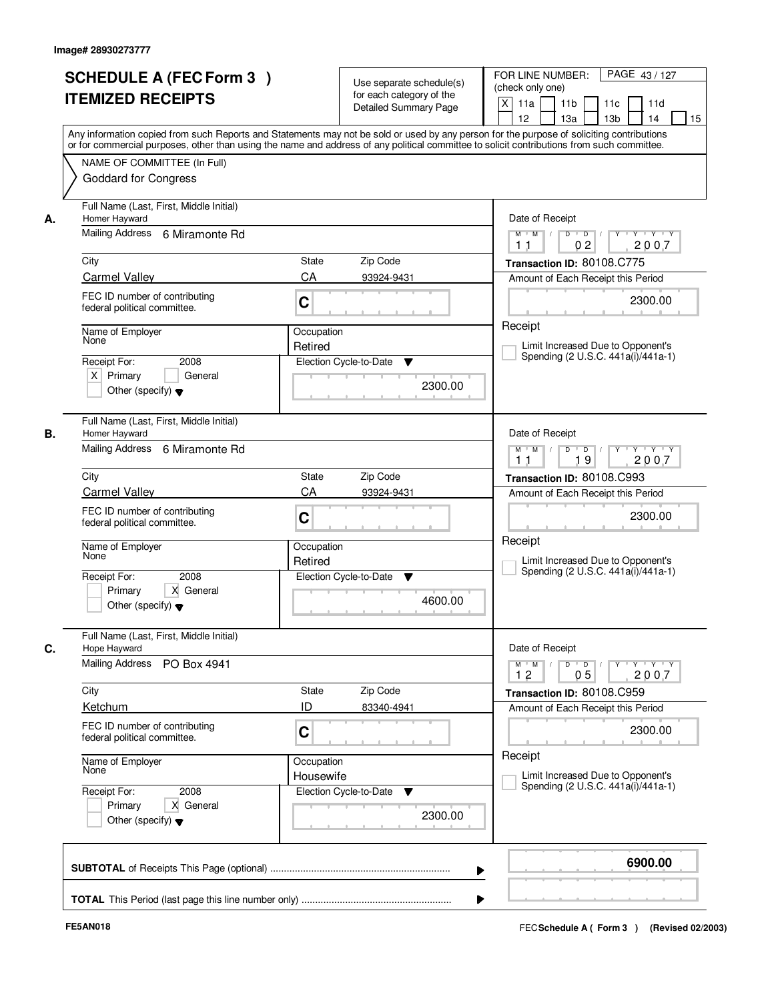|    | <b>SCHEDULE A (FEC Form 3)</b><br><b>ITEMIZED RECEIPTS</b>                                 | Use separate schedule(s)<br>for each category of the<br><b>Detailed Summary Page</b><br>Any information copied from such Reports and Statements may not be sold or used by any person for the purpose of soliciting contributions | PAGE 43/127<br>FOR LINE NUMBER:<br>(check only one)<br>$\mathsf{X}$<br>11 <sub>b</sub><br>11a<br>11c<br>11d<br>12<br>13 <sub>b</sub><br>14<br>13a<br>15 |
|----|--------------------------------------------------------------------------------------------|-----------------------------------------------------------------------------------------------------------------------------------------------------------------------------------------------------------------------------------|---------------------------------------------------------------------------------------------------------------------------------------------------------|
|    | NAME OF COMMITTEE (In Full)<br><b>Goddard for Congress</b>                                 | or for commercial purposes, other than using the name and address of any political committee to solicit contributions from such committee.                                                                                        |                                                                                                                                                         |
| А. | Full Name (Last, First, Middle Initial)<br>Homer Hayward<br>Mailing Address 6 Miramonte Rd |                                                                                                                                                                                                                                   | Date of Receipt<br>$D$ $D$ $/$<br>$\overline{\mathbf{Y}}$<br>$Y$ $Y$ $Y$<br>$M$ $M$ /<br>02<br>2007<br>11                                               |
|    | City                                                                                       | State<br>Zip Code                                                                                                                                                                                                                 | Transaction ID: 80108.C775                                                                                                                              |
|    | <b>Carmel Valley</b>                                                                       | CA<br>93924-9431                                                                                                                                                                                                                  | Amount of Each Receipt this Period                                                                                                                      |
|    | FEC ID number of contributing<br>federal political committee.                              | C                                                                                                                                                                                                                                 | 2300.00                                                                                                                                                 |
|    | Name of Employer                                                                           | Occupation                                                                                                                                                                                                                        | Receipt                                                                                                                                                 |
|    | None                                                                                       | Retired                                                                                                                                                                                                                           | Limit Increased Due to Opponent's<br>Spending (2 U.S.C. 441a(i)/441a-1)                                                                                 |
|    | 2008<br>Receipt For:<br>$X$ Primary<br>General<br>Other (specify) $\blacktriangledown$     | Election Cycle-to-Date<br>▼<br>2300.00                                                                                                                                                                                            |                                                                                                                                                         |
| В. | Full Name (Last, First, Middle Initial)<br>Homer Hayward                                   |                                                                                                                                                                                                                                   | Date of Receipt                                                                                                                                         |
|    | Mailing Address<br>6 Miramonte Rd                                                          | D<br>Y<br>$Y - Y - Y$<br>$M$ $M$ /<br>$\blacksquare$ D $\blacksquare$ /<br>19<br>2007<br>11                                                                                                                                       |                                                                                                                                                         |
|    | City                                                                                       | Zip Code<br>State                                                                                                                                                                                                                 | Transaction ID: 80108.C993                                                                                                                              |
|    | <b>Carmel Valley</b>                                                                       | CA<br>93924-9431                                                                                                                                                                                                                  | Amount of Each Receipt this Period                                                                                                                      |
|    | FEC ID number of contributing<br>federal political committee.                              | C                                                                                                                                                                                                                                 | 2300.00                                                                                                                                                 |
|    | Name of Employer<br>None                                                                   | Occupation<br>Retired                                                                                                                                                                                                             | Receipt<br>Limit Increased Due to Opponent's<br>Spending (2 U.S.C. 441a(i)/441a-1)                                                                      |
|    | Receipt For:<br>2008<br>Primary<br>X General<br>Other (specify) $\blacktriangledown$       | Election Cycle-to-Date<br>▼<br>4600.00                                                                                                                                                                                            |                                                                                                                                                         |
| C. | Full Name (Last, First, Middle Initial)<br>Hope Hayward                                    |                                                                                                                                                                                                                                   | Date of Receipt                                                                                                                                         |
|    | Mailing Address<br>PO Box 4941                                                             |                                                                                                                                                                                                                                   | $D$ $D$ $/$<br>$\mathsf{Y} \dashv \mathsf{Y} \dashv \mathsf{Y} \dashv \mathsf{Y}$<br>$M$ $M$ $/$<br>12<br>05<br>2007                                    |
|    | City                                                                                       | Zip Code<br>State                                                                                                                                                                                                                 | Transaction ID: 80108.C959                                                                                                                              |
|    | Ketchum                                                                                    | ID<br>83340-4941                                                                                                                                                                                                                  | Amount of Each Receipt this Period                                                                                                                      |
|    | FEC ID number of contributing<br>federal political committee.                              | C                                                                                                                                                                                                                                 | 2300.00<br>Receipt                                                                                                                                      |
|    | Name of Employer<br>None                                                                   | Occupation<br>Housewife                                                                                                                                                                                                           | Limit Increased Due to Opponent's                                                                                                                       |
|    | Receipt For:<br>2008<br>Primary<br>X General<br>Other (specify) $\blacktriangledown$       | Election Cycle-to-Date<br>v<br>2300.00                                                                                                                                                                                            | Spending (2 U.S.C. 441a(i)/441a-1)                                                                                                                      |
|    |                                                                                            | ▶                                                                                                                                                                                                                                 | 6900.00                                                                                                                                                 |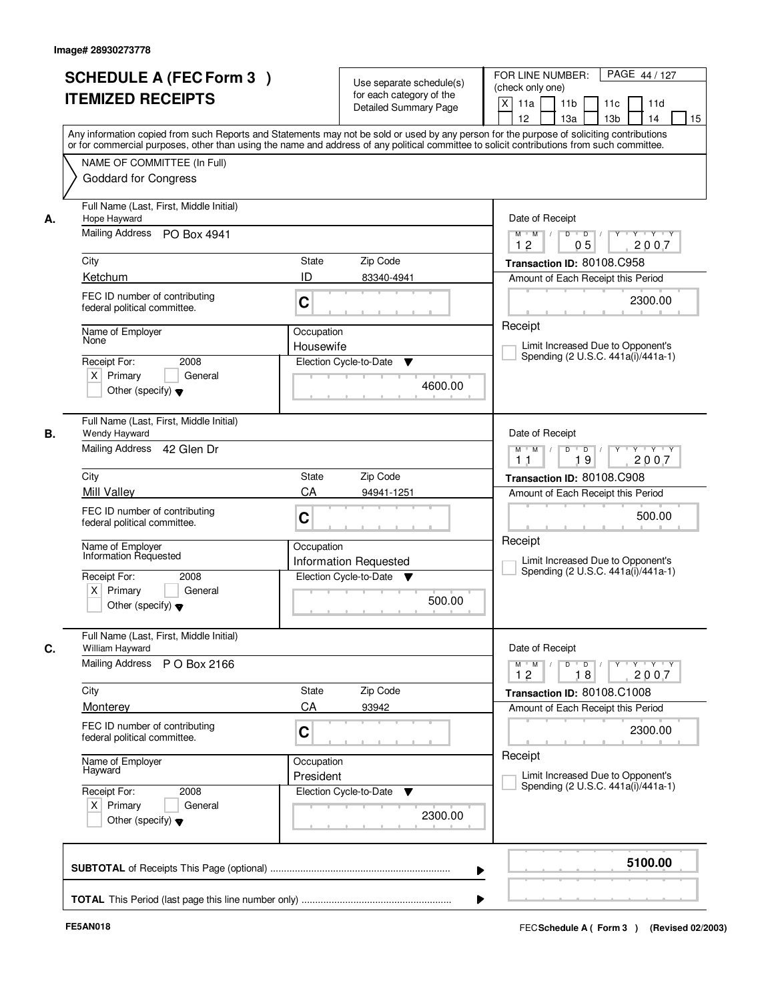|    | <b>SCHEDULE A (FEC Form 3)</b><br><b>ITEMIZED RECEIPTS</b>                             | Use separate schedule(s)<br>for each category of the<br><b>Detailed Summary Page</b><br>Any information copied from such Reports and Statements may not be sold or used by any person for the purpose of soliciting contributions<br>or for commercial purposes, other than using the name and address of any political committee to solicit contributions from such committee. | PAGE 44 / 127<br>FOR LINE NUMBER:<br>(check only one)<br>$\mathsf{X}$<br>11 <sub>b</sub><br>11a<br>11c<br>11d<br>12<br>13 <sub>b</sub><br>14<br>15<br>13a |
|----|----------------------------------------------------------------------------------------|---------------------------------------------------------------------------------------------------------------------------------------------------------------------------------------------------------------------------------------------------------------------------------------------------------------------------------------------------------------------------------|-----------------------------------------------------------------------------------------------------------------------------------------------------------|
|    | NAME OF COMMITTEE (In Full)<br><b>Goddard for Congress</b>                             |                                                                                                                                                                                                                                                                                                                                                                                 |                                                                                                                                                           |
| А. | Full Name (Last, First, Middle Initial)<br>Hope Hayward<br>Mailing Address PO Box 4941 |                                                                                                                                                                                                                                                                                                                                                                                 | Date of Receipt<br>$Y - Y - Y$<br>$M$ $M$ /<br>$D$ $D$ $1$<br>Y<br>12<br>05<br>2007                                                                       |
|    | City                                                                                   | State<br>Zip Code                                                                                                                                                                                                                                                                                                                                                               | Transaction ID: 80108.C958                                                                                                                                |
|    | Ketchum                                                                                | ID<br>83340-4941                                                                                                                                                                                                                                                                                                                                                                | Amount of Each Receipt this Period                                                                                                                        |
|    | FEC ID number of contributing<br>federal political committee.                          | C                                                                                                                                                                                                                                                                                                                                                                               | 2300.00                                                                                                                                                   |
|    | Name of Employer                                                                       | Occupation                                                                                                                                                                                                                                                                                                                                                                      | Receipt                                                                                                                                                   |
|    | None                                                                                   | Housewife                                                                                                                                                                                                                                                                                                                                                                       | Limit Increased Due to Opponent's<br>Spending (2 U.S.C. 441a(i)/441a-1)                                                                                   |
|    | 2008<br>Receipt For:<br>$X$ Primary<br>General<br>Other (specify) $\blacktriangledown$ | Election Cycle-to-Date<br>▼<br>4600.00                                                                                                                                                                                                                                                                                                                                          |                                                                                                                                                           |
| В. | Full Name (Last, First, Middle Initial)<br>Wendy Hayward                               |                                                                                                                                                                                                                                                                                                                                                                                 | Date of Receipt                                                                                                                                           |
|    | Mailing Address 42 Glen Dr                                                             |                                                                                                                                                                                                                                                                                                                                                                                 | $Y - Y - Y$<br>$M$ $M$ /<br>D<br>$\blacksquare$ D $\blacksquare$ /<br>19<br>2007<br>11                                                                    |
|    | City                                                                                   | Zip Code<br><b>State</b>                                                                                                                                                                                                                                                                                                                                                        | Transaction ID: 80108.C908                                                                                                                                |
|    | <b>Mill Valley</b>                                                                     | CA<br>94941-1251                                                                                                                                                                                                                                                                                                                                                                | Amount of Each Receipt this Period                                                                                                                        |
|    | FEC ID number of contributing<br>federal political committee.                          | C                                                                                                                                                                                                                                                                                                                                                                               | 500.00                                                                                                                                                    |
|    | Name of Employer<br>Information Requested                                              | Occupation<br><b>Information Requested</b>                                                                                                                                                                                                                                                                                                                                      | Receipt<br>Limit Increased Due to Opponent's<br>Spending (2 U.S.C. 441a(i)/441a-1)                                                                        |
|    | Receipt For:<br>2008<br>$X$ Primary<br>General<br>Other (specify) $\blacktriangledown$ | Election Cycle-to-Date<br>v<br>500.00                                                                                                                                                                                                                                                                                                                                           |                                                                                                                                                           |
| C. | Full Name (Last, First, Middle Initial)<br>William Hayward                             |                                                                                                                                                                                                                                                                                                                                                                                 | Date of Receipt                                                                                                                                           |
|    | <b>Mailing Address</b><br>P O Box 2166                                                 |                                                                                                                                                                                                                                                                                                                                                                                 | $D$ $D$ $I$<br>$M$ $M$<br>12<br>18<br>2007                                                                                                                |
|    | City                                                                                   | Zip Code<br>State                                                                                                                                                                                                                                                                                                                                                               | Transaction ID: 80108.C1008                                                                                                                               |
|    | Monterey                                                                               | CA<br>93942                                                                                                                                                                                                                                                                                                                                                                     | Amount of Each Receipt this Period                                                                                                                        |
|    | FEC ID number of contributing<br>federal political committee.                          | C                                                                                                                                                                                                                                                                                                                                                                               | 2300.00                                                                                                                                                   |
|    | Name of Employer<br>Hayward                                                            | Occupation<br>President                                                                                                                                                                                                                                                                                                                                                         | Receipt<br>Limit Increased Due to Opponent's                                                                                                              |
|    | Receipt For:<br>2008<br>$X$ Primary<br>General<br>Other (specify) $\blacktriangledown$ | Election Cycle-to-Date<br>▼<br>2300.00                                                                                                                                                                                                                                                                                                                                          | Spending (2 U.S.C. 441a(i)/441a-1)                                                                                                                        |
|    |                                                                                        | ▶                                                                                                                                                                                                                                                                                                                                                                               | 5100.00                                                                                                                                                   |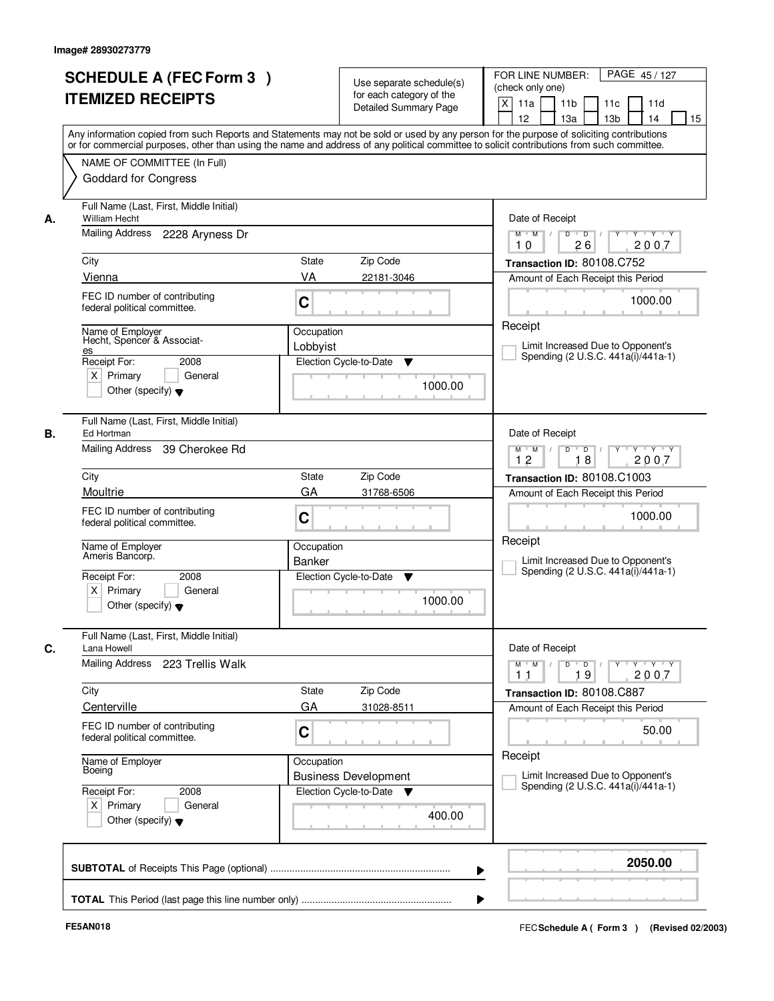|    | <b>SCHEDULE A (FEC Form 3)</b><br><b>ITEMIZED RECEIPTS</b>      | Use separate schedule(s)<br>for each category of the                                                                                                                                                                                                                                    | PAGE 45/127<br>FOR LINE NUMBER:<br>(check only one)<br>$\boldsymbol{\mathsf{X}}$<br>11 <sub>b</sub><br>11a<br>11c<br>11d |
|----|-----------------------------------------------------------------|-----------------------------------------------------------------------------------------------------------------------------------------------------------------------------------------------------------------------------------------------------------------------------------------|--------------------------------------------------------------------------------------------------------------------------|
|    |                                                                 | <b>Detailed Summary Page</b>                                                                                                                                                                                                                                                            | 12<br>13a<br>13 <sub>b</sub><br>14<br>15                                                                                 |
|    |                                                                 | Any information copied from such Reports and Statements may not be sold or used by any person for the purpose of soliciting contributions<br>or for commercial purposes, other than using the name and address of any political committee to solicit contributions from such committee. |                                                                                                                          |
|    | NAME OF COMMITTEE (In Full)                                     |                                                                                                                                                                                                                                                                                         |                                                                                                                          |
|    | <b>Goddard for Congress</b>                                     |                                                                                                                                                                                                                                                                                         |                                                                                                                          |
| А. | Full Name (Last, First, Middle Initial)<br><b>William Hecht</b> | Date of Receipt                                                                                                                                                                                                                                                                         |                                                                                                                          |
|    | Mailing Address<br>2228 Aryness Dr                              |                                                                                                                                                                                                                                                                                         | $\overline{D}$<br>$Y - Y - Y$<br>$M$ $M$ /<br>D<br>Y<br>2007<br>26<br>10                                                 |
|    | City                                                            | State<br>Zip Code                                                                                                                                                                                                                                                                       | Transaction ID: 80108.C752                                                                                               |
|    | Vienna                                                          | VA<br>22181-3046                                                                                                                                                                                                                                                                        | Amount of Each Receipt this Period                                                                                       |
|    | FEC ID number of contributing<br>federal political committee.   | C                                                                                                                                                                                                                                                                                       | 1000.00                                                                                                                  |
|    | Name of Emplover                                                | Occupation                                                                                                                                                                                                                                                                              | Receipt                                                                                                                  |
|    | Hecht, Spencer & Associat-<br>es                                | Lobbyist                                                                                                                                                                                                                                                                                | Limit Increased Due to Opponent's<br>Spending (2 U.S.C. 441a(i)/441a-1)                                                  |
|    | Receipt For:<br>2008<br>$X$ Primary<br>General                  | Election Cycle-to-Date<br>▼                                                                                                                                                                                                                                                             |                                                                                                                          |
|    | Other (specify) $\blacktriangledown$                            | 1000.00                                                                                                                                                                                                                                                                                 |                                                                                                                          |
| В. | Full Name (Last, First, Middle Initial)<br>Ed Hortman           |                                                                                                                                                                                                                                                                                         | Date of Receipt                                                                                                          |
|    | Mailing Address<br>39 Cherokee Rd                               |                                                                                                                                                                                                                                                                                         | D<br>$\overline{D}$ /<br>$Y$ <sup>U</sup><br>Y Y Y Y<br>$M$ $M$ /<br>12<br>18<br>2007                                    |
|    | City                                                            | Zip Code<br>State                                                                                                                                                                                                                                                                       | Transaction ID: 80108.C1003                                                                                              |
|    | Moultrie                                                        | GA<br>31768-6506                                                                                                                                                                                                                                                                        | Amount of Each Receipt this Period                                                                                       |
|    | FEC ID number of contributing<br>federal political committee.   | C                                                                                                                                                                                                                                                                                       | 1000.00                                                                                                                  |
|    | Name of Employer<br>Ameris Bancorp.                             | Occupation<br>Banker                                                                                                                                                                                                                                                                    | Receipt<br>Limit Increased Due to Opponent's                                                                             |
|    | Receipt For:<br>2008                                            | Election Cycle-to-Date<br>v                                                                                                                                                                                                                                                             | Spending (2 U.S.C. 441a(i)/441a-1)                                                                                       |
|    | $X$ Primary<br>General<br>Other (specify) $\blacktriangledown$  | 1000.00                                                                                                                                                                                                                                                                                 |                                                                                                                          |
| C. | Full Name (Last, First, Middle Initial)<br>Lana Howell          |                                                                                                                                                                                                                                                                                         | Date of Receipt                                                                                                          |
|    | Mailing Address<br>223 Trellis Walk                             |                                                                                                                                                                                                                                                                                         | $M$ $M$ $/$<br>$D$ $D$ $/$<br>$Y$ <sup>U</sup><br>$Y - Y - Y$<br>2007<br>19<br>11                                        |
|    | City                                                            | Zip Code<br>State                                                                                                                                                                                                                                                                       | Transaction ID: 80108.C887                                                                                               |
|    | Centerville                                                     | GA<br>31028-8511                                                                                                                                                                                                                                                                        | Amount of Each Receipt this Period                                                                                       |
|    | FEC ID number of contributing<br>federal political committee.   | C                                                                                                                                                                                                                                                                                       | 50.00                                                                                                                    |
|    | Name of Employer<br>Boeing                                      | Occupation<br><b>Business Development</b>                                                                                                                                                                                                                                               | Receipt<br>Limit Increased Due to Opponent's                                                                             |
|    | Receipt For:<br>2008                                            | Election Cycle-to-Date ▼                                                                                                                                                                                                                                                                | Spending (2 U.S.C. 441a(i)/441a-1)                                                                                       |
|    | $X$ Primary<br>General<br>Other (specify) $\blacktriangledown$  | 400.00                                                                                                                                                                                                                                                                                  |                                                                                                                          |
|    |                                                                 |                                                                                                                                                                                                                                                                                         | 2050.00                                                                                                                  |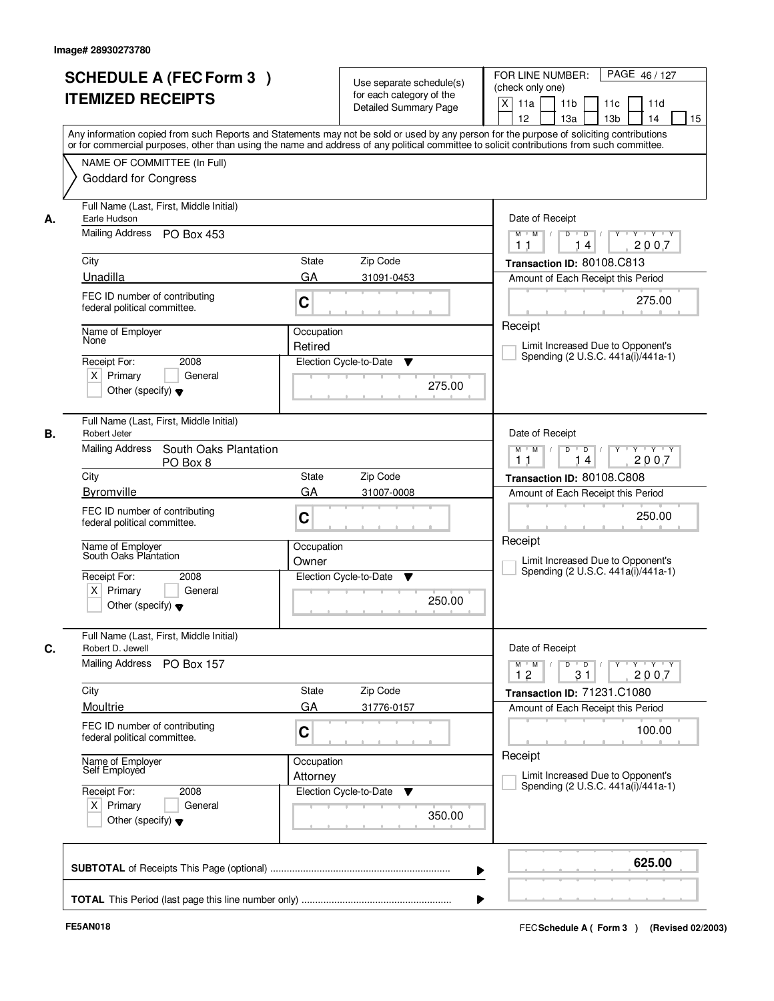|    | <b>SCHEDULE A (FEC Form 3)</b><br><b>ITEMIZED RECEIPTS</b><br>Any information copied from such Reports and Statements may not be sold or used by any person for the purpose of soliciting contributions<br>or for commercial purposes, other than using the name and address of any political committee to solicit contributions from such committee. |                        | Use separate schedule(s)<br>for each category of the<br><b>Detailed Summary Page</b> | PAGE 46/127<br>FOR LINE NUMBER:<br>(check only one)<br>$\mathsf{X}$<br>11 <sub>b</sub><br>11a<br>11c<br>11d<br>12<br>13 <sub>b</sub><br>14<br>15<br>13a                                               |
|----|-------------------------------------------------------------------------------------------------------------------------------------------------------------------------------------------------------------------------------------------------------------------------------------------------------------------------------------------------------|------------------------|--------------------------------------------------------------------------------------|-------------------------------------------------------------------------------------------------------------------------------------------------------------------------------------------------------|
|    | NAME OF COMMITTEE (In Full)<br><b>Goddard for Congress</b>                                                                                                                                                                                                                                                                                            |                        |                                                                                      |                                                                                                                                                                                                       |
| А. | Full Name (Last, First, Middle Initial)<br>Earle Hudson<br>Mailing Address PO Box 453                                                                                                                                                                                                                                                                 |                        |                                                                                      | Date of Receipt<br>$Y + Y + Y$<br>$M$ $M$ /<br>$D$ $D$ $/$<br>$Y^+$<br>2007<br>14                                                                                                                     |
|    | City                                                                                                                                                                                                                                                                                                                                                  | State                  | Zip Code                                                                             | 11<br>Transaction ID: 80108.C813                                                                                                                                                                      |
|    | Unadilla                                                                                                                                                                                                                                                                                                                                              | GA                     | 31091-0453                                                                           | Amount of Each Receipt this Period                                                                                                                                                                    |
|    | FEC ID number of contributing<br>federal political committee.                                                                                                                                                                                                                                                                                         | C                      |                                                                                      | 275.00                                                                                                                                                                                                |
|    | Name of Employer<br>None                                                                                                                                                                                                                                                                                                                              | Occupation             |                                                                                      | Receipt                                                                                                                                                                                               |
|    |                                                                                                                                                                                                                                                                                                                                                       | Retired                |                                                                                      | Limit Increased Due to Opponent's<br>Spending (2 U.S.C. 441a(i)/441a-1)                                                                                                                               |
|    | 2008<br>Receipt For:<br>$X$ Primary<br>General<br>Other (specify) $\blacktriangledown$                                                                                                                                                                                                                                                                |                        | Election Cycle-to-Date<br>▼<br>275.00                                                |                                                                                                                                                                                                       |
| В. | Full Name (Last, First, Middle Initial)<br>Robert Jeter                                                                                                                                                                                                                                                                                               |                        |                                                                                      | Date of Receipt                                                                                                                                                                                       |
|    | Mailing Address<br>South Oaks Plantation<br>PO Box 8                                                                                                                                                                                                                                                                                                  |                        |                                                                                      | $Y - Y - Y$<br>$M$ $M$ /<br>D<br>$\Box$<br>2007<br>14<br>11                                                                                                                                           |
|    | City<br><b>Byromville</b>                                                                                                                                                                                                                                                                                                                             | <b>State</b>           | Zip Code                                                                             | Transaction ID: 80108.C808                                                                                                                                                                            |
|    | FEC ID number of contributing<br>federal political committee.                                                                                                                                                                                                                                                                                         | GA<br>C                | 31007-0008                                                                           | Amount of Each Receipt this Period<br>250.00                                                                                                                                                          |
|    | Name of Employer<br>South Oaks Plantation                                                                                                                                                                                                                                                                                                             | Occupation<br>Owner    |                                                                                      | Receipt<br>Limit Increased Due to Opponent's                                                                                                                                                          |
|    | Receipt For:<br>2008<br>$X$ Primary<br>General<br>Other (specify) $\blacktriangledown$                                                                                                                                                                                                                                                                |                        | Election Cycle-to-Date<br>v<br>250.00                                                | Spending (2 U.S.C. 441a(i)/441a-1)                                                                                                                                                                    |
| C. | Full Name (Last, First, Middle Initial)<br>Robert D. Jewell                                                                                                                                                                                                                                                                                           |                        |                                                                                      | Date of Receipt                                                                                                                                                                                       |
|    | Mailing Address<br><b>PO Box 157</b>                                                                                                                                                                                                                                                                                                                  |                        |                                                                                      | $\begin{array}{ccccccccccccc} &\mathsf{Y} &\mathsf{V} &\mathsf{Y} &\mathsf{V} &\mathsf{Y} &\mathsf{V} &\mathsf{Y}\end{array}$<br>$M$ $M$ $/$<br>$\mathsf{D}$<br>$\Box$ D $\Box$ /<br>12<br>31<br>2007 |
|    | City                                                                                                                                                                                                                                                                                                                                                  | State                  | Zip Code                                                                             | Transaction ID: 71231.C1080                                                                                                                                                                           |
|    | Moultrie                                                                                                                                                                                                                                                                                                                                              | GA                     | 31776-0157                                                                           | Amount of Each Receipt this Period                                                                                                                                                                    |
|    | FEC ID number of contributing<br>federal political committee.                                                                                                                                                                                                                                                                                         | C                      |                                                                                      | 100.00                                                                                                                                                                                                |
|    | Name of Employer<br>Self Employed                                                                                                                                                                                                                                                                                                                     | Occupation<br>Attorney |                                                                                      | Receipt<br>Limit Increased Due to Opponent's                                                                                                                                                          |
|    | Receipt For:<br>2008<br>$X$ Primary<br>General<br>Other (specify) $\blacktriangledown$                                                                                                                                                                                                                                                                |                        | Election Cycle-to-Date<br>v<br>350.00                                                | Spending (2 U.S.C. 441a(i)/441a-1)                                                                                                                                                                    |
|    |                                                                                                                                                                                                                                                                                                                                                       |                        |                                                                                      | 625.00<br>▶                                                                                                                                                                                           |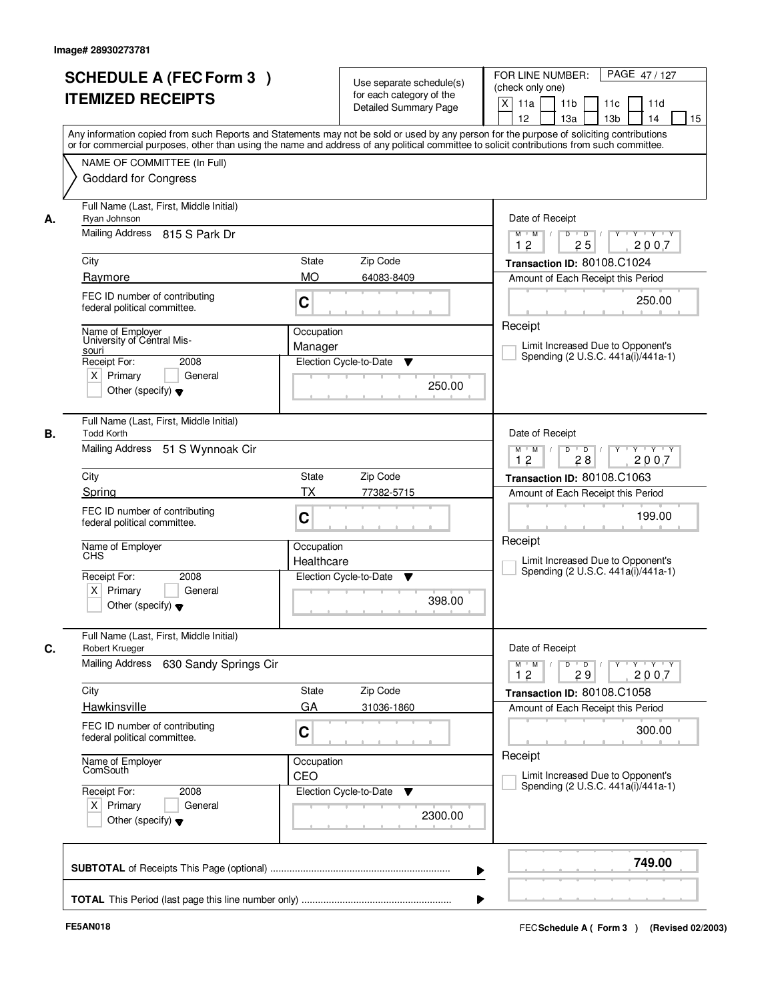|    | <b>SCHEDULE A (FEC Form 3)</b><br><b>ITEMIZED RECEIPTS</b><br>Any information copied from such Reports and Statements may not be sold or used by any person for the purpose of soliciting contributions  |                           | Use separate schedule(s)<br>for each category of the<br><b>Detailed Summary Page</b> | PAGE 47/127<br>FOR LINE NUMBER:<br>(check only one)<br>X<br>11 <sub>b</sub><br>11a<br>11 <sub>c</sub><br>11d<br>12<br>13 <sub>b</sub><br>14<br>13a<br>15 |
|----|----------------------------------------------------------------------------------------------------------------------------------------------------------------------------------------------------------|---------------------------|--------------------------------------------------------------------------------------|----------------------------------------------------------------------------------------------------------------------------------------------------------|
|    | or for commercial purposes, other than using the name and address of any political committee to solicit contributions from such committee.<br>NAME OF COMMITTEE (In Full)<br><b>Goddard for Congress</b> |                           |                                                                                      |                                                                                                                                                          |
| А. | Full Name (Last, First, Middle Initial)<br>Ryan Johnson<br>Mailing Address 815 S Park Dr                                                                                                                 |                           |                                                                                      | Date of Receipt<br>$D$ $D$<br>Y<br>Y TY Y Y<br>$M$ $M$ /<br>2007<br>12<br>25                                                                             |
|    | City<br>Raymore                                                                                                                                                                                          | <b>State</b><br><b>MO</b> | Zip Code                                                                             | Transaction ID: 80108.C1024                                                                                                                              |
|    | FEC ID number of contributing<br>federal political committee.                                                                                                                                            | C                         | 64083-8409                                                                           | Amount of Each Receipt this Period<br>250.00                                                                                                             |
|    | Name of Employer<br>University of Central Mis-<br>souri<br>Receipt For:<br>2008<br>$X$ Primary<br>General<br>Other (specify) $\blacktriangledown$                                                        | Occupation<br>Manager     | Election Cycle-to-Date<br>▼<br>250.00                                                | Receipt<br>Limit Increased Due to Opponent's<br>Spending (2 U.S.C. 441a(i)/441a-1)                                                                       |
| В. | Full Name (Last, First, Middle Initial)<br><b>Todd Korth</b><br>Mailing Address<br>51 S Wynnoak Cir                                                                                                      |                           |                                                                                      | Date of Receipt<br>$Y \vdash Y \vdash Y$<br>$M$ $M$ /<br>D<br>$\overline{D}$<br>12<br>28<br>2007                                                         |
|    | City                                                                                                                                                                                                     | State                     | Zip Code                                                                             | Transaction ID: 80108.C1063                                                                                                                              |
|    | Spring                                                                                                                                                                                                   | TX                        | 77382-5715                                                                           | Amount of Each Receipt this Period                                                                                                                       |
|    | FEC ID number of contributing<br>federal political committee.                                                                                                                                            | C                         |                                                                                      | 199.00                                                                                                                                                   |
|    | Name of Employer                                                                                                                                                                                         | Occupation<br>Healthcare  |                                                                                      | Receipt<br>Limit Increased Due to Opponent's<br>Spending (2 U.S.C. 441a(i)/441a-1)                                                                       |
|    | Receipt For:<br>2008<br>$X$ Primary<br>General<br>Other (specify) $\blacktriangledown$                                                                                                                   |                           | Election Cycle-to-Date<br>▼<br>398.00                                                |                                                                                                                                                          |
| C. | Full Name (Last, First, Middle Initial)<br>Robert Krueger<br>Mailing Address<br>630 Sandy Springs Cir                                                                                                    |                           |                                                                                      | Date of Receipt<br>$M$ $M$<br>$D$ $D$ $/$<br>Y 'Y 'Y<br>$Y$ <sup>U</sup><br>2007<br>12<br>29                                                             |
|    | City                                                                                                                                                                                                     | State                     | Zip Code                                                                             | Transaction ID: 80108.C1058                                                                                                                              |
|    | Hawkinsville                                                                                                                                                                                             | GA                        | 31036-1860                                                                           | Amount of Each Receipt this Period                                                                                                                       |
|    | FEC ID number of contributing<br>federal political committee.                                                                                                                                            | C                         |                                                                                      | 300.00                                                                                                                                                   |
|    | Name of Employer<br>ComSouth                                                                                                                                                                             | Occupation<br>CEO         |                                                                                      | Receipt<br>Limit Increased Due to Opponent's<br>Spending (2 U.S.C. 441a(i)/441a-1)                                                                       |
|    | Receipt For:<br>2008<br>$X$ Primary<br>General<br>Other (specify) $\blacktriangledown$                                                                                                                   |                           | Election Cycle-to-Date<br>v<br>2300.00                                               |                                                                                                                                                          |
|    |                                                                                                                                                                                                          |                           |                                                                                      | 749.00                                                                                                                                                   |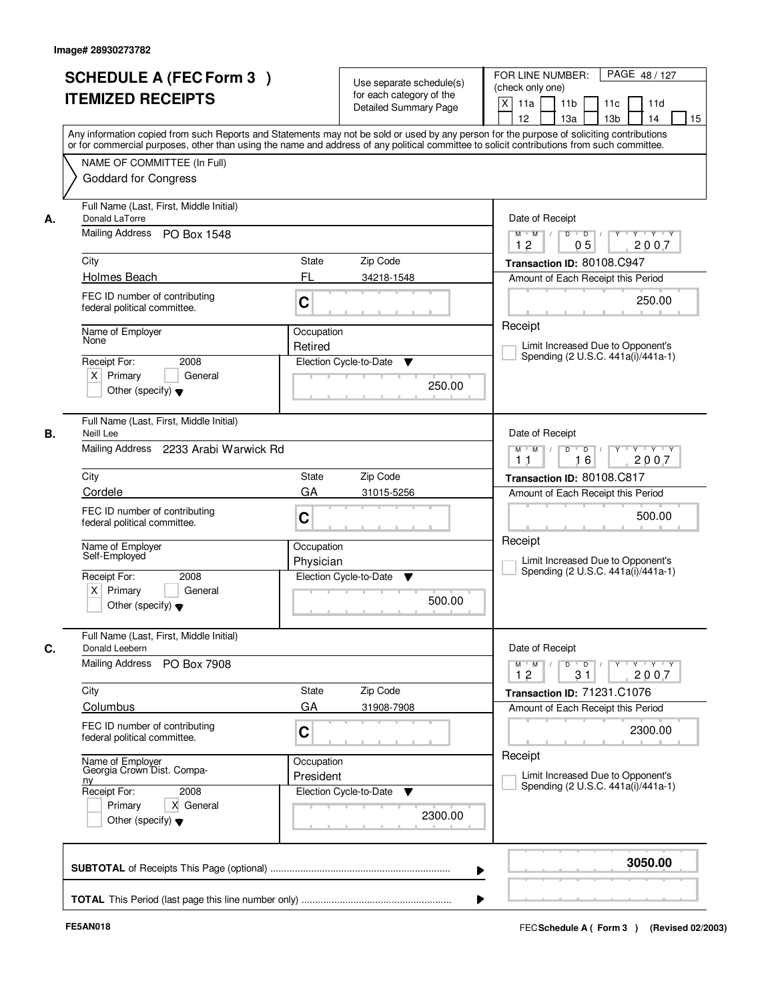|    | <b>SCHEDULE A (FEC Form 3)</b><br><b>ITEMIZED RECEIPTS</b>                               | Use separate schedule(s)<br>for each category of the<br><b>Detailed Summary Page</b> | PAGE 48/127<br>FOR LINE NUMBER:<br>(check only one)<br>$\mathsf{X}$<br>11 <sub>b</sub><br>11a<br>11c<br>11d<br>12<br>13 <sub>b</sub><br>14<br>15<br>13a<br>Any information copied from such Reports and Statements may not be sold or used by any person for the purpose of soliciting contributions<br>or for commercial purposes, other than using the name and address of any political committee to solicit contributions from such committee. |
|----|------------------------------------------------------------------------------------------|--------------------------------------------------------------------------------------|----------------------------------------------------------------------------------------------------------------------------------------------------------------------------------------------------------------------------------------------------------------------------------------------------------------------------------------------------------------------------------------------------------------------------------------------------|
|    | NAME OF COMMITTEE (In Full)<br><b>Goddard for Congress</b>                               |                                                                                      |                                                                                                                                                                                                                                                                                                                                                                                                                                                    |
| А. | Full Name (Last, First, Middle Initial)<br>Donald LaTorre<br>Mailing Address PO Box 1548 |                                                                                      | Date of Receipt<br>$Y + Y + Y$<br>$D$ $D$ $1$<br>Y<br>$M$ $M$ /                                                                                                                                                                                                                                                                                                                                                                                    |
|    | City                                                                                     | State<br>Zip Code                                                                    | 12<br>05<br>2007<br>Transaction ID: 80108.C947                                                                                                                                                                                                                                                                                                                                                                                                     |
|    | Holmes Beach                                                                             | FL<br>34218-1548                                                                     | Amount of Each Receipt this Period                                                                                                                                                                                                                                                                                                                                                                                                                 |
|    | FEC ID number of contributing<br>federal political committee.                            | C                                                                                    | 250.00                                                                                                                                                                                                                                                                                                                                                                                                                                             |
|    | Name of Employer                                                                         | Occupation                                                                           | Receipt                                                                                                                                                                                                                                                                                                                                                                                                                                            |
|    | None                                                                                     | Retired                                                                              | Limit Increased Due to Opponent's<br>Spending (2 U.S.C. 441a(i)/441a-1)                                                                                                                                                                                                                                                                                                                                                                            |
|    | Receipt For:<br>2008<br>$X$ Primary<br>General<br>Other (specify) $\blacktriangledown$   | Election Cycle-to-Date<br>▼<br>250.00                                                |                                                                                                                                                                                                                                                                                                                                                                                                                                                    |
| В. | Full Name (Last, First, Middle Initial)<br>Neill Lee                                     |                                                                                      | Date of Receipt                                                                                                                                                                                                                                                                                                                                                                                                                                    |
|    | Mailing Address<br>2233 Arabi Warwick Rd                                                 | $Y - Y - Y$<br>$M$ $M$ /<br>D<br>$\Box$ D $\Box$ /<br>16<br>2007<br>11               |                                                                                                                                                                                                                                                                                                                                                                                                                                                    |
|    | City                                                                                     | <b>State</b><br>Zip Code                                                             | Transaction ID: 80108.C817                                                                                                                                                                                                                                                                                                                                                                                                                         |
|    | Cordele                                                                                  | GA<br>31015-5256                                                                     | Amount of Each Receipt this Period                                                                                                                                                                                                                                                                                                                                                                                                                 |
|    | FEC ID number of contributing<br>federal political committee.                            | C                                                                                    | 500.00                                                                                                                                                                                                                                                                                                                                                                                                                                             |
|    | Name of Employer<br>Self-Employed                                                        | Occupation<br>Physician                                                              | Receipt<br>Limit Increased Due to Opponent's<br>Spending (2 U.S.C. 441a(i)/441a-1)                                                                                                                                                                                                                                                                                                                                                                 |
|    | Receipt For:<br>2008<br>$X$ Primary<br>General<br>Other (specify) $\blacktriangledown$   | Election Cycle-to-Date<br>▼<br>500.00                                                |                                                                                                                                                                                                                                                                                                                                                                                                                                                    |
| C. | Full Name (Last, First, Middle Initial)<br>Donald Leebern                                |                                                                                      | Date of Receipt                                                                                                                                                                                                                                                                                                                                                                                                                                    |
|    | <b>Mailing Address</b><br>PO Box 7908                                                    |                                                                                      | $\mathsf{Y} \dashv \mathsf{Y} \dashv \mathsf{Y} \dashv \mathsf{Y}$<br>$M$ $M$ $/$<br>D<br>$\Box$ D $\Box$ /<br>12<br>31<br>2007                                                                                                                                                                                                                                                                                                                    |
|    | City                                                                                     | Zip Code<br>State                                                                    | Transaction ID: 71231.C1076                                                                                                                                                                                                                                                                                                                                                                                                                        |
|    | Columbus                                                                                 | GA<br>31908-7908                                                                     | Amount of Each Receipt this Period                                                                                                                                                                                                                                                                                                                                                                                                                 |
|    | FEC ID number of contributing<br>federal political committee.                            | C                                                                                    | 2300.00                                                                                                                                                                                                                                                                                                                                                                                                                                            |
|    | Name of Employer<br>Georgia Crown Dist. Compa-<br><u>ny</u>                              | Occupation<br>President                                                              | Receipt<br>Limit Increased Due to Opponent's<br>Spending (2 U.S.C. 441a(i)/441a-1)                                                                                                                                                                                                                                                                                                                                                                 |
|    | Receipt For:<br>2008<br>Primary<br>X General<br>Other (specify) $\blacktriangledown$     | Election Cycle-to-Date<br>▼<br>2300.00                                               |                                                                                                                                                                                                                                                                                                                                                                                                                                                    |
|    |                                                                                          |                                                                                      | 3050.00<br>▶                                                                                                                                                                                                                                                                                                                                                                                                                                       |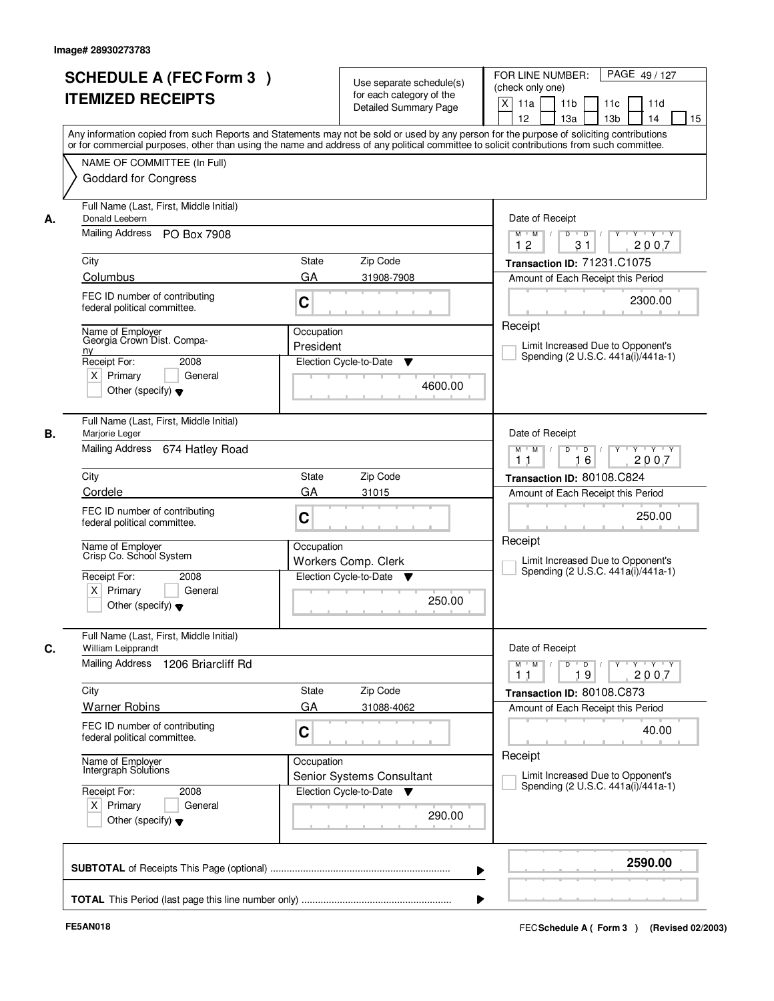| <b>SCHEDULE A (FEC Form 3)</b><br><b>ITEMIZED RECEIPTS</b>                                                                                                                                                                                                                                                                                                              | Use separate schedule(s)<br>for each category of the<br><b>Detailed Summary Page</b>                                                                                                                                                                                                    | PAGE 49/127<br>FOR LINE NUMBER:<br>(check only one)<br>X<br>11a<br>11 <sub>b</sub><br>11d<br>11c<br>12<br>13a<br>13 <sub>b</sub><br>14<br>15                                                                                                                                  |
|-------------------------------------------------------------------------------------------------------------------------------------------------------------------------------------------------------------------------------------------------------------------------------------------------------------------------------------------------------------------------|-----------------------------------------------------------------------------------------------------------------------------------------------------------------------------------------------------------------------------------------------------------------------------------------|-------------------------------------------------------------------------------------------------------------------------------------------------------------------------------------------------------------------------------------------------------------------------------|
| NAME OF COMMITTEE (In Full)<br><b>Goddard for Congress</b>                                                                                                                                                                                                                                                                                                              | Any information copied from such Reports and Statements may not be sold or used by any person for the purpose of soliciting contributions<br>or for commercial purposes, other than using the name and address of any political committee to solicit contributions from such committee. |                                                                                                                                                                                                                                                                               |
| Full Name (Last, First, Middle Initial)<br>Donald Leebern<br>А.<br>Mailing Address PO Box 7908<br>City<br>Columbus<br>FEC ID number of contributing<br>federal political committee.<br>Name of Employer<br>Georgia Crown Dist. Compa-<br>n <sub>V</sub><br>Receipt For:<br>2008<br>$X$ Primary<br>General                                                               | <b>State</b><br>Zip Code<br>GA<br>31908-7908<br>C<br>Occupation<br>President<br>Election Cycle-to-Date<br>▼                                                                                                                                                                             | Date of Receipt<br>$Y + Y + Y$<br>$M$ $M$ /<br>D<br>$\overline{D}$<br>2007<br>12<br>31<br>Transaction ID: 71231.C1075<br>Amount of Each Receipt this Period<br>2300.00<br>Receipt<br>Limit Increased Due to Opponent's<br>Spending (2 U.S.C. 441a(i)/441a-1)                  |
| Other (specify) $\blacktriangledown$<br>Full Name (Last, First, Middle Initial)<br>В.<br>Marjorie Leger<br>Mailing Address 674 Hatley Road<br>City<br>Cordele<br>FEC ID number of contributing<br>federal political committee.<br>Name of Employer<br>Crisp Co. School System<br>Receipt For:<br>2008<br>$X$ Primary<br>General<br>Other (specify) $\blacktriangledown$ | 4600.00<br>Zip Code<br><b>State</b><br>GA<br>31015<br>C<br>Occupation<br>Workers Comp. Clerk<br>Election Cycle-to-Date<br>v<br>250.00                                                                                                                                                   | Date of Receipt<br>$M$ $M$ /<br>D<br>$\blacksquare$ D $\blacksquare$ /<br>$Y - Y - Y$<br>16<br>2007<br>11<br>Transaction ID: 80108.C824<br>Amount of Each Receipt this Period<br>250.00<br>Receipt<br>Limit Increased Due to Opponent's<br>Spending (2 U.S.C. 441a(i)/441a-1) |
| Full Name (Last, First, Middle Initial)<br>William Leipprandt<br>С.<br>Mailing Address<br>1206 Briarcliff Rd<br>City<br><b>Warner Robins</b><br>FEC ID number of contributing<br>federal political committee.<br>Name of Employer<br>Intergraph Solutions<br>Receipt For:<br>2008<br>$X$ Primary<br>General<br>Other (specify) $\blacktriangledown$                     | Zip Code<br>State<br>GA<br>31088-4062<br>C<br>Occupation<br>Senior Systems Consultant<br>Election Cycle-to-Date<br>▼<br>290.00                                                                                                                                                          | Date of Receipt<br>$D$ $D$ $/$<br>Y Y Y Y<br>$M$ M<br>$\top$<br>2007<br>19<br>11<br>Transaction ID: 80108.C873<br>Amount of Each Receipt this Period<br>40.00<br>Receipt<br>Limit Increased Due to Opponent's<br>Spending (2 U.S.C. 441a(i)/441a-1)                           |
|                                                                                                                                                                                                                                                                                                                                                                         |                                                                                                                                                                                                                                                                                         | 2590.00                                                                                                                                                                                                                                                                       |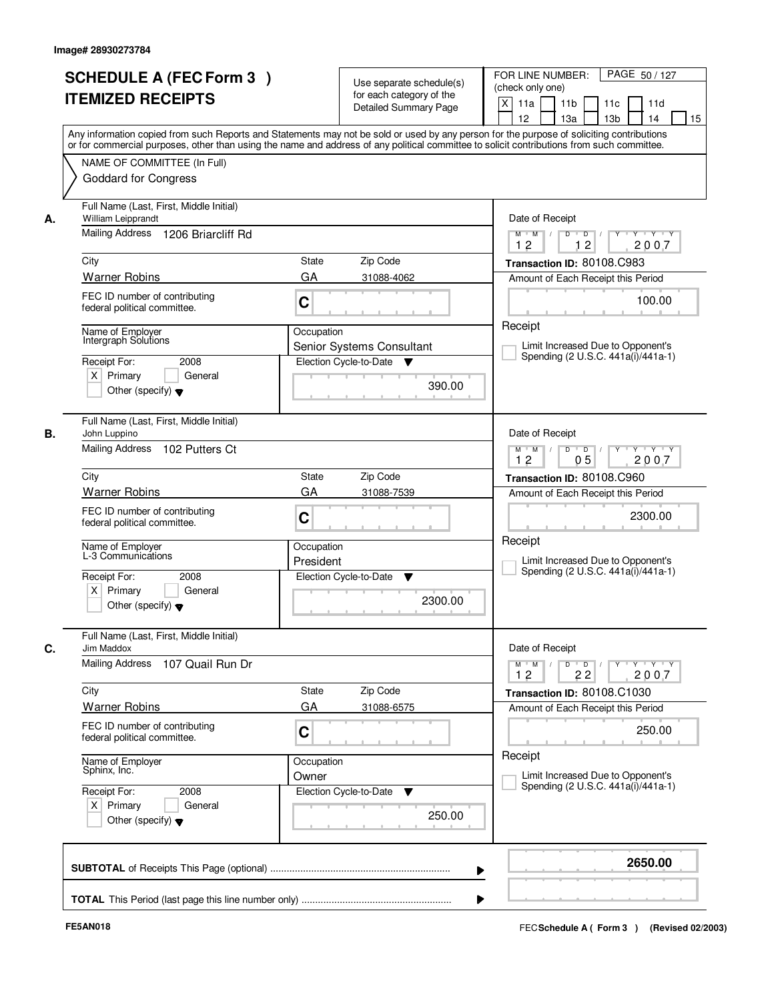| <b>SCHEDULE A (FEC Form 3)</b><br><b>ITEMIZED RECEIPTS</b>                                                                                                                                                                                                                                                                                       | Use separate schedule(s)<br>for each category of the<br><b>Detailed Summary Page</b>                                                                                                                                                                                                    | PAGE 50/127<br>FOR LINE NUMBER:<br>(check only one)<br>$\mathsf{X}$<br>11 <sub>b</sub><br>11d<br>11a<br>11c<br>12<br>13a<br>13 <sub>b</sub><br>14<br>15                                                                                                                                                    |
|--------------------------------------------------------------------------------------------------------------------------------------------------------------------------------------------------------------------------------------------------------------------------------------------------------------------------------------------------|-----------------------------------------------------------------------------------------------------------------------------------------------------------------------------------------------------------------------------------------------------------------------------------------|------------------------------------------------------------------------------------------------------------------------------------------------------------------------------------------------------------------------------------------------------------------------------------------------------------|
| NAME OF COMMITTEE (In Full)<br><b>Goddard for Congress</b>                                                                                                                                                                                                                                                                                       | Any information copied from such Reports and Statements may not be sold or used by any person for the purpose of soliciting contributions<br>or for commercial purposes, other than using the name and address of any political committee to solicit contributions from such committee. |                                                                                                                                                                                                                                                                                                            |
| Full Name (Last, First, Middle Initial)<br>William Leipprandt<br>А.<br>Mailing Address 1206 Briarcliff Rd<br>City<br><b>Warner Robins</b><br>FEC ID number of contributing<br>federal political committee.<br>Name of Employer<br>Intergraph Solutions<br>2008<br>Receipt For:<br>$X$ Primary<br>General<br>Other (specify) $\blacktriangledown$ | <b>State</b><br>Zip Code<br>GA<br>31088-4062<br>C<br>Occupation<br>Senior Systems Consultant<br>Election Cycle-to-Date<br>v<br>390.00                                                                                                                                                   | Date of Receipt<br>$\overline{D}$<br>$Y + Y + Y$<br>$M$ $M$ /<br>D<br>12<br>12<br>2007<br>Transaction ID: 80108.C983<br>Amount of Each Receipt this Period<br>100.00<br>Receipt<br>Limit Increased Due to Opponent's<br>Spending (2 U.S.C. 441a(i)/441a-1)                                                 |
| Full Name (Last, First, Middle Initial)<br>В.<br>John Luppino<br>Mailing Address 102 Putters Ct<br>City<br><b>Warner Robins</b><br>FEC ID number of contributing<br>federal political committee.<br>Name of Employer<br>L-3 Communicátions<br>Receipt For:<br>2008<br>$X$ Primary<br>General<br>Other (specify) $\blacktriangledown$             | Zip Code<br><b>State</b><br>GA<br>31088-7539<br>C<br>Occupation<br>President<br>Election Cycle-to-Date<br>▼<br>2300.00                                                                                                                                                                  | Date of Receipt<br>D<br>$\blacksquare$ D $\blacksquare$ /<br>$Y$ <sup>U</sup><br>Y Y Y Y<br>$M$ $M$ /<br>0 <sub>5</sub><br>12<br>2007<br>Transaction ID: 80108.C960<br>Amount of Each Receipt this Period<br>2300.00<br>Receipt<br>Limit Increased Due to Opponent's<br>Spending (2 U.S.C. 441a(i)/441a-1) |
| Full Name (Last, First, Middle Initial)<br>C.<br>Jim Maddox<br><b>Mailing Address</b><br>107 Quail Run Dr<br>City<br><b>Warner Robins</b><br>FEC ID number of contributing<br>federal political committee.<br>Name of Employer<br>Sphinx, Inc.<br>Receipt For:<br>2008<br>$X$ Primary<br>General<br>Other (specify) $\blacktriangledown$         | Zip Code<br>State<br>GA<br>31088-6575<br>C<br>Occupation<br>Owner<br>Election Cycle-to-Date<br>v<br>250.00                                                                                                                                                                              | Date of Receipt<br>$M$ $M$<br>$D$ $D$ $/$<br>$Y - Y - Y$<br>$\mathbb{L}$<br>$Y$ <sup>U</sup><br>2007<br>12<br>22<br>Transaction ID: 80108.C1030<br>Amount of Each Receipt this Period<br>250.00<br>Receipt<br>Limit Increased Due to Opponent's<br>Spending (2 U.S.C. 441a(i)/441a-1)                      |
|                                                                                                                                                                                                                                                                                                                                                  | ▶                                                                                                                                                                                                                                                                                       | 2650.00                                                                                                                                                                                                                                                                                                    |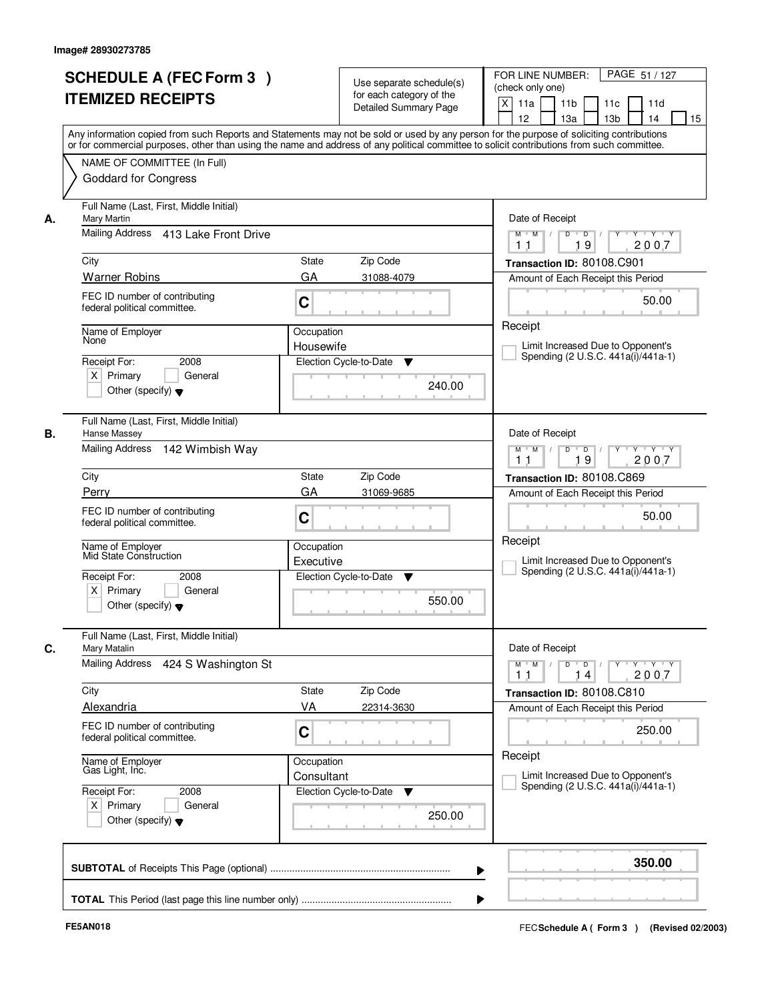|    | <b>SCHEDULE A (FEC Form 3)</b><br><b>ITEMIZED RECEIPTS</b><br>Any information copied from such Reports and Statements may not be sold or used by any person for the purpose of soliciting contributions  |                          | Use separate schedule(s)<br>for each category of the<br><b>Detailed Summary Page</b> | PAGE 51 / 127<br>FOR LINE NUMBER:<br>(check only one)<br>$\mathsf{X}$<br>11 <sub>b</sub><br>11a<br>11c<br>11d<br>13 <sub>b</sub><br>12<br>13a<br>14<br>15 |
|----|----------------------------------------------------------------------------------------------------------------------------------------------------------------------------------------------------------|--------------------------|--------------------------------------------------------------------------------------|-----------------------------------------------------------------------------------------------------------------------------------------------------------|
|    | or for commercial purposes, other than using the name and address of any political committee to solicit contributions from such committee.<br>NAME OF COMMITTEE (In Full)<br><b>Goddard for Congress</b> |                          |                                                                                      |                                                                                                                                                           |
| А. | Full Name (Last, First, Middle Initial)<br>Mary Martin<br>Mailing Address 413 Lake Front Drive                                                                                                           |                          |                                                                                      | Date of Receipt<br>$D$ $D$ $I$<br>$\overline{Y}$<br>$Y + Y + Y$<br>$M$ $M$ /                                                                              |
|    |                                                                                                                                                                                                          |                          |                                                                                      | 2007<br>1 <sub>1</sub><br>19                                                                                                                              |
|    | City<br><b>Warner Robins</b>                                                                                                                                                                             | State<br>GA              | Zip Code<br>31088-4079                                                               | Transaction ID: 80108.C901<br>Amount of Each Receipt this Period                                                                                          |
|    | FEC ID number of contributing<br>federal political committee.                                                                                                                                            | C                        |                                                                                      | 50.00                                                                                                                                                     |
|    | Name of Employer<br>None<br>Receipt For:<br>2008                                                                                                                                                         | Occupation<br>Housewife  | Election Cycle-to-Date<br>▼                                                          | Receipt<br>Limit Increased Due to Opponent's<br>Spending (2 U.S.C. 441a(i)/441a-1)                                                                        |
|    | $X$ Primary<br>General<br>Other (specify) $\blacktriangledown$                                                                                                                                           |                          | 240.00                                                                               |                                                                                                                                                           |
| В. | Full Name (Last, First, Middle Initial)<br>Hanse Massey<br>Mailing Address 142 Wimbish Way                                                                                                               |                          |                                                                                      | Date of Receipt<br>$Y - Y - Y$<br>$M$ $M$ /<br>D<br>$\overline{\phantom{0}}$<br>2007                                                                      |
|    | City                                                                                                                                                                                                     | <b>State</b>             | Zip Code                                                                             | 19<br>11<br>Transaction ID: 80108.C869                                                                                                                    |
|    | Perry                                                                                                                                                                                                    | GA                       | 31069-9685                                                                           | Amount of Each Receipt this Period                                                                                                                        |
|    | FEC ID number of contributing<br>federal political committee.                                                                                                                                            | C                        |                                                                                      | 50.00                                                                                                                                                     |
|    | Name of Employer<br>Mid State Construction                                                                                                                                                               | Occupation<br>Executive  |                                                                                      | Receipt<br>Limit Increased Due to Opponent's<br>Spending (2 U.S.C. 441a(i)/441a-1)                                                                        |
|    | Receipt For:<br>2008<br>$X$ Primary<br>General<br>Other (specify) $\blacktriangledown$                                                                                                                   |                          | Election Cycle-to-Date<br>▼<br>550.00                                                |                                                                                                                                                           |
| C. | Full Name (Last, First, Middle Initial)<br>Mary Matalin                                                                                                                                                  |                          |                                                                                      | Date of Receipt                                                                                                                                           |
|    | Mailing Address<br>424 S Washington St                                                                                                                                                                   |                          |                                                                                      | $M$ $M$ $/$<br>$D$ $D$ $l$<br>y y y y y y<br>2007<br>11<br>14                                                                                             |
|    | City                                                                                                                                                                                                     | <b>State</b>             | Zip Code                                                                             | Transaction ID: 80108.C810                                                                                                                                |
|    | <b>Alexandria</b><br>FEC ID number of contributing<br>federal political committee.                                                                                                                       | VA<br>C                  | 22314-3630                                                                           | Amount of Each Receipt this Period<br>250.00                                                                                                              |
|    | Name of Employer<br>Gas Light, Inc.                                                                                                                                                                      | Occupation<br>Consultant |                                                                                      | Receipt<br>Limit Increased Due to Opponent's                                                                                                              |
|    | Receipt For:<br>2008<br>$X$ Primary<br>General<br>Other (specify) $\blacktriangledown$                                                                                                                   |                          | Election Cycle-to-Date<br>v<br>250.00                                                | Spending (2 U.S.C. 441a(i)/441a-1)                                                                                                                        |
|    |                                                                                                                                                                                                          |                          |                                                                                      | 350.00                                                                                                                                                    |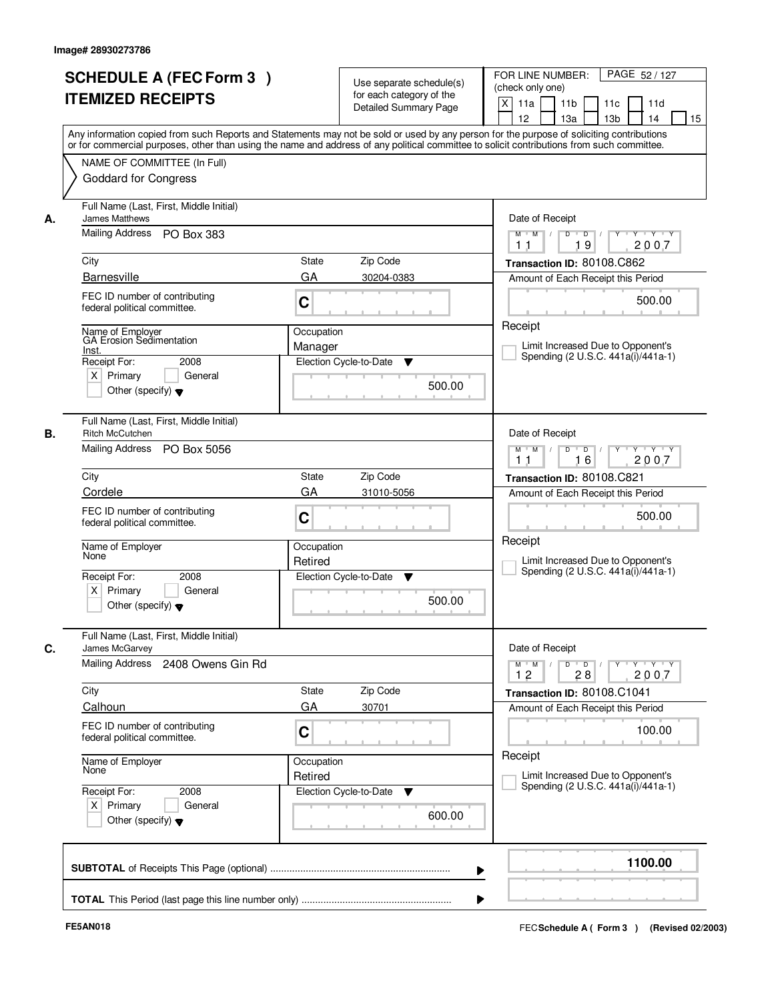| <b>SCHEDULE A (FEC Form 3)</b>                                                         | Use separate schedule(s)<br>for each category of the                                                                                                                                                                                                                                    | FOR LINE NUMBER:<br>PAGE 52/127<br>(check only one)                                                             |
|----------------------------------------------------------------------------------------|-----------------------------------------------------------------------------------------------------------------------------------------------------------------------------------------------------------------------------------------------------------------------------------------|-----------------------------------------------------------------------------------------------------------------|
| <b>ITEMIZED RECEIPTS</b>                                                               | Detailed Summary Page                                                                                                                                                                                                                                                                   | $\mathsf{X}$<br>11a<br>11 <sub>b</sub><br>11d<br>11c<br>12<br>13a<br>13 <sub>b</sub><br>14<br>15                |
|                                                                                        | Any information copied from such Reports and Statements may not be sold or used by any person for the purpose of soliciting contributions<br>or for commercial purposes, other than using the name and address of any political committee to solicit contributions from such committee. |                                                                                                                 |
| NAME OF COMMITTEE (In Full)<br><b>Goddard for Congress</b>                             |                                                                                                                                                                                                                                                                                         |                                                                                                                 |
| Full Name (Last, First, Middle Initial)<br>James Matthews<br>А.                        |                                                                                                                                                                                                                                                                                         | Date of Receipt                                                                                                 |
| Mailing Address<br>PO Box 383                                                          |                                                                                                                                                                                                                                                                                         | $Y - Y - Y$<br>$\overline{D}$<br>$M$ $M$ /<br>D<br>Y<br>19<br>2007<br>11                                        |
| City                                                                                   | <b>State</b><br>Zip Code                                                                                                                                                                                                                                                                | Transaction ID: 80108.C862                                                                                      |
| <b>Barnesville</b>                                                                     | GA<br>30204-0383                                                                                                                                                                                                                                                                        | Amount of Each Receipt this Period                                                                              |
| FEC ID number of contributing<br>federal political committee.                          | C                                                                                                                                                                                                                                                                                       | 500.00                                                                                                          |
| Name of Employer<br>GA Erosion Sedimentation                                           | Occupation                                                                                                                                                                                                                                                                              | Receipt                                                                                                         |
| Inst.<br>Receipt For:<br>2008                                                          | Manager<br>Election Cycle-to-Date<br>▼                                                                                                                                                                                                                                                  | Limit Increased Due to Opponent's<br>Spending (2 U.S.C. 441a(i)/441a-1)                                         |
| $X$ Primary<br>General<br>Other (specify) $\blacktriangledown$                         | 500.00                                                                                                                                                                                                                                                                                  |                                                                                                                 |
| Full Name (Last, First, Middle Initial)<br>В.<br>Ritch McCutchen                       |                                                                                                                                                                                                                                                                                         | Date of Receipt                                                                                                 |
| Mailing Address<br>PO Box 5056                                                         |                                                                                                                                                                                                                                                                                         | $M$ $M$ /<br>D<br>$\blacksquare$ D $\blacksquare$ /<br>Y Y Y Y Y Y<br>16<br>2007<br>11                          |
| City                                                                                   | Zip Code<br><b>State</b>                                                                                                                                                                                                                                                                | Transaction ID: 80108.C821                                                                                      |
| Cordele                                                                                | GA<br>31010-5056                                                                                                                                                                                                                                                                        | Amount of Each Receipt this Period                                                                              |
| FEC ID number of contributing<br>federal political committee.                          | C                                                                                                                                                                                                                                                                                       | 500.00                                                                                                          |
| Name of Employer<br>None                                                               | Occupation<br>Retired                                                                                                                                                                                                                                                                   | Receipt<br>Limit Increased Due to Opponent's<br>Spending (2 U.S.C. 441a(i)/441a-1)                              |
| Receipt For:<br>2008<br>$X$ Primary<br>General<br>Other (specify) $\blacktriangledown$ | Election Cycle-to-Date<br>v<br>500.00                                                                                                                                                                                                                                                   |                                                                                                                 |
| Full Name (Last, First, Middle Initial)<br>James McGarvey                              |                                                                                                                                                                                                                                                                                         | Date of Receipt                                                                                                 |
| Mailing Address<br>2408 Owens Gin Rd                                                   |                                                                                                                                                                                                                                                                                         | $Y - Y - Y$<br>$M$ $M$<br>$D$ $D$ $/$<br>$\blacksquare$<br>$Y$ <sup><math>\top</math></sup><br>2007<br>12<br>28 |
| City                                                                                   | Zip Code<br>State                                                                                                                                                                                                                                                                       | Transaction ID: 80108.C1041                                                                                     |
| Calhoun<br>FEC ID number of contributing                                               | GA<br>30701                                                                                                                                                                                                                                                                             | Amount of Each Receipt this Period                                                                              |
| federal political committee.                                                           | C                                                                                                                                                                                                                                                                                       | 100.00                                                                                                          |
| Name of Employer<br>None                                                               | Occupation<br>Retired                                                                                                                                                                                                                                                                   | Receipt<br>Limit Increased Due to Opponent's                                                                    |
| Receipt For:<br>2008<br>$X$ Primary<br>General                                         | Election Cycle-to-Date<br>v                                                                                                                                                                                                                                                             | Spending (2 U.S.C. 441a(i)/441a-1)                                                                              |
| Other (specify) $\blacktriangledown$                                                   | 600.00                                                                                                                                                                                                                                                                                  |                                                                                                                 |
|                                                                                        |                                                                                                                                                                                                                                                                                         | 1100.00                                                                                                         |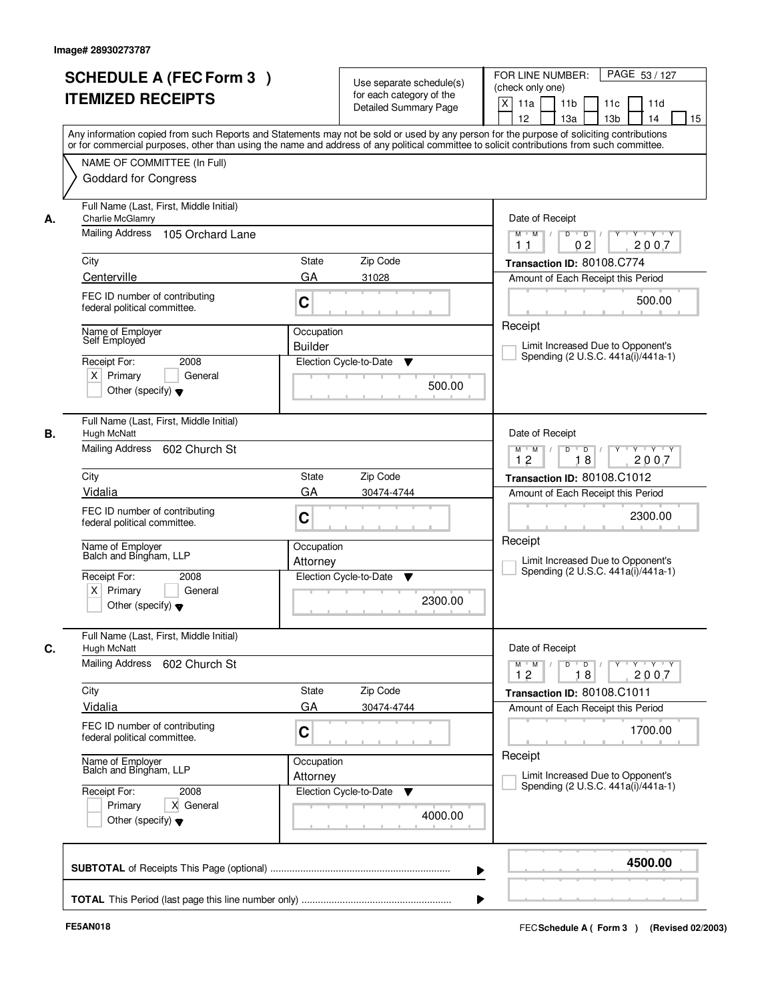|    | <b>SCHEDULE A (FEC Form 3)</b><br><b>ITEMIZED RECEIPTS</b>                                                                           | Use separate schedule(s)<br>for each category of the<br><b>Detailed Summary Page</b><br>Any information copied from such Reports and Statements may not be sold or used by any person for the purpose of soliciting contributions | PAGE 53 / 127<br>FOR LINE NUMBER:<br>(check only one)<br>X<br>11 <sub>b</sub><br>11a<br>11 <sub>c</sub><br>11d<br>12<br>13 <sub>b</sub><br>14<br>13a<br>15 |
|----|--------------------------------------------------------------------------------------------------------------------------------------|-----------------------------------------------------------------------------------------------------------------------------------------------------------------------------------------------------------------------------------|------------------------------------------------------------------------------------------------------------------------------------------------------------|
|    | NAME OF COMMITTEE (In Full)<br><b>Goddard for Congress</b>                                                                           | or for commercial purposes, other than using the name and address of any political committee to solicit contributions from such committee.                                                                                        |                                                                                                                                                            |
| А. | Full Name (Last, First, Middle Initial)<br>Charlie McGlamry<br>Mailing Address<br>105 Orchard Lane                                   |                                                                                                                                                                                                                                   | Date of Receipt<br>$D$ $D$ $I$<br>Y<br>$Y - Y - Y - Y$<br>$M$ $M$ /<br>02<br>2007<br>1 <sub>1</sub>                                                        |
|    | City<br>Centerville                                                                                                                  | <b>State</b><br>Zip Code<br>GA<br>31028                                                                                                                                                                                           | Transaction ID: 80108.C774<br>Amount of Each Receipt this Period                                                                                           |
|    | FEC ID number of contributing<br>federal political committee.                                                                        | C                                                                                                                                                                                                                                 | 500.00                                                                                                                                                     |
|    | Name of Emplover<br>Self Employed<br>Receipt For:<br>2008<br>$X$ Primary<br>General<br>Other (specify) $\blacktriangledown$          | Occupation<br><b>Builder</b><br>Election Cycle-to-Date<br>▼<br>500.00                                                                                                                                                             | Receipt<br>Limit Increased Due to Opponent's<br>Spending (2 U.S.C. 441a(i)/441a-1)                                                                         |
| В. | Full Name (Last, First, Middle Initial)<br>Hugh McNatt<br>Mailing Address 602 Church St                                              |                                                                                                                                                                                                                                   | Date of Receipt<br>$Y \vdash Y \vdash Y$<br>$M$ $M$ /<br>D<br>$\Box$ D $\Box$ /<br>Y<br>12<br>18<br>2007                                                   |
|    | City                                                                                                                                 | Zip Code<br>State                                                                                                                                                                                                                 | Transaction ID: 80108.C1012                                                                                                                                |
|    | Vidalia<br>FEC ID number of contributing<br>federal political committee.                                                             | GA<br>30474-4744<br>C                                                                                                                                                                                                             | Amount of Each Receipt this Period<br>2300.00                                                                                                              |
|    | Name of Employer<br>Balch and Bingham, LLP<br>Receipt For:<br>2008<br>$X$ Primary<br>General<br>Other (specify) $\blacktriangledown$ | Occupation<br>Attorney<br>Election Cycle-to-Date<br>▼<br>2300.00                                                                                                                                                                  | Receipt<br>Limit Increased Due to Opponent's<br>Spending (2 U.S.C. 441a(i)/441a-1)                                                                         |
| C. | Full Name (Last, First, Middle Initial)<br>Hugh McNatt                                                                               |                                                                                                                                                                                                                                   | Date of Receipt                                                                                                                                            |
|    | Mailing Address<br>602 Church St                                                                                                     |                                                                                                                                                                                                                                   | $M$ $M$ $M$<br>$D$ $D$ $l$<br><u> Y EY EY EY</u><br>2007<br>12<br>18                                                                                       |
|    | City<br>Vidalia                                                                                                                      | Zip Code<br>State<br>GA<br>30474-4744                                                                                                                                                                                             | Transaction ID: 80108.C1011<br>Amount of Each Receipt this Period                                                                                          |
|    | FEC ID number of contributing<br>federal political committee.                                                                        | C                                                                                                                                                                                                                                 | 1700.00                                                                                                                                                    |
|    | Name of Employer<br>Balch and Bingham, LLP                                                                                           | Occupation<br>Attorney                                                                                                                                                                                                            | Receipt<br>Limit Increased Due to Opponent's                                                                                                               |
|    | Receipt For:<br>2008<br>Primary<br>X General<br>Other (specify) $\blacktriangledown$                                                 | Election Cycle-to-Date<br>v<br>4000.00                                                                                                                                                                                            | Spending (2 U.S.C. 441a(i)/441a-1)                                                                                                                         |
|    |                                                                                                                                      |                                                                                                                                                                                                                                   | 4500.00                                                                                                                                                    |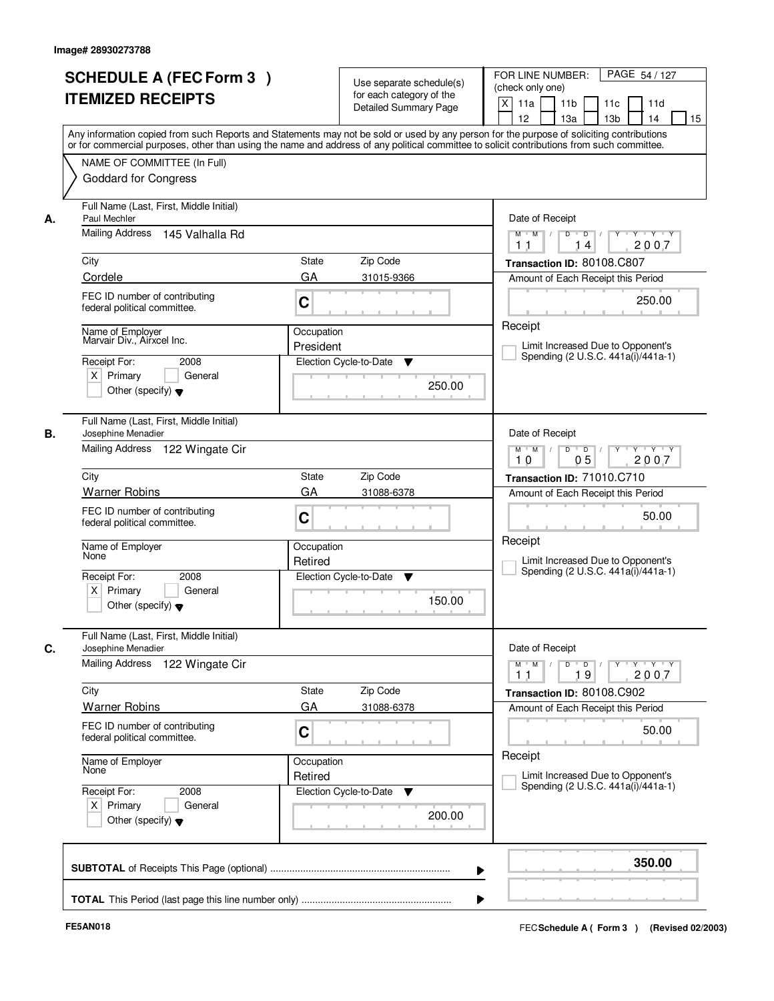| <b>ITEMIZED RECEIPTS</b>                                                                                              | <b>SCHEDULE A (FEC Form 3)</b>                                             |                         | Use separate schedule(s)<br>for each category of the<br><b>Detailed Summary Page</b> | PAGE 54 / 127<br>FOR LINE NUMBER:<br>(check only one)<br>$\mathsf{X}$<br>11 <sub>b</sub><br>11a<br>11c<br>11d<br>12<br>13 <sub>b</sub><br>14<br>13a<br>15<br>Any information copied from such Reports and Statements may not be sold or used by any person for the purpose of soliciting contributions |
|-----------------------------------------------------------------------------------------------------------------------|----------------------------------------------------------------------------|-------------------------|--------------------------------------------------------------------------------------|--------------------------------------------------------------------------------------------------------------------------------------------------------------------------------------------------------------------------------------------------------------------------------------------------------|
| NAME OF COMMITTEE (In Full)<br><b>Goddard for Congress</b>                                                            |                                                                            |                         |                                                                                      | or for commercial purposes, other than using the name and address of any political committee to solicit contributions from such committee.                                                                                                                                                             |
| Paul Mechler<br>А.                                                                                                    | Full Name (Last, First, Middle Initial)<br>Mailing Address 145 Valhalla Rd |                         |                                                                                      | Date of Receipt<br>$Y - Y - Y$<br>$M$ $M$ /<br>$D$ $D$ $/$<br>Y                                                                                                                                                                                                                                        |
| City<br>Cordele                                                                                                       |                                                                            | State<br>GA             | Zip Code<br>31015-9366                                                               | 2007<br>14<br>11<br>Transaction ID: 80108.C807<br>Amount of Each Receipt this Period                                                                                                                                                                                                                   |
| FEC ID number of contributing<br>federal political committee.                                                         |                                                                            | C                       |                                                                                      | 250.00                                                                                                                                                                                                                                                                                                 |
| Name of Employer<br>Marvair Div., Airxcel Inc.<br>Receipt For:<br>$X$ Primary<br>Other (specify) $\blacktriangledown$ | 2008<br>General                                                            | Occupation<br>President | Election Cycle-to-Date<br>▼<br>250.00                                                | Receipt<br>Limit Increased Due to Opponent's<br>Spending (2 U.S.C. 441a(i)/441a-1)                                                                                                                                                                                                                     |
| В.<br>Josephine Menadier                                                                                              | Full Name (Last, First, Middle Initial)<br>Mailing Address 122 Wingate Cir |                         |                                                                                      | Date of Receipt<br>$Y - Y - Y$<br>$M$ $M$ /<br>D<br>$\overline{D}$<br>05<br>2007<br>10                                                                                                                                                                                                                 |
| City                                                                                                                  |                                                                            | <b>State</b>            | Zip Code                                                                             | Transaction ID: 71010.C710                                                                                                                                                                                                                                                                             |
| <b>Warner Robins</b><br>FEC ID number of contributing<br>federal political committee.                                 |                                                                            | GA<br>C                 | 31088-6378                                                                           | Amount of Each Receipt this Period<br>50.00                                                                                                                                                                                                                                                            |
| Name of Employer<br>None                                                                                              |                                                                            | Occupation<br>Retired   |                                                                                      | Receipt<br>Limit Increased Due to Opponent's                                                                                                                                                                                                                                                           |
| Receipt For:<br>$X$ Primary<br>Other (specify) $\blacktriangledown$                                                   | 2008<br>General                                                            |                         | Election Cycle-to-Date<br>v<br>150.00                                                | Spending (2 U.S.C. 441a(i)/441a-1)                                                                                                                                                                                                                                                                     |
| C.<br>Josephine Menadier                                                                                              | Full Name (Last, First, Middle Initial)                                    |                         |                                                                                      | Date of Receipt                                                                                                                                                                                                                                                                                        |
| <b>Mailing Address</b>                                                                                                | 122 Wingate Cir                                                            |                         |                                                                                      | $D$ $D$ $/$<br>$M$ $M$<br>19<br>2007<br>11                                                                                                                                                                                                                                                             |
| City<br><b>Warner Robins</b>                                                                                          |                                                                            | State<br>GA             | Zip Code<br>31088-6378                                                               | Transaction ID: 80108.C902                                                                                                                                                                                                                                                                             |
| FEC ID number of contributing<br>federal political committee.                                                         |                                                                            | C                       |                                                                                      | Amount of Each Receipt this Period<br>50.00                                                                                                                                                                                                                                                            |
| Name of Employer<br>None                                                                                              |                                                                            | Occupation<br>Retired   |                                                                                      | Receipt<br>Limit Increased Due to Opponent's                                                                                                                                                                                                                                                           |
| Receipt For:<br>$X$ Primary<br>Other (specify) $\blacktriangledown$                                                   | 2008<br>General                                                            |                         | Election Cycle-to-Date<br><b>V</b><br>200.00                                         | Spending (2 U.S.C. 441a(i)/441a-1)                                                                                                                                                                                                                                                                     |
|                                                                                                                       |                                                                            |                         |                                                                                      | 350.00                                                                                                                                                                                                                                                                                                 |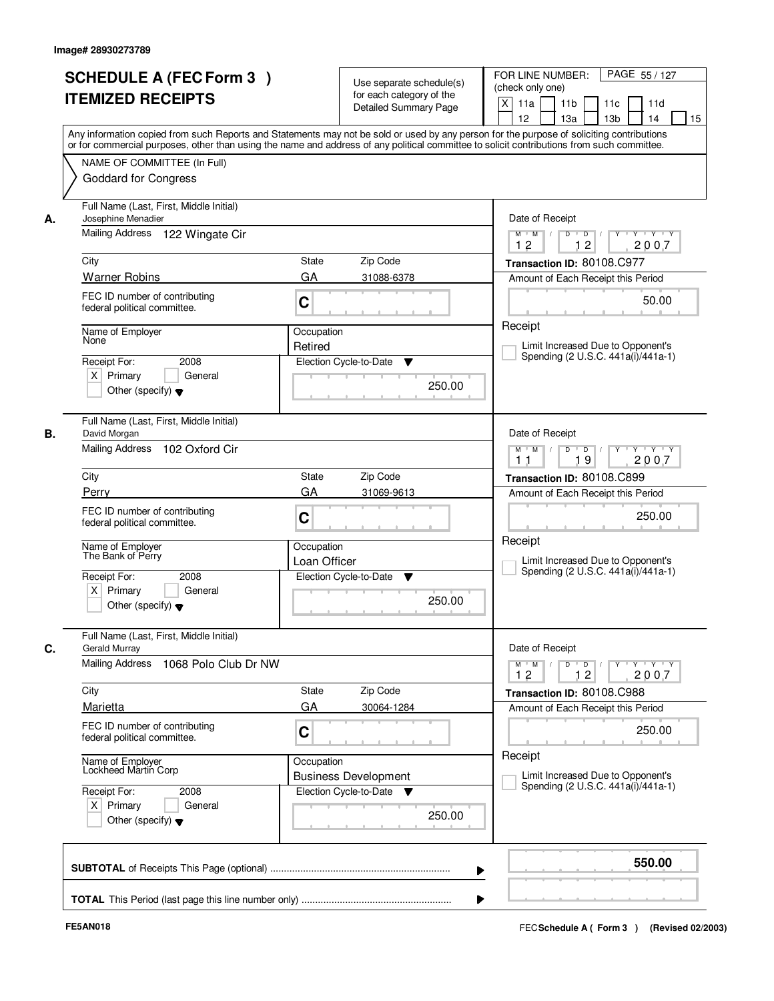|    | <b>SCHEDULE A (FEC Form 3)</b>                                                                                                             |                        |                                                      | FOR LINE NUMBER:<br>PAGE 55 / 127                                                            |  |
|----|--------------------------------------------------------------------------------------------------------------------------------------------|------------------------|------------------------------------------------------|----------------------------------------------------------------------------------------------|--|
|    | <b>ITEMIZED RECEIPTS</b>                                                                                                                   |                        | Use separate schedule(s)<br>for each category of the | (check only one)                                                                             |  |
|    |                                                                                                                                            |                        | <b>Detailed Summary Page</b>                         | $\boldsymbol{\mathsf{X}}$<br>11a<br>11 <sub>b</sub><br>11c<br>11d<br>12<br>14                |  |
|    | Any information copied from such Reports and Statements may not be sold or used by any person for the purpose of soliciting contributions  |                        |                                                      | 13a<br>13 <sub>b</sub><br>15                                                                 |  |
|    | or for commercial purposes, other than using the name and address of any political committee to solicit contributions from such committee. |                        |                                                      |                                                                                              |  |
|    | NAME OF COMMITTEE (In Full)                                                                                                                |                        |                                                      |                                                                                              |  |
|    | <b>Goddard for Congress</b>                                                                                                                |                        |                                                      |                                                                                              |  |
| А. | Full Name (Last, First, Middle Initial)<br>Josephine Menadier                                                                              |                        |                                                      | Date of Receipt                                                                              |  |
|    | Mailing Address 122 Wingate Cir                                                                                                            |                        |                                                      | $\overline{D}$<br>$Y - Y - Y$<br>$M$ $M$ /<br>D<br>Y<br>12<br>2007<br>12                     |  |
|    | City                                                                                                                                       | State                  | Zip Code                                             | Transaction ID: 80108.C977                                                                   |  |
|    | <b>Warner Robins</b>                                                                                                                       | GA                     | 31088-6378                                           | Amount of Each Receipt this Period                                                           |  |
|    | FEC ID number of contributing<br>federal political committee.                                                                              | C                      |                                                      | 50.00                                                                                        |  |
|    | Name of Employer                                                                                                                           | Occupation             |                                                      | Receipt                                                                                      |  |
|    | None                                                                                                                                       | Retired                |                                                      | Limit Increased Due to Opponent's                                                            |  |
|    | 2008<br>Receipt For:                                                                                                                       | Election Cycle-to-Date | ▼                                                    | Spending (2 U.S.C. 441a(i)/441a-1)                                                           |  |
|    | $X$ Primary<br>General<br>Other (specify) $\blacktriangledown$                                                                             |                        | 250.00                                               |                                                                                              |  |
|    |                                                                                                                                            |                        |                                                      |                                                                                              |  |
| В. | Full Name (Last, First, Middle Initial)                                                                                                    |                        |                                                      | Date of Receipt                                                                              |  |
|    | David Morgan<br>Mailing Address<br>102 Oxford Cir                                                                                          |                        |                                                      | D<br>$\blacksquare$ D $\blacksquare$ /<br>$Y$ <sup>U</sup><br>Y Y Y Y<br>$M$ $M$ /           |  |
|    |                                                                                                                                            |                        |                                                      | 19<br>2007<br>1 <sub>1</sub>                                                                 |  |
|    | City                                                                                                                                       | State                  | Zip Code                                             | Transaction ID: 80108.C899                                                                   |  |
|    | Perry                                                                                                                                      | GA                     | 31069-9613                                           | Amount of Each Receipt this Period                                                           |  |
|    | FEC ID number of contributing<br>federal political committee.                                                                              | C                      |                                                      | 250.00                                                                                       |  |
|    | Name of Employer<br>The Bank of Perry                                                                                                      | Occupation             |                                                      | Receipt                                                                                      |  |
|    |                                                                                                                                            | Loan Officer           |                                                      | Limit Increased Due to Opponent's<br>Spending (2 U.S.C. 441a(i)/441a-1)                      |  |
|    | Receipt For:<br>2008<br>$X$ Primary<br>General                                                                                             | Election Cycle-to-Date | v                                                    |                                                                                              |  |
|    | Other (specify) $\blacktriangledown$                                                                                                       |                        | 250.00                                               |                                                                                              |  |
| C. | Full Name (Last, First, Middle Initial)<br>Gerald Murray                                                                                   |                        |                                                      | Date of Receipt                                                                              |  |
|    | Mailing Address<br>1068 Polo Club Dr NW                                                                                                    |                        |                                                      | $M^+$ M<br>$D$ $D$ $/$<br>$Y - Y - Y$<br>$\sqrt{ }$<br>$Y$ <sup>-1</sup><br>2007<br>12<br>12 |  |
|    | City                                                                                                                                       | State                  | Zip Code                                             | Transaction ID: 80108.C988                                                                   |  |
|    | Marietta                                                                                                                                   | GA                     | 30064-1284                                           | Amount of Each Receipt this Period                                                           |  |
|    | FEC ID number of contributing                                                                                                              |                        |                                                      |                                                                                              |  |
|    | federal political committee.                                                                                                               | C                      |                                                      | 250.00                                                                                       |  |
|    | Name of Employer<br>Lockheed Martin Corp                                                                                                   | Occupation             |                                                      | Receipt                                                                                      |  |
|    |                                                                                                                                            |                        | <b>Business Development</b>                          | Limit Increased Due to Opponent's<br>Spending (2 U.S.C. 441a(i)/441a-1)                      |  |
|    | Receipt For:<br>2008<br>$X$ Primary<br>General                                                                                             |                        | Election Cycle-to-Date ▼                             |                                                                                              |  |
|    | Other (specify) $\blacktriangledown$                                                                                                       |                        | 250.00                                               |                                                                                              |  |
|    |                                                                                                                                            |                        |                                                      |                                                                                              |  |
|    |                                                                                                                                            |                        | ▶                                                    | 550.00                                                                                       |  |
|    |                                                                                                                                            |                        |                                                      |                                                                                              |  |
|    |                                                                                                                                            |                        |                                                      |                                                                                              |  |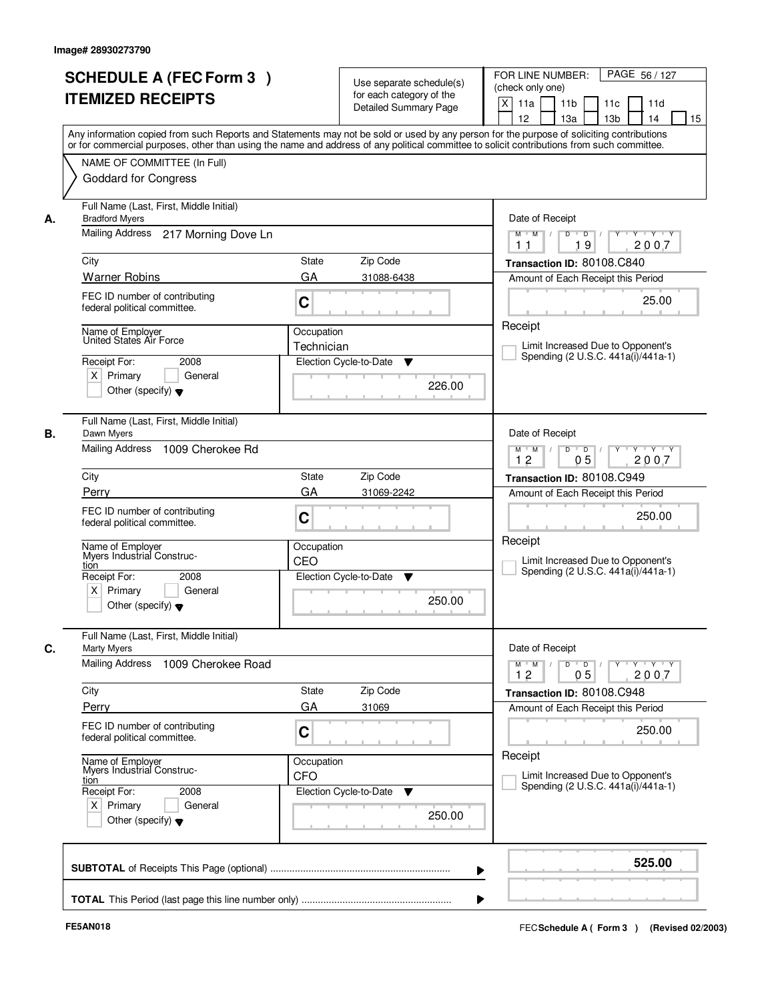|            | <b>SCHEDULE A (FEC Form 3)</b><br><b>ITEMIZED RECEIPTS</b><br>Any information copied from such Reports and Statements may not be sold or used by any person for the purpose of soliciting contributions              |                                       | Use separate schedule(s)<br>for each category of the<br><b>Detailed Summary Page</b> | PAGE 56 / 127<br>FOR LINE NUMBER:<br>(check only one)<br>$\mathsf{X}$<br>11a<br>11 <sub>b</sub><br>11c<br>11d<br>12<br>13a<br>13 <sub>b</sub><br>14<br>15                   |
|------------|----------------------------------------------------------------------------------------------------------------------------------------------------------------------------------------------------------------------|---------------------------------------|--------------------------------------------------------------------------------------|-----------------------------------------------------------------------------------------------------------------------------------------------------------------------------|
|            | or for commercial purposes, other than using the name and address of any political committee to solicit contributions from such committee.<br>NAME OF COMMITTEE (In Full)<br><b>Goddard for Congress</b>             |                                       |                                                                                      |                                                                                                                                                                             |
| А.<br>City | Full Name (Last, First, Middle Initial)<br><b>Bradford Myers</b><br>Mailing Address 217 Morning Dove Ln<br><b>Warner Robins</b><br>FEC ID number of contributing<br>federal political committee.<br>Name of Emplover | <b>State</b><br>GA<br>C<br>Occupation | Zip Code<br>31088-6438                                                               | Date of Receipt<br>$Y - Y - Y$<br>$M$ $M$ /<br>$D$ $D$ $1$<br>Y<br>19<br>2007<br>11<br>Transaction ID: 80108.C840<br>Amount of Each Receipt this Period<br>25.00<br>Receipt |
|            | United States Air Force<br>Receipt For:<br>2008<br>$X$ Primary<br>General<br>Other (specify) $\blacktriangledown$                                                                                                    | Technician                            | Election Cycle-to-Date<br>▼<br>226.00                                                | Limit Increased Due to Opponent's<br>Spending (2 U.S.C. 441a(i)/441a-1)                                                                                                     |
| В.<br>City | Full Name (Last, First, Middle Initial)<br>Dawn Myers<br>Mailing Address<br>1009 Cherokee Rd                                                                                                                         | <b>State</b>                          | Zip Code                                                                             | Date of Receipt<br>$M$ $M$ /<br>D<br>$\overline{D}$<br>Y 'Y 'Y<br>05<br>12<br>2007<br>Transaction ID: 80108.C949                                                            |
| tion       | Perry<br>FEC ID number of contributing<br>federal political committee.<br>Name of Employer<br>Myers Industrial Construc-<br>Receipt For:<br>2008<br>$X$ Primary<br>General                                           | GA<br>C<br>Occupation<br>CEO          | 31069-2242<br>Election Cycle-to-Date<br>v                                            | Amount of Each Receipt this Period<br>250.00<br>Receipt<br>Limit Increased Due to Opponent's<br>Spending (2 U.S.C. 441a(i)/441a-1)                                          |
| C.         | Other (specify) $\blacktriangledown$<br>Full Name (Last, First, Middle Initial)<br><b>Marty Myers</b><br><b>Mailing Address</b><br>1009 Cherokee Road                                                                |                                       | 250.00                                                                               | Date of Receipt<br>$M$ $M$ $/$<br>$D$ $D$ $/$<br><u>y y y y y y</u><br>12<br>05<br>2007                                                                                     |
| City       | Perry<br>FEC ID number of contributing<br>federal political committee.                                                                                                                                               | State<br>GA<br>C                      | Zip Code<br>31069                                                                    | Transaction ID: 80108.C948<br>Amount of Each Receipt this Period<br>250.00                                                                                                  |
| tion       | Name of Employer<br>Myers Industrial Construc-<br>Receipt For:<br>2008<br>$X$ Primary<br>General<br>Other (specify) $\blacktriangledown$                                                                             | Occupation<br>CFO                     | Election Cycle-to-Date<br>v<br>250.00                                                | Receipt<br>Limit Increased Due to Opponent's<br>Spending (2 U.S.C. 441a(i)/441a-1)                                                                                          |
|            |                                                                                                                                                                                                                      |                                       |                                                                                      | 525.00<br>▶                                                                                                                                                                 |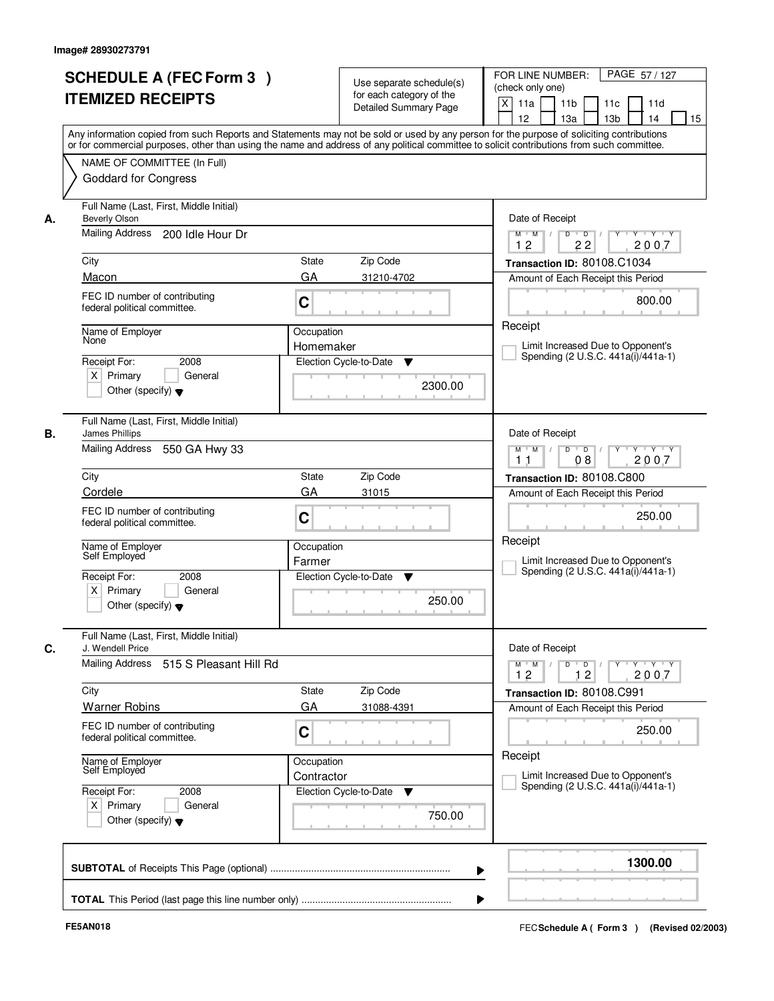|                                                                  | <b>SCHEDULE A (FEC Form 3)</b><br><b>ITEMIZED RECEIPTS</b>    |                          | Use separate schedule(s)<br>for each category of the<br><b>Detailed Summary Page</b> | PAGE 57/127<br>FOR LINE NUMBER:<br>(check only one)<br>X<br>11 <sub>b</sub><br>11a<br>11c<br>11d<br>12<br>13 <sub>b</sub><br>14<br>13a<br>15<br>Any information copied from such Reports and Statements may not be sold or used by any person for the purpose of soliciting contributions |
|------------------------------------------------------------------|---------------------------------------------------------------|--------------------------|--------------------------------------------------------------------------------------|-------------------------------------------------------------------------------------------------------------------------------------------------------------------------------------------------------------------------------------------------------------------------------------------|
|                                                                  | NAME OF COMMITTEE (In Full)<br><b>Goddard for Congress</b>    |                          |                                                                                      | or for commercial purposes, other than using the name and address of any political committee to solicit contributions from such committee.                                                                                                                                                |
| Beverly Olson<br>А.<br>Mailing Address                           | Full Name (Last, First, Middle Initial)<br>200 Idle Hour Dr   |                          |                                                                                      | Date of Receipt<br>$D$ $D$<br>Y<br>$Y - Y - Y - Y$<br>$M$ $M$ /                                                                                                                                                                                                                           |
| City<br>Macon                                                    |                                                               | <b>State</b><br>GA       | Zip Code<br>31210-4702                                                               | 12<br>22<br>2007<br>Transaction ID: 80108.C1034<br>Amount of Each Receipt this Period                                                                                                                                                                                                     |
|                                                                  | FEC ID number of contributing<br>federal political committee. | C                        |                                                                                      | 800.00                                                                                                                                                                                                                                                                                    |
| Name of Employer<br>None<br>Receipt For:<br>$X$ Primary          | 2008<br>General<br>Other (specify) $\blacktriangledown$       | Occupation<br>Homemaker  | Election Cycle-to-Date<br>▼<br>2300.00                                               | Receipt<br>Limit Increased Due to Opponent's<br>Spending (2 U.S.C. 441a(i)/441a-1)                                                                                                                                                                                                        |
| James Phillips<br>В.<br>Mailing Address                          | Full Name (Last, First, Middle Initial)<br>550 GA Hwy 33      |                          |                                                                                      | Date of Receipt<br>$Y \vdash Y \vdash Y$<br>$M$ $M$ /<br>D<br>$\overline{D}$ /<br>Y<br>08<br>2007<br>11                                                                                                                                                                                   |
| City<br>Cordele                                                  |                                                               | State                    | Zip Code                                                                             | Transaction ID: 80108.C800                                                                                                                                                                                                                                                                |
|                                                                  | FEC ID number of contributing<br>federal political committee. | GA<br>C                  | 31015                                                                                | Amount of Each Receipt this Period<br>250.00                                                                                                                                                                                                                                              |
| Name of Employer<br>Self Employed<br>Receipt For:<br>$X$ Primary | 2008<br>General<br>Other (specify) $\blacktriangledown$       | Occupation<br>Farmer     | Election Cycle-to-Date<br>▼<br>250.00                                                | Receipt<br>Limit Increased Due to Opponent's<br>Spending (2 U.S.C. 441a(i)/441a-1)                                                                                                                                                                                                        |
| C.<br>J. Wendell Price                                           | Full Name (Last, First, Middle Initial)                       |                          |                                                                                      | Date of Receipt                                                                                                                                                                                                                                                                           |
| Mailing Address                                                  | 515 S Pleasant Hill Rd                                        |                          |                                                                                      | $M$ $M$ $M$<br>$D$ $D$ $l$<br>y y y y y y<br>12<br>12<br>2007                                                                                                                                                                                                                             |
| City<br><b>Warner Robins</b>                                     |                                                               | State<br>GA              | Zip Code<br>31088-4391                                                               | Transaction ID: 80108.C991<br>Amount of Each Receipt this Period                                                                                                                                                                                                                          |
|                                                                  | FEC ID number of contributing<br>federal political committee. | C                        |                                                                                      | 250.00                                                                                                                                                                                                                                                                                    |
| Name of Employer<br>Self Employed                                |                                                               | Occupation<br>Contractor |                                                                                      | Receipt<br>Limit Increased Due to Opponent's<br>Spending (2 U.S.C. 441a(i)/441a-1)                                                                                                                                                                                                        |
| Receipt For:<br>$X$ Primary                                      | 2008<br>General<br>Other (specify) $\blacktriangledown$       |                          | Election Cycle-to-Date<br>v<br>750.00                                                |                                                                                                                                                                                                                                                                                           |
|                                                                  |                                                               |                          |                                                                                      | 1300.00                                                                                                                                                                                                                                                                                   |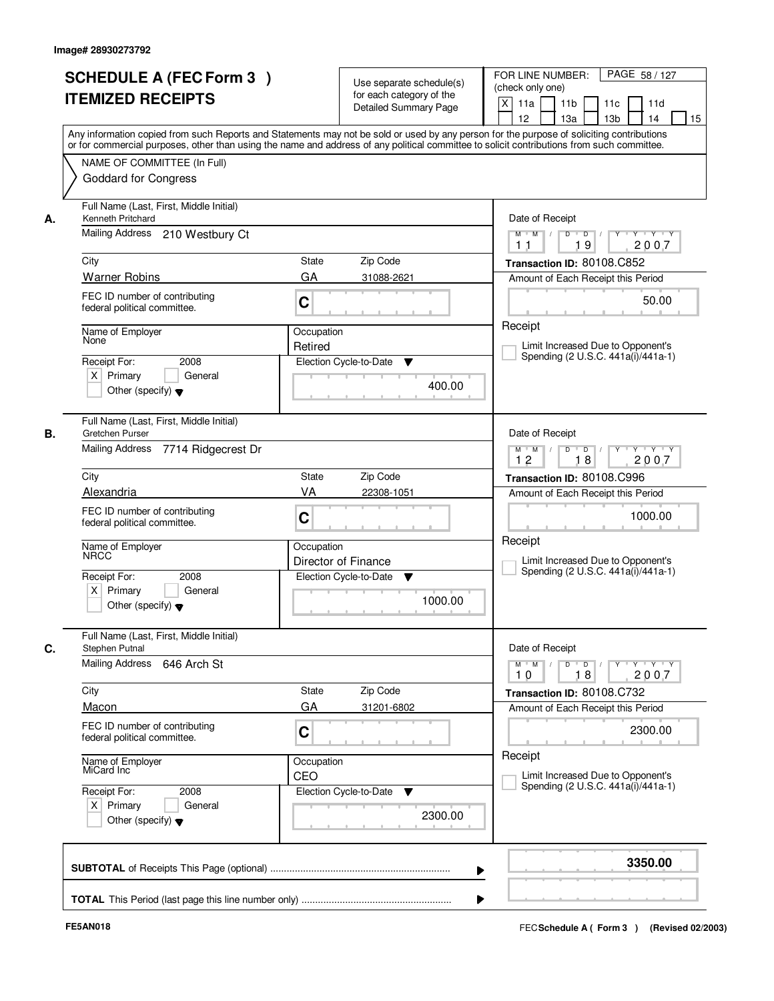|    | <b>SCHEDULE A (FEC Form 3)</b><br><b>ITEMIZED RECEIPTS</b><br>Any information copied from such Reports and Statements may not be sold or used by any person for the purpose of soliciting contributions  |                                                                                                     | Use separate schedule(s)<br>for each category of the<br>Detailed Summary Page | PAGE 58 / 127<br>FOR LINE NUMBER:<br>(check only one)<br>X<br>11 <sub>b</sub><br>11a<br>11c<br>11d<br>12<br>13 <sub>b</sub><br>13a<br>14<br>15 |
|----|----------------------------------------------------------------------------------------------------------------------------------------------------------------------------------------------------------|-----------------------------------------------------------------------------------------------------|-------------------------------------------------------------------------------|------------------------------------------------------------------------------------------------------------------------------------------------|
|    | or for commercial purposes, other than using the name and address of any political committee to solicit contributions from such committee.<br>NAME OF COMMITTEE (In Full)<br><b>Goddard for Congress</b> |                                                                                                     |                                                                               |                                                                                                                                                |
| А. | Full Name (Last, First, Middle Initial)<br>Kenneth Pritchard<br>Mailing Address<br>210 Westbury Ct                                                                                                       |                                                                                                     |                                                                               | Date of Receipt<br>$Y$ $Y$ $Y$<br>$M$ $M$ /<br>$D$ $D$ $/$<br>$Y$ <sup>U</sup>                                                                 |
|    |                                                                                                                                                                                                          |                                                                                                     |                                                                               | 19<br>2007<br>11                                                                                                                               |
|    | City                                                                                                                                                                                                     | State                                                                                               | Zip Code                                                                      | Transaction ID: 80108.C852                                                                                                                     |
|    | <b>Warner Robins</b>                                                                                                                                                                                     | GA                                                                                                  | 31088-2621                                                                    | Amount of Each Receipt this Period                                                                                                             |
|    | FEC ID number of contributing<br>federal political committee.                                                                                                                                            | C                                                                                                   |                                                                               | 50.00                                                                                                                                          |
|    | Name of Employer<br>None                                                                                                                                                                                 | Occupation                                                                                          |                                                                               | Receipt                                                                                                                                        |
|    |                                                                                                                                                                                                          | Retired                                                                                             |                                                                               | Limit Increased Due to Opponent's<br>Spending (2 U.S.C. 441a(i)/441a-1)                                                                        |
|    | Receipt For:<br>2008<br>$X$ Primary<br>General<br>Other (specify) $\blacktriangledown$                                                                                                                   |                                                                                                     | Election Cycle-to-Date<br>▼<br>400.00                                         |                                                                                                                                                |
|    | Full Name (Last, First, Middle Initial)<br>Gretchen Purser                                                                                                                                               |                                                                                                     |                                                                               | Date of Receipt                                                                                                                                |
|    | <b>Mailing Address</b><br>7714 Ridgecrest Dr                                                                                                                                                             | $Y \vdash Y \vdash Y$<br>$M$ $M$ /<br>D<br>$\overline{D}$ /<br>$Y$ <sup>U</sup><br>12<br>18<br>2007 |                                                                               |                                                                                                                                                |
|    | City                                                                                                                                                                                                     | <b>State</b>                                                                                        | Zip Code                                                                      | Transaction ID: 80108.C996                                                                                                                     |
|    | Alexandria                                                                                                                                                                                               | VA                                                                                                  | 22308-1051                                                                    | Amount of Each Receipt this Period                                                                                                             |
|    | FEC ID number of contributing<br>federal political committee.                                                                                                                                            | C                                                                                                   |                                                                               | 1000.00                                                                                                                                        |
|    | Name of Employer<br><b>NRCC</b>                                                                                                                                                                          | Occupation                                                                                          | Director of Finance                                                           | Receipt<br>Limit Increased Due to Opponent's                                                                                                   |
|    | Receipt For:<br>2008<br>$X$ Primary<br>General<br>Other (specify) $\blacktriangledown$                                                                                                                   |                                                                                                     | Election Cycle-to-Date<br>v<br>1000.00                                        | Spending (2 U.S.C. 441a(i)/441a-1)                                                                                                             |
|    | Full Name (Last, First, Middle Initial)<br>Stephen Putnal                                                                                                                                                |                                                                                                     |                                                                               | Date of Receipt                                                                                                                                |
|    | <b>Mailing Address</b><br>646 Arch St                                                                                                                                                                    |                                                                                                     |                                                                               | $D$ $D$ $/$<br>$M = M$<br>10<br>18<br>2007                                                                                                     |
|    | City                                                                                                                                                                                                     | State                                                                                               | Zip Code                                                                      | Transaction ID: 80108.C732                                                                                                                     |
|    | Macon                                                                                                                                                                                                    | GA                                                                                                  | 31201-6802                                                                    | Amount of Each Receipt this Period                                                                                                             |
|    | FEC ID number of contributing<br>federal political committee.                                                                                                                                            | C                                                                                                   |                                                                               | 2300.00                                                                                                                                        |
|    | Name of Employer<br>MiCard Inc                                                                                                                                                                           | Occupation<br>CEO                                                                                   |                                                                               | Receipt<br>Limit Increased Due to Opponent's                                                                                                   |
|    | Receipt For:<br>2008<br>$X$ Primary<br>General<br>Other (specify) $\blacktriangledown$                                                                                                                   |                                                                                                     | Election Cycle-to-Date<br>v<br>2300.00                                        | Spending (2 U.S.C. 441a(i)/441a-1)                                                                                                             |
|    |                                                                                                                                                                                                          |                                                                                                     |                                                                               | 3350.00                                                                                                                                        |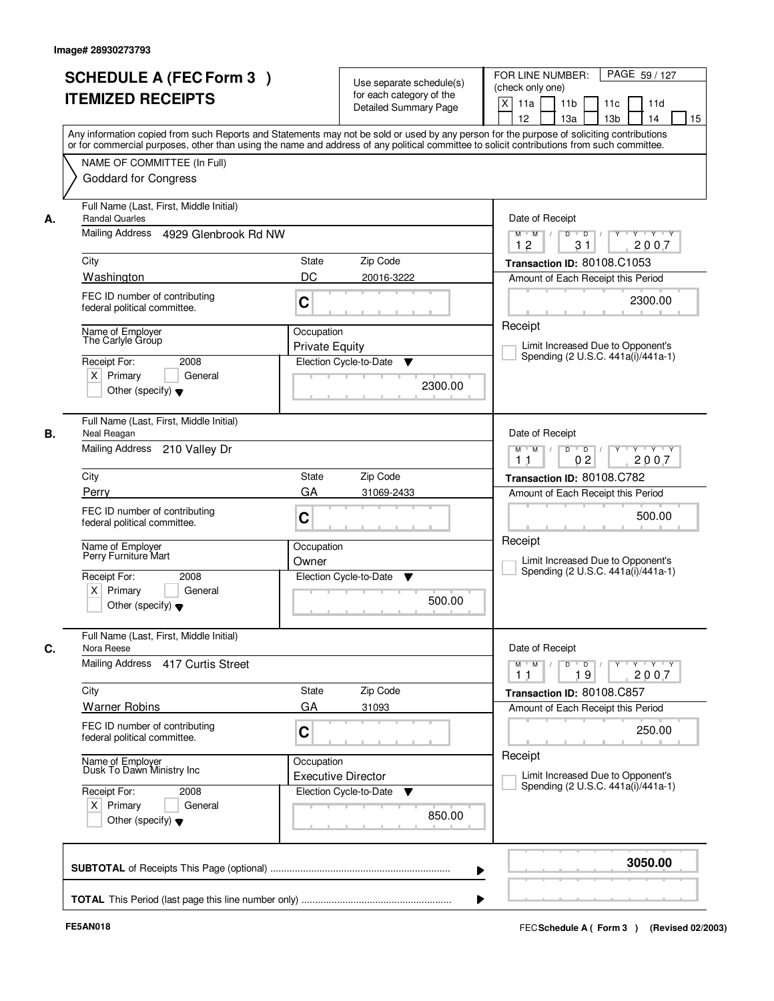|    | <b>SCHEDULE A (FEC Form 3)</b><br><b>ITEMIZED RECEIPTS</b>                                                                         | Use separate schedule(s)<br>for each category of the<br><b>Detailed Summary Page</b>                                                                                                                                                                                                    | PAGE 59 / 127<br>FOR LINE NUMBER:<br>(check only one)<br>$\mathsf{X}$<br>11 <sub>b</sub><br>11a<br>11c<br>11d<br>12<br>13a<br>13 <sub>b</sub><br>14<br>15 |
|----|------------------------------------------------------------------------------------------------------------------------------------|-----------------------------------------------------------------------------------------------------------------------------------------------------------------------------------------------------------------------------------------------------------------------------------------|-----------------------------------------------------------------------------------------------------------------------------------------------------------|
|    | NAME OF COMMITTEE (In Full)<br><b>Goddard for Congress</b>                                                                         | Any information copied from such Reports and Statements may not be sold or used by any person for the purpose of soliciting contributions<br>or for commercial purposes, other than using the name and address of any political committee to solicit contributions from such committee. |                                                                                                                                                           |
| А. | Full Name (Last, First, Middle Initial)<br><b>Randal Quarles</b><br>Mailing Address<br>4929 Glenbrook Rd NW                        |                                                                                                                                                                                                                                                                                         | Date of Receipt<br>$\overline{D}$<br>$Y + Y + Y$<br>$M$ $M$ /<br>D<br>2007<br>12                                                                          |
|    | City<br>Washington                                                                                                                 | <b>State</b><br>Zip Code<br>DC<br>20016-3222                                                                                                                                                                                                                                            | 31<br>Transaction ID: 80108.C1053<br>Amount of Each Receipt this Period                                                                                   |
|    | FEC ID number of contributing<br>federal political committee.                                                                      | C                                                                                                                                                                                                                                                                                       | 2300.00<br>Receipt                                                                                                                                        |
|    | Name of Employer<br>The Carlyle Group<br>2008<br>Receipt For:<br>$X$ Primary<br>General<br>Other (specify) $\blacktriangledown$    | Occupation<br><b>Private Equity</b><br>Election Cycle-to-Date<br>▼<br>2300.00                                                                                                                                                                                                           | Limit Increased Due to Opponent's<br>Spending (2 U.S.C. 441a(i)/441a-1)                                                                                   |
| В. | Full Name (Last, First, Middle Initial)<br>Neal Reagan<br><b>Mailing Address</b><br>210 Valley Dr                                  |                                                                                                                                                                                                                                                                                         | Date of Receipt<br>D<br>$\overline{D}$ /<br>$Y$ <sup>U</sup><br>Y Y Y Y<br>$M$ $M$ /<br>02<br>2007<br>11                                                  |
|    | City                                                                                                                               | Zip Code<br><b>State</b>                                                                                                                                                                                                                                                                | Transaction ID: 80108.C782                                                                                                                                |
|    | Perry<br>FEC ID number of contributing<br>federal political committee.                                                             | GA<br>31069-2433<br>C                                                                                                                                                                                                                                                                   | Amount of Each Receipt this Period<br>500.00                                                                                                              |
|    | Name of Employer<br>Perry Furniture Mart<br>Receipt For:<br>2008<br>$X$ Primary<br>General<br>Other (specify) $\blacktriangledown$ | Occupation<br>Owner<br>Election Cycle-to-Date<br>v<br>500.00                                                                                                                                                                                                                            | Receipt<br>Limit Increased Due to Opponent's<br>Spending (2 U.S.C. 441a(i)/441a-1)                                                                        |
| C. | Full Name (Last, First, Middle Initial)<br>Nora Reese<br>Mailing Address<br>417 Curtis Street                                      |                                                                                                                                                                                                                                                                                         | Date of Receipt<br>$D$ $D$ $I$<br>$M$ $M$<br>$Y - Y - Y - Y$<br>$Y$ <sup>-1</sup>                                                                         |
|    | City<br><b>Warner Robins</b>                                                                                                       | Zip Code<br>State<br>GA<br>31093                                                                                                                                                                                                                                                        | 2007<br>19<br>11<br>Transaction ID: 80108.C857<br>Amount of Each Receipt this Period                                                                      |
|    | FEC ID number of contributing<br>federal political committee.                                                                      | C                                                                                                                                                                                                                                                                                       | 250.00                                                                                                                                                    |
|    | Name of Employer<br>Dusk To Dawn Ministry Inc                                                                                      | Occupation<br><b>Executive Director</b>                                                                                                                                                                                                                                                 | Receipt<br>Limit Increased Due to Opponent's<br>Spending (2 U.S.C. 441a(i)/441a-1)                                                                        |
|    | Receipt For:<br>2008<br>$X$ Primary<br>General<br>Other (specify) $\blacktriangledown$                                             | Election Cycle-to-Date<br>v<br>850.00                                                                                                                                                                                                                                                   |                                                                                                                                                           |
|    |                                                                                                                                    | ▶                                                                                                                                                                                                                                                                                       | 3050.00                                                                                                                                                   |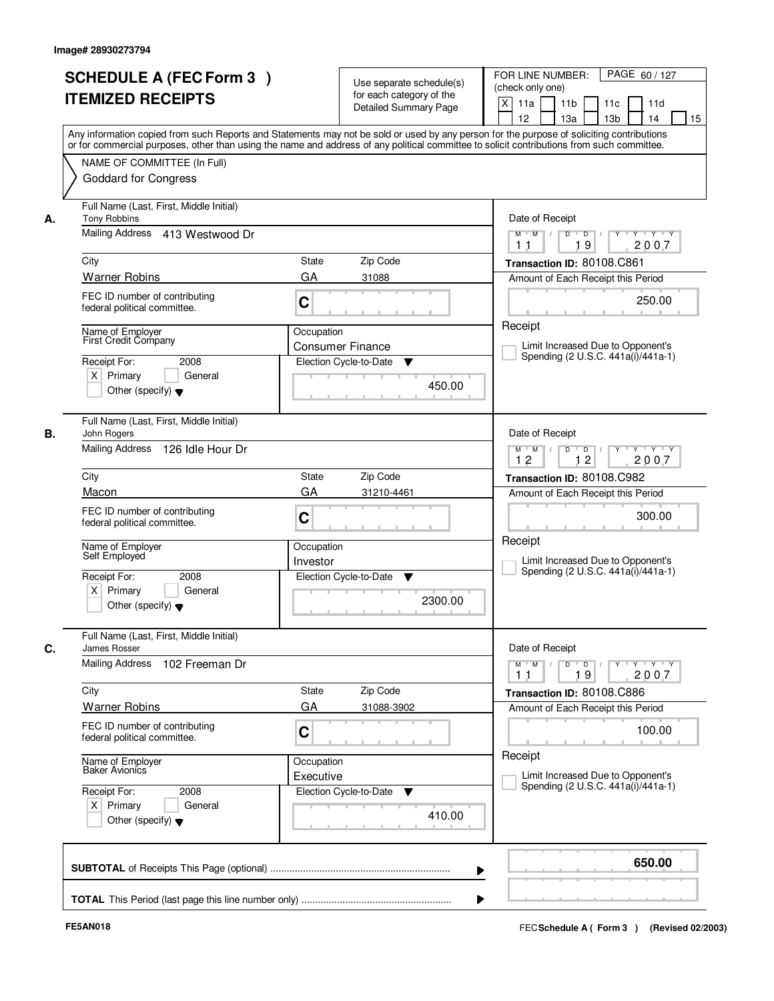|    | <b>SCHEDULE A (FEC Form 3)</b><br><b>ITEMIZED RECEIPTS</b><br>Any information copied from such Reports and Statements may not be sold or used by any person for the purpose of soliciting contributions  |                            | Use separate schedule(s)<br>for each category of the<br><b>Detailed Summary Page</b> | PAGE 60/127<br>FOR LINE NUMBER:<br>(check only one)<br>X<br>11 <sub>b</sub><br>11a<br>11 <sub>c</sub><br>11d<br>12<br>13 <sub>b</sub><br>14<br>13a<br>15 |  |
|----|----------------------------------------------------------------------------------------------------------------------------------------------------------------------------------------------------------|----------------------------|--------------------------------------------------------------------------------------|----------------------------------------------------------------------------------------------------------------------------------------------------------|--|
|    | or for commercial purposes, other than using the name and address of any political committee to solicit contributions from such committee.<br>NAME OF COMMITTEE (In Full)<br><b>Goddard for Congress</b> |                            |                                                                                      |                                                                                                                                                          |  |
| А. | Full Name (Last, First, Middle Initial)<br><b>Tony Robbins</b><br>Mailing Address 413 Westwood Dr                                                                                                        |                            |                                                                                      | Date of Receipt<br>$D$ $D$ $I$<br>Y<br>$Y - Y - Y - Y$<br>$M$ $M$ /                                                                                      |  |
|    | City                                                                                                                                                                                                     | <b>State</b>               | Zip Code                                                                             | 19<br>2007<br>1 <sub>1</sub><br>Transaction ID: 80108.C861                                                                                               |  |
|    | <b>Warner Robins</b>                                                                                                                                                                                     | GA                         | 31088                                                                                | Amount of Each Receipt this Period                                                                                                                       |  |
|    | FEC ID number of contributing<br>federal political committee.                                                                                                                                            | C                          |                                                                                      | 250.00                                                                                                                                                   |  |
|    | Name of Employer<br>First Credit Company<br>Receipt For:<br>2008<br>$X$ Primary<br>General<br>Other (specify) $\blacktriangledown$                                                                       | Occupation                 | <b>Consumer Finance</b><br>Election Cycle-to-Date<br>▼<br>450.00                     | Receipt<br>Limit Increased Due to Opponent's<br>Spending (2 U.S.C. 441a(i)/441a-1)                                                                       |  |
| В. | Full Name (Last, First, Middle Initial)<br>John Rogers<br>Mailing Address<br>126 Idle Hour Dr                                                                                                            |                            |                                                                                      | Date of Receipt<br>$Y \vdash Y \vdash Y$<br>$M$ $M$ /<br>D<br>$\Box$ D $\Box$ /<br>Y<br>12<br>12<br>2007                                                 |  |
|    | City                                                                                                                                                                                                     | Transaction ID: 80108.C982 |                                                                                      |                                                                                                                                                          |  |
|    | Macon                                                                                                                                                                                                    | GA                         | Zip Code<br>31210-4461                                                               | Amount of Each Receipt this Period                                                                                                                       |  |
|    | FEC ID number of contributing<br>federal political committee.                                                                                                                                            | C                          |                                                                                      | 300.00                                                                                                                                                   |  |
|    | Name of Employer<br>Self Employed                                                                                                                                                                        | Occupation<br>Investor     |                                                                                      | Receipt<br>Limit Increased Due to Opponent's<br>Spending (2 U.S.C. 441a(i)/441a-1)                                                                       |  |
|    | Receipt For:<br>2008<br>$X$ Primary<br>General<br>Other (specify) $\blacktriangledown$                                                                                                                   |                            | Election Cycle-to-Date<br>▼<br>2300.00                                               |                                                                                                                                                          |  |
| C. | Full Name (Last, First, Middle Initial)<br>James Rosser                                                                                                                                                  |                            |                                                                                      | Date of Receipt                                                                                                                                          |  |
|    | Mailing Address<br>102 Freeman Dr                                                                                                                                                                        |                            |                                                                                      | $M$ $M$ $/$<br>$D$ $D$ $l$<br>y y y y y<br>19<br>2007<br>11                                                                                              |  |
|    | City                                                                                                                                                                                                     | State<br>GA                | Zip Code                                                                             | Transaction ID: 80108.C886                                                                                                                               |  |
|    | <b>Warner Robins</b><br>FEC ID number of contributing<br>federal political committee.                                                                                                                    | C                          | 31088-3902                                                                           | Amount of Each Receipt this Period<br>100.00                                                                                                             |  |
|    | Name of Employer<br>Baker Avionics                                                                                                                                                                       | Occupation<br>Executive    |                                                                                      | Receipt<br>Limit Increased Due to Opponent's                                                                                                             |  |
|    | Receipt For:<br>2008<br>$X$ Primary<br>General<br>Other (specify) $\blacktriangledown$                                                                                                                   |                            | Election Cycle-to-Date<br>v<br>410.00                                                | Spending (2 U.S.C. 441a(i)/441a-1)                                                                                                                       |  |
|    |                                                                                                                                                                                                          |                            |                                                                                      | 650.00                                                                                                                                                   |  |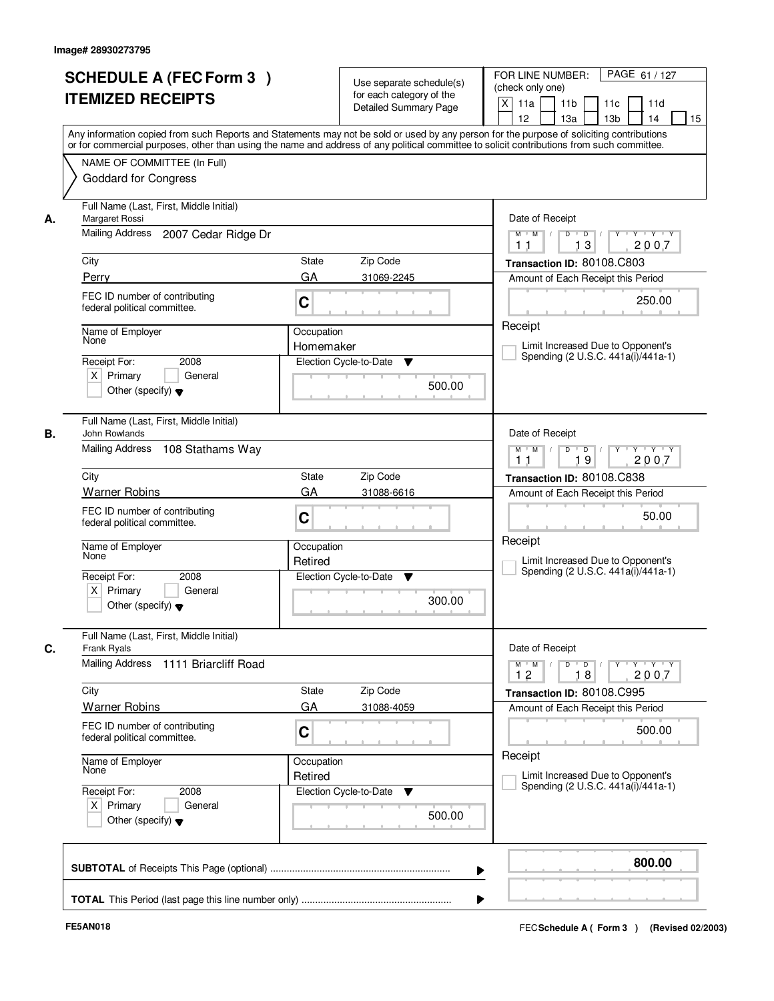|    | <b>SCHEDULE A (FEC Form 3)</b><br><b>ITEMIZED RECEIPTS</b>                                                                                                                                                                                                                              |                       | Use separate schedule(s)<br>for each category of the<br><b>Detailed Summary Page</b> | PAGE 61 / 127<br>FOR LINE NUMBER:<br>(check only one)<br>X<br>11a<br>11 <sub>b</sub><br>11c<br>11d |
|----|-----------------------------------------------------------------------------------------------------------------------------------------------------------------------------------------------------------------------------------------------------------------------------------------|-----------------------|--------------------------------------------------------------------------------------|----------------------------------------------------------------------------------------------------|
|    | Any information copied from such Reports and Statements may not be sold or used by any person for the purpose of soliciting contributions<br>or for commercial purposes, other than using the name and address of any political committee to solicit contributions from such committee. |                       |                                                                                      | 12<br>13 <sub>b</sub><br>13a<br>14<br>15                                                           |
|    | NAME OF COMMITTEE (In Full)<br><b>Goddard for Congress</b>                                                                                                                                                                                                                              |                       |                                                                                      |                                                                                                    |
| А. | Full Name (Last, First, Middle Initial)<br>Margaret Rossi                                                                                                                                                                                                                               |                       |                                                                                      | Date of Receipt                                                                                    |
|    | Mailing Address<br>2007 Cedar Ridge Dr                                                                                                                                                                                                                                                  |                       |                                                                                      | $M$ $M$ /<br>$D$ $D$ $1$<br>13<br>2007<br>11                                                       |
|    | City                                                                                                                                                                                                                                                                                    | State                 | Zip Code                                                                             | Transaction ID: 80108.C803                                                                         |
|    | Perry                                                                                                                                                                                                                                                                                   | GA                    | 31069-2245                                                                           | Amount of Each Receipt this Period                                                                 |
|    | FEC ID number of contributing<br>federal political committee.                                                                                                                                                                                                                           | C                     |                                                                                      | 250.00                                                                                             |
|    | Name of Employer                                                                                                                                                                                                                                                                        | Occupation            |                                                                                      | Receipt                                                                                            |
|    | None                                                                                                                                                                                                                                                                                    | Homemaker             |                                                                                      | Limit Increased Due to Opponent's<br>Spending (2 U.S.C. 441a(i)/441a-1)                            |
|    | Receipt For:<br>2008                                                                                                                                                                                                                                                                    |                       | Election Cycle-to-Date<br>▼                                                          |                                                                                                    |
|    | $X$ Primary<br>General<br>Other (specify) $\blacktriangledown$                                                                                                                                                                                                                          |                       | 500.00                                                                               |                                                                                                    |
| В. | Full Name (Last, First, Middle Initial)<br>John Rowlands                                                                                                                                                                                                                                |                       |                                                                                      | Date of Receipt                                                                                    |
|    | Mailing Address 108 Stathams Way                                                                                                                                                                                                                                                        |                       |                                                                                      | Y<br>$Y \vdash Y \vdash Y$<br>$M$ $M$ /<br>D<br>$\overline{D}$<br>2007<br>19<br>11                 |
|    | City                                                                                                                                                                                                                                                                                    | State                 | Zip Code                                                                             | Transaction ID: 80108.C838                                                                         |
|    | <b>Warner Robins</b>                                                                                                                                                                                                                                                                    | GA                    | 31088-6616                                                                           | Amount of Each Receipt this Period                                                                 |
|    | FEC ID number of contributing<br>federal political committee.                                                                                                                                                                                                                           | C                     |                                                                                      | 50.00                                                                                              |
|    | Name of Employer<br>None                                                                                                                                                                                                                                                                | Occupation<br>Retired |                                                                                      | Receipt<br>Limit Increased Due to Opponent's<br>Spending (2 U.S.C. 441a(i)/441a-1)                 |
|    | Receipt For:<br>2008<br>$X$ Primary<br>General<br>Other (specify) $\blacktriangledown$                                                                                                                                                                                                  |                       | Election Cycle-to-Date<br>v<br>300.00                                                |                                                                                                    |
|    | Full Name (Last, First, Middle Initial)<br>Frank Ryals                                                                                                                                                                                                                                  |                       |                                                                                      | Date of Receipt                                                                                    |
|    | Mailing Address<br>1111 Briarcliff Road                                                                                                                                                                                                                                                 |                       |                                                                                      | $D$ $D$ $l$<br>$M$ $M$ /<br>$Y$ <sup>U</sup><br>$Y + Y + Y$<br>12<br>2007<br>18                    |
|    | City                                                                                                                                                                                                                                                                                    | State                 | Zip Code                                                                             | Transaction ID: 80108.C995                                                                         |
|    | <b>Warner Robins</b>                                                                                                                                                                                                                                                                    | GA                    | 31088-4059                                                                           | Amount of Each Receipt this Period                                                                 |
|    | FEC ID number of contributing<br>federal political committee.                                                                                                                                                                                                                           | C                     |                                                                                      | 500.00                                                                                             |
|    | Name of Employer<br>None                                                                                                                                                                                                                                                                | Occupation<br>Retired |                                                                                      | Receipt<br>Limit Increased Due to Opponent's<br>Spending (2 U.S.C. 441a(i)/441a-1)                 |
|    | Receipt For:<br>2008<br>$X$ Primary<br>General<br>Other (specify) $\blacktriangledown$                                                                                                                                                                                                  |                       | Election Cycle-to-Date<br>v<br>500.00                                                |                                                                                                    |
|    |                                                                                                                                                                                                                                                                                         |                       |                                                                                      | 800.00                                                                                             |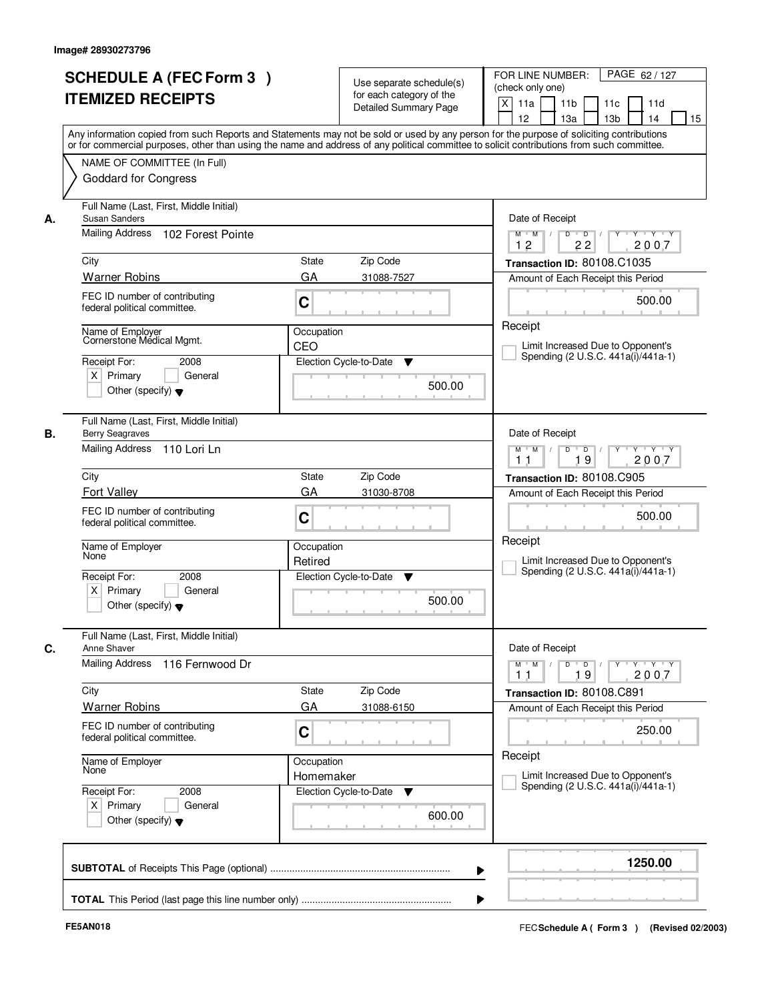|      | <b>SCHEDULE A (FEC Form 3)</b><br><b>ITEMIZED RECEIPTS</b>                                                                              |                         | Use separate schedule(s)<br>for each category of the<br><b>Detailed Summary Page</b> | PAGE 62 / 127<br>FOR LINE NUMBER:<br>(check only one)<br>$\mathsf{X}$<br>11 <sub>b</sub><br>11a<br>11c<br>11d<br>12<br>13 <sub>b</sub><br>14<br>15<br>13a<br>Any information copied from such Reports and Statements may not be sold or used by any person for the purpose of soliciting contributions |
|------|-----------------------------------------------------------------------------------------------------------------------------------------|-------------------------|--------------------------------------------------------------------------------------|--------------------------------------------------------------------------------------------------------------------------------------------------------------------------------------------------------------------------------------------------------------------------------------------------------|
|      | NAME OF COMMITTEE (In Full)<br><b>Goddard for Congress</b>                                                                              |                         |                                                                                      | or for commercial purposes, other than using the name and address of any political committee to solicit contributions from such committee.                                                                                                                                                             |
| А.   | Full Name (Last, First, Middle Initial)<br>Susan Sanders<br>Mailing Address 102 Forest Pointe                                           |                         |                                                                                      | Date of Receipt<br>$Y - Y - Y$<br>$D$ $D$ $1$<br>Y<br>$M$ $M$ /<br>12<br>22<br>2007                                                                                                                                                                                                                    |
| City | <b>Warner Robins</b>                                                                                                                    | <b>State</b><br>GA      | Zip Code<br>31088-7527                                                               | Transaction ID: 80108.C1035<br>Amount of Each Receipt this Period                                                                                                                                                                                                                                      |
|      | FEC ID number of contributing<br>federal political committee.                                                                           | C                       |                                                                                      | 500.00                                                                                                                                                                                                                                                                                                 |
|      | Name of Emplover<br>Cornerstone Médical Mgmt.<br>Receipt For:<br>2008<br>$X$ Primary<br>General<br>Other (specify) $\blacktriangledown$ | Occupation<br>CEO       | Election Cycle-to-Date<br>▼<br>500.00                                                | Receipt<br>Limit Increased Due to Opponent's<br>Spending (2 U.S.C. 441a(i)/441a-1)                                                                                                                                                                                                                     |
| В.   | Full Name (Last, First, Middle Initial)<br><b>Berry Seagraves</b><br>Mailing Address 110 Lori Ln                                        |                         |                                                                                      | Date of Receipt<br>$Y - Y - Y$<br>$M$ $M$ /<br>D<br>$\blacksquare$ D $\blacksquare$ /<br>19<br>2007<br>11                                                                                                                                                                                              |
| City |                                                                                                                                         | <b>State</b>            | Zip Code                                                                             | Transaction ID: 80108.C905                                                                                                                                                                                                                                                                             |
|      | <b>Fort Vallev</b><br>FEC ID number of contributing<br>federal political committee.                                                     | GA<br>C                 | 31030-8708                                                                           | Amount of Each Receipt this Period<br>500.00                                                                                                                                                                                                                                                           |
| None | Name of Employer                                                                                                                        | Occupation<br>Retired   |                                                                                      | Receipt<br>Limit Increased Due to Opponent's<br>Spending (2 U.S.C. 441a(i)/441a-1)                                                                                                                                                                                                                     |
|      | Receipt For:<br>2008<br>$X$ Primary<br>General<br>Other (specify) $\blacktriangledown$                                                  |                         | Election Cycle-to-Date<br>v<br>500.00                                                |                                                                                                                                                                                                                                                                                                        |
|      | Full Name (Last, First, Middle Initial)<br>Anne Shaver                                                                                  |                         |                                                                                      | Date of Receipt                                                                                                                                                                                                                                                                                        |
|      | Mailing Address<br>116 Fernwood Dr                                                                                                      |                         |                                                                                      | $D$ $D$ $/$<br>$\begin{array}{cccccccccc} &\mathsf{Y} &\mathsf{I} &\mathsf{Y} &\mathsf{I} &\mathsf{Y} &\mathsf{I} &\mathsf{Y}\end{array}$<br>$M$ $M$<br>19<br>2007<br>11                                                                                                                               |
| City | <b>Warner Robins</b>                                                                                                                    | State<br>GA             | Zip Code<br>31088-6150                                                               | Transaction ID: 80108.C891<br>Amount of Each Receipt this Period                                                                                                                                                                                                                                       |
|      | FEC ID number of contributing<br>federal political committee.                                                                           | C                       |                                                                                      | 250.00                                                                                                                                                                                                                                                                                                 |
| None | Name of Employer                                                                                                                        | Occupation<br>Homemaker |                                                                                      | Receipt<br>Limit Increased Due to Opponent's                                                                                                                                                                                                                                                           |
|      | Receipt For:<br>2008<br>$X$ Primary<br>General<br>Other (specify) $\blacktriangledown$                                                  |                         | Election Cycle-to-Date<br>v<br>600.00                                                | Spending (2 U.S.C. 441a(i)/441a-1)                                                                                                                                                                                                                                                                     |
|      |                                                                                                                                         |                         |                                                                                      | 1250.00<br>▶                                                                                                                                                                                                                                                                                           |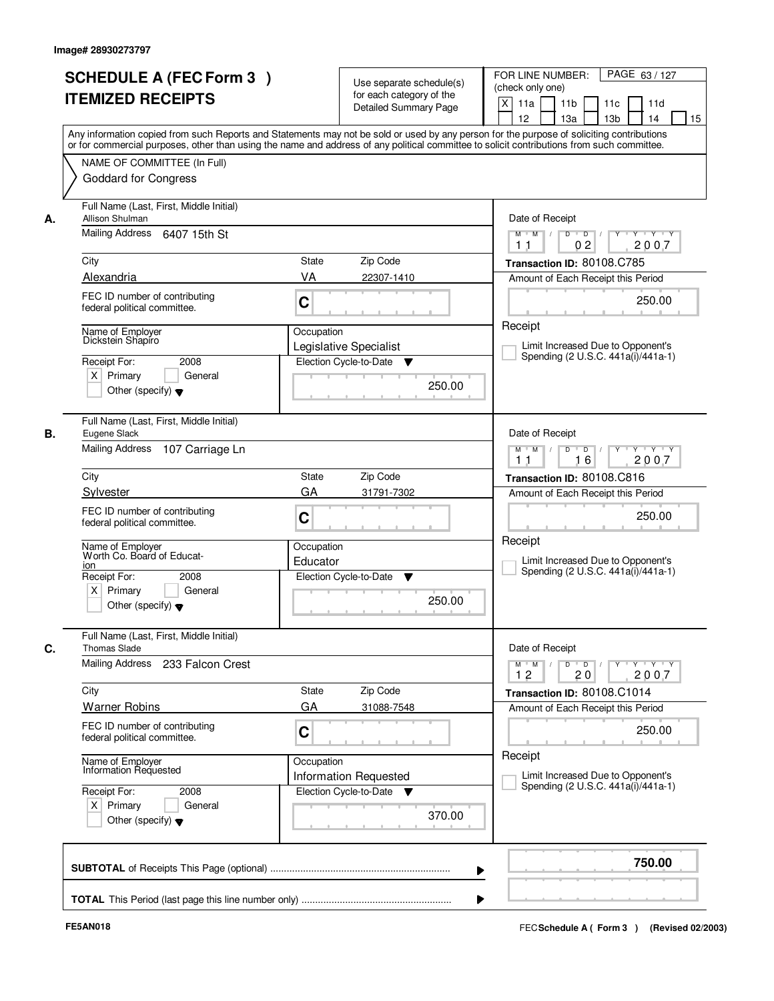|    | <b>SCHEDULE A (FEC Form 3)</b><br><b>ITEMIZED RECEIPTS</b><br>Any information copied from such Reports and Statements may not be sold or used by any person for the purpose of soliciting contributions  |                        | Use separate schedule(s)<br>for each category of the<br><b>Detailed Summary Page</b> | PAGE 63/127<br>FOR LINE NUMBER:<br>(check only one)<br>X<br>11 <sub>b</sub><br>11a<br>11 <sub>c</sub><br>11d<br>12<br>13 <sub>b</sub><br>14<br>13a<br>15 |
|----|----------------------------------------------------------------------------------------------------------------------------------------------------------------------------------------------------------|------------------------|--------------------------------------------------------------------------------------|----------------------------------------------------------------------------------------------------------------------------------------------------------|
|    | or for commercial purposes, other than using the name and address of any political committee to solicit contributions from such committee.<br>NAME OF COMMITTEE (In Full)<br><b>Goddard for Congress</b> |                        |                                                                                      |                                                                                                                                                          |
| А. | Full Name (Last, First, Middle Initial)<br>Allison Shulman<br>Mailing Address 6407 15th St                                                                                                               |                        |                                                                                      | Date of Receipt<br>$D$ $D$ $I$<br>$Y$ <sup>U</sup><br>$Y - Y - Y - Y$<br>$M$ $M$ /<br>02<br>2007<br>1 <sub>1</sub>                                       |
|    | City<br>Alexandria                                                                                                                                                                                       | <b>State</b><br>VA     | Zip Code<br>22307-1410                                                               | Transaction ID: 80108.C785<br>Amount of Each Receipt this Period                                                                                         |
|    | FEC ID number of contributing<br>federal political committee.                                                                                                                                            | C                      |                                                                                      | 250.00                                                                                                                                                   |
|    | Name of Emplover<br>Dickstein Shapiro<br>Receipt For:<br>2008<br>$X$ Primary<br>General<br>Other (specify) $\blacktriangledown$                                                                          | Occupation             | Legislative Specialist<br>Election Cycle-to-Date<br>v<br>250.00                      | Receipt<br>Limit Increased Due to Opponent's<br>Spending (2 U.S.C. 441a(i)/441a-1)                                                                       |
| В. | Full Name (Last, First, Middle Initial)<br>Eugene Slack<br>Mailing Address<br>107 Carriage Ln                                                                                                            |                        |                                                                                      | Date of Receipt<br>$Y \vdash Y \vdash Y$<br>$M$ $M$ /<br>D<br>$\Box$<br>16<br>2007<br>1 <sub>1</sub>                                                     |
|    | City                                                                                                                                                                                                     | State                  | Zip Code                                                                             | Transaction ID: 80108.C816                                                                                                                               |
|    | Sylvester<br>FEC ID number of contributing<br>federal political committee.                                                                                                                               | GA<br>C                | 31791-7302                                                                           | Amount of Each Receipt this Period<br>250.00                                                                                                             |
|    | Name of Employer<br>Worth Co. Board of Educat-<br>ion<br>Receipt For:<br>2008<br>$X$ Primary<br>General<br>Other (specify) $\blacktriangledown$                                                          | Occupation<br>Educator | Election Cycle-to-Date<br>▼<br>250.00                                                | Receipt<br>Limit Increased Due to Opponent's<br>Spending (2 U.S.C. 441a(i)/441a-1)                                                                       |
| C. | Full Name (Last, First, Middle Initial)<br><b>Thomas Slade</b>                                                                                                                                           |                        |                                                                                      | Date of Receipt                                                                                                                                          |
|    | Mailing Address<br>233 Falcon Crest                                                                                                                                                                      |                        |                                                                                      | $M$ $M$ $M$<br>$D$ $D$ $/$<br>Y 'Y 'Y<br>$Y$ <sup>U</sup><br>2007<br>12<br>20                                                                            |
|    | City<br><b>Warner Robins</b>                                                                                                                                                                             | State<br>GA            | Zip Code<br>31088-7548                                                               | Transaction ID: 80108.C1014<br>Amount of Each Receipt this Period                                                                                        |
|    | FEC ID number of contributing<br>federal political committee.                                                                                                                                            | C                      |                                                                                      | 250.00                                                                                                                                                   |
|    | Name of Employer<br>Information Requested                                                                                                                                                                | Occupation             | <b>Information Requested</b>                                                         | Receipt<br>Limit Increased Due to Opponent's                                                                                                             |
|    | Receipt For:<br>2008<br>$X$ Primary<br>General<br>Other (specify) $\blacktriangledown$                                                                                                                   |                        | Election Cycle-to-Date ▼<br>370.00                                                   | Spending (2 U.S.C. 441a(i)/441a-1)                                                                                                                       |
|    |                                                                                                                                                                                                          |                        |                                                                                      | 750.00                                                                                                                                                   |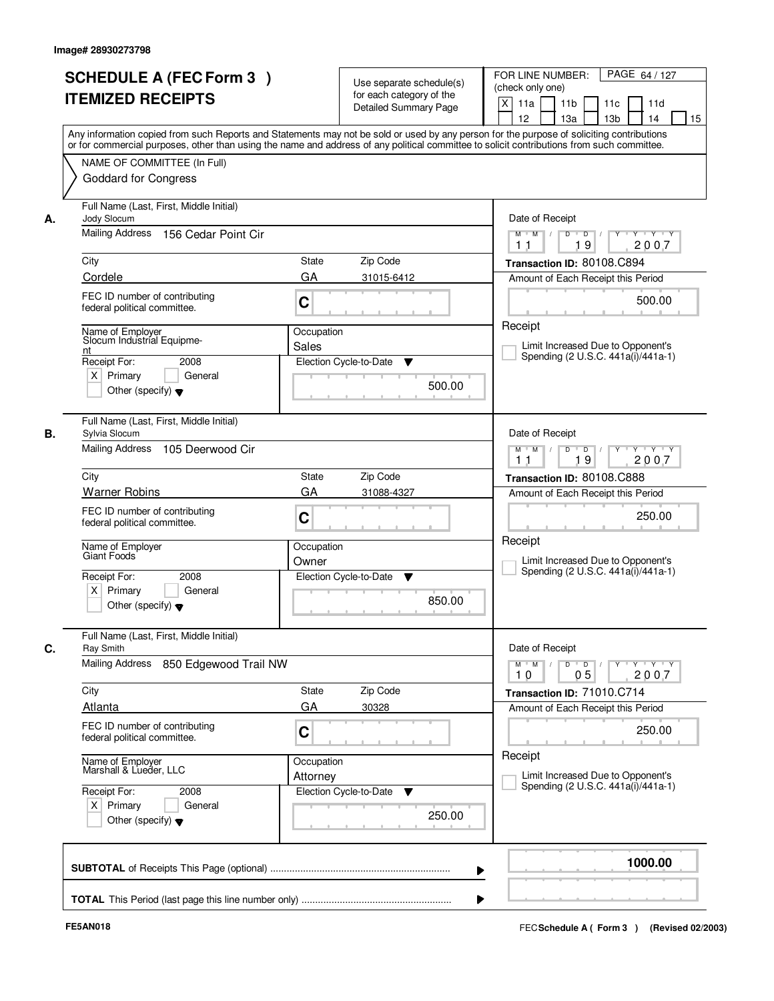| <b>SCHEDULE A (FEC Form 3)</b>                                 |                                                                                                                                                                                                                                                                                         | PAGE 64 / 127<br>FOR LINE NUMBER:                                                               |
|----------------------------------------------------------------|-----------------------------------------------------------------------------------------------------------------------------------------------------------------------------------------------------------------------------------------------------------------------------------------|-------------------------------------------------------------------------------------------------|
|                                                                | Use separate schedule(s)<br>for each category of the                                                                                                                                                                                                                                    | (check only one)                                                                                |
| <b>ITEMIZED RECEIPTS</b>                                       | <b>Detailed Summary Page</b>                                                                                                                                                                                                                                                            | $\mathsf{X}$<br>11 <sub>b</sub><br>11a<br>11c<br>11d                                            |
|                                                                |                                                                                                                                                                                                                                                                                         | 12<br>13a<br>13 <sub>b</sub><br>14<br>15                                                        |
|                                                                | Any information copied from such Reports and Statements may not be sold or used by any person for the purpose of soliciting contributions<br>or for commercial purposes, other than using the name and address of any political committee to solicit contributions from such committee. |                                                                                                 |
| NAME OF COMMITTEE (In Full)                                    |                                                                                                                                                                                                                                                                                         |                                                                                                 |
| <b>Goddard for Congress</b>                                    |                                                                                                                                                                                                                                                                                         |                                                                                                 |
|                                                                |                                                                                                                                                                                                                                                                                         |                                                                                                 |
| Full Name (Last, First, Middle Initial)                        |                                                                                                                                                                                                                                                                                         |                                                                                                 |
| Jody Slocum<br>А.<br>Mailing Address<br>156 Cedar Point Cir    |                                                                                                                                                                                                                                                                                         | Date of Receipt<br>$\overline{D}$<br>$Y + Y + Y$<br>$M$ $M$ /<br>D                              |
|                                                                |                                                                                                                                                                                                                                                                                         | 19<br>2007<br>11                                                                                |
| City                                                           | <b>State</b><br>Zip Code                                                                                                                                                                                                                                                                | Transaction ID: 80108.C894                                                                      |
| Cordele                                                        | GA<br>31015-6412                                                                                                                                                                                                                                                                        | Amount of Each Receipt this Period                                                              |
| FEC ID number of contributing                                  |                                                                                                                                                                                                                                                                                         | 500.00                                                                                          |
| federal political committee.                                   | C                                                                                                                                                                                                                                                                                       |                                                                                                 |
| Name of Employer                                               | Occupation                                                                                                                                                                                                                                                                              | Receipt                                                                                         |
| Slocum Industrial Equipme-<br>nt                               | Sales                                                                                                                                                                                                                                                                                   | Limit Increased Due to Opponent's                                                               |
| Receipt For:<br>2008                                           | Election Cycle-to-Date<br>▼                                                                                                                                                                                                                                                             | Spending (2 U.S.C. 441a(i)/441a-1)                                                              |
| $X$ Primary<br>General                                         |                                                                                                                                                                                                                                                                                         |                                                                                                 |
| Other (specify) $\blacktriangledown$                           | 500.00                                                                                                                                                                                                                                                                                  |                                                                                                 |
|                                                                |                                                                                                                                                                                                                                                                                         |                                                                                                 |
| Full Name (Last, First, Middle Initial)<br>В.<br>Sylvia Slocum |                                                                                                                                                                                                                                                                                         | Date of Receipt                                                                                 |
| Mailing Address 105 Deerwood Cir                               |                                                                                                                                                                                                                                                                                         | $M$ $M$ /<br>D<br>$\overline{D}$ /<br>$Y$ <sup>U</sup><br>Y Y Y Y                               |
|                                                                |                                                                                                                                                                                                                                                                                         | 19<br>2007<br>11                                                                                |
| City                                                           | Zip Code<br><b>State</b>                                                                                                                                                                                                                                                                | Transaction ID: 80108.C888                                                                      |
| <b>Warner Robins</b>                                           | GA<br>31088-4327                                                                                                                                                                                                                                                                        | Amount of Each Receipt this Period                                                              |
| FEC ID number of contributing                                  | C                                                                                                                                                                                                                                                                                       | 250.00                                                                                          |
| federal political committee.                                   |                                                                                                                                                                                                                                                                                         |                                                                                                 |
| Name of Employer                                               | Occupation                                                                                                                                                                                                                                                                              | Receipt                                                                                         |
| Giant Foods                                                    | Owner                                                                                                                                                                                                                                                                                   | Limit Increased Due to Opponent's                                                               |
| Receipt For:<br>2008                                           | Election Cycle-to-Date<br>v                                                                                                                                                                                                                                                             | Spending (2 U.S.C. 441a(i)/441a-1)                                                              |
| $X$ Primary<br>General                                         | 850.00                                                                                                                                                                                                                                                                                  |                                                                                                 |
| Other (specify) $\blacktriangledown$                           |                                                                                                                                                                                                                                                                                         |                                                                                                 |
| Full Name (Last, First, Middle Initial)                        |                                                                                                                                                                                                                                                                                         |                                                                                                 |
| C.<br><b>Ray Smith</b>                                         |                                                                                                                                                                                                                                                                                         | Date of Receipt<br>$D$ $D$<br>$M^{\prime}$ M $\rightarrow$ /<br>$Y + Y + Y$<br>$Y$ <sup>U</sup> |
|                                                                |                                                                                                                                                                                                                                                                                         |                                                                                                 |
| Mailing Address<br>850 Edgewood Trail NW                       |                                                                                                                                                                                                                                                                                         | 2007<br>10<br>05                                                                                |
| City                                                           | Zip Code<br>State                                                                                                                                                                                                                                                                       | Transaction ID: 71010.C714                                                                      |
| Atlanta                                                        | GA<br>30328                                                                                                                                                                                                                                                                             | Amount of Each Receipt this Period                                                              |
| FEC ID number of contributing                                  |                                                                                                                                                                                                                                                                                         |                                                                                                 |
| federal political committee.                                   | C                                                                                                                                                                                                                                                                                       | 250.00                                                                                          |
|                                                                | Occupation                                                                                                                                                                                                                                                                              | Receipt                                                                                         |
| Name of Employer<br>Marshall & Lueder, LLC                     | Attorney                                                                                                                                                                                                                                                                                | Limit Increased Due to Opponent's                                                               |
| Receipt For:<br>2008                                           | Election Cycle-to-Date<br>v                                                                                                                                                                                                                                                             | Spending (2 U.S.C. 441a(i)/441a-1)                                                              |
| $X$ Primary<br>General                                         |                                                                                                                                                                                                                                                                                         |                                                                                                 |
| Other (specify) $\blacktriangledown$                           | 250.00                                                                                                                                                                                                                                                                                  |                                                                                                 |
|                                                                |                                                                                                                                                                                                                                                                                         |                                                                                                 |
|                                                                | ▶                                                                                                                                                                                                                                                                                       | 1000.00                                                                                         |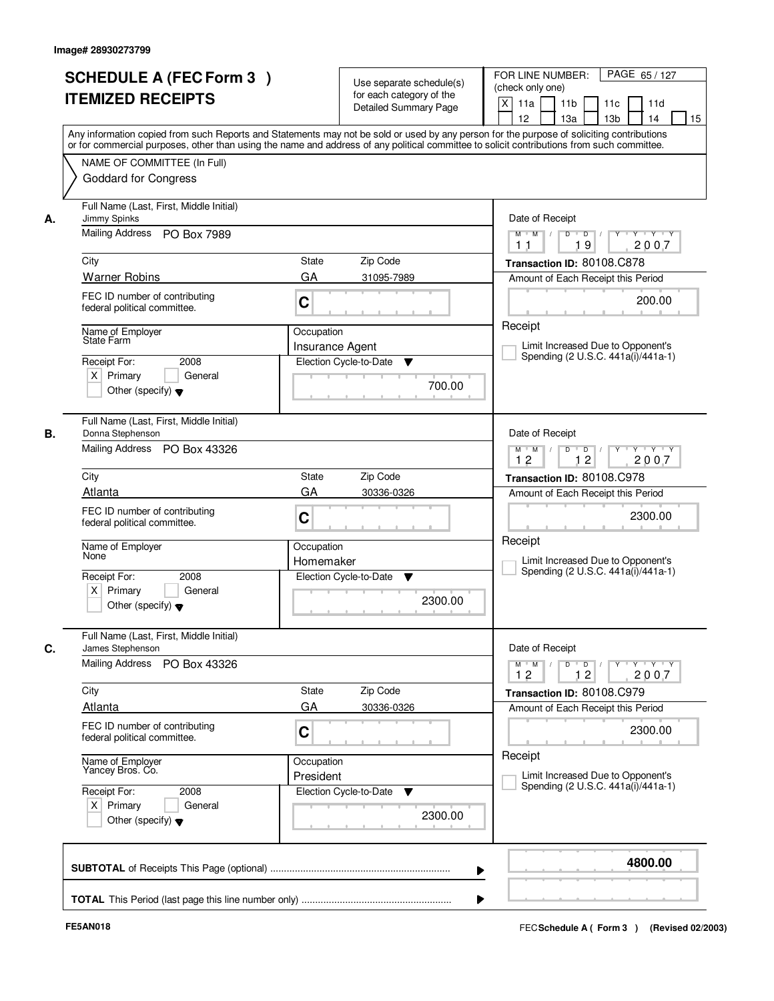|                                                                                                                                                          | <b>Detailed Summary Page</b><br>Any information copied from such Reports and Statements may not be sold or used by any person for the purpose of soliciting contributions | $\boldsymbol{\mathsf{X}}$<br>11a<br>11 <sub>b</sub><br>11c<br>11d<br>12<br>13a<br>13 <sub>b</sub><br>14<br>15             |
|----------------------------------------------------------------------------------------------------------------------------------------------------------|---------------------------------------------------------------------------------------------------------------------------------------------------------------------------|---------------------------------------------------------------------------------------------------------------------------|
| NAME OF COMMITTEE (In Full)<br><b>Goddard for Congress</b>                                                                                               | or for commercial purposes, other than using the name and address of any political committee to solicit contributions from such committee.                                |                                                                                                                           |
| Full Name (Last, First, Middle Initial)<br>Jimmy Spinks<br>А.<br>Mailing Address PO Box 7989                                                             |                                                                                                                                                                           | Date of Receipt<br>$\overline{D}$<br>Y<br>$Y - Y - Y$<br>$M$ $M$ /<br>D<br>2007<br>19                                     |
| City<br><b>Warner Robins</b><br>FEC ID number of contributing                                                                                            | State<br>Zip Code<br>GA<br>31095-7989                                                                                                                                     | 11<br>Transaction ID: 80108.C878<br>Amount of Each Receipt this Period                                                    |
| federal political committee.<br>Name of Employer<br>State Farm<br>2008<br>Receipt For:<br>$X$ Primary<br>General<br>Other (specify) $\blacktriangledown$ | C<br>Occupation<br>Insurance Agent<br>Election Cycle-to-Date<br>▼<br>700.00                                                                                               | 200.00<br>Receipt<br>Limit Increased Due to Opponent's<br>Spending (2 U.S.C. 441a(i)/441a-1)                              |
| Full Name (Last, First, Middle Initial)<br>В.<br>Donna Stephenson<br>Mailing Address PO Box 43326                                                        |                                                                                                                                                                           | Date of Receipt<br>D<br>$\blacksquare$ D $\blacksquare$ /<br>$Y$ <sup>U</sup><br>Y Y Y Y<br>$M$ $M$ /<br>12<br>12<br>2007 |
| City<br>Atlanta<br>FEC ID number of contributing<br>federal political committee.                                                                         | Zip Code<br>State<br>GA<br>30336-0326<br>C                                                                                                                                | Transaction ID: 80108.C978<br>Amount of Each Receipt this Period<br>2300.00                                               |
| Name of Employer<br>None<br>Receipt For:<br>2008<br>$X$ Primary<br>General<br>Other (specify) $\blacktriangledown$                                       | Occupation<br>Homemaker<br>Election Cycle-to-Date<br>▼<br>2300.00                                                                                                         | Receipt<br>Limit Increased Due to Opponent's<br>Spending (2 U.S.C. 441a(i)/441a-1)                                        |
| Full Name (Last, First, Middle Initial)<br>C.<br>James Stephenson<br>Mailing Address<br>PO Box 43326                                                     |                                                                                                                                                                           | Date of Receipt<br>$M$ $M$<br>$D$ $D$ $/$<br>$Y$ <sup>U</sup><br>$Y - Y - Y - Y$<br>$\vert$ /<br>2007<br>12<br>12         |
| City<br>Atlanta<br>FEC ID number of contributing<br>federal political committee.                                                                         | Zip Code<br>State<br>GA<br>30336-0326<br>C                                                                                                                                | Transaction ID: 80108.C979<br>Amount of Each Receipt this Period<br>2300.00                                               |
| Name of Employer<br>Yancey Bros. Co.<br>Receipt For:<br>2008<br>$X$ Primary<br>General<br>Other (specify) $\blacktriangledown$                           | Occupation<br>President<br>Election Cycle-to-Date<br>v<br>2300.00                                                                                                         | Receipt<br>Limit Increased Due to Opponent's<br>Spending (2 U.S.C. 441a(i)/441a-1)                                        |
|                                                                                                                                                          | ▶                                                                                                                                                                         | 4800.00                                                                                                                   |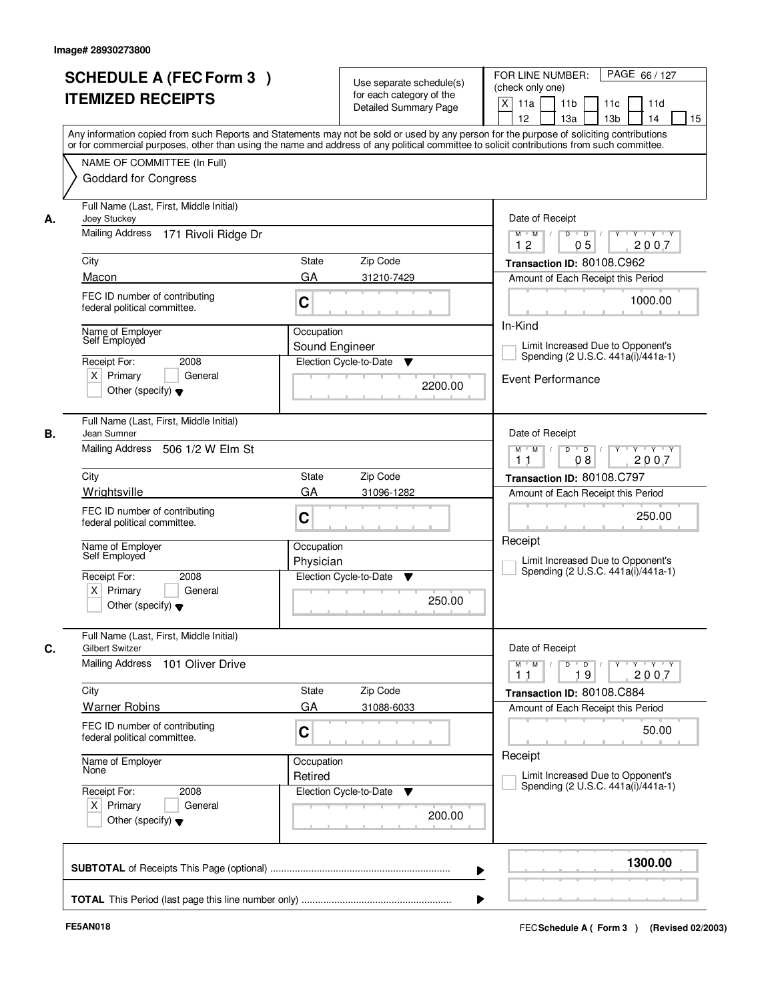|    | <b>SCHEDULE A (FEC Form 3)</b><br><b>ITEMIZED RECEIPTS</b>                                                                                                                                                                                                                                                             |                                          | Use separate schedule(s)<br>for each category of the<br><b>Detailed Summary Page</b> | PAGE 66/127<br>FOR LINE NUMBER:<br>(check only one)<br>X<br>11 <sub>b</sub><br>11a<br>11c<br>11d  |
|----|------------------------------------------------------------------------------------------------------------------------------------------------------------------------------------------------------------------------------------------------------------------------------------------------------------------------|------------------------------------------|--------------------------------------------------------------------------------------|---------------------------------------------------------------------------------------------------|
|    | Any information copied from such Reports and Statements may not be sold or used by any person for the purpose of soliciting contributions<br>or for commercial purposes, other than using the name and address of any political committee to solicit contributions from such committee.<br>NAME OF COMMITTEE (In Full) |                                          |                                                                                      | 12<br>13 <sub>b</sub><br>14<br>15<br>13a                                                          |
|    | <b>Goddard for Congress</b>                                                                                                                                                                                                                                                                                            |                                          |                                                                                      |                                                                                                   |
| А. | Full Name (Last, First, Middle Initial)<br>Joey Stuckey                                                                                                                                                                                                                                                                |                                          |                                                                                      | Date of Receipt                                                                                   |
|    | Mailing Address<br>171 Rivoli Ridge Dr                                                                                                                                                                                                                                                                                 |                                          |                                                                                      | $Y - Y - Y$<br>$\overline{D}$<br>$M$ $/$<br>D<br>M<br>2007<br>12<br>05                            |
|    | City                                                                                                                                                                                                                                                                                                                   | <b>State</b>                             | Zip Code                                                                             | Transaction ID: 80108.C962                                                                        |
|    | Macon                                                                                                                                                                                                                                                                                                                  | GA                                       | 31210-7429                                                                           | Amount of Each Receipt this Period                                                                |
|    | FEC ID number of contributing<br>federal political committee.                                                                                                                                                                                                                                                          | C                                        |                                                                                      | 1000.00                                                                                           |
|    | Name of Employer<br>Self Employed                                                                                                                                                                                                                                                                                      | Occupation                               |                                                                                      | In-Kind                                                                                           |
|    | 2008<br>Receipt For:                                                                                                                                                                                                                                                                                                   | Sound Engineer<br>Election Cycle-to-Date | ▼                                                                                    | Limit Increased Due to Opponent's<br>Spending (2 U.S.C. 441a(i)/441a-1)                           |
|    | $X$ Primary<br>General<br>Other (specify) $\blacktriangledown$                                                                                                                                                                                                                                                         |                                          | 2200.00                                                                              | Event Performance                                                                                 |
|    | Full Name (Last, First, Middle Initial)<br>Jean Sumner                                                                                                                                                                                                                                                                 |                                          |                                                                                      | Date of Receipt                                                                                   |
|    | <b>Mailing Address</b><br>506 1/2 W Elm St                                                                                                                                                                                                                                                                             |                                          |                                                                                      | D<br>$\overline{D}$ /<br>Y Y Y Y<br>$M$ $M$ /<br>$Y$ <sup>U</sup><br>08<br>2007<br>1 <sub>1</sub> |
|    | City                                                                                                                                                                                                                                                                                                                   | State                                    | Zip Code                                                                             | Transaction ID: 80108.C797                                                                        |
|    | Wrightsville                                                                                                                                                                                                                                                                                                           | GA                                       | 31096-1282                                                                           | Amount of Each Receipt this Period                                                                |
|    | FEC ID number of contributing<br>federal political committee.                                                                                                                                                                                                                                                          | C                                        |                                                                                      | 250.00                                                                                            |
|    | Name of Employer<br>Self Employed                                                                                                                                                                                                                                                                                      | Occupation<br>Physician                  |                                                                                      | Receipt<br>Limit Increased Due to Opponent's                                                      |
|    | Receipt For:<br>2008<br>$X$ Primary<br>General<br>Other (specify) $\blacktriangledown$                                                                                                                                                                                                                                 | Election Cycle-to-Date                   | ▼<br>250.00                                                                          | Spending (2 U.S.C. 441a(i)/441a-1)                                                                |
|    | Full Name (Last, First, Middle Initial)<br><b>Gilbert Switzer</b>                                                                                                                                                                                                                                                      |                                          |                                                                                      | Date of Receipt                                                                                   |
|    | <b>Mailing Address</b><br>101 Oliver Drive                                                                                                                                                                                                                                                                             |                                          |                                                                                      | $M$ $M$ $M$<br>$D$ $D$ $/$<br>$Y$ <sup>U</sup><br>$Y$ $Y$ $Y$<br>2007<br>11<br>19                 |
|    | City                                                                                                                                                                                                                                                                                                                   | State                                    | Zip Code                                                                             | Transaction ID: 80108.C884                                                                        |
|    | <b>Warner Robins</b>                                                                                                                                                                                                                                                                                                   | GA                                       | 31088-6033                                                                           | Amount of Each Receipt this Period                                                                |
|    | FEC ID number of contributing<br>federal political committee.                                                                                                                                                                                                                                                          | C                                        |                                                                                      | 50.00                                                                                             |
|    | Name of Employer<br>None                                                                                                                                                                                                                                                                                               | Occupation<br>Retired                    |                                                                                      | Receipt<br>Limit Increased Due to Opponent's                                                      |
|    | Receipt For:<br>2008<br>$X$ Primary<br>General<br>Other (specify) $\blacktriangledown$                                                                                                                                                                                                                                 | Election Cycle-to-Date                   | v<br>200.00                                                                          | Spending (2 U.S.C. 441a(i)/441a-1)                                                                |
|    |                                                                                                                                                                                                                                                                                                                        |                                          |                                                                                      | 1300.00                                                                                           |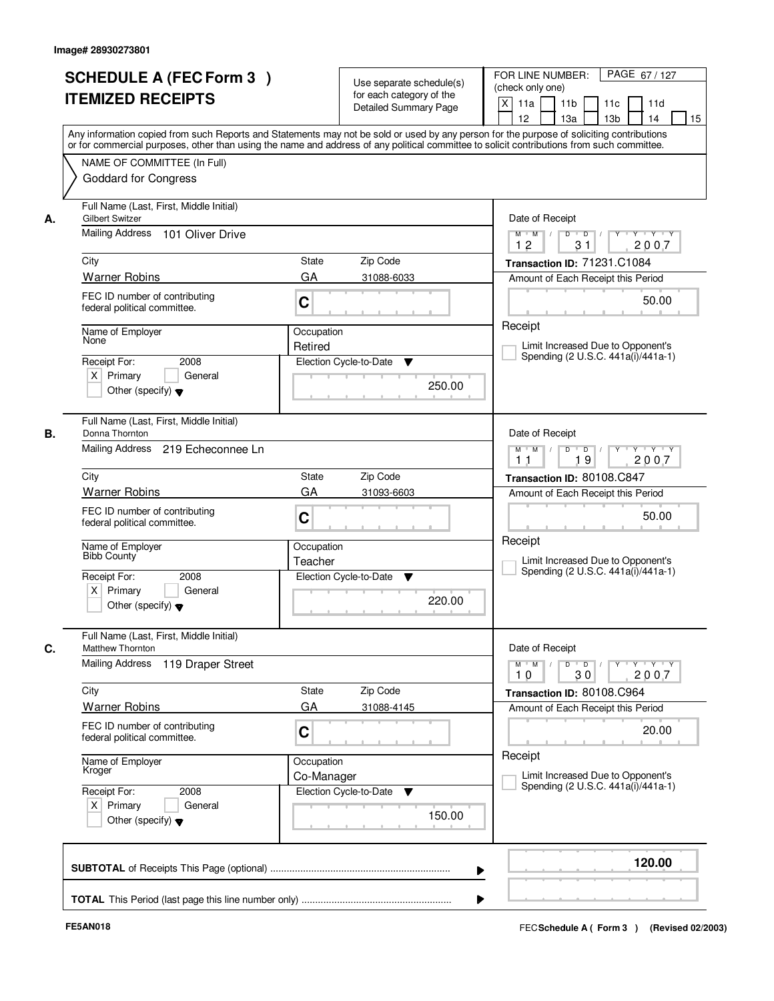|    | <b>SCHEDULE A (FEC Form 3)</b><br><b>ITEMIZED RECEIPTS</b><br>Any information copied from such Reports and Statements may not be sold or used by any person for the purpose of soliciting contributions  |                          | Use separate schedule(s)<br>for each category of the<br><b>Detailed Summary Page</b> | PAGE 67/127<br>FOR LINE NUMBER:<br>(check only one)<br>X<br>11 <sub>b</sub><br>11a<br>11c<br>11d<br>12<br>13 <sub>b</sub><br>14<br>13a<br>15 |
|----|----------------------------------------------------------------------------------------------------------------------------------------------------------------------------------------------------------|--------------------------|--------------------------------------------------------------------------------------|----------------------------------------------------------------------------------------------------------------------------------------------|
|    | or for commercial purposes, other than using the name and address of any political committee to solicit contributions from such committee.<br>NAME OF COMMITTEE (In Full)<br><b>Goddard for Congress</b> |                          |                                                                                      |                                                                                                                                              |
| А. | Full Name (Last, First, Middle Initial)<br><b>Gilbert Switzer</b><br>Mailing Address 101 Oliver Drive                                                                                                    |                          |                                                                                      | Date of Receipt<br>$Y + Y + Y$<br>$D$ $D$ $I$<br>$Y$ <sup>U</sup><br>$M$ $M$ /<br>12<br>31<br>2007                                           |
|    | City                                                                                                                                                                                                     | <b>State</b>             | Zip Code                                                                             | Transaction ID: 71231.C1084                                                                                                                  |
|    | <b>Warner Robins</b>                                                                                                                                                                                     | GA                       | 31088-6033                                                                           | Amount of Each Receipt this Period                                                                                                           |
|    | FEC ID number of contributing<br>federal political committee.                                                                                                                                            | C                        |                                                                                      | 50.00                                                                                                                                        |
|    | Name of Employer<br>None                                                                                                                                                                                 | Occupation               |                                                                                      | Receipt                                                                                                                                      |
|    |                                                                                                                                                                                                          | Retired                  |                                                                                      | Limit Increased Due to Opponent's<br>Spending (2 U.S.C. 441a(i)/441a-1)                                                                      |
|    | Receipt For:<br>2008<br>$X$ Primary<br>General<br>Other (specify) $\blacktriangledown$                                                                                                                   |                          | Election Cycle-to-Date<br>▼<br>250.00                                                |                                                                                                                                              |
| В. | Full Name (Last, First, Middle Initial)<br>Donna Thornton                                                                                                                                                |                          |                                                                                      | Date of Receipt                                                                                                                              |
|    | Mailing Address 219 Echeconnee Ln                                                                                                                                                                        |                          |                                                                                      | $Y \vdash Y \vdash Y$<br>$M$ $M$ /<br>D<br>$\overline{D}$<br>Y<br>19<br>2007<br>11                                                           |
|    | City                                                                                                                                                                                                     | State                    | Zip Code                                                                             | Transaction ID: 80108.C847                                                                                                                   |
|    | <b>Warner Robins</b>                                                                                                                                                                                     | GA                       | 31093-6603                                                                           | Amount of Each Receipt this Period                                                                                                           |
|    | FEC ID number of contributing<br>federal political committee.                                                                                                                                            | C                        |                                                                                      | 50.00                                                                                                                                        |
|    | Name of Employer<br>Bibb County                                                                                                                                                                          | Occupation<br>Teacher    |                                                                                      | Receipt<br>Limit Increased Due to Opponent's<br>Spending (2 U.S.C. 441a(i)/441a-1)                                                           |
|    | Receipt For:<br>2008<br>$X$ Primary<br>General<br>Other (specify) $\blacktriangledown$                                                                                                                   |                          | Election Cycle-to-Date<br>▼<br>220.00                                                |                                                                                                                                              |
|    | Full Name (Last, First, Middle Initial)<br>Matthew Thornton                                                                                                                                              |                          |                                                                                      | Date of Receipt                                                                                                                              |
|    | <b>Mailing Address</b><br>119 Draper Street                                                                                                                                                              |                          |                                                                                      | $M$ $M$<br>$D$ $D$ $/$<br>Y 'Y 'Y<br>$Y^+$<br>2007<br>10<br>30                                                                               |
|    | City                                                                                                                                                                                                     | State                    | Zip Code                                                                             | Transaction ID: 80108.C964                                                                                                                   |
|    | <b>Warner Robins</b>                                                                                                                                                                                     | GA                       | 31088-4145                                                                           | Amount of Each Receipt this Period                                                                                                           |
|    | FEC ID number of contributing<br>federal political committee.                                                                                                                                            | C                        |                                                                                      | 20.00                                                                                                                                        |
|    | Name of Employer<br>Kroger                                                                                                                                                                               | Occupation<br>Co-Manager |                                                                                      | Receipt<br>Limit Increased Due to Opponent's<br>Spending (2 U.S.C. 441a(i)/441a-1)                                                           |
|    | Receipt For:<br>2008<br>$X$ Primary<br>General<br>Other (specify) $\blacktriangledown$                                                                                                                   |                          | Election Cycle-to-Date<br>v<br>150.00                                                |                                                                                                                                              |
|    |                                                                                                                                                                                                          |                          |                                                                                      | 120.00                                                                                                                                       |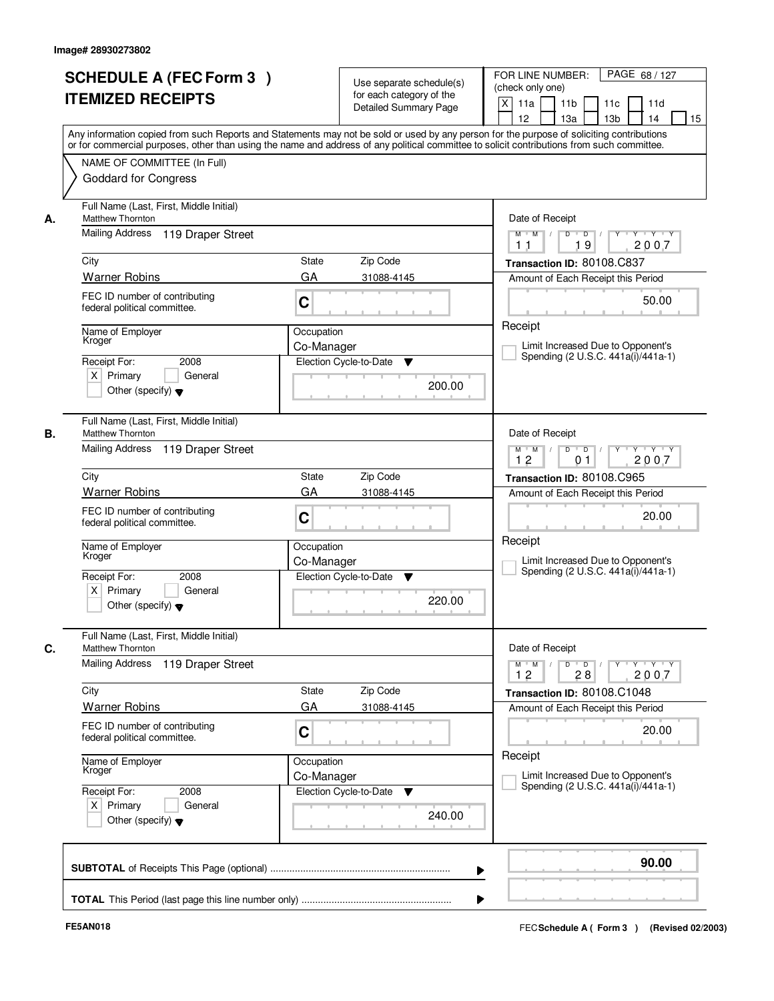|    | <b>SCHEDULE A (FEC Form 3)</b><br><b>ITEMIZED RECEIPTS</b><br>Any information copied from such Reports and Statements may not be sold or used by any person for the purpose of soliciting contributions  |                          | Use separate schedule(s)<br>for each category of the<br><b>Detailed Summary Page</b> | PAGE 68 / 127<br>FOR LINE NUMBER:<br>(check only one)<br>$\mathsf{X}$<br>11 <sub>b</sub><br>11a<br>11c<br>11d<br>12<br>13 <sub>b</sub><br>14<br>13a<br>15 |
|----|----------------------------------------------------------------------------------------------------------------------------------------------------------------------------------------------------------|--------------------------|--------------------------------------------------------------------------------------|-----------------------------------------------------------------------------------------------------------------------------------------------------------|
|    | or for commercial purposes, other than using the name and address of any political committee to solicit contributions from such committee.<br>NAME OF COMMITTEE (In Full)<br><b>Goddard for Congress</b> |                          |                                                                                      |                                                                                                                                                           |
| А. | Full Name (Last, First, Middle Initial)<br>Matthew Thornton<br>Mailing Address<br>119 Draper Street                                                                                                      |                          |                                                                                      | Date of Receipt<br>$D$ $D$ $/$<br>$Y - Y - Y$<br>$M$ $M$ /<br>$Y^+$<br>19<br>2007<br>11                                                                   |
|    | City                                                                                                                                                                                                     | <b>State</b>             | Zip Code                                                                             | Transaction ID: 80108.C837                                                                                                                                |
|    | <b>Warner Robins</b>                                                                                                                                                                                     | GA                       | 31088-4145                                                                           | Amount of Each Receipt this Period                                                                                                                        |
|    | FEC ID number of contributing<br>federal political committee.                                                                                                                                            | C                        |                                                                                      | 50.00                                                                                                                                                     |
|    | Name of Employer<br>Kroger                                                                                                                                                                               | Occupation<br>Co-Manager |                                                                                      | Receipt<br>Limit Increased Due to Opponent's                                                                                                              |
|    | 2008<br>Receipt For:<br>$X$ Primary<br>General<br>Other (specify) $\blacktriangledown$                                                                                                                   |                          | Election Cycle-to-Date<br>▼<br>200.00                                                | Spending (2 U.S.C. 441a(i)/441a-1)                                                                                                                        |
| В. | Full Name (Last, First, Middle Initial)<br>Matthew Thornton<br>Mailing Address<br>119 Draper Street                                                                                                      |                          |                                                                                      | Date of Receipt<br>$Y - Y - Y$<br>$M$ $M$ /<br>D<br>$\blacksquare$ D $\blacksquare$ /                                                                     |
|    |                                                                                                                                                                                                          |                          |                                                                                      | 12<br>2007<br>0 <sub>1</sub>                                                                                                                              |
|    | City<br><b>Warner Robins</b>                                                                                                                                                                             | <b>State</b>             | Zip Code                                                                             | Transaction ID: 80108.C965                                                                                                                                |
|    | FEC ID number of contributing<br>federal political committee.                                                                                                                                            | GA<br>C                  | 31088-4145                                                                           | Amount of Each Receipt this Period<br>20.00                                                                                                               |
|    | Name of Employer<br>Kroger                                                                                                                                                                               | Occupation<br>Co-Manager |                                                                                      | Receipt<br>Limit Increased Due to Opponent's<br>Spending (2 U.S.C. 441a(i)/441a-1)                                                                        |
|    | Receipt For:<br>2008<br>$X$ Primary<br>General<br>Other (specify) $\blacktriangledown$                                                                                                                   |                          | Election Cycle-to-Date<br>▼<br>220.00                                                |                                                                                                                                                           |
|    | Full Name (Last, First, Middle Initial)<br><b>Matthew Thornton</b>                                                                                                                                       |                          |                                                                                      | Date of Receipt                                                                                                                                           |
|    | <b>Mailing Address</b><br>119 Draper Street                                                                                                                                                              |                          |                                                                                      | $\mathsf{Y} \dashv \mathsf{Y} \dashv \mathsf{Y} \dashv \mathsf{Y}$<br>$M = M$<br>$D$ $D$ $/$<br>12<br>28<br>2007                                          |
|    | City                                                                                                                                                                                                     | State                    | Zip Code                                                                             | Transaction ID: 80108.C1048                                                                                                                               |
|    | <b>Warner Robins</b><br>FEC ID number of contributing<br>federal political committee.                                                                                                                    | GA<br>C                  | 31088-4145                                                                           | Amount of Each Receipt this Period<br>20.00                                                                                                               |
|    | Name of Employer<br>Kroger                                                                                                                                                                               | Occupation<br>Co-Manager |                                                                                      | Receipt<br>Limit Increased Due to Opponent's                                                                                                              |
|    | Receipt For:<br>2008<br>$X$ Primary<br>General<br>Other (specify) $\blacktriangledown$                                                                                                                   |                          | Election Cycle-to-Date ▼<br>240.00                                                   | Spending (2 U.S.C. 441a(i)/441a-1)                                                                                                                        |
|    |                                                                                                                                                                                                          |                          |                                                                                      | 90.00                                                                                                                                                     |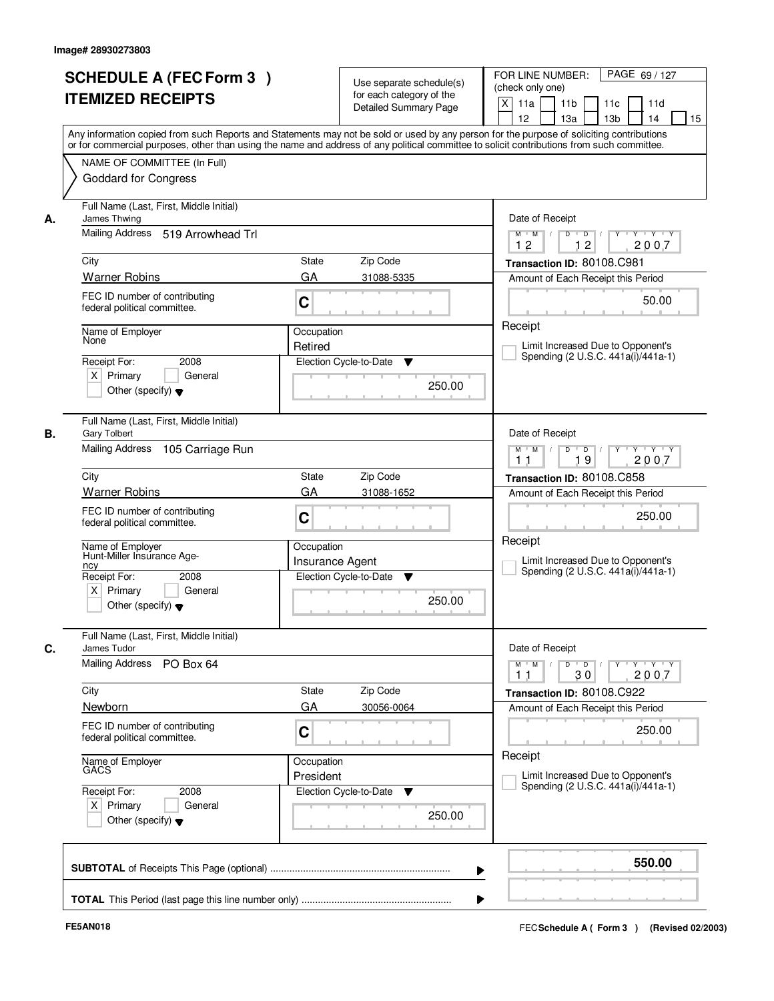|    | <b>SCHEDULE A (FEC Form 3)</b><br><b>ITEMIZED RECEIPTS</b><br>Any information copied from such Reports and Statements may not be sold or used by any person for the purpose of soliciting contributions<br>or for commercial purposes, other than using the name and address of any political committee to solicit contributions from such committee. |                                      | Use separate schedule(s)<br>for each category of the<br><b>Detailed Summary Page</b> | PAGE 69/127<br>FOR LINE NUMBER:<br>(check only one)<br>$\mathsf{X}$<br>11a<br>11 <sub>b</sub><br>11c<br>11d<br>12<br>13a<br>13 <sub>b</sub><br>14<br>15                        |
|----|-------------------------------------------------------------------------------------------------------------------------------------------------------------------------------------------------------------------------------------------------------------------------------------------------------------------------------------------------------|--------------------------------------|--------------------------------------------------------------------------------------|--------------------------------------------------------------------------------------------------------------------------------------------------------------------------------|
|    | NAME OF COMMITTEE (In Full)<br><b>Goddard for Congress</b>                                                                                                                                                                                                                                                                                            |                                      |                                                                                      |                                                                                                                                                                                |
| А. | Full Name (Last, First, Middle Initial)<br>James Thwing<br>Mailing Address 519 Arrowhead Trl                                                                                                                                                                                                                                                          |                                      |                                                                                      | Date of Receipt<br>$Y + Y + Y$<br>$M$ $M$ /<br>$D$ $D$ $1$<br>Y                                                                                                                |
|    |                                                                                                                                                                                                                                                                                                                                                       |                                      |                                                                                      | 12<br>12<br>2007                                                                                                                                                               |
|    | City<br><b>Warner Robins</b>                                                                                                                                                                                                                                                                                                                          | <b>State</b><br>GA                   | Zip Code<br>31088-5335                                                               | Transaction ID: 80108.C981<br>Amount of Each Receipt this Period                                                                                                               |
|    | FEC ID number of contributing<br>federal political committee.                                                                                                                                                                                                                                                                                         | C                                    |                                                                                      | 50.00                                                                                                                                                                          |
|    | Name of Employer<br>None                                                                                                                                                                                                                                                                                                                              | Occupation<br>Retired                |                                                                                      | Receipt<br>Limit Increased Due to Opponent's                                                                                                                                   |
|    | Receipt For:<br>2008<br>$X$ Primary<br>General<br>Other (specify) $\blacktriangledown$                                                                                                                                                                                                                                                                |                                      | Election Cycle-to-Date<br>▼<br>250.00                                                | Spending (2 U.S.C. 441a(i)/441a-1)                                                                                                                                             |
| В. | Full Name (Last, First, Middle Initial)<br><b>Gary Tolbert</b><br>Mailing Address<br>105 Carriage Run                                                                                                                                                                                                                                                 |                                      |                                                                                      | Date of Receipt<br>$Y - Y - Y$<br>$M$ $M$ /<br>D<br>$\blacksquare$ D $\blacksquare$ /                                                                                          |
|    |                                                                                                                                                                                                                                                                                                                                                       |                                      |                                                                                      | 19<br>2007<br>11                                                                                                                                                               |
|    | City<br><b>Warner Robins</b>                                                                                                                                                                                                                                                                                                                          | <b>State</b><br>GA                   | Zip Code<br>31088-1652                                                               | Transaction ID: 80108.C858<br>Amount of Each Receipt this Period                                                                                                               |
|    | FEC ID number of contributing<br>federal political committee.                                                                                                                                                                                                                                                                                         | C                                    |                                                                                      | 250.00                                                                                                                                                                         |
|    | Name of Employer<br>Hunt-Miller Insurance Age-<br>ncy                                                                                                                                                                                                                                                                                                 | Occupation<br><b>Insurance Agent</b> |                                                                                      | Receipt<br>Limit Increased Due to Opponent's<br>Spending (2 U.S.C. 441a(i)/441a-1)                                                                                             |
|    | Receipt For:<br>2008<br>$X$ Primary<br>General<br>Other (specify) $\blacktriangledown$                                                                                                                                                                                                                                                                |                                      | Election Cycle-to-Date<br>▼<br>250.00                                                |                                                                                                                                                                                |
| C. | Full Name (Last, First, Middle Initial)<br>James Tudor                                                                                                                                                                                                                                                                                                |                                      |                                                                                      | Date of Receipt                                                                                                                                                                |
|    | <b>Mailing Address</b><br>PO Box 64                                                                                                                                                                                                                                                                                                                   |                                      |                                                                                      | $D$ $D$ $/$<br>$\begin{array}{cccccccccc} \mathsf{Y} & \mathsf{I} & \mathsf{Y} & \mathsf{I} & \mathsf{Y} & \mathsf{I} & \mathsf{Y} \end{array}$<br>$M$ $M$<br>30<br>2007<br>11 |
|    | City<br>Newborn                                                                                                                                                                                                                                                                                                                                       | State<br>GA                          | Zip Code<br>30056-0064                                                               | Transaction ID: 80108.C922                                                                                                                                                     |
|    | FEC ID number of contributing<br>federal political committee.                                                                                                                                                                                                                                                                                         | C                                    |                                                                                      | Amount of Each Receipt this Period<br>250.00                                                                                                                                   |
|    | Name of Employer<br>GACS                                                                                                                                                                                                                                                                                                                              | Occupation<br>President              |                                                                                      | Receipt<br>Limit Increased Due to Opponent's                                                                                                                                   |
|    | Receipt For:<br>2008<br>$X$ Primary<br>General<br>Other (specify) $\blacktriangledown$                                                                                                                                                                                                                                                                |                                      | Election Cycle-to-Date<br>▼<br>250.00                                                | Spending (2 U.S.C. 441a(i)/441a-1)                                                                                                                                             |
|    |                                                                                                                                                                                                                                                                                                                                                       |                                      |                                                                                      | 550.00<br>▶                                                                                                                                                                    |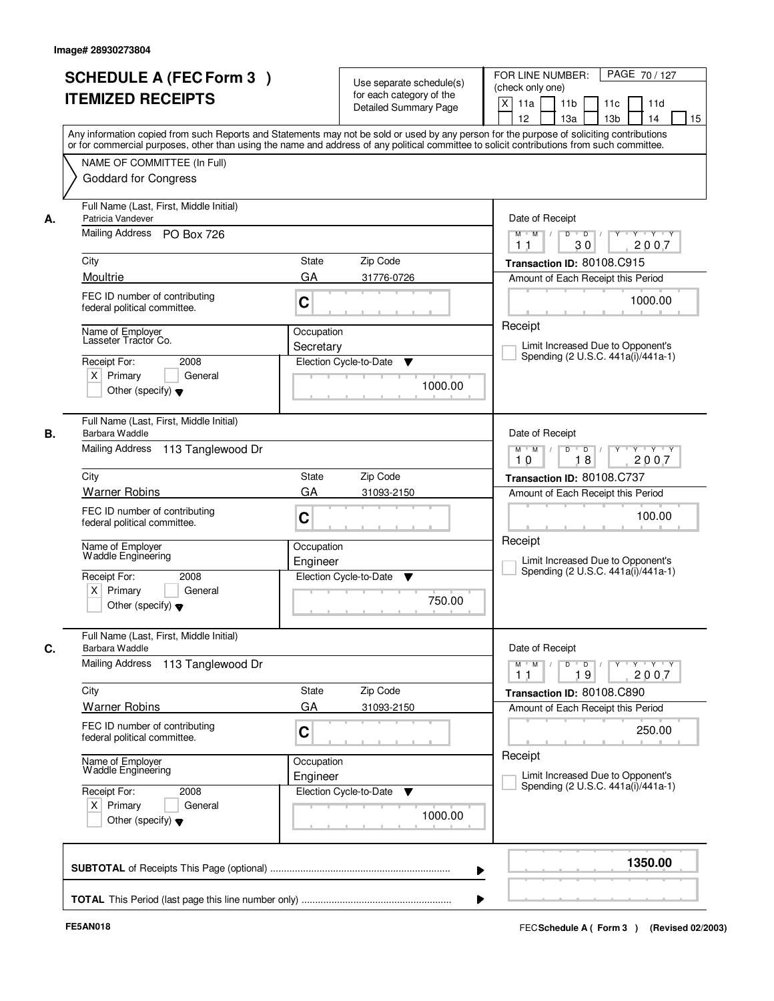| <b>SCHEDULE A (FEC Form 3)</b><br><b>ITEMIZED RECEIPTS</b>                                                                                                                                                                                                                                                                                                                        | Use separate schedule(s)<br>for each category of the<br><b>Detailed Summary Page</b>                                                                                                                                                                                                    | FOR LINE NUMBER:<br>PAGE 70 / 127<br>(check only one)<br>$\mathsf{X}$<br>11a<br>11 <sub>b</sub><br>11c<br>11d<br>12<br>13a<br>13 <sub>b</sub><br>14<br>15                                                                                                                                                 |
|-----------------------------------------------------------------------------------------------------------------------------------------------------------------------------------------------------------------------------------------------------------------------------------------------------------------------------------------------------------------------------------|-----------------------------------------------------------------------------------------------------------------------------------------------------------------------------------------------------------------------------------------------------------------------------------------|-----------------------------------------------------------------------------------------------------------------------------------------------------------------------------------------------------------------------------------------------------------------------------------------------------------|
| NAME OF COMMITTEE (In Full)<br><b>Goddard for Congress</b>                                                                                                                                                                                                                                                                                                                        | Any information copied from such Reports and Statements may not be sold or used by any person for the purpose of soliciting contributions<br>or for commercial purposes, other than using the name and address of any political committee to solicit contributions from such committee. |                                                                                                                                                                                                                                                                                                           |
| Full Name (Last, First, Middle Initial)<br>Patricia Vandever<br>А.<br>Mailing Address PO Box 726<br>City<br>Moultrie<br>FEC ID number of contributing<br>federal political committee.<br>Name of Employer<br>Lasseter Tractor Co.<br>2008<br>Receipt For:<br>$X$ Primary<br>General                                                                                               | <b>State</b><br>Zip Code<br>GA<br>31776-0726<br>C<br>Occupation<br>Secretary<br>Election Cycle-to-Date<br>▼                                                                                                                                                                             | Date of Receipt<br>$Y - Y - Y$<br>$\overline{D}$<br>$M$ $M$ /<br>D<br>2007<br>30<br>11<br>Transaction ID: 80108.C915<br>Amount of Each Receipt this Period<br>1000.00<br>Receipt<br>Limit Increased Due to Opponent's<br>Spending (2 U.S.C. 441a(i)/441a-1)                                               |
| Other (specify) $\blacktriangledown$<br>Full Name (Last, First, Middle Initial)<br>В.<br>Barbara Waddle<br>Mailing Address 113 Tanglewood Dr<br>City<br><b>Warner Robins</b><br>FEC ID number of contributing<br>federal political committee.<br>Name of Employer<br>Waddle Engineering<br>Receipt For:<br>2008<br>$X$ Primary<br>General<br>Other (specify) $\blacktriangledown$ | 1000.00<br>Zip Code<br><b>State</b><br>GA<br>31093-2150<br>C<br>Occupation<br>Engineer<br>Election Cycle-to-Date<br>v<br>750.00                                                                                                                                                         | Date of Receipt<br>$M$ $M$ /<br>D<br>$\overline{D}$ /<br>Y Y Y Y Y Y<br>18<br>2007<br>10<br>Transaction ID: 80108.C737<br>Amount of Each Receipt this Period<br>100.00<br>Receipt<br>Limit Increased Due to Opponent's<br>Spending (2 U.S.C. 441a(i)/441a-1)                                              |
| Full Name (Last, First, Middle Initial)<br>C.<br>Barbara Waddle<br>Mailing Address<br>113 Tanglewood Dr<br>City<br><b>Warner Robins</b><br>FEC ID number of contributing<br>federal political committee.<br>Name of Employer<br>Waddle Engineering<br>Receipt For:<br>2008<br>$X$ Primary<br>General<br>Other (specify) $\blacktriangledown$                                      | Zip Code<br>State<br>GA<br>31093-2150<br>C<br>Occupation<br>Engineer<br>Election Cycle-to-Date<br>v<br>1000.00                                                                                                                                                                          | Date of Receipt<br>$D$ $D$ $/$<br>$\mathsf{Y} \dashv \mathsf{Y} \dashv \mathsf{Y}$<br>$M = M$<br>$Y$ <sup>U</sup><br>2007<br>19<br>11<br>Transaction ID: 80108.C890<br>Amount of Each Receipt this Period<br>250.00<br>Receipt<br>Limit Increased Due to Opponent's<br>Spending (2 U.S.C. 441a(i)/441a-1) |
|                                                                                                                                                                                                                                                                                                                                                                                   | ▶                                                                                                                                                                                                                                                                                       | 1350.00                                                                                                                                                                                                                                                                                                   |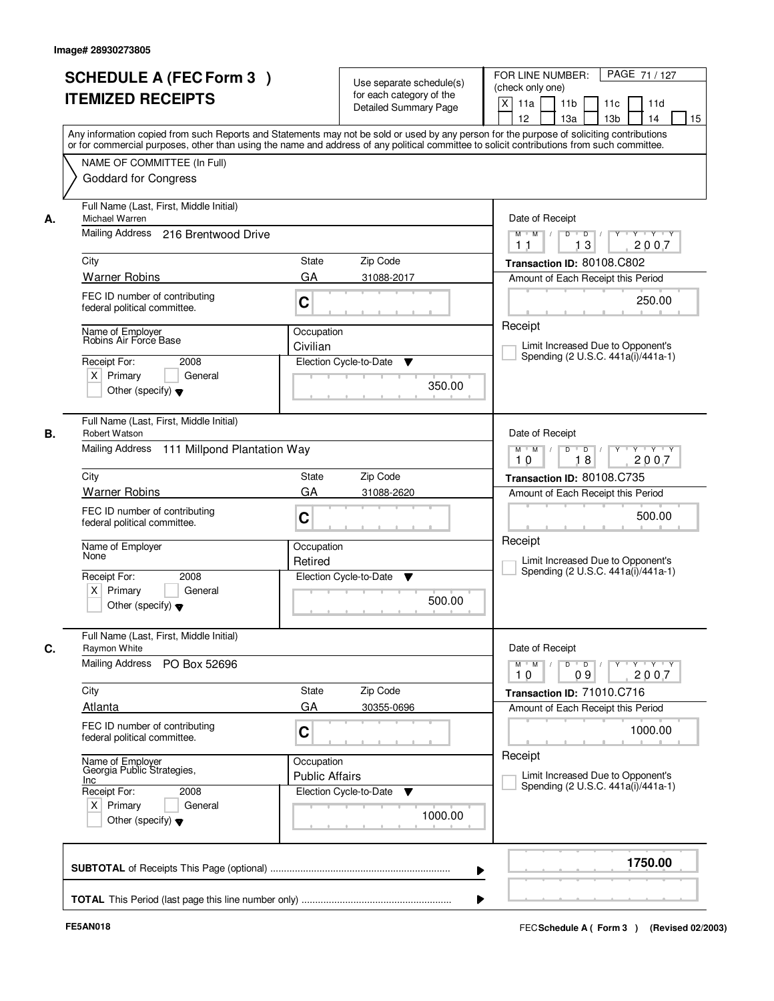|    | <b>SCHEDULE A (FEC Form 3)</b><br><b>ITEMIZED RECEIPTS</b>     | Use separate schedule(s)<br>for each category of the                                                                                                                                                                                                                                    | PAGE 71/127<br>FOR LINE NUMBER:<br>(check only one)                                                           |
|----|----------------------------------------------------------------|-----------------------------------------------------------------------------------------------------------------------------------------------------------------------------------------------------------------------------------------------------------------------------------------|---------------------------------------------------------------------------------------------------------------|
|    |                                                                | <b>Detailed Summary Page</b>                                                                                                                                                                                                                                                            | $\boldsymbol{\mathsf{X}}$<br>11a<br>11 <sub>b</sub><br>11c<br>11d<br>12<br>13a<br>13 <sub>b</sub><br>14<br>15 |
|    |                                                                | Any information copied from such Reports and Statements may not be sold or used by any person for the purpose of soliciting contributions<br>or for commercial purposes, other than using the name and address of any political committee to solicit contributions from such committee. |                                                                                                               |
|    | NAME OF COMMITTEE (In Full)                                    |                                                                                                                                                                                                                                                                                         |                                                                                                               |
|    | <b>Goddard for Congress</b>                                    |                                                                                                                                                                                                                                                                                         |                                                                                                               |
| А. | Full Name (Last, First, Middle Initial)<br>Michael Warren      |                                                                                                                                                                                                                                                                                         | Date of Receipt                                                                                               |
|    | Mailing Address 216 Brentwood Drive                            |                                                                                                                                                                                                                                                                                         | $\overline{D}$ /<br>Y<br>$Y - Y - Y$<br>$M$ $M$ /<br>D<br>2007<br>13<br>11                                    |
|    | City                                                           | State<br>Zip Code                                                                                                                                                                                                                                                                       | Transaction ID: 80108.C802                                                                                    |
|    | <b>Warner Robins</b>                                           | GA<br>31088-2017                                                                                                                                                                                                                                                                        | Amount of Each Receipt this Period                                                                            |
|    | FEC ID number of contributing<br>federal political committee.  | C                                                                                                                                                                                                                                                                                       | 250.00                                                                                                        |
|    | Name of Employer<br>Robins Air Force Base                      | Occupation                                                                                                                                                                                                                                                                              | Receipt                                                                                                       |
|    |                                                                | Civilian                                                                                                                                                                                                                                                                                | Limit Increased Due to Opponent's<br>Spending (2 U.S.C. 441a(i)/441a-1)                                       |
|    | Receipt For:<br>2008                                           | Election Cycle-to-Date<br>▼                                                                                                                                                                                                                                                             |                                                                                                               |
|    | $X$ Primary<br>General<br>Other (specify) $\blacktriangledown$ | 350.00                                                                                                                                                                                                                                                                                  |                                                                                                               |
| В. | Full Name (Last, First, Middle Initial)<br>Robert Watson       |                                                                                                                                                                                                                                                                                         | Date of Receipt                                                                                               |
|    | 111 Millpond Plantation Way<br>Mailing Address                 |                                                                                                                                                                                                                                                                                         | D<br>$\blacksquare$ D $\blacksquare$ /<br>$Y$ <sup>U</sup><br>Y Y Y Y<br>$M$ $M$ /<br>18<br>2007<br>10        |
|    | City                                                           | Zip Code<br>State                                                                                                                                                                                                                                                                       | Transaction ID: 80108.C735                                                                                    |
|    | <b>Warner Robins</b>                                           | GA<br>31088-2620                                                                                                                                                                                                                                                                        | Amount of Each Receipt this Period                                                                            |
|    | FEC ID number of contributing<br>federal political committee.  | C                                                                                                                                                                                                                                                                                       | 500.00                                                                                                        |
|    | Name of Employer<br>None                                       | Occupation<br>Retired                                                                                                                                                                                                                                                                   | Receipt<br>Limit Increased Due to Opponent's                                                                  |
|    | Receipt For:<br>2008                                           | Election Cycle-to-Date<br>v                                                                                                                                                                                                                                                             | Spending (2 U.S.C. 441a(i)/441a-1)                                                                            |
|    | $X$ Primary<br>General<br>Other (specify) $\blacktriangledown$ | 500.00                                                                                                                                                                                                                                                                                  |                                                                                                               |
| C. | Full Name (Last, First, Middle Initial)<br>Raymon White        |                                                                                                                                                                                                                                                                                         | Date of Receipt                                                                                               |
|    | Mailing Address<br>PO Box 52696                                |                                                                                                                                                                                                                                                                                         | $M$ $M$<br>$D$ $D$ $/$<br>$Y - Y - Y$<br>$\top$ /<br>$Y$ <sup>-1</sup><br>2007<br>10<br>09                    |
|    | City                                                           | Zip Code<br>State                                                                                                                                                                                                                                                                       | Transaction ID: 71010.C716                                                                                    |
|    | Atlanta                                                        | GA<br>30355-0696                                                                                                                                                                                                                                                                        | Amount of Each Receipt this Period                                                                            |
|    | FEC ID number of contributing<br>federal political committee.  | C                                                                                                                                                                                                                                                                                       | 1000.00                                                                                                       |
|    | Name of Employer<br>Georgia Public Strategies,<br>Inc          | Occupation<br><b>Public Affairs</b>                                                                                                                                                                                                                                                     | Receipt<br>Limit Increased Due to Opponent's                                                                  |
|    | Receipt For:<br>2008                                           | Election Cycle-to-Date<br>v                                                                                                                                                                                                                                                             | Spending (2 U.S.C. 441a(i)/441a-1)                                                                            |
|    | $X$ Primary<br>General<br>Other (specify) $\blacktriangledown$ | 1000.00                                                                                                                                                                                                                                                                                 |                                                                                                               |
|    |                                                                |                                                                                                                                                                                                                                                                                         | 1750.00                                                                                                       |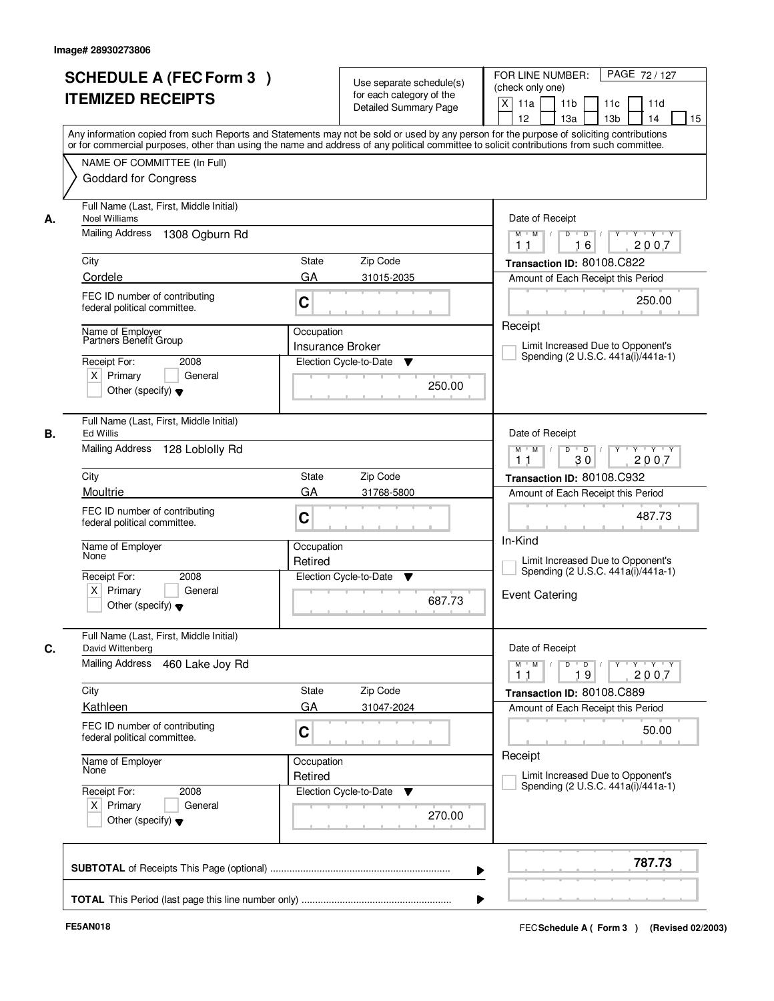|    | <b>SCHEDULE A (FEC Form 3)</b><br><b>ITEMIZED RECEIPTS</b>                                                                                                                                                                                                                                                                                            |                                       | Use separate schedule(s)<br>for each category of the<br><b>Detailed Summary Page</b> | PAGE 72 / 127<br>FOR LINE NUMBER:<br>(check only one)<br>$\mathsf{X}$<br>11 <sub>b</sub><br>11a<br>11c<br>11d<br>12<br>13 <sub>b</sub><br>14<br>13a<br>15                   |
|----|-------------------------------------------------------------------------------------------------------------------------------------------------------------------------------------------------------------------------------------------------------------------------------------------------------------------------------------------------------|---------------------------------------|--------------------------------------------------------------------------------------|-----------------------------------------------------------------------------------------------------------------------------------------------------------------------------|
|    | Any information copied from such Reports and Statements may not be sold or used by any person for the purpose of soliciting contributions<br>or for commercial purposes, other than using the name and address of any political committee to solicit contributions from such committee.<br>NAME OF COMMITTEE (In Full)<br><b>Goddard for Congress</b> |                                       |                                                                                      |                                                                                                                                                                             |
| А. | Full Name (Last, First, Middle Initial)<br><b>Noel Williams</b><br>Mailing Address<br>1308 Ogburn Rd<br>City                                                                                                                                                                                                                                          | State                                 | Zip Code                                                                             | Date of Receipt<br>$D$ $D$ $/$<br>$\overline{Y}$<br>$Y - Y - Y$<br>$M$ $M$ /<br>16<br>2007<br>11<br>Transaction ID: 80108.C822                                              |
|    | Cordele                                                                                                                                                                                                                                                                                                                                               | GA                                    | 31015-2035                                                                           | Amount of Each Receipt this Period                                                                                                                                          |
|    | FEC ID number of contributing<br>federal political committee.                                                                                                                                                                                                                                                                                         | C                                     |                                                                                      | 250.00                                                                                                                                                                      |
|    | Name of Emplover<br>Partners Benefit Group<br>Receipt For:<br>2008<br>$X$ Primary<br>General<br>Other (specify) $\blacktriangledown$                                                                                                                                                                                                                  | Occupation<br><b>Insurance Broker</b> | Election Cycle-to-Date<br>▼<br>250.00                                                | Receipt<br>Limit Increased Due to Opponent's<br>Spending (2 U.S.C. 441a(i)/441a-1)                                                                                          |
| В. | Full Name (Last, First, Middle Initial)<br><b>Ed Willis</b><br>Mailing Address 128 Loblolly Rd                                                                                                                                                                                                                                                        |                                       |                                                                                      | Date of Receipt<br>$Y - Y - Y$<br>$M$ $M$ /<br>D<br>$\overline{D}$<br>30<br>2007<br>11                                                                                      |
|    | City                                                                                                                                                                                                                                                                                                                                                  | <b>State</b>                          | Zip Code                                                                             | Transaction ID: 80108.C932                                                                                                                                                  |
|    | Moultrie                                                                                                                                                                                                                                                                                                                                              | GA                                    | 31768-5800                                                                           | Amount of Each Receipt this Period                                                                                                                                          |
|    | FEC ID number of contributing<br>federal political committee.                                                                                                                                                                                                                                                                                         | C                                     |                                                                                      | 487.73                                                                                                                                                                      |
|    | Name of Employer<br>None                                                                                                                                                                                                                                                                                                                              | Occupation<br>Retired                 |                                                                                      | In-Kind<br>Limit Increased Due to Opponent's<br>Spending (2 U.S.C. 441a(i)/441a-1)                                                                                          |
|    | Receipt For:<br>2008<br>$X$ Primary<br>General<br>Other (specify) $\blacktriangledown$                                                                                                                                                                                                                                                                |                                       | Election Cycle-to-Date<br>v<br>687.73                                                | <b>Event Catering</b>                                                                                                                                                       |
|    | Full Name (Last, First, Middle Initial)<br>David Wittenberg                                                                                                                                                                                                                                                                                           |                                       |                                                                                      | Date of Receipt                                                                                                                                                             |
|    | Mailing Address<br>460 Lake Joy Rd                                                                                                                                                                                                                                                                                                                    |                                       |                                                                                      | $D$ $D$ $/$<br>$\begin{array}{ccccccccccccc} &\mathsf{Y} &\mathsf{V} &\mathsf{Y} &\mathsf{V} &\mathsf{Y} &\mathsf{V} &\mathsf{Y}\end{array}$<br>$M$ $M$<br>19<br>2007<br>11 |
|    | City                                                                                                                                                                                                                                                                                                                                                  | State                                 | Zip Code                                                                             | Transaction ID: 80108.C889                                                                                                                                                  |
|    | Kathleen                                                                                                                                                                                                                                                                                                                                              | GA                                    | 31047-2024                                                                           | Amount of Each Receipt this Period                                                                                                                                          |
|    | FEC ID number of contributing<br>federal political committee.                                                                                                                                                                                                                                                                                         | C                                     |                                                                                      | 50.00<br>Receipt                                                                                                                                                            |
|    | Name of Employer<br>None                                                                                                                                                                                                                                                                                                                              | Occupation<br>Retired                 |                                                                                      | Limit Increased Due to Opponent's<br>Spending (2 U.S.C. 441a(i)/441a-1)                                                                                                     |
|    | Receipt For:<br>2008<br>$X$ Primary<br>General<br>Other (specify) $\blacktriangledown$                                                                                                                                                                                                                                                                |                                       | Election Cycle-to-Date<br>▼<br>270.00                                                |                                                                                                                                                                             |
|    |                                                                                                                                                                                                                                                                                                                                                       |                                       |                                                                                      | 787.73<br>▶                                                                                                                                                                 |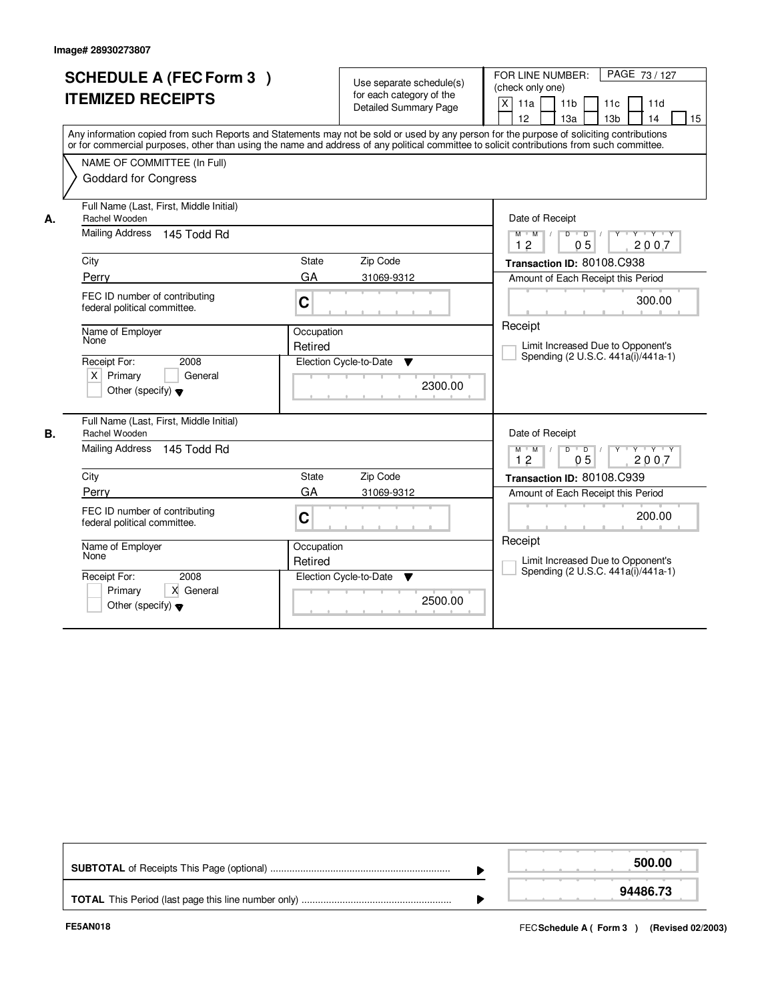|    | <b>SCHEDULE A (FEC Form 3)</b><br><b>ITEMIZED RECEIPTS</b><br>Any information copied from such Reports and Statements may not be sold or used by any person for the purpose of soliciting contributions<br>or for commercial purposes, other than using the name and address of any political committee to solicit contributions from such committee. |                                           | Use separate schedule(s)<br>for each category of the<br><b>Detailed Summary Page</b> | PAGE 73 / 127<br>FOR LINE NUMBER:<br>(check only one)<br>X<br>11a<br>11d<br>11 <sub>b</sub><br>11c<br>12<br>13a<br>13 <sub>b</sub><br>15<br>14                                                                                                                                  |
|----|-------------------------------------------------------------------------------------------------------------------------------------------------------------------------------------------------------------------------------------------------------------------------------------------------------------------------------------------------------|-------------------------------------------|--------------------------------------------------------------------------------------|---------------------------------------------------------------------------------------------------------------------------------------------------------------------------------------------------------------------------------------------------------------------------------|
| А. | NAME OF COMMITTEE (In Full)<br><b>Goddard for Congress</b><br>Full Name (Last, First, Middle Initial)<br>Rachel Wooden                                                                                                                                                                                                                                |                                           |                                                                                      | Date of Receipt                                                                                                                                                                                                                                                                 |
|    | <b>Mailing Address</b><br>145 Todd Rd<br>City<br>Perry<br>FEC ID number of contributing<br>federal political committee.<br>Name of Employer<br>None<br>2008<br>Receipt For:<br>$X$ Primary<br>General<br>Other (specify) $\blacktriangledown$                                                                                                         | State<br>GA<br>C<br>Occupation<br>Retired | Zip Code<br>31069-9312<br>Election Cycle-to-Date<br>$\blacktriangledown$<br>2300.00  | $D$ $D$ $/$<br>$Y + Y + Y$<br>$M$ $M$ /<br>$Y$ <sup><math>\top</math></sup><br>12<br>0 <sub>5</sub><br>2007<br>Transaction ID: 80108.C938<br>Amount of Each Receipt this Period<br>300.00<br>Receipt<br>Limit Increased Due to Opponent's<br>Spending (2 U.S.C. 441a(i)/441a-1) |
| В. | Full Name (Last, First, Middle Initial)<br>Rachel Wooden<br>Mailing Address<br>145 Todd Rd<br>City<br>Perry<br>FEC ID number of contributing<br>federal political committee.<br>Name of Employer<br>None<br>Receipt For:<br>2008<br>Primary<br>X General<br>Other (specify) $\blacktriangledown$                                                      | State<br>GA<br>C<br>Occupation<br>Retired | Zip Code<br>31069-9312<br>Election Cycle-to-Date<br>▼<br>2500.00                     | Date of Receipt<br>$D$ $D$ $/$<br>$M$ $M$ /<br>$Y + Y + Y$<br>12<br>0 <sub>5</sub><br>2007<br>Transaction ID: 80108.C939<br>Amount of Each Receipt this Period<br>200.00<br>Receipt<br>Limit Increased Due to Opponent's<br>Spending (2 U.S.C. 441a(i)/441a-1)                  |

|  | 500.00   |
|--|----------|
|  | 94486.73 |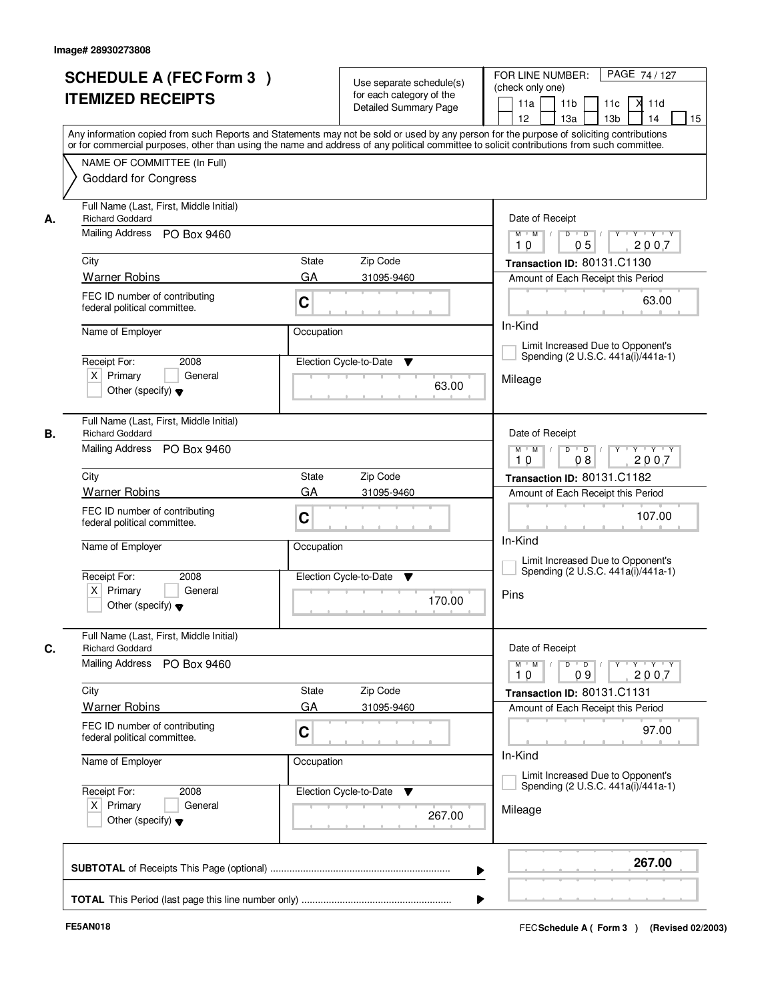|    | <b>SCHEDULE A (FEC Form 3)</b><br><b>ITEMIZED RECEIPTS</b>                                       | Use separate schedule(s)<br>for each category of the<br>Detailed Summary Page<br>Any information copied from such Reports and Statements may not be sold or used by any person for the purpose of soliciting contributions | PAGE 74/127<br>FOR LINE NUMBER:<br>(check only one)<br>11 <sub>b</sub><br>X<br>11a<br>11c<br>11d<br>13 <sub>b</sub><br>14<br>15<br>12 <sup>2</sup><br>13a                      |
|----|--------------------------------------------------------------------------------------------------|----------------------------------------------------------------------------------------------------------------------------------------------------------------------------------------------------------------------------|--------------------------------------------------------------------------------------------------------------------------------------------------------------------------------|
|    | NAME OF COMMITTEE (In Full)<br><b>Goddard for Congress</b>                                       | or for commercial purposes, other than using the name and address of any political committee to solicit contributions from such committee.                                                                                 |                                                                                                                                                                                |
| А. | Full Name (Last, First, Middle Initial)<br><b>Richard Goddard</b><br>Mailing Address PO Box 9460 |                                                                                                                                                                                                                            | Date of Receipt<br>$D$ $D$ $/$<br>$\overline{\mathbf{Y}}$<br>$Y + Y + Y$<br>$M$ $M$ /                                                                                          |
|    |                                                                                                  |                                                                                                                                                                                                                            | 05<br>2007<br>10                                                                                                                                                               |
|    | City                                                                                             | State<br>Zip Code                                                                                                                                                                                                          | Transaction ID: 80131.C1130                                                                                                                                                    |
|    | <b>Warner Robins</b>                                                                             | GA<br>31095-9460                                                                                                                                                                                                           | Amount of Each Receipt this Period                                                                                                                                             |
|    | FEC ID number of contributing<br>federal political committee.                                    | C                                                                                                                                                                                                                          | 63.00                                                                                                                                                                          |
|    | Name of Employer<br>Occupation                                                                   |                                                                                                                                                                                                                            | In-Kind                                                                                                                                                                        |
|    | 2008<br>Receipt For:                                                                             | Election Cycle-to-Date<br>▼                                                                                                                                                                                                | Limit Increased Due to Opponent's<br>Spending (2 U.S.C. 441a(i)/441a-1)                                                                                                        |
|    | $X$ Primary<br>General<br>Other (specify) $\blacktriangledown$                                   | 63.00                                                                                                                                                                                                                      | Mileage                                                                                                                                                                        |
| В. | Full Name (Last, First, Middle Initial)<br><b>Richard Goddard</b>                                |                                                                                                                                                                                                                            | Date of Receipt                                                                                                                                                                |
|    | Mailing Address PO Box 9460                                                                      | D<br>$Y$ <sup>U</sup><br>$Y - Y - Y$<br>$M$ $M$ /<br>$\overline{D}$<br>08<br>2007<br>10                                                                                                                                    |                                                                                                                                                                                |
|    | City                                                                                             | Zip Code<br>State                                                                                                                                                                                                          | Transaction ID: 80131.C1182                                                                                                                                                    |
|    | <b>Warner Robins</b>                                                                             | GA<br>31095-9460                                                                                                                                                                                                           | Amount of Each Receipt this Period                                                                                                                                             |
|    | FEC ID number of contributing<br>federal political committee.                                    | C                                                                                                                                                                                                                          | 107.00<br>In-Kind                                                                                                                                                              |
|    | Name of Employer                                                                                 | Occupation                                                                                                                                                                                                                 | Limit Increased Due to Opponent's<br>Spending (2 U.S.C. 441a(i)/441a-1)                                                                                                        |
|    | Receipt For:<br>2008<br>$X$ Primary<br>General<br>Other (specify) $\blacktriangledown$           | Election Cycle-to-Date<br>v<br>170.00                                                                                                                                                                                      | Pins                                                                                                                                                                           |
|    | Full Name (Last, First, Middle Initial)<br><b>Richard Goddard</b>                                |                                                                                                                                                                                                                            | Date of Receipt                                                                                                                                                                |
| C. | <b>Mailing Address</b><br>PO Box 9460                                                            |                                                                                                                                                                                                                            | $D$ $D$ $/$<br>$\begin{array}{cccccccccc} \mathsf{Y} & \mathsf{I} & \mathsf{Y} & \mathsf{I} & \mathsf{Y} & \mathsf{I} & \mathsf{Y} \end{array}$<br>$M$ $M$<br>2007<br>10<br>09 |
|    | City                                                                                             | Zip Code<br>State                                                                                                                                                                                                          | Transaction ID: 80131.C1131                                                                                                                                                    |
|    | <b>Warner Robins</b>                                                                             | GA<br>31095-9460                                                                                                                                                                                                           | Amount of Each Receipt this Period                                                                                                                                             |
|    | FEC ID number of contributing<br>federal political committee.                                    | C                                                                                                                                                                                                                          | 97.00                                                                                                                                                                          |
|    | Name of Employer                                                                                 | Occupation                                                                                                                                                                                                                 | In-Kind<br>Limit Increased Due to Opponent's                                                                                                                                   |
|    | Receipt For:<br>2008<br>$X$ Primary<br>General<br>Other (specify) $\blacktriangledown$           | Election Cycle-to-Date ▼<br>267.00                                                                                                                                                                                         | Spending (2 U.S.C. 441a(i)/441a-1)<br>Mileage                                                                                                                                  |
|    |                                                                                                  | ▶                                                                                                                                                                                                                          | 267.00                                                                                                                                                                         |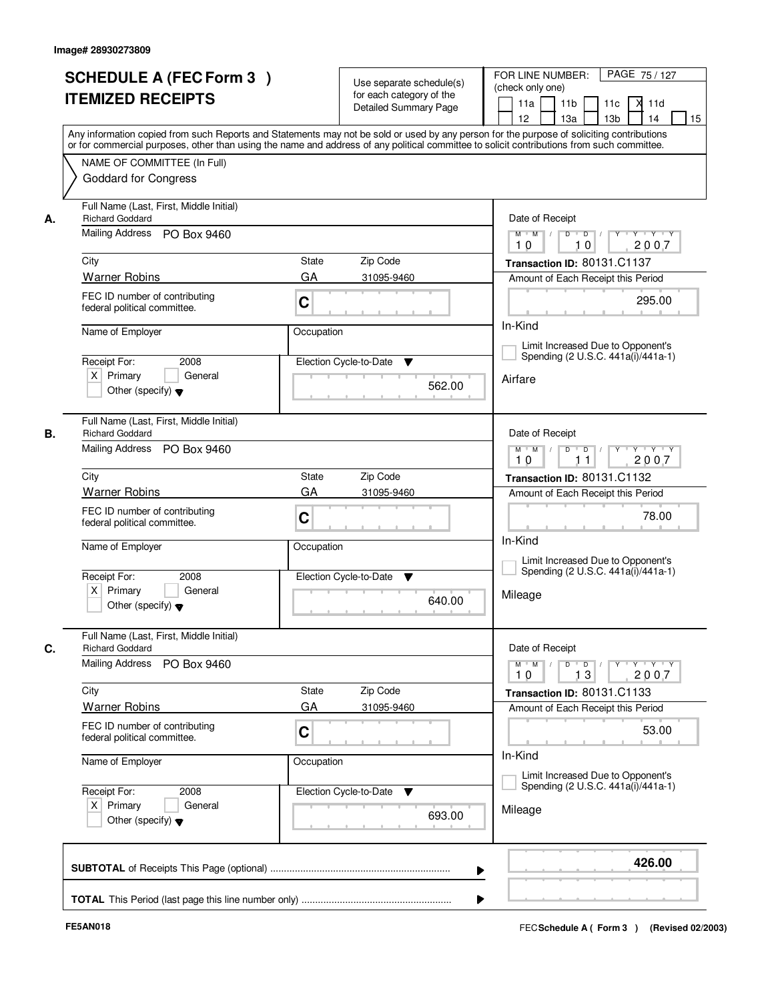|    | <b>SCHEDULE A (FEC Form 3)</b><br><b>ITEMIZED RECEIPTS</b>                                       | Use separate schedule(s)<br>for each category of the<br>Detailed Summary Page<br>Any information copied from such Reports and Statements may not be sold or used by any person for the purpose of soliciting contributions | PAGE 75 / 127<br>FOR LINE NUMBER:<br>(check only one)<br>X<br>11a<br>11 <sub>b</sub><br>11c<br>11d<br>13 <sub>b</sub><br>14<br>12 <sup>2</sup><br>13a<br>15 |
|----|--------------------------------------------------------------------------------------------------|----------------------------------------------------------------------------------------------------------------------------------------------------------------------------------------------------------------------------|-------------------------------------------------------------------------------------------------------------------------------------------------------------|
|    | NAME OF COMMITTEE (In Full)<br><b>Goddard for Congress</b>                                       | or for commercial purposes, other than using the name and address of any political committee to solicit contributions from such committee.                                                                                 |                                                                                                                                                             |
| А. | Full Name (Last, First, Middle Initial)<br><b>Richard Goddard</b><br>Mailing Address PO Box 9460 | Date of Receipt<br>$Y$ $Y$ $Y$<br>$M$ $M$ /<br>$D$ $D$ $1$<br>$\overline{Y}$                                                                                                                                               |                                                                                                                                                             |
|    |                                                                                                  |                                                                                                                                                                                                                            | 2007<br>10<br>10                                                                                                                                            |
|    | City                                                                                             | State<br>Zip Code                                                                                                                                                                                                          | Transaction ID: 80131.C1137                                                                                                                                 |
|    | <b>Warner Robins</b>                                                                             | GA<br>31095-9460                                                                                                                                                                                                           | Amount of Each Receipt this Period                                                                                                                          |
|    | FEC ID number of contributing<br>federal political committee.                                    | C                                                                                                                                                                                                                          | 295.00                                                                                                                                                      |
|    | Name of Employer                                                                                 | Occupation                                                                                                                                                                                                                 | In-Kind                                                                                                                                                     |
|    |                                                                                                  |                                                                                                                                                                                                                            | Limit Increased Due to Opponent's<br>Spending (2 U.S.C. 441a(i)/441a-1)                                                                                     |
|    | Receipt For:<br>2008<br>$X$ Primary<br>General<br>Other (specify) $\blacktriangledown$           | Election Cycle-to-Date<br>▼<br>562.00                                                                                                                                                                                      | Airfare                                                                                                                                                     |
| В. | Full Name (Last, First, Middle Initial)<br><b>Richard Goddard</b>                                | Date of Receipt                                                                                                                                                                                                            |                                                                                                                                                             |
|    | Mailing Address<br>PO Box 9460                                                                   | $Y \vdash Y \vdash Y$<br>$M$ $M$ /<br>D<br>$\Box$<br>2007<br>10<br>11                                                                                                                                                      |                                                                                                                                                             |
|    | City                                                                                             | Zip Code<br><b>State</b>                                                                                                                                                                                                   | Transaction ID: 80131.C1132                                                                                                                                 |
|    | <b>Warner Robins</b>                                                                             | GA<br>31095-9460                                                                                                                                                                                                           | Amount of Each Receipt this Period                                                                                                                          |
|    | FEC ID number of contributing<br>federal political committee.                                    | C                                                                                                                                                                                                                          | 78.00                                                                                                                                                       |
|    | Name of Employer                                                                                 | Occupation                                                                                                                                                                                                                 | In-Kind<br>Limit Increased Due to Opponent's<br>Spending (2 U.S.C. 441a(i)/441a-1)                                                                          |
|    | Receipt For:<br>2008<br>$X$ Primary<br>General<br>Other (specify) $\blacktriangledown$           | Election Cycle-to-Date<br>▼<br>640.00                                                                                                                                                                                      | Mileage                                                                                                                                                     |
|    | Full Name (Last, First, Middle Initial)<br><b>Richard Goddard</b>                                |                                                                                                                                                                                                                            | Date of Receipt                                                                                                                                             |
|    | <b>Mailing Address</b><br>PO Box 9460                                                            |                                                                                                                                                                                                                            | $D$ $D$ $/$<br>$\mathsf{Y} \dashv \mathsf{Y} \dashv \mathsf{Y} \dashv \mathsf{Y}$<br>$M$ $M$ $M$<br>10<br>13<br>2007                                        |
|    | City                                                                                             | Zip Code<br>State                                                                                                                                                                                                          | Transaction ID: 80131.C1133                                                                                                                                 |
|    | <b>Warner Robins</b>                                                                             | GA<br>31095-9460                                                                                                                                                                                                           | Amount of Each Receipt this Period                                                                                                                          |
|    | FEC ID number of contributing<br>federal political committee.                                    | C                                                                                                                                                                                                                          | 53.00                                                                                                                                                       |
|    | Name of Employer                                                                                 | Occupation                                                                                                                                                                                                                 | In-Kind<br>Limit Increased Due to Opponent's                                                                                                                |
|    | Receipt For:<br>2008<br>$X$ Primary<br>General<br>Other (specify) $\blacktriangledown$           | Election Cycle-to-Date<br>▼<br>693.00                                                                                                                                                                                      | Spending (2 U.S.C. 441a(i)/441a-1)<br>Mileage                                                                                                               |
|    |                                                                                                  |                                                                                                                                                                                                                            | 426.00                                                                                                                                                      |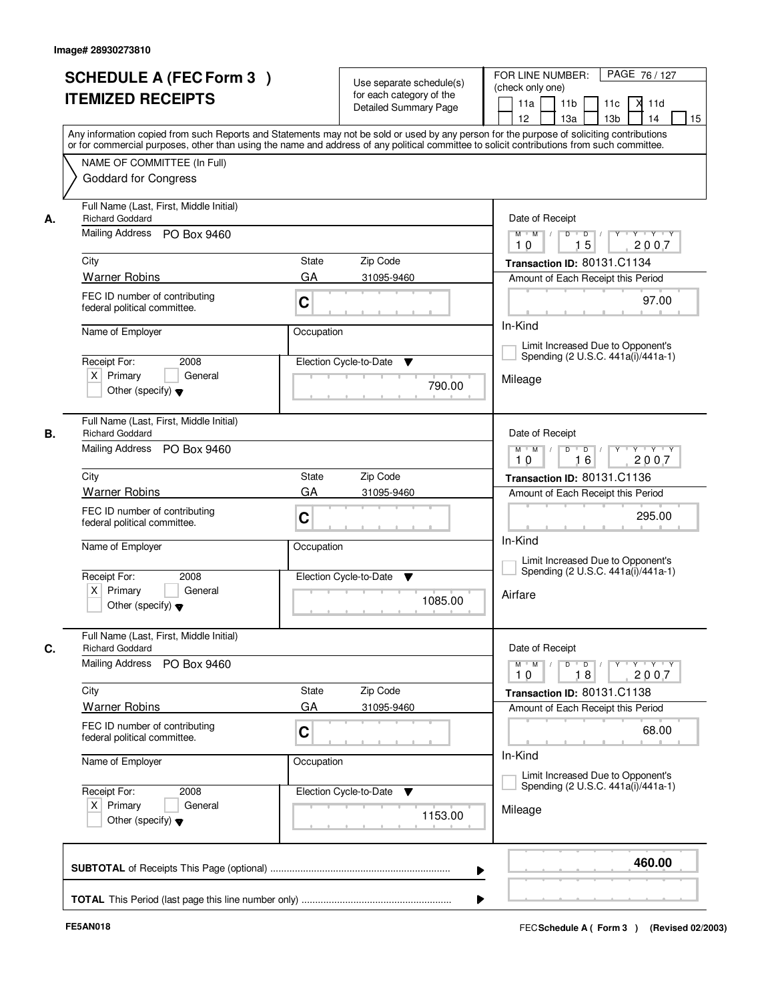|    | <b>SCHEDULE A (FEC Form 3)</b><br><b>ITEMIZED RECEIPTS</b>                                       | Use separate schedule(s)<br>for each category of the<br><b>Detailed Summary Page</b><br>Any information copied from such Reports and Statements may not be sold or used by any person for the purpose of soliciting contributions | PAGE 76 / 127<br>FOR LINE NUMBER:<br>(check only one)<br>X<br>11 <sub>b</sub><br>11a<br>11c<br>11d<br>12 <sup>2</sup><br>13a<br>13 <sub>b</sub><br>14<br>15                    |
|----|--------------------------------------------------------------------------------------------------|-----------------------------------------------------------------------------------------------------------------------------------------------------------------------------------------------------------------------------------|--------------------------------------------------------------------------------------------------------------------------------------------------------------------------------|
|    | NAME OF COMMITTEE (In Full)<br><b>Goddard for Congress</b>                                       | or for commercial purposes, other than using the name and address of any political committee to solicit contributions from such committee.                                                                                        |                                                                                                                                                                                |
| А. | Full Name (Last, First, Middle Initial)<br><b>Richard Goddard</b><br>Mailing Address PO Box 9460 | Date of Receipt<br>$Y + Y + Y$<br>$M$ $M$<br>$\overline{D}$<br>$\blacksquare$ D $\blacksquare$ /<br>Y                                                                                                                             |                                                                                                                                                                                |
|    |                                                                                                  |                                                                                                                                                                                                                                   | 15<br>2007<br>10                                                                                                                                                               |
|    | City<br><b>Warner Robins</b>                                                                     | <b>State</b><br>Zip Code<br>GA<br>31095-9460                                                                                                                                                                                      | Transaction ID: 80131.C1134<br>Amount of Each Receipt this Period                                                                                                              |
|    | FEC ID number of contributing<br>federal political committee.                                    | C                                                                                                                                                                                                                                 | 97.00                                                                                                                                                                          |
|    | Name of Employer                                                                                 | Occupation                                                                                                                                                                                                                        | In-Kind                                                                                                                                                                        |
|    | Receipt For:<br>2008                                                                             | Election Cycle-to-Date<br>▼                                                                                                                                                                                                       | Limit Increased Due to Opponent's<br>Spending (2 U.S.C. 441a(i)/441a-1)                                                                                                        |
|    | $X$ Primary<br>General<br>Other (specify) $\blacktriangledown$                                   | 790.00                                                                                                                                                                                                                            | Mileage                                                                                                                                                                        |
| В. | Full Name (Last, First, Middle Initial)<br><b>Richard Goddard</b>                                | Date of Receipt                                                                                                                                                                                                                   |                                                                                                                                                                                |
|    | Mailing Address<br>PO Box 9460                                                                   | $\mathsf{p} \mathsf{p} \mathsf{p} \mathsf{p} \mathsf{p} \mathsf{p} \mathsf{p} \mathsf{p} \mathsf{p} \mathsf{p} \mathsf{p} \mathsf{p}$<br>$M$ $M$ /<br>$D$ $D$ $/$<br>16<br>2007<br>10                                             |                                                                                                                                                                                |
|    | City                                                                                             | Zip Code<br><b>State</b>                                                                                                                                                                                                          | Transaction ID: 80131.C1136                                                                                                                                                    |
|    | <b>Warner Robins</b>                                                                             | GA<br>31095-9460                                                                                                                                                                                                                  | Amount of Each Receipt this Period                                                                                                                                             |
|    | FEC ID number of contributing<br>federal political committee.                                    | C                                                                                                                                                                                                                                 | 295.00<br>In-Kind                                                                                                                                                              |
|    | Name of Employer                                                                                 | Occupation                                                                                                                                                                                                                        | Limit Increased Due to Opponent's                                                                                                                                              |
|    | Receipt For:<br>2008<br>$X$ Primary<br>General<br>Other (specify) $\blacktriangledown$           | Election Cycle-to-Date<br><b>V</b><br>1085.00                                                                                                                                                                                     | Spending (2 U.S.C. 441a(i)/441a-1)<br>Airfare                                                                                                                                  |
| C. | Full Name (Last, First, Middle Initial)<br><b>Richard Goddard</b>                                |                                                                                                                                                                                                                                   | Date of Receipt                                                                                                                                                                |
|    | <b>Mailing Address</b><br>PO Box 9460                                                            |                                                                                                                                                                                                                                   | $D$ $D$ $/$<br>$\begin{array}{cccccccccc} \mathsf{Y} & \mathsf{I} & \mathsf{Y} & \mathsf{I} & \mathsf{Y} & \mathsf{I} & \mathsf{Y} \end{array}$<br>$M = M$<br>2007<br>10<br>18 |
|    | City                                                                                             | Zip Code<br>State                                                                                                                                                                                                                 | Transaction ID: 80131.C1138                                                                                                                                                    |
|    | <b>Warner Robins</b>                                                                             | GA<br>31095-9460                                                                                                                                                                                                                  | Amount of Each Receipt this Period                                                                                                                                             |
|    | FEC ID number of contributing<br>federal political committee.                                    | C                                                                                                                                                                                                                                 | 68.00<br>In-Kind<br>Limit Increased Due to Opponent's                                                                                                                          |
|    | Name of Employer                                                                                 | Occupation                                                                                                                                                                                                                        |                                                                                                                                                                                |
|    | Receipt For:<br>2008<br>$X$ Primary<br>General<br>Other (specify) $\blacktriangledown$           | Election Cycle-to-Date<br>v<br>1153.00                                                                                                                                                                                            | Spending (2 U.S.C. 441a(i)/441a-1)<br>Mileage                                                                                                                                  |
|    |                                                                                                  | ▶                                                                                                                                                                                                                                 | 460.00                                                                                                                                                                         |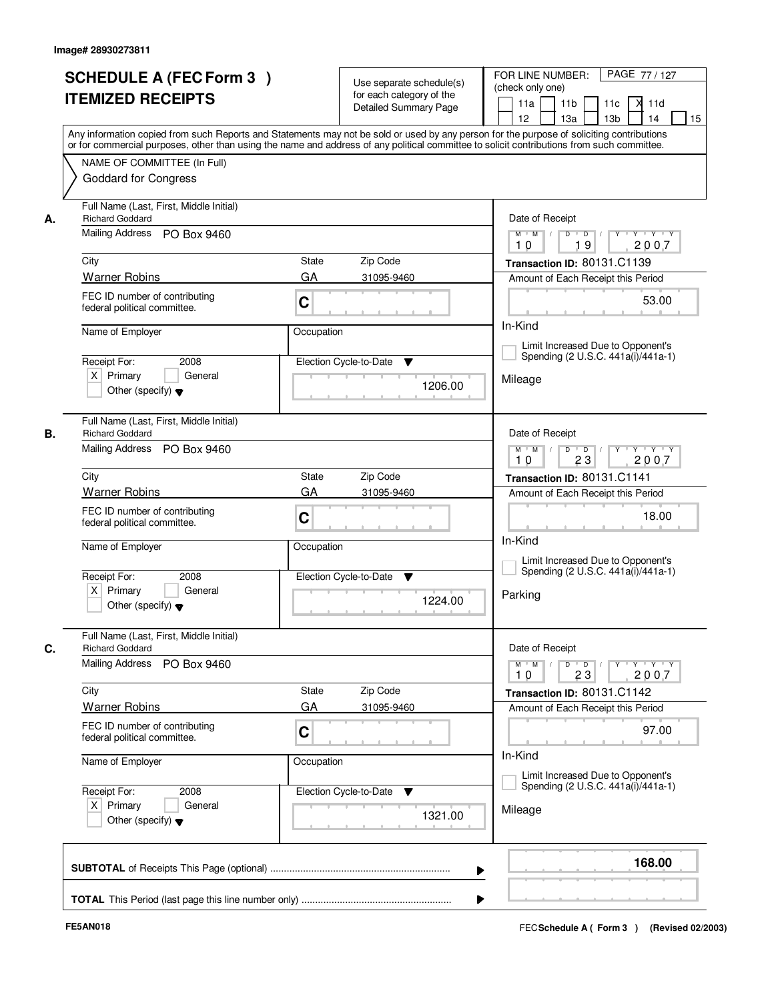|    | <b>SCHEDULE A (FEC Form 3)</b><br><b>ITEMIZED RECEIPTS</b>        | Use separate schedule(s)<br>for each category of the<br><b>Detailed Summary Page</b>                                                                                                                                                                                                    | PAGE 77 / 127<br>FOR LINE NUMBER:<br>(check only one)<br>X.<br>11 <sub>b</sub><br>11a<br>11c<br>11d                  |
|----|-------------------------------------------------------------------|-----------------------------------------------------------------------------------------------------------------------------------------------------------------------------------------------------------------------------------------------------------------------------------------|----------------------------------------------------------------------------------------------------------------------|
|    |                                                                   | Any information copied from such Reports and Statements may not be sold or used by any person for the purpose of soliciting contributions<br>or for commercial purposes, other than using the name and address of any political committee to solicit contributions from such committee. | 12 <sup>2</sup><br>13a<br>13 <sub>b</sub><br>14<br>15                                                                |
|    | NAME OF COMMITTEE (In Full)<br><b>Goddard for Congress</b>        |                                                                                                                                                                                                                                                                                         |                                                                                                                      |
| А. | Full Name (Last, First, Middle Initial)<br><b>Richard Goddard</b> | Date of Receipt                                                                                                                                                                                                                                                                         |                                                                                                                      |
|    | Mailing Address PO Box 9460                                       |                                                                                                                                                                                                                                                                                         | $Y + Y + Y$<br>$M$ $M$<br>$\overline{D}$<br>$\overline{D}$ /<br>Y<br>2007<br>19<br>10                                |
|    | City                                                              | <b>State</b><br>Zip Code                                                                                                                                                                                                                                                                | Transaction ID: 80131.C1139                                                                                          |
|    | <b>Warner Robins</b>                                              | GA<br>31095-9460                                                                                                                                                                                                                                                                        | Amount of Each Receipt this Period                                                                                   |
|    | FEC ID number of contributing<br>federal political committee.     | C                                                                                                                                                                                                                                                                                       | 53.00                                                                                                                |
|    | Name of Employer                                                  | Occupation                                                                                                                                                                                                                                                                              | In-Kind                                                                                                              |
|    | 2008<br>Receipt For:                                              | Election Cycle-to-Date<br>▼                                                                                                                                                                                                                                                             | Limit Increased Due to Opponent's<br>Spending (2 U.S.C. 441a(i)/441a-1)                                              |
|    | $X$ Primary<br>General<br>Other (specify) $\blacktriangledown$    | 1206.00                                                                                                                                                                                                                                                                                 | Mileage                                                                                                              |
| В. | Full Name (Last, First, Middle Initial)<br><b>Richard Goddard</b> |                                                                                                                                                                                                                                                                                         | Date of Receipt                                                                                                      |
|    | Mailing Address PO Box 9460                                       |                                                                                                                                                                                                                                                                                         | $\mathsf{Y} \dashv \mathsf{Y} \dashv \mathsf{Y} \dashv \mathsf{Y}$<br>$M$ $M$ /<br>$D$ $D$ $/$<br>23<br>2007<br>10   |
|    | City                                                              | Zip Code<br><b>State</b>                                                                                                                                                                                                                                                                | Transaction ID: 80131.C1141                                                                                          |
|    | <b>Warner Robins</b>                                              | GA<br>31095-9460                                                                                                                                                                                                                                                                        | Amount of Each Receipt this Period                                                                                   |
|    | FEC ID number of contributing<br>federal political committee.     | C                                                                                                                                                                                                                                                                                       | 18.00<br>In-Kind                                                                                                     |
|    | Name of Employer                                                  | Occupation                                                                                                                                                                                                                                                                              | Limit Increased Due to Opponent's                                                                                    |
|    | Receipt For:<br>2008                                              | Election Cycle-to-Date<br><b>V</b>                                                                                                                                                                                                                                                      | Spending (2 U.S.C. 441a(i)/441a-1)                                                                                   |
|    | $X$ Primary<br>General<br>Other (specify) $\blacktriangledown$    | 1224.00                                                                                                                                                                                                                                                                                 | Parking                                                                                                              |
| C. | Full Name (Last, First, Middle Initial)<br><b>Richard Goddard</b> |                                                                                                                                                                                                                                                                                         | Date of Receipt                                                                                                      |
|    | Mailing Address<br>PO Box 9460                                    |                                                                                                                                                                                                                                                                                         | $D$ $D$ $I$<br>$Y - Y - Y$<br>$M^{\prime}$ M $\rightarrow$ /<br>$Y$ <sup><math>\top</math></sup><br>2007<br>10<br>23 |
|    | City                                                              | Zip Code<br>State                                                                                                                                                                                                                                                                       | Transaction ID: 80131.C1142                                                                                          |
|    | <b>Warner Robins</b>                                              | GA<br>31095-9460                                                                                                                                                                                                                                                                        | Amount of Each Receipt this Period                                                                                   |
|    | FEC ID number of contributing<br>federal political committee.     | C                                                                                                                                                                                                                                                                                       | 97.00                                                                                                                |
|    | Name of Employer                                                  | Occupation                                                                                                                                                                                                                                                                              | In-Kind<br>Limit Increased Due to Opponent's                                                                         |
|    | Receipt For:<br>2008                                              | Election Cycle-to-Date<br>v                                                                                                                                                                                                                                                             | Spending (2 U.S.C. 441a(i)/441a-1)                                                                                   |
|    | $X$ Primary<br>General<br>Other (specify) $\blacktriangledown$    | 1321.00                                                                                                                                                                                                                                                                                 | Mileage                                                                                                              |
|    |                                                                   |                                                                                                                                                                                                                                                                                         | 168.00<br>▶                                                                                                          |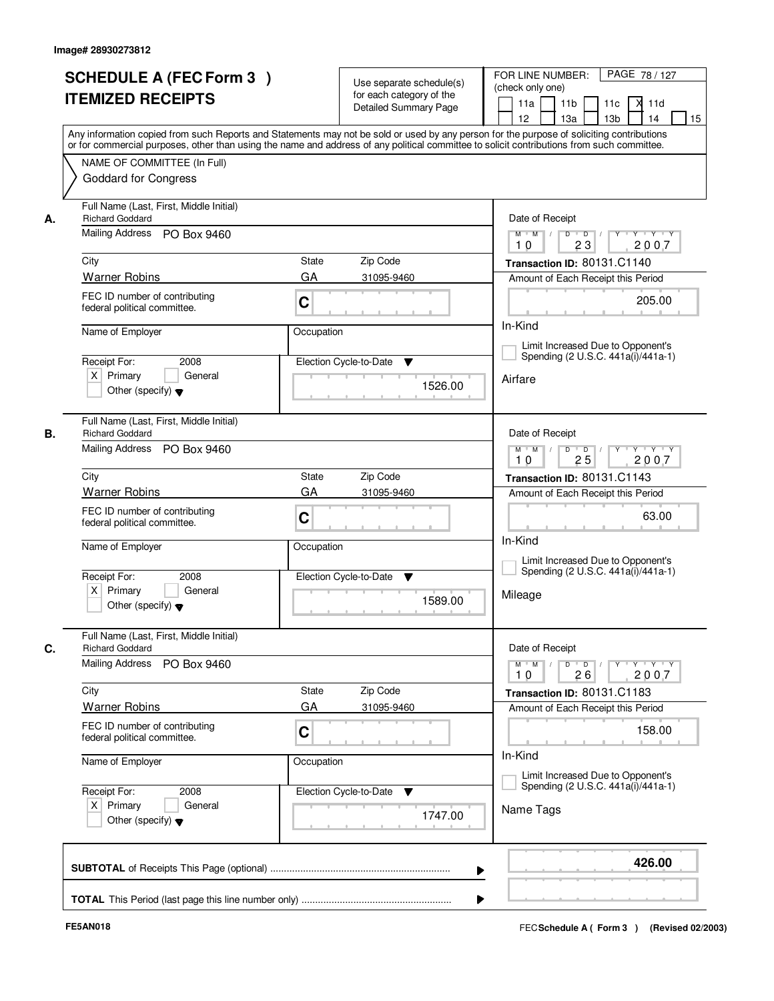|    | <b>SCHEDULE A (FEC Form 3)</b><br><b>ITEMIZED RECEIPTS</b>                                       | Use separate schedule(s)<br>for each category of the<br><b>Detailed Summary Page</b><br>Any information copied from such Reports and Statements may not be sold or used by any person for the purpose of soliciting contributions | PAGE 78 / 127<br>FOR LINE NUMBER:<br>(check only one)<br>11 <sub>b</sub><br>X<br>11a<br>11c<br>11d<br>13 <sub>b</sub><br>14<br>15<br>12 <sup>2</sup><br>13a |
|----|--------------------------------------------------------------------------------------------------|-----------------------------------------------------------------------------------------------------------------------------------------------------------------------------------------------------------------------------------|-------------------------------------------------------------------------------------------------------------------------------------------------------------|
|    | NAME OF COMMITTEE (In Full)<br><b>Goddard for Congress</b>                                       | or for commercial purposes, other than using the name and address of any political committee to solicit contributions from such committee.                                                                                        |                                                                                                                                                             |
| А. | Full Name (Last, First, Middle Initial)<br><b>Richard Goddard</b><br>Mailing Address PO Box 9460 |                                                                                                                                                                                                                                   | Date of Receipt<br>$\overline{\mathbf{Y}}$<br>$Y - Y - Y$<br>$M$ $M$ /<br>$D$ $D$ $1$                                                                       |
|    |                                                                                                  |                                                                                                                                                                                                                                   | 23<br>2007<br>10                                                                                                                                            |
|    | City                                                                                             | State<br>Zip Code                                                                                                                                                                                                                 | Transaction ID: 80131.C1140                                                                                                                                 |
|    | <b>Warner Robins</b>                                                                             | GA<br>31095-9460                                                                                                                                                                                                                  | Amount of Each Receipt this Period                                                                                                                          |
|    | FEC ID number of contributing<br>federal political committee.                                    | C                                                                                                                                                                                                                                 | 205.00                                                                                                                                                      |
|    | Name of Employer<br>Occupation                                                                   |                                                                                                                                                                                                                                   | In-Kind                                                                                                                                                     |
|    | Receipt For:<br>2008                                                                             | Election Cycle-to-Date                                                                                                                                                                                                            | Limit Increased Due to Opponent's<br>Spending (2 U.S.C. 441a(i)/441a-1)                                                                                     |
|    | $X$ Primary<br>General<br>Other (specify) $\blacktriangledown$                                   | ▼<br>1526.00                                                                                                                                                                                                                      | Airfare                                                                                                                                                     |
| В. | Full Name (Last, First, Middle Initial)<br><b>Richard Goddard</b>                                | Date of Receipt                                                                                                                                                                                                                   |                                                                                                                                                             |
|    | Mailing Address PO Box 9460                                                                      | Y Y Y Y<br>$M$ $M$ /<br>D<br>$\overline{D}$<br>Y<br>25<br>2007<br>10                                                                                                                                                              |                                                                                                                                                             |
|    | City                                                                                             | Zip Code<br>State                                                                                                                                                                                                                 | Transaction ID: 80131.C1143                                                                                                                                 |
|    | <b>Warner Robins</b>                                                                             | GA<br>31095-9460                                                                                                                                                                                                                  | Amount of Each Receipt this Period                                                                                                                          |
|    | FEC ID number of contributing<br>federal political committee.                                    | C                                                                                                                                                                                                                                 | 63.00<br>In-Kind                                                                                                                                            |
|    | Name of Employer                                                                                 | Occupation                                                                                                                                                                                                                        | Limit Increased Due to Opponent's<br>Spending (2 U.S.C. 441a(i)/441a-1)                                                                                     |
|    | Receipt For:<br>2008<br>$X$ Primary<br>General<br>Other (specify) $\blacktriangledown$           | Election Cycle-to-Date<br>▼<br>1589.00                                                                                                                                                                                            | Mileage                                                                                                                                                     |
|    | Full Name (Last, First, Middle Initial)<br><b>Richard Goddard</b>                                |                                                                                                                                                                                                                                   | Date of Receipt                                                                                                                                             |
|    | <b>Mailing Address</b><br>PO Box 9460                                                            | $D$ $D$ $/$<br>$\mathsf{Y} \dashv \mathsf{Y} \dashv \mathsf{Y} \dashv \mathsf{Y}$<br>$M$ $M$<br>10<br>26<br>2007                                                                                                                  |                                                                                                                                                             |
|    | City                                                                                             | Zip Code<br>State                                                                                                                                                                                                                 | Transaction ID: 80131.C1183                                                                                                                                 |
|    | <b>Warner Robins</b>                                                                             | GA<br>31095-9460                                                                                                                                                                                                                  | Amount of Each Receipt this Period                                                                                                                          |
|    | FEC ID number of contributing<br>federal political committee.                                    | C                                                                                                                                                                                                                                 | 158.00<br>In-Kind                                                                                                                                           |
|    | Name of Employer                                                                                 | Occupation                                                                                                                                                                                                                        | Limit Increased Due to Opponent's                                                                                                                           |
|    | Receipt For:<br>2008                                                                             | Election Cycle-to-Date<br>v                                                                                                                                                                                                       | Spending (2 U.S.C. 441a(i)/441a-1)                                                                                                                          |
|    | $X$ Primary<br>General<br>Other (specify) $\blacktriangledown$                                   | 1747.00                                                                                                                                                                                                                           | Name Tags                                                                                                                                                   |
|    |                                                                                                  | ▶                                                                                                                                                                                                                                 | 426.00                                                                                                                                                      |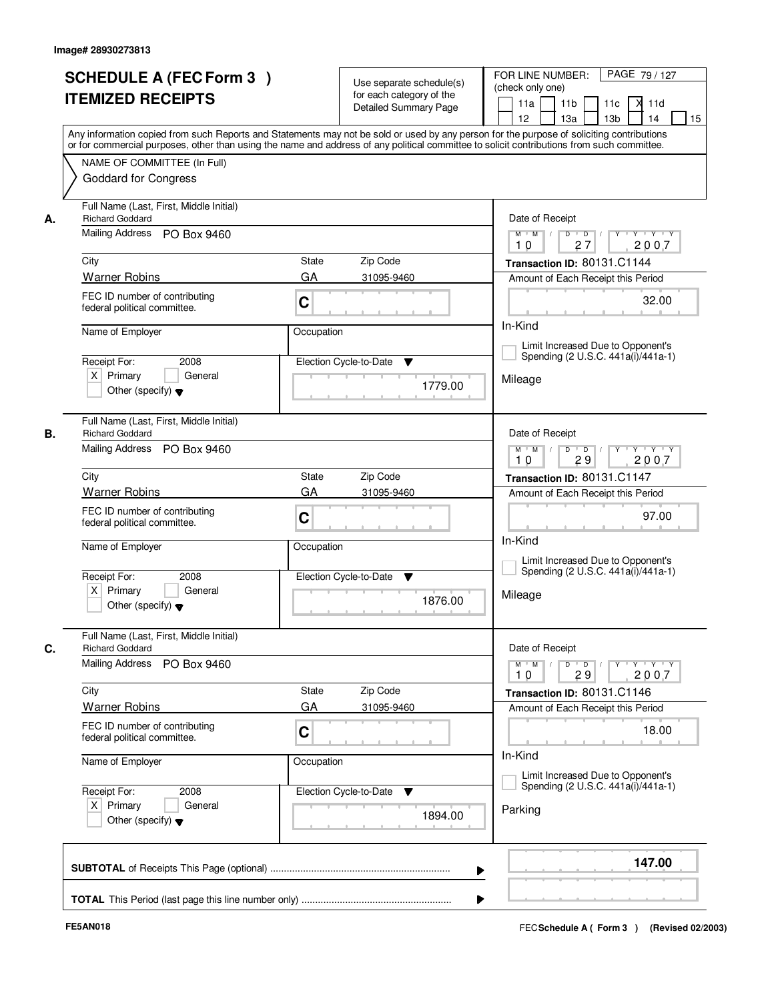|    | <b>SCHEDULE A (FEC Form 3)</b><br><b>ITEMIZED RECEIPTS</b>                                       | Use separate schedule(s)<br>for each category of the<br>Detailed Summary Page                                    | PAGE 79/127<br>FOR LINE NUMBER:<br>(check only one)<br>11 <sub>b</sub><br>X<br>11a<br>11c<br>11d<br>13 <sub>b</sub><br>14<br>15<br>12 <sup>2</sup><br>13a<br>Any information copied from such Reports and Statements may not be sold or used by any person for the purpose of soliciting contributions |
|----|--------------------------------------------------------------------------------------------------|------------------------------------------------------------------------------------------------------------------|--------------------------------------------------------------------------------------------------------------------------------------------------------------------------------------------------------------------------------------------------------------------------------------------------------|
|    | NAME OF COMMITTEE (In Full)<br><b>Goddard for Congress</b>                                       |                                                                                                                  | or for commercial purposes, other than using the name and address of any political committee to solicit contributions from such committee.                                                                                                                                                             |
| А. | Full Name (Last, First, Middle Initial)<br><b>Richard Goddard</b><br>Mailing Address PO Box 9460 | Date of Receipt<br>$Y$ $Y$ $Y$<br>$M$ $M$ /<br>$D$ $D$ $1$<br>$\overline{Y}$                                     |                                                                                                                                                                                                                                                                                                        |
|    |                                                                                                  |                                                                                                                  | 27<br>2007<br>10                                                                                                                                                                                                                                                                                       |
|    | City                                                                                             | State<br>Zip Code                                                                                                | Transaction ID: 80131.C1144                                                                                                                                                                                                                                                                            |
|    | <b>Warner Robins</b>                                                                             | GA<br>31095-9460                                                                                                 | Amount of Each Receipt this Period                                                                                                                                                                                                                                                                     |
|    | FEC ID number of contributing<br>federal political committee.                                    | C                                                                                                                | 32.00                                                                                                                                                                                                                                                                                                  |
|    | Name of Employer                                                                                 | In-Kind                                                                                                          |                                                                                                                                                                                                                                                                                                        |
|    | Receipt For:<br>2008                                                                             | Election Cycle-to-Date<br>▼                                                                                      | Limit Increased Due to Opponent's<br>Spending (2 U.S.C. 441a(i)/441a-1)                                                                                                                                                                                                                                |
|    | $X$ Primary<br>General<br>Other (specify) $\blacktriangledown$                                   | 1779.00                                                                                                          | Mileage                                                                                                                                                                                                                                                                                                |
| В. | Full Name (Last, First, Middle Initial)<br><b>Richard Goddard</b>                                | Date of Receipt                                                                                                  |                                                                                                                                                                                                                                                                                                        |
|    | Mailing Address PO Box 9460                                                                      | Y Y Y Y<br>$M$ $M$ /<br>D<br>$\overline{D}$<br>29<br>2007<br>10                                                  |                                                                                                                                                                                                                                                                                                        |
|    | City                                                                                             | Zip Code<br>State                                                                                                | Transaction ID: 80131.C1147                                                                                                                                                                                                                                                                            |
|    | <b>Warner Robins</b>                                                                             | GA<br>31095-9460                                                                                                 | Amount of Each Receipt this Period                                                                                                                                                                                                                                                                     |
|    | FEC ID number of contributing<br>federal political committee.                                    | C                                                                                                                | 97.00<br>In-Kind                                                                                                                                                                                                                                                                                       |
|    | Name of Employer                                                                                 | Occupation                                                                                                       | Limit Increased Due to Opponent's<br>Spending (2 U.S.C. 441a(i)/441a-1)                                                                                                                                                                                                                                |
|    | Receipt For:<br>2008<br>$X$ Primary<br>General<br>Other (specify) $\blacktriangledown$           | Election Cycle-to-Date<br>▼<br>1876.00                                                                           | Mileage                                                                                                                                                                                                                                                                                                |
|    | Full Name (Last, First, Middle Initial)<br><b>Richard Goddard</b>                                |                                                                                                                  | Date of Receipt                                                                                                                                                                                                                                                                                        |
|    | <b>Mailing Address</b><br>PO Box 9460                                                            | $D$ $D$ $/$<br>$\mathsf{Y} \dashv \mathsf{Y} \dashv \mathsf{Y} \dashv \mathsf{Y}$<br>$M$ $M$<br>10<br>29<br>2007 |                                                                                                                                                                                                                                                                                                        |
|    | City                                                                                             | Zip Code<br>State                                                                                                | Transaction ID: 80131.C1146                                                                                                                                                                                                                                                                            |
|    | <b>Warner Robins</b>                                                                             | GA<br>31095-9460                                                                                                 | Amount of Each Receipt this Period                                                                                                                                                                                                                                                                     |
|    | FEC ID number of contributing<br>federal political committee.                                    | C                                                                                                                | 18.00<br>In-Kind                                                                                                                                                                                                                                                                                       |
|    | Name of Employer                                                                                 | Occupation                                                                                                       | Limit Increased Due to Opponent's                                                                                                                                                                                                                                                                      |
|    | Receipt For:<br>2008                                                                             | Election Cycle-to-Date ▼                                                                                         | Spending (2 U.S.C. 441a(i)/441a-1)                                                                                                                                                                                                                                                                     |
|    | $X$ Primary<br>General<br>Other (specify) $\blacktriangledown$                                   | 1894.00                                                                                                          | Parking                                                                                                                                                                                                                                                                                                |
|    |                                                                                                  |                                                                                                                  | 147.00                                                                                                                                                                                                                                                                                                 |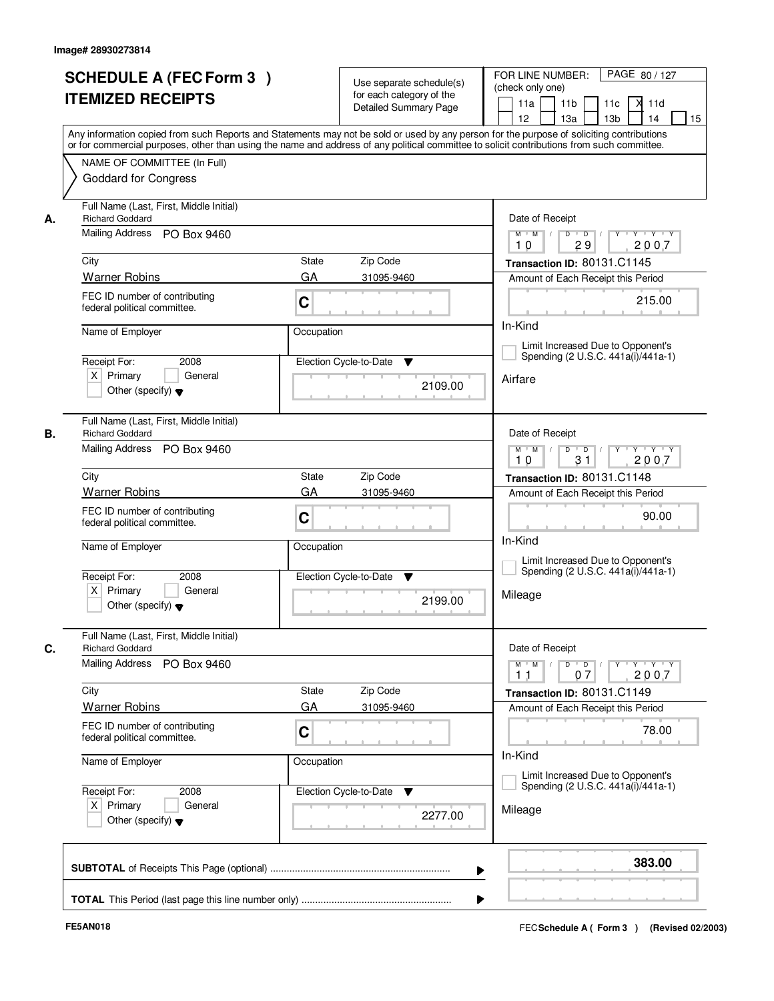|    | <b>SCHEDULE A (FEC Form 3)</b><br><b>ITEMIZED RECEIPTS</b>                                                                                                                                               |                                                                                                   | Use separate schedule(s)<br>for each category of the<br><b>Detailed Summary Page</b> | PAGE 80 / 127<br>FOR LINE NUMBER:<br>(check only one)<br>11 <sub>b</sub><br>X<br>11a<br>11c<br>11d<br>13 <sub>b</sub><br>14<br>15<br>12 <sup>2</sup><br>13a<br>Any information copied from such Reports and Statements may not be sold or used by any person for the purpose of soliciting contributions |
|----|----------------------------------------------------------------------------------------------------------------------------------------------------------------------------------------------------------|---------------------------------------------------------------------------------------------------|--------------------------------------------------------------------------------------|----------------------------------------------------------------------------------------------------------------------------------------------------------------------------------------------------------------------------------------------------------------------------------------------------------|
|    | or for commercial purposes, other than using the name and address of any political committee to solicit contributions from such committee.<br>NAME OF COMMITTEE (In Full)<br><b>Goddard for Congress</b> |                                                                                                   |                                                                                      |                                                                                                                                                                                                                                                                                                          |
| А. | Full Name (Last, First, Middle Initial)<br><b>Richard Goddard</b>                                                                                                                                        | Date of Receipt                                                                                   |                                                                                      |                                                                                                                                                                                                                                                                                                          |
|    | Mailing Address PO Box 9460                                                                                                                                                                              |                                                                                                   |                                                                                      | $Y$ $Y$ $Y$<br>$M$ $M$ /<br>$D$ $D$ $/$<br>$\overline{Y}$<br>29<br>2007<br>10                                                                                                                                                                                                                            |
|    | City                                                                                                                                                                                                     | State                                                                                             | Zip Code                                                                             | Transaction ID: 80131.C1145                                                                                                                                                                                                                                                                              |
|    | <b>Warner Robins</b>                                                                                                                                                                                     | GA                                                                                                | 31095-9460                                                                           | Amount of Each Receipt this Period                                                                                                                                                                                                                                                                       |
|    | FEC ID number of contributing<br>C<br>federal political committee.                                                                                                                                       |                                                                                                   |                                                                                      | 215.00                                                                                                                                                                                                                                                                                                   |
|    | Name of Employer                                                                                                                                                                                         | Occupation                                                                                        |                                                                                      | In-Kind                                                                                                                                                                                                                                                                                                  |
|    | Receipt For:<br>2008                                                                                                                                                                                     |                                                                                                   | Election Cycle-to-Date<br>▼                                                          | Limit Increased Due to Opponent's<br>Spending (2 U.S.C. 441a(i)/441a-1)                                                                                                                                                                                                                                  |
|    | $X$ Primary<br>General<br>Other (specify) $\blacktriangledown$                                                                                                                                           |                                                                                                   | 2109.00                                                                              | Airfare                                                                                                                                                                                                                                                                                                  |
| В. | Full Name (Last, First, Middle Initial)<br><b>Richard Goddard</b>                                                                                                                                        | Date of Receipt                                                                                   |                                                                                      |                                                                                                                                                                                                                                                                                                          |
|    | Mailing Address PO Box 9460                                                                                                                                                                              | $\mathsf D$<br>Y Y Y Y<br>$M$ $M$ /<br>$\blacksquare$ D $\blacksquare$ /<br>Y<br>31<br>2007<br>10 |                                                                                      |                                                                                                                                                                                                                                                                                                          |
|    | City                                                                                                                                                                                                     | State                                                                                             | Zip Code                                                                             | Transaction ID: 80131.C1148                                                                                                                                                                                                                                                                              |
|    | <b>Warner Robins</b>                                                                                                                                                                                     | GA                                                                                                | 31095-9460                                                                           | Amount of Each Receipt this Period                                                                                                                                                                                                                                                                       |
|    | FEC ID number of contributing<br>federal political committee.                                                                                                                                            | C                                                                                                 |                                                                                      | 90.00<br>In-Kind                                                                                                                                                                                                                                                                                         |
|    | Name of Employer                                                                                                                                                                                         | Occupation                                                                                        |                                                                                      | Limit Increased Due to Opponent's<br>Spending (2 U.S.C. 441a(i)/441a-1)                                                                                                                                                                                                                                  |
|    | Receipt For:<br>2008<br>$X$ Primary<br>General<br>Other (specify) $\blacktriangledown$                                                                                                                   |                                                                                                   | Election Cycle-to-Date<br>▼<br>2199.00                                               | Mileage                                                                                                                                                                                                                                                                                                  |
|    | Full Name (Last, First, Middle Initial)<br><b>Richard Goddard</b>                                                                                                                                        |                                                                                                   |                                                                                      | Date of Receipt                                                                                                                                                                                                                                                                                          |
|    | <b>Mailing Address</b><br>PO Box 9460                                                                                                                                                                    |                                                                                                   |                                                                                      | $D$ $D$ $/$<br>$\begin{array}{ccccccccccccc} &\mathsf{Y} &\mathsf{V} &\mathsf{Y} &\mathsf{V} &\mathsf{Y} &\mathsf{V} &\mathsf{Y}\end{array}$<br>$M$ $M$<br>2007<br>11<br>07                                                                                                                              |
|    | City                                                                                                                                                                                                     | State                                                                                             | Zip Code                                                                             | Transaction ID: 80131.C1149                                                                                                                                                                                                                                                                              |
|    | <b>Warner Robins</b>                                                                                                                                                                                     | GA                                                                                                | 31095-9460                                                                           | Amount of Each Receipt this Period                                                                                                                                                                                                                                                                       |
|    | FEC ID number of contributing<br>federal political committee.                                                                                                                                            | C                                                                                                 |                                                                                      | 78.00<br>In-Kind                                                                                                                                                                                                                                                                                         |
|    | Name of Employer                                                                                                                                                                                         | Occupation                                                                                        |                                                                                      | Limit Increased Due to Opponent's                                                                                                                                                                                                                                                                        |
|    | Receipt For:<br>2008<br>$X$ Primary<br>General                                                                                                                                                           |                                                                                                   | Election Cycle-to-Date<br>▼                                                          | Spending (2 U.S.C. 441a(i)/441a-1)<br>Mileage                                                                                                                                                                                                                                                            |
|    | Other (specify) $\blacktriangledown$                                                                                                                                                                     |                                                                                                   | 2277.00                                                                              |                                                                                                                                                                                                                                                                                                          |
|    |                                                                                                                                                                                                          |                                                                                                   |                                                                                      | 383.00                                                                                                                                                                                                                                                                                                   |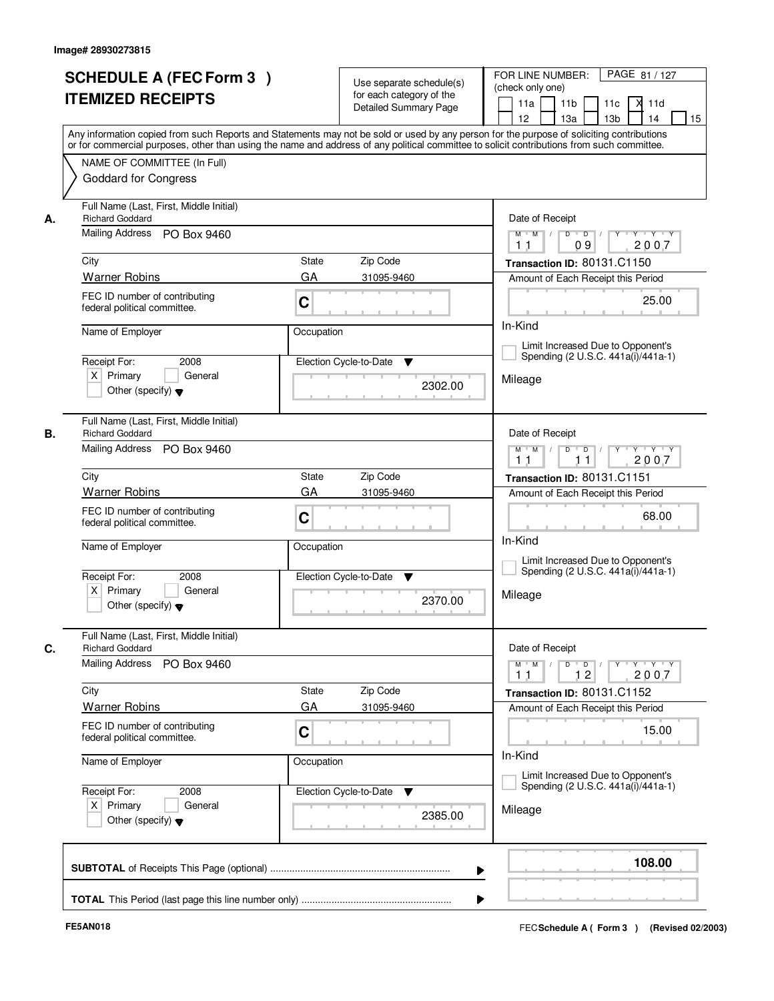|    | <b>SCHEDULE A (FEC Form 3)</b><br><b>ITEMIZED RECEIPTS</b>                                       | Use separate schedule(s)<br>for each category of the<br>Detailed Summary Page<br>Any information copied from such Reports and Statements may not be sold or used by any person for the purpose of soliciting contributions | PAGE 81 / 127<br>FOR LINE NUMBER:<br>(check only one)<br>11 <sub>b</sub><br>X<br>11a<br>11c<br>11d<br>13 <sub>b</sub><br>14<br>15<br>12 <sup>2</sup><br>13a |
|----|--------------------------------------------------------------------------------------------------|----------------------------------------------------------------------------------------------------------------------------------------------------------------------------------------------------------------------------|-------------------------------------------------------------------------------------------------------------------------------------------------------------|
|    | NAME OF COMMITTEE (In Full)<br><b>Goddard for Congress</b>                                       | or for commercial purposes, other than using the name and address of any political committee to solicit contributions from such committee.                                                                                 |                                                                                                                                                             |
| А. | Full Name (Last, First, Middle Initial)<br><b>Richard Goddard</b><br>Mailing Address PO Box 9460 | Date of Receipt<br>$\overline{\mathbf{Y}}$<br>$Y + Y + Y$                                                                                                                                                                  |                                                                                                                                                             |
|    |                                                                                                  | $D$ $D$ $/$<br>$M$ $M$ /<br>09<br>2007<br>1 <sub>1</sub>                                                                                                                                                                   |                                                                                                                                                             |
|    | City                                                                                             | State<br>Zip Code                                                                                                                                                                                                          | Transaction ID: 80131.C1150                                                                                                                                 |
|    | <b>Warner Robins</b>                                                                             | GA<br>31095-9460                                                                                                                                                                                                           | Amount of Each Receipt this Period                                                                                                                          |
|    | FEC ID number of contributing<br>federal political committee.                                    | C                                                                                                                                                                                                                          | 25.00                                                                                                                                                       |
|    | Name of Employer                                                                                 | Occupation                                                                                                                                                                                                                 | In-Kind                                                                                                                                                     |
|    | Receipt For:<br>2008                                                                             | Election Cycle-to-Date<br>▼                                                                                                                                                                                                | Limit Increased Due to Opponent's<br>Spending (2 U.S.C. 441a(i)/441a-1)                                                                                     |
|    | $X$ Primary<br>General<br>Other (specify) $\blacktriangledown$                                   | 2302.00                                                                                                                                                                                                                    | Mileage                                                                                                                                                     |
| В. | Full Name (Last, First, Middle Initial)<br><b>Richard Goddard</b>                                | Date of Receipt                                                                                                                                                                                                            |                                                                                                                                                             |
|    | Mailing Address PO Box 9460                                                                      | $\mathsf D$<br>Y Y Y Y<br>$M$ $M$ /<br>$\Box$ D $\Box$<br>$Y$ <sup><math>\top</math></sup><br>2007<br>11<br>11                                                                                                             |                                                                                                                                                             |
|    | City                                                                                             | Zip Code<br>State                                                                                                                                                                                                          | Transaction ID: 80131.C1151                                                                                                                                 |
|    | <b>Warner Robins</b>                                                                             | GA<br>31095-9460                                                                                                                                                                                                           | Amount of Each Receipt this Period                                                                                                                          |
|    | FEC ID number of contributing<br>federal political committee.                                    | C                                                                                                                                                                                                                          | 68.00<br>In-Kind                                                                                                                                            |
|    | Name of Employer                                                                                 | Occupation                                                                                                                                                                                                                 | Limit Increased Due to Opponent's<br>Spending (2 U.S.C. 441a(i)/441a-1)                                                                                     |
|    | Receipt For:<br>2008<br>$X$ Primary<br>General<br>Other (specify) $\blacktriangledown$           | Election Cycle-to-Date<br>▼<br>2370.00                                                                                                                                                                                     | Mileage                                                                                                                                                     |
|    | Full Name (Last, First, Middle Initial)<br><b>Richard Goddard</b>                                |                                                                                                                                                                                                                            | Date of Receipt                                                                                                                                             |
|    | <b>Mailing Address</b><br>PO Box 9460                                                            |                                                                                                                                                                                                                            | $D$ $D$ $I$<br>$M$ $M$<br>12<br>2007<br>11                                                                                                                  |
|    | City                                                                                             | Zip Code<br>State                                                                                                                                                                                                          | Transaction ID: 80131.C1152                                                                                                                                 |
|    | <b>Warner Robins</b>                                                                             | GA<br>31095-9460                                                                                                                                                                                                           | Amount of Each Receipt this Period                                                                                                                          |
|    | FEC ID number of contributing<br>federal political committee.                                    | C                                                                                                                                                                                                                          | 15.00                                                                                                                                                       |
|    | Name of Employer                                                                                 | Occupation                                                                                                                                                                                                                 | In-Kind<br>Limit Increased Due to Opponent's                                                                                                                |
|    | Receipt For:<br>2008<br>$X$ Primary<br>General                                                   | Election Cycle-to-Date ▼                                                                                                                                                                                                   | Spending (2 U.S.C. 441a(i)/441a-1)                                                                                                                          |
|    | Other (specify) $\blacktriangledown$                                                             | 2385.00                                                                                                                                                                                                                    | Mileage                                                                                                                                                     |
|    |                                                                                                  |                                                                                                                                                                                                                            | 108.00                                                                                                                                                      |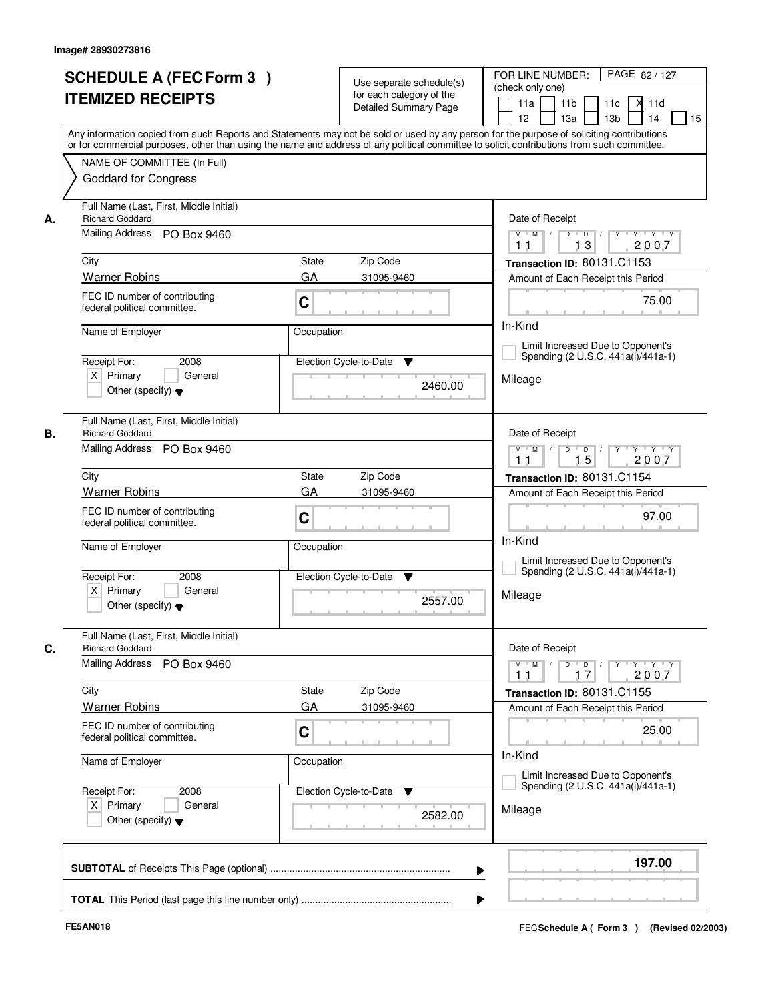|    | <b>SCHEDULE A (FEC Form 3)</b><br><b>ITEMIZED RECEIPTS</b>                                       | Use separate schedule(s)<br>for each category of the<br>Detailed Summary Page<br>Any information copied from such Reports and Statements may not be sold or used by any person for the purpose of soliciting contributions | PAGE 82 / 127<br>FOR LINE NUMBER:<br>(check only one)<br>11 <sub>b</sub><br>X<br>11a<br>11c<br>11d<br>13 <sub>b</sub><br>14<br>15<br>12 <sup>2</sup><br>13a                             |
|----|--------------------------------------------------------------------------------------------------|----------------------------------------------------------------------------------------------------------------------------------------------------------------------------------------------------------------------------|-----------------------------------------------------------------------------------------------------------------------------------------------------------------------------------------|
|    | NAME OF COMMITTEE (In Full)<br><b>Goddard for Congress</b>                                       | or for commercial purposes, other than using the name and address of any political committee to solicit contributions from such committee.                                                                                 |                                                                                                                                                                                         |
| А. | Full Name (Last, First, Middle Initial)<br><b>Richard Goddard</b><br>Mailing Address PO Box 9460 | Date of Receipt<br>$D$ $D$ $I$<br>$\Gamma Y$<br>$Y + Y + Y$<br>$M$ $M$ /                                                                                                                                                   |                                                                                                                                                                                         |
|    |                                                                                                  |                                                                                                                                                                                                                            | 13<br>2007<br>11                                                                                                                                                                        |
|    | City                                                                                             | State<br>Zip Code                                                                                                                                                                                                          | Transaction ID: 80131.C1153                                                                                                                                                             |
|    | <b>Warner Robins</b>                                                                             | GA<br>31095-9460                                                                                                                                                                                                           | Amount of Each Receipt this Period                                                                                                                                                      |
|    | FEC ID number of contributing<br>federal political committee.                                    | C                                                                                                                                                                                                                          | 75.00                                                                                                                                                                                   |
|    | Name of Employer<br>Occupation                                                                   |                                                                                                                                                                                                                            | In-Kind                                                                                                                                                                                 |
|    | Receipt For:<br>2008                                                                             | Election Cycle-to-Date<br>▼                                                                                                                                                                                                | Limit Increased Due to Opponent's<br>Spending (2 U.S.C. 441a(i)/441a-1)                                                                                                                 |
|    | $X$ Primary<br>General<br>Other (specify) $\blacktriangledown$                                   | 2460.00                                                                                                                                                                                                                    | Mileage                                                                                                                                                                                 |
| В. | Full Name (Last, First, Middle Initial)<br><b>Richard Goddard</b>                                | Date of Receipt                                                                                                                                                                                                            |                                                                                                                                                                                         |
|    | Mailing Address PO Box 9460                                                                      | $\mathsf D$<br>$Y$ <sup>U</sup><br>$Y - Y - Y$<br>$M$ $M$ /<br>$\blacksquare$ D $\blacksquare$ /<br>15<br>2007<br>11                                                                                                       |                                                                                                                                                                                         |
|    | City                                                                                             | Zip Code<br>State                                                                                                                                                                                                          | Transaction ID: 80131.C1154                                                                                                                                                             |
|    | <b>Warner Robins</b>                                                                             | GA<br>31095-9460                                                                                                                                                                                                           | Amount of Each Receipt this Period                                                                                                                                                      |
|    | FEC ID number of contributing<br>federal political committee.                                    | C                                                                                                                                                                                                                          | 97.00<br>In-Kind                                                                                                                                                                        |
|    | Name of Employer                                                                                 | Occupation                                                                                                                                                                                                                 | Limit Increased Due to Opponent's                                                                                                                                                       |
|    | Receipt For:<br>2008<br>$X$ Primary<br>General<br>Other (specify) $\blacktriangledown$           | Election Cycle-to-Date<br>▼<br>2557.00                                                                                                                                                                                     | Spending (2 U.S.C. 441a(i)/441a-1)<br>Mileage                                                                                                                                           |
|    | Full Name (Last, First, Middle Initial)<br><b>Richard Goddard</b>                                |                                                                                                                                                                                                                            | Date of Receipt                                                                                                                                                                         |
|    | <b>Mailing Address</b><br>PO Box 9460                                                            |                                                                                                                                                                                                                            | $D$ $D$ $I$<br>$\begin{array}{ccccccccccccc} &\mathsf{Y} &\mathsf{Y} &\mathsf{Y} &\mathsf{Y} &\mathsf{Y} &\mathsf{Y} &\mathsf{Y} &\mathsf{Y}\end{array}$<br>$M$ $M$<br>17<br>2007<br>11 |
|    | City                                                                                             | Zip Code<br>State                                                                                                                                                                                                          | Transaction ID: 80131.C1155                                                                                                                                                             |
|    | <b>Warner Robins</b>                                                                             | GA<br>31095-9460                                                                                                                                                                                                           | Amount of Each Receipt this Period                                                                                                                                                      |
|    | FEC ID number of contributing<br>federal political committee.                                    | C                                                                                                                                                                                                                          | 25.00                                                                                                                                                                                   |
|    | Name of Employer                                                                                 | Occupation                                                                                                                                                                                                                 | In-Kind<br>Limit Increased Due to Opponent's                                                                                                                                            |
|    | Receipt For:<br>2008                                                                             | Election Cycle-to-Date<br>▼                                                                                                                                                                                                | Spending (2 U.S.C. 441a(i)/441a-1)                                                                                                                                                      |
|    | $X$ Primary<br>General<br>Other (specify) $\blacktriangledown$                                   | 2582.00                                                                                                                                                                                                                    | Mileage                                                                                                                                                                                 |
|    |                                                                                                  |                                                                                                                                                                                                                            | 197.00                                                                                                                                                                                  |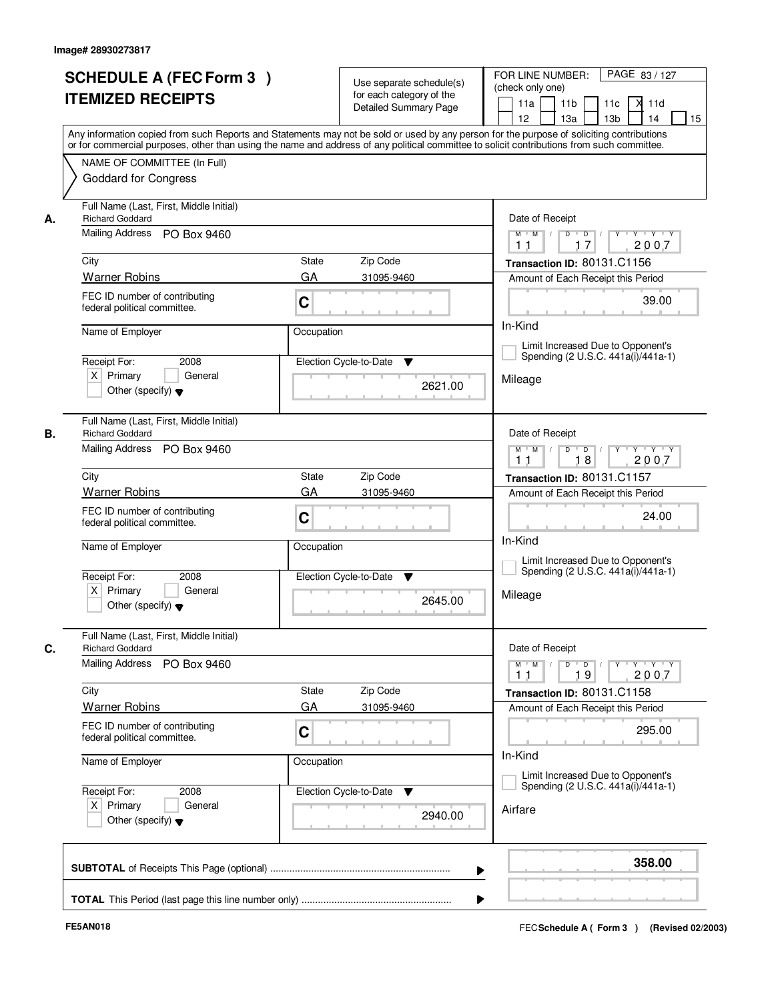|    | <b>SCHEDULE A (FEC Form 3)</b><br><b>ITEMIZED RECEIPTS</b>                                       | Use separate schedule(s)<br>for each category of the<br><b>Detailed Summary Page</b><br>Any information copied from such Reports and Statements may not be sold or used by any person for the purpose of soliciting contributions | PAGE 83 / 127<br>FOR LINE NUMBER:<br>(check only one)<br>11 <sub>b</sub><br>X<br>11a<br>11c<br>11d<br>13 <sub>b</sub><br>14<br>15<br>12 <sup>2</sup><br>13a |
|----|--------------------------------------------------------------------------------------------------|-----------------------------------------------------------------------------------------------------------------------------------------------------------------------------------------------------------------------------------|-------------------------------------------------------------------------------------------------------------------------------------------------------------|
|    | NAME OF COMMITTEE (In Full)<br><b>Goddard for Congress</b>                                       | or for commercial purposes, other than using the name and address of any political committee to solicit contributions from such committee.                                                                                        |                                                                                                                                                             |
| А. | Full Name (Last, First, Middle Initial)<br><b>Richard Goddard</b><br>Mailing Address PO Box 9460 | Date of Receipt<br>$D$ $D$ $/$<br>$\Gamma Y$<br>$Y + Y + Y$<br>$M$ $M$ /                                                                                                                                                          |                                                                                                                                                             |
|    | City                                                                                             | State<br>Zip Code                                                                                                                                                                                                                 | 17<br>2007<br>11<br>Transaction ID: 80131.C1156                                                                                                             |
|    | <b>Warner Robins</b>                                                                             | GA<br>31095-9460                                                                                                                                                                                                                  | Amount of Each Receipt this Period                                                                                                                          |
|    | FEC ID number of contributing<br>federal political committee.                                    | C                                                                                                                                                                                                                                 | 39.00                                                                                                                                                       |
|    | Name of Employer                                                                                 | Occupation                                                                                                                                                                                                                        | In-Kind                                                                                                                                                     |
|    | Receipt For:<br>2008                                                                             | Election Cycle-to-Date<br>▼                                                                                                                                                                                                       | Limit Increased Due to Opponent's<br>Spending (2 U.S.C. 441a(i)/441a-1)                                                                                     |
|    | $X$ Primary<br>General<br>Other (specify) $\blacktriangledown$                                   | 2621.00                                                                                                                                                                                                                           | Mileage                                                                                                                                                     |
| В. | Full Name (Last, First, Middle Initial)<br><b>Richard Goddard</b>                                | Date of Receipt                                                                                                                                                                                                                   |                                                                                                                                                             |
|    | Mailing Address PO Box 9460                                                                      | D<br>$\Box$ D $\Box$<br>$Y$ <sup>U</sup><br>$Y - Y - Y$<br>$M$ $M$ /<br>18<br>2007<br>11                                                                                                                                          |                                                                                                                                                             |
|    | City                                                                                             | Zip Code<br>State                                                                                                                                                                                                                 | Transaction ID: 80131.C1157                                                                                                                                 |
|    | <b>Warner Robins</b>                                                                             | GA<br>31095-9460                                                                                                                                                                                                                  | Amount of Each Receipt this Period                                                                                                                          |
|    | FEC ID number of contributing<br>federal political committee.                                    | C                                                                                                                                                                                                                                 | 24.00<br>In-Kind                                                                                                                                            |
|    | Name of Employer                                                                                 | Occupation                                                                                                                                                                                                                        | Limit Increased Due to Opponent's<br>Spending (2 U.S.C. 441a(i)/441a-1)                                                                                     |
|    | Receipt For:<br>2008<br>$X$ Primary<br>General<br>Other (specify) $\blacktriangledown$           | Election Cycle-to-Date<br>▼<br>2645.00                                                                                                                                                                                            | Mileage                                                                                                                                                     |
|    | Full Name (Last, First, Middle Initial)<br><b>Richard Goddard</b>                                |                                                                                                                                                                                                                                   | Date of Receipt                                                                                                                                             |
|    | <b>Mailing Address</b><br>PO Box 9460                                                            | $D$ $D$ $/$<br>$M$ $M$<br>19<br>2007<br>11                                                                                                                                                                                        |                                                                                                                                                             |
|    | City                                                                                             | Zip Code<br>State                                                                                                                                                                                                                 | Transaction ID: 80131.C1158                                                                                                                                 |
|    | <b>Warner Robins</b>                                                                             | GA<br>31095-9460                                                                                                                                                                                                                  | Amount of Each Receipt this Period                                                                                                                          |
|    | FEC ID number of contributing<br>federal political committee.                                    | C                                                                                                                                                                                                                                 | 295.00                                                                                                                                                      |
|    | Name of Employer                                                                                 | Occupation                                                                                                                                                                                                                        | In-Kind<br>Limit Increased Due to Opponent's<br>Spending (2 U.S.C. 441a(i)/441a-1)                                                                          |
|    | Receipt For:<br>2008<br>$X$ Primary<br>General<br>Other (specify) $\blacktriangledown$           | Election Cycle-to-Date ▼<br>2940.00                                                                                                                                                                                               | Airfare                                                                                                                                                     |
|    |                                                                                                  |                                                                                                                                                                                                                                   | 358.00<br>▶                                                                                                                                                 |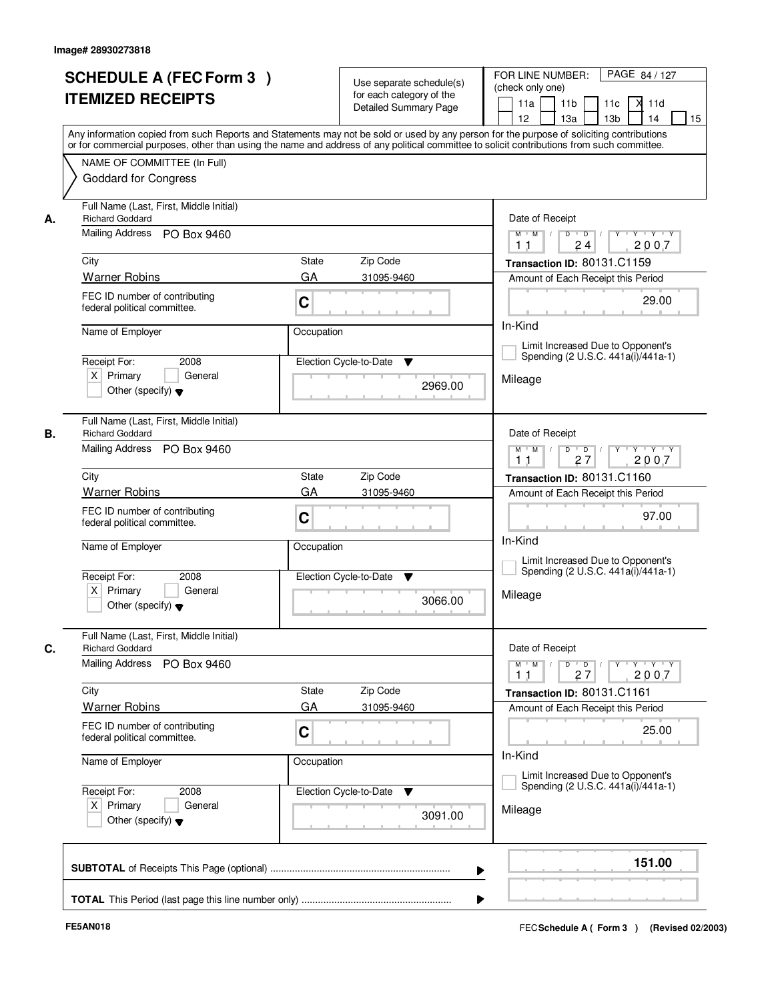|    | <b>SCHEDULE A (FEC Form 3)</b><br><b>ITEMIZED RECEIPTS</b>                                               | Use separate schedule(s)<br>for each category of the<br><b>Detailed Summary Page</b>                                                                                                                                                                                                    | PAGE 84 / 127<br>FOR LINE NUMBER:<br>(check only one)<br>11 <sub>b</sub><br>X.<br>11a<br>11c<br>11d<br>12 <sup>2</sup><br>13a<br>13 <sub>b</sub><br>14<br>15 |
|----|----------------------------------------------------------------------------------------------------------|-----------------------------------------------------------------------------------------------------------------------------------------------------------------------------------------------------------------------------------------------------------------------------------------|--------------------------------------------------------------------------------------------------------------------------------------------------------------|
|    | NAME OF COMMITTEE (In Full)<br><b>Goddard for Congress</b>                                               | Any information copied from such Reports and Statements may not be sold or used by any person for the purpose of soliciting contributions<br>or for commercial purposes, other than using the name and address of any political committee to solicit contributions from such committee. |                                                                                                                                                              |
| А. | Full Name (Last, First, Middle Initial)<br><b>Richard Goddard</b><br>Mailing Address PO Box 9460<br>City | <b>State</b><br>Zip Code                                                                                                                                                                                                                                                                | Date of Receipt<br>$Y + Y + Y$<br>$\overline{D}$<br>$M$ $M$ /<br>D<br>Y<br>2007<br>24<br>11<br>Transaction ID: 80131.C1159                                   |
|    | <b>Warner Robins</b>                                                                                     | GA<br>31095-9460                                                                                                                                                                                                                                                                        | Amount of Each Receipt this Period                                                                                                                           |
|    | FEC ID number of contributing<br>federal political committee.                                            | C                                                                                                                                                                                                                                                                                       | 29.00                                                                                                                                                        |
|    | Name of Employer                                                                                         | Occupation                                                                                                                                                                                                                                                                              | In-Kind                                                                                                                                                      |
|    | 2008<br>Receipt For:                                                                                     | Election Cycle-to-Date<br>▼                                                                                                                                                                                                                                                             | Limit Increased Due to Opponent's<br>Spending (2 U.S.C. 441a(i)/441a-1)                                                                                      |
|    | $X$ Primary<br>General<br>Other (specify) $\blacktriangledown$                                           | 2969.00                                                                                                                                                                                                                                                                                 | Mileage                                                                                                                                                      |
| В. | Full Name (Last, First, Middle Initial)<br><b>Richard Goddard</b><br>Mailing Address<br>PO Box 9460      |                                                                                                                                                                                                                                                                                         | Date of Receipt<br>$M$ $M$ /<br>$D$ $D$ $/$<br>Y Y Y Y Y                                                                                                     |
|    |                                                                                                          |                                                                                                                                                                                                                                                                                         | 27<br>2007<br>11                                                                                                                                             |
|    | City                                                                                                     | Zip Code<br><b>State</b><br>GA                                                                                                                                                                                                                                                          | Transaction ID: 80131.C1160                                                                                                                                  |
|    | <b>Warner Robins</b><br>FEC ID number of contributing<br>federal political committee.                    | 31095-9460<br>C                                                                                                                                                                                                                                                                         | Amount of Each Receipt this Period<br>97.00                                                                                                                  |
|    | Name of Employer                                                                                         | Occupation                                                                                                                                                                                                                                                                              | In-Kind<br>Limit Increased Due to Opponent's                                                                                                                 |
|    | Receipt For:<br>2008<br>$X$ Primary<br>General<br>Other (specify) $\blacktriangledown$                   | Election Cycle-to-Date<br><b>V</b><br>3066.00                                                                                                                                                                                                                                           | Spending (2 U.S.C. 441a(i)/441a-1)<br>Mileage                                                                                                                |
| C. | Full Name (Last, First, Middle Initial)<br><b>Richard Goddard</b>                                        |                                                                                                                                                                                                                                                                                         | Date of Receipt                                                                                                                                              |
|    | Mailing Address<br>PO Box 9460                                                                           |                                                                                                                                                                                                                                                                                         | $D$ $D$ $I$<br>$Y - Y - Y$<br>$M$ $M$<br>$Y$ <sup>U</sup><br>2007<br>27<br>11                                                                                |
|    | City                                                                                                     | Zip Code<br>State                                                                                                                                                                                                                                                                       | Transaction ID: 80131.C1161                                                                                                                                  |
|    | <b>Warner Robins</b><br>FEC ID number of contributing<br>federal political committee.                    | GA<br>31095-9460<br>C                                                                                                                                                                                                                                                                   | Amount of Each Receipt this Period<br>25.00                                                                                                                  |
|    | Name of Employer                                                                                         | Occupation                                                                                                                                                                                                                                                                              | In-Kind<br>Limit Increased Due to Opponent's                                                                                                                 |
|    | Receipt For:<br>2008<br>$X$ Primary<br>General<br>Other (specify) $\blacktriangledown$                   | Election Cycle-to-Date<br>v<br>3091.00                                                                                                                                                                                                                                                  | Spending (2 U.S.C. 441a(i)/441a-1)<br>Mileage                                                                                                                |
|    |                                                                                                          | ▶                                                                                                                                                                                                                                                                                       | 151.00                                                                                                                                                       |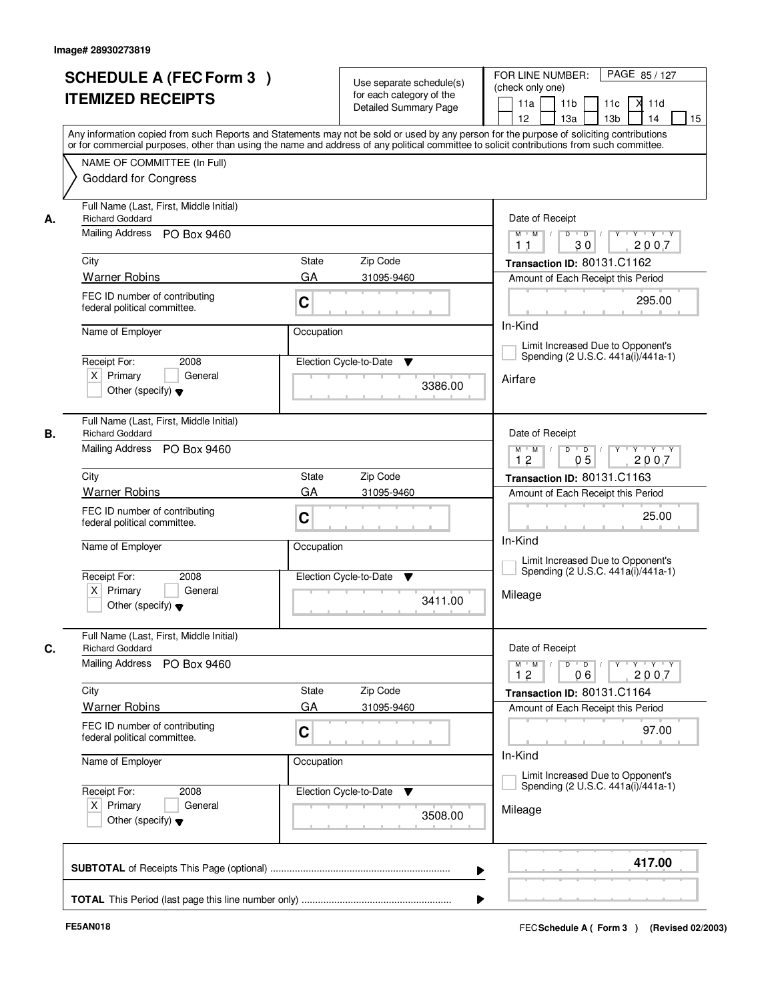|    | <b>SCHEDULE A (FEC Form 3)</b><br><b>ITEMIZED RECEIPTS</b>                             | Use separate schedule(s)<br>for each category of the<br><b>Detailed Summary Page</b><br>Any information copied from such Reports and Statements may not be sold or used by any person for the purpose of soliciting contributions | PAGE 85 / 127<br>FOR LINE NUMBER:<br>(check only one)<br>11 <sub>b</sub><br>X<br>11a<br>11c<br>11d<br>13 <sub>b</sub><br>14<br>15<br>12 <sup>2</sup><br>13a                 |
|----|----------------------------------------------------------------------------------------|-----------------------------------------------------------------------------------------------------------------------------------------------------------------------------------------------------------------------------------|-----------------------------------------------------------------------------------------------------------------------------------------------------------------------------|
|    | NAME OF COMMITTEE (In Full)<br><b>Goddard for Congress</b>                             | or for commercial purposes, other than using the name and address of any political committee to solicit contributions from such committee.                                                                                        |                                                                                                                                                                             |
| А. | Full Name (Last, First, Middle Initial)<br><b>Richard Goddard</b>                      |                                                                                                                                                                                                                                   | Date of Receipt                                                                                                                                                             |
|    | Mailing Address PO Box 9460                                                            |                                                                                                                                                                                                                                   | $D$ $D$ $/$<br>$\overline{\mathbf{Y}}$<br>$Y + Y + Y$<br>$M$ $M$ /<br>30<br>2007<br>1 <sub>1</sub>                                                                          |
|    | City                                                                                   | State<br>Zip Code                                                                                                                                                                                                                 | Transaction ID: 80131.C1162                                                                                                                                                 |
|    | <b>Warner Robins</b>                                                                   | GA<br>31095-9460                                                                                                                                                                                                                  | Amount of Each Receipt this Period                                                                                                                                          |
|    | FEC ID number of contributing<br>federal political committee.                          | C                                                                                                                                                                                                                                 | 295.00                                                                                                                                                                      |
|    | Name of Employer                                                                       | Occupation                                                                                                                                                                                                                        | In-Kind                                                                                                                                                                     |
|    | Receipt For:<br>2008                                                                   | Election Cycle-to-Date<br>▼                                                                                                                                                                                                       | Limit Increased Due to Opponent's<br>Spending (2 U.S.C. 441a(i)/441a-1)                                                                                                     |
|    | $X$ Primary<br>General<br>Other (specify) $\blacktriangledown$                         | 3386.00                                                                                                                                                                                                                           | Airfare                                                                                                                                                                     |
| В. | Full Name (Last, First, Middle Initial)<br><b>Richard Goddard</b>                      |                                                                                                                                                                                                                                   | Date of Receipt                                                                                                                                                             |
|    | Mailing Address PO Box 9460                                                            |                                                                                                                                                                                                                                   | $Y$ <sup>U</sup><br>Y Y Y Y<br>$M$ $M$ /<br>D<br>$\overline{D}$<br>05<br>12<br>2007                                                                                         |
|    | City                                                                                   | Zip Code<br>State                                                                                                                                                                                                                 | Transaction ID: 80131.C1163                                                                                                                                                 |
|    | <b>Warner Robins</b>                                                                   | GA<br>31095-9460                                                                                                                                                                                                                  | Amount of Each Receipt this Period                                                                                                                                          |
|    | FEC ID number of contributing<br>federal political committee.                          | C                                                                                                                                                                                                                                 | 25.00<br>In-Kind                                                                                                                                                            |
|    | Name of Employer                                                                       | Occupation                                                                                                                                                                                                                        | Limit Increased Due to Opponent's<br>Spending (2 U.S.C. 441a(i)/441a-1)                                                                                                     |
|    | Receipt For:<br>2008<br>$X$ Primary<br>General<br>Other (specify) $\blacktriangledown$ | Election Cycle-to-Date<br>▼<br>3411.00                                                                                                                                                                                            | Mileage                                                                                                                                                                     |
| C. | Full Name (Last, First, Middle Initial)<br><b>Richard Goddard</b>                      |                                                                                                                                                                                                                                   | Date of Receipt                                                                                                                                                             |
|    | Mailing Address<br>PO Box 9460                                                         |                                                                                                                                                                                                                                   | $D$ $D$ $/$<br>$\begin{array}{ccccccccccccc} &\mathsf{Y} &\mathsf{V} &\mathsf{Y} &\mathsf{V} &\mathsf{Y} &\mathsf{V} &\mathsf{Y}\end{array}$<br>$M$ $M$<br>12<br>2007<br>06 |
|    | City                                                                                   | Zip Code<br>State                                                                                                                                                                                                                 | Transaction ID: 80131.C1164                                                                                                                                                 |
|    | <b>Warner Robins</b>                                                                   | GA<br>31095-9460                                                                                                                                                                                                                  | Amount of Each Receipt this Period                                                                                                                                          |
|    | FEC ID number of contributing<br>federal political committee.                          | C                                                                                                                                                                                                                                 | 97.00<br>In-Kind                                                                                                                                                            |
|    | Name of Employer                                                                       | Occupation                                                                                                                                                                                                                        | Limit Increased Due to Opponent's                                                                                                                                           |
|    | Receipt For:<br>2008<br>$X$ Primary<br>General                                         | Election Cycle-to-Date ▼                                                                                                                                                                                                          | Spending (2 U.S.C. 441a(i)/441a-1)                                                                                                                                          |
|    | Other (specify) $\blacktriangledown$                                                   | 3508.00                                                                                                                                                                                                                           | Mileage                                                                                                                                                                     |
|    |                                                                                        | ▶                                                                                                                                                                                                                                 | 417.00                                                                                                                                                                      |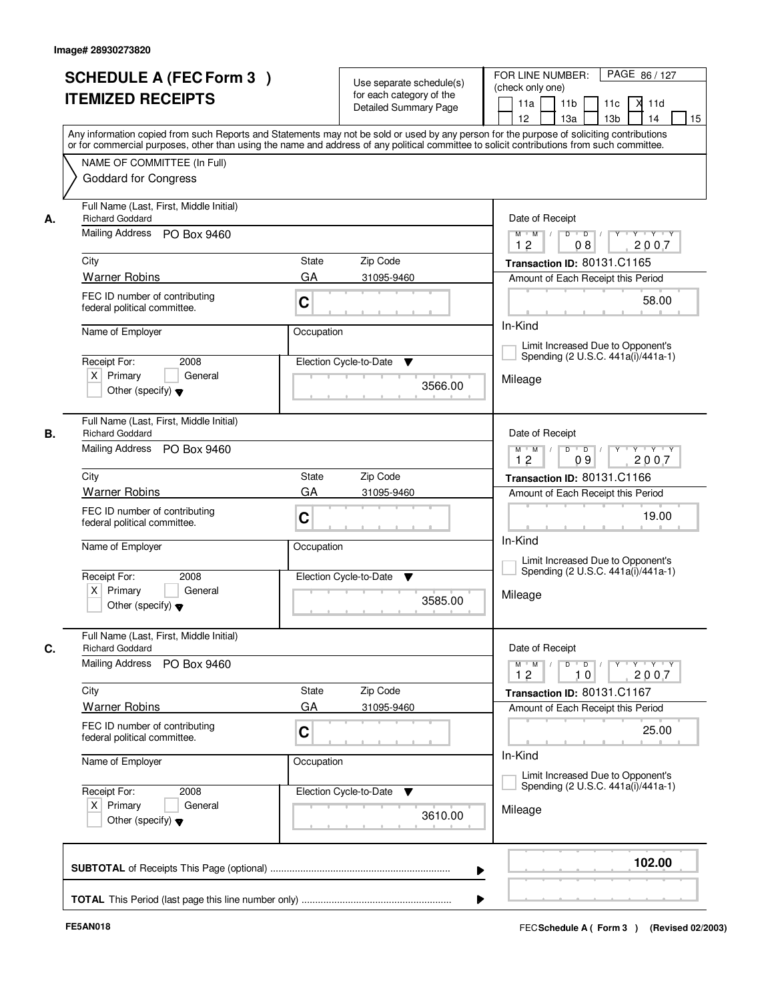|    | <b>SCHEDULE A (FEC Form 3)</b><br><b>ITEMIZED RECEIPTS</b>                                       | Use separate schedule(s)<br>for each category of the<br><b>Detailed Summary Page</b><br>Any information copied from such Reports and Statements may not be sold or used by any person for the purpose of soliciting contributions | PAGE 86 / 127<br>FOR LINE NUMBER:<br>(check only one)<br>11 <sub>b</sub><br>X<br>11a<br>11c<br>11d<br>13 <sub>b</sub><br>14<br>15<br>12 <sup>2</sup><br>13a                             |
|----|--------------------------------------------------------------------------------------------------|-----------------------------------------------------------------------------------------------------------------------------------------------------------------------------------------------------------------------------------|-----------------------------------------------------------------------------------------------------------------------------------------------------------------------------------------|
|    | NAME OF COMMITTEE (In Full)<br><b>Goddard for Congress</b>                                       | or for commercial purposes, other than using the name and address of any political committee to solicit contributions from such committee.                                                                                        |                                                                                                                                                                                         |
| А. | Full Name (Last, First, Middle Initial)<br><b>Richard Goddard</b><br>Mailing Address PO Box 9460 |                                                                                                                                                                                                                                   | Date of Receipt<br>$D$ $D$ $/$<br>$\overline{\mathbf{Y}}$<br>$Y + Y + Y$<br>$M$ $M$ /                                                                                                   |
|    |                                                                                                  |                                                                                                                                                                                                                                   | 12<br>2007<br>08                                                                                                                                                                        |
|    | City                                                                                             | State<br>Zip Code                                                                                                                                                                                                                 | Transaction ID: 80131.C1165                                                                                                                                                             |
|    | <b>Warner Robins</b>                                                                             | GA<br>31095-9460                                                                                                                                                                                                                  | Amount of Each Receipt this Period                                                                                                                                                      |
|    | FEC ID number of contributing<br>federal political committee.                                    | C                                                                                                                                                                                                                                 | 58.00                                                                                                                                                                                   |
|    | Name of Employer                                                                                 | Occupation                                                                                                                                                                                                                        | In-Kind                                                                                                                                                                                 |
|    | Receipt For:<br>2008                                                                             | Election Cycle-to-Date<br>▼                                                                                                                                                                                                       | Limit Increased Due to Opponent's<br>Spending (2 U.S.C. 441a(i)/441a-1)                                                                                                                 |
|    | $X$ Primary<br>General<br>Other (specify) $\blacktriangledown$                                   | 3566.00                                                                                                                                                                                                                           | Mileage                                                                                                                                                                                 |
| В. | Full Name (Last, First, Middle Initial)<br><b>Richard Goddard</b>                                |                                                                                                                                                                                                                                   | Date of Receipt                                                                                                                                                                         |
|    | Mailing Address PO Box 9460                                                                      |                                                                                                                                                                                                                                   | $Y$ <sup>U</sup><br>Y Y Y Y<br>$M$ $M$ /<br>D<br>$\overline{D}$<br>12<br>09<br>2007                                                                                                     |
|    | City                                                                                             | Zip Code<br>State                                                                                                                                                                                                                 | Transaction ID: 80131.C1166                                                                                                                                                             |
|    | <b>Warner Robins</b>                                                                             | GA<br>31095-9460                                                                                                                                                                                                                  | Amount of Each Receipt this Period                                                                                                                                                      |
|    | FEC ID number of contributing<br>federal political committee.                                    | C                                                                                                                                                                                                                                 | 19.00                                                                                                                                                                                   |
|    | Name of Employer                                                                                 | Occupation                                                                                                                                                                                                                        | In-Kind<br>Limit Increased Due to Opponent's                                                                                                                                            |
|    | Receipt For:<br>2008<br>$X$ Primary<br>General<br>Other (specify) $\blacktriangledown$           | Election Cycle-to-Date<br>▼<br>3585.00                                                                                                                                                                                            | Spending (2 U.S.C. 441a(i)/441a-1)<br>Mileage                                                                                                                                           |
| C. | Full Name (Last, First, Middle Initial)<br><b>Richard Goddard</b>                                |                                                                                                                                                                                                                                   | Date of Receipt                                                                                                                                                                         |
|    | <b>Mailing Address</b><br>PO Box 9460                                                            |                                                                                                                                                                                                                                   | $D$ $D$ $/$<br>$\begin{array}{ccccccccccccc} &\mathsf{Y} &\mathsf{Y} &\mathsf{Y} &\mathsf{Y} &\mathsf{Y} &\mathsf{Y} &\mathsf{Y} &\mathsf{Y}\end{array}$<br>$M$ $M$<br>12<br>2007<br>10 |
|    | City                                                                                             | Zip Code<br>State                                                                                                                                                                                                                 | Transaction ID: 80131.C1167                                                                                                                                                             |
|    | <b>Warner Robins</b>                                                                             | GA<br>31095-9460                                                                                                                                                                                                                  | Amount of Each Receipt this Period                                                                                                                                                      |
|    | FEC ID number of contributing<br>federal political committee.                                    | C                                                                                                                                                                                                                                 | 25.00                                                                                                                                                                                   |
|    | Name of Employer                                                                                 | Occupation                                                                                                                                                                                                                        | In-Kind<br>Limit Increased Due to Opponent's                                                                                                                                            |
|    | Receipt For:<br>2008<br>$X$ Primary<br>General<br>Other (specify) $\blacktriangledown$           | Election Cycle-to-Date ▼<br>3610.00                                                                                                                                                                                               | Spending (2 U.S.C. 441a(i)/441a-1)<br>Mileage                                                                                                                                           |
|    |                                                                                                  |                                                                                                                                                                                                                                   | 102.00                                                                                                                                                                                  |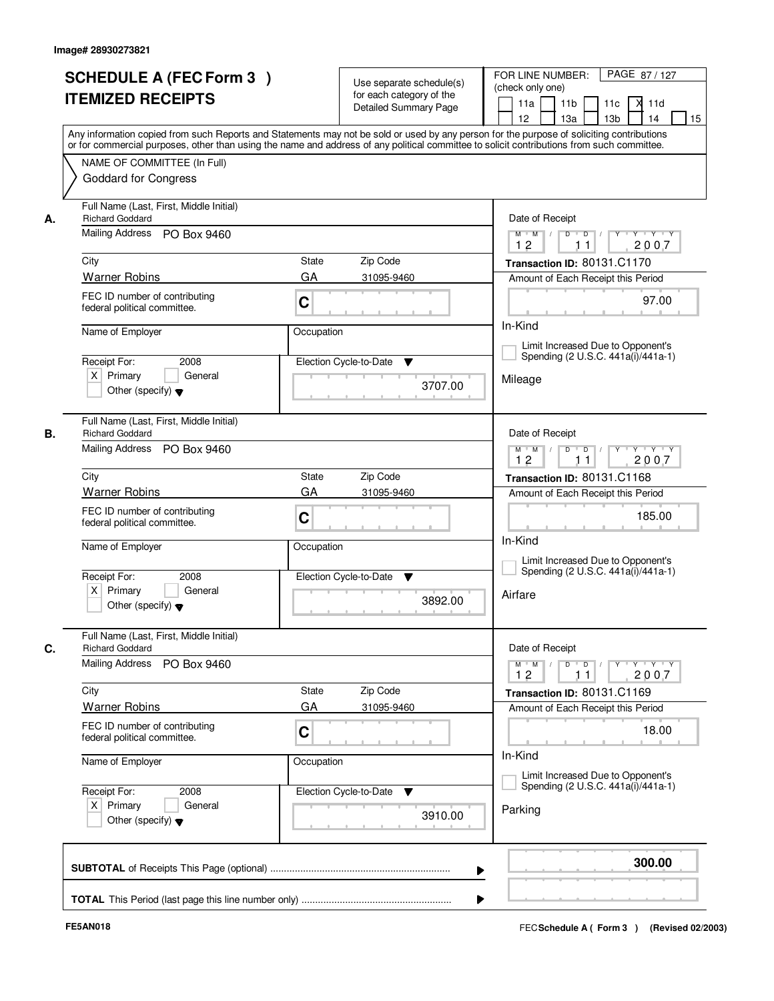| <b>SCHEDULE A (FEC Form 3)</b><br><b>ITEMIZED RECEIPTS</b>          |                 | Use separate schedule(s)<br>for each category of the<br><b>Detailed Summary Page</b> | PAGE 87/127<br>FOR LINE NUMBER:<br>(check only one)<br>11 <sub>b</sub><br>X<br>11a<br>11c<br>11d<br>13 <sub>b</sub><br>14<br>12 <sup>2</sup><br>13a                                                                                                                                                                                                                                                                                                |
|---------------------------------------------------------------------|-----------------|--------------------------------------------------------------------------------------|----------------------------------------------------------------------------------------------------------------------------------------------------------------------------------------------------------------------------------------------------------------------------------------------------------------------------------------------------------------------------------------------------------------------------------------------------|
| NAME OF COMMITTEE (In Full)<br><b>Goddard for Congress</b>          |                 |                                                                                      | Any information copied from such Reports and Statements may not be sold or used by any person for the purpose of soliciting contributions<br>or for commercial purposes, other than using the name and address of any political committee to solicit contributions from such committee.                                                                                                                                                            |
| Full Name (Last, First, Middle Initial)<br><b>Richard Goddard</b>   |                 |                                                                                      | Date of Receipt                                                                                                                                                                                                                                                                                                                                                                                                                                    |
| Mailing Address PO Box 9460                                         |                 |                                                                                      | $D$ $D$ $I$<br>$\Gamma Y$<br>$Y + Y + Y$<br>$M$ $M$ /<br>12<br>2007<br>11                                                                                                                                                                                                                                                                                                                                                                          |
| City                                                                | State           | Zip Code                                                                             | Transaction ID: 80131.C1170                                                                                                                                                                                                                                                                                                                                                                                                                        |
| <b>Warner Robins</b>                                                | GA              | 31095-9460                                                                           | Amount of Each Receipt this Period                                                                                                                                                                                                                                                                                                                                                                                                                 |
| FEC ID number of contributing<br>federal political committee.       | C               |                                                                                      | 97.00                                                                                                                                                                                                                                                                                                                                                                                                                                              |
| Name of Employer                                                    |                 | Occupation                                                                           | In-Kind                                                                                                                                                                                                                                                                                                                                                                                                                                            |
|                                                                     | 2008            |                                                                                      | Limit Increased Due to Opponent's<br>Spending (2 U.S.C. 441a(i)/441a-1)                                                                                                                                                                                                                                                                                                                                                                            |
| Receipt For:<br>$X$ Primary<br>Other (specify) $\blacktriangledown$ | General         | Election Cycle-to-Date<br>▼<br>3707.00                                               | Mileage                                                                                                                                                                                                                                                                                                                                                                                                                                            |
| Full Name (Last, First, Middle Initial)<br><b>Richard Goddard</b>   |                 |                                                                                      | Date of Receipt                                                                                                                                                                                                                                                                                                                                                                                                                                    |
| Mailing Address PO Box 9460                                         |                 |                                                                                      | $\mathsf D$<br>Y Y Y Y<br>$M$ $M$ /<br>$\overline{D}$ /<br>$Y$ <sup><math>\top</math></sup><br>12<br>2007<br>11                                                                                                                                                                                                                                                                                                                                    |
| City                                                                | State           | Zip Code                                                                             | Transaction ID: 80131.C1168                                                                                                                                                                                                                                                                                                                                                                                                                        |
| <b>Warner Robins</b>                                                | GA              | 31095-9460                                                                           | Amount of Each Receipt this Period                                                                                                                                                                                                                                                                                                                                                                                                                 |
| FEC ID number of contributing<br>federal political committee.       | C               |                                                                                      | 185.00<br>In-Kind                                                                                                                                                                                                                                                                                                                                                                                                                                  |
| Name of Employer                                                    |                 | Occupation                                                                           | Limit Increased Due to Opponent's                                                                                                                                                                                                                                                                                                                                                                                                                  |
| Receipt For:<br>$X$ Primary<br>Other (specify) $\blacktriangledown$ | 2008<br>General | Election Cycle-to-Date<br>▼<br>3892.00                                               | Spending (2 U.S.C. 441a(i)/441a-1)<br>Airfare                                                                                                                                                                                                                                                                                                                                                                                                      |
| Full Name (Last, First, Middle Initial)<br><b>Richard Goddard</b>   |                 |                                                                                      | Date of Receipt                                                                                                                                                                                                                                                                                                                                                                                                                                    |
| <b>Mailing Address</b>                                              | PO Box 9460     |                                                                                      | $\begin{array}{c c c c c c c c} \hline \textbf{0} & \textbf{0} & \textbf{0} & \textbf{0} & \textbf{0} & \textbf{0} & \textbf{0} & \textbf{0} & \textbf{0} & \textbf{0} & \textbf{0} & \textbf{0} & \textbf{0} & \textbf{0} & \textbf{0} & \textbf{0} & \textbf{0} & \textbf{0} & \textbf{0} & \textbf{0} & \textbf{0} & \textbf{0} & \textbf{0} & \textbf{0} & \textbf{0} & \textbf{0} & \textbf{0} & \textbf{0} &$<br>$M$ $M$<br>12<br>2007<br>11 |
| City                                                                | State           | Zip Code                                                                             | Transaction ID: 80131.C1169                                                                                                                                                                                                                                                                                                                                                                                                                        |
| <b>Warner Robins</b>                                                | GA              | 31095-9460                                                                           | Amount of Each Receipt this Period                                                                                                                                                                                                                                                                                                                                                                                                                 |
| FEC ID number of contributing<br>federal political committee.       | C               |                                                                                      | 18.00<br>In-Kind                                                                                                                                                                                                                                                                                                                                                                                                                                   |
| Name of Employer                                                    |                 | Occupation                                                                           | Limit Increased Due to Opponent's                                                                                                                                                                                                                                                                                                                                                                                                                  |
| Receipt For:<br>$X$ Primary<br>Other (specify) $\blacktriangledown$ | 2008<br>General | Election Cycle-to-Date ▼<br>3910.00                                                  | Spending (2 U.S.C. 441a(i)/441a-1)<br>Parking                                                                                                                                                                                                                                                                                                                                                                                                      |
|                                                                     |                 |                                                                                      | 300.00<br>▶                                                                                                                                                                                                                                                                                                                                                                                                                                        |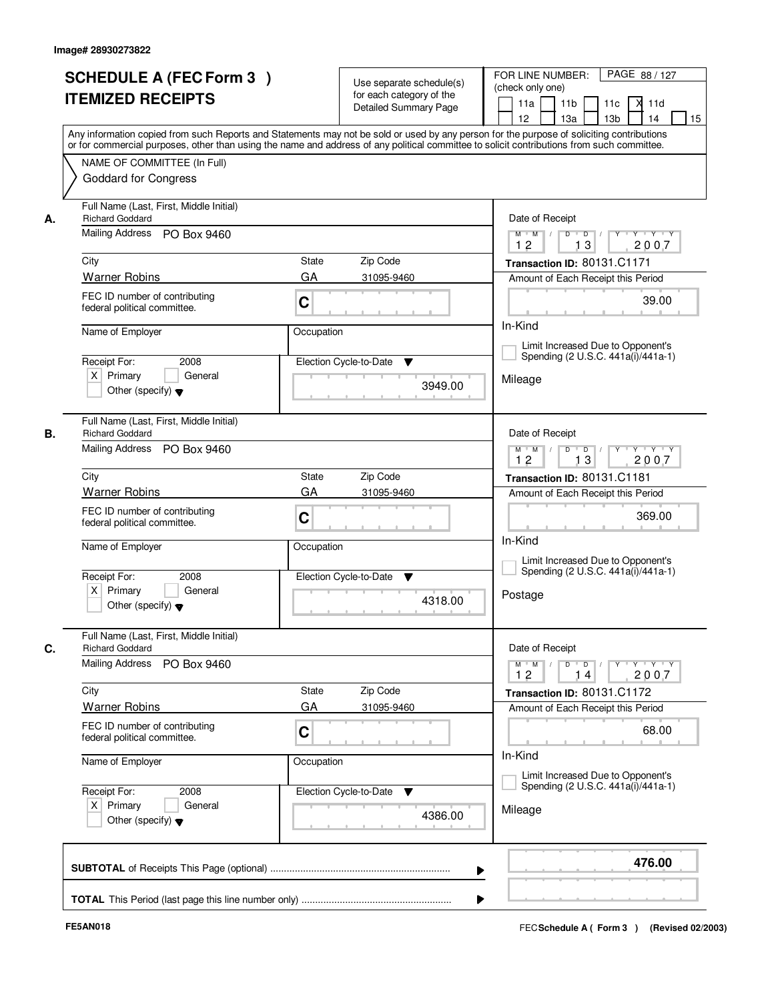|    | <b>SCHEDULE A (FEC Form 3)</b><br><b>ITEMIZED RECEIPTS</b>                                       | Use separate schedule(s)<br>for each category of the<br><b>Detailed Summary Page</b><br>Any information copied from such Reports and Statements may not be sold or used by any person for the purpose of soliciting contributions | PAGE 88 / 127<br>FOR LINE NUMBER:<br>(check only one)<br>11 <sub>b</sub><br>X<br>11a<br>11c<br>11d<br>13 <sub>b</sub><br>14<br>15<br>12 <sup>2</sup><br>13a |
|----|--------------------------------------------------------------------------------------------------|-----------------------------------------------------------------------------------------------------------------------------------------------------------------------------------------------------------------------------------|-------------------------------------------------------------------------------------------------------------------------------------------------------------|
|    | NAME OF COMMITTEE (In Full)<br><b>Goddard for Congress</b>                                       | or for commercial purposes, other than using the name and address of any political committee to solicit contributions from such committee.                                                                                        |                                                                                                                                                             |
| А. | Full Name (Last, First, Middle Initial)<br><b>Richard Goddard</b><br>Mailing Address PO Box 9460 |                                                                                                                                                                                                                                   | Date of Receipt<br>$D$ $D$ $I$<br>$\overline{\mathbf{Y}}$<br>$Y + Y + Y$<br>$M$ $M$ /                                                                       |
|    |                                                                                                  |                                                                                                                                                                                                                                   | 12<br>13<br>2007                                                                                                                                            |
|    | City<br><b>Warner Robins</b>                                                                     | State<br>Zip Code<br>GA<br>31095-9460                                                                                                                                                                                             | Transaction ID: 80131.C1171                                                                                                                                 |
|    | FEC ID number of contributing<br>federal political committee.                                    | C                                                                                                                                                                                                                                 | Amount of Each Receipt this Period<br>39.00                                                                                                                 |
|    | Name of Employer                                                                                 | Occupation                                                                                                                                                                                                                        | In-Kind                                                                                                                                                     |
|    |                                                                                                  |                                                                                                                                                                                                                                   | Limit Increased Due to Opponent's                                                                                                                           |
|    | Receipt For:<br>2008                                                                             | Election Cycle-to-Date<br>▼                                                                                                                                                                                                       | Spending (2 U.S.C. 441a(i)/441a-1)                                                                                                                          |
|    | $X$ Primary<br>General<br>Other (specify) $\blacktriangledown$                                   | 3949.00                                                                                                                                                                                                                           | Mileage                                                                                                                                                     |
| В. | Full Name (Last, First, Middle Initial)<br><b>Richard Goddard</b>                                |                                                                                                                                                                                                                                   | Date of Receipt                                                                                                                                             |
|    | Mailing Address PO Box 9460                                                                      |                                                                                                                                                                                                                                   | D<br>$\Box$ D $\Box$<br>$Y$ <sup>U</sup><br>Y Y Y Y<br>$M$ $M$ /<br>13<br>12<br>2007                                                                        |
|    | City                                                                                             | Zip Code<br>State                                                                                                                                                                                                                 | Transaction ID: 80131.C1181                                                                                                                                 |
|    | <b>Warner Robins</b>                                                                             | GA<br>31095-9460                                                                                                                                                                                                                  | Amount of Each Receipt this Period                                                                                                                          |
|    | FEC ID number of contributing<br>federal political committee.                                    | C                                                                                                                                                                                                                                 | 369.00<br>In-Kind                                                                                                                                           |
|    | Name of Employer                                                                                 | Occupation                                                                                                                                                                                                                        | Limit Increased Due to Opponent's                                                                                                                           |
|    | Receipt For:<br>2008                                                                             | Election Cycle-to-Date<br>▼                                                                                                                                                                                                       | Spending (2 U.S.C. 441a(i)/441a-1)                                                                                                                          |
|    | $X$ Primary<br>General<br>Other (specify) $\blacktriangledown$                                   | 4318.00                                                                                                                                                                                                                           | Postage                                                                                                                                                     |
|    | Full Name (Last, First, Middle Initial)<br><b>Richard Goddard</b>                                |                                                                                                                                                                                                                                   | Date of Receipt                                                                                                                                             |
| C. | <b>Mailing Address</b><br>PO Box 9460                                                            |                                                                                                                                                                                                                                   | $D$ $D$ $I$<br>$M$ $M$ $/$<br>12<br>2007<br>14                                                                                                              |
|    | City                                                                                             | Zip Code<br>State                                                                                                                                                                                                                 | Transaction ID: 80131.C1172                                                                                                                                 |
|    | <b>Warner Robins</b>                                                                             | GA<br>31095-9460                                                                                                                                                                                                                  | Amount of Each Receipt this Period                                                                                                                          |
|    | FEC ID number of contributing<br>federal political committee.                                    | C                                                                                                                                                                                                                                 | 68.00                                                                                                                                                       |
|    | Name of Employer                                                                                 | Occupation                                                                                                                                                                                                                        | In-Kind<br>Limit Increased Due to Opponent's                                                                                                                |
|    | Receipt For:<br>2008                                                                             | Election Cycle-to-Date ▼                                                                                                                                                                                                          | Spending (2 U.S.C. 441a(i)/441a-1)                                                                                                                          |
|    | $X$ Primary<br>General<br>Other (specify) $\blacktriangledown$                                   | 4386.00                                                                                                                                                                                                                           | Mileage                                                                                                                                                     |
|    |                                                                                                  | ▶                                                                                                                                                                                                                                 | 476.00                                                                                                                                                      |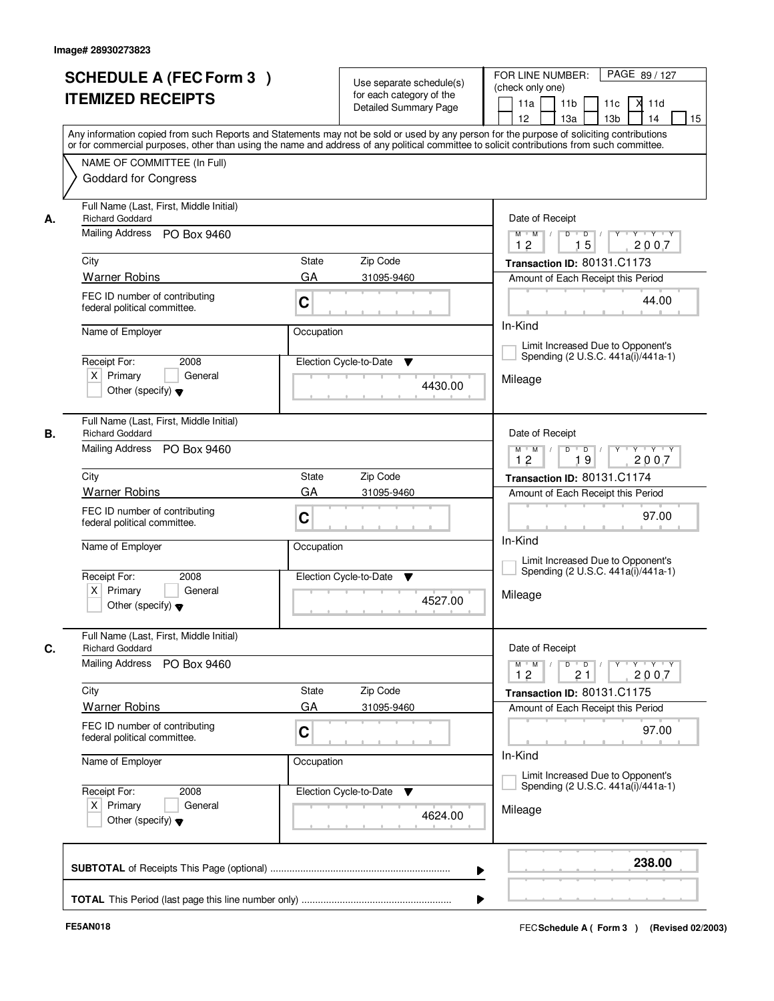| <b>SCHEDULE A (FEC Form 3)</b><br><b>ITEMIZED RECEIPTS</b>                                             | Use separate schedule(s)<br>for each category of the<br><b>Detailed Summary Page</b><br>Any information copied from such Reports and Statements may not be sold or used by any person for the purpose of soliciting contributions | PAGE 89 / 127<br>FOR LINE NUMBER:<br>(check only one)<br>11 <sub>b</sub><br>X<br>11a<br>11c<br>11d<br>13 <sub>b</sub><br>14<br>15<br>12 <sup>2</sup><br>13a                 |
|--------------------------------------------------------------------------------------------------------|-----------------------------------------------------------------------------------------------------------------------------------------------------------------------------------------------------------------------------------|-----------------------------------------------------------------------------------------------------------------------------------------------------------------------------|
| NAME OF COMMITTEE (In Full)<br><b>Goddard for Congress</b>                                             | or for commercial purposes, other than using the name and address of any political committee to solicit contributions from such committee.                                                                                        |                                                                                                                                                                             |
| Full Name (Last, First, Middle Initial)<br><b>Richard Goddard</b><br>А.<br>Mailing Address PO Box 9460 |                                                                                                                                                                                                                                   | Date of Receipt<br>$D$ $D$ $I$<br>$\overline{\mathbf{Y}}$<br>$Y + Y + Y$<br>$M$ $M$ /                                                                                       |
|                                                                                                        |                                                                                                                                                                                                                                   | 12<br>15<br>2007                                                                                                                                                            |
| City                                                                                                   | State<br>Zip Code                                                                                                                                                                                                                 | Transaction ID: 80131.C1173                                                                                                                                                 |
| <b>Warner Robins</b>                                                                                   | GA<br>31095-9460                                                                                                                                                                                                                  | Amount of Each Receipt this Period                                                                                                                                          |
| FEC ID number of contributing<br>federal political committee.                                          | C                                                                                                                                                                                                                                 | 44.00                                                                                                                                                                       |
| Name of Employer                                                                                       | Occupation                                                                                                                                                                                                                        | In-Kind                                                                                                                                                                     |
| Receipt For:<br>2008                                                                                   | Election Cycle-to-Date<br>▼                                                                                                                                                                                                       | Limit Increased Due to Opponent's<br>Spending (2 U.S.C. 441a(i)/441a-1)                                                                                                     |
| $X$ Primary<br>General<br>Other (specify) $\blacktriangledown$                                         | 4430.00                                                                                                                                                                                                                           | Mileage                                                                                                                                                                     |
| Full Name (Last, First, Middle Initial)<br>В.<br><b>Richard Goddard</b>                                |                                                                                                                                                                                                                                   | Date of Receipt                                                                                                                                                             |
| Mailing Address PO Box 9460                                                                            |                                                                                                                                                                                                                                   | D<br>$Y$ <sup>U</sup><br>$Y - Y - Y$<br>$M$ $M$ /<br>$\overline{D}$ /<br>19<br>12<br>2007                                                                                   |
| City                                                                                                   | Zip Code<br>State                                                                                                                                                                                                                 | Transaction ID: 80131.C1174                                                                                                                                                 |
| <b>Warner Robins</b>                                                                                   | GA<br>31095-9460                                                                                                                                                                                                                  | Amount of Each Receipt this Period                                                                                                                                          |
| FEC ID number of contributing<br>federal political committee.                                          | C                                                                                                                                                                                                                                 | 97.00<br>In-Kind                                                                                                                                                            |
| Name of Employer                                                                                       | Occupation                                                                                                                                                                                                                        | Limit Increased Due to Opponent's<br>Spending (2 U.S.C. 441a(i)/441a-1)                                                                                                     |
| Receipt For:<br>2008<br>$X$ Primary<br>General<br>Other (specify) $\blacktriangledown$                 | Election Cycle-to-Date<br>▼<br>4527.00                                                                                                                                                                                            | Mileage                                                                                                                                                                     |
| Full Name (Last, First, Middle Initial)<br>C.<br><b>Richard Goddard</b>                                |                                                                                                                                                                                                                                   | Date of Receipt                                                                                                                                                             |
| <b>Mailing Address</b><br>PO Box 9460                                                                  |                                                                                                                                                                                                                                   | $D$ $D$ $/$<br>$\begin{array}{ccccccccccccc} &\mathsf{Y} &\mathsf{V} &\mathsf{Y} &\mathsf{V} &\mathsf{Y} &\mathsf{V} &\mathsf{Y}\end{array}$<br>$M = M$<br>12<br>21<br>2007 |
| City                                                                                                   | Zip Code<br>State                                                                                                                                                                                                                 | Transaction ID: 80131.C1175                                                                                                                                                 |
| <b>Warner Robins</b>                                                                                   | GA<br>31095-9460                                                                                                                                                                                                                  | Amount of Each Receipt this Period                                                                                                                                          |
| FEC ID number of contributing<br>federal political committee.                                          | C                                                                                                                                                                                                                                 | 97.00                                                                                                                                                                       |
| Name of Employer                                                                                       | Occupation                                                                                                                                                                                                                        | In-Kind<br>Limit Increased Due to Opponent's                                                                                                                                |
| Receipt For:<br>2008<br>$X$ Primary<br>General<br>Other (specify) $\blacktriangledown$                 | Election Cycle-to-Date<br>4624.00                                                                                                                                                                                                 | Spending (2 U.S.C. 441a(i)/441a-1)<br>Mileage                                                                                                                               |
|                                                                                                        |                                                                                                                                                                                                                                   |                                                                                                                                                                             |
|                                                                                                        | ▶                                                                                                                                                                                                                                 | 238.00                                                                                                                                                                      |
|                                                                                                        |                                                                                                                                                                                                                                   |                                                                                                                                                                             |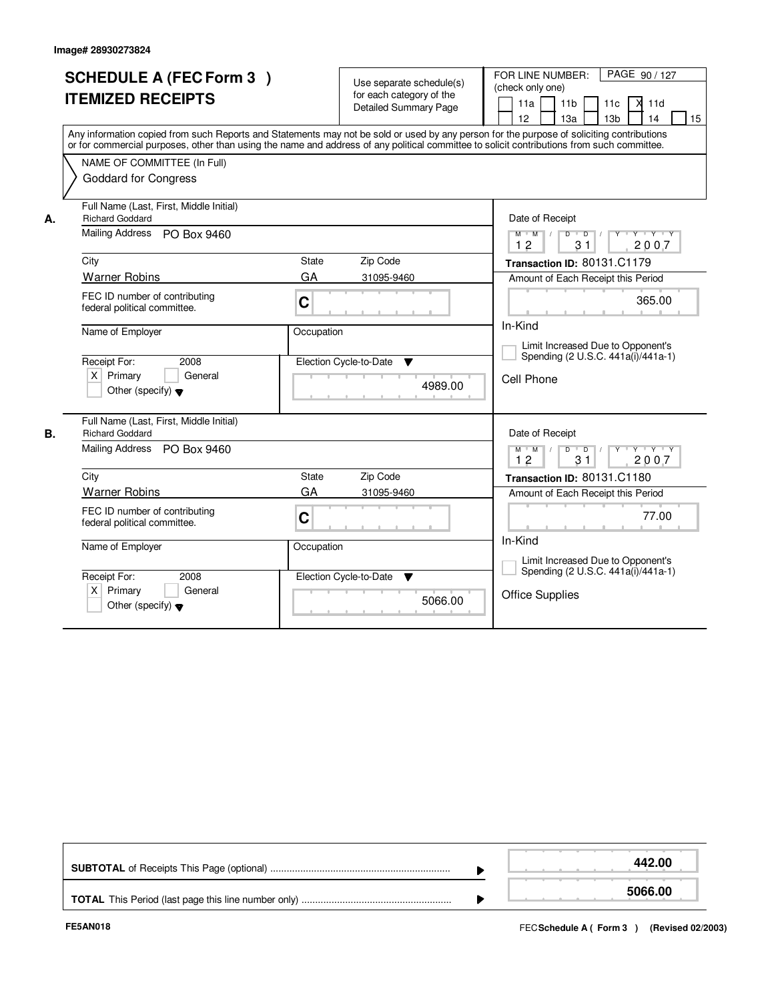|    | <b>SCHEDULE A (FEC Form 3)</b><br><b>ITEMIZED RECEIPTS</b><br>Any information copied from such Reports and Statements may not be sold or used by any person for the purpose of soliciting contributions<br>or for commercial purposes, other than using the name and address of any political committee to solicit contributions from such committee.<br>NAME OF COMMITTEE (In Full)<br><b>Goddard for Congress</b> |                  | Use separate schedule(s)<br>for each category of the<br><b>Detailed Summary Page</b> | PAGE 90/127<br>FOR LINE NUMBER:<br>(check only one)<br>$\times$ 11d<br>11 <sub>b</sub><br>11a<br>11c<br>13a<br>13 <sub>b</sub><br>14<br>12<br>15                                                                    |
|----|---------------------------------------------------------------------------------------------------------------------------------------------------------------------------------------------------------------------------------------------------------------------------------------------------------------------------------------------------------------------------------------------------------------------|------------------|--------------------------------------------------------------------------------------|---------------------------------------------------------------------------------------------------------------------------------------------------------------------------------------------------------------------|
| А. | Full Name (Last, First, Middle Initial)<br><b>Richard Goddard</b><br><b>Mailing Address</b><br>PO Box 9460                                                                                                                                                                                                                                                                                                          |                  |                                                                                      | Date of Receipt<br>$Y + Y + Y$<br>$M$ $M$<br>$\overline{D}$<br>$\overline{D}$<br>$Y^+$<br>12<br>31<br>2007                                                                                                          |
|    | City<br><b>Warner Robins</b><br>FEC ID number of contributing<br>federal political committee.                                                                                                                                                                                                                                                                                                                       | State<br>GA<br>C | Zip Code<br>31095-9460                                                               | Transaction ID: 80131.C1179<br>Amount of Each Receipt this Period<br>365.00                                                                                                                                         |
|    | Name of Employer<br>Receipt For:<br>2008<br>$X$ Primary<br>General<br>Other (specify) $\blacktriangledown$                                                                                                                                                                                                                                                                                                          | Occupation       | Election Cycle-to-Date<br>▼<br>4989.00                                               | In-Kind<br>Limit Increased Due to Opponent's<br>Spending (2 U.S.C. 441a(i)/441a-1)<br>Cell Phone                                                                                                                    |
| В. | Full Name (Last, First, Middle Initial)<br><b>Richard Goddard</b><br>Mailing Address PO Box 9460<br>City<br><b>Warner Robins</b><br>FEC ID number of contributing<br>federal political committee.                                                                                                                                                                                                                   | State<br>GA<br>C | Zip Code<br>31095-9460                                                               | Date of Receipt<br>$\mathsf{Y} \dashv \mathsf{Y} \dashv \mathsf{Y} \dashv \mathsf{Y}$<br>$M$ $M$ /<br>$D$ $D$ $/$<br>12<br>31<br>2007<br>Transaction ID: 80131.C1180<br>Amount of Each Receipt this Period<br>77.00 |
|    | Name of Employer<br>Receipt For:<br>2008<br>$\times$<br>Primary<br>General<br>Other (specify) $\blacktriangledown$                                                                                                                                                                                                                                                                                                  | Occupation       | Election Cycle-to-Date<br>▼<br>5066.00                                               | In-Kind<br>Limit Increased Due to Opponent's<br>Spending (2 U.S.C. 441a(i)/441a-1)<br><b>Office Supplies</b>                                                                                                        |

|  | 442.00  |
|--|---------|
|  | 5066.00 |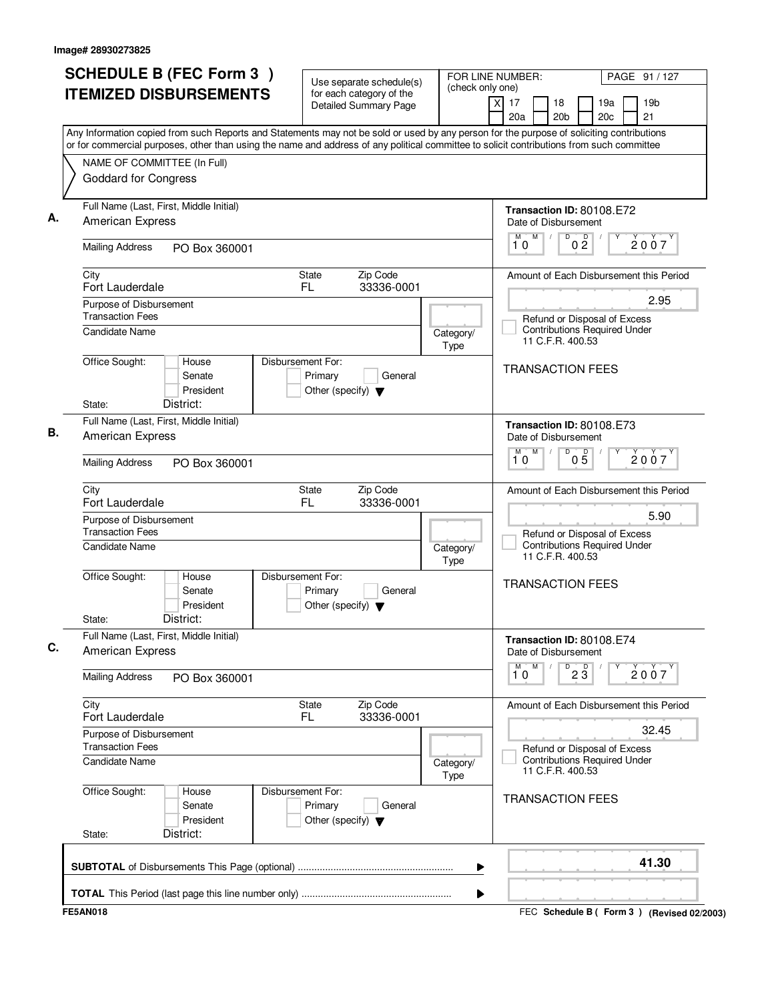| <b>SCHEDULE B (FEC Form 3)</b>                                                                                                                                                                                                                                                         | Use separate schedule(s)                                   | FOR LINE NUMBER:<br>(check only one) | PAGE 91 / 127                                                                               |
|----------------------------------------------------------------------------------------------------------------------------------------------------------------------------------------------------------------------------------------------------------------------------------------|------------------------------------------------------------|--------------------------------------|---------------------------------------------------------------------------------------------|
| <b>ITEMIZED DISBURSEMENTS</b>                                                                                                                                                                                                                                                          | for each category of the<br>Detailed Summary Page          |                                      | xl<br>17<br>18<br>19a<br>19 <sub>b</sub><br>21<br>20a<br>20 <sub>c</sub><br>20 <sub>b</sub> |
| Any Information copied from such Reports and Statements may not be sold or used by any person for the purpose of soliciting contributions<br>or for commercial purposes, other than using the name and address of any political committee to solicit contributions from such committee |                                                            |                                      |                                                                                             |
| NAME OF COMMITTEE (In Full)<br><b>Goddard for Congress</b>                                                                                                                                                                                                                             |                                                            |                                      |                                                                                             |
| Full Name (Last, First, Middle Initial)<br>American Express                                                                                                                                                                                                                            |                                                            |                                      | Transaction ID: 80108.E72<br>Date of Disbursement                                           |
| <b>Mailing Address</b><br>PO Box 360001                                                                                                                                                                                                                                                |                                                            |                                      | D<br>0 <sup>0</sup><br>M<br>М<br>2007<br>10                                                 |
| City<br>Fort Lauderdale                                                                                                                                                                                                                                                                | <b>State</b><br>Zip Code<br>FL<br>33336-0001               |                                      | Amount of Each Disbursement this Period                                                     |
| Purpose of Disbursement<br><b>Transaction Fees</b>                                                                                                                                                                                                                                     |                                                            |                                      | 2.95<br>Refund or Disposal of Excess<br><b>Contributions Required Under</b>                 |
| Candidate Name<br>Office Sought:<br>House                                                                                                                                                                                                                                              | Disbursement For:                                          | Category/<br>Type                    | 11 C.F.R. 400.53                                                                            |
| Senate<br>President<br>District:<br>State:                                                                                                                                                                                                                                             | Primary<br>General<br>Other (specify) $\blacktriangledown$ |                                      | <b>TRANSACTION FEES</b>                                                                     |
| Full Name (Last, First, Middle Initial)<br><b>American Express</b>                                                                                                                                                                                                                     |                                                            |                                      | Transaction ID: 80108.E73<br>Date of Disbursement                                           |
| <b>Mailing Address</b><br>PO Box 360001                                                                                                                                                                                                                                                |                                                            |                                      | D<br>M<br>M<br>$0\overline{5}$<br>2007<br>10                                                |
| City<br>Fort Lauderdale                                                                                                                                                                                                                                                                | Zip Code<br>State<br>FL<br>33336-0001                      |                                      | Amount of Each Disbursement this Period                                                     |
| Purpose of Disbursement<br><b>Transaction Fees</b>                                                                                                                                                                                                                                     |                                                            |                                      | 5.90<br>Refund or Disposal of Excess<br><b>Contributions Required Under</b>                 |
| Candidate Name<br>Office Sought:<br>House                                                                                                                                                                                                                                              | Disbursement For:                                          | Category/<br>Type                    | 11 C.F.R. 400.53                                                                            |
| Senate<br>President<br>District:<br>State:                                                                                                                                                                                                                                             | Primary<br>General<br>Other (specify) $\blacktriangledown$ |                                      | <b>TRANSACTION FEES</b>                                                                     |
| Full Name (Last, First, Middle Initial)<br><b>American Express</b>                                                                                                                                                                                                                     |                                                            |                                      | Transaction ID: 80108.E74<br>Date of Disbursement                                           |
| <b>Mailing Address</b><br>PO Box 360001                                                                                                                                                                                                                                                |                                                            |                                      | M<br>$\overline{23}$<br>М<br>2007<br>10                                                     |
| City<br>Fort Lauderdale                                                                                                                                                                                                                                                                | Zip Code<br>State<br>FL.<br>33336-0001                     |                                      | Amount of Each Disbursement this Period                                                     |
| Purpose of Disbursement<br><b>Transaction Fees</b><br>Candidate Name                                                                                                                                                                                                                   |                                                            |                                      | 32.45<br>Refund or Disposal of Excess<br><b>Contributions Required Under</b>                |
| Office Sought:<br>House                                                                                                                                                                                                                                                                | Disbursement For:                                          | Category/<br>Type                    | 11 C.F.R. 400.53                                                                            |
| Senate<br>President<br>District:<br>State:                                                                                                                                                                                                                                             | Primary<br>General<br>Other (specify) $\blacktriangledown$ |                                      | <b>TRANSACTION FEES</b>                                                                     |
|                                                                                                                                                                                                                                                                                        |                                                            |                                      | 41.30                                                                                       |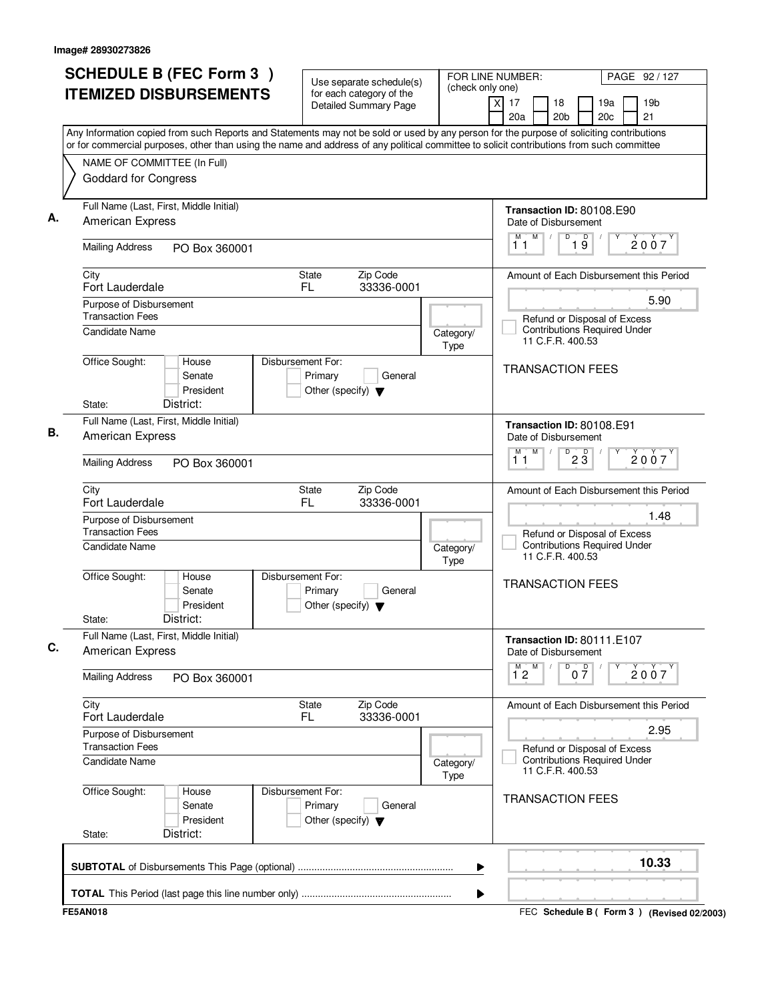| <b>SCHEDULE B (FEC Form 3)</b><br><b>ITEMIZED DISBURSEMENTS</b>                                                                                                                                                                                                                        | Use separate schedule(s)<br>for each category of the                            | (check only one)  | FOR LINE NUMBER:<br>PAGE 92 / 127                                                       |
|----------------------------------------------------------------------------------------------------------------------------------------------------------------------------------------------------------------------------------------------------------------------------------------|---------------------------------------------------------------------------------|-------------------|-----------------------------------------------------------------------------------------|
|                                                                                                                                                                                                                                                                                        | <b>Detailed Summary Page</b>                                                    |                   | $\times$<br>17<br>18<br>19a<br>19 <sub>b</sub><br>20a<br>20 <sub>b</sub><br>20c<br>21   |
| Any Information copied from such Reports and Statements may not be sold or used by any person for the purpose of soliciting contributions<br>or for commercial purposes, other than using the name and address of any political committee to solicit contributions from such committee |                                                                                 |                   |                                                                                         |
| NAME OF COMMITTEE (In Full)                                                                                                                                                                                                                                                            |                                                                                 |                   |                                                                                         |
| <b>Goddard for Congress</b>                                                                                                                                                                                                                                                            |                                                                                 |                   |                                                                                         |
| Full Name (Last, First, Middle Initial)<br><b>American Express</b>                                                                                                                                                                                                                     |                                                                                 |                   | Transaction ID: 80108.E90<br>Date of Disbursement                                       |
| <b>Mailing Address</b><br>PO Box 360001                                                                                                                                                                                                                                                |                                                                                 |                   | M<br>D<br>19<br>M<br>2007<br>11                                                         |
| City<br>Fort Lauderdale                                                                                                                                                                                                                                                                | State<br>Zip Code<br>FL.<br>33336-0001                                          |                   | Amount of Each Disbursement this Period                                                 |
| Purpose of Disbursement                                                                                                                                                                                                                                                                |                                                                                 |                   | 5.90                                                                                    |
| <b>Transaction Fees</b><br>Candidate Name                                                                                                                                                                                                                                              |                                                                                 | Category/<br>Type | Refund or Disposal of Excess<br><b>Contributions Required Under</b><br>11 C.F.R. 400.53 |
| Office Sought:<br>House<br>Senate<br>President<br>District:<br>State:                                                                                                                                                                                                                  | Disbursement For:<br>Primary<br>General<br>Other (specify) $\blacktriangledown$ |                   | <b>TRANSACTION FEES</b>                                                                 |
| Full Name (Last, First, Middle Initial)                                                                                                                                                                                                                                                |                                                                                 |                   |                                                                                         |
| American Express                                                                                                                                                                                                                                                                       |                                                                                 |                   | Transaction ID: 80108.E91<br>Date of Disbursement<br>M<br>D<br>М                        |
| <b>Mailing Address</b><br>PO Box 360001                                                                                                                                                                                                                                                |                                                                                 |                   | $2\overline{3}$<br>2007<br>11                                                           |
| City<br>Fort Lauderdale                                                                                                                                                                                                                                                                | Zip Code<br>State<br>FL<br>33336-0001                                           |                   | Amount of Each Disbursement this Period                                                 |
| Purpose of Disbursement<br><b>Transaction Fees</b>                                                                                                                                                                                                                                     |                                                                                 |                   | 1.48<br>Refund or Disposal of Excess                                                    |
| Candidate Name                                                                                                                                                                                                                                                                         |                                                                                 | Category/<br>Type | <b>Contributions Required Under</b><br>11 C.F.R. 400.53                                 |
| Office Sought:<br>House<br>Senate<br>President<br>District:<br>State:                                                                                                                                                                                                                  | Disbursement For:<br>Primary<br>General<br>Other (specify) $\blacktriangledown$ |                   | <b>TRANSACTION FEES</b>                                                                 |
| Full Name (Last, First, Middle Initial)                                                                                                                                                                                                                                                |                                                                                 |                   | Transaction ID: 80111.E107                                                              |
| <b>American Express</b>                                                                                                                                                                                                                                                                |                                                                                 |                   | Date of Disbursement<br>M<br>D                                                          |
| <b>Mailing Address</b><br>PO Box 360001                                                                                                                                                                                                                                                |                                                                                 |                   | $0\frac{D}{7}$<br>$\overline{1}^M$ 2<br>2007                                            |
| City<br>Fort Lauderdale                                                                                                                                                                                                                                                                | Zip Code<br>State<br>33336-0001<br>FL.                                          |                   | Amount of Each Disbursement this Period                                                 |
| Purpose of Disbursement<br><b>Transaction Fees</b>                                                                                                                                                                                                                                     |                                                                                 |                   | 2.95                                                                                    |
| Candidate Name                                                                                                                                                                                                                                                                         |                                                                                 | Category/<br>Type | Refund or Disposal of Excess<br><b>Contributions Required Under</b><br>11 C.F.R. 400.53 |
| Office Sought:<br>House<br>Senate<br>President<br>District:<br>State:                                                                                                                                                                                                                  | Disbursement For:<br>Primary<br>General<br>Other (specify) $\blacktriangledown$ |                   | <b>TRANSACTION FEES</b>                                                                 |
|                                                                                                                                                                                                                                                                                        |                                                                                 |                   | 10.33                                                                                   |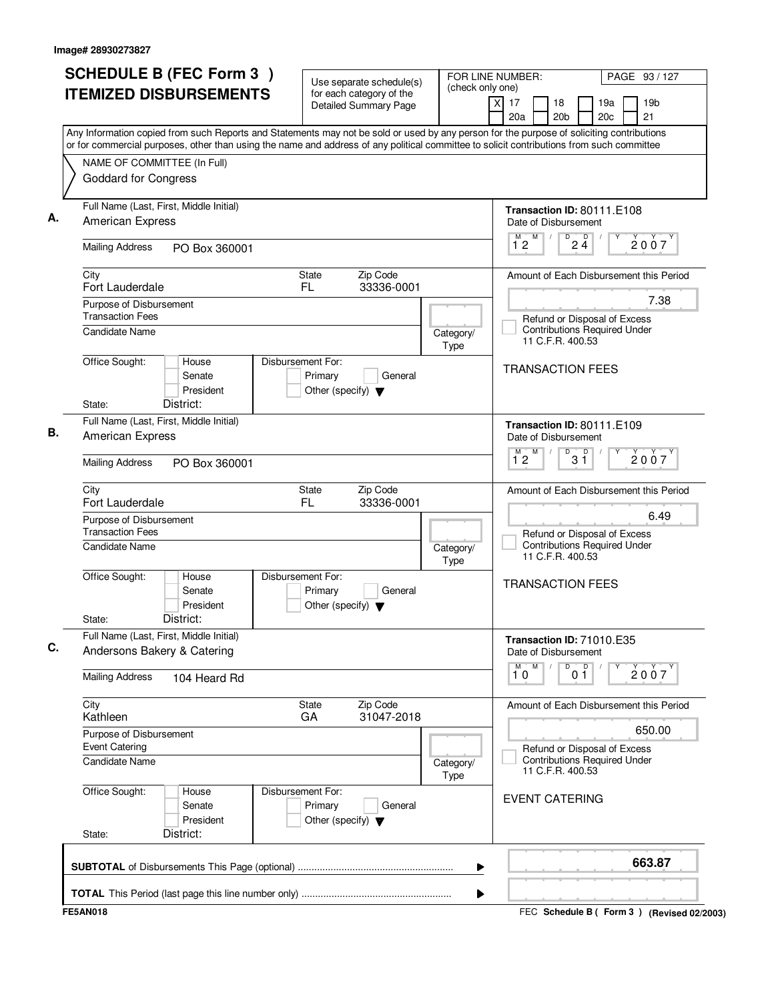| <b>SCHEDULE B (FEC Form 3)</b>                                                                                                                                                                                                                                                         | Use separate schedule(s)                                                        | (check only one)  | FOR LINE NUMBER:<br>PAGE 93 / 127                                                       |
|----------------------------------------------------------------------------------------------------------------------------------------------------------------------------------------------------------------------------------------------------------------------------------------|---------------------------------------------------------------------------------|-------------------|-----------------------------------------------------------------------------------------|
| <b>ITEMIZED DISBURSEMENTS</b>                                                                                                                                                                                                                                                          | for each category of the<br><b>Detailed Summary Page</b>                        |                   | χI<br>17<br>18<br>19a<br>19 <sub>b</sub><br>20a<br>20 <sub>b</sub><br>20c<br>21         |
| Any Information copied from such Reports and Statements may not be sold or used by any person for the purpose of soliciting contributions<br>or for commercial purposes, other than using the name and address of any political committee to solicit contributions from such committee |                                                                                 |                   |                                                                                         |
| NAME OF COMMITTEE (In Full)                                                                                                                                                                                                                                                            |                                                                                 |                   |                                                                                         |
| Goddard for Congress                                                                                                                                                                                                                                                                   |                                                                                 |                   |                                                                                         |
| Full Name (Last, First, Middle Initial)<br><b>American Express</b>                                                                                                                                                                                                                     |                                                                                 |                   | Transaction ID: 80111.E108<br>Date of Disbursement                                      |
| <b>Mailing Address</b><br>PO Box 360001                                                                                                                                                                                                                                                |                                                                                 |                   | $\overline{P}$ 2 $\overline{4}$<br>M<br>M<br>2007<br>$1^{\circ}2$                       |
| City<br>Fort Lauderdale                                                                                                                                                                                                                                                                | <b>State</b><br>Zip Code<br>FL.<br>33336-0001                                   |                   | Amount of Each Disbursement this Period                                                 |
| Purpose of Disbursement                                                                                                                                                                                                                                                                |                                                                                 |                   | 7.38                                                                                    |
| <b>Transaction Fees</b><br><b>Candidate Name</b>                                                                                                                                                                                                                                       |                                                                                 | Category/<br>Type | Refund or Disposal of Excess<br><b>Contributions Required Under</b><br>11 C.F.R. 400.53 |
| Office Sought:<br>House<br>Senate<br>President<br>District:                                                                                                                                                                                                                            | Disbursement For:<br>Primary<br>General<br>Other (specify) $\blacktriangledown$ |                   | <b>TRANSACTION FEES</b>                                                                 |
| State:                                                                                                                                                                                                                                                                                 |                                                                                 |                   |                                                                                         |
| Full Name (Last, First, Middle Initial)<br>American Express                                                                                                                                                                                                                            |                                                                                 |                   | Transaction ID: 80111.E109<br>Date of Disbursement<br>D<br>M<br>M                       |
| <b>Mailing Address</b><br>PO Box 360001                                                                                                                                                                                                                                                |                                                                                 |                   | $3^{\circ}$<br>2007<br>12                                                               |
| City<br>Fort Lauderdale                                                                                                                                                                                                                                                                | Zip Code<br>State<br>FL<br>33336-0001                                           |                   | Amount of Each Disbursement this Period                                                 |
| Purpose of Disbursement<br><b>Transaction Fees</b><br><b>Candidate Name</b>                                                                                                                                                                                                            |                                                                                 | Category/         | 6.49<br>Refund or Disposal of Excess<br><b>Contributions Required Under</b>             |
|                                                                                                                                                                                                                                                                                        |                                                                                 | Type              | 11 C.F.R. 400.53                                                                        |
| Office Sought:<br>House<br>Senate<br>President<br>District:<br>State:                                                                                                                                                                                                                  | Disbursement For:<br>Primary<br>General<br>Other (specify) $\blacktriangledown$ |                   | <b>TRANSACTION FEES</b>                                                                 |
| Full Name (Last, First, Middle Initial)<br>Andersons Bakery & Catering                                                                                                                                                                                                                 |                                                                                 |                   | Transaction ID: 71010.E35<br>Date of Disbursement                                       |
| <b>Mailing Address</b><br>104 Heard Rd                                                                                                                                                                                                                                                 |                                                                                 |                   | $\overline{0}$ $\overline{1}$<br>M<br>M<br>Υ<br>2007<br>10                              |
| City<br>Kathleen                                                                                                                                                                                                                                                                       | Zip Code<br>State<br>31047-2018<br>GA                                           |                   | Amount of Each Disbursement this Period                                                 |
| Purpose of Disbursement                                                                                                                                                                                                                                                                |                                                                                 |                   | 650.00                                                                                  |
| <b>Event Catering</b><br>Candidate Name                                                                                                                                                                                                                                                |                                                                                 | Category/<br>Type | Refund or Disposal of Excess<br><b>Contributions Required Under</b><br>11 C.F.R. 400.53 |
| Office Sought:<br>House<br>Senate<br>President<br>District:<br>State:                                                                                                                                                                                                                  | Disbursement For:<br>Primary<br>General<br>Other (specify) $\blacktriangledown$ |                   | <b>EVENT CATERING</b>                                                                   |
|                                                                                                                                                                                                                                                                                        |                                                                                 |                   | 663.87                                                                                  |
|                                                                                                                                                                                                                                                                                        |                                                                                 | ▶                 |                                                                                         |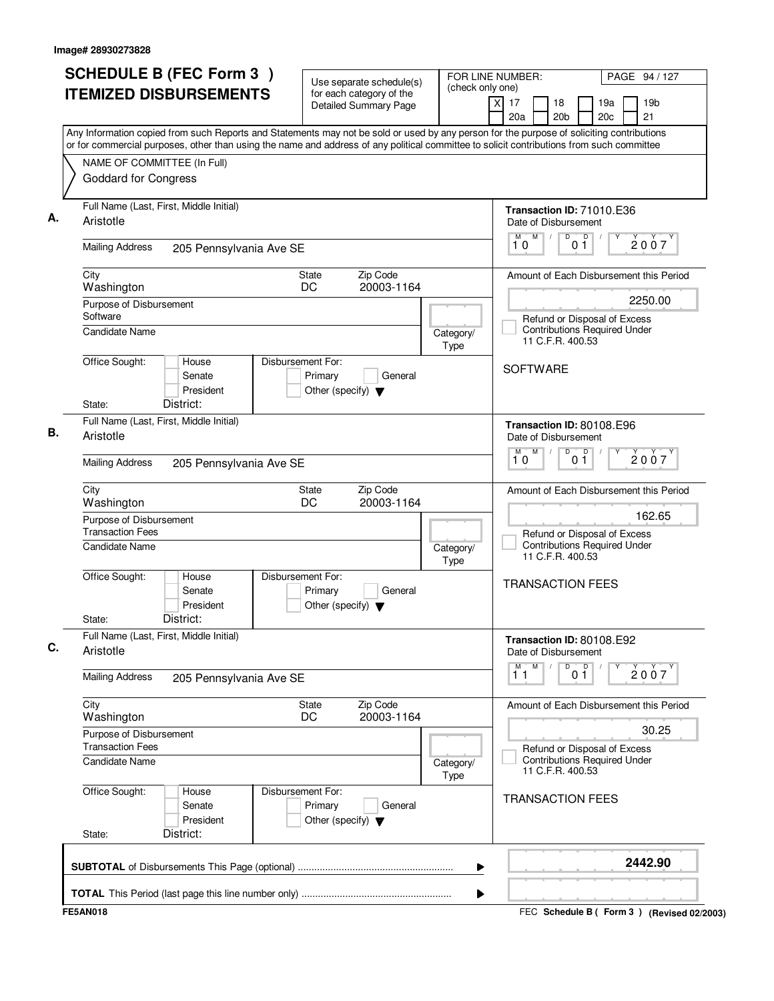| <b>ITEMIZED DISBURSEMENTS</b><br>Any Information copied from such Reports and Statements may not be sold or used by any person for the purpose of soliciting contributions<br>or for commercial purposes, other than using the name and address of any political committee to solicit contributions from such committee<br>NAME OF COMMITTEE (In Full)<br><b>Goddard for Congress</b><br>Full Name (Last, First, Middle Initial)<br>Aristotle<br><b>Mailing Address</b><br>205 Pennsylvania Ave SE<br>City<br><b>State</b><br>DC<br>Washington<br>Purpose of Disbursement<br>Software<br><b>Candidate Name</b><br>Office Sought:<br>Disbursement For:<br>House<br>Senate<br>President | for each category of the<br>Detailed Summary Page<br>Zip Code<br>20003-1164<br>Primary<br>General<br>Other (specify) $\blacktriangledown$ | Category/<br>Type | $\overline{X}$<br>17<br>18<br>19a<br>20 <sub>b</sub><br>20 <sub>c</sub><br>20a<br>Transaction ID: 71010.E36<br>Date of Disbursement<br>M<br>D<br>$\overline{p}$<br>01<br>10<br>Amount of Each Disbursement this Period<br>Refund or Disposal of Excess<br><b>Contributions Required Under</b><br>11 C.F.R. 400.53 | 19 <sub>b</sub><br>21<br>2007<br>2250.00 |
|---------------------------------------------------------------------------------------------------------------------------------------------------------------------------------------------------------------------------------------------------------------------------------------------------------------------------------------------------------------------------------------------------------------------------------------------------------------------------------------------------------------------------------------------------------------------------------------------------------------------------------------------------------------------------------------|-------------------------------------------------------------------------------------------------------------------------------------------|-------------------|-------------------------------------------------------------------------------------------------------------------------------------------------------------------------------------------------------------------------------------------------------------------------------------------------------------------|------------------------------------------|
|                                                                                                                                                                                                                                                                                                                                                                                                                                                                                                                                                                                                                                                                                       |                                                                                                                                           |                   |                                                                                                                                                                                                                                                                                                                   |                                          |
|                                                                                                                                                                                                                                                                                                                                                                                                                                                                                                                                                                                                                                                                                       |                                                                                                                                           |                   |                                                                                                                                                                                                                                                                                                                   |                                          |
|                                                                                                                                                                                                                                                                                                                                                                                                                                                                                                                                                                                                                                                                                       |                                                                                                                                           |                   |                                                                                                                                                                                                                                                                                                                   |                                          |
|                                                                                                                                                                                                                                                                                                                                                                                                                                                                                                                                                                                                                                                                                       |                                                                                                                                           |                   |                                                                                                                                                                                                                                                                                                                   |                                          |
|                                                                                                                                                                                                                                                                                                                                                                                                                                                                                                                                                                                                                                                                                       |                                                                                                                                           |                   |                                                                                                                                                                                                                                                                                                                   |                                          |
|                                                                                                                                                                                                                                                                                                                                                                                                                                                                                                                                                                                                                                                                                       |                                                                                                                                           |                   |                                                                                                                                                                                                                                                                                                                   |                                          |
|                                                                                                                                                                                                                                                                                                                                                                                                                                                                                                                                                                                                                                                                                       |                                                                                                                                           |                   |                                                                                                                                                                                                                                                                                                                   |                                          |
|                                                                                                                                                                                                                                                                                                                                                                                                                                                                                                                                                                                                                                                                                       |                                                                                                                                           |                   |                                                                                                                                                                                                                                                                                                                   |                                          |
|                                                                                                                                                                                                                                                                                                                                                                                                                                                                                                                                                                                                                                                                                       |                                                                                                                                           |                   |                                                                                                                                                                                                                                                                                                                   |                                          |
|                                                                                                                                                                                                                                                                                                                                                                                                                                                                                                                                                                                                                                                                                       |                                                                                                                                           |                   |                                                                                                                                                                                                                                                                                                                   |                                          |
|                                                                                                                                                                                                                                                                                                                                                                                                                                                                                                                                                                                                                                                                                       |                                                                                                                                           |                   |                                                                                                                                                                                                                                                                                                                   |                                          |
|                                                                                                                                                                                                                                                                                                                                                                                                                                                                                                                                                                                                                                                                                       |                                                                                                                                           |                   | <b>SOFTWARE</b>                                                                                                                                                                                                                                                                                                   |                                          |
|                                                                                                                                                                                                                                                                                                                                                                                                                                                                                                                                                                                                                                                                                       |                                                                                                                                           |                   |                                                                                                                                                                                                                                                                                                                   |                                          |
| District:<br>State:                                                                                                                                                                                                                                                                                                                                                                                                                                                                                                                                                                                                                                                                   |                                                                                                                                           |                   |                                                                                                                                                                                                                                                                                                                   |                                          |
| Full Name (Last, First, Middle Initial)                                                                                                                                                                                                                                                                                                                                                                                                                                                                                                                                                                                                                                               |                                                                                                                                           |                   | Transaction ID: 80108.E96                                                                                                                                                                                                                                                                                         |                                          |
| Aristotle                                                                                                                                                                                                                                                                                                                                                                                                                                                                                                                                                                                                                                                                             |                                                                                                                                           |                   | Date of Disbursement                                                                                                                                                                                                                                                                                              |                                          |
| <b>Mailing Address</b><br>205 Pennsylvania Ave SE                                                                                                                                                                                                                                                                                                                                                                                                                                                                                                                                                                                                                                     |                                                                                                                                           |                   | $\overline{D}$<br>M<br>D<br>M<br>10<br>01                                                                                                                                                                                                                                                                         | 2007                                     |
| City<br>State                                                                                                                                                                                                                                                                                                                                                                                                                                                                                                                                                                                                                                                                         | Zip Code                                                                                                                                  |                   | Amount of Each Disbursement this Period                                                                                                                                                                                                                                                                           |                                          |
| DC<br>Washington                                                                                                                                                                                                                                                                                                                                                                                                                                                                                                                                                                                                                                                                      | 20003-1164                                                                                                                                |                   |                                                                                                                                                                                                                                                                                                                   |                                          |
| Purpose of Disbursement<br><b>Transaction Fees</b>                                                                                                                                                                                                                                                                                                                                                                                                                                                                                                                                                                                                                                    |                                                                                                                                           |                   |                                                                                                                                                                                                                                                                                                                   | 162.65                                   |
| Candidate Name                                                                                                                                                                                                                                                                                                                                                                                                                                                                                                                                                                                                                                                                        |                                                                                                                                           | Category/<br>Type | Refund or Disposal of Excess<br><b>Contributions Required Under</b><br>11 C.F.R. 400.53                                                                                                                                                                                                                           |                                          |
| Office Sought:<br>Disbursement For:<br>House<br>Senate<br>President<br>District:<br>State:                                                                                                                                                                                                                                                                                                                                                                                                                                                                                                                                                                                            | Primary<br>General<br>Other (specify) $\blacktriangledown$                                                                                |                   | <b>TRANSACTION FEES</b>                                                                                                                                                                                                                                                                                           |                                          |
| Full Name (Last, First, Middle Initial)<br>Aristotle                                                                                                                                                                                                                                                                                                                                                                                                                                                                                                                                                                                                                                  |                                                                                                                                           |                   | Transaction ID: 80108.E92<br>Date of Disbursement                                                                                                                                                                                                                                                                 |                                          |
| <b>Mailing Address</b><br>205 Pennsylvania Ave SE                                                                                                                                                                                                                                                                                                                                                                                                                                                                                                                                                                                                                                     |                                                                                                                                           |                   | $\begin{bmatrix} 0 & 0 \\ 0 & 1 \end{bmatrix}$<br>M<br>Υ<br>М<br>11                                                                                                                                                                                                                                               | 2007                                     |
| City<br>State<br>DC<br>Washington                                                                                                                                                                                                                                                                                                                                                                                                                                                                                                                                                                                                                                                     | Zip Code<br>20003-1164                                                                                                                    |                   | Amount of Each Disbursement this Period                                                                                                                                                                                                                                                                           |                                          |
| Purpose of Disbursement<br><b>Transaction Fees</b>                                                                                                                                                                                                                                                                                                                                                                                                                                                                                                                                                                                                                                    |                                                                                                                                           |                   | Refund or Disposal of Excess                                                                                                                                                                                                                                                                                      | 30.25                                    |
| <b>Candidate Name</b>                                                                                                                                                                                                                                                                                                                                                                                                                                                                                                                                                                                                                                                                 |                                                                                                                                           | Category/<br>Type | <b>Contributions Required Under</b><br>11 C.F.R. 400.53                                                                                                                                                                                                                                                           |                                          |
| Office Sought:<br>Disbursement For:<br>House<br>Senate<br>President<br>District:<br>State:                                                                                                                                                                                                                                                                                                                                                                                                                                                                                                                                                                                            | Primary<br>General<br>Other (specify) $\blacktriangledown$                                                                                |                   | <b>TRANSACTION FEES</b>                                                                                                                                                                                                                                                                                           |                                          |
|                                                                                                                                                                                                                                                                                                                                                                                                                                                                                                                                                                                                                                                                                       |                                                                                                                                           | ▶                 |                                                                                                                                                                                                                                                                                                                   | 2442.90                                  |
|                                                                                                                                                                                                                                                                                                                                                                                                                                                                                                                                                                                                                                                                                       |                                                                                                                                           | ▶                 |                                                                                                                                                                                                                                                                                                                   |                                          |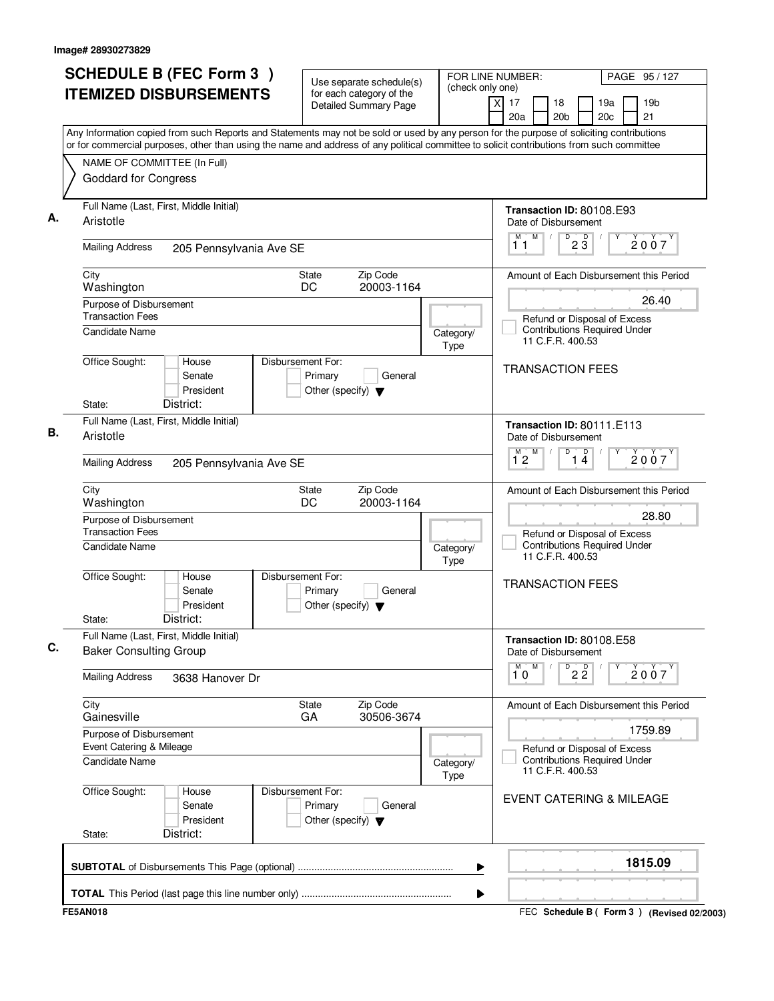| <b>SCHEDULE B (FEC Form 3)</b><br><b>ITEMIZED DISBURSEMENTS</b>                                                                                                                                                                                                                        | Use separate schedule(s)<br>for each category of the                            | FOR LINE NUMBER:<br>(check only one) |                                                                                         | PAGE 95 / 127                               |
|----------------------------------------------------------------------------------------------------------------------------------------------------------------------------------------------------------------------------------------------------------------------------------------|---------------------------------------------------------------------------------|--------------------------------------|-----------------------------------------------------------------------------------------|---------------------------------------------|
|                                                                                                                                                                                                                                                                                        | Detailed Summary Page                                                           |                                      | x<br>17<br>18<br>20a<br>20 <sub>b</sub>                                                 | 19 <sub>b</sub><br>19a<br>20c<br>21         |
| Any Information copied from such Reports and Statements may not be sold or used by any person for the purpose of soliciting contributions<br>or for commercial purposes, other than using the name and address of any political committee to solicit contributions from such committee |                                                                                 |                                      |                                                                                         |                                             |
| NAME OF COMMITTEE (In Full)<br>Goddard for Congress                                                                                                                                                                                                                                    |                                                                                 |                                      |                                                                                         |                                             |
| Full Name (Last, First, Middle Initial)<br>Aristotle                                                                                                                                                                                                                                   |                                                                                 |                                      | Transaction ID: 80108.E93<br>Date of Disbursement                                       |                                             |
| <b>Mailing Address</b><br>205 Pennsylvania Ave SE                                                                                                                                                                                                                                      |                                                                                 |                                      | M<br>$2\overline{3}$<br>М<br>D<br>11                                                    | 2007                                        |
| City<br>Washington                                                                                                                                                                                                                                                                     | Zip Code<br>State<br>20003-1164<br>DC                                           |                                      |                                                                                         | Amount of Each Disbursement this Period     |
| Purpose of Disbursement<br><b>Transaction Fees</b><br><b>Candidate Name</b>                                                                                                                                                                                                            |                                                                                 | Category/                            | Refund or Disposal of Excess<br><b>Contributions Required Under</b><br>11 C.F.R. 400.53 | 26.40                                       |
| Office Sought:<br>House<br>Senate<br>President<br>District:<br>State:                                                                                                                                                                                                                  | Disbursement For:<br>Primary<br>General<br>Other (specify) $\blacktriangledown$ | Type                                 | <b>TRANSACTION FEES</b>                                                                 |                                             |
| Full Name (Last, First, Middle Initial)<br>Aristotle                                                                                                                                                                                                                                   |                                                                                 |                                      | Transaction ID: 80111.E113<br>Date of Disbursement<br>M<br>D<br>M.                      |                                             |
| <b>Mailing Address</b><br>205 Pennsylvania Ave SE                                                                                                                                                                                                                                      |                                                                                 |                                      | $\overline{1\,4}$<br>$1^{\circ}2$                                                       | 2007                                        |
| City<br>Washington                                                                                                                                                                                                                                                                     | Zip Code<br>State<br>DC<br>20003-1164                                           |                                      |                                                                                         | Amount of Each Disbursement this Period     |
| Purpose of Disbursement<br><b>Transaction Fees</b><br>Candidate Name                                                                                                                                                                                                                   |                                                                                 | Category/                            | Refund or Disposal of Excess<br><b>Contributions Required Under</b>                     | 28.80                                       |
| Office Sought:<br>House<br>Senate<br>President<br>District:<br>State:                                                                                                                                                                                                                  | Disbursement For:<br>Primary<br>General<br>Other (specify) $\blacktriangledown$ | Type                                 | 11 C.F.R. 400.53<br><b>TRANSACTION FEES</b>                                             |                                             |
| Full Name (Last, First, Middle Initial)<br><b>Baker Consulting Group</b>                                                                                                                                                                                                               |                                                                                 |                                      | Transaction ID: 80108.E58<br>Date of Disbursement                                       |                                             |
| <b>Mailing Address</b><br>3638 Hanover Dr                                                                                                                                                                                                                                              |                                                                                 |                                      | M.<br>M<br>$^{\circ}$ 2 $^{\circ}$<br>10                                                | 2007                                        |
| City<br>Gainesville                                                                                                                                                                                                                                                                    | Zip Code<br>State<br>30506-3674<br>GA                                           |                                      |                                                                                         | Amount of Each Disbursement this Period     |
| Purpose of Disbursement<br>Event Catering & Mileage                                                                                                                                                                                                                                    |                                                                                 |                                      | Refund or Disposal of Excess                                                            | 1759.89                                     |
| Candidate Name                                                                                                                                                                                                                                                                         |                                                                                 | Category/<br>Type                    | <b>Contributions Required Under</b><br>11 C.F.R. 400.53                                 |                                             |
| Office Sought:<br>House<br>Senate<br>President<br>District:<br>State:                                                                                                                                                                                                                  | Disbursement For:<br>Primary<br>General<br>Other (specify) $\blacktriangledown$ |                                      | <b>EVENT CATERING &amp; MILEAGE</b>                                                     |                                             |
|                                                                                                                                                                                                                                                                                        |                                                                                 | ▶                                    |                                                                                         | 1815.09                                     |
|                                                                                                                                                                                                                                                                                        |                                                                                 | ▶                                    |                                                                                         |                                             |
| <b>FE5AN018</b>                                                                                                                                                                                                                                                                        |                                                                                 |                                      |                                                                                         | FEC Schedule B ( Form 3 ) (Revised 02/2003) |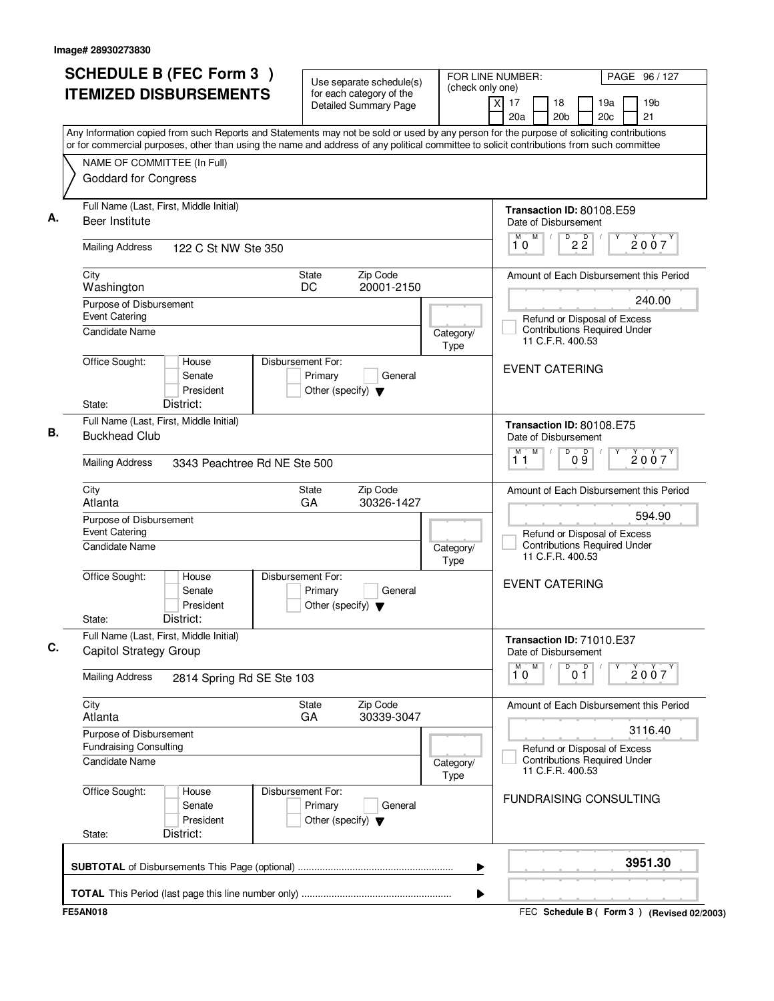| <b>ITEMIZED DISBURSEMENTS</b><br>for each category of the<br>$\overline{x}$<br><b>Detailed Summary Page</b><br>Any Information copied from such Reports and Statements may not be sold or used by any person for the purpose of soliciting contributions<br>or for commercial purposes, other than using the name and address of any political committee to solicit contributions from such committee<br>NAME OF COMMITTEE (In Full)<br><b>Goddard for Congress</b><br>Full Name (Last, First, Middle Initial)<br>Beer Institute<br><b>Mailing Address</b><br>122 C St NW Ste 350<br>City<br>Zip Code<br><b>State</b><br>DC<br>20001-2150<br>Washington<br>Purpose of Disbursement<br><b>Event Catering</b><br>Candidate Name<br>Category/<br>Type<br>Office Sought:<br>Disbursement For:<br>House<br>Senate<br>Primary<br>General<br>President<br>Other (specify) $\blacktriangledown$<br>District:<br>State:<br>Full Name (Last, First, Middle Initial)<br><b>Buckhead Club</b><br><b>Mailing Address</b><br>3343 Peachtree Rd NE Ste 500<br>City<br>Zip Code<br>State<br>GA<br>30326-1427<br>Atlanta<br>Purpose of Disbursement<br><b>Event Catering</b><br>Candidate Name<br>Category/<br>Type<br>Office Sought:<br>Disbursement For:<br>House<br>Senate<br>Primary<br>General<br>President<br>Other (specify) $\blacktriangledown$<br>District:<br>State:<br>Full Name (Last, First, Middle Initial)<br>Capitol Strategy Group<br><b>Mailing Address</b><br>2814 Spring Rd SE Ste 103<br>City<br>Zip Code<br>State<br>GA<br>30339-3047<br>Atlanta<br>Purpose of Disbursement<br><b>Fundraising Consulting</b><br>Candidate Name<br>Category/<br>Type<br>Office Sought:<br>Disbursement For:<br>House<br>Primary<br>General<br>Senate<br>President<br>Other (specify) $\blacktriangledown$<br>District:<br>State: | FOR LINE NUMBER:<br>PAGE 96/127<br>(check only one)                                     |
|-----------------------------------------------------------------------------------------------------------------------------------------------------------------------------------------------------------------------------------------------------------------------------------------------------------------------------------------------------------------------------------------------------------------------------------------------------------------------------------------------------------------------------------------------------------------------------------------------------------------------------------------------------------------------------------------------------------------------------------------------------------------------------------------------------------------------------------------------------------------------------------------------------------------------------------------------------------------------------------------------------------------------------------------------------------------------------------------------------------------------------------------------------------------------------------------------------------------------------------------------------------------------------------------------------------------------------------------------------------------------------------------------------------------------------------------------------------------------------------------------------------------------------------------------------------------------------------------------------------------------------------------------------------------------------------------------------------------------------------------------------------------------------------------------------------------------|-----------------------------------------------------------------------------------------|
|                                                                                                                                                                                                                                                                                                                                                                                                                                                                                                                                                                                                                                                                                                                                                                                                                                                                                                                                                                                                                                                                                                                                                                                                                                                                                                                                                                                                                                                                                                                                                                                                                                                                                                                                                                                                                       | 17<br>18<br>19 <sub>b</sub><br>19a<br>20 <sub>b</sub><br>20 <sub>c</sub><br>21<br>20a   |
|                                                                                                                                                                                                                                                                                                                                                                                                                                                                                                                                                                                                                                                                                                                                                                                                                                                                                                                                                                                                                                                                                                                                                                                                                                                                                                                                                                                                                                                                                                                                                                                                                                                                                                                                                                                                                       |                                                                                         |
|                                                                                                                                                                                                                                                                                                                                                                                                                                                                                                                                                                                                                                                                                                                                                                                                                                                                                                                                                                                                                                                                                                                                                                                                                                                                                                                                                                                                                                                                                                                                                                                                                                                                                                                                                                                                                       |                                                                                         |
|                                                                                                                                                                                                                                                                                                                                                                                                                                                                                                                                                                                                                                                                                                                                                                                                                                                                                                                                                                                                                                                                                                                                                                                                                                                                                                                                                                                                                                                                                                                                                                                                                                                                                                                                                                                                                       |                                                                                         |
|                                                                                                                                                                                                                                                                                                                                                                                                                                                                                                                                                                                                                                                                                                                                                                                                                                                                                                                                                                                                                                                                                                                                                                                                                                                                                                                                                                                                                                                                                                                                                                                                                                                                                                                                                                                                                       | Transaction ID: 80108.E59                                                               |
|                                                                                                                                                                                                                                                                                                                                                                                                                                                                                                                                                                                                                                                                                                                                                                                                                                                                                                                                                                                                                                                                                                                                                                                                                                                                                                                                                                                                                                                                                                                                                                                                                                                                                                                                                                                                                       | Date of Disbursement<br>M                                                               |
|                                                                                                                                                                                                                                                                                                                                                                                                                                                                                                                                                                                                                                                                                                                                                                                                                                                                                                                                                                                                                                                                                                                                                                                                                                                                                                                                                                                                                                                                                                                                                                                                                                                                                                                                                                                                                       | $\overline{2\,2}$<br>2007<br>10                                                         |
|                                                                                                                                                                                                                                                                                                                                                                                                                                                                                                                                                                                                                                                                                                                                                                                                                                                                                                                                                                                                                                                                                                                                                                                                                                                                                                                                                                                                                                                                                                                                                                                                                                                                                                                                                                                                                       | Amount of Each Disbursement this Period                                                 |
|                                                                                                                                                                                                                                                                                                                                                                                                                                                                                                                                                                                                                                                                                                                                                                                                                                                                                                                                                                                                                                                                                                                                                                                                                                                                                                                                                                                                                                                                                                                                                                                                                                                                                                                                                                                                                       | 240.00                                                                                  |
|                                                                                                                                                                                                                                                                                                                                                                                                                                                                                                                                                                                                                                                                                                                                                                                                                                                                                                                                                                                                                                                                                                                                                                                                                                                                                                                                                                                                                                                                                                                                                                                                                                                                                                                                                                                                                       | Refund or Disposal of Excess                                                            |
|                                                                                                                                                                                                                                                                                                                                                                                                                                                                                                                                                                                                                                                                                                                                                                                                                                                                                                                                                                                                                                                                                                                                                                                                                                                                                                                                                                                                                                                                                                                                                                                                                                                                                                                                                                                                                       | <b>Contributions Required Under</b><br>11 C.F.R. 400.53                                 |
|                                                                                                                                                                                                                                                                                                                                                                                                                                                                                                                                                                                                                                                                                                                                                                                                                                                                                                                                                                                                                                                                                                                                                                                                                                                                                                                                                                                                                                                                                                                                                                                                                                                                                                                                                                                                                       |                                                                                         |
|                                                                                                                                                                                                                                                                                                                                                                                                                                                                                                                                                                                                                                                                                                                                                                                                                                                                                                                                                                                                                                                                                                                                                                                                                                                                                                                                                                                                                                                                                                                                                                                                                                                                                                                                                                                                                       | <b>EVENT CATERING</b>                                                                   |
|                                                                                                                                                                                                                                                                                                                                                                                                                                                                                                                                                                                                                                                                                                                                                                                                                                                                                                                                                                                                                                                                                                                                                                                                                                                                                                                                                                                                                                                                                                                                                                                                                                                                                                                                                                                                                       |                                                                                         |
|                                                                                                                                                                                                                                                                                                                                                                                                                                                                                                                                                                                                                                                                                                                                                                                                                                                                                                                                                                                                                                                                                                                                                                                                                                                                                                                                                                                                                                                                                                                                                                                                                                                                                                                                                                                                                       | Transaction ID: 80108.E75                                                               |
|                                                                                                                                                                                                                                                                                                                                                                                                                                                                                                                                                                                                                                                                                                                                                                                                                                                                                                                                                                                                                                                                                                                                                                                                                                                                                                                                                                                                                                                                                                                                                                                                                                                                                                                                                                                                                       | Date of Disbursement                                                                    |
|                                                                                                                                                                                                                                                                                                                                                                                                                                                                                                                                                                                                                                                                                                                                                                                                                                                                                                                                                                                                                                                                                                                                                                                                                                                                                                                                                                                                                                                                                                                                                                                                                                                                                                                                                                                                                       | M<br>D<br>D<br>м<br>2007<br>09<br>11                                                    |
|                                                                                                                                                                                                                                                                                                                                                                                                                                                                                                                                                                                                                                                                                                                                                                                                                                                                                                                                                                                                                                                                                                                                                                                                                                                                                                                                                                                                                                                                                                                                                                                                                                                                                                                                                                                                                       | Amount of Each Disbursement this Period                                                 |
|                                                                                                                                                                                                                                                                                                                                                                                                                                                                                                                                                                                                                                                                                                                                                                                                                                                                                                                                                                                                                                                                                                                                                                                                                                                                                                                                                                                                                                                                                                                                                                                                                                                                                                                                                                                                                       | 594.90                                                                                  |
|                                                                                                                                                                                                                                                                                                                                                                                                                                                                                                                                                                                                                                                                                                                                                                                                                                                                                                                                                                                                                                                                                                                                                                                                                                                                                                                                                                                                                                                                                                                                                                                                                                                                                                                                                                                                                       | Refund or Disposal of Excess                                                            |
|                                                                                                                                                                                                                                                                                                                                                                                                                                                                                                                                                                                                                                                                                                                                                                                                                                                                                                                                                                                                                                                                                                                                                                                                                                                                                                                                                                                                                                                                                                                                                                                                                                                                                                                                                                                                                       | <b>Contributions Required Under</b><br>11 C.F.R. 400.53                                 |
|                                                                                                                                                                                                                                                                                                                                                                                                                                                                                                                                                                                                                                                                                                                                                                                                                                                                                                                                                                                                                                                                                                                                                                                                                                                                                                                                                                                                                                                                                                                                                                                                                                                                                                                                                                                                                       | <b>EVENT CATERING</b>                                                                   |
|                                                                                                                                                                                                                                                                                                                                                                                                                                                                                                                                                                                                                                                                                                                                                                                                                                                                                                                                                                                                                                                                                                                                                                                                                                                                                                                                                                                                                                                                                                                                                                                                                                                                                                                                                                                                                       | Transaction ID: 71010.E37<br>Date of Disbursement                                       |
|                                                                                                                                                                                                                                                                                                                                                                                                                                                                                                                                                                                                                                                                                                                                                                                                                                                                                                                                                                                                                                                                                                                                                                                                                                                                                                                                                                                                                                                                                                                                                                                                                                                                                                                                                                                                                       | M<br>D<br>0 <sup>D</sup><br>Υ<br>м<br>2007<br>10                                        |
|                                                                                                                                                                                                                                                                                                                                                                                                                                                                                                                                                                                                                                                                                                                                                                                                                                                                                                                                                                                                                                                                                                                                                                                                                                                                                                                                                                                                                                                                                                                                                                                                                                                                                                                                                                                                                       | Amount of Each Disbursement this Period                                                 |
|                                                                                                                                                                                                                                                                                                                                                                                                                                                                                                                                                                                                                                                                                                                                                                                                                                                                                                                                                                                                                                                                                                                                                                                                                                                                                                                                                                                                                                                                                                                                                                                                                                                                                                                                                                                                                       | 3116.40                                                                                 |
|                                                                                                                                                                                                                                                                                                                                                                                                                                                                                                                                                                                                                                                                                                                                                                                                                                                                                                                                                                                                                                                                                                                                                                                                                                                                                                                                                                                                                                                                                                                                                                                                                                                                                                                                                                                                                       | Refund or Disposal of Excess<br><b>Contributions Required Under</b><br>11 C.F.R. 400.53 |
|                                                                                                                                                                                                                                                                                                                                                                                                                                                                                                                                                                                                                                                                                                                                                                                                                                                                                                                                                                                                                                                                                                                                                                                                                                                                                                                                                                                                                                                                                                                                                                                                                                                                                                                                                                                                                       | <b>FUNDRAISING CONSULTING</b>                                                           |
| ▶                                                                                                                                                                                                                                                                                                                                                                                                                                                                                                                                                                                                                                                                                                                                                                                                                                                                                                                                                                                                                                                                                                                                                                                                                                                                                                                                                                                                                                                                                                                                                                                                                                                                                                                                                                                                                     | 3951.30                                                                                 |
| ▶                                                                                                                                                                                                                                                                                                                                                                                                                                                                                                                                                                                                                                                                                                                                                                                                                                                                                                                                                                                                                                                                                                                                                                                                                                                                                                                                                                                                                                                                                                                                                                                                                                                                                                                                                                                                                     |                                                                                         |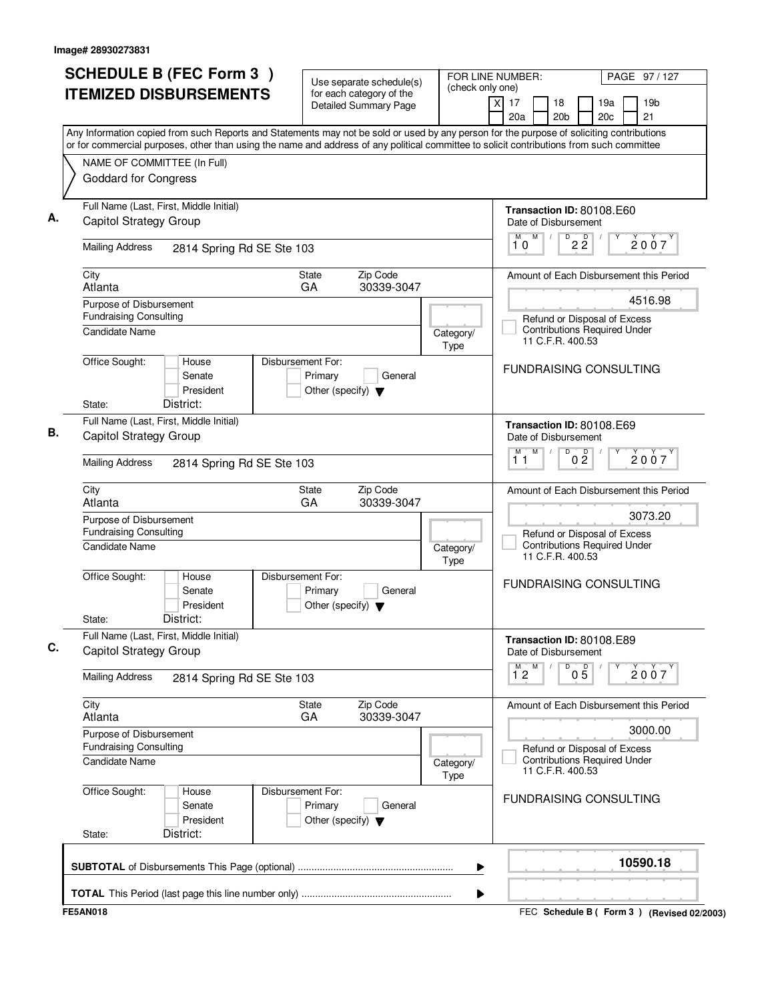| <b>SCHEDULE B (FEC Form 3)</b><br><b>ITEMIZED DISBURSEMENTS</b>                                                                                                                                                                                                                        | Use separate schedule(s)<br>(check only one)<br>for each category of the        |                   | FOR LINE NUMBER:   |                                                                                         | PAGE 97 / 127                   |            |  |                                         |
|----------------------------------------------------------------------------------------------------------------------------------------------------------------------------------------------------------------------------------------------------------------------------------------|---------------------------------------------------------------------------------|-------------------|--------------------|-----------------------------------------------------------------------------------------|---------------------------------|------------|--|-----------------------------------------|
|                                                                                                                                                                                                                                                                                        | <b>Detailed Summary Page</b>                                                    |                   | x<br>17<br>20a     | 18<br>20 <sub>b</sub>                                                                   |                                 | 19a<br>20c |  | 19 <sub>b</sub><br>21                   |
| Any Information copied from such Reports and Statements may not be sold or used by any person for the purpose of soliciting contributions<br>or for commercial purposes, other than using the name and address of any political committee to solicit contributions from such committee |                                                                                 |                   |                    |                                                                                         |                                 |            |  |                                         |
| NAME OF COMMITTEE (In Full)                                                                                                                                                                                                                                                            |                                                                                 |                   |                    |                                                                                         |                                 |            |  |                                         |
| <b>Goddard for Congress</b>                                                                                                                                                                                                                                                            |                                                                                 |                   |                    |                                                                                         |                                 |            |  |                                         |
| Full Name (Last, First, Middle Initial)<br>Capitol Strategy Group                                                                                                                                                                                                                      |                                                                                 |                   |                    | Transaction ID: 80108.E60<br>Date of Disbursement                                       |                                 |            |  |                                         |
| <b>Mailing Address</b><br>2814 Spring Rd SE Ste 103                                                                                                                                                                                                                                    |                                                                                 |                   | M<br>10            | M                                                                                       | $D$ <sub>2</sub> $\overline{2}$ |            |  | 2007                                    |
| City<br>Atlanta                                                                                                                                                                                                                                                                        | Zip Code<br>State<br>GA<br>30339-3047                                           |                   |                    |                                                                                         |                                 |            |  | Amount of Each Disbursement this Period |
| Purpose of Disbursement                                                                                                                                                                                                                                                                |                                                                                 |                   |                    |                                                                                         |                                 |            |  | 4516.98                                 |
| <b>Fundraising Consulting</b><br><b>Candidate Name</b>                                                                                                                                                                                                                                 |                                                                                 | Category/<br>Type |                    | Refund or Disposal of Excess<br><b>Contributions Required Under</b><br>11 C.F.R. 400.53 |                                 |            |  |                                         |
| Office Sought:<br>House<br>Senate<br>President<br>District:<br>State:                                                                                                                                                                                                                  | Disbursement For:<br>Primary<br>General<br>Other (specify) $\blacktriangledown$ |                   |                    | <b>FUNDRAISING CONSULTING</b>                                                           |                                 |            |  |                                         |
| Full Name (Last, First, Middle Initial)                                                                                                                                                                                                                                                |                                                                                 |                   |                    | Transaction ID: 80108.E69                                                               |                                 |            |  |                                         |
| Capitol Strategy Group                                                                                                                                                                                                                                                                 |                                                                                 |                   |                    | Date of Disbursement                                                                    |                                 |            |  |                                         |
| <b>Mailing Address</b><br>2814 Spring Rd SE Ste 103                                                                                                                                                                                                                                    |                                                                                 |                   | м<br>11            | M<br>D                                                                                  | 0 <sup>0</sup>                  |            |  | 2007                                    |
| City<br>Atlanta                                                                                                                                                                                                                                                                        | Zip Code<br>State<br>GA<br>30339-3047                                           |                   |                    |                                                                                         |                                 |            |  | Amount of Each Disbursement this Period |
| Purpose of Disbursement                                                                                                                                                                                                                                                                |                                                                                 |                   |                    |                                                                                         |                                 |            |  | 3073.20                                 |
| <b>Fundraising Consulting</b><br><b>Candidate Name</b>                                                                                                                                                                                                                                 |                                                                                 | Category/<br>Type |                    | Refund or Disposal of Excess<br><b>Contributions Required Under</b><br>11 C.F.R. 400.53 |                                 |            |  |                                         |
| Office Sought:<br>House<br>Senate<br>President<br>District:<br>State:                                                                                                                                                                                                                  | Disbursement For:<br>Primary<br>General<br>Other (specify) $\blacktriangledown$ |                   |                    | <b>FUNDRAISING CONSULTING</b>                                                           |                                 |            |  |                                         |
| Full Name (Last, First, Middle Initial)<br><b>Capitol Strategy Group</b>                                                                                                                                                                                                               |                                                                                 |                   |                    | Transaction ID: 80108.E89<br>Date of Disbursement                                       |                                 |            |  |                                         |
| <b>Mailing Address</b><br>2814 Spring Rd SE Ste 103                                                                                                                                                                                                                                    |                                                                                 |                   | $\overline{1}^M$ 2 | M<br>D                                                                                  | $0\overline{5}$                 | Υ          |  | 2007                                    |
| City<br>Atlanta                                                                                                                                                                                                                                                                        | Zip Code<br>State<br>30339-3047<br>GA                                           |                   |                    |                                                                                         |                                 |            |  | Amount of Each Disbursement this Period |
| Purpose of Disbursement                                                                                                                                                                                                                                                                |                                                                                 |                   |                    |                                                                                         |                                 |            |  | 3000.00                                 |
| <b>Fundraising Consulting</b><br><b>Candidate Name</b>                                                                                                                                                                                                                                 |                                                                                 | Category/<br>Type |                    | Refund or Disposal of Excess<br><b>Contributions Required Under</b><br>11 C.F.R. 400.53 |                                 |            |  |                                         |
| Office Sought:<br>House<br>Senate<br>President<br>District:<br>State:                                                                                                                                                                                                                  | Disbursement For:<br>Primary<br>General<br>Other (specify) $\blacktriangledown$ |                   |                    | <b>FUNDRAISING CONSULTING</b>                                                           |                                 |            |  |                                         |
|                                                                                                                                                                                                                                                                                        |                                                                                 | ▶                 |                    |                                                                                         |                                 |            |  | 10590.18                                |
| <b>FE5AN018</b>                                                                                                                                                                                                                                                                        |                                                                                 | ▶                 |                    | FEC Schedule B (Form 3) (Revised 02/2003)                                               |                                 |            |  |                                         |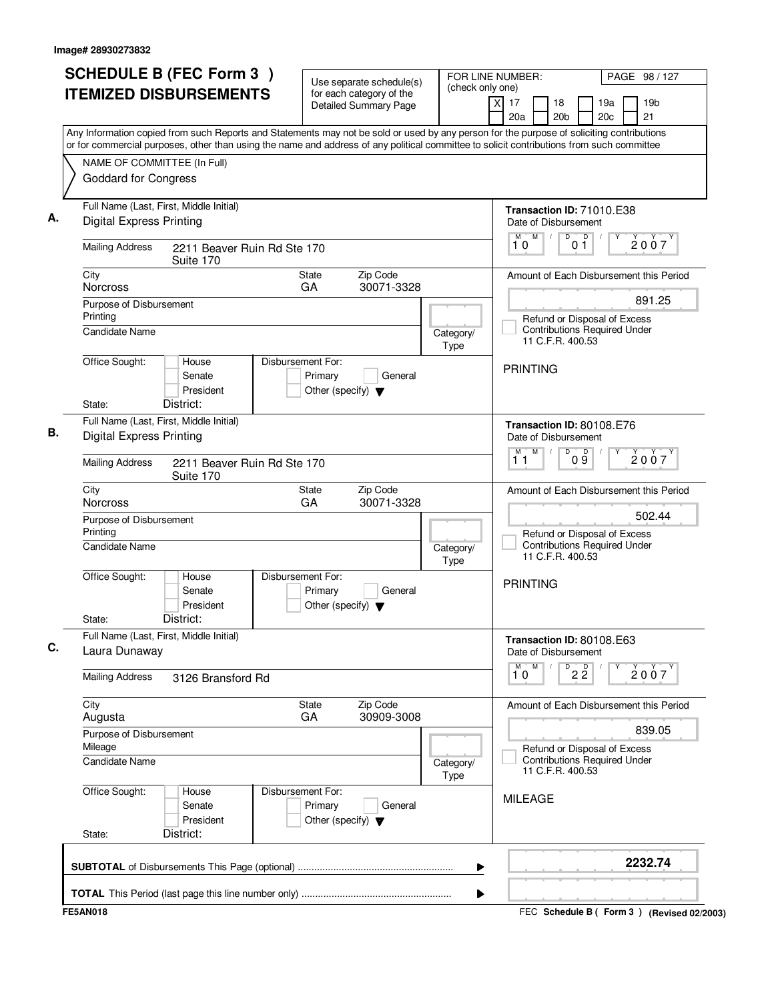| <b>SCHEDULE B (FEC Form 3)</b>                                                                                                                                                                                                                                                         |                              | Use separate schedule(s)                                 | (check only one)  |   | FOR LINE NUMBER:                                  |                                                                                         |                       |                 |            | PAGE 98 / 127 |  |                                           |
|----------------------------------------------------------------------------------------------------------------------------------------------------------------------------------------------------------------------------------------------------------------------------------------|------------------------------|----------------------------------------------------------|-------------------|---|---------------------------------------------------|-----------------------------------------------------------------------------------------|-----------------------|-----------------|------------|---------------|--|-------------------------------------------|
| <b>ITEMIZED DISBURSEMENTS</b>                                                                                                                                                                                                                                                          |                              | for each category of the<br><b>Detailed Summary Page</b> |                   | x | 17<br>20a                                         |                                                                                         | 18<br>20 <sub>b</sub> |                 | 19a<br>20c |               |  | 19 <sub>b</sub><br>21                     |
| Any Information copied from such Reports and Statements may not be sold or used by any person for the purpose of soliciting contributions<br>or for commercial purposes, other than using the name and address of any political committee to solicit contributions from such committee |                              |                                                          |                   |   |                                                   |                                                                                         |                       |                 |            |               |  |                                           |
| NAME OF COMMITTEE (In Full)                                                                                                                                                                                                                                                            |                              |                                                          |                   |   |                                                   |                                                                                         |                       |                 |            |               |  |                                           |
| <b>Goddard for Congress</b>                                                                                                                                                                                                                                                            |                              |                                                          |                   |   |                                                   |                                                                                         |                       |                 |            |               |  |                                           |
| Full Name (Last, First, Middle Initial)<br><b>Digital Express Printing</b>                                                                                                                                                                                                             |                              |                                                          |                   |   | Transaction ID: 71010.E38<br>Date of Disbursement |                                                                                         |                       |                 |            |               |  |                                           |
| <b>Mailing Address</b><br>2211 Beaver Ruin Rd Ste 170<br>Suite 170                                                                                                                                                                                                                     |                              |                                                          |                   |   | 10                                                | M                                                                                       | D                     | D<br>01         |            |               |  | 2007                                      |
| City<br><b>Norcross</b>                                                                                                                                                                                                                                                                | State<br>GA                  | Zip Code<br>30071-3328                                   |                   |   |                                                   |                                                                                         |                       |                 |            |               |  | Amount of Each Disbursement this Period   |
| Purpose of Disbursement                                                                                                                                                                                                                                                                |                              |                                                          |                   |   |                                                   |                                                                                         |                       |                 |            |               |  | 891.25                                    |
| Printing<br><b>Candidate Name</b>                                                                                                                                                                                                                                                      |                              |                                                          | Category/<br>Type |   |                                                   | Refund or Disposal of Excess<br><b>Contributions Required Under</b><br>11 C.F.R. 400.53 |                       |                 |            |               |  |                                           |
| Office Sought:<br>House<br>Senate<br>President<br>District:<br>State:                                                                                                                                                                                                                  | Disbursement For:<br>Primary | General<br>Other (specify) $\blacktriangledown$          |                   |   | <b>PRINTING</b>                                   |                                                                                         |                       |                 |            |               |  |                                           |
| Full Name (Last, First, Middle Initial)                                                                                                                                                                                                                                                |                              |                                                          |                   |   | Transaction ID: 80108.E76                         |                                                                                         |                       |                 |            |               |  |                                           |
| <b>Digital Express Printing</b>                                                                                                                                                                                                                                                        |                              |                                                          |                   |   | Date of Disbursement<br>м                         | M                                                                                       | D                     | 09              |            |               |  | 2007                                      |
| <b>Mailing Address</b><br>2211 Beaver Ruin Rd Ste 170<br>Suite 170                                                                                                                                                                                                                     |                              |                                                          |                   |   | 11                                                |                                                                                         |                       |                 |            |               |  |                                           |
| City<br><b>Norcross</b>                                                                                                                                                                                                                                                                | State<br>GA                  | Zip Code<br>30071-3328                                   |                   |   |                                                   |                                                                                         |                       |                 |            |               |  | Amount of Each Disbursement this Period   |
| Purpose of Disbursement<br>Printing                                                                                                                                                                                                                                                    |                              |                                                          |                   |   |                                                   | Refund or Disposal of Excess                                                            |                       |                 |            |               |  | 502.44                                    |
| <b>Candidate Name</b>                                                                                                                                                                                                                                                                  |                              |                                                          | Category/<br>Type |   |                                                   | <b>Contributions Required Under</b><br>11 C.F.R. 400.53                                 |                       |                 |            |               |  |                                           |
| Office Sought:<br>House<br>Senate<br>President<br>District:<br>State:                                                                                                                                                                                                                  | Disbursement For:<br>Primary | General<br>Other (specify) $\blacktriangledown$          |                   |   | <b>PRINTING</b>                                   |                                                                                         |                       |                 |            |               |  |                                           |
| Full Name (Last, First, Middle Initial)<br>Laura Dunaway                                                                                                                                                                                                                               |                              |                                                          |                   |   | Transaction ID: 80108.E63<br>Date of Disbursement |                                                                                         |                       |                 |            |               |  |                                           |
| <b>Mailing Address</b><br>3126 Bransford Rd                                                                                                                                                                                                                                            |                              |                                                          |                   |   | M<br>10                                           | M                                                                                       |                       | $\overline{22}$ |            | Υ             |  | 2007                                      |
| City<br>Augusta                                                                                                                                                                                                                                                                        | State<br>GA                  | Zip Code<br>30909-3008                                   |                   |   |                                                   |                                                                                         |                       |                 |            |               |  | Amount of Each Disbursement this Period   |
| Purpose of Disbursement                                                                                                                                                                                                                                                                |                              |                                                          |                   |   |                                                   |                                                                                         |                       |                 |            |               |  | 839.05                                    |
| Mileage<br><b>Candidate Name</b>                                                                                                                                                                                                                                                       |                              |                                                          | Category/<br>Type |   |                                                   | Refund or Disposal of Excess<br><b>Contributions Required Under</b><br>11 C.F.R. 400.53 |                       |                 |            |               |  |                                           |
| Office Sought:<br>House<br>Senate<br>President<br>District:<br>State:                                                                                                                                                                                                                  | Disbursement For:<br>Primary | General<br>Other (specify) $\blacktriangledown$          |                   |   | <b>MILEAGE</b>                                    |                                                                                         |                       |                 |            |               |  |                                           |
|                                                                                                                                                                                                                                                                                        |                              |                                                          | ▶                 |   |                                                   |                                                                                         |                       |                 |            |               |  | 2232.74                                   |
|                                                                                                                                                                                                                                                                                        |                              |                                                          | ▶                 |   |                                                   |                                                                                         |                       |                 |            |               |  |                                           |
| <b>FE5AN018</b>                                                                                                                                                                                                                                                                        |                              |                                                          |                   |   |                                                   |                                                                                         |                       |                 |            |               |  | FEC Schedule B (Form 3) (Revised 02/2003) |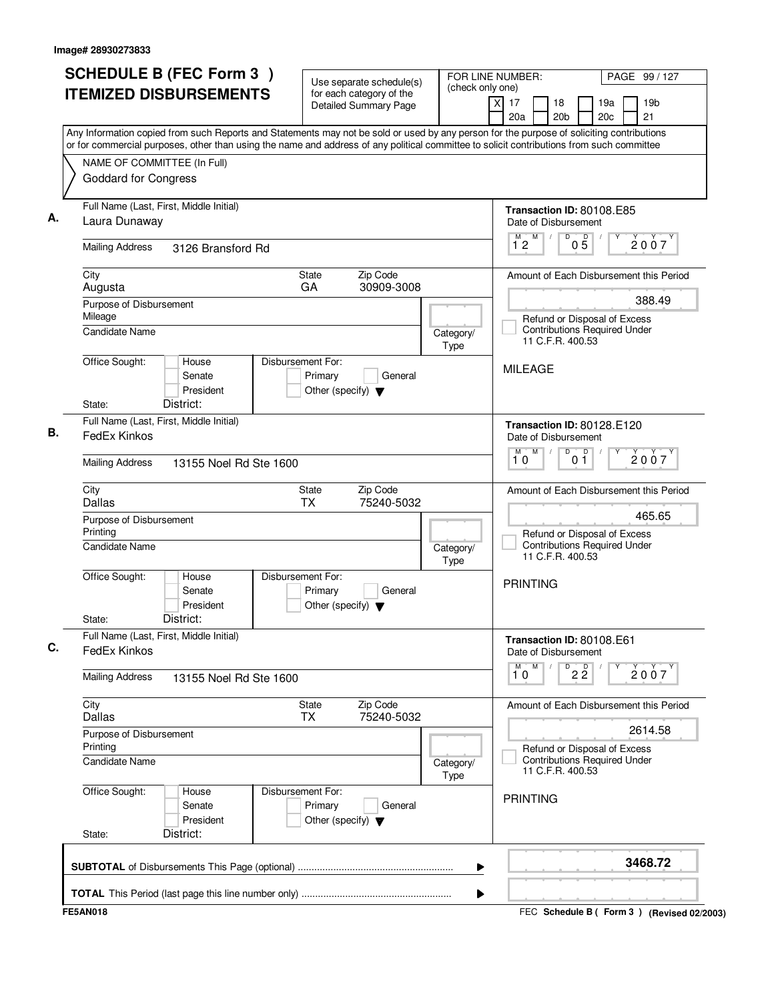| <b>SCHEDULE B (FEC Form 3)</b><br><b>ITEMIZED DISBURSEMENTS</b>                                                                                                                                                                                                                        | Use separate schedule(s)<br>for each category of the                            |                   | FOR LINE NUMBER:<br>PAGE 99 / 127<br>(check only one) |                                                                                         |                 |                        |  |                                             |
|----------------------------------------------------------------------------------------------------------------------------------------------------------------------------------------------------------------------------------------------------------------------------------------|---------------------------------------------------------------------------------|-------------------|-------------------------------------------------------|-----------------------------------------------------------------------------------------|-----------------|------------------------|--|---------------------------------------------|
|                                                                                                                                                                                                                                                                                        | Detailed Summary Page                                                           |                   | $\overline{\mathsf{x}}$<br>17<br>20a                  | 18<br>20 <sub>b</sub>                                                                   |                 | 19a<br>20 <sub>c</sub> |  | 19 <sub>b</sub><br>21                       |
| Any Information copied from such Reports and Statements may not be sold or used by any person for the purpose of soliciting contributions<br>or for commercial purposes, other than using the name and address of any political committee to solicit contributions from such committee |                                                                                 |                   |                                                       |                                                                                         |                 |                        |  |                                             |
| NAME OF COMMITTEE (In Full)                                                                                                                                                                                                                                                            |                                                                                 |                   |                                                       |                                                                                         |                 |                        |  |                                             |
| <b>Goddard for Congress</b>                                                                                                                                                                                                                                                            |                                                                                 |                   |                                                       |                                                                                         |                 |                        |  |                                             |
| Full Name (Last, First, Middle Initial)<br>Laura Dunaway                                                                                                                                                                                                                               |                                                                                 |                   |                                                       | Transaction ID: 80108.E85<br>Date of Disbursement                                       |                 |                        |  |                                             |
| <b>Mailing Address</b><br>3126 Bransford Rd                                                                                                                                                                                                                                            |                                                                                 |                   | M<br>12                                               | D                                                                                       | $0\overline{5}$ |                        |  | 2007                                        |
| City<br>Augusta                                                                                                                                                                                                                                                                        | Zip Code<br>State<br>GA<br>30909-3008                                           |                   |                                                       |                                                                                         |                 |                        |  | Amount of Each Disbursement this Period     |
| Purpose of Disbursement                                                                                                                                                                                                                                                                |                                                                                 |                   |                                                       |                                                                                         |                 |                        |  | 388.49                                      |
| Mileage<br>Candidate Name                                                                                                                                                                                                                                                              |                                                                                 | Category/<br>Type |                                                       | Refund or Disposal of Excess<br><b>Contributions Required Under</b><br>11 C.F.R. 400.53 |                 |                        |  |                                             |
| Office Sought:<br>House<br>Senate<br>President<br>District:<br>State:                                                                                                                                                                                                                  | Disbursement For:<br>Primary<br>General<br>Other (specify) $\blacktriangledown$ |                   | <b>MILEAGE</b>                                        |                                                                                         |                 |                        |  |                                             |
| Full Name (Last, First, Middle Initial)                                                                                                                                                                                                                                                |                                                                                 |                   |                                                       |                                                                                         |                 |                        |  |                                             |
| FedEx Kinkos                                                                                                                                                                                                                                                                           |                                                                                 |                   | M<br>M                                                | Transaction ID: 80128.E120<br>Date of Disbursement<br>D                                 | D               |                        |  | 2007                                        |
| <b>Mailing Address</b><br>13155 Noel Rd Ste 1600                                                                                                                                                                                                                                       |                                                                                 |                   | 10                                                    |                                                                                         | 0 <sub>1</sub>  |                        |  |                                             |
| City<br>Dallas                                                                                                                                                                                                                                                                         | Zip Code<br>State<br><b>TX</b><br>75240-5032                                    |                   |                                                       |                                                                                         |                 |                        |  | Amount of Each Disbursement this Period     |
| Purpose of Disbursement                                                                                                                                                                                                                                                                |                                                                                 |                   |                                                       |                                                                                         |                 |                        |  | 465.65                                      |
| Printing<br><b>Candidate Name</b>                                                                                                                                                                                                                                                      |                                                                                 | Category/<br>Type |                                                       | Refund or Disposal of Excess<br><b>Contributions Required Under</b><br>11 C.F.R. 400.53 |                 |                        |  |                                             |
| Office Sought:<br>House<br>Senate<br>President<br>District:<br>State:                                                                                                                                                                                                                  | Disbursement For:<br>Primary<br>General<br>Other (specify) $\blacktriangledown$ |                   | <b>PRINTING</b>                                       |                                                                                         |                 |                        |  |                                             |
| Full Name (Last, First, Middle Initial)<br>FedEx Kinkos                                                                                                                                                                                                                                |                                                                                 |                   |                                                       | Transaction ID: 80108.E61<br>Date of Disbursement                                       |                 |                        |  |                                             |
| <b>Mailing Address</b><br>13155 Noel Rd Ste 1600                                                                                                                                                                                                                                       |                                                                                 |                   | M<br>10                                               |                                                                                         | $\overline{22}$ | Υ                      |  | 2007                                        |
| City<br><b>Dallas</b>                                                                                                                                                                                                                                                                  | Zip Code<br>State<br>75240-5032<br><b>TX</b>                                    |                   |                                                       |                                                                                         |                 |                        |  | Amount of Each Disbursement this Period     |
| Purpose of Disbursement                                                                                                                                                                                                                                                                |                                                                                 |                   |                                                       |                                                                                         |                 |                        |  | 2614.58                                     |
| Printing<br><b>Candidate Name</b>                                                                                                                                                                                                                                                      |                                                                                 | Category/<br>Type |                                                       | Refund or Disposal of Excess<br><b>Contributions Required Under</b><br>11 C.F.R. 400.53 |                 |                        |  |                                             |
| Office Sought:<br>House<br>Senate<br>President<br>District:<br>State:                                                                                                                                                                                                                  | Disbursement For:<br>Primary<br>General<br>Other (specify) $\blacktriangledown$ |                   | <b>PRINTING</b>                                       |                                                                                         |                 |                        |  |                                             |
|                                                                                                                                                                                                                                                                                        |                                                                                 | ▶                 |                                                       |                                                                                         |                 |                        |  | 3468.72                                     |
|                                                                                                                                                                                                                                                                                        |                                                                                 | ▶                 |                                                       |                                                                                         |                 |                        |  |                                             |
| <b>FE5AN018</b>                                                                                                                                                                                                                                                                        |                                                                                 |                   |                                                       |                                                                                         |                 |                        |  | FEC Schedule B ( Form 3 ) (Revised 02/2003) |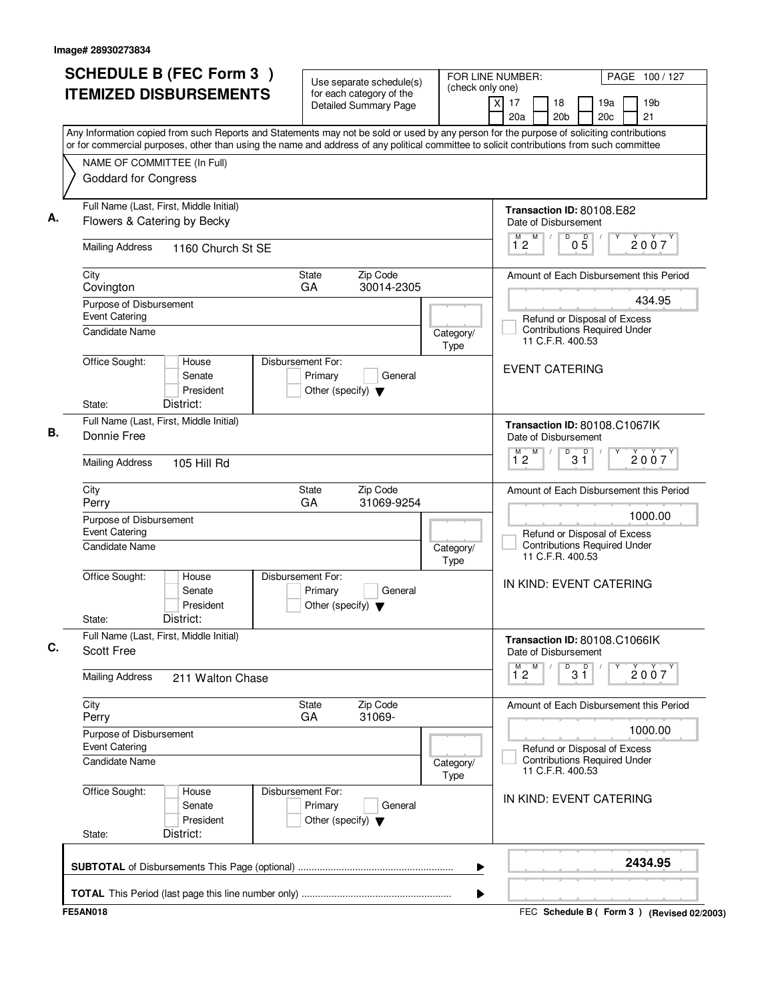| <b>SCHEDULE B (FEC Form 3)</b><br><b>ITEMIZED DISBURSEMENTS</b>                                                                                                                                                                                                                        | Use separate schedule(s)<br>for each category of the<br><b>Detailed Summary Page</b> | FOR LINE NUMBER:<br>(check only one) | $\overline{\mathsf{x}}$<br>17<br>18                   | PAGE 100/127<br>19 <sub>b</sub><br>19a                              |
|----------------------------------------------------------------------------------------------------------------------------------------------------------------------------------------------------------------------------------------------------------------------------------------|--------------------------------------------------------------------------------------|--------------------------------------|-------------------------------------------------------|---------------------------------------------------------------------|
|                                                                                                                                                                                                                                                                                        |                                                                                      |                                      | 20 <sub>b</sub><br>20a                                | 20 <sub>c</sub><br>21                                               |
| Any Information copied from such Reports and Statements may not be sold or used by any person for the purpose of soliciting contributions<br>or for commercial purposes, other than using the name and address of any political committee to solicit contributions from such committee |                                                                                      |                                      |                                                       |                                                                     |
| NAME OF COMMITTEE (In Full)                                                                                                                                                                                                                                                            |                                                                                      |                                      |                                                       |                                                                     |
| <b>Goddard for Congress</b>                                                                                                                                                                                                                                                            |                                                                                      |                                      |                                                       |                                                                     |
| Full Name (Last, First, Middle Initial)                                                                                                                                                                                                                                                |                                                                                      |                                      | Transaction ID: 80108.E82                             |                                                                     |
| Flowers & Catering by Becky                                                                                                                                                                                                                                                            |                                                                                      |                                      | Date of Disbursement<br>M<br>D                        |                                                                     |
| <b>Mailing Address</b><br>1160 Church St SE                                                                                                                                                                                                                                            |                                                                                      |                                      | $0\overline{5}$<br>12                                 | 2007                                                                |
| City                                                                                                                                                                                                                                                                                   | Zip Code<br>State<br>GA                                                              |                                      |                                                       | Amount of Each Disbursement this Period                             |
| Covington<br>Purpose of Disbursement                                                                                                                                                                                                                                                   | 30014-2305                                                                           |                                      |                                                       | 434.95                                                              |
| <b>Event Catering</b>                                                                                                                                                                                                                                                                  |                                                                                      |                                      | Refund or Disposal of Excess                          |                                                                     |
| <b>Candidate Name</b>                                                                                                                                                                                                                                                                  |                                                                                      | Category/<br>Type                    | 11 C.F.R. 400.53                                      | <b>Contributions Required Under</b>                                 |
| Office Sought:<br>House<br>Senate<br>President                                                                                                                                                                                                                                         | Disbursement For:<br>Primary<br>General<br>Other (specify) $\blacktriangledown$      |                                      | <b>EVENT CATERING</b>                                 |                                                                     |
| District:<br>State:                                                                                                                                                                                                                                                                    |                                                                                      |                                      |                                                       |                                                                     |
| Full Name (Last, First, Middle Initial)<br>Donnie Free                                                                                                                                                                                                                                 |                                                                                      |                                      | Transaction ID: 80108.C1067lK<br>Date of Disbursement |                                                                     |
| <b>Mailing Address</b><br>105 Hill Rd                                                                                                                                                                                                                                                  |                                                                                      |                                      | M<br>D<br>$3^{\circ}$<br>M.<br>$1^{\circ}2$           | 2007                                                                |
| City<br>Perry                                                                                                                                                                                                                                                                          | Zip Code<br>State<br>GA<br>31069-9254                                                |                                      |                                                       | Amount of Each Disbursement this Period                             |
| Purpose of Disbursement                                                                                                                                                                                                                                                                |                                                                                      |                                      |                                                       | 1000.00                                                             |
| <b>Event Catering</b><br><b>Candidate Name</b>                                                                                                                                                                                                                                         |                                                                                      | Category/<br>Type                    | Refund or Disposal of Excess<br>11 C.F.R. 400.53      | <b>Contributions Required Under</b>                                 |
| Office Sought:<br>House<br>Senate<br>President<br>District:<br>State:                                                                                                                                                                                                                  | Disbursement For:<br>Primary<br>General<br>Other (specify) $\blacktriangledown$      |                                      | IN KIND: EVENT CATERING                               |                                                                     |
| Full Name (Last, First, Middle Initial)<br>Scott Free                                                                                                                                                                                                                                  |                                                                                      |                                      | Transaction ID: 80108.C1066IK<br>Date of Disbursement |                                                                     |
| <b>Mailing Address</b><br>211 Walton Chase                                                                                                                                                                                                                                             |                                                                                      |                                      | $\overline{1}^M$ 2<br>M<br>$3^{\circ}$<br>D           | 2007                                                                |
| City<br>Perry                                                                                                                                                                                                                                                                          | Zip Code<br>State<br>31069-<br>GA                                                    |                                      |                                                       | Amount of Each Disbursement this Period                             |
| Purpose of Disbursement<br><b>Event Catering</b>                                                                                                                                                                                                                                       |                                                                                      |                                      |                                                       | 1000.00                                                             |
| <b>Candidate Name</b>                                                                                                                                                                                                                                                                  |                                                                                      | Category/<br>Type                    | 11 C.F.R. 400.53                                      | Refund or Disposal of Excess<br><b>Contributions Required Under</b> |
| Office Sought:<br>House<br>Senate<br>President<br>District:<br>State:                                                                                                                                                                                                                  | Disbursement For:<br>Primary<br>General<br>Other (specify) $\blacktriangledown$      |                                      | IN KIND: EVENT CATERING                               |                                                                     |
|                                                                                                                                                                                                                                                                                        |                                                                                      |                                      |                                                       | 2434.95                                                             |
|                                                                                                                                                                                                                                                                                        |                                                                                      | ▶                                    |                                                       |                                                                     |
| <b>FE5AN018</b>                                                                                                                                                                                                                                                                        |                                                                                      |                                      |                                                       | FEC Schedule B ( Form 3 ) (Revised 02/2003)                         |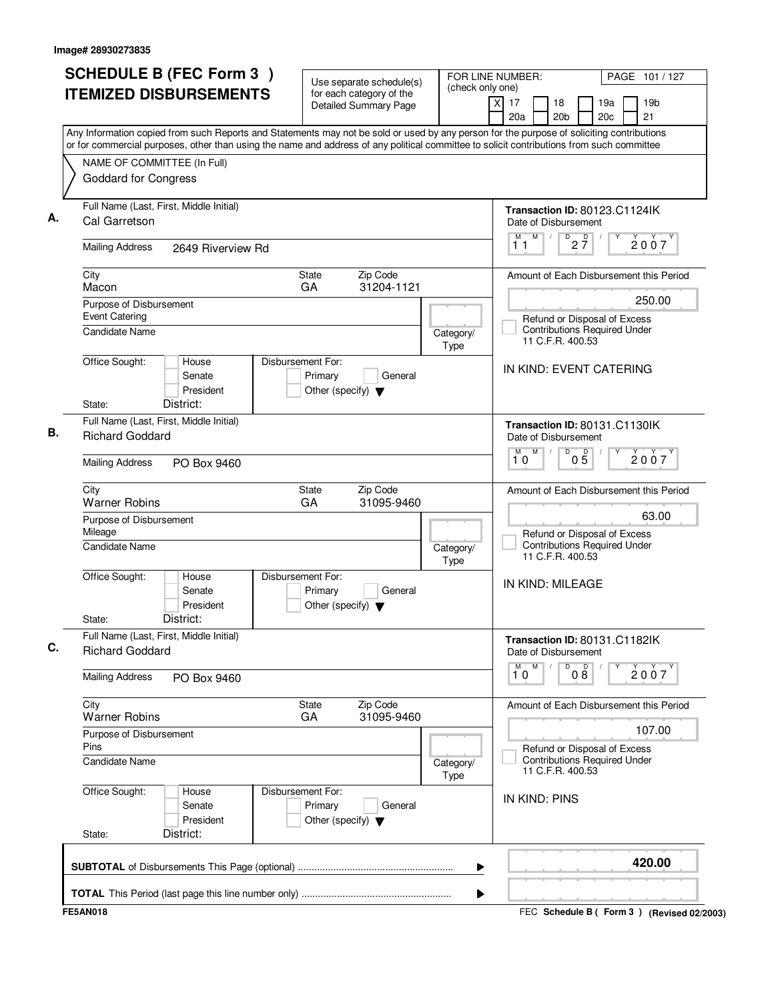| <b>SCHEDULE B (FEC Form 3)</b>                                                                                                                                                                                                                                                         | Use separate schedule(s)                                                        |                   | FOR LINE NUMBER:<br>PAGE 101 / 127                                                      |
|----------------------------------------------------------------------------------------------------------------------------------------------------------------------------------------------------------------------------------------------------------------------------------------|---------------------------------------------------------------------------------|-------------------|-----------------------------------------------------------------------------------------|
| <b>ITEMIZED DISBURSEMENTS</b>                                                                                                                                                                                                                                                          | for each category of the<br><b>Detailed Summary Page</b>                        | (check only one)  | xl<br>17<br>18<br>19a<br>19 <sub>b</sub><br>20a<br>20 <sub>b</sub><br>20c<br>21         |
| Any Information copied from such Reports and Statements may not be sold or used by any person for the purpose of soliciting contributions<br>or for commercial purposes, other than using the name and address of any political committee to solicit contributions from such committee |                                                                                 |                   |                                                                                         |
| NAME OF COMMITTEE (In Full)                                                                                                                                                                                                                                                            |                                                                                 |                   |                                                                                         |
| <b>Goddard for Congress</b>                                                                                                                                                                                                                                                            |                                                                                 |                   |                                                                                         |
| Full Name (Last, First, Middle Initial)<br>Cal Garretson                                                                                                                                                                                                                               |                                                                                 |                   | Transaction ID: 80123.C1124lK<br>Date of Disbursement<br>M<br>M                         |
| <b>Mailing Address</b><br>2649 Riverview Rd                                                                                                                                                                                                                                            |                                                                                 |                   | $D$ <sub>2</sub> $\frac{D}{7}$<br>2007<br>11                                            |
| City<br>Macon                                                                                                                                                                                                                                                                          | Zip Code<br><b>State</b><br>GA<br>31204-1121                                    |                   | Amount of Each Disbursement this Period                                                 |
| Purpose of Disbursement                                                                                                                                                                                                                                                                |                                                                                 |                   | 250.00                                                                                  |
| <b>Event Catering</b><br>Candidate Name                                                                                                                                                                                                                                                |                                                                                 | Category/<br>Type | Refund or Disposal of Excess<br><b>Contributions Required Under</b><br>11 C.F.R. 400.53 |
| Office Sought:<br>House<br>Senate<br>President                                                                                                                                                                                                                                         | Disbursement For:<br>Primary<br>General<br>Other (specify) $\blacktriangledown$ |                   | IN KIND: EVENT CATERING                                                                 |
| District:<br>State:                                                                                                                                                                                                                                                                    |                                                                                 |                   |                                                                                         |
| Full Name (Last, First, Middle Initial)<br><b>Richard Goddard</b>                                                                                                                                                                                                                      |                                                                                 |                   | Transaction ID: 80131.C1130IK<br>Date of Disbursement                                   |
| <b>Mailing Address</b><br>PO Box 9460                                                                                                                                                                                                                                                  |                                                                                 |                   | $\overline{D}$<br>M<br>м<br>$0\overline{5}$<br>2007<br>10                               |
| City<br><b>Warner Robins</b>                                                                                                                                                                                                                                                           | Zip Code<br><b>State</b><br>GA<br>31095-9460                                    |                   | Amount of Each Disbursement this Period                                                 |
| Purpose of Disbursement<br>Mileage                                                                                                                                                                                                                                                     |                                                                                 |                   | 63.00<br>Refund or Disposal of Excess                                                   |
| Candidate Name                                                                                                                                                                                                                                                                         |                                                                                 | Category/<br>Type | <b>Contributions Required Under</b><br>11 C.F.R. 400.53                                 |
| Office Sought:<br>House<br>Senate<br>President<br>District:<br>State:                                                                                                                                                                                                                  | Disbursement For:<br>Primary<br>General<br>Other (specify) $\blacktriangledown$ |                   | IN KIND: MILEAGE                                                                        |
| Full Name (Last, First, Middle Initial)<br><b>Richard Goddard</b>                                                                                                                                                                                                                      |                                                                                 |                   | Transaction ID: 80131.C1182lK<br>Date of Disbursement                                   |
| <b>Mailing Address</b><br>PO Box 9460                                                                                                                                                                                                                                                  |                                                                                 |                   | 000<br>$1^M$ 0<br>M<br>Υ<br>2007                                                        |
| City                                                                                                                                                                                                                                                                                   | Zip Code<br>State                                                               |                   | Amount of Each Disbursement this Period                                                 |
| <b>Warner Robins</b>                                                                                                                                                                                                                                                                   | GA<br>31095-9460                                                                |                   | 107.00                                                                                  |
| Purpose of Disbursement<br>Pins                                                                                                                                                                                                                                                        |                                                                                 |                   | Refund or Disposal of Excess                                                            |
| <b>Candidate Name</b>                                                                                                                                                                                                                                                                  |                                                                                 | Category/<br>Type | <b>Contributions Required Under</b><br>11 C.F.R. 400.53                                 |
| Office Sought:<br>House<br>Senate<br>President                                                                                                                                                                                                                                         | Disbursement For:<br>Primary<br>General<br>Other (specify) $\blacktriangledown$ |                   | IN KIND: PINS                                                                           |
| District:<br>State:                                                                                                                                                                                                                                                                    |                                                                                 |                   |                                                                                         |
|                                                                                                                                                                                                                                                                                        |                                                                                 | ▶                 | 420.00                                                                                  |
|                                                                                                                                                                                                                                                                                        |                                                                                 |                   |                                                                                         |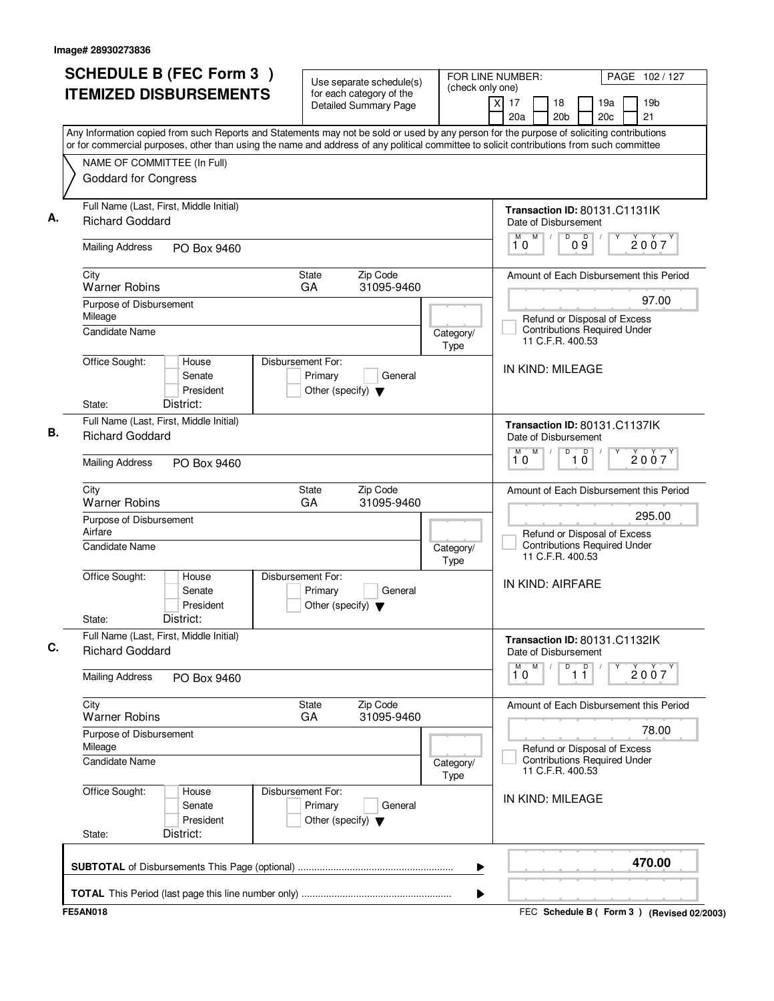| <b>SCHEDULE B (FEC Form 3)</b>                                                                                                                                                                                                                                                         | Use separate schedule(s)                                                        |                   | FOR LINE NUMBER:<br>PAGE 102 / 127<br>(check only one)                                  |
|----------------------------------------------------------------------------------------------------------------------------------------------------------------------------------------------------------------------------------------------------------------------------------------|---------------------------------------------------------------------------------|-------------------|-----------------------------------------------------------------------------------------|
| <b>ITEMIZED DISBURSEMENTS</b>                                                                                                                                                                                                                                                          | for each category of the<br><b>Detailed Summary Page</b>                        |                   | 19 <sub>b</sub><br>xl<br>17<br>18<br>19a<br>21<br>20a<br>20 <sub>b</sub><br>20c         |
| Any Information copied from such Reports and Statements may not be sold or used by any person for the purpose of soliciting contributions<br>or for commercial purposes, other than using the name and address of any political committee to solicit contributions from such committee |                                                                                 |                   |                                                                                         |
| NAME OF COMMITTEE (In Full)                                                                                                                                                                                                                                                            |                                                                                 |                   |                                                                                         |
| <b>Goddard for Congress</b>                                                                                                                                                                                                                                                            |                                                                                 |                   |                                                                                         |
| Full Name (Last, First, Middle Initial)<br><b>Richard Goddard</b>                                                                                                                                                                                                                      |                                                                                 |                   | Transaction ID: 80131.C1131IK<br>Date of Disbursement                                   |
| <b>Mailing Address</b><br>PO Box 9460                                                                                                                                                                                                                                                  |                                                                                 |                   | D<br>M<br>D<br>M<br>2007<br>09<br>10                                                    |
| City<br><b>Warner Robins</b>                                                                                                                                                                                                                                                           | State<br>Zip Code<br>31095-9460<br>GA                                           |                   | Amount of Each Disbursement this Period                                                 |
| Purpose of Disbursement                                                                                                                                                                                                                                                                |                                                                                 |                   | 97.00                                                                                   |
| Mileage<br><b>Candidate Name</b>                                                                                                                                                                                                                                                       |                                                                                 | Category/<br>Type | Refund or Disposal of Excess<br><b>Contributions Required Under</b><br>11 C.F.R. 400.53 |
| Office Sought:<br>House<br>Senate<br>President                                                                                                                                                                                                                                         | Disbursement For:<br>Primary<br>General<br>Other (specify) $\blacktriangledown$ |                   | IN KIND: MILEAGE                                                                        |
| District:<br>State:                                                                                                                                                                                                                                                                    |                                                                                 |                   |                                                                                         |
| Full Name (Last, First, Middle Initial)<br><b>Richard Goddard</b>                                                                                                                                                                                                                      |                                                                                 |                   | Transaction ID: 80131.C1137lK<br>Date of Disbursement                                   |
| <b>Mailing Address</b><br>PO Box 9460                                                                                                                                                                                                                                                  |                                                                                 |                   | $\overline{D}$<br>M<br>$\overline{1}$ $\overline{0}$<br>M<br>2007<br>10                 |
| City<br><b>Warner Robins</b>                                                                                                                                                                                                                                                           | State<br>Zip Code<br>GA<br>31095-9460                                           |                   | Amount of Each Disbursement this Period                                                 |
| Purpose of Disbursement<br>Airfare                                                                                                                                                                                                                                                     |                                                                                 |                   | 295.00                                                                                  |
| <b>Candidate Name</b>                                                                                                                                                                                                                                                                  |                                                                                 | Category/<br>Type | Refund or Disposal of Excess<br><b>Contributions Required Under</b><br>11 C.F.R. 400.53 |
| Office Sought:<br>House<br>Senate<br>President<br>District:<br>State:                                                                                                                                                                                                                  | Disbursement For:<br>Primary<br>General<br>Other (specify) $\blacktriangledown$ |                   | IN KIND: AIRFARE                                                                        |
| Full Name (Last, First, Middle Initial)<br><b>Richard Goddard</b>                                                                                                                                                                                                                      |                                                                                 |                   | Transaction ID: 80131.C1132lK<br>Date of Disbursement                                   |
| <b>Mailing Address</b><br>PO Box 9460                                                                                                                                                                                                                                                  |                                                                                 |                   | M<br>D<br>$\overline{\mathbf{1}^M \mathbf{0}}$<br>$\overline{1}$ $\overline{1}$<br>2007 |
| City<br><b>Warner Robins</b>                                                                                                                                                                                                                                                           | Zip Code<br>State<br>31095-9460<br>GA                                           |                   | Amount of Each Disbursement this Period                                                 |
| Purpose of Disbursement<br>Mileage                                                                                                                                                                                                                                                     |                                                                                 |                   | 78.00                                                                                   |
| Candidate Name                                                                                                                                                                                                                                                                         |                                                                                 | Category/<br>Type | Refund or Disposal of Excess<br><b>Contributions Required Under</b><br>11 C.F.R. 400.53 |
| Office Sought:<br>House<br>Senate<br>President<br>District:<br>State:                                                                                                                                                                                                                  | Disbursement For:<br>Primary<br>General<br>Other (specify) $\blacktriangledown$ |                   | IN KIND: MILEAGE                                                                        |
|                                                                                                                                                                                                                                                                                        |                                                                                 |                   |                                                                                         |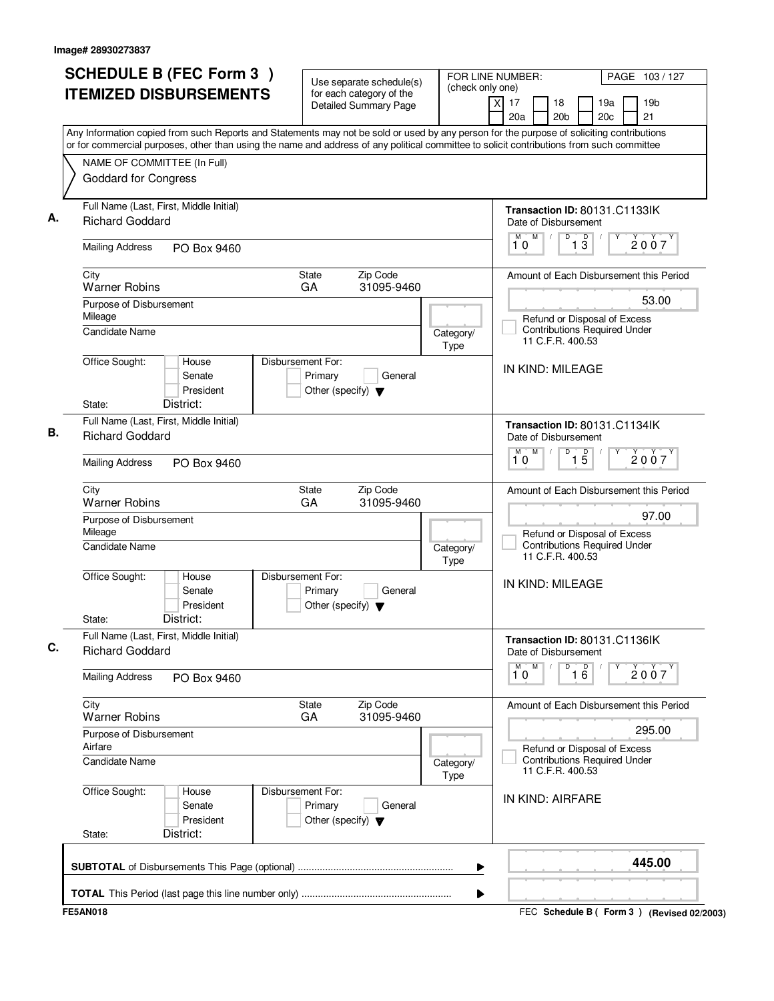| <b>SCHEDULE B (FEC Form 3)</b>                                                                                                                                                                                                                                                         | Use separate schedule(s)                                                        | (check only one)  | FOR LINE NUMBER:<br>PAGE 103/127                                                            |
|----------------------------------------------------------------------------------------------------------------------------------------------------------------------------------------------------------------------------------------------------------------------------------------|---------------------------------------------------------------------------------|-------------------|---------------------------------------------------------------------------------------------|
| <b>ITEMIZED DISBURSEMENTS</b>                                                                                                                                                                                                                                                          | for each category of the<br><b>Detailed Summary Page</b>                        |                   | xl<br>17<br>18<br>19a<br>19 <sub>b</sub><br>20a<br>20 <sub>b</sub><br>20 <sub>c</sub><br>21 |
| Any Information copied from such Reports and Statements may not be sold or used by any person for the purpose of soliciting contributions<br>or for commercial purposes, other than using the name and address of any political committee to solicit contributions from such committee |                                                                                 |                   |                                                                                             |
| NAME OF COMMITTEE (In Full)                                                                                                                                                                                                                                                            |                                                                                 |                   |                                                                                             |
| <b>Goddard for Congress</b>                                                                                                                                                                                                                                                            |                                                                                 |                   |                                                                                             |
| Full Name (Last, First, Middle Initial)<br><b>Richard Goddard</b>                                                                                                                                                                                                                      |                                                                                 |                   | Transaction ID: 80131.C1133IK<br>Date of Disbursement                                       |
| <b>Mailing Address</b><br>PO Box 9460                                                                                                                                                                                                                                                  |                                                                                 |                   | M<br>D<br>$\overline{1}$ $\overline{3}$<br>M<br>2007<br>10                                  |
| City<br><b>Warner Robins</b>                                                                                                                                                                                                                                                           | Zip Code<br><b>State</b><br>GA<br>31095-9460                                    |                   | Amount of Each Disbursement this Period                                                     |
| Purpose of Disbursement                                                                                                                                                                                                                                                                |                                                                                 |                   | 53.00                                                                                       |
| Mileage<br>Candidate Name                                                                                                                                                                                                                                                              |                                                                                 | Category/<br>Type | Refund or Disposal of Excess<br><b>Contributions Required Under</b><br>11 C.F.R. 400.53     |
| Office Sought:<br>House<br>Senate<br>President                                                                                                                                                                                                                                         | Disbursement For:<br>Primary<br>General<br>Other (specify) $\blacktriangledown$ |                   | IN KIND: MILEAGE                                                                            |
| District:<br>State:                                                                                                                                                                                                                                                                    |                                                                                 |                   |                                                                                             |
| Full Name (Last, First, Middle Initial)<br><b>Richard Goddard</b>                                                                                                                                                                                                                      |                                                                                 |                   | Transaction ID: 80131.C1134IK<br>Date of Disbursement                                       |
| <b>Mailing Address</b><br>PO Box 9460                                                                                                                                                                                                                                                  |                                                                                 |                   | M<br>D<br>M<br>$\overline{1\,5}$<br>2007<br>10                                              |
| City<br><b>Warner Robins</b>                                                                                                                                                                                                                                                           | Zip Code<br>State<br>GA<br>31095-9460                                           |                   | Amount of Each Disbursement this Period                                                     |
| Purpose of Disbursement<br>Mileage                                                                                                                                                                                                                                                     |                                                                                 |                   | 97.00<br>Refund or Disposal of Excess                                                       |
| <b>Candidate Name</b>                                                                                                                                                                                                                                                                  |                                                                                 | Category/<br>Type | <b>Contributions Required Under</b><br>11 C.F.R. 400.53                                     |
| Office Sought:<br>House<br>Senate<br>President<br>District:<br>State:                                                                                                                                                                                                                  | Disbursement For:<br>Primary<br>General<br>Other (specify) $\blacktriangledown$ |                   | IN KIND: MILEAGE                                                                            |
| Full Name (Last, First, Middle Initial)<br><b>Richard Goddard</b>                                                                                                                                                                                                                      |                                                                                 |                   | Transaction ID: 80131.C1136IK<br>Date of Disbursement                                       |
| <b>Mailing Address</b><br>PO Box 9460                                                                                                                                                                                                                                                  |                                                                                 |                   | M<br>D<br>16<br>M<br>Υ<br>2007<br>10                                                        |
| City<br><b>Warner Robins</b>                                                                                                                                                                                                                                                           | Zip Code<br>State<br>GA<br>31095-9460                                           |                   | Amount of Each Disbursement this Period                                                     |
| Purpose of Disbursement<br>Airfare                                                                                                                                                                                                                                                     |                                                                                 |                   | 295.00<br>Refund or Disposal of Excess                                                      |
| <b>Candidate Name</b>                                                                                                                                                                                                                                                                  |                                                                                 | Category/<br>Type | <b>Contributions Required Under</b><br>11 C.F.R. 400.53                                     |
| Office Sought:<br>House<br>Senate<br>President                                                                                                                                                                                                                                         | Disbursement For:<br>Primary<br>General<br>Other (specify) $\blacktriangledown$ |                   | IN KIND: AIRFARE                                                                            |
| District:<br>State:                                                                                                                                                                                                                                                                    |                                                                                 |                   |                                                                                             |
|                                                                                                                                                                                                                                                                                        |                                                                                 | ▶                 | 445.00                                                                                      |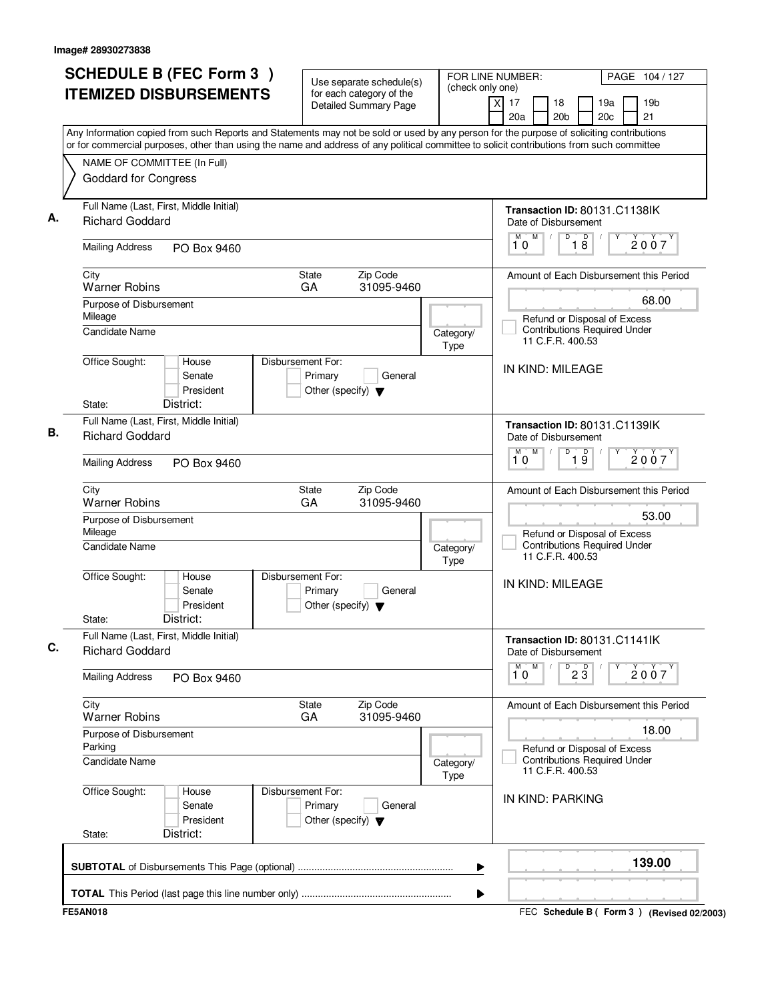|                                                                                                                                                                                                                                                                                        | <b>SCHEDULE B (FEC Form 3)</b><br>Use separate schedule(s)                      |                   | FOR LINE NUMBER:<br>PAGE 104 / 127<br>(check only one)                                  |
|----------------------------------------------------------------------------------------------------------------------------------------------------------------------------------------------------------------------------------------------------------------------------------------|---------------------------------------------------------------------------------|-------------------|-----------------------------------------------------------------------------------------|
| <b>ITEMIZED DISBURSEMENTS</b>                                                                                                                                                                                                                                                          | for each category of the<br><b>Detailed Summary Page</b>                        |                   | 19 <sub>b</sub><br>xl<br>17<br>18<br>19a<br>21<br>20a<br>20 <sub>b</sub><br>20c         |
| Any Information copied from such Reports and Statements may not be sold or used by any person for the purpose of soliciting contributions<br>or for commercial purposes, other than using the name and address of any political committee to solicit contributions from such committee |                                                                                 |                   |                                                                                         |
| NAME OF COMMITTEE (In Full)                                                                                                                                                                                                                                                            |                                                                                 |                   |                                                                                         |
| <b>Goddard for Congress</b>                                                                                                                                                                                                                                                            |                                                                                 |                   |                                                                                         |
| Full Name (Last, First, Middle Initial)<br><b>Richard Goddard</b>                                                                                                                                                                                                                      |                                                                                 |                   | Transaction ID: 80131.C1138IK<br>Date of Disbursement                                   |
| <b>Mailing Address</b><br>PO Box 9460                                                                                                                                                                                                                                                  |                                                                                 |                   | D<br>M<br>D<br>M<br>2007<br>18<br>10                                                    |
| City<br><b>Warner Robins</b>                                                                                                                                                                                                                                                           | State<br>Zip Code<br>31095-9460<br>GA                                           |                   | Amount of Each Disbursement this Period                                                 |
| Purpose of Disbursement                                                                                                                                                                                                                                                                |                                                                                 |                   | 68.00                                                                                   |
| Mileage<br><b>Candidate Name</b>                                                                                                                                                                                                                                                       |                                                                                 | Category/<br>Type | Refund or Disposal of Excess<br><b>Contributions Required Under</b><br>11 C.F.R. 400.53 |
| Office Sought:<br>House<br>Senate<br>President                                                                                                                                                                                                                                         | Disbursement For:<br>Primary<br>General<br>Other (specify) $\blacktriangledown$ |                   | IN KIND: MILEAGE                                                                        |
| District:<br>State:                                                                                                                                                                                                                                                                    |                                                                                 |                   |                                                                                         |
| Full Name (Last, First, Middle Initial)<br><b>Richard Goddard</b>                                                                                                                                                                                                                      |                                                                                 |                   | Transaction ID: 80131.C1139IK<br>Date of Disbursement                                   |
| <b>Mailing Address</b><br>PO Box 9460                                                                                                                                                                                                                                                  |                                                                                 |                   | $\overline{D}$<br>M<br>19<br>M<br>2007<br>10                                            |
| City<br><b>Warner Robins</b>                                                                                                                                                                                                                                                           | State<br>Zip Code<br>GA<br>31095-9460                                           |                   | Amount of Each Disbursement this Period                                                 |
| Purpose of Disbursement<br>Mileage                                                                                                                                                                                                                                                     |                                                                                 |                   | 53.00<br>Refund or Disposal of Excess                                                   |
| <b>Candidate Name</b>                                                                                                                                                                                                                                                                  |                                                                                 | Category/<br>Type | <b>Contributions Required Under</b><br>11 C.F.R. 400.53                                 |
| Office Sought:<br>House<br>Senate<br>President                                                                                                                                                                                                                                         | Disbursement For:<br>Primary<br>General<br>Other (specify) $\blacktriangledown$ |                   | IN KIND: MILEAGE                                                                        |
| District:<br>State:                                                                                                                                                                                                                                                                    |                                                                                 |                   |                                                                                         |
| Full Name (Last, First, Middle Initial)<br><b>Richard Goddard</b>                                                                                                                                                                                                                      |                                                                                 |                   | Transaction ID: 80131.C1141lK<br>Date of Disbursement                                   |
| <b>Mailing Address</b><br>PO Box 9460                                                                                                                                                                                                                                                  |                                                                                 |                   | M<br>$\overline{P}$ 2 $\overline{3}$<br>$\overline{\mathbf{1}^M \mathbf{0}}$<br>2007    |
| City<br><b>Warner Robins</b>                                                                                                                                                                                                                                                           | Zip Code<br>State<br>31095-9460<br>GA                                           |                   | Amount of Each Disbursement this Period                                                 |
| Purpose of Disbursement<br>Parking                                                                                                                                                                                                                                                     |                                                                                 |                   | 18.00<br>Refund or Disposal of Excess                                                   |
| Candidate Name                                                                                                                                                                                                                                                                         |                                                                                 | Category/<br>Type | <b>Contributions Required Under</b><br>11 C.F.R. 400.53                                 |
| Office Sought:<br>House<br>Senate<br>President                                                                                                                                                                                                                                         | Disbursement For:<br>Primary<br>General<br>Other (specify) $\blacktriangledown$ |                   | IN KIND: PARKING                                                                        |
| District:<br>State:                                                                                                                                                                                                                                                                    |                                                                                 |                   |                                                                                         |
|                                                                                                                                                                                                                                                                                        |                                                                                 | ▶                 | 139.00                                                                                  |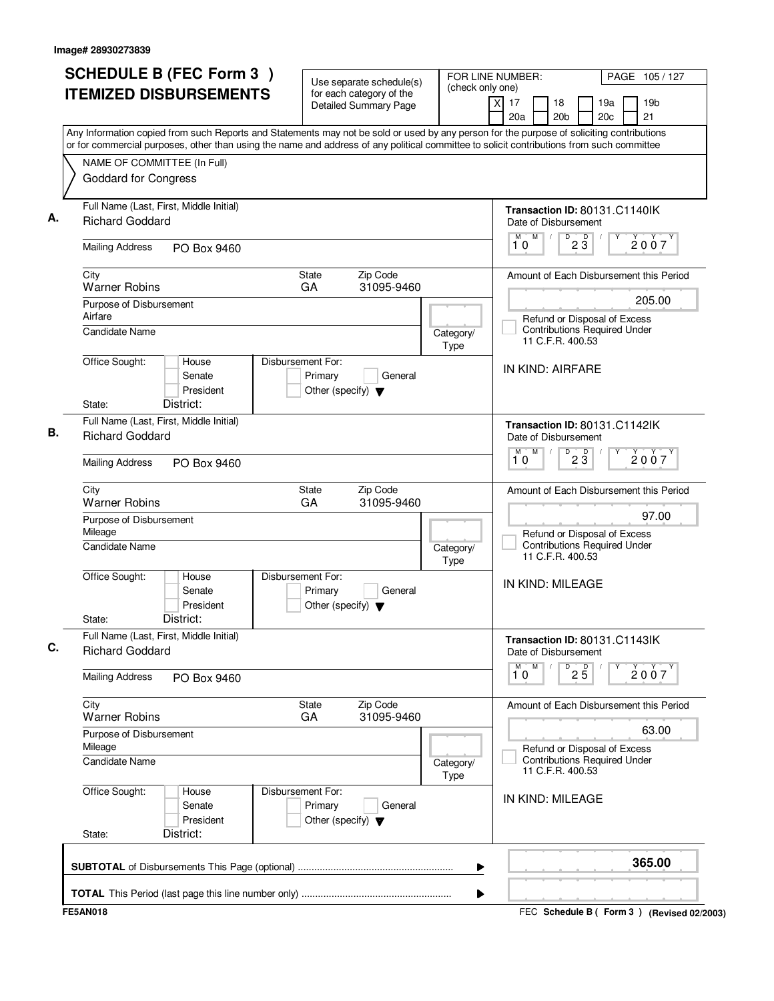|                                                                   | <b>SCHEDULE B (FEC Form 3)</b><br>Use separate schedule(s) |                                                                      | FOR LINE NUMBER:<br>(check only one)                     | PAGE 105/127      |                                                                                                                                                                                                                                                                                        |                       |
|-------------------------------------------------------------------|------------------------------------------------------------|----------------------------------------------------------------------|----------------------------------------------------------|-------------------|----------------------------------------------------------------------------------------------------------------------------------------------------------------------------------------------------------------------------------------------------------------------------------------|-----------------------|
| <b>ITEMIZED DISBURSEMENTS</b>                                     |                                                            |                                                                      | for each category of the<br><b>Detailed Summary Page</b> |                   | xl<br>17<br>18<br>19a<br>20a<br>20 <sub>b</sub><br>20c                                                                                                                                                                                                                                 | 19 <sub>b</sub><br>21 |
|                                                                   |                                                            |                                                                      |                                                          |                   | Any Information copied from such Reports and Statements may not be sold or used by any person for the purpose of soliciting contributions<br>or for commercial purposes, other than using the name and address of any political committee to solicit contributions from such committee |                       |
| NAME OF COMMITTEE (In Full)                                       |                                                            |                                                                      |                                                          |                   |                                                                                                                                                                                                                                                                                        |                       |
| <b>Goddard for Congress</b>                                       |                                                            |                                                                      |                                                          |                   |                                                                                                                                                                                                                                                                                        |                       |
| Full Name (Last, First, Middle Initial)<br><b>Richard Goddard</b> |                                                            |                                                                      |                                                          |                   | Transaction ID: 80131.C1140IK<br>Date of Disbursement                                                                                                                                                                                                                                  |                       |
| <b>Mailing Address</b>                                            | PO Box 9460                                                |                                                                      |                                                          |                   | M<br>$D$ <sub>2</sub> $\overline{3}$<br>M<br>10                                                                                                                                                                                                                                        | 2007                  |
| City<br><b>Warner Robins</b>                                      |                                                            | State<br>GA                                                          | Zip Code<br>31095-9460                                   |                   | Amount of Each Disbursement this Period                                                                                                                                                                                                                                                |                       |
| Purpose of Disbursement                                           |                                                            |                                                                      |                                                          |                   |                                                                                                                                                                                                                                                                                        | 205.00                |
| Airfare<br><b>Candidate Name</b>                                  |                                                            |                                                                      |                                                          | Category/<br>Type | Refund or Disposal of Excess<br><b>Contributions Required Under</b><br>11 C.F.R. 400.53                                                                                                                                                                                                |                       |
| Office Sought:                                                    | House<br>Senate<br>President                               | Disbursement For:<br>Primary<br>Other (specify) $\blacktriangledown$ | General                                                  |                   | IN KIND: AIRFARE                                                                                                                                                                                                                                                                       |                       |
| District:<br>State:                                               |                                                            |                                                                      |                                                          |                   |                                                                                                                                                                                                                                                                                        |                       |
| Full Name (Last, First, Middle Initial)<br><b>Richard Goddard</b> |                                                            |                                                                      |                                                          |                   | Transaction ID: 80131.C1142lK<br>Date of Disbursement                                                                                                                                                                                                                                  |                       |
| <b>Mailing Address</b>                                            | PO Box 9460                                                |                                                                      |                                                          |                   | $\overline{D}$<br>M<br>$2\overline{3}$<br>M<br>10                                                                                                                                                                                                                                      | 2007                  |
| City<br><b>Warner Robins</b>                                      |                                                            | State<br>GA                                                          | Zip Code<br>31095-9460                                   |                   | Amount of Each Disbursement this Period                                                                                                                                                                                                                                                |                       |
| Purpose of Disbursement<br>Mileage                                |                                                            |                                                                      |                                                          |                   | Refund or Disposal of Excess                                                                                                                                                                                                                                                           | 97.00                 |
| <b>Candidate Name</b>                                             |                                                            |                                                                      |                                                          | Category/<br>Type | <b>Contributions Required Under</b><br>11 C.F.R. 400.53                                                                                                                                                                                                                                |                       |
| Office Sought:                                                    | House<br>Senate<br>President                               | Disbursement For:<br>Primary<br>Other (specify) $\blacktriangledown$ | General                                                  |                   | IN KIND: MILEAGE                                                                                                                                                                                                                                                                       |                       |
| District:<br>State:                                               |                                                            |                                                                      |                                                          |                   |                                                                                                                                                                                                                                                                                        |                       |
| Full Name (Last, First, Middle Initial)<br><b>Richard Goddard</b> |                                                            |                                                                      |                                                          |                   | Transaction ID: 80131.C1143IK<br>Date of Disbursement                                                                                                                                                                                                                                  |                       |
| <b>Mailing Address</b>                                            | PO Box 9460                                                |                                                                      |                                                          |                   | M<br>$\overline{\mathbf{1}^M \mathbf{0}}$<br>$D^D$ <sub>2</sub> $\overline{5}$                                                                                                                                                                                                         | 2007                  |
| City<br><b>Warner Robins</b>                                      |                                                            | State<br>GA                                                          | Zip Code<br>31095-9460                                   |                   | Amount of Each Disbursement this Period                                                                                                                                                                                                                                                |                       |
| Purpose of Disbursement<br>Mileage                                |                                                            |                                                                      |                                                          |                   | Refund or Disposal of Excess                                                                                                                                                                                                                                                           | 63.00                 |
| Candidate Name                                                    |                                                            |                                                                      |                                                          | Category/<br>Type | <b>Contributions Required Under</b><br>11 C.F.R. 400.53                                                                                                                                                                                                                                |                       |
| Office Sought:                                                    | House<br>Senate<br>President                               | Disbursement For:<br>Primary<br>Other (specify) $\blacktriangledown$ | General                                                  |                   | IN KIND: MILEAGE                                                                                                                                                                                                                                                                       |                       |
| District:<br>State:                                               |                                                            |                                                                      |                                                          |                   |                                                                                                                                                                                                                                                                                        |                       |
|                                                                   |                                                            |                                                                      |                                                          | ▶                 |                                                                                                                                                                                                                                                                                        | 365.00                |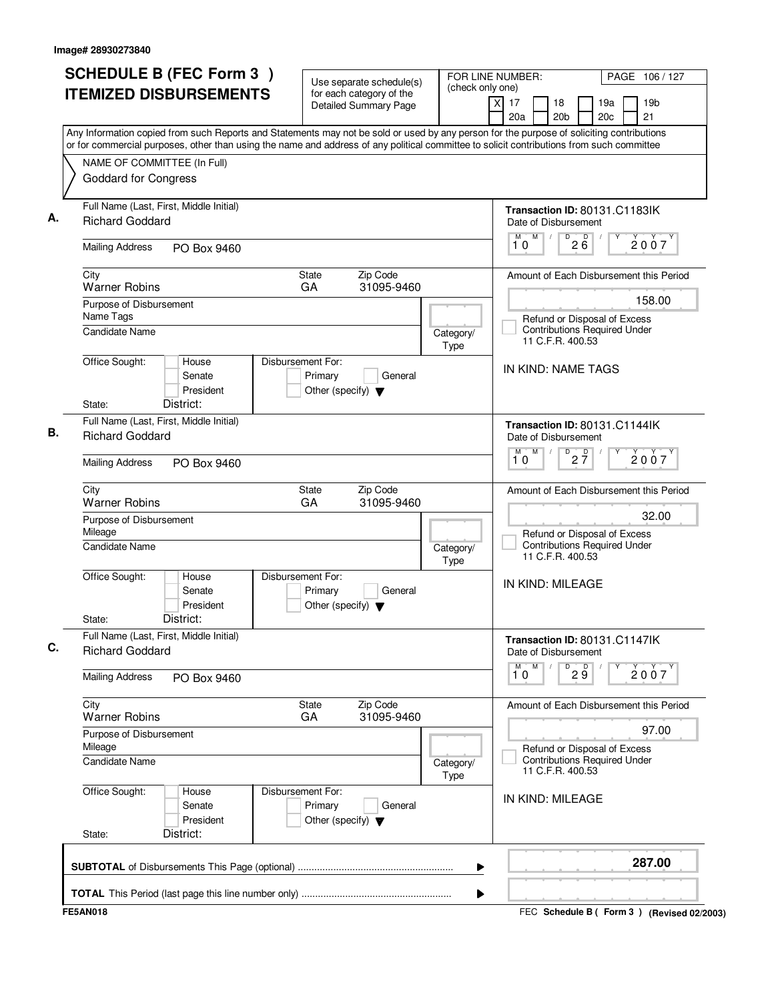| <b>SCHEDULE B (FEC Form 3)</b>                                                                                                                                                                                                                                                         | Use separate schedule(s)                                                        | (check only one)  | FOR LINE NUMBER:<br>PAGE 106 / 127                                                      |
|----------------------------------------------------------------------------------------------------------------------------------------------------------------------------------------------------------------------------------------------------------------------------------------|---------------------------------------------------------------------------------|-------------------|-----------------------------------------------------------------------------------------|
| <b>ITEMIZED DISBURSEMENTS</b>                                                                                                                                                                                                                                                          | for each category of the<br><b>Detailed Summary Page</b>                        |                   | 19 <sub>b</sub><br>xl<br>17<br>18<br>19a<br>21<br>20a<br>20 <sub>b</sub><br>20c         |
| Any Information copied from such Reports and Statements may not be sold or used by any person for the purpose of soliciting contributions<br>or for commercial purposes, other than using the name and address of any political committee to solicit contributions from such committee |                                                                                 |                   |                                                                                         |
| NAME OF COMMITTEE (In Full)<br><b>Goddard for Congress</b>                                                                                                                                                                                                                             |                                                                                 |                   |                                                                                         |
| Full Name (Last, First, Middle Initial)<br><b>Richard Goddard</b>                                                                                                                                                                                                                      |                                                                                 |                   | Transaction ID: 80131.C1183IK<br>Date of Disbursement                                   |
| <b>Mailing Address</b><br>PO Box 9460                                                                                                                                                                                                                                                  |                                                                                 |                   | M<br>$\overline{P}$ 2 $\overline{6}$<br>M<br>2007<br>10                                 |
| City<br><b>Warner Robins</b>                                                                                                                                                                                                                                                           | State<br>Zip Code<br>31095-9460<br>GA                                           |                   | Amount of Each Disbursement this Period                                                 |
| Purpose of Disbursement                                                                                                                                                                                                                                                                |                                                                                 |                   | 158.00                                                                                  |
| Name Tags<br><b>Candidate Name</b>                                                                                                                                                                                                                                                     |                                                                                 | Category/<br>Type | Refund or Disposal of Excess<br><b>Contributions Required Under</b><br>11 C.F.R. 400.53 |
| Office Sought:<br>House<br>Senate<br>President                                                                                                                                                                                                                                         | Disbursement For:<br>Primary<br>General<br>Other (specify) $\blacktriangledown$ |                   | IN KIND: NAME TAGS                                                                      |
| District:<br>State:                                                                                                                                                                                                                                                                    |                                                                                 |                   |                                                                                         |
| Full Name (Last, First, Middle Initial)<br><b>Richard Goddard</b>                                                                                                                                                                                                                      |                                                                                 |                   | Transaction ID: 80131.C1144lK<br>Date of Disbursement<br>M<br>M                         |
| <b>Mailing Address</b><br>PO Box 9460                                                                                                                                                                                                                                                  |                                                                                 |                   | $D$ <sub>2</sub> $\frac{D}{7}$<br>2007<br>10                                            |
| City<br><b>Warner Robins</b>                                                                                                                                                                                                                                                           | State<br>Zip Code<br>GA<br>31095-9460                                           |                   | Amount of Each Disbursement this Period                                                 |
| Purpose of Disbursement<br>Mileage                                                                                                                                                                                                                                                     |                                                                                 |                   | 32.00<br>Refund or Disposal of Excess                                                   |
| <b>Candidate Name</b>                                                                                                                                                                                                                                                                  |                                                                                 | Category/<br>Type | Contributions Required Under<br>11 C.F.R. 400.53                                        |
| Office Sought:<br>House<br>Senate<br>President<br>District:                                                                                                                                                                                                                            | Disbursement For:<br>Primary<br>General<br>Other (specify) $\blacktriangledown$ |                   | IN KIND: MILEAGE                                                                        |
| State:<br>Full Name (Last, First, Middle Initial)                                                                                                                                                                                                                                      |                                                                                 |                   | Transaction ID: 80131.C1147lK                                                           |
| <b>Richard Goddard</b>                                                                                                                                                                                                                                                                 |                                                                                 |                   | Date of Disbursement<br>M                                                               |
| <b>Mailing Address</b><br>PO Box 9460                                                                                                                                                                                                                                                  |                                                                                 |                   | $\overline{\mathbf{1}^M \mathbf{0}}$<br>$\overline{9}$ $\overline{9}$<br>2007           |
| City<br><b>Warner Robins</b>                                                                                                                                                                                                                                                           | Zip Code<br>State<br>31095-9460<br>GA                                           |                   | Amount of Each Disbursement this Period                                                 |
| Purpose of Disbursement<br>Mileage                                                                                                                                                                                                                                                     |                                                                                 |                   | 97.00<br>Refund or Disposal of Excess                                                   |
| Candidate Name                                                                                                                                                                                                                                                                         |                                                                                 | Category/<br>Type | <b>Contributions Required Under</b><br>11 C.F.R. 400.53                                 |
| Office Sought:<br>House<br>Senate<br>President                                                                                                                                                                                                                                         | Disbursement For:<br>Primary<br>General<br>Other (specify) $\blacktriangledown$ |                   | IN KIND: MILEAGE                                                                        |
| District:<br>State:                                                                                                                                                                                                                                                                    |                                                                                 |                   |                                                                                         |
|                                                                                                                                                                                                                                                                                        |                                                                                 | ▶                 | 287.00                                                                                  |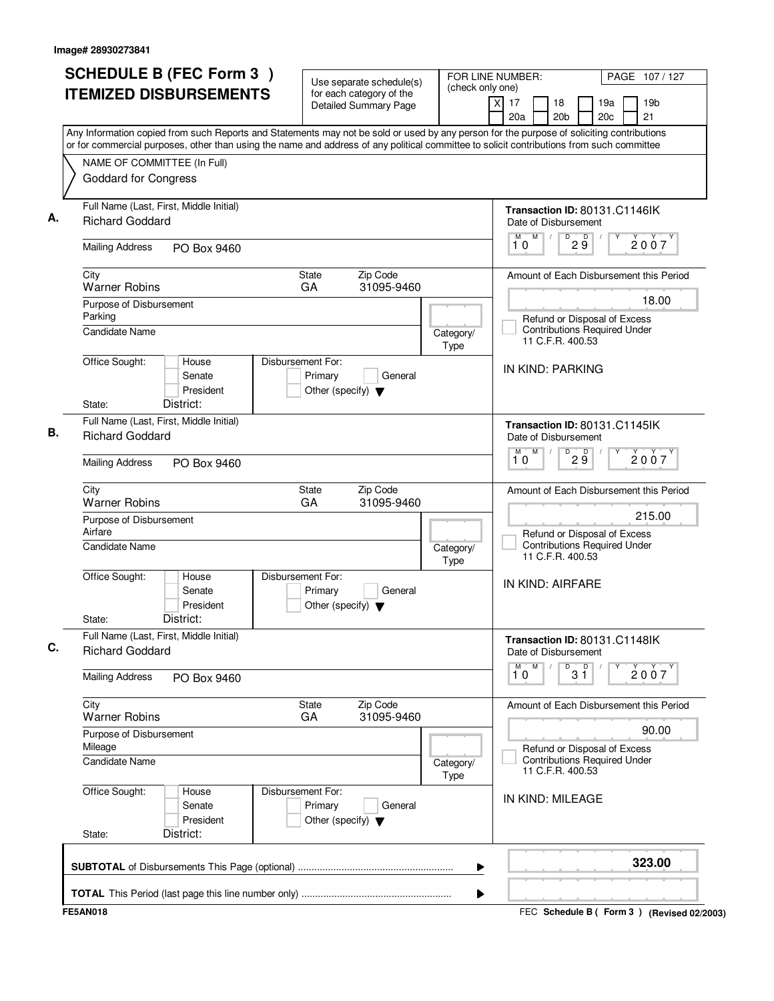| <b>SCHEDULE B (FEC Form 3)</b>                                                                                                                                                                                                                                                         | Use separate schedule(s)                                                        |                   | FOR LINE NUMBER:<br>PAGE 107/127                                                                  |  |  |  |
|----------------------------------------------------------------------------------------------------------------------------------------------------------------------------------------------------------------------------------------------------------------------------------------|---------------------------------------------------------------------------------|-------------------|---------------------------------------------------------------------------------------------------|--|--|--|
| <b>ITEMIZED DISBURSEMENTS</b>                                                                                                                                                                                                                                                          | for each category of the<br><b>Detailed Summary Page</b>                        | (check only one)  | 19 <sub>b</sub><br>$\times$<br>17<br>18<br>19a<br>20a<br>20 <sub>b</sub><br>20c<br>21             |  |  |  |
| Any Information copied from such Reports and Statements may not be sold or used by any person for the purpose of soliciting contributions<br>or for commercial purposes, other than using the name and address of any political committee to solicit contributions from such committee |                                                                                 |                   |                                                                                                   |  |  |  |
| NAME OF COMMITTEE (In Full)<br><b>Goddard for Congress</b>                                                                                                                                                                                                                             |                                                                                 |                   |                                                                                                   |  |  |  |
| Full Name (Last, First, Middle Initial)<br>А.<br><b>Richard Goddard</b>                                                                                                                                                                                                                |                                                                                 |                   | Transaction ID: 80131.C1146IK<br>Date of Disbursement                                             |  |  |  |
| <b>Mailing Address</b><br>PO Box 9460                                                                                                                                                                                                                                                  |                                                                                 |                   | M<br>$D^D$ $\overline{9}$<br>М<br>2007<br>10                                                      |  |  |  |
| City<br><b>Warner Robins</b>                                                                                                                                                                                                                                                           | <b>State</b><br>Zip Code<br>31095-9460<br>GA                                    |                   | Amount of Each Disbursement this Period                                                           |  |  |  |
| Purpose of Disbursement<br>Parking<br><b>Candidate Name</b>                                                                                                                                                                                                                            |                                                                                 | Category/         | 18.00<br>Refund or Disposal of Excess<br><b>Contributions Required Under</b>                      |  |  |  |
| Office Sought:<br>House<br>Senate<br>President                                                                                                                                                                                                                                         | Disbursement For:<br>Primary<br>General<br>Other (specify) $\blacktriangledown$ | Type              | 11 C.F.R. 400.53<br>IN KIND: PARKING                                                              |  |  |  |
| District:<br>State:<br>Full Name (Last, First, Middle Initial)                                                                                                                                                                                                                         |                                                                                 |                   | Transaction ID: 80131.C1145IK                                                                     |  |  |  |
| В.<br><b>Richard Goddard</b><br><b>Mailing Address</b><br>PO Box 9460                                                                                                                                                                                                                  |                                                                                 |                   | Date of Disbursement<br>M<br>$\overline{D}$<br>M<br>29<br>2007<br>10                              |  |  |  |
|                                                                                                                                                                                                                                                                                        |                                                                                 |                   |                                                                                                   |  |  |  |
| City<br><b>Warner Robins</b>                                                                                                                                                                                                                                                           | Zip Code<br><b>State</b><br>GA<br>31095-9460                                    |                   | Amount of Each Disbursement this Period                                                           |  |  |  |
| Purpose of Disbursement<br>Airfare<br><b>Candidate Name</b>                                                                                                                                                                                                                            |                                                                                 | Category/<br>Type | 215.00<br>Refund or Disposal of Excess<br><b>Contributions Required Under</b><br>11 C.F.R. 400.53 |  |  |  |
| Office Sought:<br>House<br>Senate<br>President<br>District:<br>State:                                                                                                                                                                                                                  | Disbursement For:<br>Primary<br>General<br>Other (specify) $\blacktriangledown$ |                   | IN KIND: AIRFARE                                                                                  |  |  |  |
| Full Name (Last, First, Middle Initial)<br><b>Richard Goddard</b>                                                                                                                                                                                                                      |                                                                                 |                   | Transaction ID: 80131.C1148lK<br>Date of Disbursement                                             |  |  |  |
| <b>Mailing Address</b><br>PO Box 9460                                                                                                                                                                                                                                                  |                                                                                 |                   | M<br>M<br>$\overline{31}$<br>2007<br>10                                                           |  |  |  |
| City<br><b>Warner Robins</b>                                                                                                                                                                                                                                                           | <b>State</b><br>Zip Code<br>GA<br>31095-9460                                    |                   | Amount of Each Disbursement this Period                                                           |  |  |  |
| Purpose of Disbursement<br>Mileage<br>Candidate Name                                                                                                                                                                                                                                   |                                                                                 | Category/<br>Type | 90.00<br>Refund or Disposal of Excess<br><b>Contributions Required Under</b><br>11 C.F.R. 400.53  |  |  |  |
| Office Sought:<br>House<br>Senate<br>President<br>District:<br>State:                                                                                                                                                                                                                  | Disbursement For:<br>Primary<br>General<br>Other (specify) $\blacktriangledown$ |                   | IN KIND: MILEAGE                                                                                  |  |  |  |
|                                                                                                                                                                                                                                                                                        |                                                                                 | ▶                 | 323.00                                                                                            |  |  |  |
|                                                                                                                                                                                                                                                                                        |                                                                                 |                   |                                                                                                   |  |  |  |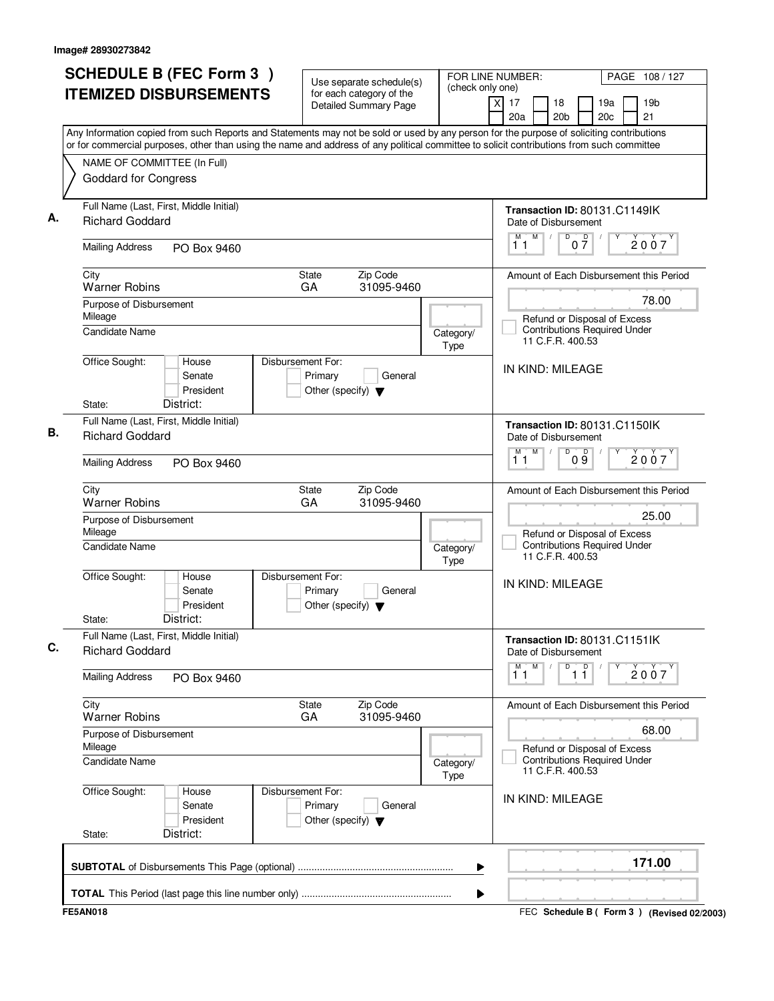|    | <b>SCHEDULE B (FEC Form 3)</b><br><b>ITEMIZED DISBURSEMENTS</b>                                                                                                                                                                                                                        |                                                                      | Use separate schedule(s)<br>for each category of the | (check only one)  | FOR LINE NUMBER:<br>PAGE 108 / 127                                                         |
|----|----------------------------------------------------------------------------------------------------------------------------------------------------------------------------------------------------------------------------------------------------------------------------------------|----------------------------------------------------------------------|------------------------------------------------------|-------------------|--------------------------------------------------------------------------------------------|
|    |                                                                                                                                                                                                                                                                                        |                                                                      | <b>Detailed Summary Page</b>                         |                   | x<br>17<br>18<br>19a<br>19 <sub>b</sub><br>20a<br>20 <sub>b</sub><br>20 <sub>c</sub><br>21 |
|    | Any Information copied from such Reports and Statements may not be sold or used by any person for the purpose of soliciting contributions<br>or for commercial purposes, other than using the name and address of any political committee to solicit contributions from such committee |                                                                      |                                                      |                   |                                                                                            |
|    | NAME OF COMMITTEE (In Full)                                                                                                                                                                                                                                                            |                                                                      |                                                      |                   |                                                                                            |
|    | <b>Goddard for Congress</b>                                                                                                                                                                                                                                                            |                                                                      |                                                      |                   |                                                                                            |
|    | Full Name (Last, First, Middle Initial)<br><b>Richard Goddard</b>                                                                                                                                                                                                                      |                                                                      |                                                      |                   | Transaction ID: 80131.C1149IK<br>Date of Disbursement                                      |
|    | <b>Mailing Address</b><br>PO Box 9460                                                                                                                                                                                                                                                  |                                                                      |                                                      |                   | $\overline{D}$<br>M<br>M<br>$0\frac{D}{7}$<br>2007<br>11                                   |
|    | City<br><b>Warner Robins</b>                                                                                                                                                                                                                                                           | State<br>GA                                                          | Zip Code<br>31095-9460                               |                   | Amount of Each Disbursement this Period                                                    |
|    | Purpose of Disbursement                                                                                                                                                                                                                                                                |                                                                      |                                                      |                   | 78.00                                                                                      |
|    | Mileage<br><b>Candidate Name</b>                                                                                                                                                                                                                                                       |                                                                      |                                                      | Category/<br>Type | Refund or Disposal of Excess<br><b>Contributions Required Under</b><br>11 C.F.R. 400.53    |
|    | Office Sought:<br>House<br>Senate<br>President                                                                                                                                                                                                                                         | Disbursement For:<br>Primary<br>Other (specify) $\blacktriangledown$ | General                                              |                   | IN KIND: MILEAGE                                                                           |
|    | District:<br>State:                                                                                                                                                                                                                                                                    |                                                                      |                                                      |                   |                                                                                            |
| В. | Full Name (Last, First, Middle Initial)<br><b>Richard Goddard</b>                                                                                                                                                                                                                      |                                                                      |                                                      |                   | Transaction ID: 80131.C1150IK<br>Date of Disbursement                                      |
|    | <b>Mailing Address</b><br>PO Box 9460                                                                                                                                                                                                                                                  |                                                                      |                                                      |                   | $\overline{D}$<br>M<br>м<br>09<br>2007<br>11                                               |
|    | City<br><b>Warner Robins</b>                                                                                                                                                                                                                                                           | State<br>GA                                                          | Zip Code<br>31095-9460                               |                   | Amount of Each Disbursement this Period                                                    |
|    | Purpose of Disbursement<br>Mileage                                                                                                                                                                                                                                                     |                                                                      |                                                      |                   | 25.00<br>Refund or Disposal of Excess                                                      |
|    | <b>Candidate Name</b>                                                                                                                                                                                                                                                                  |                                                                      |                                                      | Category/<br>Type | <b>Contributions Required Under</b><br>11 C.F.R. 400.53                                    |
|    | Office Sought:<br>House<br>Senate<br>President<br>District:<br>State:                                                                                                                                                                                                                  | Disbursement For:<br>Primary<br>Other (specify) $\blacktriangledown$ | General                                              |                   | IN KIND: MILEAGE                                                                           |
| C. | Full Name (Last, First, Middle Initial)<br><b>Richard Goddard</b>                                                                                                                                                                                                                      |                                                                      |                                                      |                   | Transaction ID: 80131.C1151IK<br>Date of Disbursement                                      |
|    | <b>Mailing Address</b><br>PO Box 9460                                                                                                                                                                                                                                                  |                                                                      |                                                      |                   | M<br>D<br>$\overline{11}$<br>$\overline{1}^M$ $\overline{1}$<br>2007                       |
|    | City<br><b>Warner Robins</b>                                                                                                                                                                                                                                                           | State<br>GA                                                          | Zip Code<br>31095-9460                               |                   | Amount of Each Disbursement this Period                                                    |
|    | Purpose of Disbursement<br>Mileage                                                                                                                                                                                                                                                     |                                                                      |                                                      |                   | 68.00<br>Refund or Disposal of Excess                                                      |
|    | <b>Candidate Name</b>                                                                                                                                                                                                                                                                  |                                                                      |                                                      | Category/<br>Type | <b>Contributions Required Under</b><br>11 C.F.R. 400.53                                    |
|    | Office Sought:<br>House<br>Senate<br>President<br>District:                                                                                                                                                                                                                            | Disbursement For:<br>Primary<br>Other (specify) $\blacktriangledown$ | General                                              |                   | IN KIND: MILEAGE                                                                           |
|    | State:                                                                                                                                                                                                                                                                                 |                                                                      |                                                      |                   |                                                                                            |
|    |                                                                                                                                                                                                                                                                                        |                                                                      |                                                      | ▶                 | 171.00                                                                                     |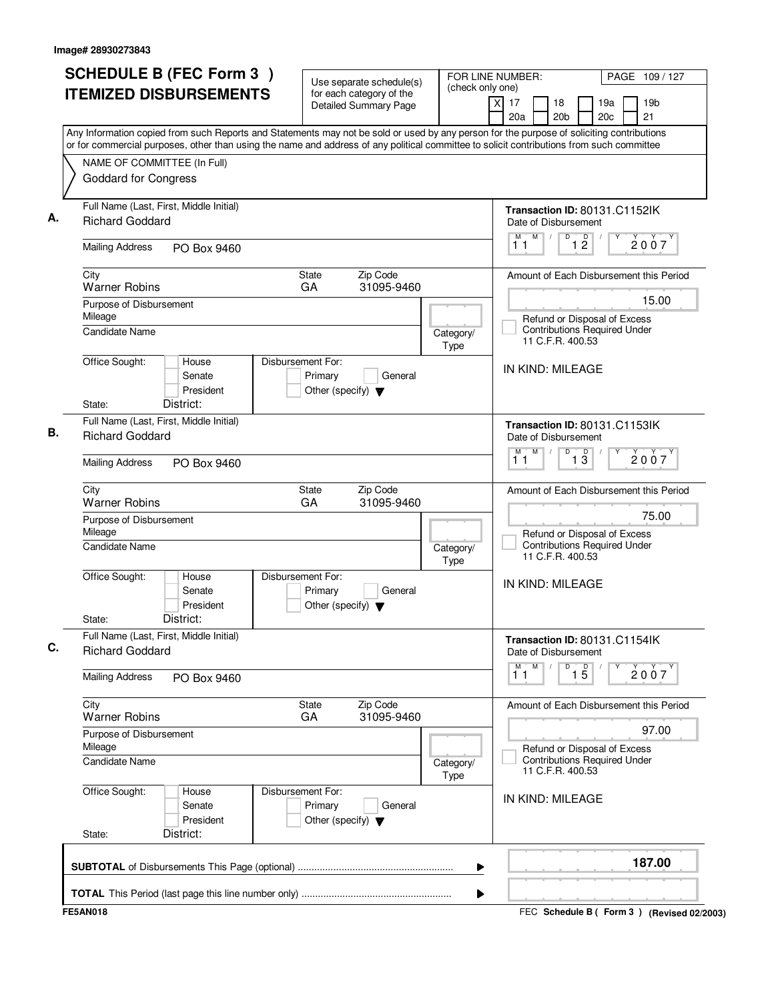| <b>SCHEDULE B (FEC Form 3)</b>                                                                                                                                                                                                                                                         | Use separate schedule(s)                                                        | (check only one)  | FOR LINE NUMBER:<br>PAGE 109/127                                                            |
|----------------------------------------------------------------------------------------------------------------------------------------------------------------------------------------------------------------------------------------------------------------------------------------|---------------------------------------------------------------------------------|-------------------|---------------------------------------------------------------------------------------------|
| <b>ITEMIZED DISBURSEMENTS</b>                                                                                                                                                                                                                                                          | for each category of the<br><b>Detailed Summary Page</b>                        |                   | xl<br>17<br>18<br>19a<br>19 <sub>b</sub><br>20a<br>20 <sub>b</sub><br>20 <sub>c</sub><br>21 |
| Any Information copied from such Reports and Statements may not be sold or used by any person for the purpose of soliciting contributions<br>or for commercial purposes, other than using the name and address of any political committee to solicit contributions from such committee |                                                                                 |                   |                                                                                             |
| NAME OF COMMITTEE (In Full)                                                                                                                                                                                                                                                            |                                                                                 |                   |                                                                                             |
| <b>Goddard for Congress</b>                                                                                                                                                                                                                                                            |                                                                                 |                   |                                                                                             |
| Full Name (Last, First, Middle Initial)<br><b>Richard Goddard</b>                                                                                                                                                                                                                      |                                                                                 |                   | Transaction ID: 80131.C1152lK<br>Date of Disbursement                                       |
| <b>Mailing Address</b><br>PO Box 9460                                                                                                                                                                                                                                                  |                                                                                 |                   | M<br>D<br>$\overline{1}$ $\overline{2}$<br>M<br>2007<br>11                                  |
| City<br><b>Warner Robins</b>                                                                                                                                                                                                                                                           | Zip Code<br><b>State</b><br>GA<br>31095-9460                                    |                   | Amount of Each Disbursement this Period                                                     |
| Purpose of Disbursement                                                                                                                                                                                                                                                                |                                                                                 |                   | 15.00                                                                                       |
| Mileage<br>Candidate Name                                                                                                                                                                                                                                                              |                                                                                 | Category/<br>Type | Refund or Disposal of Excess<br><b>Contributions Required Under</b><br>11 C.F.R. 400.53     |
| Office Sought:<br>House<br>Senate<br>President                                                                                                                                                                                                                                         | Disbursement For:<br>Primary<br>General<br>Other (specify) $\blacktriangledown$ |                   | IN KIND: MILEAGE                                                                            |
| District:<br>State:                                                                                                                                                                                                                                                                    |                                                                                 |                   |                                                                                             |
| Full Name (Last, First, Middle Initial)<br><b>Richard Goddard</b>                                                                                                                                                                                                                      |                                                                                 |                   | Transaction ID: 80131.C1153IK<br>Date of Disbursement                                       |
| <b>Mailing Address</b><br>PO Box 9460                                                                                                                                                                                                                                                  |                                                                                 |                   | M<br>D<br>$\overline{1\,3}$<br>M<br>2007<br>11                                              |
| City<br><b>Warner Robins</b>                                                                                                                                                                                                                                                           | Zip Code<br>State<br>GA<br>31095-9460                                           |                   | Amount of Each Disbursement this Period                                                     |
| Purpose of Disbursement<br>Mileage                                                                                                                                                                                                                                                     |                                                                                 |                   | 75.00<br>Refund or Disposal of Excess                                                       |
| <b>Candidate Name</b>                                                                                                                                                                                                                                                                  |                                                                                 | Category/<br>Type | <b>Contributions Required Under</b><br>11 C.F.R. 400.53                                     |
| Office Sought:<br>House<br>Senate<br>President                                                                                                                                                                                                                                         | Disbursement For:<br>Primary<br>General<br>Other (specify) $\blacktriangledown$ |                   | IN KIND: MILEAGE                                                                            |
| District:<br>State:                                                                                                                                                                                                                                                                    |                                                                                 |                   |                                                                                             |
| Full Name (Last, First, Middle Initial)<br><b>Richard Goddard</b>                                                                                                                                                                                                                      |                                                                                 |                   | Transaction ID: 80131.C1154lK<br>Date of Disbursement                                       |
| <b>Mailing Address</b><br>PO Box 9460                                                                                                                                                                                                                                                  |                                                                                 |                   | M<br>D<br>$\overline{1\,5}$<br>$\overline{1}^M$ $\overline{1}$<br>Υ<br>2007                 |
| City<br><b>Warner Robins</b>                                                                                                                                                                                                                                                           | Zip Code<br>State<br>GA<br>31095-9460                                           |                   | Amount of Each Disbursement this Period                                                     |
| Purpose of Disbursement<br>Mileage                                                                                                                                                                                                                                                     |                                                                                 |                   | 97.00<br>Refund or Disposal of Excess                                                       |
| Candidate Name                                                                                                                                                                                                                                                                         |                                                                                 | Category/<br>Type | <b>Contributions Required Under</b><br>11 C.F.R. 400.53                                     |
| Office Sought:<br>House<br>Senate<br>President                                                                                                                                                                                                                                         | Disbursement For:<br>Primary<br>General<br>Other (specify) $\blacktriangledown$ |                   | IN KIND: MILEAGE                                                                            |
| District:<br>State:                                                                                                                                                                                                                                                                    |                                                                                 |                   |                                                                                             |
|                                                                                                                                                                                                                                                                                        |                                                                                 | ▶                 | 187.00                                                                                      |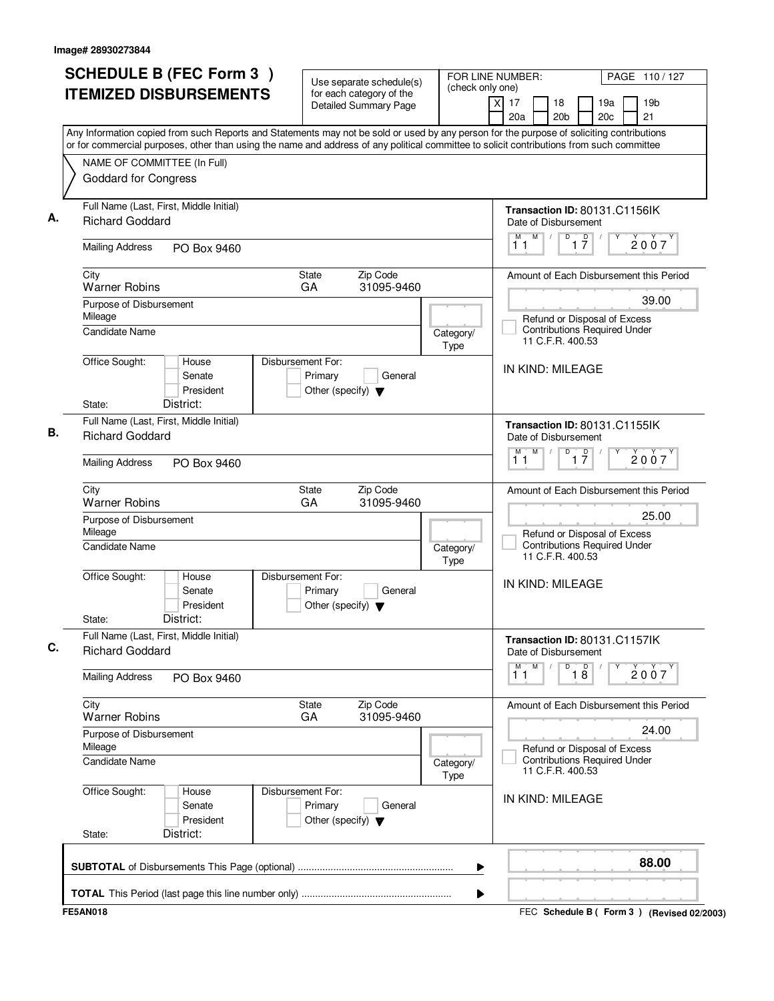| <b>SCHEDULE B (FEC Form 3)</b>                                                                                                                                                                                                                                                         | Use separate schedule(s)                                                        | (check only one)  | FOR LINE NUMBER:<br>PAGE 110/127                                                        |
|----------------------------------------------------------------------------------------------------------------------------------------------------------------------------------------------------------------------------------------------------------------------------------------|---------------------------------------------------------------------------------|-------------------|-----------------------------------------------------------------------------------------|
| <b>ITEMIZED DISBURSEMENTS</b>                                                                                                                                                                                                                                                          | for each category of the<br><b>Detailed Summary Page</b>                        |                   | 19 <sub>b</sub><br>xl<br>17<br>18<br>19a<br>21<br>20a<br>20 <sub>b</sub><br>20c         |
| Any Information copied from such Reports and Statements may not be sold or used by any person for the purpose of soliciting contributions<br>or for commercial purposes, other than using the name and address of any political committee to solicit contributions from such committee |                                                                                 |                   |                                                                                         |
| NAME OF COMMITTEE (In Full)                                                                                                                                                                                                                                                            |                                                                                 |                   |                                                                                         |
| <b>Goddard for Congress</b>                                                                                                                                                                                                                                                            |                                                                                 |                   |                                                                                         |
| Full Name (Last, First, Middle Initial)<br><b>Richard Goddard</b>                                                                                                                                                                                                                      |                                                                                 |                   | Transaction ID: 80131.C1156IK<br>Date of Disbursement                                   |
| <b>Mailing Address</b><br>PO Box 9460                                                                                                                                                                                                                                                  |                                                                                 |                   | $\overline{1}$ $\overline{7}$<br>M<br>D<br>M<br>2007<br>11                              |
| City<br><b>Warner Robins</b>                                                                                                                                                                                                                                                           | State<br>Zip Code<br>31095-9460<br>GA                                           |                   | Amount of Each Disbursement this Period                                                 |
| Purpose of Disbursement                                                                                                                                                                                                                                                                |                                                                                 |                   | 39.00                                                                                   |
| Mileage<br><b>Candidate Name</b>                                                                                                                                                                                                                                                       |                                                                                 | Category/<br>Type | Refund or Disposal of Excess<br><b>Contributions Required Under</b><br>11 C.F.R. 400.53 |
| Office Sought:<br>House<br>Senate<br>President                                                                                                                                                                                                                                         | Disbursement For:<br>Primary<br>General<br>Other (specify) $\blacktriangledown$ |                   | IN KIND: MILEAGE                                                                        |
| District:<br>State:                                                                                                                                                                                                                                                                    |                                                                                 |                   |                                                                                         |
| Full Name (Last, First, Middle Initial)<br><b>Richard Goddard</b>                                                                                                                                                                                                                      |                                                                                 |                   | Transaction ID: 80131.C1155IK<br>Date of Disbursement                                   |
| <b>Mailing Address</b><br>PO Box 9460                                                                                                                                                                                                                                                  |                                                                                 |                   | $\overline{D}$<br>M<br>$\overline{1}$ $\overline{7}$<br>M<br>2007<br>11                 |
| City<br><b>Warner Robins</b>                                                                                                                                                                                                                                                           | State<br>Zip Code<br>GA<br>31095-9460                                           |                   | Amount of Each Disbursement this Period                                                 |
| Purpose of Disbursement<br>Mileage                                                                                                                                                                                                                                                     |                                                                                 |                   | 25.00<br>Refund or Disposal of Excess                                                   |
| Candidate Name                                                                                                                                                                                                                                                                         |                                                                                 | Category/<br>Type | <b>Contributions Required Under</b><br>11 C.F.R. 400.53                                 |
| Office Sought:<br>House<br>Senate<br>President<br>District:<br>State:                                                                                                                                                                                                                  | Disbursement For:<br>Primary<br>General<br>Other (specify) $\blacktriangledown$ |                   | IN KIND: MILEAGE                                                                        |
| Full Name (Last, First, Middle Initial)<br><b>Richard Goddard</b>                                                                                                                                                                                                                      |                                                                                 |                   | Transaction ID: 80131.C1157lK<br>Date of Disbursement                                   |
| <b>Mailing Address</b><br>PO Box 9460                                                                                                                                                                                                                                                  |                                                                                 |                   | M<br>D<br>$\overline{18}$<br>$\overline{1}^M$ $\overline{1}$<br>2007                    |
| City<br><b>Warner Robins</b>                                                                                                                                                                                                                                                           | Zip Code<br>State<br>31095-9460<br>GA                                           |                   | Amount of Each Disbursement this Period                                                 |
| Purpose of Disbursement                                                                                                                                                                                                                                                                |                                                                                 |                   | 24.00                                                                                   |
| Mileage<br>Candidate Name                                                                                                                                                                                                                                                              |                                                                                 | Category/<br>Type | Refund or Disposal of Excess<br><b>Contributions Required Under</b><br>11 C.F.R. 400.53 |
| Office Sought:<br>House<br>Senate<br>President                                                                                                                                                                                                                                         | Disbursement For:<br>Primary<br>General<br>Other (specify) $\blacktriangledown$ |                   | IN KIND: MILEAGE                                                                        |
| District:<br>State:                                                                                                                                                                                                                                                                    |                                                                                 |                   | 88.00                                                                                   |
|                                                                                                                                                                                                                                                                                        |                                                                                 | ▶                 |                                                                                         |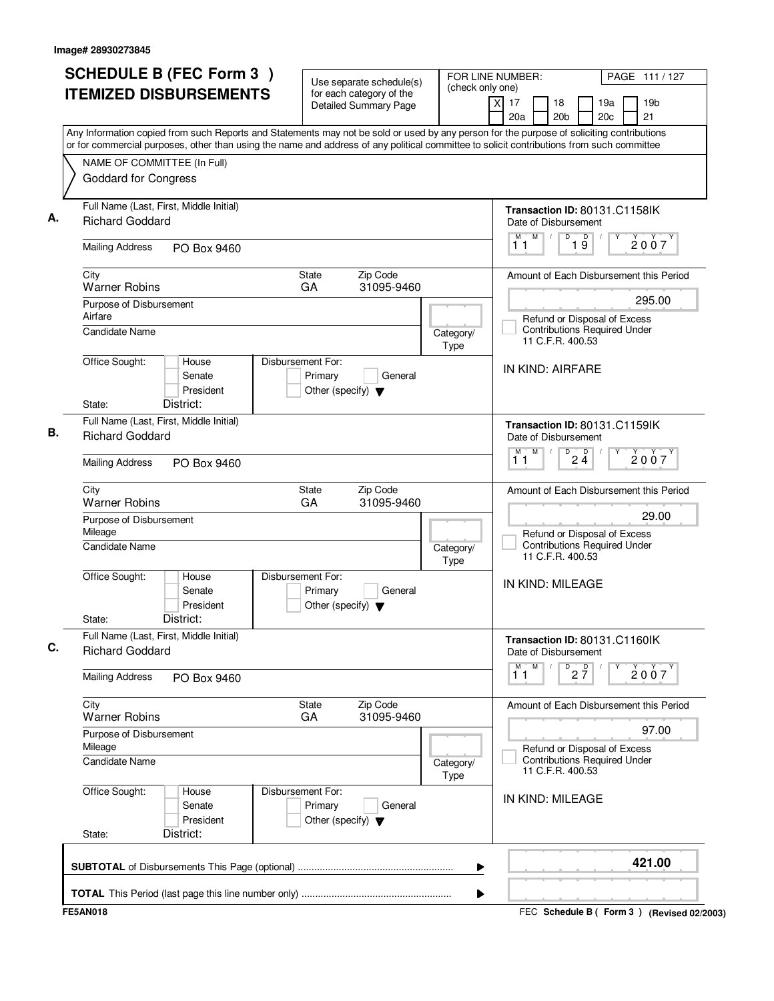|         | <b>SCHEDULE B (FEC Form 3)</b>                                                                                                                                                                                                                                                         |                                                                      | Use separate schedule(s)                                 | FOR LINE NUMBER:<br>(check only one) |                                                                                         | PAGE 111 / 127                          |
|---------|----------------------------------------------------------------------------------------------------------------------------------------------------------------------------------------------------------------------------------------------------------------------------------------|----------------------------------------------------------------------|----------------------------------------------------------|--------------------------------------|-----------------------------------------------------------------------------------------|-----------------------------------------|
|         | <b>ITEMIZED DISBURSEMENTS</b>                                                                                                                                                                                                                                                          |                                                                      | for each category of the<br><b>Detailed Summary Page</b> |                                      | xl<br>17<br>18<br>20a<br>20 <sub>b</sub>                                                | 19a<br>19 <sub>b</sub><br>20c<br>21     |
|         | Any Information copied from such Reports and Statements may not be sold or used by any person for the purpose of soliciting contributions<br>or for commercial purposes, other than using the name and address of any political committee to solicit contributions from such committee |                                                                      |                                                          |                                      |                                                                                         |                                         |
|         | NAME OF COMMITTEE (In Full)                                                                                                                                                                                                                                                            |                                                                      |                                                          |                                      |                                                                                         |                                         |
|         | <b>Goddard for Congress</b>                                                                                                                                                                                                                                                            |                                                                      |                                                          |                                      |                                                                                         |                                         |
|         | Full Name (Last, First, Middle Initial)<br><b>Richard Goddard</b>                                                                                                                                                                                                                      |                                                                      |                                                          |                                      | Transaction ID: 80131.C1158IK<br>Date of Disbursement                                   |                                         |
|         | <b>Mailing Address</b><br>PO Box 9460                                                                                                                                                                                                                                                  |                                                                      |                                                          |                                      | M<br>D<br>19<br>M<br>11                                                                 | 2007                                    |
| City    | <b>Warner Robins</b>                                                                                                                                                                                                                                                                   | <b>State</b><br>GA                                                   | Zip Code<br>31095-9460                                   |                                      |                                                                                         | Amount of Each Disbursement this Period |
|         | Purpose of Disbursement                                                                                                                                                                                                                                                                |                                                                      |                                                          |                                      |                                                                                         | 295.00                                  |
| Airfare | <b>Candidate Name</b>                                                                                                                                                                                                                                                                  |                                                                      |                                                          | Category/<br>Type                    | Refund or Disposal of Excess<br><b>Contributions Required Under</b><br>11 C.F.R. 400.53 |                                         |
|         | Office Sought:<br>House<br>Senate<br>President                                                                                                                                                                                                                                         | Disbursement For:<br>Primary<br>Other (specify) $\blacktriangledown$ | General                                                  |                                      | IN KIND: AIRFARE                                                                        |                                         |
| State:  | District:                                                                                                                                                                                                                                                                              |                                                                      |                                                          |                                      |                                                                                         |                                         |
|         | Full Name (Last, First, Middle Initial)<br><b>Richard Goddard</b>                                                                                                                                                                                                                      |                                                                      |                                                          |                                      | Transaction ID: 80131.C1159IK<br>Date of Disbursement                                   |                                         |
|         | <b>Mailing Address</b><br>PO Box 9460                                                                                                                                                                                                                                                  |                                                                      |                                                          |                                      | M<br>D<br>$2\frac{D}{4}$<br>M<br>11                                                     | 2007                                    |
| City    | <b>Warner Robins</b>                                                                                                                                                                                                                                                                   | State<br>GA                                                          | Zip Code<br>31095-9460                                   |                                      |                                                                                         | Amount of Each Disbursement this Period |
| Mileage | Purpose of Disbursement                                                                                                                                                                                                                                                                |                                                                      |                                                          |                                      | Refund or Disposal of Excess                                                            | 29.00                                   |
|         | <b>Candidate Name</b>                                                                                                                                                                                                                                                                  |                                                                      |                                                          | Category/<br>Type                    | <b>Contributions Required Under</b><br>11 C.F.R. 400.53                                 |                                         |
|         | Office Sought:<br>House<br>Senate<br>President<br>District:                                                                                                                                                                                                                            | Disbursement For:<br>Primary<br>Other (specify) $\blacktriangledown$ | General                                                  |                                      | IN KIND: MILEAGE                                                                        |                                         |
| State:  | Full Name (Last, First, Middle Initial)<br><b>Richard Goddard</b>                                                                                                                                                                                                                      |                                                                      |                                                          |                                      | Transaction ID: 80131.C1160IK<br>Date of Disbursement                                   |                                         |
|         | <b>Mailing Address</b><br>PO Box 9460                                                                                                                                                                                                                                                  |                                                                      |                                                          |                                      | M<br>$D$ <sub>2</sub> $\frac{D}{7}$<br>$\overline{1}^M$ $\overline{1}$                  | 2007                                    |
| City    | <b>Warner Robins</b>                                                                                                                                                                                                                                                                   | State<br>GA                                                          | Zip Code<br>31095-9460                                   |                                      |                                                                                         | Amount of Each Disbursement this Period |
| Mileage | Purpose of Disbursement                                                                                                                                                                                                                                                                |                                                                      |                                                          |                                      | Refund or Disposal of Excess                                                            | 97.00                                   |
|         | Candidate Name                                                                                                                                                                                                                                                                         |                                                                      |                                                          | Category/<br>Type                    | <b>Contributions Required Under</b><br>11 C.F.R. 400.53                                 |                                         |
|         | Office Sought:<br>House<br>Senate<br>President                                                                                                                                                                                                                                         | Disbursement For:<br>Primary<br>Other (specify) $\blacktriangledown$ | General                                                  |                                      | IN KIND: MILEAGE                                                                        |                                         |
| State:  | District:                                                                                                                                                                                                                                                                              |                                                                      |                                                          |                                      |                                                                                         |                                         |
|         |                                                                                                                                                                                                                                                                                        |                                                                      |                                                          | ▶                                    |                                                                                         | 421.00                                  |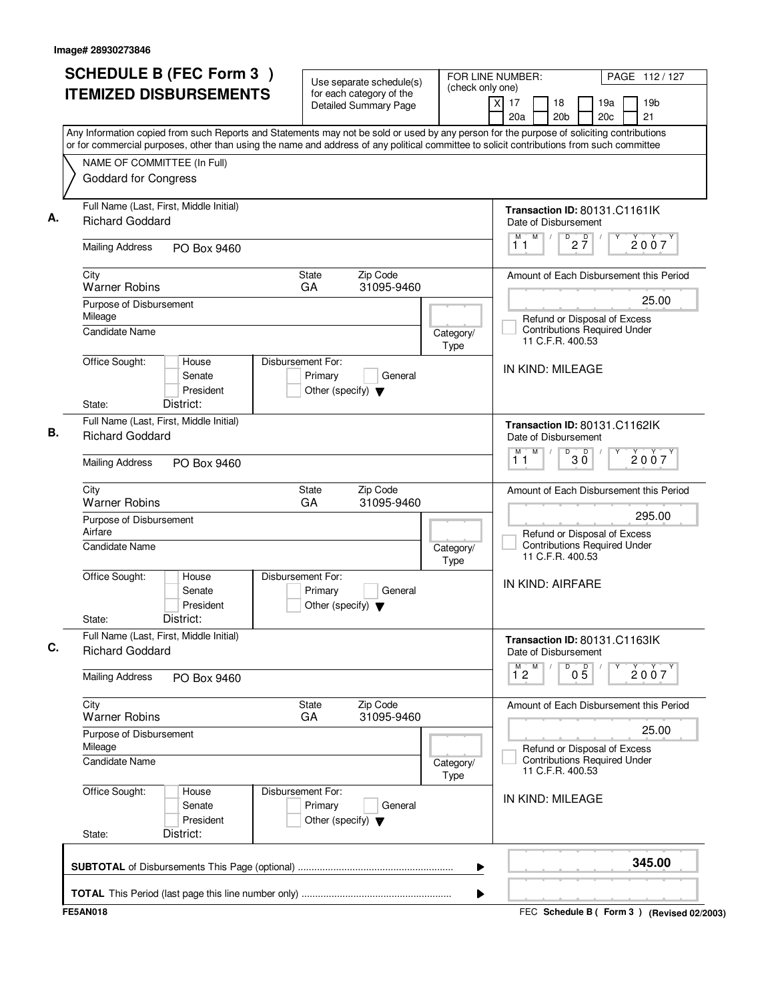| <b>SCHEDULE B (FEC Form 3)</b>                                                                                                                                                                                                                                                         | Use separate schedule(s)                                                        | (check only one)  | FOR LINE NUMBER:<br>PAGE 112/127                                                        |
|----------------------------------------------------------------------------------------------------------------------------------------------------------------------------------------------------------------------------------------------------------------------------------------|---------------------------------------------------------------------------------|-------------------|-----------------------------------------------------------------------------------------|
| <b>ITEMIZED DISBURSEMENTS</b>                                                                                                                                                                                                                                                          | for each category of the<br><b>Detailed Summary Page</b>                        |                   | 19 <sub>b</sub><br>xl<br>17<br>18<br>19a<br>21<br>20a<br>20 <sub>b</sub><br>20c         |
| Any Information copied from such Reports and Statements may not be sold or used by any person for the purpose of soliciting contributions<br>or for commercial purposes, other than using the name and address of any political committee to solicit contributions from such committee |                                                                                 |                   |                                                                                         |
| NAME OF COMMITTEE (In Full)                                                                                                                                                                                                                                                            |                                                                                 |                   |                                                                                         |
| <b>Goddard for Congress</b>                                                                                                                                                                                                                                                            |                                                                                 |                   |                                                                                         |
| Full Name (Last, First, Middle Initial)<br><b>Richard Goddard</b>                                                                                                                                                                                                                      |                                                                                 |                   | Transaction ID: 80131.C1161IK<br>Date of Disbursement                                   |
| <b>Mailing Address</b><br>PO Box 9460                                                                                                                                                                                                                                                  |                                                                                 |                   | M<br>$\overline{P}$ 2 $\overline{7}$<br>M<br>2007<br>11                                 |
| City<br><b>Warner Robins</b>                                                                                                                                                                                                                                                           | State<br>Zip Code<br>31095-9460<br>GA                                           |                   | Amount of Each Disbursement this Period                                                 |
| Purpose of Disbursement                                                                                                                                                                                                                                                                |                                                                                 |                   | 25.00                                                                                   |
| Mileage<br><b>Candidate Name</b>                                                                                                                                                                                                                                                       |                                                                                 | Category/<br>Type | Refund or Disposal of Excess<br><b>Contributions Required Under</b><br>11 C.F.R. 400.53 |
| Office Sought:<br>House<br>Senate<br>President                                                                                                                                                                                                                                         | Disbursement For:<br>Primary<br>General<br>Other (specify) $\blacktriangledown$ |                   | IN KIND: MILEAGE                                                                        |
| District:<br>State:                                                                                                                                                                                                                                                                    |                                                                                 |                   |                                                                                         |
| Full Name (Last, First, Middle Initial)<br><b>Richard Goddard</b>                                                                                                                                                                                                                      |                                                                                 |                   | Transaction ID: 80131.C1162lK<br>Date of Disbursement                                   |
| <b>Mailing Address</b><br>PO Box 9460                                                                                                                                                                                                                                                  |                                                                                 |                   | M<br>D<br>$30^{\circ}$<br>M<br>2007<br>11                                               |
| City<br><b>Warner Robins</b>                                                                                                                                                                                                                                                           | State<br>Zip Code<br>GA<br>31095-9460                                           |                   | Amount of Each Disbursement this Period                                                 |
| Purpose of Disbursement<br>Airfare                                                                                                                                                                                                                                                     |                                                                                 |                   | 295.00<br>Refund or Disposal of Excess                                                  |
| <b>Candidate Name</b>                                                                                                                                                                                                                                                                  |                                                                                 | Category/<br>Type | <b>Contributions Required Under</b><br>11 C.F.R. 400.53                                 |
| Office Sought:<br>House<br>Senate<br>President<br>District:<br>State:                                                                                                                                                                                                                  | Disbursement For:<br>Primary<br>General<br>Other (specify) $\blacktriangledown$ |                   | IN KIND: AIRFARE                                                                        |
| Full Name (Last, First, Middle Initial)<br><b>Richard Goddard</b>                                                                                                                                                                                                                      |                                                                                 |                   | Transaction ID: 80131.C1163lK<br>Date of Disbursement                                   |
| <b>Mailing Address</b><br>PO Box 9460                                                                                                                                                                                                                                                  |                                                                                 |                   | M<br>D<br>$\overline{1}^M$ 2<br>$0\overline{5}$<br>2007                                 |
| City<br><b>Warner Robins</b>                                                                                                                                                                                                                                                           | Zip Code<br>State<br>31095-9460<br>GA                                           |                   | Amount of Each Disbursement this Period                                                 |
| Purpose of Disbursement<br>Mileage                                                                                                                                                                                                                                                     |                                                                                 |                   | 25.00<br>Refund or Disposal of Excess                                                   |
| Candidate Name                                                                                                                                                                                                                                                                         |                                                                                 | Category/<br>Type | <b>Contributions Required Under</b><br>11 C.F.R. 400.53                                 |
| Office Sought:<br>House<br>Senate<br>President                                                                                                                                                                                                                                         | Disbursement For:<br>Primary<br>General<br>Other (specify) $\blacktriangledown$ |                   | IN KIND: MILEAGE                                                                        |
| District:<br>State:                                                                                                                                                                                                                                                                    |                                                                                 |                   |                                                                                         |
|                                                                                                                                                                                                                                                                                        |                                                                                 | ▶                 | 345.00                                                                                  |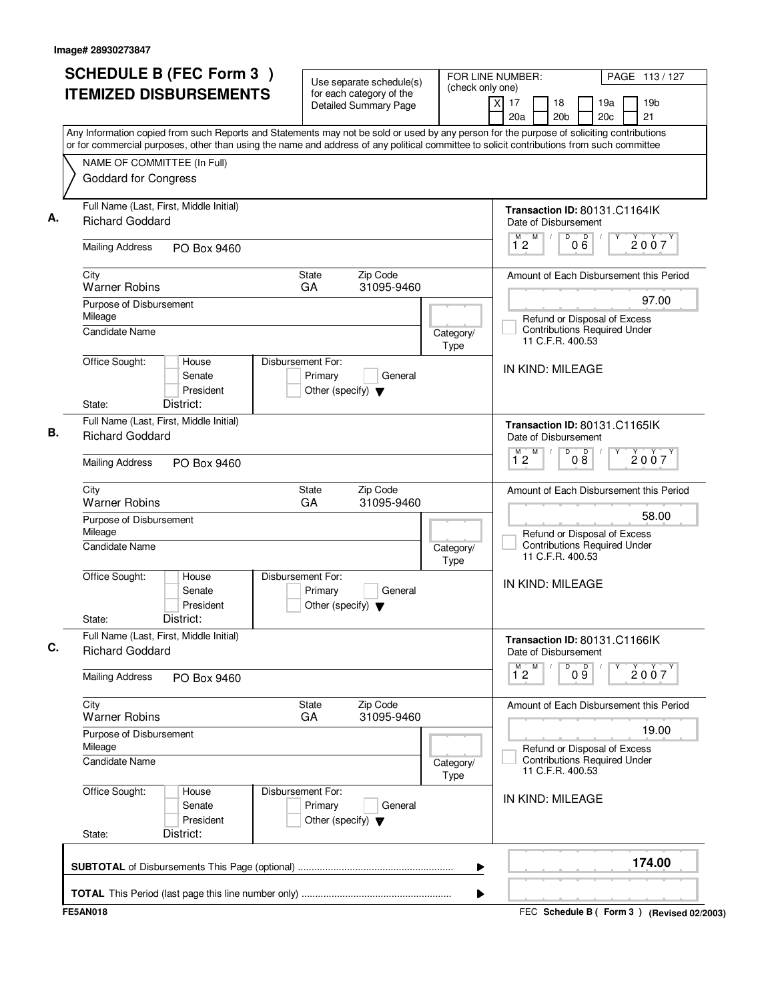| <b>SCHEDULE B (FEC Form 3)</b>                                                                                                                                                                                                                                                         | Use separate schedule(s)                                                        |                   | FOR LINE NUMBER:<br>PAGE 113/127<br>(check only one)                                        |
|----------------------------------------------------------------------------------------------------------------------------------------------------------------------------------------------------------------------------------------------------------------------------------------|---------------------------------------------------------------------------------|-------------------|---------------------------------------------------------------------------------------------|
| <b>ITEMIZED DISBURSEMENTS</b>                                                                                                                                                                                                                                                          | for each category of the<br><b>Detailed Summary Page</b>                        |                   | xl<br>17<br>18<br>19a<br>19 <sub>b</sub><br>20a<br>20 <sub>b</sub><br>20 <sub>c</sub><br>21 |
| Any Information copied from such Reports and Statements may not be sold or used by any person for the purpose of soliciting contributions<br>or for commercial purposes, other than using the name and address of any political committee to solicit contributions from such committee |                                                                                 |                   |                                                                                             |
| NAME OF COMMITTEE (In Full)                                                                                                                                                                                                                                                            |                                                                                 |                   |                                                                                             |
| <b>Goddard for Congress</b>                                                                                                                                                                                                                                                            |                                                                                 |                   |                                                                                             |
| Full Name (Last, First, Middle Initial)<br><b>Richard Goddard</b>                                                                                                                                                                                                                      |                                                                                 |                   | Transaction ID: 80131.C1164lK<br>Date of Disbursement                                       |
| <b>Mailing Address</b><br>PO Box 9460                                                                                                                                                                                                                                                  |                                                                                 |                   | D<br>000<br>M<br>M<br>2007<br>$1^{\circ}2$                                                  |
| City<br><b>Warner Robins</b>                                                                                                                                                                                                                                                           | Zip Code<br><b>State</b><br>GA<br>31095-9460                                    |                   | Amount of Each Disbursement this Period                                                     |
| Purpose of Disbursement                                                                                                                                                                                                                                                                |                                                                                 |                   | 97.00                                                                                       |
| Mileage<br>Candidate Name                                                                                                                                                                                                                                                              |                                                                                 | Category/<br>Type | Refund or Disposal of Excess<br><b>Contributions Required Under</b><br>11 C.F.R. 400.53     |
| Office Sought:<br>House<br>Senate<br>President                                                                                                                                                                                                                                         | Disbursement For:<br>Primary<br>General<br>Other (specify) $\blacktriangledown$ |                   | IN KIND: MILEAGE                                                                            |
| District:<br>State:                                                                                                                                                                                                                                                                    |                                                                                 |                   |                                                                                             |
| Full Name (Last, First, Middle Initial)<br><b>Richard Goddard</b>                                                                                                                                                                                                                      |                                                                                 |                   | Transaction ID: 80131.C1165IK<br>Date of Disbursement                                       |
| <b>Mailing Address</b><br>PO Box 9460                                                                                                                                                                                                                                                  |                                                                                 |                   | D<br>M<br>08<br>M<br>2007<br>12                                                             |
| City<br><b>Warner Robins</b>                                                                                                                                                                                                                                                           | Zip Code<br>State<br>GA<br>31095-9460                                           |                   | Amount of Each Disbursement this Period                                                     |
| Purpose of Disbursement<br>Mileage                                                                                                                                                                                                                                                     |                                                                                 |                   | 58.00<br>Refund or Disposal of Excess                                                       |
| <b>Candidate Name</b>                                                                                                                                                                                                                                                                  |                                                                                 | Category/<br>Type | <b>Contributions Required Under</b><br>11 C.F.R. 400.53                                     |
| Office Sought:<br>House<br>Senate<br>President<br>District:<br>State:                                                                                                                                                                                                                  | Disbursement For:<br>Primary<br>General<br>Other (specify) $\blacktriangledown$ |                   | IN KIND: MILEAGE                                                                            |
| Full Name (Last, First, Middle Initial)<br><b>Richard Goddard</b>                                                                                                                                                                                                                      |                                                                                 |                   | Transaction ID: 80131.C1166IK<br>Date of Disbursement                                       |
| <b>Mailing Address</b><br>PO Box 9460                                                                                                                                                                                                                                                  |                                                                                 |                   | $\overline{9}$ o $\overline{9}$<br>$1^M$ 2 $M$<br>Υ<br>2007                                 |
| City<br><b>Warner Robins</b>                                                                                                                                                                                                                                                           | Zip Code<br>State<br>GA<br>31095-9460                                           |                   | Amount of Each Disbursement this Period                                                     |
| Purpose of Disbursement<br>Mileage                                                                                                                                                                                                                                                     |                                                                                 |                   | 19.00<br>Refund or Disposal of Excess                                                       |
| Candidate Name                                                                                                                                                                                                                                                                         |                                                                                 | Category/<br>Type | <b>Contributions Required Under</b><br>11 C.F.R. 400.53                                     |
| Office Sought:<br>House<br>Senate<br>President                                                                                                                                                                                                                                         | Disbursement For:<br>Primary<br>General<br>Other (specify) $\blacktriangledown$ |                   | IN KIND: MILEAGE                                                                            |
| District:<br>State:                                                                                                                                                                                                                                                                    |                                                                                 |                   |                                                                                             |
|                                                                                                                                                                                                                                                                                        |                                                                                 |                   | 174.00<br>▶                                                                                 |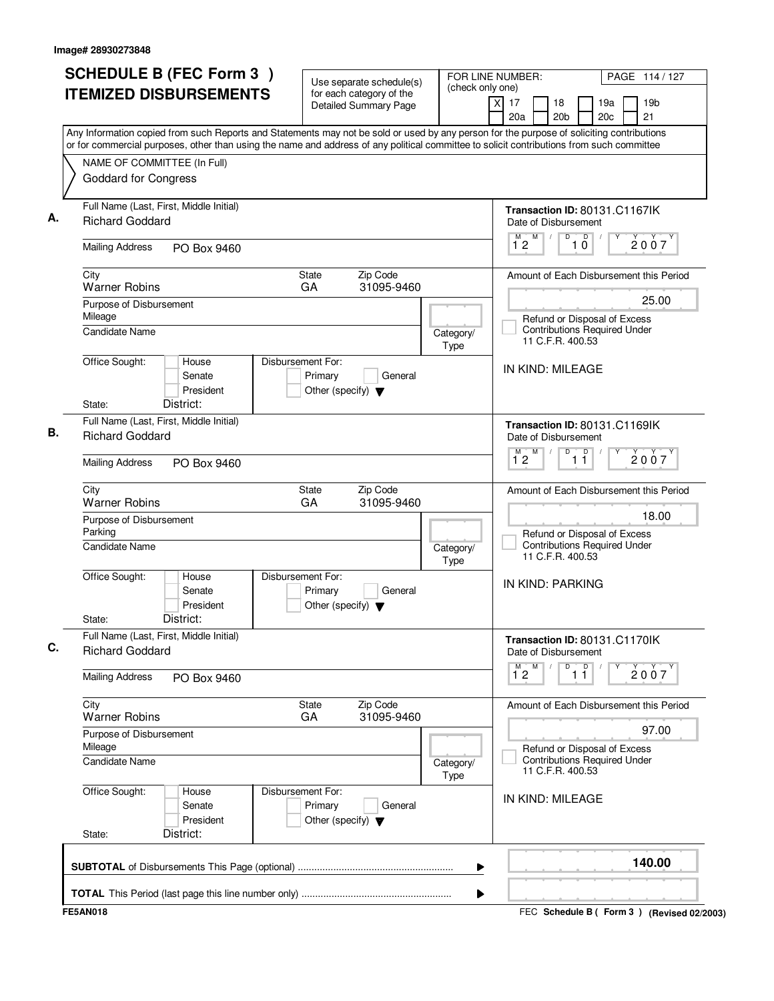| <b>SCHEDULE B (FEC Form 3)</b>                                                                                                            |                              | Use separate schedule(s)                                 | (check only one)  | FOR LINE NUMBER:<br>PAGE 114 / 127                                                                                                        |
|-------------------------------------------------------------------------------------------------------------------------------------------|------------------------------|----------------------------------------------------------|-------------------|-------------------------------------------------------------------------------------------------------------------------------------------|
| <b>ITEMIZED DISBURSEMENTS</b>                                                                                                             |                              | for each category of the<br><b>Detailed Summary Page</b> |                   | 19 <sub>b</sub><br>xl<br>17<br>18<br>19a<br>21<br>20a<br>20 <sub>b</sub><br>20c                                                           |
| or for commercial purposes, other than using the name and address of any political committee to solicit contributions from such committee |                              |                                                          |                   | Any Information copied from such Reports and Statements may not be sold or used by any person for the purpose of soliciting contributions |
| NAME OF COMMITTEE (In Full)                                                                                                               |                              |                                                          |                   |                                                                                                                                           |
| <b>Goddard for Congress</b>                                                                                                               |                              |                                                          |                   |                                                                                                                                           |
| Full Name (Last, First, Middle Initial)<br><b>Richard Goddard</b>                                                                         |                              |                                                          |                   | Transaction ID: 80131.C1167lK<br>Date of Disbursement                                                                                     |
| <b>Mailing Address</b><br>PO Box 9460                                                                                                     |                              |                                                          |                   | D<br>M<br>D<br>М<br>2007<br>12<br>10                                                                                                      |
| City<br><b>Warner Robins</b>                                                                                                              | State<br>GA                  | Zip Code<br>31095-9460                                   |                   | Amount of Each Disbursement this Period                                                                                                   |
| Purpose of Disbursement<br>Mileage                                                                                                        |                              |                                                          |                   | 25.00                                                                                                                                     |
| <b>Candidate Name</b>                                                                                                                     |                              |                                                          | Category/<br>Type | Refund or Disposal of Excess<br><b>Contributions Required Under</b><br>11 C.F.R. 400.53                                                   |
| Office Sought:<br>House<br>Senate<br>President                                                                                            | Disbursement For:<br>Primary | General<br>Other (specify) $\blacktriangledown$          |                   | IN KIND: MILEAGE                                                                                                                          |
| District:<br>State:                                                                                                                       |                              |                                                          |                   |                                                                                                                                           |
| Full Name (Last, First, Middle Initial)<br><b>Richard Goddard</b>                                                                         |                              |                                                          |                   | Transaction ID: 80131.C1169IK<br>Date of Disbursement                                                                                     |
| <b>Mailing Address</b><br>PO Box 9460                                                                                                     |                              |                                                          |                   | D<br>$\overline{1}$ $\overline{1}$<br>M<br>2007<br>$1^{\circ}2$                                                                           |
| City<br><b>Warner Robins</b>                                                                                                              | State<br>GA                  | Zip Code<br>31095-9460                                   |                   | Amount of Each Disbursement this Period                                                                                                   |
| Purpose of Disbursement<br>Parking                                                                                                        |                              |                                                          |                   | 18.00<br>Refund or Disposal of Excess                                                                                                     |
| Candidate Name                                                                                                                            |                              |                                                          | Category/<br>Type | <b>Contributions Required Under</b><br>11 C.F.R. 400.53                                                                                   |
| Office Sought:<br>House<br>Senate<br>President<br>District:<br>State:                                                                     | Disbursement For:<br>Primary | General<br>Other (specify) $\blacktriangledown$          |                   | IN KIND: PARKING                                                                                                                          |
| Full Name (Last, First, Middle Initial)<br><b>Richard Goddard</b>                                                                         |                              |                                                          |                   | Transaction ID: 80131.C1170IK<br>Date of Disbursement                                                                                     |
| <b>Mailing Address</b><br>PO Box 9460                                                                                                     |                              |                                                          |                   | M<br>D<br>$\overline{1}$ $\overline{1}$<br>$\overline{1}^M$ 2<br>2007                                                                     |
| City<br><b>Warner Robins</b>                                                                                                              | State<br>GA                  | Zip Code<br>31095-9460                                   |                   | Amount of Each Disbursement this Period                                                                                                   |
| Purpose of Disbursement<br>Mileage                                                                                                        |                              |                                                          |                   | 97.00<br>Refund or Disposal of Excess                                                                                                     |
| Candidate Name                                                                                                                            |                              |                                                          | Category/<br>Type | <b>Contributions Required Under</b><br>11 C.F.R. 400.53                                                                                   |
| Office Sought:<br>House<br>Senate<br>President                                                                                            | Disbursement For:<br>Primary | General<br>Other (specify) $\blacktriangledown$          |                   | IN KIND: MILEAGE                                                                                                                          |
| District:<br>State:                                                                                                                       |                              |                                                          |                   |                                                                                                                                           |
|                                                                                                                                           |                              |                                                          |                   | 140.00                                                                                                                                    |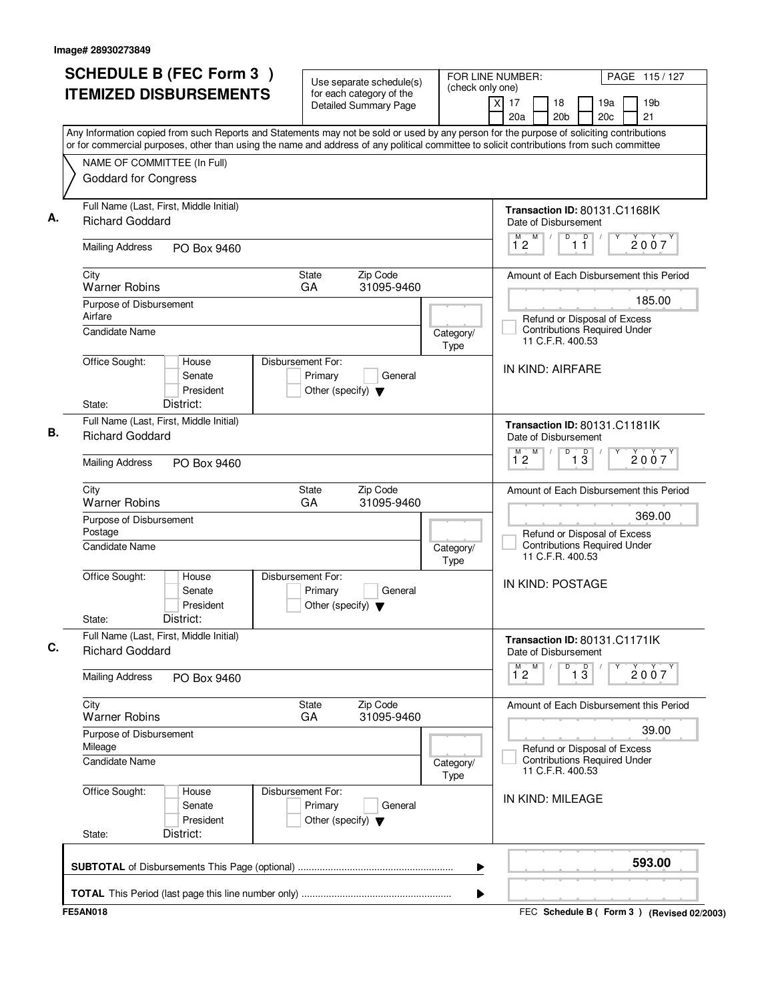| <b>SCHEDULE B (FEC Form 3)</b>                                                                                                                                                                                                                                                         | Use separate schedule(s)                                                        | (check only one)  | FOR LINE NUMBER:<br>PAGE 115/127                                                            |
|----------------------------------------------------------------------------------------------------------------------------------------------------------------------------------------------------------------------------------------------------------------------------------------|---------------------------------------------------------------------------------|-------------------|---------------------------------------------------------------------------------------------|
| <b>ITEMIZED DISBURSEMENTS</b>                                                                                                                                                                                                                                                          | for each category of the<br><b>Detailed Summary Page</b>                        |                   | xl<br>17<br>18<br>19a<br>19 <sub>b</sub><br>20a<br>20 <sub>b</sub><br>20 <sub>c</sub><br>21 |
| Any Information copied from such Reports and Statements may not be sold or used by any person for the purpose of soliciting contributions<br>or for commercial purposes, other than using the name and address of any political committee to solicit contributions from such committee |                                                                                 |                   |                                                                                             |
| NAME OF COMMITTEE (In Full)                                                                                                                                                                                                                                                            |                                                                                 |                   |                                                                                             |
| <b>Goddard for Congress</b>                                                                                                                                                                                                                                                            |                                                                                 |                   |                                                                                             |
| Full Name (Last, First, Middle Initial)<br><b>Richard Goddard</b>                                                                                                                                                                                                                      |                                                                                 |                   | Transaction ID: 80131.C1168IK<br>Date of Disbursement                                       |
| <b>Mailing Address</b><br>PO Box 9460                                                                                                                                                                                                                                                  |                                                                                 |                   | D<br>D<br>M T<br>M<br>2007<br>$1^{\circ}2$<br>11                                            |
| City<br><b>Warner Robins</b>                                                                                                                                                                                                                                                           | Zip Code<br><b>State</b><br>GA<br>31095-9460                                    |                   | Amount of Each Disbursement this Period                                                     |
| Purpose of Disbursement                                                                                                                                                                                                                                                                |                                                                                 |                   | 185.00                                                                                      |
| Airfare<br><b>Candidate Name</b>                                                                                                                                                                                                                                                       |                                                                                 | Category/<br>Type | Refund or Disposal of Excess<br><b>Contributions Required Under</b><br>11 C.F.R. 400.53     |
| Office Sought:<br>House<br>Senate<br>President                                                                                                                                                                                                                                         | Disbursement For:<br>Primary<br>General<br>Other (specify) $\blacktriangledown$ |                   | IN KIND: AIRFARE                                                                            |
| District:<br>State:                                                                                                                                                                                                                                                                    |                                                                                 |                   |                                                                                             |
| Full Name (Last, First, Middle Initial)<br><b>Richard Goddard</b>                                                                                                                                                                                                                      |                                                                                 |                   | Transaction ID: 80131.C1181IK<br>Date of Disbursement<br>D<br>M<br>M                        |
| <b>Mailing Address</b><br>PO Box 9460                                                                                                                                                                                                                                                  |                                                                                 |                   | $\overline{1\,3}$<br>2007<br>12                                                             |
| City<br><b>Warner Robins</b>                                                                                                                                                                                                                                                           | Zip Code<br>State<br>GA<br>31095-9460                                           |                   | Amount of Each Disbursement this Period                                                     |
| Purpose of Disbursement<br>Postage                                                                                                                                                                                                                                                     |                                                                                 |                   | 369.00<br>Refund or Disposal of Excess                                                      |
| Candidate Name                                                                                                                                                                                                                                                                         |                                                                                 | Category/<br>Type | <b>Contributions Required Under</b><br>11 C.F.R. 400.53                                     |
| Office Sought:<br>House<br>Senate<br>President                                                                                                                                                                                                                                         | Disbursement For:<br>Primary<br>General<br>Other (specify) $\blacktriangledown$ |                   | IN KIND: POSTAGE                                                                            |
| District:<br>State:                                                                                                                                                                                                                                                                    |                                                                                 |                   |                                                                                             |
| Full Name (Last, First, Middle Initial)<br><b>Richard Goddard</b>                                                                                                                                                                                                                      |                                                                                 |                   | Transaction ID: 80131.C1171lK<br>Date of Disbursement                                       |
| <b>Mailing Address</b><br>PO Box 9460                                                                                                                                                                                                                                                  |                                                                                 |                   | D<br>$\overline{1}$ $\overline{3}$<br>$1^M$ 2 $M$<br>2007                                   |
| City<br><b>Warner Robins</b>                                                                                                                                                                                                                                                           | Zip Code<br>State<br>GA<br>31095-9460                                           |                   | Amount of Each Disbursement this Period                                                     |
| Purpose of Disbursement<br>Mileage                                                                                                                                                                                                                                                     |                                                                                 |                   | 39.00<br>Refund or Disposal of Excess                                                       |
| Candidate Name                                                                                                                                                                                                                                                                         |                                                                                 | Category/<br>Type | <b>Contributions Required Under</b><br>11 C.F.R. 400.53                                     |
| Office Sought:<br>House<br>Senate<br>President                                                                                                                                                                                                                                         | Disbursement For:<br>Primary<br>General<br>Other (specify) $\blacktriangledown$ |                   | IN KIND: MILEAGE                                                                            |
| District:<br>State:                                                                                                                                                                                                                                                                    |                                                                                 |                   |                                                                                             |
|                                                                                                                                                                                                                                                                                        |                                                                                 | ▶                 | 593.00                                                                                      |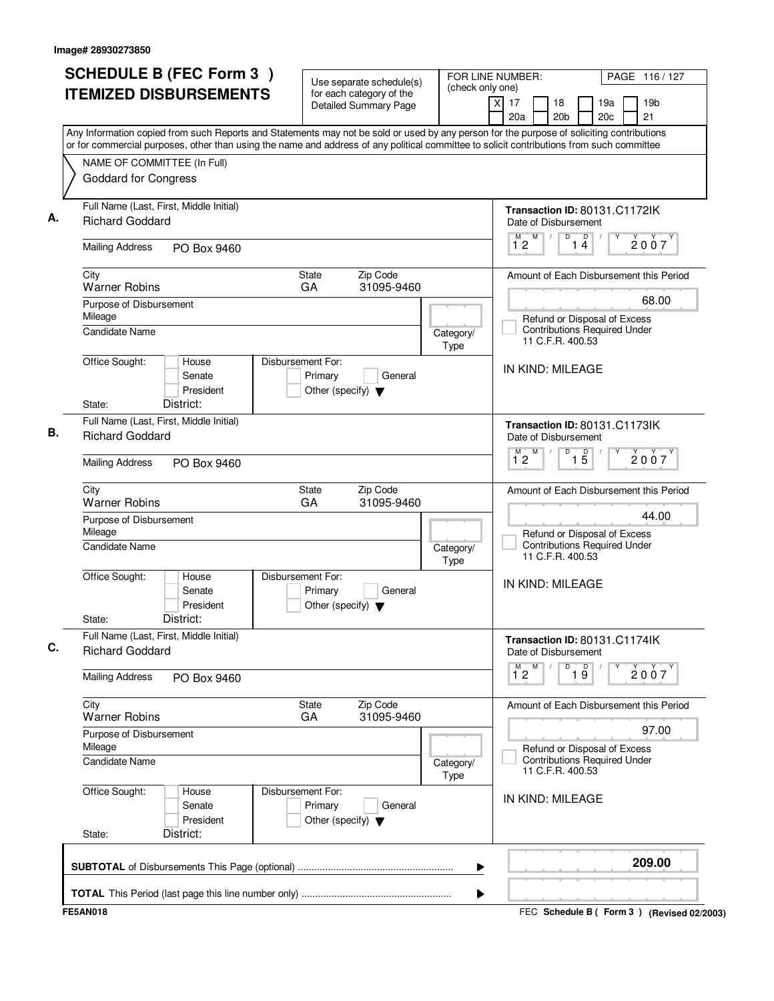| <b>SCHEDULE B (FEC Form 3)</b>                                                                                                                                                                                                                                                         | Use separate schedule(s)                                                        | (check only one)  | FOR LINE NUMBER:<br>PAGE 116/127                                                        |
|----------------------------------------------------------------------------------------------------------------------------------------------------------------------------------------------------------------------------------------------------------------------------------------|---------------------------------------------------------------------------------|-------------------|-----------------------------------------------------------------------------------------|
| <b>ITEMIZED DISBURSEMENTS</b>                                                                                                                                                                                                                                                          | for each category of the<br><b>Detailed Summary Page</b>                        |                   | 19 <sub>b</sub><br>xl<br>17<br>18<br>19a<br>21<br>20a<br>20 <sub>b</sub><br>20c         |
| Any Information copied from such Reports and Statements may not be sold or used by any person for the purpose of soliciting contributions<br>or for commercial purposes, other than using the name and address of any political committee to solicit contributions from such committee |                                                                                 |                   |                                                                                         |
| NAME OF COMMITTEE (In Full)                                                                                                                                                                                                                                                            |                                                                                 |                   |                                                                                         |
| <b>Goddard for Congress</b>                                                                                                                                                                                                                                                            |                                                                                 |                   |                                                                                         |
| Full Name (Last, First, Middle Initial)<br><b>Richard Goddard</b>                                                                                                                                                                                                                      |                                                                                 |                   | Transaction ID: 80131.C1172IK<br>Date of Disbursement                                   |
| <b>Mailing Address</b><br>PO Box 9460                                                                                                                                                                                                                                                  |                                                                                 |                   | D<br>M<br>D<br>М<br>2007<br>12<br>14                                                    |
| City<br><b>Warner Robins</b>                                                                                                                                                                                                                                                           | State<br>Zip Code<br>31095-9460<br>GA                                           |                   | Amount of Each Disbursement this Period                                                 |
| Purpose of Disbursement                                                                                                                                                                                                                                                                |                                                                                 |                   | 68.00                                                                                   |
| Mileage<br><b>Candidate Name</b>                                                                                                                                                                                                                                                       |                                                                                 | Category/<br>Type | Refund or Disposal of Excess<br><b>Contributions Required Under</b><br>11 C.F.R. 400.53 |
| Office Sought:<br>House<br>Senate<br>President                                                                                                                                                                                                                                         | Disbursement For:<br>Primary<br>General<br>Other (specify) $\blacktriangledown$ |                   | IN KIND: MILEAGE                                                                        |
| District:<br>State:                                                                                                                                                                                                                                                                    |                                                                                 |                   |                                                                                         |
| Full Name (Last, First, Middle Initial)<br><b>Richard Goddard</b>                                                                                                                                                                                                                      |                                                                                 |                   | Transaction ID: 80131.C1173IK<br>Date of Disbursement                                   |
| <b>Mailing Address</b><br>PO Box 9460                                                                                                                                                                                                                                                  |                                                                                 |                   | D<br>M<br>$\overline{15}$<br>2007<br>$1^{\circ}2$                                       |
| City<br><b>Warner Robins</b>                                                                                                                                                                                                                                                           | State<br>Zip Code<br>GA<br>31095-9460                                           |                   | Amount of Each Disbursement this Period                                                 |
| Purpose of Disbursement<br>Mileage                                                                                                                                                                                                                                                     |                                                                                 |                   | 44.00<br>Refund or Disposal of Excess                                                   |
| Candidate Name                                                                                                                                                                                                                                                                         |                                                                                 | Category/<br>Type | <b>Contributions Required Under</b><br>11 C.F.R. 400.53                                 |
| Office Sought:<br>House<br>Senate<br>President                                                                                                                                                                                                                                         | Disbursement For:<br>Primary<br>General<br>Other (specify) $\blacktriangledown$ |                   | IN KIND: MILEAGE                                                                        |
| District:<br>State:                                                                                                                                                                                                                                                                    |                                                                                 |                   |                                                                                         |
| Full Name (Last, First, Middle Initial)<br><b>Richard Goddard</b>                                                                                                                                                                                                                      |                                                                                 |                   | Transaction ID: 80131.C1174lK<br>Date of Disbursement                                   |
| <b>Mailing Address</b><br>PO Box 9460                                                                                                                                                                                                                                                  |                                                                                 |                   | M<br>$\overline{1}^M$ 2<br>D<br>$\overline{19}$<br>2007                                 |
| City<br><b>Warner Robins</b>                                                                                                                                                                                                                                                           | Zip Code<br>State<br>31095-9460<br>GA                                           |                   | Amount of Each Disbursement this Period                                                 |
| Purpose of Disbursement<br>Mileage                                                                                                                                                                                                                                                     |                                                                                 |                   | 97.00<br>Refund or Disposal of Excess                                                   |
| Candidate Name                                                                                                                                                                                                                                                                         |                                                                                 | Category/<br>Type | <b>Contributions Required Under</b><br>11 C.F.R. 400.53                                 |
| Office Sought:<br>House<br>Senate<br>President                                                                                                                                                                                                                                         | Disbursement For:<br>Primary<br>General<br>Other (specify) $\blacktriangledown$ |                   | IN KIND: MILEAGE                                                                        |
| District:<br>State:                                                                                                                                                                                                                                                                    |                                                                                 |                   |                                                                                         |
|                                                                                                                                                                                                                                                                                        |                                                                                 |                   | 209.00                                                                                  |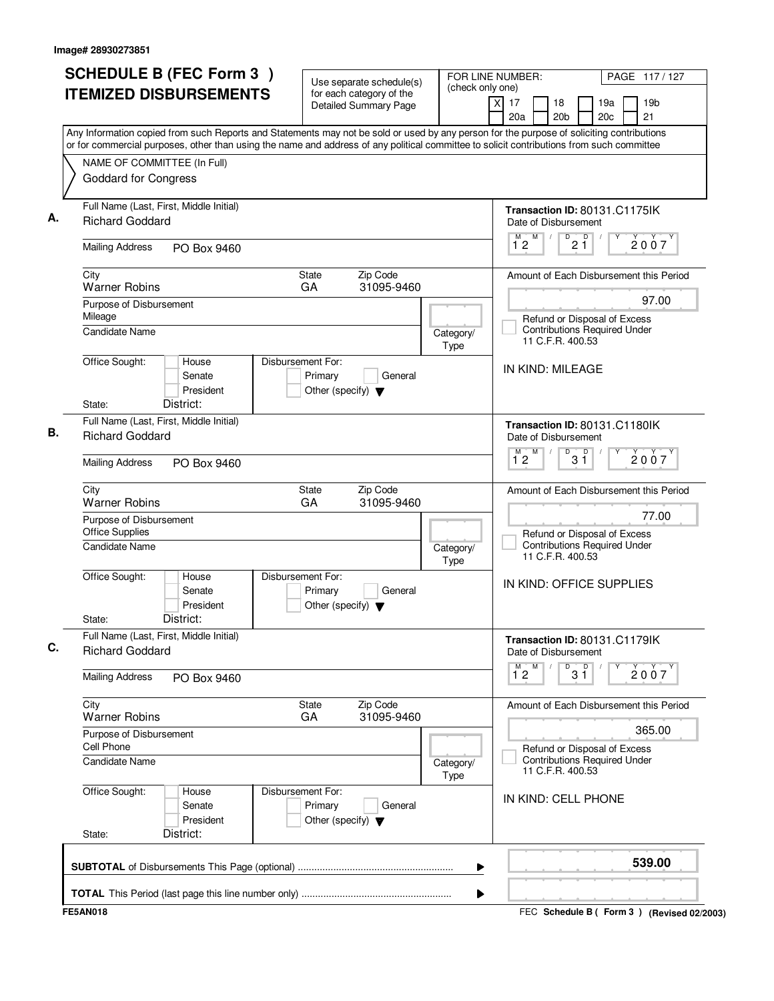| <b>SCHEDULE B (FEC Form 3)</b>                                                                                                                                                                                                                                                         | Use separate schedule(s)                                                        |                   | FOR LINE NUMBER:<br>PAGE 117/127                                                        |
|----------------------------------------------------------------------------------------------------------------------------------------------------------------------------------------------------------------------------------------------------------------------------------------|---------------------------------------------------------------------------------|-------------------|-----------------------------------------------------------------------------------------|
| <b>ITEMIZED DISBURSEMENTS</b>                                                                                                                                                                                                                                                          | for each category of the<br><b>Detailed Summary Page</b>                        | (check only one)  | $\times$<br>17<br>18<br>19a<br>19 <sub>b</sub><br>20a<br>20 <sub>b</sub><br>20c<br>21   |
| Any Information copied from such Reports and Statements may not be sold or used by any person for the purpose of soliciting contributions<br>or for commercial purposes, other than using the name and address of any political committee to solicit contributions from such committee |                                                                                 |                   |                                                                                         |
| NAME OF COMMITTEE (In Full)                                                                                                                                                                                                                                                            |                                                                                 |                   |                                                                                         |
| <b>Goddard for Congress</b>                                                                                                                                                                                                                                                            |                                                                                 |                   |                                                                                         |
| Full Name (Last, First, Middle Initial)<br><b>Richard Goddard</b>                                                                                                                                                                                                                      |                                                                                 |                   | Transaction ID: 80131.C1175IK<br>Date of Disbursement                                   |
| <b>Mailing Address</b><br>PO Box 9460                                                                                                                                                                                                                                                  |                                                                                 |                   | D<br>D<br>M.<br>M<br>2007<br>2 Ĭ<br>12                                                  |
| City<br><b>Warner Robins</b>                                                                                                                                                                                                                                                           | Zip Code<br><b>State</b><br>GA<br>31095-9460                                    |                   | Amount of Each Disbursement this Period                                                 |
| Purpose of Disbursement                                                                                                                                                                                                                                                                |                                                                                 |                   | 97.00                                                                                   |
| Mileage<br>Candidate Name                                                                                                                                                                                                                                                              |                                                                                 | Category/<br>Type | Refund or Disposal of Excess<br><b>Contributions Required Under</b><br>11 C.F.R. 400.53 |
| Office Sought:<br>House<br>Senate<br>President                                                                                                                                                                                                                                         | Disbursement For:<br>Primary<br>General<br>Other (specify) $\blacktriangledown$ |                   | IN KIND: MILEAGE                                                                        |
| District:<br>State:                                                                                                                                                                                                                                                                    |                                                                                 |                   |                                                                                         |
| Full Name (Last, First, Middle Initial)<br><b>Richard Goddard</b>                                                                                                                                                                                                                      |                                                                                 |                   | Transaction ID: 80131.C1180IK<br>Date of Disbursement                                   |
| <b>Mailing Address</b><br>PO Box 9460                                                                                                                                                                                                                                                  |                                                                                 |                   | $\overline{D}$<br>M<br>D<br>М<br>2007<br>12<br>$3\bar{1}$                               |
| City<br><b>Warner Robins</b>                                                                                                                                                                                                                                                           | Zip Code<br><b>State</b><br>GA<br>31095-9460                                    |                   | Amount of Each Disbursement this Period                                                 |
| Purpose of Disbursement<br><b>Office Supplies</b>                                                                                                                                                                                                                                      |                                                                                 |                   | 77.00<br>Refund or Disposal of Excess<br><b>Contributions Required Under</b>            |
| Candidate Name                                                                                                                                                                                                                                                                         |                                                                                 | Category/<br>Type | 11 C.F.R. 400.53                                                                        |
| Office Sought:<br>House<br>Senate<br>President<br>District:<br>State:                                                                                                                                                                                                                  | Disbursement For:<br>Primary<br>General<br>Other (specify) $\blacktriangledown$ |                   | IN KIND: OFFICE SUPPLIES                                                                |
| Full Name (Last, First, Middle Initial)<br><b>Richard Goddard</b>                                                                                                                                                                                                                      |                                                                                 |                   | Transaction ID: 80131.C1179lK<br>Date of Disbursement                                   |
| <b>Mailing Address</b><br>PO Box 9460                                                                                                                                                                                                                                                  |                                                                                 |                   | $\overline{31}$<br>$1^M2$ <sup>M</sup><br>Υ<br>2007                                     |
| City<br><b>Warner Robins</b>                                                                                                                                                                                                                                                           | State<br>Zip Code<br>GA<br>31095-9460                                           |                   | Amount of Each Disbursement this Period                                                 |
| Purpose of Disbursement<br>Cell Phone                                                                                                                                                                                                                                                  |                                                                                 |                   | 365.00<br>Refund or Disposal of Excess                                                  |
| <b>Candidate Name</b>                                                                                                                                                                                                                                                                  |                                                                                 | Category/<br>Type | <b>Contributions Required Under</b><br>11 C.F.R. 400.53                                 |
| Office Sought:<br>House<br>Senate<br>President                                                                                                                                                                                                                                         | Disbursement For:<br>Primary<br>General<br>Other (specify) $\blacktriangledown$ |                   | IN KIND: CELL PHONE                                                                     |
| District:<br>State:                                                                                                                                                                                                                                                                    |                                                                                 |                   |                                                                                         |
|                                                                                                                                                                                                                                                                                        |                                                                                 | ▶                 | 539.00                                                                                  |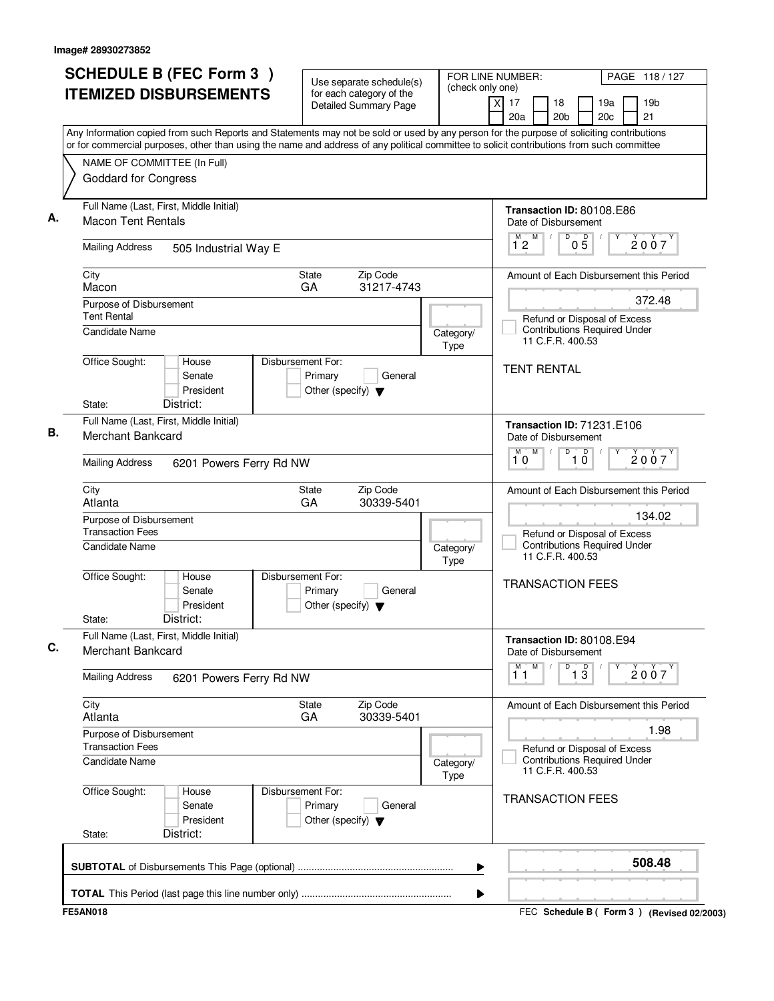|                                                                                                                                                                                                                                                                                        | Use separate schedule(s)                                                                | (check only one)         | FOR LINE NUMBER:                                                               | PAGE 118/127          |  |  |
|----------------------------------------------------------------------------------------------------------------------------------------------------------------------------------------------------------------------------------------------------------------------------------------|-----------------------------------------------------------------------------------------|--------------------------|--------------------------------------------------------------------------------|-----------------------|--|--|
| <b>ITEMIZED DISBURSEMENTS</b>                                                                                                                                                                                                                                                          | for each category of the<br><b>Detailed Summary Page</b>                                |                          | $\overline{x}$<br>17<br>18<br>19a<br>20 <sub>b</sub><br>20 <sub>c</sub><br>20a | 19 <sub>b</sub><br>21 |  |  |
| Any Information copied from such Reports and Statements may not be sold or used by any person for the purpose of soliciting contributions<br>or for commercial purposes, other than using the name and address of any political committee to solicit contributions from such committee |                                                                                         |                          |                                                                                |                       |  |  |
|                                                                                                                                                                                                                                                                                        |                                                                                         |                          |                                                                                |                       |  |  |
| NAME OF COMMITTEE (In Full)<br><b>Goddard for Congress</b>                                                                                                                                                                                                                             |                                                                                         |                          |                                                                                |                       |  |  |
| Full Name (Last, First, Middle Initial)                                                                                                                                                                                                                                                |                                                                                         |                          | Transaction ID: 80108.E86                                                      |                       |  |  |
| <b>Macon Tent Rentals</b>                                                                                                                                                                                                                                                              |                                                                                         |                          | Date of Disbursement<br>M                                                      |                       |  |  |
| <b>Mailing Address</b><br>505 Industrial Way E                                                                                                                                                                                                                                         |                                                                                         |                          | $\overline{0}$ $\overline{5}$<br>$1^{\circ}2$                                  | 2007                  |  |  |
| City<br>Macon                                                                                                                                                                                                                                                                          | Zip Code<br><b>State</b><br>GA<br>31217-4743                                            |                          | Amount of Each Disbursement this Period                                        |                       |  |  |
| Purpose of Disbursement                                                                                                                                                                                                                                                                |                                                                                         |                          |                                                                                | 372.48                |  |  |
| <b>Tent Rental</b>                                                                                                                                                                                                                                                                     |                                                                                         |                          | Refund or Disposal of Excess                                                   |                       |  |  |
| Candidate Name                                                                                                                                                                                                                                                                         |                                                                                         | Category/<br><b>Type</b> | <b>Contributions Required Under</b><br>11 C.F.R. 400.53                        |                       |  |  |
| Office Sought:<br>House<br>Senate<br>President                                                                                                                                                                                                                                         | Disbursement For:<br>Primary<br>General<br>Other (specify) $\blacktriangledown$         |                          | <b>TENT RENTAL</b>                                                             |                       |  |  |
| District:<br>State:                                                                                                                                                                                                                                                                    |                                                                                         |                          |                                                                                |                       |  |  |
| Full Name (Last, First, Middle Initial)                                                                                                                                                                                                                                                |                                                                                         |                          | Transaction ID: 71231.E106                                                     |                       |  |  |
| <b>Merchant Bankcard</b>                                                                                                                                                                                                                                                               |                                                                                         |                          | Date of Disbursement<br>$\overline{D}$<br>M<br>M                               |                       |  |  |
| <b>Mailing Address</b><br>6201 Powers Ferry Rd NW                                                                                                                                                                                                                                      |                                                                                         |                          | D<br>10<br>10                                                                  | 2007                  |  |  |
| City<br>Atlanta                                                                                                                                                                                                                                                                        | Zip Code<br>State<br>30339-5401<br>GA                                                   |                          | Amount of Each Disbursement this Period                                        |                       |  |  |
| Purpose of Disbursement                                                                                                                                                                                                                                                                |                                                                                         |                          |                                                                                | 134.02                |  |  |
| <b>Transaction Fees</b>                                                                                                                                                                                                                                                                | Refund or Disposal of Excess                                                            |                          |                                                                                |                       |  |  |
| Candidate Name                                                                                                                                                                                                                                                                         |                                                                                         | Category/<br><b>Type</b> | <b>Contributions Required Under</b><br>11 C.F.R. 400.53                        |                       |  |  |
| Office Sought:<br>House<br>Senate<br>President<br>District:<br>State:                                                                                                                                                                                                                  | Disbursement For:<br>Primary<br>General<br>Other (specify) $\blacktriangledown$         |                          | <b>TRANSACTION FEES</b>                                                        |                       |  |  |
| Full Name (Last, First, Middle Initial)<br><b>Merchant Bankcard</b>                                                                                                                                                                                                                    |                                                                                         |                          | Transaction ID: 80108.E94<br>Date of Disbursement                              |                       |  |  |
| <b>Mailing Address</b><br>6201 Powers Ferry Rd NW                                                                                                                                                                                                                                      |                                                                                         |                          | D<br>M<br>M<br>$\overline{13}$<br>11                                           | Υ<br>2007             |  |  |
| City<br>Atlanta                                                                                                                                                                                                                                                                        | Zip Code<br>State<br>GA<br>30339-5401                                                   |                          | Amount of Each Disbursement this Period                                        |                       |  |  |
| Purpose of Disbursement<br><b>Transaction Fees</b>                                                                                                                                                                                                                                     |                                                                                         |                          | 1.98                                                                           |                       |  |  |
| <b>Candidate Name</b>                                                                                                                                                                                                                                                                  | Refund or Disposal of Excess<br><b>Contributions Required Under</b><br>11 C.F.R. 400.53 |                          |                                                                                |                       |  |  |
| Office Sought:<br>House<br>Senate<br>President<br>District:<br>State:                                                                                                                                                                                                                  | Disbursement For:<br>Primary<br>General<br>Other (specify) $\blacktriangledown$         |                          | <b>TRANSACTION FEES</b>                                                        |                       |  |  |
|                                                                                                                                                                                                                                                                                        |                                                                                         | ▶                        |                                                                                | 508.48                |  |  |
|                                                                                                                                                                                                                                                                                        |                                                                                         |                          |                                                                                |                       |  |  |
| <b>FE5AN018</b>                                                                                                                                                                                                                                                                        |                                                                                         | ▶                        | FEC Schedule B ( Form 3 ) (Revised 02/2003)                                    |                       |  |  |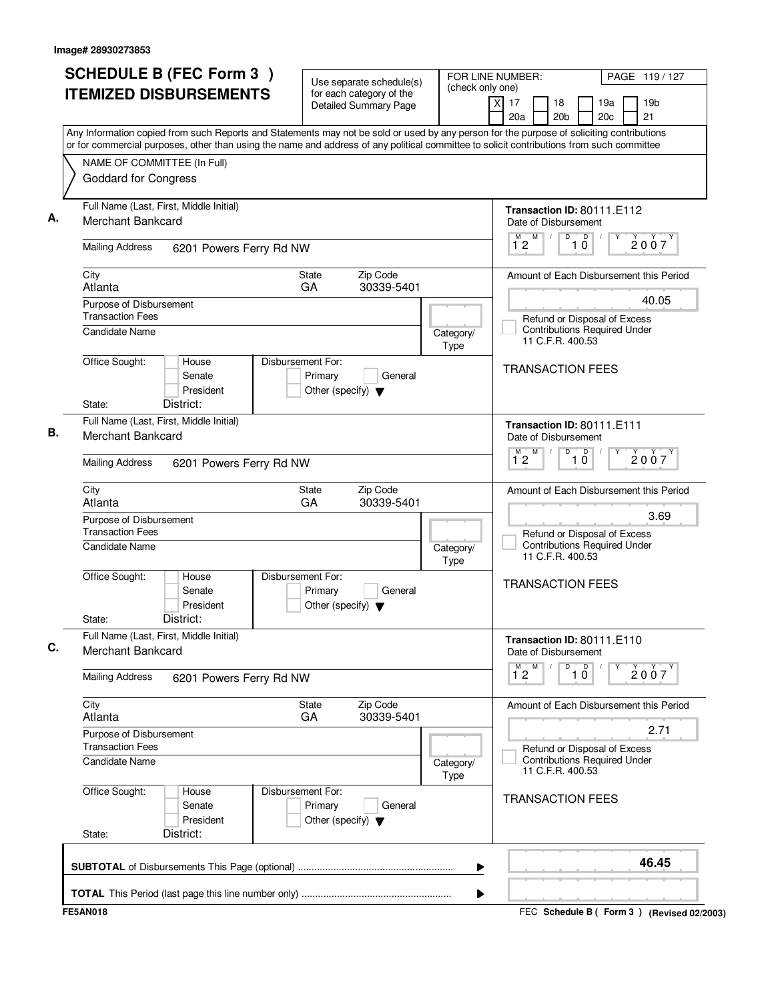| <b>SCHEDULE B (FEC Form 3)</b>                                                                                                                                                                                                                                                         | Use separate schedule(s)                                                        |                          | FOR LINE NUMBER:<br>(check only one) |                                                                                         |                               |                        | PAGE 119/127 |                                                 |  |
|----------------------------------------------------------------------------------------------------------------------------------------------------------------------------------------------------------------------------------------------------------------------------------------|---------------------------------------------------------------------------------|--------------------------|--------------------------------------|-----------------------------------------------------------------------------------------|-------------------------------|------------------------|--------------|-------------------------------------------------|--|
| <b>ITEMIZED DISBURSEMENTS</b>                                                                                                                                                                                                                                                          | for each category of the<br><b>Detailed Summary Page</b>                        |                          | $\times$<br>17<br>20a                | 18<br>20 <sub>b</sub>                                                                   |                               | 19a<br>20 <sub>c</sub> |              | 19 <sub>b</sub><br>21                           |  |
| Any Information copied from such Reports and Statements may not be sold or used by any person for the purpose of soliciting contributions<br>or for commercial purposes, other than using the name and address of any political committee to solicit contributions from such committee |                                                                                 |                          |                                      |                                                                                         |                               |                        |              |                                                 |  |
| NAME OF COMMITTEE (In Full)                                                                                                                                                                                                                                                            |                                                                                 |                          |                                      |                                                                                         |                               |                        |              |                                                 |  |
| <b>Goddard for Congress</b>                                                                                                                                                                                                                                                            |                                                                                 |                          |                                      |                                                                                         |                               |                        |              |                                                 |  |
| Full Name (Last, First, Middle Initial)<br>Merchant Bankcard                                                                                                                                                                                                                           |                                                                                 |                          |                                      | Transaction ID: 80111.E112<br>Date of Disbursement                                      |                               |                        |              |                                                 |  |
| <b>Mailing Address</b><br>6201 Powers Ferry Rd NW                                                                                                                                                                                                                                      |                                                                                 |                          | 12                                   | M<br>D                                                                                  | D<br>10                       |                        |              | 2007                                            |  |
| City<br>Atlanta                                                                                                                                                                                                                                                                        | Zip Code<br>State<br>GA<br>30339-5401                                           |                          |                                      |                                                                                         |                               |                        |              | Amount of Each Disbursement this Period         |  |
| Purpose of Disbursement                                                                                                                                                                                                                                                                |                                                                                 |                          |                                      |                                                                                         |                               |                        |              | 40.05                                           |  |
| <b>Transaction Fees</b><br>Candidate Name                                                                                                                                                                                                                                              |                                                                                 | Category/<br><b>Type</b> |                                      | Refund or Disposal of Excess<br><b>Contributions Required Under</b><br>11 C.F.R. 400.53 |                               |                        |              |                                                 |  |
| Office Sought:<br>House<br>Senate<br>President<br>District:<br>State:                                                                                                                                                                                                                  | Disbursement For:<br>Primary<br>General<br>Other (specify) $\blacktriangledown$ |                          |                                      | <b>TRANSACTION FEES</b>                                                                 |                               |                        |              |                                                 |  |
| Full Name (Last, First, Middle Initial)                                                                                                                                                                                                                                                |                                                                                 |                          |                                      |                                                                                         |                               |                        |              |                                                 |  |
| Merchant Bankcard                                                                                                                                                                                                                                                                      |                                                                                 |                          | M                                    | Transaction ID: 80111.E111<br>Date of Disbursement<br>M<br>D                            | $\overline{10}$               |                        |              | 2007                                            |  |
| <b>Mailing Address</b><br>6201 Powers Ferry Rd NW                                                                                                                                                                                                                                      |                                                                                 |                          | 12                                   |                                                                                         |                               |                        |              |                                                 |  |
| City<br>Atlanta                                                                                                                                                                                                                                                                        | Zip Code<br>State<br>GA<br>30339-5401                                           |                          |                                      |                                                                                         |                               |                        |              | Amount of Each Disbursement this Period<br>3.69 |  |
| Purpose of Disbursement<br><b>Transaction Fees</b>                                                                                                                                                                                                                                     |                                                                                 |                          |                                      | Refund or Disposal of Excess                                                            |                               |                        |              |                                                 |  |
| Candidate Name                                                                                                                                                                                                                                                                         |                                                                                 | Category/<br><b>Type</b> |                                      | <b>Contributions Required Under</b><br>11 C.F.R. 400.53                                 |                               |                        |              |                                                 |  |
| Office Sought:<br>House<br>Senate<br>President<br>District:<br>State:                                                                                                                                                                                                                  | Disbursement For:<br>Primary<br>General<br>Other (specify) $\blacktriangledown$ |                          |                                      | <b>TRANSACTION FEES</b>                                                                 |                               |                        |              |                                                 |  |
| Full Name (Last, First, Middle Initial)<br>Merchant Bankcard                                                                                                                                                                                                                           |                                                                                 |                          |                                      | Transaction ID: 80111.E110<br>Date of Disbursement                                      |                               |                        |              |                                                 |  |
| <b>Mailing Address</b><br>6201 Powers Ferry Rd NW                                                                                                                                                                                                                                      |                                                                                 |                          | $\overline{1}^M$ 2                   | M<br>D                                                                                  | $\overline{10}$<br>$\sqrt{ }$ | Υ                      |              | 2007                                            |  |
| City<br>Atlanta                                                                                                                                                                                                                                                                        | Zip Code<br>State<br>GA<br>30339-5401                                           |                          |                                      |                                                                                         |                               |                        |              | Amount of Each Disbursement this Period         |  |
| Purpose of Disbursement                                                                                                                                                                                                                                                                |                                                                                 |                          |                                      |                                                                                         |                               |                        |              | 2.71                                            |  |
| <b>Transaction Fees</b><br>Candidate Name<br>Category/<br><b>Type</b>                                                                                                                                                                                                                  |                                                                                 |                          |                                      | Refund or Disposal of Excess<br><b>Contributions Required Under</b><br>11 C.F.R. 400.53 |                               |                        |              |                                                 |  |
| Office Sought:<br>House<br>Senate<br>President<br>District:<br>State:                                                                                                                                                                                                                  | Disbursement For:<br>Primary<br>General<br>Other (specify) $\blacktriangledown$ |                          |                                      | <b>TRANSACTION FEES</b>                                                                 |                               |                        |              |                                                 |  |
|                                                                                                                                                                                                                                                                                        |                                                                                 | ▶                        |                                      |                                                                                         |                               |                        |              | 46.45                                           |  |
|                                                                                                                                                                                                                                                                                        |                                                                                 | ▶                        |                                      |                                                                                         |                               |                        |              |                                                 |  |
| <b>FE5AN018</b>                                                                                                                                                                                                                                                                        |                                                                                 |                          |                                      |                                                                                         |                               |                        |              | FEC Schedule B ( Form 3 ) (Revised 02/2003)     |  |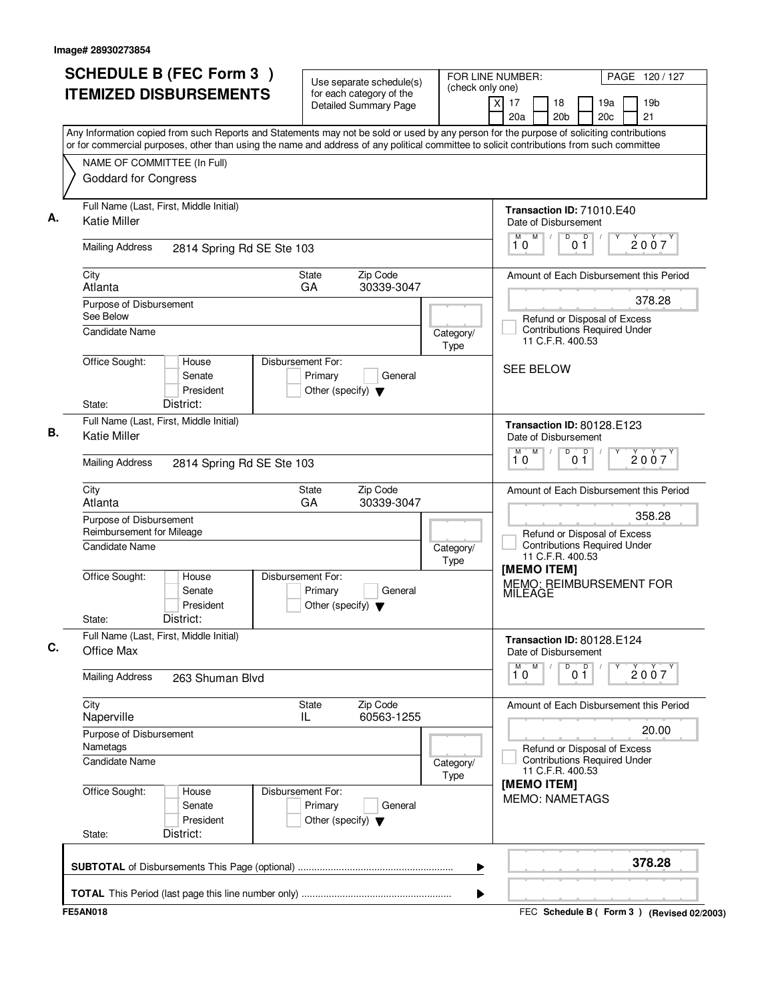| <b>SCHEDULE B (FEC Form 3)</b><br><b>ITEMIZED DISBURSEMENTS</b>                                                                                                                                                                                                                        | Use separate schedule(s)<br>for each category of the                                    | FOR LINE NUMBER:<br>(check only one) |                                                         |                                                                                         | PAGE 120/127                  |                        |  |                                                   |  |
|----------------------------------------------------------------------------------------------------------------------------------------------------------------------------------------------------------------------------------------------------------------------------------------|-----------------------------------------------------------------------------------------|--------------------------------------|---------------------------------------------------------|-----------------------------------------------------------------------------------------|-------------------------------|------------------------|--|---------------------------------------------------|--|
|                                                                                                                                                                                                                                                                                        | <b>Detailed Summary Page</b>                                                            |                                      | $\times$<br>17<br>20a                                   | 18<br>20 <sub>b</sub>                                                                   |                               | 19a<br>20 <sub>c</sub> |  | 19 <sub>b</sub><br>21                             |  |
| Any Information copied from such Reports and Statements may not be sold or used by any person for the purpose of soliciting contributions<br>or for commercial purposes, other than using the name and address of any political committee to solicit contributions from such committee |                                                                                         |                                      |                                                         |                                                                                         |                               |                        |  |                                                   |  |
| NAME OF COMMITTEE (In Full)                                                                                                                                                                                                                                                            |                                                                                         |                                      |                                                         |                                                                                         |                               |                        |  |                                                   |  |
| <b>Goddard for Congress</b>                                                                                                                                                                                                                                                            |                                                                                         |                                      |                                                         |                                                                                         |                               |                        |  |                                                   |  |
| Full Name (Last, First, Middle Initial)<br><b>Katie Miller</b>                                                                                                                                                                                                                         |                                                                                         |                                      |                                                         | Transaction ID: 71010.E40<br>Date of Disbursement                                       |                               |                        |  |                                                   |  |
| <b>Mailing Address</b><br>2814 Spring Rd SE Ste 103                                                                                                                                                                                                                                    |                                                                                         |                                      | 10                                                      | M<br>D                                                                                  | D<br>01                       |                        |  | 2007                                              |  |
| City<br>Atlanta                                                                                                                                                                                                                                                                        | Zip Code<br>State<br>GA<br>30339-3047                                                   |                                      |                                                         |                                                                                         |                               |                        |  | Amount of Each Disbursement this Period           |  |
| Purpose of Disbursement                                                                                                                                                                                                                                                                |                                                                                         |                                      |                                                         |                                                                                         |                               |                        |  | 378.28                                            |  |
| See Below<br><b>Candidate Name</b>                                                                                                                                                                                                                                                     |                                                                                         | Category/<br>Type                    |                                                         | Refund or Disposal of Excess<br><b>Contributions Required Under</b><br>11 C.F.R. 400.53 |                               |                        |  |                                                   |  |
| Office Sought:<br>House<br>Senate<br>President<br>District:<br>State:                                                                                                                                                                                                                  | Disbursement For:<br>Primary<br>General<br>Other (specify) $\blacktriangledown$         |                                      |                                                         | <b>SEE BELOW</b>                                                                        |                               |                        |  |                                                   |  |
| Full Name (Last, First, Middle Initial)                                                                                                                                                                                                                                                |                                                                                         |                                      |                                                         |                                                                                         |                               |                        |  |                                                   |  |
| <b>Katie Miller</b>                                                                                                                                                                                                                                                                    |                                                                                         |                                      | M                                                       | Transaction ID: 80128.E123<br>Date of Disbursement<br>M<br>$\overline{D}$               | D                             |                        |  |                                                   |  |
| <b>Mailing Address</b>                                                                                                                                                                                                                                                                 | 2814 Spring Rd SE Ste 103                                                               |                                      |                                                         |                                                                                         | 2007<br>0 <sub>1</sub><br>10  |                        |  |                                                   |  |
| City<br>Atlanta                                                                                                                                                                                                                                                                        | Zip Code<br>State<br>GA<br>30339-3047                                                   |                                      |                                                         |                                                                                         |                               |                        |  | Amount of Each Disbursement this Period<br>358.28 |  |
| Purpose of Disbursement<br>Reimbursement for Mileage                                                                                                                                                                                                                                   | Refund or Disposal of Excess                                                            |                                      |                                                         |                                                                                         |                               |                        |  |                                                   |  |
| Candidate Name                                                                                                                                                                                                                                                                         | Category/<br><b>Type</b>                                                                |                                      | <b>Contributions Required Under</b><br>11 C.F.R. 400.53 |                                                                                         |                               |                        |  |                                                   |  |
| Office Sought:<br>House<br>Senate<br>President<br>District:<br>State:                                                                                                                                                                                                                  | Disbursement For:<br>Primary<br>General<br>Other (specify) $\blacktriangledown$         |                                      | [MEMO ITEM]<br>MEMO: REIMBURSEMENT FOR<br>MILEAGE       |                                                                                         |                               |                        |  |                                                   |  |
| Full Name (Last, First, Middle Initial)<br>Office Max                                                                                                                                                                                                                                  |                                                                                         |                                      |                                                         | Transaction ID: 80128.E124<br>Date of Disbursement                                      |                               |                        |  |                                                   |  |
| <b>Mailing Address</b><br>263 Shuman Blvd                                                                                                                                                                                                                                              |                                                                                         |                                      | 10                                                      | M                                                                                       | $\overline{0}$ $\overline{1}$ | Υ                      |  | 2007                                              |  |
| City<br>Naperville                                                                                                                                                                                                                                                                     | Zip Code<br>State<br>60563-1255<br>IL                                                   |                                      |                                                         |                                                                                         |                               |                        |  | Amount of Each Disbursement this Period           |  |
| Purpose of Disbursement<br>Nametags                                                                                                                                                                                                                                                    |                                                                                         |                                      |                                                         |                                                                                         |                               | 20.00                  |  |                                                   |  |
| Candidate Name                                                                                                                                                                                                                                                                         | Refund or Disposal of Excess<br><b>Contributions Required Under</b><br>11 C.F.R. 400.53 |                                      |                                                         |                                                                                         |                               |                        |  |                                                   |  |
| Office Sought:<br>House<br>Senate<br>President<br>District:<br>State:                                                                                                                                                                                                                  | Disbursement For:<br>Primary<br>General<br>Other (specify) $\blacktriangledown$         |                                      |                                                         | [MEMO ITEM]<br><b>MEMO: NAMETAGS</b>                                                    |                               |                        |  |                                                   |  |
|                                                                                                                                                                                                                                                                                        |                                                                                         | ▶                                    |                                                         |                                                                                         |                               |                        |  | 378.28                                            |  |
|                                                                                                                                                                                                                                                                                        |                                                                                         | ▶                                    |                                                         |                                                                                         |                               |                        |  |                                                   |  |
| <b>FE5AN018</b>                                                                                                                                                                                                                                                                        |                                                                                         |                                      |                                                         |                                                                                         |                               |                        |  | FEC Schedule B ( Form 3 ) (Revised 02/2003)       |  |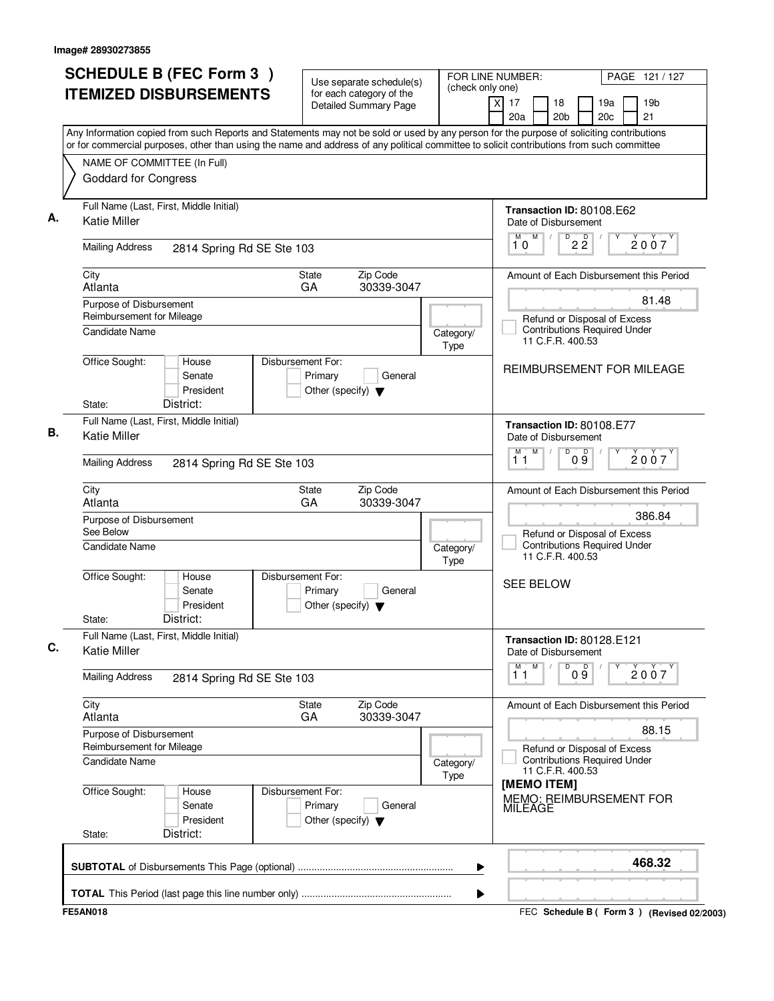| <b>SCHEDULE B (FEC Form 3)</b>                                                                                                                                                                                                                                                         | Use separate schedule(s)                                                        |                          | FOR LINE NUMBER:<br>PAGE 121 / 127                                                                |
|----------------------------------------------------------------------------------------------------------------------------------------------------------------------------------------------------------------------------------------------------------------------------------------|---------------------------------------------------------------------------------|--------------------------|---------------------------------------------------------------------------------------------------|
| <b>ITEMIZED DISBURSEMENTS</b>                                                                                                                                                                                                                                                          | for each category of the<br><b>Detailed Summary Page</b>                        | (check only one)         | $\times$<br>17<br>18<br>19a<br>19b<br>20a<br>20 <sub>b</sub><br>20c<br>21                         |
| Any Information copied from such Reports and Statements may not be sold or used by any person for the purpose of soliciting contributions<br>or for commercial purposes, other than using the name and address of any political committee to solicit contributions from such committee |                                                                                 |                          |                                                                                                   |
| NAME OF COMMITTEE (In Full)<br><b>Goddard for Congress</b>                                                                                                                                                                                                                             |                                                                                 |                          |                                                                                                   |
| Full Name (Last, First, Middle Initial)<br><b>Katie Miller</b>                                                                                                                                                                                                                         |                                                                                 |                          | Transaction ID: 80108.E62<br>Date of Disbursement                                                 |
| <b>Mailing Address</b><br>2814 Spring Rd SE Ste 103                                                                                                                                                                                                                                    |                                                                                 |                          | M<br>M<br>$\overline{2\,2}$<br>2007<br>10                                                         |
| City<br>Atlanta                                                                                                                                                                                                                                                                        | Zip Code<br><b>State</b><br>GA<br>30339-3047                                    |                          | Amount of Each Disbursement this Period                                                           |
| Purpose of Disbursement<br>Reimbursement for Mileage<br>Candidate Name                                                                                                                                                                                                                 |                                                                                 | Category/                | 81.48<br>Refund or Disposal of Excess<br><b>Contributions Required Under</b><br>11 C.F.R. 400.53  |
| Office Sought:<br>House<br>Senate<br>President<br>District:<br>State:                                                                                                                                                                                                                  | Disbursement For:<br>Primary<br>General<br>Other (specify) $\blacktriangledown$ | Type                     | REIMBURSEMENT FOR MILEAGE                                                                         |
| Full Name (Last, First, Middle Initial)<br><b>Katie Miller</b>                                                                                                                                                                                                                         |                                                                                 |                          | Transaction ID: 80108.E77<br>Date of Disbursement<br>M<br>$\overline{D}$<br>M                     |
| <b>Mailing Address</b><br>2814 Spring Rd SE Ste 103                                                                                                                                                                                                                                    |                                                                                 |                          | 09<br>2007<br>11                                                                                  |
| City<br>Atlanta                                                                                                                                                                                                                                                                        | Zip Code<br><b>State</b><br>GA<br>30339-3047                                    |                          | Amount of Each Disbursement this Period                                                           |
| Purpose of Disbursement<br>See Below<br>Candidate Name                                                                                                                                                                                                                                 |                                                                                 | Category/<br>Type        | 386.84<br>Refund or Disposal of Excess<br><b>Contributions Required Under</b><br>11 C.F.R. 400.53 |
| Office Sought:<br>House<br>Senate<br>President<br>District:<br>State:                                                                                                                                                                                                                  | Disbursement For:<br>Primary<br>General<br>Other (specify) $\blacktriangledown$ |                          | <b>SEE BELOW</b>                                                                                  |
| Full Name (Last, First, Middle Initial)<br><b>Katie Miller</b>                                                                                                                                                                                                                         |                                                                                 |                          | Transaction ID: 80128.E121<br>Date of Disbursement                                                |
| <b>Mailing Address</b><br>2814 Spring Rd SE Ste 103                                                                                                                                                                                                                                    |                                                                                 |                          | D<br>$\overline{1}^M$ $\overline{1}$<br>M<br>09<br>2007                                           |
| City<br>Atlanta                                                                                                                                                                                                                                                                        | Zip Code<br>State<br>GA<br>30339-3047                                           |                          | Amount of Each Disbursement this Period                                                           |
| Purpose of Disbursement<br>Reimbursement for Mileage                                                                                                                                                                                                                                   |                                                                                 |                          | 88.15<br>Refund or Disposal of Excess                                                             |
| Candidate Name                                                                                                                                                                                                                                                                         |                                                                                 | Category/<br><b>Type</b> | <b>Contributions Required Under</b><br>11 C.F.R. 400.53                                           |
| Office Sought:<br>House<br>Senate<br>President                                                                                                                                                                                                                                         | Disbursement For:<br>Primary<br>General<br>Other (specify) $\blacktriangledown$ |                          | [MEMO ITEM]<br>MEMO: REIMBURSEMENT FOR<br><b>MILEAGE</b>                                          |
| District:<br>State:                                                                                                                                                                                                                                                                    |                                                                                 |                          |                                                                                                   |
|                                                                                                                                                                                                                                                                                        |                                                                                 | ▶                        | 468.32                                                                                            |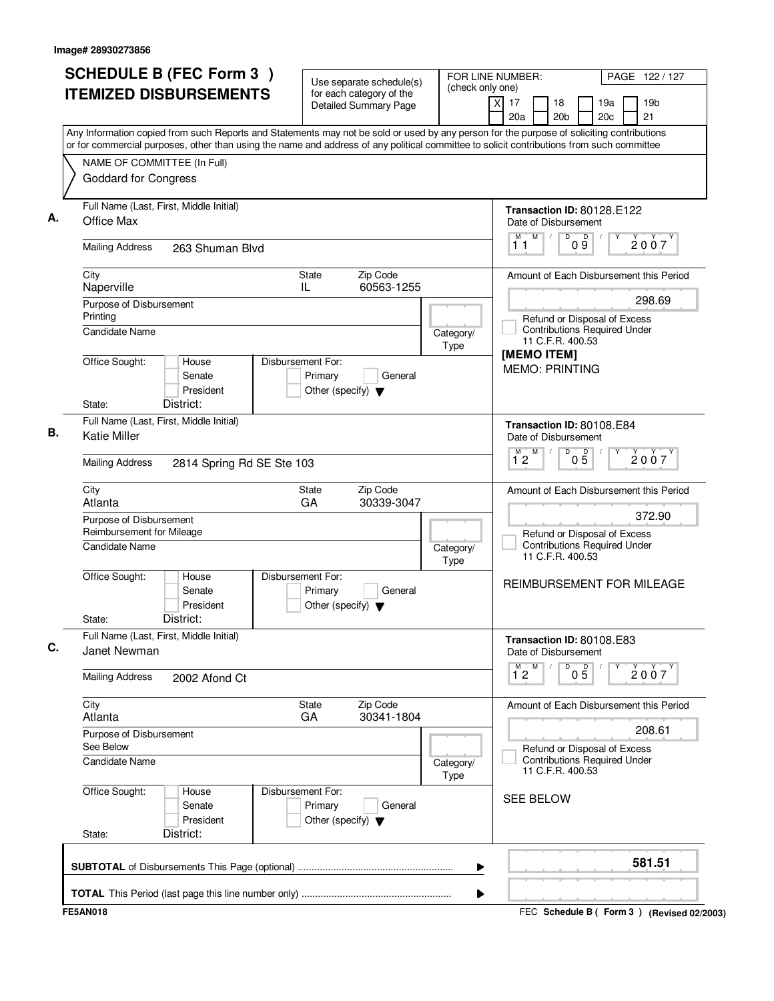| <b>ITEMIZED DISBURSEMENTS</b><br>for each category of the<br>x<br>17<br>18<br>19a<br>19 <sub>b</sub><br><b>Detailed Summary Page</b><br>21<br>20a<br>20 <sub>b</sub><br>20c<br>Any Information copied from such Reports and Statements may not be sold or used by any person for the purpose of soliciting contributions<br>or for commercial purposes, other than using the name and address of any political committee to solicit contributions from such committee<br>NAME OF COMMITTEE (In Full)<br><b>Goddard for Congress</b><br>Full Name (Last, First, Middle Initial)<br>Transaction ID: 80128.E122<br>Office Max<br>Date of Disbursement<br>M<br>D<br>D<br>M<br>2007<br>09<br>11<br><b>Mailing Address</b><br>263 Shuman Blvd<br>Zip Code<br>City<br>State<br>Amount of Each Disbursement this Period<br>Naperville<br>IL<br>60563-1255<br>298.69<br>Purpose of Disbursement<br>Printing<br>Refund or Disposal of Excess<br><b>Contributions Required Under</b><br>Candidate Name<br>Category/<br>11 C.F.R. 400.53<br>Type<br>[MEMO ITEM]<br>Office Sought:<br>Disbursement For:<br>House<br><b>MEMO: PRINTING</b><br>Senate<br>Primary<br>General<br>President<br>Other (specify) $\blacktriangledown$<br>District:<br>State:<br>Full Name (Last, First, Middle Initial)<br>Transaction ID: 80108.E84<br><b>Katie Miller</b><br>Date of Disbursement<br>М<br>M<br>D<br>$0\overline{5}$<br>2007<br>12<br><b>Mailing Address</b><br>2814 Spring Rd SE Ste 103<br>Zip Code<br>City<br>State<br>Amount of Each Disbursement this Period<br>GA<br>Atlanta<br>30339-3047<br>372.90<br>Purpose of Disbursement<br>Reimbursement for Mileage<br>Refund or Disposal of Excess<br><b>Contributions Required Under</b><br><b>Candidate Name</b><br>Category/<br>11 C.F.R. 400.53<br>Type<br>Office Sought:<br>Disbursement For:<br>House<br>REIMBURSEMENT FOR MILEAGE<br>Senate<br>Primary<br>General<br>President<br>Other (specify) $\blacktriangledown$<br>District:<br>State:<br>Full Name (Last, First, Middle Initial)<br>Transaction ID: 80108.E83<br>Janet Newman<br>Date of Disbursement<br>$1^M$ 2 $M$<br>D<br>$0\overline{5}$<br>2007<br><b>Mailing Address</b><br>2002 Afond Ct<br>State<br>Zip Code<br>City<br>Amount of Each Disbursement this Period<br>30341-1804<br>Atlanta<br>GA<br>208.61<br>Purpose of Disbursement<br>See Below<br>Refund or Disposal of Excess<br><b>Contributions Required Under</b><br><b>Candidate Name</b><br>Category/<br>11 C.F.R. 400.53<br>Type<br>Office Sought:<br>Disbursement For:<br>House<br><b>SEE BELOW</b><br>Primary<br>General<br>Senate<br>President<br>Other (specify) $\blacktriangledown$<br>District:<br>State:<br>581.51<br>▶ | <b>SCHEDULE B (FEC Form 3)</b> | Use separate schedule(s) | (check only one) | FOR LINE NUMBER: | PAGE 122/127 |                                           |  |
|----------------------------------------------------------------------------------------------------------------------------------------------------------------------------------------------------------------------------------------------------------------------------------------------------------------------------------------------------------------------------------------------------------------------------------------------------------------------------------------------------------------------------------------------------------------------------------------------------------------------------------------------------------------------------------------------------------------------------------------------------------------------------------------------------------------------------------------------------------------------------------------------------------------------------------------------------------------------------------------------------------------------------------------------------------------------------------------------------------------------------------------------------------------------------------------------------------------------------------------------------------------------------------------------------------------------------------------------------------------------------------------------------------------------------------------------------------------------------------------------------------------------------------------------------------------------------------------------------------------------------------------------------------------------------------------------------------------------------------------------------------------------------------------------------------------------------------------------------------------------------------------------------------------------------------------------------------------------------------------------------------------------------------------------------------------------------------------------------------------------------------------------------------------------------------------------------------------------------------------------------------------------------------------------------------------------------------------------------------------------------------------------------------------------------------------------------------------------------------------------------------------------------------------------------------------------------------------------------------------------------------------------------------------------------------------------|--------------------------------|--------------------------|------------------|------------------|--------------|-------------------------------------------|--|
|                                                                                                                                                                                                                                                                                                                                                                                                                                                                                                                                                                                                                                                                                                                                                                                                                                                                                                                                                                                                                                                                                                                                                                                                                                                                                                                                                                                                                                                                                                                                                                                                                                                                                                                                                                                                                                                                                                                                                                                                                                                                                                                                                                                                                                                                                                                                                                                                                                                                                                                                                                                                                                                                                              |                                |                          |                  |                  |              |                                           |  |
|                                                                                                                                                                                                                                                                                                                                                                                                                                                                                                                                                                                                                                                                                                                                                                                                                                                                                                                                                                                                                                                                                                                                                                                                                                                                                                                                                                                                                                                                                                                                                                                                                                                                                                                                                                                                                                                                                                                                                                                                                                                                                                                                                                                                                                                                                                                                                                                                                                                                                                                                                                                                                                                                                              |                                |                          |                  |                  |              |                                           |  |
|                                                                                                                                                                                                                                                                                                                                                                                                                                                                                                                                                                                                                                                                                                                                                                                                                                                                                                                                                                                                                                                                                                                                                                                                                                                                                                                                                                                                                                                                                                                                                                                                                                                                                                                                                                                                                                                                                                                                                                                                                                                                                                                                                                                                                                                                                                                                                                                                                                                                                                                                                                                                                                                                                              |                                |                          |                  |                  |              |                                           |  |
|                                                                                                                                                                                                                                                                                                                                                                                                                                                                                                                                                                                                                                                                                                                                                                                                                                                                                                                                                                                                                                                                                                                                                                                                                                                                                                                                                                                                                                                                                                                                                                                                                                                                                                                                                                                                                                                                                                                                                                                                                                                                                                                                                                                                                                                                                                                                                                                                                                                                                                                                                                                                                                                                                              |                                |                          |                  |                  |              |                                           |  |
|                                                                                                                                                                                                                                                                                                                                                                                                                                                                                                                                                                                                                                                                                                                                                                                                                                                                                                                                                                                                                                                                                                                                                                                                                                                                                                                                                                                                                                                                                                                                                                                                                                                                                                                                                                                                                                                                                                                                                                                                                                                                                                                                                                                                                                                                                                                                                                                                                                                                                                                                                                                                                                                                                              |                                |                          |                  |                  |              |                                           |  |
|                                                                                                                                                                                                                                                                                                                                                                                                                                                                                                                                                                                                                                                                                                                                                                                                                                                                                                                                                                                                                                                                                                                                                                                                                                                                                                                                                                                                                                                                                                                                                                                                                                                                                                                                                                                                                                                                                                                                                                                                                                                                                                                                                                                                                                                                                                                                                                                                                                                                                                                                                                                                                                                                                              |                                |                          |                  |                  |              |                                           |  |
|                                                                                                                                                                                                                                                                                                                                                                                                                                                                                                                                                                                                                                                                                                                                                                                                                                                                                                                                                                                                                                                                                                                                                                                                                                                                                                                                                                                                                                                                                                                                                                                                                                                                                                                                                                                                                                                                                                                                                                                                                                                                                                                                                                                                                                                                                                                                                                                                                                                                                                                                                                                                                                                                                              |                                |                          |                  |                  |              |                                           |  |
|                                                                                                                                                                                                                                                                                                                                                                                                                                                                                                                                                                                                                                                                                                                                                                                                                                                                                                                                                                                                                                                                                                                                                                                                                                                                                                                                                                                                                                                                                                                                                                                                                                                                                                                                                                                                                                                                                                                                                                                                                                                                                                                                                                                                                                                                                                                                                                                                                                                                                                                                                                                                                                                                                              |                                |                          |                  |                  |              |                                           |  |
|                                                                                                                                                                                                                                                                                                                                                                                                                                                                                                                                                                                                                                                                                                                                                                                                                                                                                                                                                                                                                                                                                                                                                                                                                                                                                                                                                                                                                                                                                                                                                                                                                                                                                                                                                                                                                                                                                                                                                                                                                                                                                                                                                                                                                                                                                                                                                                                                                                                                                                                                                                                                                                                                                              |                                |                          |                  |                  |              |                                           |  |
|                                                                                                                                                                                                                                                                                                                                                                                                                                                                                                                                                                                                                                                                                                                                                                                                                                                                                                                                                                                                                                                                                                                                                                                                                                                                                                                                                                                                                                                                                                                                                                                                                                                                                                                                                                                                                                                                                                                                                                                                                                                                                                                                                                                                                                                                                                                                                                                                                                                                                                                                                                                                                                                                                              |                                |                          |                  |                  |              |                                           |  |
|                                                                                                                                                                                                                                                                                                                                                                                                                                                                                                                                                                                                                                                                                                                                                                                                                                                                                                                                                                                                                                                                                                                                                                                                                                                                                                                                                                                                                                                                                                                                                                                                                                                                                                                                                                                                                                                                                                                                                                                                                                                                                                                                                                                                                                                                                                                                                                                                                                                                                                                                                                                                                                                                                              |                                |                          |                  |                  |              |                                           |  |
|                                                                                                                                                                                                                                                                                                                                                                                                                                                                                                                                                                                                                                                                                                                                                                                                                                                                                                                                                                                                                                                                                                                                                                                                                                                                                                                                                                                                                                                                                                                                                                                                                                                                                                                                                                                                                                                                                                                                                                                                                                                                                                                                                                                                                                                                                                                                                                                                                                                                                                                                                                                                                                                                                              |                                |                          |                  |                  |              |                                           |  |
|                                                                                                                                                                                                                                                                                                                                                                                                                                                                                                                                                                                                                                                                                                                                                                                                                                                                                                                                                                                                                                                                                                                                                                                                                                                                                                                                                                                                                                                                                                                                                                                                                                                                                                                                                                                                                                                                                                                                                                                                                                                                                                                                                                                                                                                                                                                                                                                                                                                                                                                                                                                                                                                                                              |                                |                          |                  |                  |              |                                           |  |
|                                                                                                                                                                                                                                                                                                                                                                                                                                                                                                                                                                                                                                                                                                                                                                                                                                                                                                                                                                                                                                                                                                                                                                                                                                                                                                                                                                                                                                                                                                                                                                                                                                                                                                                                                                                                                                                                                                                                                                                                                                                                                                                                                                                                                                                                                                                                                                                                                                                                                                                                                                                                                                                                                              |                                |                          |                  |                  |              |                                           |  |
|                                                                                                                                                                                                                                                                                                                                                                                                                                                                                                                                                                                                                                                                                                                                                                                                                                                                                                                                                                                                                                                                                                                                                                                                                                                                                                                                                                                                                                                                                                                                                                                                                                                                                                                                                                                                                                                                                                                                                                                                                                                                                                                                                                                                                                                                                                                                                                                                                                                                                                                                                                                                                                                                                              |                                |                          |                  |                  |              |                                           |  |
|                                                                                                                                                                                                                                                                                                                                                                                                                                                                                                                                                                                                                                                                                                                                                                                                                                                                                                                                                                                                                                                                                                                                                                                                                                                                                                                                                                                                                                                                                                                                                                                                                                                                                                                                                                                                                                                                                                                                                                                                                                                                                                                                                                                                                                                                                                                                                                                                                                                                                                                                                                                                                                                                                              |                                |                          |                  |                  |              |                                           |  |
|                                                                                                                                                                                                                                                                                                                                                                                                                                                                                                                                                                                                                                                                                                                                                                                                                                                                                                                                                                                                                                                                                                                                                                                                                                                                                                                                                                                                                                                                                                                                                                                                                                                                                                                                                                                                                                                                                                                                                                                                                                                                                                                                                                                                                                                                                                                                                                                                                                                                                                                                                                                                                                                                                              |                                |                          |                  |                  |              |                                           |  |
|                                                                                                                                                                                                                                                                                                                                                                                                                                                                                                                                                                                                                                                                                                                                                                                                                                                                                                                                                                                                                                                                                                                                                                                                                                                                                                                                                                                                                                                                                                                                                                                                                                                                                                                                                                                                                                                                                                                                                                                                                                                                                                                                                                                                                                                                                                                                                                                                                                                                                                                                                                                                                                                                                              |                                |                          |                  |                  |              |                                           |  |
|                                                                                                                                                                                                                                                                                                                                                                                                                                                                                                                                                                                                                                                                                                                                                                                                                                                                                                                                                                                                                                                                                                                                                                                                                                                                                                                                                                                                                                                                                                                                                                                                                                                                                                                                                                                                                                                                                                                                                                                                                                                                                                                                                                                                                                                                                                                                                                                                                                                                                                                                                                                                                                                                                              |                                |                          |                  |                  |              |                                           |  |
|                                                                                                                                                                                                                                                                                                                                                                                                                                                                                                                                                                                                                                                                                                                                                                                                                                                                                                                                                                                                                                                                                                                                                                                                                                                                                                                                                                                                                                                                                                                                                                                                                                                                                                                                                                                                                                                                                                                                                                                                                                                                                                                                                                                                                                                                                                                                                                                                                                                                                                                                                                                                                                                                                              |                                |                          |                  |                  |              |                                           |  |
|                                                                                                                                                                                                                                                                                                                                                                                                                                                                                                                                                                                                                                                                                                                                                                                                                                                                                                                                                                                                                                                                                                                                                                                                                                                                                                                                                                                                                                                                                                                                                                                                                                                                                                                                                                                                                                                                                                                                                                                                                                                                                                                                                                                                                                                                                                                                                                                                                                                                                                                                                                                                                                                                                              | <b>FE5AN018</b>                |                          |                  |                  |              | FEC Schedule B (Form 3) (Revised 02/2003) |  |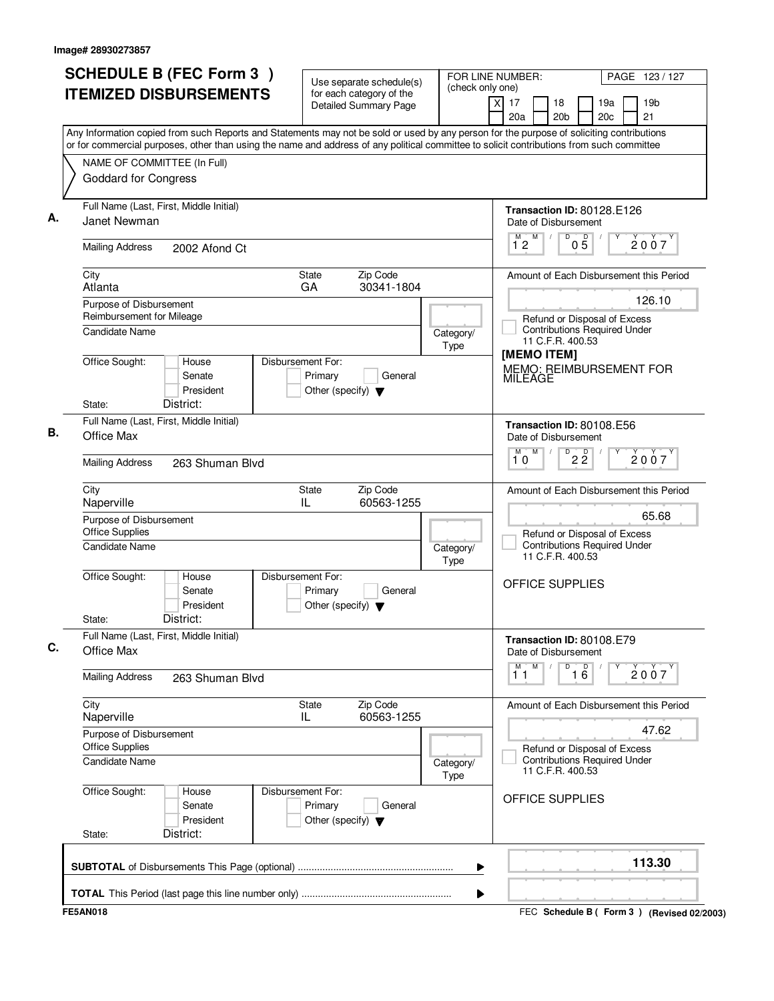| Use separate schedule(s)<br>(check only one)<br><b>ITEMIZED DISBURSEMENTS</b><br>for each category of the<br>xl<br>17<br>18<br>Detailed Summary Page<br>20a<br>20 <sub>b</sub><br>Any Information copied from such Reports and Statements may not be sold or used by any person for the purpose of soliciting contributions<br>or for commercial purposes, other than using the name and address of any political committee to solicit contributions from such committee<br>NAME OF COMMITTEE (In Full)<br><b>Goddard for Congress</b><br>Full Name (Last, First, Middle Initial)<br>А.<br>Janet Newman<br>Date of Disbursement<br>$\mathsf D$<br>M<br>M<br>$\sqrt{ }$<br>12<br><b>Mailing Address</b><br>2002 Afond Ct<br>City<br><b>State</b><br>Zip Code<br>Atlanta<br>GA<br>30341-1804<br>Purpose of Disbursement<br>Reimbursement for Mileage<br>Candidate Name<br>Category/<br>11 C.F.R. 400.53<br>Type<br>[MEMO ITEM]<br>Office Sought:<br>Disbursement For:<br>House<br>Primary<br>General<br>Senate<br>MILEAGE<br>President<br>Other (specify) $\blacktriangledown$<br>District:<br>State:<br>Full Name (Last, First, Middle Initial)<br>Transaction ID: 80108.E56<br>В.<br>Office Max<br>Date of Disbursement<br>$\overline{D}$<br>M<br>10<br><b>Mailing Address</b><br>263 Shuman Blvd<br>Zip Code<br>City<br><b>State</b><br>Naperville<br>IL<br>60563-1255<br>Purpose of Disbursement<br><b>Office Supplies</b><br><b>Candidate Name</b><br>Category/<br>11 C.F.R. 400.53<br><b>Type</b><br>Office Sought:<br>Disbursement For:<br>House<br><b>OFFICE SUPPLIES</b><br>Primary<br>General<br>Senate<br>President<br>Other (specify) $\blacktriangledown$<br>District:<br>State:<br>Full Name (Last, First, Middle Initial)<br>Transaction ID: 80108.E79<br>C.<br>Office Max<br>Date of Disbursement<br>M<br>M<br>D<br>11<br><b>Mailing Address</b><br>263 Shuman Blvd<br>City<br>State<br>Zip Code<br>60563-1255<br>Naperville<br>IL<br>Purpose of Disbursement<br><b>Office Supplies</b><br>Candidate Name<br>Category/<br>11 C.F.R. 400.53<br>Type<br>Office Sought:<br>Disbursement For:<br>House<br>OFFICE SUPPLIES<br>Senate<br>Primary<br>General<br>President<br>Other (specify) $\blacktriangledown$ | PAGE 123 / 127                                                      |
|--------------------------------------------------------------------------------------------------------------------------------------------------------------------------------------------------------------------------------------------------------------------------------------------------------------------------------------------------------------------------------------------------------------------------------------------------------------------------------------------------------------------------------------------------------------------------------------------------------------------------------------------------------------------------------------------------------------------------------------------------------------------------------------------------------------------------------------------------------------------------------------------------------------------------------------------------------------------------------------------------------------------------------------------------------------------------------------------------------------------------------------------------------------------------------------------------------------------------------------------------------------------------------------------------------------------------------------------------------------------------------------------------------------------------------------------------------------------------------------------------------------------------------------------------------------------------------------------------------------------------------------------------------------------------------------------------------------------------------------------------------------------------------------------------------------------------------------------------------------------------------------------------------------------------------------------------------------------------------------------------------------------------------------------------------------------------------------------------------------------------------------------------------------------------------------------------------------------------|---------------------------------------------------------------------|
|                                                                                                                                                                                                                                                                                                                                                                                                                                                                                                                                                                                                                                                                                                                                                                                                                                                                                                                                                                                                                                                                                                                                                                                                                                                                                                                                                                                                                                                                                                                                                                                                                                                                                                                                                                                                                                                                                                                                                                                                                                                                                                                                                                                                                          | 19 <sub>b</sub><br>19a<br>20c<br>21                                 |
|                                                                                                                                                                                                                                                                                                                                                                                                                                                                                                                                                                                                                                                                                                                                                                                                                                                                                                                                                                                                                                                                                                                                                                                                                                                                                                                                                                                                                                                                                                                                                                                                                                                                                                                                                                                                                                                                                                                                                                                                                                                                                                                                                                                                                          |                                                                     |
|                                                                                                                                                                                                                                                                                                                                                                                                                                                                                                                                                                                                                                                                                                                                                                                                                                                                                                                                                                                                                                                                                                                                                                                                                                                                                                                                                                                                                                                                                                                                                                                                                                                                                                                                                                                                                                                                                                                                                                                                                                                                                                                                                                                                                          |                                                                     |
|                                                                                                                                                                                                                                                                                                                                                                                                                                                                                                                                                                                                                                                                                                                                                                                                                                                                                                                                                                                                                                                                                                                                                                                                                                                                                                                                                                                                                                                                                                                                                                                                                                                                                                                                                                                                                                                                                                                                                                                                                                                                                                                                                                                                                          |                                                                     |
|                                                                                                                                                                                                                                                                                                                                                                                                                                                                                                                                                                                                                                                                                                                                                                                                                                                                                                                                                                                                                                                                                                                                                                                                                                                                                                                                                                                                                                                                                                                                                                                                                                                                                                                                                                                                                                                                                                                                                                                                                                                                                                                                                                                                                          | Transaction ID: 80128.E126                                          |
|                                                                                                                                                                                                                                                                                                                                                                                                                                                                                                                                                                                                                                                                                                                                                                                                                                                                                                                                                                                                                                                                                                                                                                                                                                                                                                                                                                                                                                                                                                                                                                                                                                                                                                                                                                                                                                                                                                                                                                                                                                                                                                                                                                                                                          | $0\overline{5}$<br>2007                                             |
|                                                                                                                                                                                                                                                                                                                                                                                                                                                                                                                                                                                                                                                                                                                                                                                                                                                                                                                                                                                                                                                                                                                                                                                                                                                                                                                                                                                                                                                                                                                                                                                                                                                                                                                                                                                                                                                                                                                                                                                                                                                                                                                                                                                                                          | Amount of Each Disbursement this Period                             |
|                                                                                                                                                                                                                                                                                                                                                                                                                                                                                                                                                                                                                                                                                                                                                                                                                                                                                                                                                                                                                                                                                                                                                                                                                                                                                                                                                                                                                                                                                                                                                                                                                                                                                                                                                                                                                                                                                                                                                                                                                                                                                                                                                                                                                          | 126.10                                                              |
|                                                                                                                                                                                                                                                                                                                                                                                                                                                                                                                                                                                                                                                                                                                                                                                                                                                                                                                                                                                                                                                                                                                                                                                                                                                                                                                                                                                                                                                                                                                                                                                                                                                                                                                                                                                                                                                                                                                                                                                                                                                                                                                                                                                                                          | Refund or Disposal of Excess<br><b>Contributions Required Under</b> |
|                                                                                                                                                                                                                                                                                                                                                                                                                                                                                                                                                                                                                                                                                                                                                                                                                                                                                                                                                                                                                                                                                                                                                                                                                                                                                                                                                                                                                                                                                                                                                                                                                                                                                                                                                                                                                                                                                                                                                                                                                                                                                                                                                                                                                          | MEMO: REIMBURSEMENT FOR                                             |
|                                                                                                                                                                                                                                                                                                                                                                                                                                                                                                                                                                                                                                                                                                                                                                                                                                                                                                                                                                                                                                                                                                                                                                                                                                                                                                                                                                                                                                                                                                                                                                                                                                                                                                                                                                                                                                                                                                                                                                                                                                                                                                                                                                                                                          |                                                                     |
|                                                                                                                                                                                                                                                                                                                                                                                                                                                                                                                                                                                                                                                                                                                                                                                                                                                                                                                                                                                                                                                                                                                                                                                                                                                                                                                                                                                                                                                                                                                                                                                                                                                                                                                                                                                                                                                                                                                                                                                                                                                                                                                                                                                                                          |                                                                     |
|                                                                                                                                                                                                                                                                                                                                                                                                                                                                                                                                                                                                                                                                                                                                                                                                                                                                                                                                                                                                                                                                                                                                                                                                                                                                                                                                                                                                                                                                                                                                                                                                                                                                                                                                                                                                                                                                                                                                                                                                                                                                                                                                                                                                                          | $2\overline{2}$<br>2007                                             |
|                                                                                                                                                                                                                                                                                                                                                                                                                                                                                                                                                                                                                                                                                                                                                                                                                                                                                                                                                                                                                                                                                                                                                                                                                                                                                                                                                                                                                                                                                                                                                                                                                                                                                                                                                                                                                                                                                                                                                                                                                                                                                                                                                                                                                          | Amount of Each Disbursement this Period                             |
|                                                                                                                                                                                                                                                                                                                                                                                                                                                                                                                                                                                                                                                                                                                                                                                                                                                                                                                                                                                                                                                                                                                                                                                                                                                                                                                                                                                                                                                                                                                                                                                                                                                                                                                                                                                                                                                                                                                                                                                                                                                                                                                                                                                                                          | 65.68<br>Refund or Disposal of Excess                               |
|                                                                                                                                                                                                                                                                                                                                                                                                                                                                                                                                                                                                                                                                                                                                                                                                                                                                                                                                                                                                                                                                                                                                                                                                                                                                                                                                                                                                                                                                                                                                                                                                                                                                                                                                                                                                                                                                                                                                                                                                                                                                                                                                                                                                                          | <b>Contributions Required Under</b>                                 |
|                                                                                                                                                                                                                                                                                                                                                                                                                                                                                                                                                                                                                                                                                                                                                                                                                                                                                                                                                                                                                                                                                                                                                                                                                                                                                                                                                                                                                                                                                                                                                                                                                                                                                                                                                                                                                                                                                                                                                                                                                                                                                                                                                                                                                          |                                                                     |
|                                                                                                                                                                                                                                                                                                                                                                                                                                                                                                                                                                                                                                                                                                                                                                                                                                                                                                                                                                                                                                                                                                                                                                                                                                                                                                                                                                                                                                                                                                                                                                                                                                                                                                                                                                                                                                                                                                                                                                                                                                                                                                                                                                                                                          |                                                                     |
|                                                                                                                                                                                                                                                                                                                                                                                                                                                                                                                                                                                                                                                                                                                                                                                                                                                                                                                                                                                                                                                                                                                                                                                                                                                                                                                                                                                                                                                                                                                                                                                                                                                                                                                                                                                                                                                                                                                                                                                                                                                                                                                                                                                                                          |                                                                     |
|                                                                                                                                                                                                                                                                                                                                                                                                                                                                                                                                                                                                                                                                                                                                                                                                                                                                                                                                                                                                                                                                                                                                                                                                                                                                                                                                                                                                                                                                                                                                                                                                                                                                                                                                                                                                                                                                                                                                                                                                                                                                                                                                                                                                                          | $\overline{16}$<br>$\dot{2}$ 0 $\dot{0}$ 7 $\dot{ }$                |
|                                                                                                                                                                                                                                                                                                                                                                                                                                                                                                                                                                                                                                                                                                                                                                                                                                                                                                                                                                                                                                                                                                                                                                                                                                                                                                                                                                                                                                                                                                                                                                                                                                                                                                                                                                                                                                                                                                                                                                                                                                                                                                                                                                                                                          | Amount of Each Disbursement this Period                             |
|                                                                                                                                                                                                                                                                                                                                                                                                                                                                                                                                                                                                                                                                                                                                                                                                                                                                                                                                                                                                                                                                                                                                                                                                                                                                                                                                                                                                                                                                                                                                                                                                                                                                                                                                                                                                                                                                                                                                                                                                                                                                                                                                                                                                                          | 47.62<br>Refund or Disposal of Excess                               |
|                                                                                                                                                                                                                                                                                                                                                                                                                                                                                                                                                                                                                                                                                                                                                                                                                                                                                                                                                                                                                                                                                                                                                                                                                                                                                                                                                                                                                                                                                                                                                                                                                                                                                                                                                                                                                                                                                                                                                                                                                                                                                                                                                                                                                          | <b>Contributions Required Under</b>                                 |
|                                                                                                                                                                                                                                                                                                                                                                                                                                                                                                                                                                                                                                                                                                                                                                                                                                                                                                                                                                                                                                                                                                                                                                                                                                                                                                                                                                                                                                                                                                                                                                                                                                                                                                                                                                                                                                                                                                                                                                                                                                                                                                                                                                                                                          |                                                                     |
| District:<br>State:                                                                                                                                                                                                                                                                                                                                                                                                                                                                                                                                                                                                                                                                                                                                                                                                                                                                                                                                                                                                                                                                                                                                                                                                                                                                                                                                                                                                                                                                                                                                                                                                                                                                                                                                                                                                                                                                                                                                                                                                                                                                                                                                                                                                      |                                                                     |
| ▶                                                                                                                                                                                                                                                                                                                                                                                                                                                                                                                                                                                                                                                                                                                                                                                                                                                                                                                                                                                                                                                                                                                                                                                                                                                                                                                                                                                                                                                                                                                                                                                                                                                                                                                                                                                                                                                                                                                                                                                                                                                                                                                                                                                                                        | 113.30                                                              |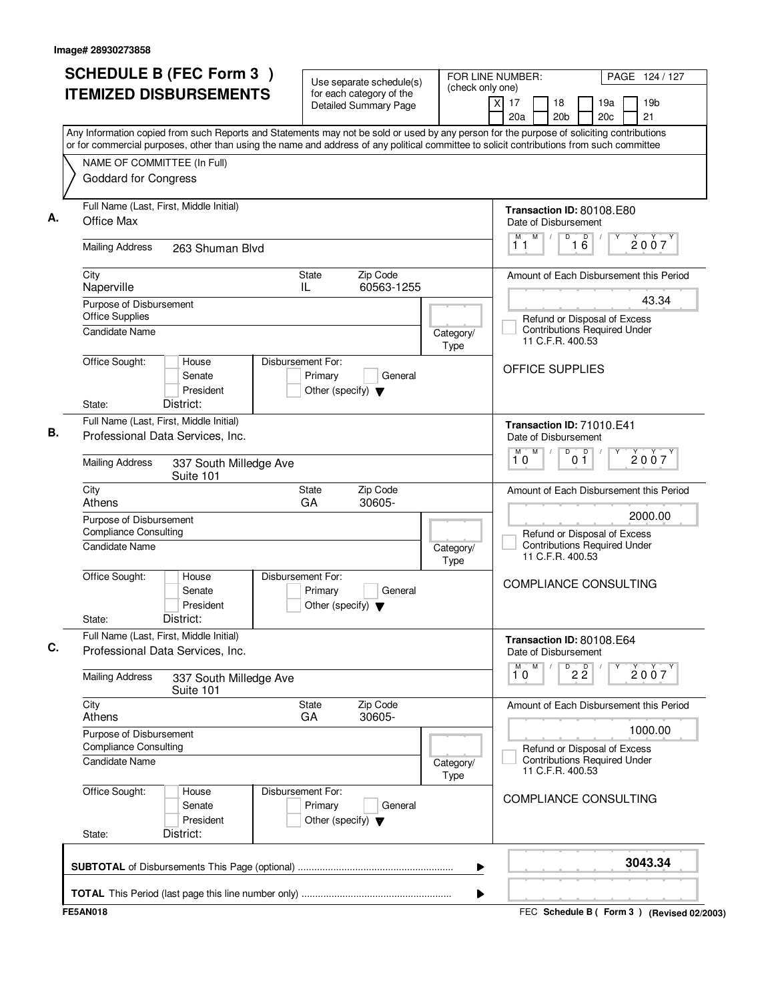| <b>SCHEDULE B (FEC Form 3)</b><br><b>ITEMIZED DISBURSEMENTS</b>                                                                                                                                                                                                                        | Use separate schedule(s)<br>for each category of the                            | (check only one)         | FOR LINE NUMBER:                                            | PAGE 124 / 127                                                      |
|----------------------------------------------------------------------------------------------------------------------------------------------------------------------------------------------------------------------------------------------------------------------------------------|---------------------------------------------------------------------------------|--------------------------|-------------------------------------------------------------|---------------------------------------------------------------------|
|                                                                                                                                                                                                                                                                                        | <b>Detailed Summary Page</b>                                                    |                          | $\overline{x}$<br>17<br>18<br>20 <sub>b</sub><br>20a        | 19 <sub>b</sub><br>19a<br>20 <sub>c</sub><br>21                     |
| Any Information copied from such Reports and Statements may not be sold or used by any person for the purpose of soliciting contributions<br>or for commercial purposes, other than using the name and address of any political committee to solicit contributions from such committee |                                                                                 |                          |                                                             |                                                                     |
| NAME OF COMMITTEE (In Full)                                                                                                                                                                                                                                                            |                                                                                 |                          |                                                             |                                                                     |
| <b>Goddard for Congress</b>                                                                                                                                                                                                                                                            |                                                                                 |                          |                                                             |                                                                     |
| Full Name (Last, First, Middle Initial)                                                                                                                                                                                                                                                |                                                                                 |                          | Transaction ID: 80108.E80                                   |                                                                     |
| Office Max                                                                                                                                                                                                                                                                             |                                                                                 |                          | Date of Disbursement                                        |                                                                     |
| <b>Mailing Address</b><br>263 Shuman Blvd                                                                                                                                                                                                                                              |                                                                                 |                          | M<br>D<br>16<br>11                                          | $\Box$<br>2007                                                      |
| City<br>Naperville                                                                                                                                                                                                                                                                     | <b>State</b><br>Zip Code<br>60563-1255<br>IL                                    |                          |                                                             | Amount of Each Disbursement this Period                             |
| Purpose of Disbursement                                                                                                                                                                                                                                                                |                                                                                 |                          |                                                             | 43.34                                                               |
| <b>Office Supplies</b><br><b>Candidate Name</b>                                                                                                                                                                                                                                        |                                                                                 |                          |                                                             | Refund or Disposal of Excess<br><b>Contributions Required Under</b> |
|                                                                                                                                                                                                                                                                                        |                                                                                 | Category/<br><b>Type</b> | 11 C.F.R. 400.53                                            |                                                                     |
| Office Sought:<br>House                                                                                                                                                                                                                                                                | Disbursement For:                                                               |                          | OFFICE SUPPLIES                                             |                                                                     |
| Senate<br>President                                                                                                                                                                                                                                                                    | Primary<br>General<br>Other (specify) $\blacktriangledown$                      |                          |                                                             |                                                                     |
| District:<br>State:                                                                                                                                                                                                                                                                    |                                                                                 |                          |                                                             |                                                                     |
| Full Name (Last, First, Middle Initial)                                                                                                                                                                                                                                                |                                                                                 |                          | Transaction ID: 71010.E41                                   |                                                                     |
| Professional Data Services, Inc.                                                                                                                                                                                                                                                       |                                                                                 |                          | Date of Disbursement                                        |                                                                     |
| <b>Mailing Address</b><br>337 South Milledge Ave<br>Suite 101                                                                                                                                                                                                                          |                                                                                 |                          | $\overline{D}$<br>M<br>M<br>10<br>01                        | D<br>2007                                                           |
| City<br>Athens                                                                                                                                                                                                                                                                         | Zip Code<br>State<br>30605-<br>GA                                               |                          |                                                             | Amount of Each Disbursement this Period                             |
| Purpose of Disbursement                                                                                                                                                                                                                                                                |                                                                                 |                          |                                                             | 2000.00                                                             |
| <b>Compliance Consulting</b><br><b>Candidate Name</b>                                                                                                                                                                                                                                  |                                                                                 |                          |                                                             | Refund or Disposal of Excess<br><b>Contributions Required Under</b> |
|                                                                                                                                                                                                                                                                                        |                                                                                 | Category/<br><b>Type</b> | 11 C.F.R. 400.53                                            |                                                                     |
| Office Sought:<br>House<br>Senate<br>President<br>District:<br>State:                                                                                                                                                                                                                  | Disbursement For:<br>Primary<br>General<br>Other (specify) $\blacktriangledown$ |                          | COMPLIANCE CONSULTING                                       |                                                                     |
| Full Name (Last, First, Middle Initial)                                                                                                                                                                                                                                                |                                                                                 |                          |                                                             |                                                                     |
| Professional Data Services, Inc.                                                                                                                                                                                                                                                       |                                                                                 |                          | Transaction ID: 80108.E64<br>Date of Disbursement<br>M<br>М |                                                                     |
| <b>Mailing Address</b><br>337 South Milledge Ave<br>Suite 101                                                                                                                                                                                                                          |                                                                                 |                          | $\overline{22}$<br>10                                       | 2007                                                                |
| City<br>Athens                                                                                                                                                                                                                                                                         | Zip Code<br>State<br>GA<br>30605-                                               |                          |                                                             | Amount of Each Disbursement this Period                             |
| Purpose of Disbursement                                                                                                                                                                                                                                                                |                                                                                 |                          |                                                             | 1000.00                                                             |
| <b>Compliance Consulting</b><br>Candidate Name                                                                                                                                                                                                                                         |                                                                                 | Category/<br>Type        | 11 C.F.R. 400.53                                            | Refund or Disposal of Excess<br><b>Contributions Required Under</b> |
| Office Sought:<br>House<br>Senate<br>President<br>District:<br>State:                                                                                                                                                                                                                  | Disbursement For:<br>Primary<br>General<br>Other (specify) $\blacktriangledown$ |                          | COMPLIANCE CONSULTING                                       |                                                                     |
|                                                                                                                                                                                                                                                                                        |                                                                                 | ▶                        |                                                             | 3043.34                                                             |
|                                                                                                                                                                                                                                                                                        |                                                                                 |                          |                                                             |                                                                     |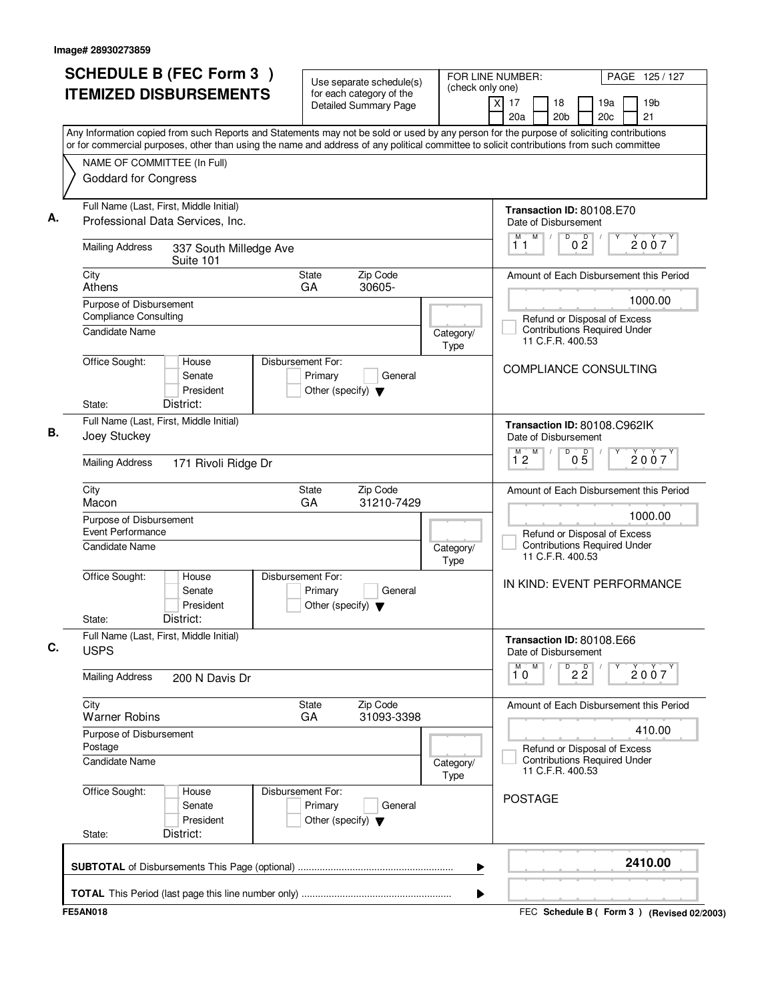| <b>SCHEDULE B (FEC Form 3)</b>                                                                                                                                                                                                                                                         | Use separate schedule(s)                                                        | (check only one)         | FOR LINE NUMBER:<br>PAGE 125/127                                                                  |
|----------------------------------------------------------------------------------------------------------------------------------------------------------------------------------------------------------------------------------------------------------------------------------------|---------------------------------------------------------------------------------|--------------------------|---------------------------------------------------------------------------------------------------|
| <b>ITEMIZED DISBURSEMENTS</b>                                                                                                                                                                                                                                                          | for each category of the<br><b>Detailed Summary Page</b>                        |                          | $\times$<br>17<br>19 <sub>b</sub><br>18<br>19a<br>20a<br>20 <sub>b</sub><br>20 <sub>c</sub><br>21 |
| Any Information copied from such Reports and Statements may not be sold or used by any person for the purpose of soliciting contributions<br>or for commercial purposes, other than using the name and address of any political committee to solicit contributions from such committee |                                                                                 |                          |                                                                                                   |
| NAME OF COMMITTEE (In Full)                                                                                                                                                                                                                                                            |                                                                                 |                          |                                                                                                   |
| Goddard for Congress                                                                                                                                                                                                                                                                   |                                                                                 |                          |                                                                                                   |
| Full Name (Last, First, Middle Initial)<br>Professional Data Services, Inc.                                                                                                                                                                                                            |                                                                                 |                          | Transaction ID: 80108.E70<br>Date of Disbursement                                                 |
| <b>Mailing Address</b><br>337 South Milledge Ave<br>Suite 101                                                                                                                                                                                                                          |                                                                                 |                          | M<br>$\overline{D}$<br>0 <sup>D</sup><br>M<br>$\sqrt{ }$<br>2007<br>11                            |
| City<br>Athens                                                                                                                                                                                                                                                                         | Zip Code<br><b>State</b><br>30605-<br>GA                                        |                          | Amount of Each Disbursement this Period                                                           |
| Purpose of Disbursement<br><b>Compliance Consulting</b>                                                                                                                                                                                                                                |                                                                                 |                          | 1000.00<br>Refund or Disposal of Excess                                                           |
| <b>Candidate Name</b>                                                                                                                                                                                                                                                                  |                                                                                 | Category/<br><b>Type</b> | <b>Contributions Required Under</b><br>11 C.F.R. 400.53                                           |
| Office Sought:<br>House<br>Senate<br>President<br>District:<br>State:                                                                                                                                                                                                                  | Disbursement For:<br>Primary<br>General<br>Other (specify) $\blacktriangledown$ |                          | <b>COMPLIANCE CONSULTING</b>                                                                      |
| Full Name (Last, First, Middle Initial)                                                                                                                                                                                                                                                |                                                                                 |                          | Transaction ID: 80108.C962IK                                                                      |
| Joey Stuckey                                                                                                                                                                                                                                                                           |                                                                                 |                          | Date of Disbursement<br>M<br>D                                                                    |
| <b>Mailing Address</b><br>171 Rivoli Ridge Dr                                                                                                                                                                                                                                          |                                                                                 |                          | $0\overline{5}$<br>$\overline{1}^M$ 2<br>2007                                                     |
| City<br>Macon                                                                                                                                                                                                                                                                          | Zip Code<br>State<br>GA<br>31210-7429                                           |                          | Amount of Each Disbursement this Period                                                           |
| Purpose of Disbursement<br>Event Performance                                                                                                                                                                                                                                           |                                                                                 |                          | 1000.00                                                                                           |
| <b>Candidate Name</b>                                                                                                                                                                                                                                                                  |                                                                                 | Category/<br>Type        | Refund or Disposal of Excess<br><b>Contributions Required Under</b><br>11 C.F.R. 400.53           |
| Office Sought:<br>House<br>Senate<br>President<br>District:<br>State:                                                                                                                                                                                                                  | Disbursement For:<br>Primary<br>General<br>Other (specify) $\blacktriangledown$ |                          | IN KIND: EVENT PERFORMANCE                                                                        |
| Full Name (Last, First, Middle Initial)<br><b>USPS</b>                                                                                                                                                                                                                                 |                                                                                 |                          | Transaction ID: 80108.E66<br>Date of Disbursement                                                 |
| <b>Mailing Address</b><br>200 N Davis Dr                                                                                                                                                                                                                                               |                                                                                 |                          | м<br>M<br>$D^D$ 2 $\overline{2}$<br>2007<br>10                                                    |
| City<br><b>Warner Robins</b>                                                                                                                                                                                                                                                           | Zip Code<br><b>State</b><br>GA<br>31093-3398                                    |                          | Amount of Each Disbursement this Period                                                           |
| Purpose of Disbursement<br>Postage                                                                                                                                                                                                                                                     |                                                                                 |                          | 410.00                                                                                            |
| <b>Candidate Name</b>                                                                                                                                                                                                                                                                  |                                                                                 | Category/<br><b>Type</b> | Refund or Disposal of Excess<br><b>Contributions Required Under</b><br>11 C.F.R. 400.53           |
| Office Sought:<br>House<br>Senate<br>President<br>District:<br>State:                                                                                                                                                                                                                  | Disbursement For:<br>Primary<br>General<br>Other (specify) $\blacktriangledown$ |                          | <b>POSTAGE</b>                                                                                    |
|                                                                                                                                                                                                                                                                                        |                                                                                 | ▶                        | 2410.00                                                                                           |
|                                                                                                                                                                                                                                                                                        |                                                                                 | ▶                        |                                                                                                   |
| <b>FE5AN018</b>                                                                                                                                                                                                                                                                        |                                                                                 |                          | FEC Schedule B ( Form 3 ) (Revised 02/2003)                                                       |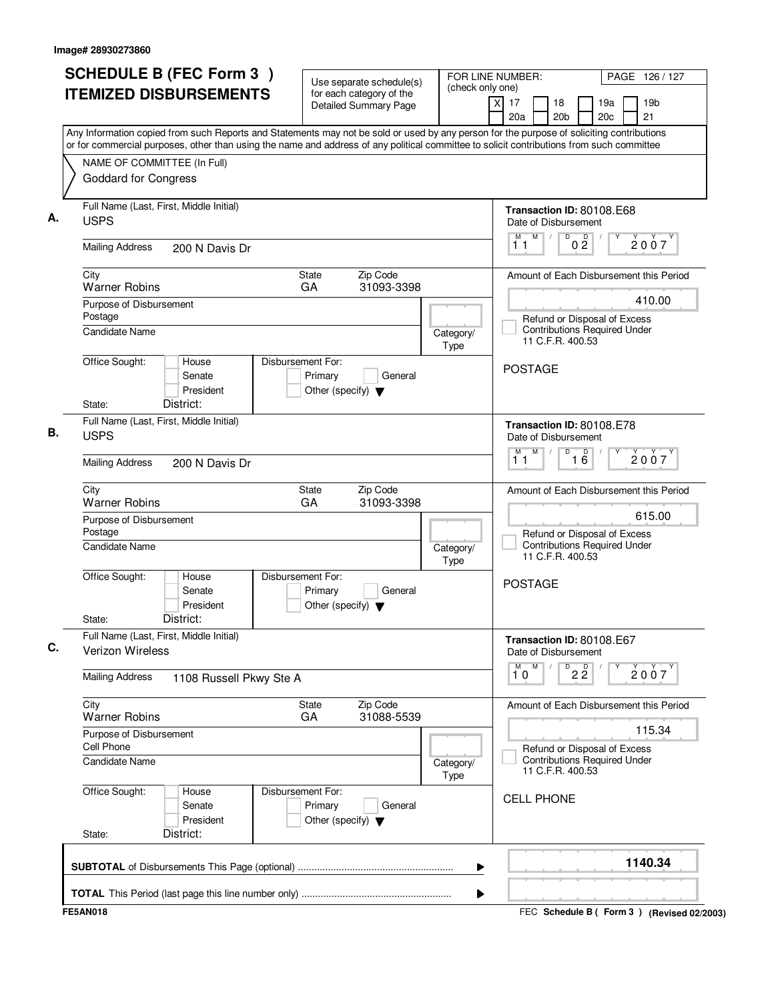| <b>SCHEDULE B (FEC Form 3)</b><br><b>ITEMIZED DISBURSEMENTS</b>                                                                                                                                                                                                                        |                                                                                 | FOR LINE NUMBER:<br>Use separate schedule(s)<br>(check only one)<br>for each category of the |   |                                      |                                                                                         | PAGE 126 / 127  |                        |  |                                             |
|----------------------------------------------------------------------------------------------------------------------------------------------------------------------------------------------------------------------------------------------------------------------------------------|---------------------------------------------------------------------------------|----------------------------------------------------------------------------------------------|---|--------------------------------------|-----------------------------------------------------------------------------------------|-----------------|------------------------|--|---------------------------------------------|
|                                                                                                                                                                                                                                                                                        | <b>Detailed Summary Page</b>                                                    |                                                                                              |   | $\overline{\mathsf{x}}$<br>17<br>20a | 18<br>20 <sub>b</sub>                                                                   |                 | 19a<br>20 <sub>c</sub> |  | 19 <sub>b</sub><br>21                       |
| Any Information copied from such Reports and Statements may not be sold or used by any person for the purpose of soliciting contributions<br>or for commercial purposes, other than using the name and address of any political committee to solicit contributions from such committee |                                                                                 |                                                                                              |   |                                      |                                                                                         |                 |                        |  |                                             |
| NAME OF COMMITTEE (In Full)                                                                                                                                                                                                                                                            |                                                                                 |                                                                                              |   |                                      |                                                                                         |                 |                        |  |                                             |
| <b>Goddard for Congress</b>                                                                                                                                                                                                                                                            |                                                                                 |                                                                                              |   |                                      |                                                                                         |                 |                        |  |                                             |
| Full Name (Last, First, Middle Initial)<br><b>USPS</b>                                                                                                                                                                                                                                 |                                                                                 |                                                                                              |   |                                      | Transaction ID: 80108.E68<br>Date of Disbursement                                       |                 |                        |  |                                             |
| <b>Mailing Address</b><br>200 N Davis Dr                                                                                                                                                                                                                                               |                                                                                 |                                                                                              |   | M<br>11                              | M<br>D                                                                                  | 0 <sup>0</sup>  |                        |  | 2007                                        |
| City<br><b>Warner Robins</b>                                                                                                                                                                                                                                                           | Zip Code<br>State<br>GA<br>31093-3398                                           |                                                                                              |   |                                      |                                                                                         |                 |                        |  | Amount of Each Disbursement this Period     |
| Purpose of Disbursement                                                                                                                                                                                                                                                                |                                                                                 |                                                                                              |   |                                      |                                                                                         |                 |                        |  | 410.00                                      |
| Postage<br><b>Candidate Name</b>                                                                                                                                                                                                                                                       |                                                                                 | Category/<br>Type                                                                            |   |                                      | Refund or Disposal of Excess<br><b>Contributions Required Under</b><br>11 C.F.R. 400.53 |                 |                        |  |                                             |
| Office Sought:<br>House<br>Senate<br>President<br>District:<br>State:                                                                                                                                                                                                                  | Disbursement For:<br>Primary<br>General<br>Other (specify) $\blacktriangledown$ |                                                                                              |   | <b>POSTAGE</b>                       |                                                                                         |                 |                        |  |                                             |
| Full Name (Last, First, Middle Initial)<br><b>USPS</b>                                                                                                                                                                                                                                 |                                                                                 |                                                                                              |   |                                      | Transaction ID: 80108.E78<br>Date of Disbursement                                       |                 |                        |  |                                             |
| <b>Mailing Address</b><br>200 N Davis Dr                                                                                                                                                                                                                                               |                                                                                 |                                                                                              |   | M<br>11                              | M<br>D                                                                                  | 16              |                        |  | 2007                                        |
| City<br><b>Warner Robins</b>                                                                                                                                                                                                                                                           | Zip Code<br>State<br>GA<br>31093-3398                                           |                                                                                              |   |                                      |                                                                                         |                 |                        |  | Amount of Each Disbursement this Period     |
| Purpose of Disbursement                                                                                                                                                                                                                                                                |                                                                                 |                                                                                              |   |                                      |                                                                                         |                 |                        |  | 615.00                                      |
| Postage<br><b>Candidate Name</b>                                                                                                                                                                                                                                                       |                                                                                 | Category/<br><b>Type</b>                                                                     |   |                                      | Refund or Disposal of Excess<br><b>Contributions Required Under</b><br>11 C.F.R. 400.53 |                 |                        |  |                                             |
| Office Sought:<br>House<br>Senate<br>President<br>District:<br>State:                                                                                                                                                                                                                  | Disbursement For:<br>Primary<br>General<br>Other (specify) $\blacktriangledown$ |                                                                                              |   | <b>POSTAGE</b>                       |                                                                                         |                 |                        |  |                                             |
| Full Name (Last, First, Middle Initial)<br><b>Verizon Wireless</b>                                                                                                                                                                                                                     |                                                                                 |                                                                                              |   |                                      | Transaction ID: 80108.E67<br>Date of Disbursement                                       |                 |                        |  |                                             |
| <b>Mailing Address</b><br>1108 Russell Pkwy Ste A                                                                                                                                                                                                                                      |                                                                                 |                                                                                              |   | 10                                   | M                                                                                       | $\overline{22}$ | Υ                      |  | 2007                                        |
| City<br><b>Warner Robins</b>                                                                                                                                                                                                                                                           | Zip Code<br>State<br>GA<br>31088-5539                                           |                                                                                              |   |                                      |                                                                                         |                 |                        |  | Amount of Each Disbursement this Period     |
| Purpose of Disbursement                                                                                                                                                                                                                                                                |                                                                                 |                                                                                              |   |                                      |                                                                                         |                 |                        |  | 115.34                                      |
| Cell Phone<br><b>Candidate Name</b>                                                                                                                                                                                                                                                    |                                                                                 | Category/<br><b>Type</b>                                                                     |   |                                      | Refund or Disposal of Excess<br><b>Contributions Required Under</b><br>11 C.F.R. 400.53 |                 |                        |  |                                             |
| Office Sought:<br>House<br>Senate<br>President<br>District:<br>State:                                                                                                                                                                                                                  | Disbursement For:<br>Primary<br>General<br>Other (specify) $\blacktriangledown$ |                                                                                              |   |                                      | <b>CELL PHONE</b>                                                                       |                 |                        |  |                                             |
|                                                                                                                                                                                                                                                                                        |                                                                                 |                                                                                              | ▶ |                                      |                                                                                         |                 |                        |  | 1140.34                                     |
|                                                                                                                                                                                                                                                                                        |                                                                                 |                                                                                              | ▶ |                                      |                                                                                         |                 |                        |  |                                             |
| <b>FE5AN018</b>                                                                                                                                                                                                                                                                        |                                                                                 |                                                                                              |   |                                      |                                                                                         |                 |                        |  | FEC Schedule B ( Form 3 ) (Revised 02/2003) |